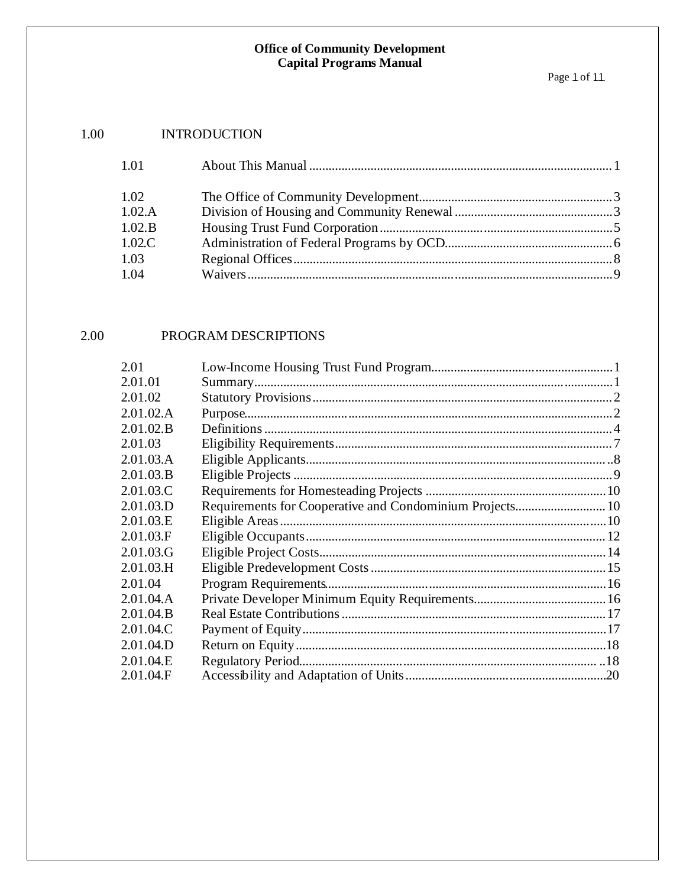#### 1.00 **INTRODUCTION**

| 1.01      |  |
|-----------|--|
| 1.02      |  |
| 1.02.A    |  |
| 1.02.B    |  |
| $1.02$ .C |  |
| 1.03      |  |
| 1.04      |  |

#### 2.00 PROGRAM DESCRIPTIONS

| 2.01      |                                                          |  |
|-----------|----------------------------------------------------------|--|
| 2.01.01   |                                                          |  |
| 2.01.02   |                                                          |  |
| 2.01.02.A |                                                          |  |
| 2.01.02.B |                                                          |  |
| 2.01.03   |                                                          |  |
| 2.01.03.A |                                                          |  |
| 2.01.03.B |                                                          |  |
| 2.01.03.C |                                                          |  |
| 2.01.03.D | Requirements for Cooperative and Condominium Projects 10 |  |
| 2.01.03.E |                                                          |  |
| 2.01.03.F |                                                          |  |
| 2.01.03.G |                                                          |  |
| 2.01.03.H |                                                          |  |
| 2.01.04   |                                                          |  |
| 2.01.04.A |                                                          |  |
| 2.01.04.B |                                                          |  |
| 2.01.04.C |                                                          |  |
| 2.01.04.D |                                                          |  |
| 2.01.04.E |                                                          |  |
| 2.01.04.F |                                                          |  |
|           |                                                          |  |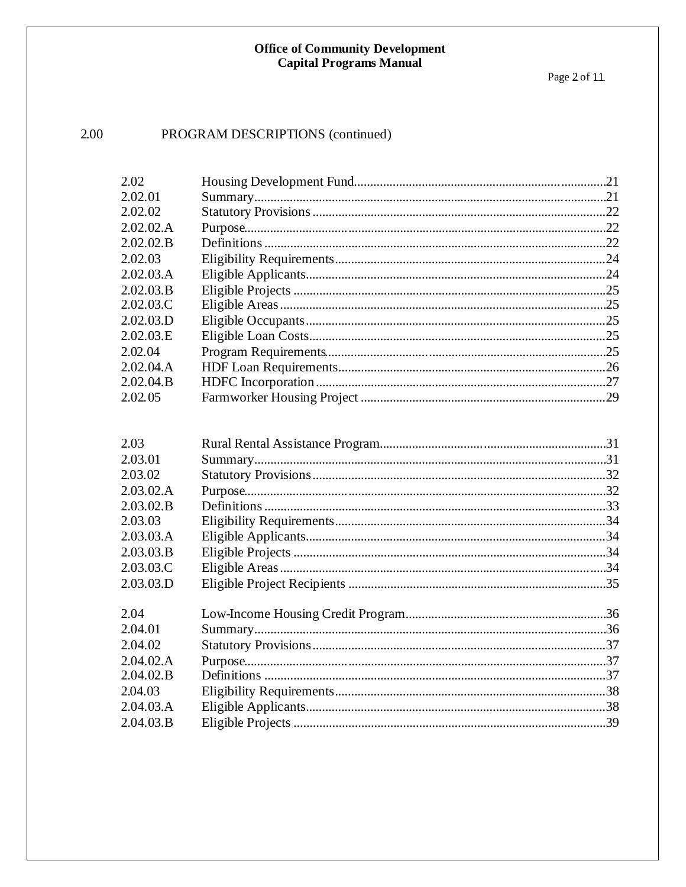### PROGRAM DESCRIPTIONS (continued)

| 2.02      |     |
|-----------|-----|
| 2.02.01   | .21 |
| 2.02.02   | .22 |
| 2.02.02.A | .22 |
| 2.02.02.B | .22 |
| 2.02.03   | .24 |
| 2.02.03.A | .24 |
| 2.02.03.B | .25 |
| 2.02.03.C |     |
| 2.02.03.D | .25 |
| 2.02.03.E | .25 |
| 2.02.04   | .25 |
| 2.02.04.A | .26 |
| 2.02.04.B | .27 |
| 2.02.05   | .29 |

| 2.03      |  |
|-----------|--|
| 2.03.01   |  |
| 2.03.02   |  |
| 2.03.02.A |  |
| 2.03.02.B |  |
| 2.03.03   |  |
| 2.03.03.A |  |
| 2.03.03.B |  |
| 2.03.03.C |  |
| 2.03.03.D |  |
| 2.04      |  |
| 2.04.01   |  |
| 2.04.02   |  |
| 2.04.02.A |  |
| 2.04.02.B |  |
| 2.04.03   |  |
| 2.04.03.A |  |
| 2.04.03.B |  |
|           |  |

2.00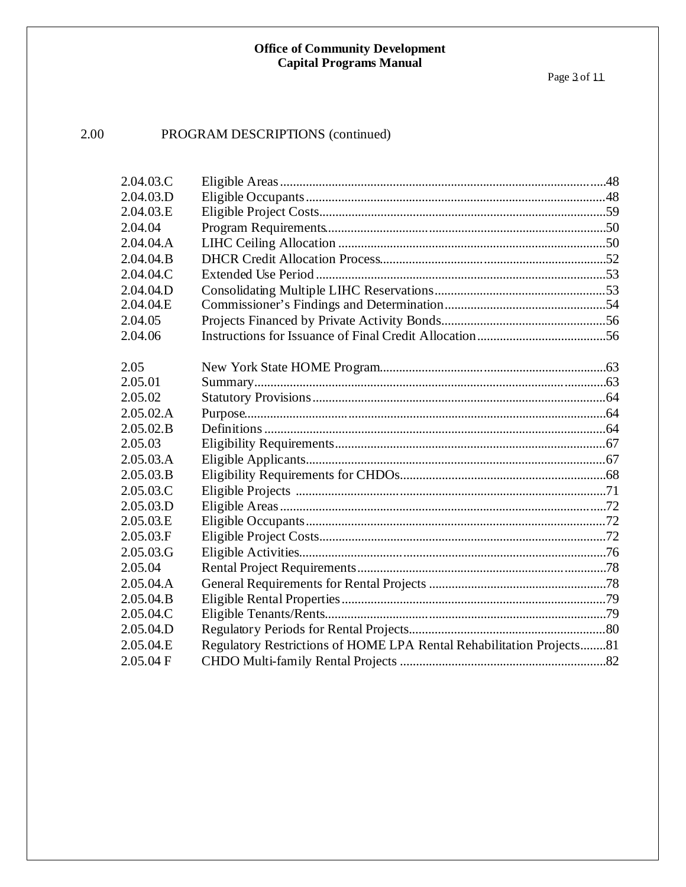#### 2.00 PROGRAM DESCRIPTIONS (continued)

| 2.04.03.C |                                                                      |  |
|-----------|----------------------------------------------------------------------|--|
| 2.04.03.D |                                                                      |  |
| 2.04.03.E |                                                                      |  |
| 2.04.04   |                                                                      |  |
| 2.04.04.A |                                                                      |  |
| 2.04.04.B |                                                                      |  |
| 2.04.04.C |                                                                      |  |
| 2.04.04.D |                                                                      |  |
| 2.04.04.E |                                                                      |  |
| 2.04.05   |                                                                      |  |
| 2.04.06   |                                                                      |  |
|           |                                                                      |  |
| 2.05      |                                                                      |  |
| 2.05.01   |                                                                      |  |
| 2.05.02   |                                                                      |  |
| 2.05.02.A |                                                                      |  |
| 2.05.02.B |                                                                      |  |
| 2.05.03   |                                                                      |  |
| 2.05.03.A |                                                                      |  |
| 2.05.03.B |                                                                      |  |
| 2.05.03.C |                                                                      |  |
| 2.05.03.D |                                                                      |  |
| 2.05.03.E |                                                                      |  |
| 2.05.03.F |                                                                      |  |
| 2.05.03.G |                                                                      |  |
| 2.05.04   |                                                                      |  |
| 2.05.04.A |                                                                      |  |
| 2.05.04.B |                                                                      |  |
| 2.05.04.C |                                                                      |  |
| 2.05.04.D |                                                                      |  |
| 2.05.04.E | Regulatory Restrictions of HOME LPA Rental Rehabilitation Projects81 |  |
| 2.05.04 F |                                                                      |  |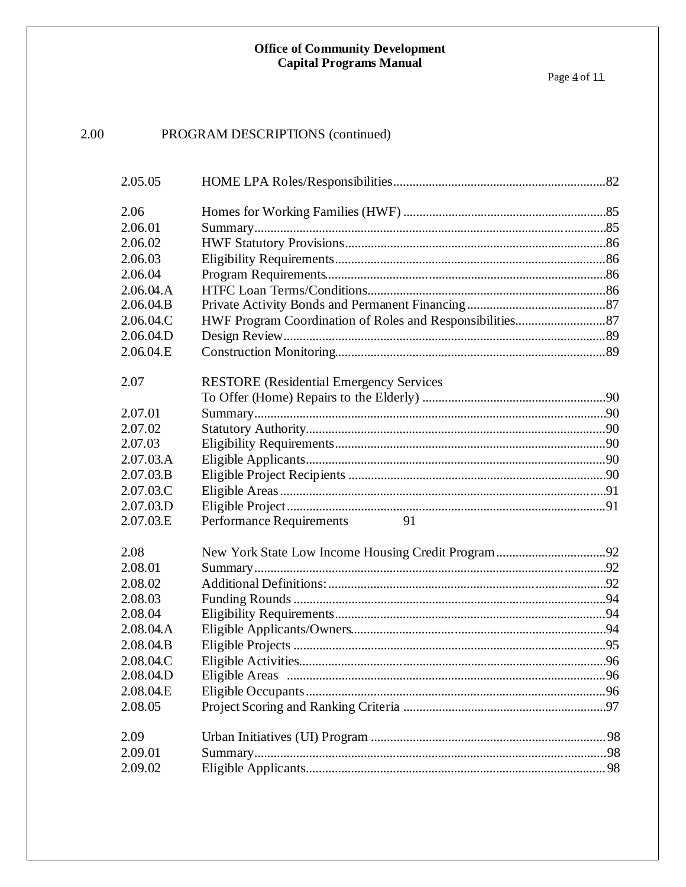#### 2.00 PROGRAM DESCRIPTIONS (continued)

| 2.05.05   |                                                |  |
|-----------|------------------------------------------------|--|
| 2.06      |                                                |  |
| 2.06.01   |                                                |  |
| 2.06.02   |                                                |  |
| 2.06.03   |                                                |  |
| 2.06.04   |                                                |  |
| 2.06.04.A |                                                |  |
| 2.06.04.B |                                                |  |
| 2.06.04.C |                                                |  |
| 2.06.04.D |                                                |  |
| 2.06.04.E |                                                |  |
| 2.07      | <b>RESTORE</b> (Residential Emergency Services |  |
|           |                                                |  |
| 2.07.01   |                                                |  |
| 2.07.02   |                                                |  |
| 2.07.03   |                                                |  |
| 2.07.03.A |                                                |  |
| 2.07.03.B |                                                |  |
| 2.07.03.C |                                                |  |
| 2.07.03.D |                                                |  |
| 2.07.03.E | 91<br><b>Performance Requirements</b>          |  |
| 2.08      |                                                |  |
| 2.08.01   |                                                |  |
| 2.08.02   |                                                |  |
| 2.08.03   |                                                |  |
| 2.08.04   |                                                |  |
| 2.08.04.A |                                                |  |
| 2.08.04.B |                                                |  |
| 2.08.04.C |                                                |  |
| 2.08.04.D |                                                |  |
| 2.08.04.E |                                                |  |
| 2.08.05   |                                                |  |
| 2.09      |                                                |  |
| 2.09.01   |                                                |  |
| 2.09.02   |                                                |  |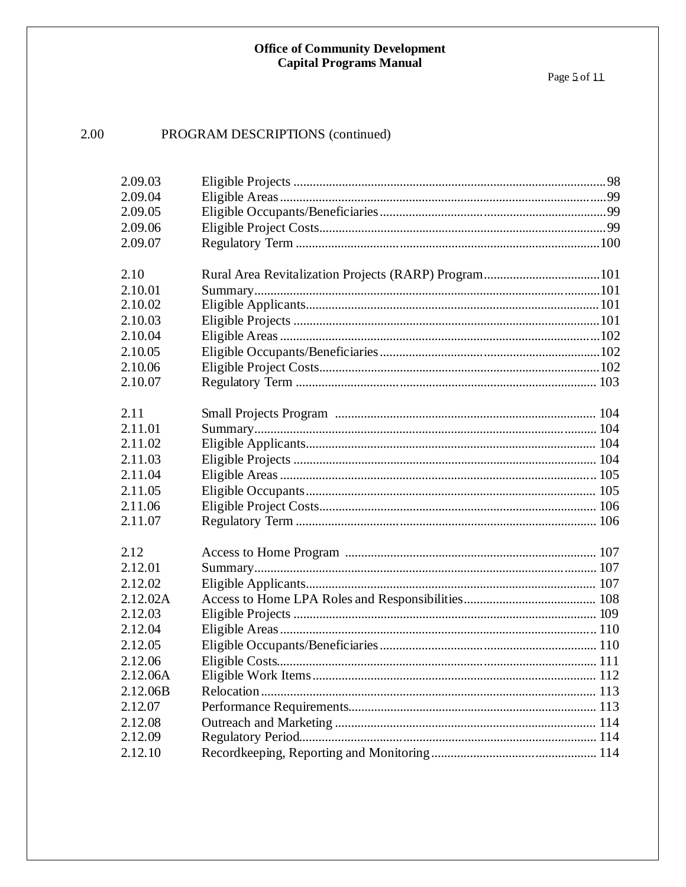#### 2.00 PROGRAM DESCRIPTIONS (continued)

| 2.09.03  |  |
|----------|--|
| 2.09.04  |  |
| 2.09.05  |  |
| 2.09.06  |  |
| 2.09.07  |  |
|          |  |
| 2.10     |  |
| 2.10.01  |  |
| 2.10.02  |  |
| 2.10.03  |  |
| 2.10.04  |  |
| 2.10.05  |  |
| 2.10.06  |  |
| 2.10.07  |  |
|          |  |
| 2.11     |  |
| 2.11.01  |  |
| 2.11.02  |  |
| 2.11.03  |  |
| 2.11.04  |  |
| 2.11.05  |  |
| 2.11.06  |  |
| 2.11.07  |  |
|          |  |
| 2.12     |  |
| 2.12.01  |  |
| 2.12.02  |  |
| 2.12.02A |  |
| 2.12.03  |  |
| 2.12.04  |  |
| 2.12.05  |  |
| 2.12.06  |  |
| 2.12.06A |  |
| 2.12.06B |  |
| 2.12.07  |  |
| 2.12.08  |  |
| 2.12.09  |  |
| 2.12.10  |  |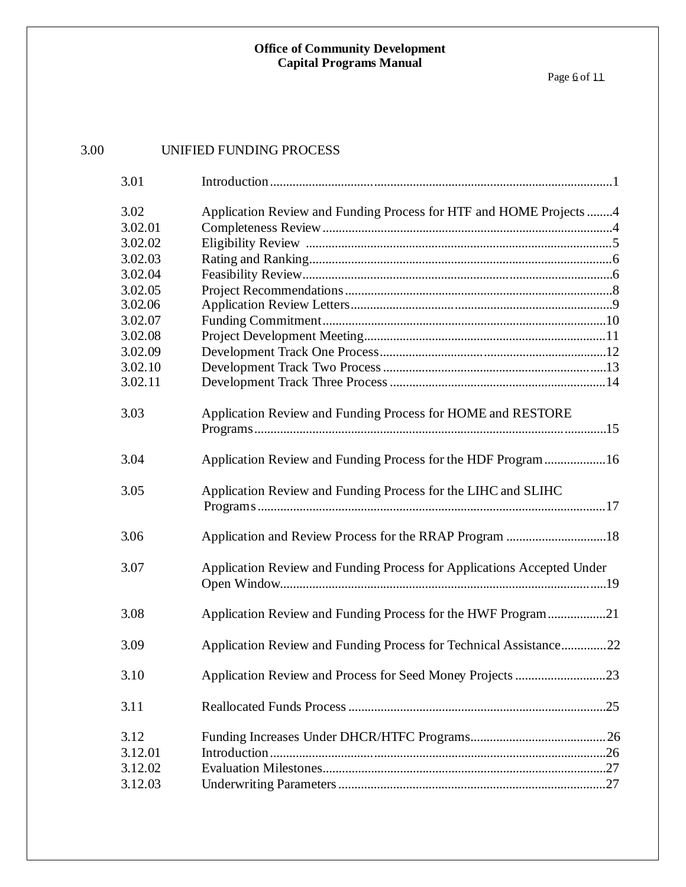Page <u>6</u> of 11

| 3.00 |         | UNIFIED FUNDING PROCESS                                                |  |
|------|---------|------------------------------------------------------------------------|--|
|      | 3.01    |                                                                        |  |
|      | 3.02    | Application Review and Funding Process for HTF and HOME Projects 4     |  |
|      | 3.02.01 |                                                                        |  |
|      | 3.02.02 |                                                                        |  |
|      | 3.02.03 |                                                                        |  |
|      | 3.02.04 |                                                                        |  |
|      | 3.02.05 |                                                                        |  |
|      | 3.02.06 |                                                                        |  |
|      | 3.02.07 |                                                                        |  |
|      | 3.02.08 |                                                                        |  |
|      | 3.02.09 |                                                                        |  |
|      | 3.02.10 |                                                                        |  |
|      | 3.02.11 |                                                                        |  |
|      | 3.03    | Application Review and Funding Process for HOME and RESTORE            |  |
|      | 3.04    | Application Review and Funding Process for the HDF Program 16          |  |
|      | 3.05    | Application Review and Funding Process for the LIHC and SLIHC          |  |
|      | 3.06    | Application and Review Process for the RRAP Program 18                 |  |
|      | 3.07    | Application Review and Funding Process for Applications Accepted Under |  |
|      | 3.08    | Application Review and Funding Process for the HWF Program21           |  |
|      | 3.09    | Application Review and Funding Process for Technical Assistance22      |  |
|      | 3.10    |                                                                        |  |
|      | 3.11    |                                                                        |  |
|      | 3.12    |                                                                        |  |
|      | 3.12.01 |                                                                        |  |
|      | 3.12.02 |                                                                        |  |
|      | 3.12.03 |                                                                        |  |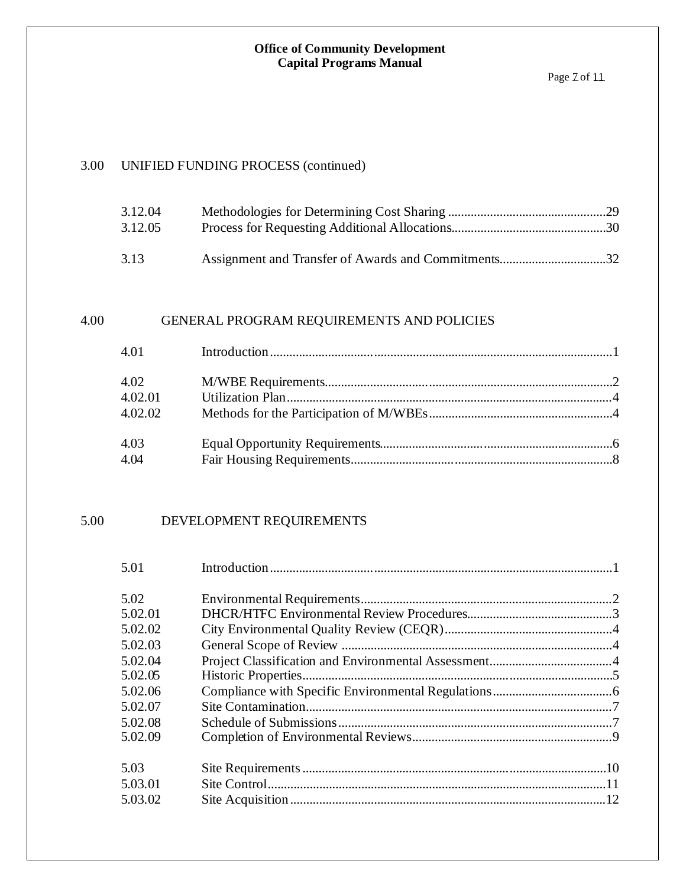### 3.00 UNIFIED FUNDING PROCESS (continued)

| 3.12.04 |  |
|---------|--|
| 3.12.05 |  |
|         |  |
| 3.13    |  |

### 4.00 GENERAL PROGRAM REQUIREMENTS AND POLICIES

| 4.01                       |  |
|----------------------------|--|
| 4.02<br>4.02.01<br>4.02.02 |  |
| 4.03<br>4.04               |  |

### 5.00 DEVELOPMENT REQUIREMENTS

| 5.01    |  |
|---------|--|
| 5.02    |  |
| 5.02.01 |  |
| 5.02.02 |  |
| 5.02.03 |  |
| 5.02.04 |  |
| 5.02.05 |  |
| 5.02.06 |  |
| 5.02.07 |  |
| 5.02.08 |  |
| 5.02.09 |  |
| 5.03    |  |
| 5.03.01 |  |
| 5.03.02 |  |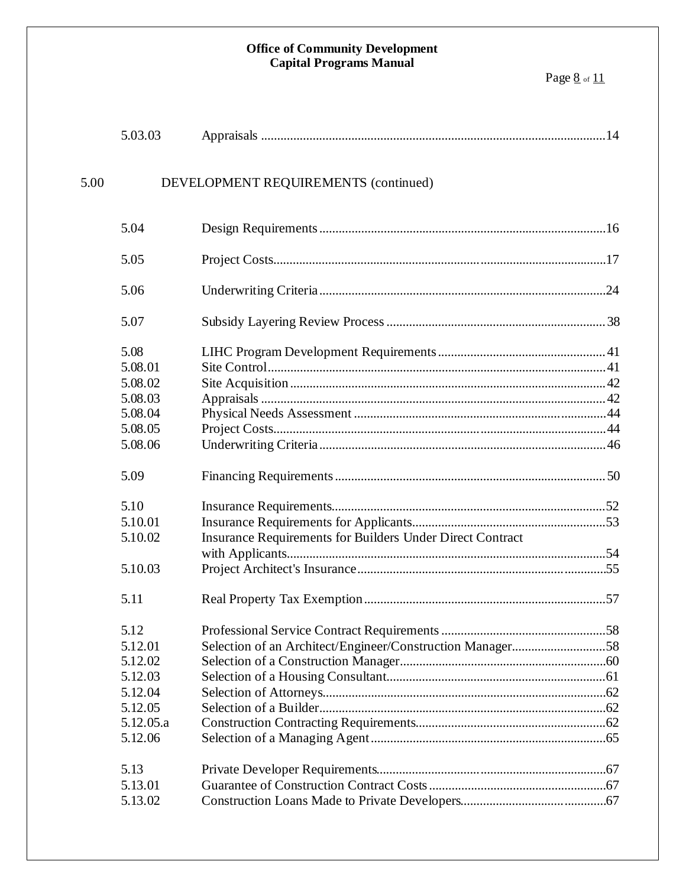|      | 5.03.03   |                                                           |  |
|------|-----------|-----------------------------------------------------------|--|
| 5.00 |           | DEVELOPMENT REQUIREMENTS (continued)                      |  |
|      | 5.04      |                                                           |  |
|      | 5.05      |                                                           |  |
|      | 5.06      |                                                           |  |
|      | 5.07      |                                                           |  |
|      | 5.08      |                                                           |  |
|      | 5.08.01   |                                                           |  |
|      | 5.08.02   |                                                           |  |
|      | 5.08.03   |                                                           |  |
|      | 5.08.04   |                                                           |  |
|      | 5.08.05   |                                                           |  |
|      | 5.08.06   |                                                           |  |
|      | 5.09      |                                                           |  |
|      | 5.10      |                                                           |  |
|      | 5.10.01   |                                                           |  |
|      | 5.10.02   | Insurance Requirements for Builders Under Direct Contract |  |
|      |           |                                                           |  |
|      | 5.10.03   |                                                           |  |
|      | 5.11      |                                                           |  |
|      | 5.12      |                                                           |  |
|      | 5.12.01   |                                                           |  |
|      | 5.12.02   |                                                           |  |
|      | 5.12.03   |                                                           |  |
|      | 5.12.04   |                                                           |  |
|      | 5.12.05   |                                                           |  |
|      | 5.12.05.a |                                                           |  |
|      | 5.12.06   |                                                           |  |
|      | 5.13      |                                                           |  |
|      | 5.13.01   |                                                           |  |
|      | 5.13.02   |                                                           |  |
|      |           |                                                           |  |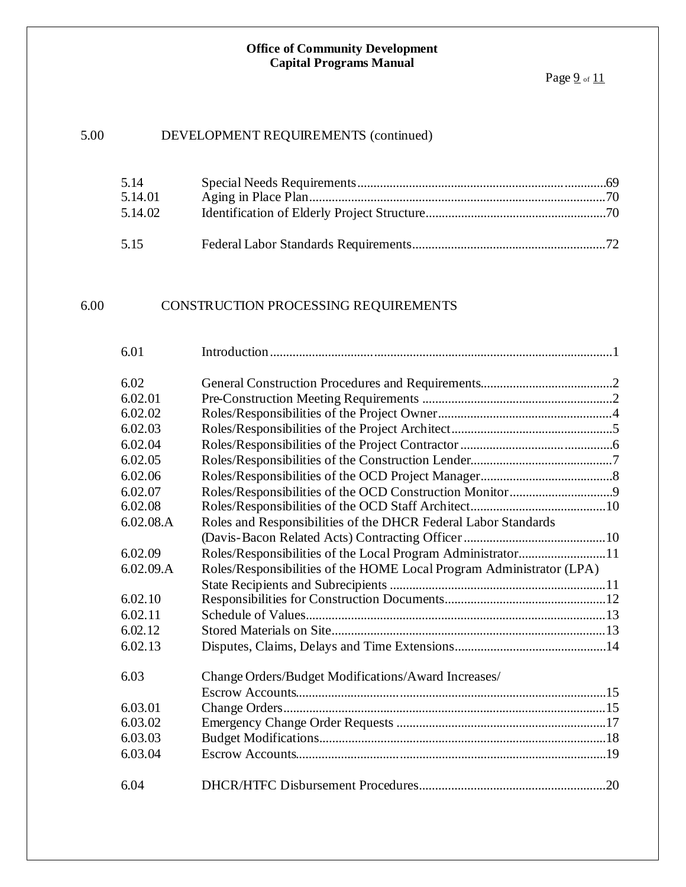### 5.00 DEVELOPMENT REQUIREMENTS (continued)

| 5.14    |  |
|---------|--|
| 5.14.01 |  |
| 5.14.02 |  |
| 5.15    |  |

### 6.00 CONSTRUCTION PROCESSING REQUIREMENTS

| 6.01      |                                                                      |  |
|-----------|----------------------------------------------------------------------|--|
|           |                                                                      |  |
| 6.02      |                                                                      |  |
| 6.02.01   |                                                                      |  |
| 6.02.02   |                                                                      |  |
| 6.02.03   |                                                                      |  |
| 6.02.04   |                                                                      |  |
| 6.02.05   |                                                                      |  |
| 6.02.06   |                                                                      |  |
| 6.02.07   |                                                                      |  |
| 6.02.08   |                                                                      |  |
| 6.02.08.A | Roles and Responsibilities of the DHCR Federal Labor Standards       |  |
|           |                                                                      |  |
| 6.02.09   | Roles/Responsibilities of the Local Program Administrator11          |  |
| 6.02.09.A | Roles/Responsibilities of the HOME Local Program Administrator (LPA) |  |
|           |                                                                      |  |
| 6.02.10   |                                                                      |  |
| 6.02.11   |                                                                      |  |
| 6.02.12   |                                                                      |  |
| 6.02.13   |                                                                      |  |
|           |                                                                      |  |
| 6.03      | Change Orders/Budget Modifications/Award Increases/                  |  |
|           |                                                                      |  |
| 6.03.01   |                                                                      |  |
| 6.03.02   |                                                                      |  |
| 6.03.03   |                                                                      |  |
| 6.03.04   |                                                                      |  |
|           |                                                                      |  |
| 6.04      |                                                                      |  |
|           |                                                                      |  |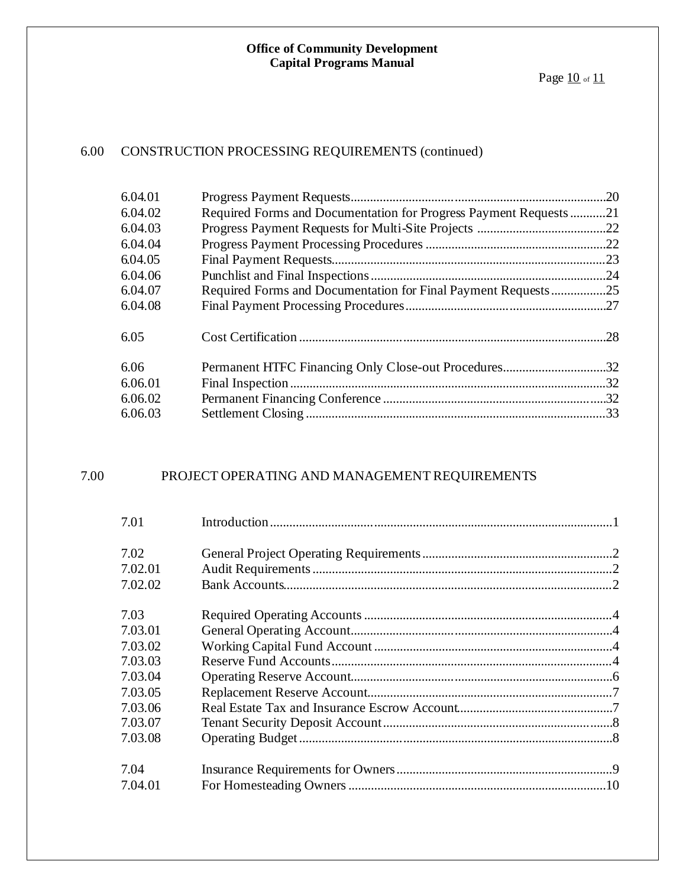### 6.00 CONSTRUCTION PROCESSING REQUIREMENTS (continued)

| Required Forms and Documentation for Progress Payment Requests | 21  |
|----------------------------------------------------------------|-----|
|                                                                |     |
|                                                                |     |
|                                                                |     |
|                                                                |     |
| Required Forms and Documentation for Final Payment Requests25  |     |
|                                                                |     |
|                                                                | .28 |
| Permanent HTFC Financing Only Close-out Procedures32           |     |
|                                                                | .32 |
|                                                                |     |
|                                                                |     |
|                                                                |     |

### 7.00 PROJECT OPERATING AND MANAGEMENT REQUIREMENTS

| 7.01    |  |
|---------|--|
| 7.02    |  |
| 7.02.01 |  |
| 7.02.02 |  |
| 7.03    |  |
| 7.03.01 |  |
| 7.03.02 |  |
| 7.03.03 |  |
| 7.03.04 |  |
| 7.03.05 |  |
| 7.03.06 |  |
| 7.03.07 |  |
| 7.03.08 |  |
| 7.04    |  |
| 7.04.01 |  |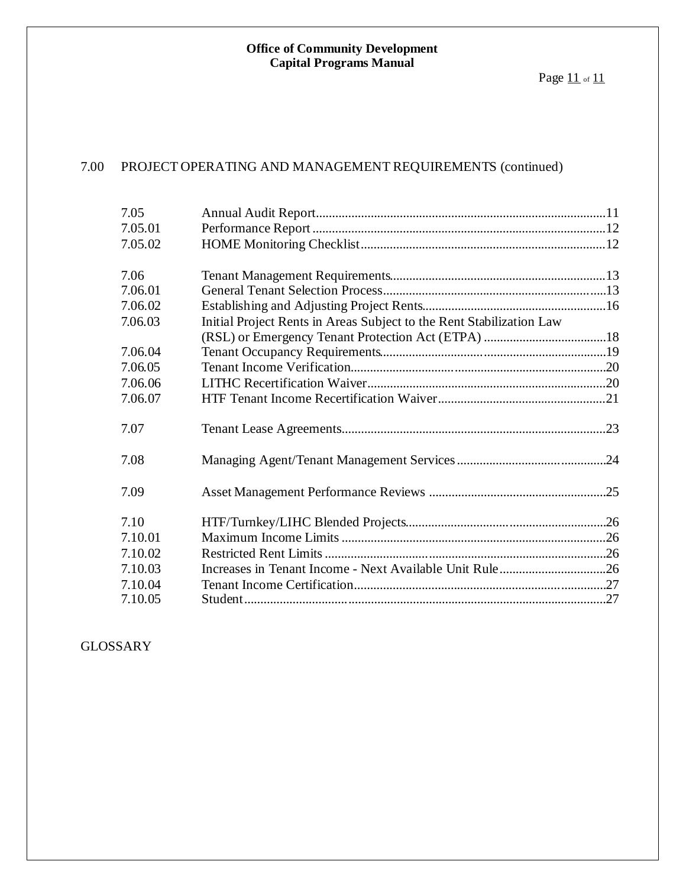### 7.00 PROJECT OPERATING AND MANAGEMENT REQUIREMENTS (continued)

| 7.05    |                                                                      |  |
|---------|----------------------------------------------------------------------|--|
| 7.05.01 |                                                                      |  |
| 7.05.02 |                                                                      |  |
| 7.06    |                                                                      |  |
| 7.06.01 |                                                                      |  |
| 7.06.02 |                                                                      |  |
| 7.06.03 | Initial Project Rents in Areas Subject to the Rent Stabilization Law |  |
|         |                                                                      |  |
| 7.06.04 |                                                                      |  |
| 7.06.05 |                                                                      |  |
| 7.06.06 |                                                                      |  |
| 7.06.07 |                                                                      |  |
| 7.07    |                                                                      |  |
| 7.08    |                                                                      |  |
| 7.09    |                                                                      |  |
| 7.10    |                                                                      |  |
| 7.10.01 |                                                                      |  |
| 7.10.02 |                                                                      |  |
| 7.10.03 |                                                                      |  |
| 7.10.04 |                                                                      |  |
| 7.10.05 |                                                                      |  |

GLOSSARY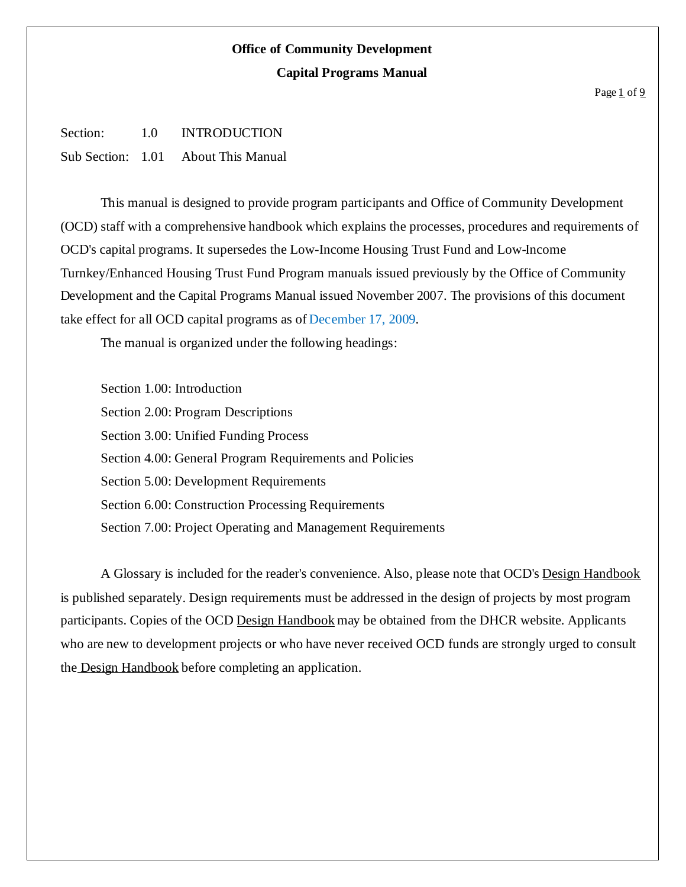#### Page 1 of 9

Section: 1.0 INTRODUCTION Sub Section: 1.01 About This Manual

This manual is designed to provide program participants and Office of Community Development (OCD) staff with a comprehensive handbook which explains the processes, procedures and requirements of OCD's capital programs. It supersedes the Low-Income Housing Trust Fund and Low-Income Turnkey/Enhanced Housing Trust Fund Program manuals issued previously by the Office of Community Development and the Capital Programs Manual issued November 2007. The provisions of this document take effect for all OCD capital programs as of December 17, 2009.

The manual is organized under the following headings:

Section 1.00: Introduction Section 2.00: Program Descriptions Section 3.00: Unified Funding Process Section 4.00: General Program Requirements and Policies Section 5.00: Development Requirements Section 6.00: Construction Processing Requirements Section 7.00: Project Operating and Management Requirements

A Glossary is included for the reader's convenience. Also, please note that OCD's Design Handbook is published separately. Design requirements must be addressed in the design of projects by most program participants. Copies of the OCD Design Handbook may be obtained from the DHCR website. Applicants who are new to development projects or who have never received OCD funds are strongly urged to consult the Design Handbook before completing an application.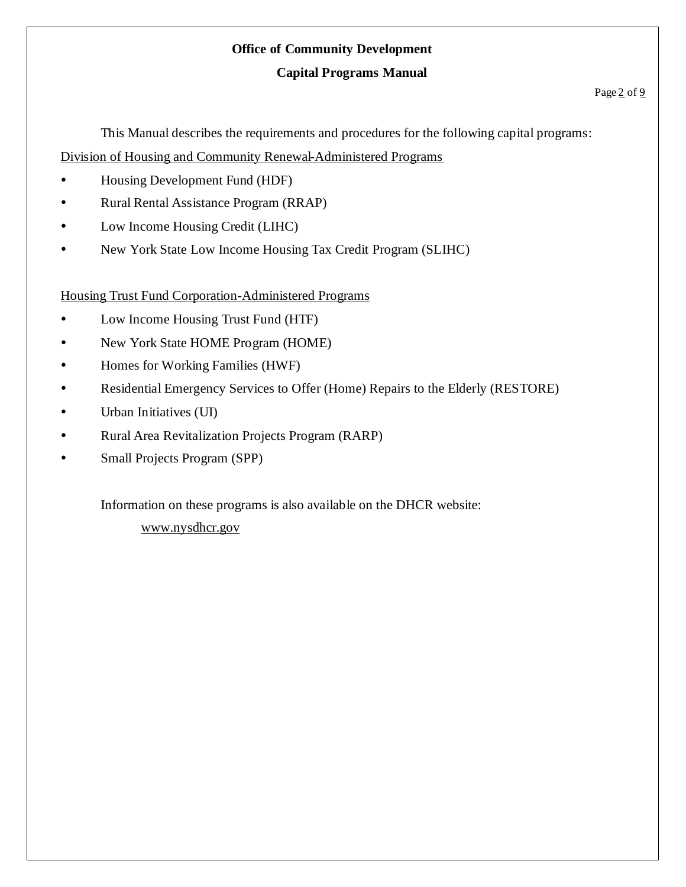## **Office of Community Development**

### **Capital Programs Manual**

This Manual describes the requirements and procedures for the following capital programs: Division of Housing and Community Renewal-Administered Programs

- Housing Development Fund (HDF)
- Rural Rental Assistance Program (RRAP)
- Low Income Housing Credit (LIHC)
- New York State Low Income Housing Tax Credit Program (SLIHC)

Housing Trust Fund Corporation-Administered Programs

- Low Income Housing Trust Fund (HTF)
- New York State HOME Program (HOME)
- Homes for Working Families (HWF)
- Residential Emergency Services to Offer (Home) Repairs to the Elderly (RESTORE)
- Urban Initiatives (UI)
- Rural Area Revitalization Projects Program (RARP)
- Small Projects Program (SPP)

Information on these programs is also available on the DHCR website:

www.nysdhcr.gov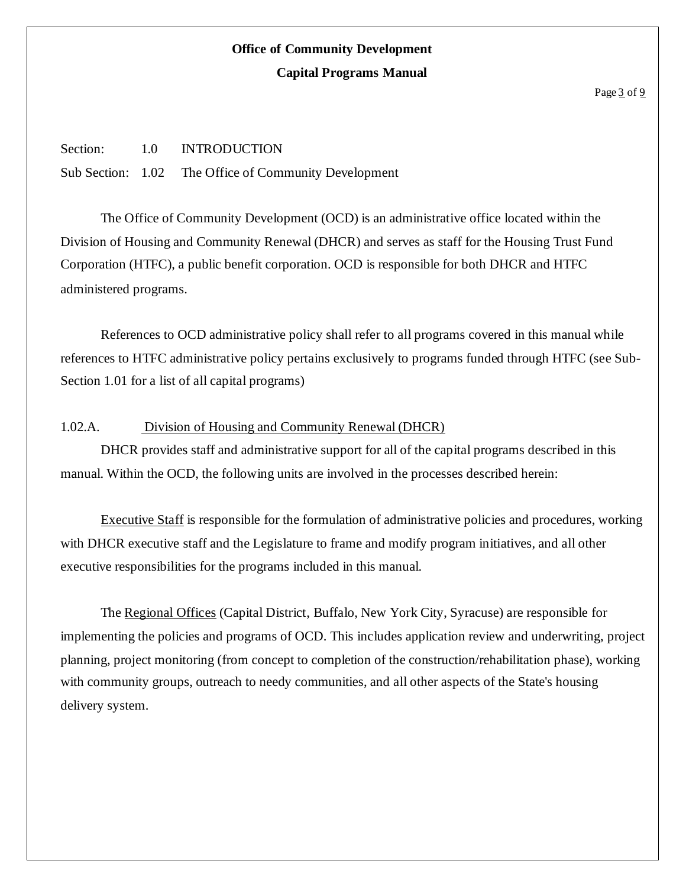#### Page 3 of 9

Section: 1.0 INTRODUCTION Sub Section: 1.02 The Office of Community Development

The Office of Community Development (OCD) is an administrative office located within the Division of Housing and Community Renewal (DHCR) and serves as staff for the Housing Trust Fund Corporation (HTFC), a public benefit corporation. OCD is responsible for both DHCR and HTFC administered programs.

References to OCD administrative policy shall refer to all programs covered in this manual while references to HTFC administrative policy pertains exclusively to programs funded through HTFC (see Sub-Section 1.01 for a list of all capital programs)

### 1.02.A. Division of Housing and Community Renewal (DHCR)

DHCR provides staff and administrative support for all of the capital programs described in this manual. Within the OCD, the following units are involved in the processes described herein:

Executive Staff is responsible for the formulation of administrative policies and procedures, working with DHCR executive staff and the Legislature to frame and modify program initiatives, and all other executive responsibilities for the programs included in this manual.

The Regional Offices (Capital District, Buffalo, New York City, Syracuse) are responsible for implementing the policies and programs of OCD. This includes application review and underwriting, project planning, project monitoring (from concept to completion of the construction/rehabilitation phase), working with community groups, outreach to needy communities, and all other aspects of the State's housing delivery system.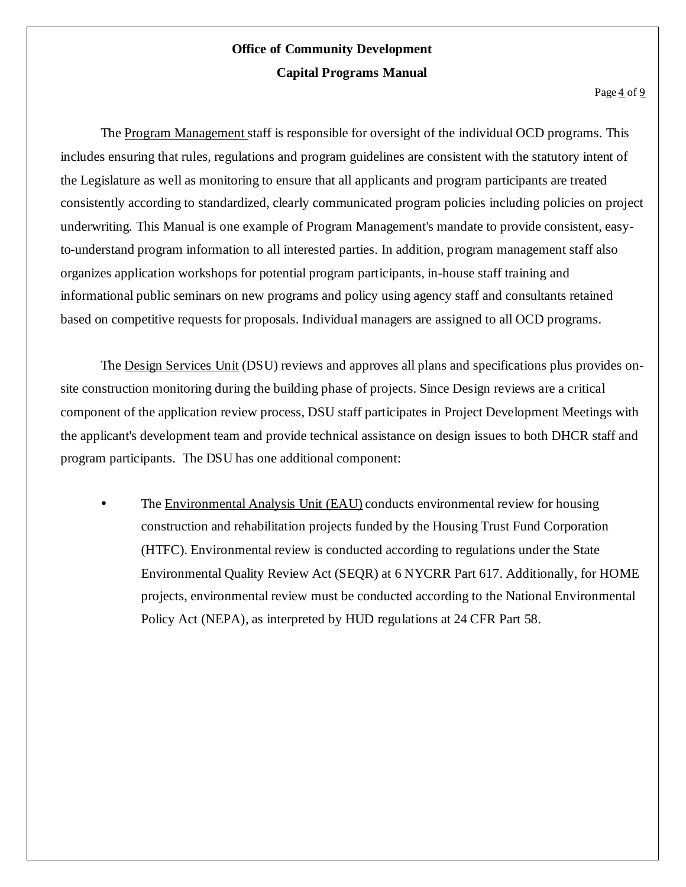The Program Management staff is responsible for oversight of the individual OCD programs. This includes ensuring that rules, regulations and program guidelines are consistent with the statutory intent of the Legislature as well as monitoring to ensure that all applicants and program participants are treated consistently according to standardized, clearly communicated program policies including policies on project underwriting. This Manual is one example of Program Management's mandate to provide consistent, easyto-understand program information to all interested parties. In addition, program management staff also organizes application workshops for potential program participants, in-house staff training and informational public seminars on new programs and policy using agency staff and consultants retained based on competitive requests for proposals. Individual managers are assigned to all OCD programs.

The Design Services Unit (DSU) reviews and approves all plans and specifications plus provides onsite construction monitoring during the building phase of projects. Since Design reviews are a critical component of the application review process, DSU staff participates in Project Development Meetings with the applicant's development team and provide technical assistance on design issues to both DHCR staff and program participants. The DSU has one additional component:

 The Environmental Analysis Unit (EAU) conducts environmental review for housing construction and rehabilitation projects funded by the Housing Trust Fund Corporation (HTFC). Environmental review is conducted according to regulations under the State Environmental Quality Review Act (SEQR) at 6 NYCRR Part 617. Additionally, for HOME projects, environmental review must be conducted according to the National Environmental Policy Act (NEPA), as interpreted by HUD regulations at 24 CFR Part 58.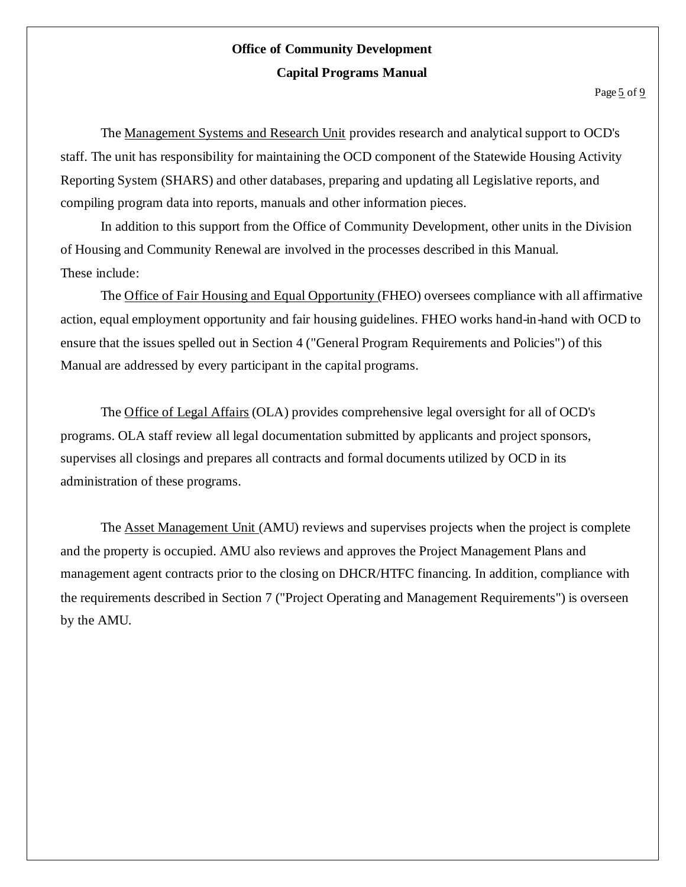The Management Systems and Research Unit provides research and analytical support to OCD's staff. The unit has responsibility for maintaining the OCD component of the Statewide Housing Activity Reporting System (SHARS) and other databases, preparing and updating all Legislative reports, and compiling program data into reports, manuals and other information pieces.

In addition to this support from the Office of Community Development, other units in the Division of Housing and Community Renewal are involved in the processes described in this Manual. These include:

The Office of Fair Housing and Equal Opportunity (FHEO) oversees compliance with all affirmative action, equal employment opportunity and fair housing guidelines. FHEO works hand-in-hand with OCD to ensure that the issues spelled out in Section 4 ("General Program Requirements and Policies") of this Manual are addressed by every participant in the capital programs.

The Office of Legal Affairs (OLA) provides comprehensive legal oversight for all of OCD's programs. OLA staff review all legal documentation submitted by applicants and project sponsors, supervises all closings and prepares all contracts and formal documents utilized by OCD in its administration of these programs.

The Asset Management Unit (AMU) reviews and supervises projects when the project is complete and the property is occupied. AMU also reviews and approves the Project Management Plans and management agent contracts prior to the closing on DHCR/HTFC financing. In addition, compliance with the requirements described in Section 7 ("Project Operating and Management Requirements") is overseen by the AMU.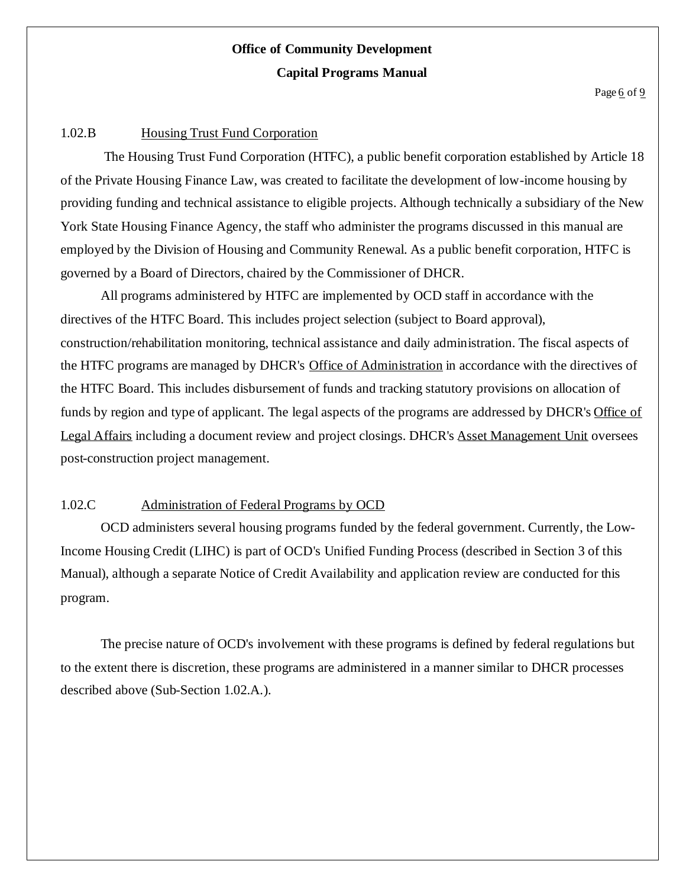Page 6 of 9

#### 1.02.B Housing Trust Fund Corporation

The Housing Trust Fund Corporation (HTFC), a public benefit corporation established by Article 18 of the Private Housing Finance Law, was created to facilitate the development of low-income housing by providing funding and technical assistance to eligible projects. Although technically a subsidiary of the New York State Housing Finance Agency, the staff who administer the programs discussed in this manual are employed by the Division of Housing and Community Renewal. As a public benefit corporation, HTFC is governed by a Board of Directors, chaired by the Commissioner of DHCR.

All programs administered by HTFC are implemented by OCD staff in accordance with the directives of the HTFC Board. This includes project selection (subject to Board approval), construction/rehabilitation monitoring, technical assistance and daily administration. The fiscal aspects of the HTFC programs are managed by DHCR's Office of Administration in accordance with the directives of the HTFC Board. This includes disbursement of funds and tracking statutory provisions on allocation of funds by region and type of applicant. The legal aspects of the programs are addressed by DHCR's Office of Legal Affairs including a document review and project closings. DHCR's Asset Management Unit oversees post-construction project management.

### 1.02.C Administration of Federal Programs by OCD

OCD administers several housing programs funded by the federal government. Currently, the Low-Income Housing Credit (LIHC) is part of OCD's Unified Funding Process (described in Section 3 of this Manual), although a separate Notice of Credit Availability and application review are conducted for this program.

The precise nature of OCD's involvement with these programs is defined by federal regulations but to the extent there is discretion, these programs are administered in a manner similar to DHCR processes described above (Sub-Section 1.02.A.).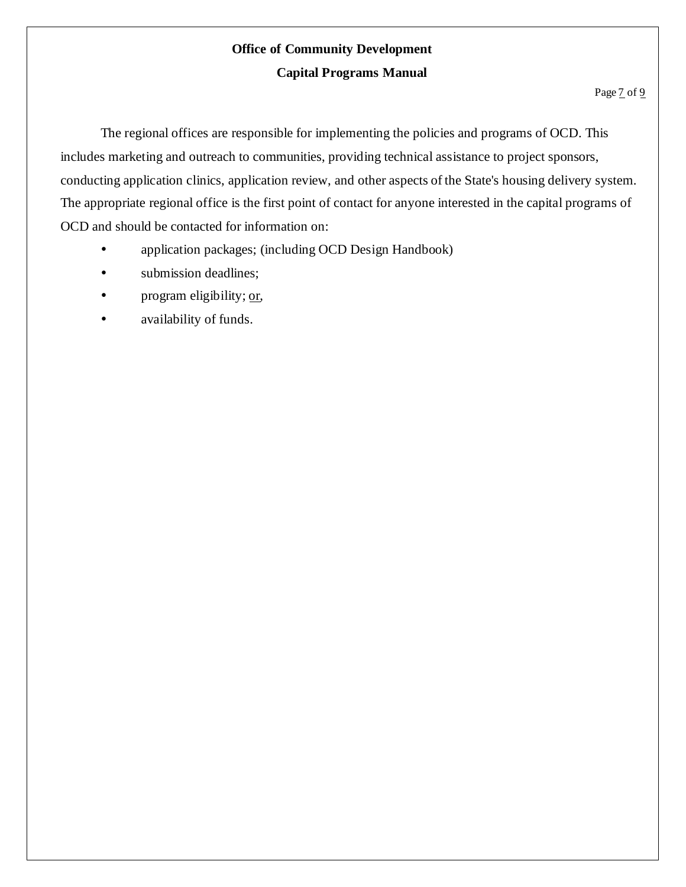The regional offices are responsible for implementing the policies and programs of OCD. This includes marketing and outreach to communities, providing technical assistance to project sponsors, conducting application clinics, application review, and other aspects of the State's housing delivery system. The appropriate regional office is the first point of contact for anyone interested in the capital programs of OCD and should be contacted for information on:

- application packages; (including OCD Design Handbook)
- submission deadlines;
- program eligibility; or,
- availability of funds.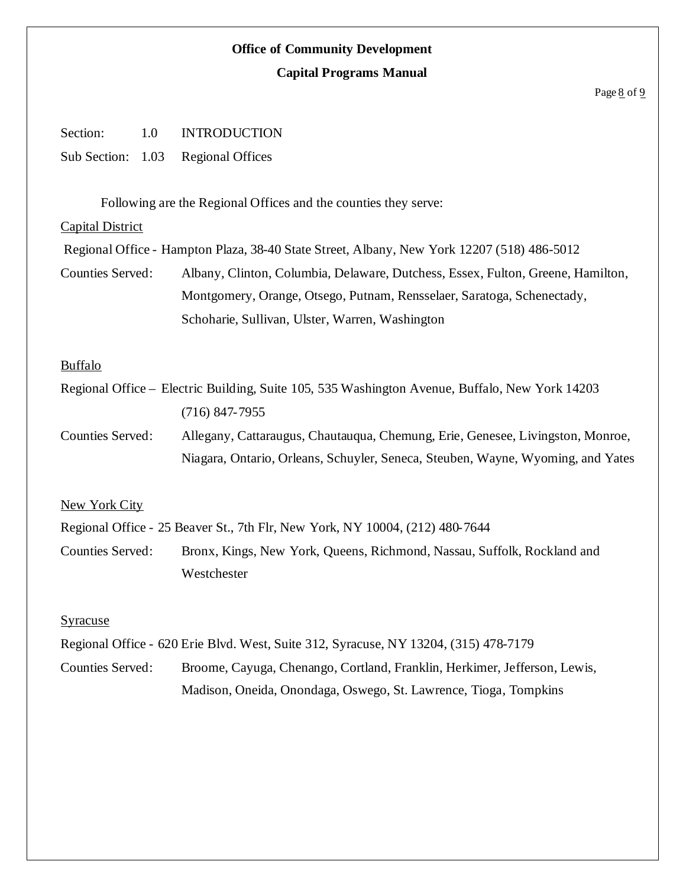#### Page 8 of 9

| Section: | 1.0 | <b>INTRODUCTION</b>                |
|----------|-----|------------------------------------|
|          |     | Sub Section: 1.03 Regional Offices |

Following are the Regional Offices and the counties they serve:

#### Capital District

Regional Office - Hampton Plaza, 38-40 State Street, Albany, New York 12207 (518) 486-5012

Counties Served: Albany, Clinton, Columbia, Delaware, Dutchess, Essex, Fulton, Greene, Hamilton, Montgomery, Orange, Otsego, Putnam, Rensselaer, Saratoga, Schenectady, Schoharie, Sullivan, Ulster, Warren, Washington

### Buffalo

Regional Office – Electric Building, Suite 105, 535 Washington Avenue, Buffalo, New York 14203 (716) 847-7955

Counties Served: Allegany, Cattaraugus, Chautauqua, Chemung, Erie, Genesee, Livingston, Monroe, Niagara, Ontario, Orleans, Schuyler, Seneca, Steuben, Wayne, Wyoming, and Yates

### New York City

Regional Office - 25 Beaver St., 7th Flr, New York, NY 10004, (212) 480-7644

Counties Served: Bronx, Kings, New York, Queens, Richmond, Nassau, Suffolk, Rockland and Westchester

### Syracuse

Regional Office - 620 Erie Blvd. West, Suite 312, Syracuse, NY 13204, (315) 478-7179

Counties Served: Broome, Cayuga, Chenango, Cortland, Franklin, Herkimer, Jefferson, Lewis, Madison, Oneida, Onondaga, Oswego, St. Lawrence, Tioga, Tompkins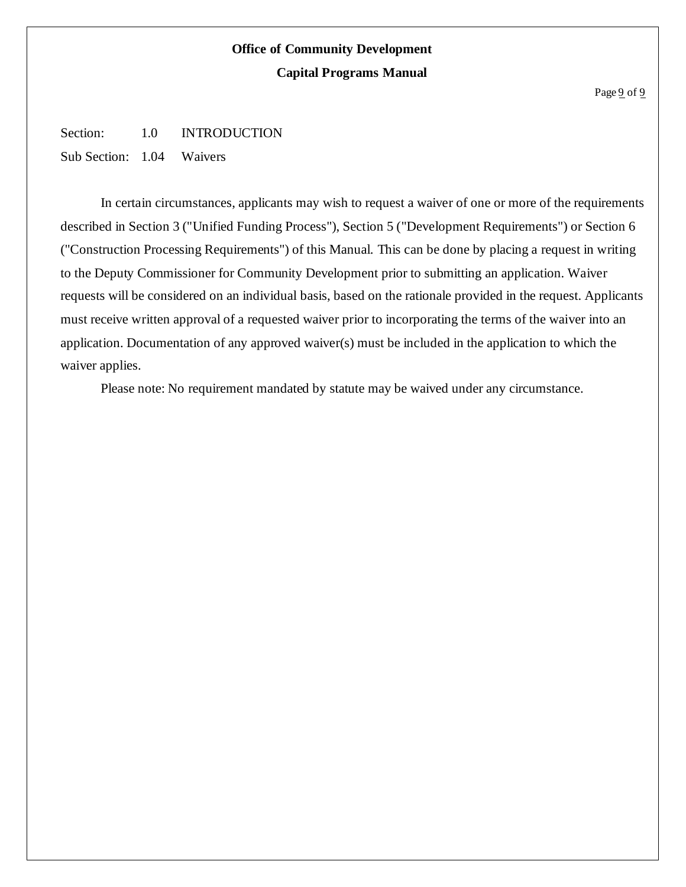#### Page 9 of 9

Section: 1.0 INTRODUCTION

Sub Section: 1.04 Waivers

In certain circumstances, applicants may wish to request a waiver of one or more of the requirements described in Section 3 ("Unified Funding Process"), Section 5 ("Development Requirements") or Section 6 ("Construction Processing Requirements") of this Manual. This can be done by placing a request in writing to the Deputy Commissioner for Community Development prior to submitting an application. Waiver requests will be considered on an individual basis, based on the rationale provided in the request. Applicants must receive written approval of a requested waiver prior to incorporating the terms of the waiver into an application. Documentation of any approved waiver(s) must be included in the application to which the waiver applies.

Please note: No requirement mandated by statute may be waived under any circumstance.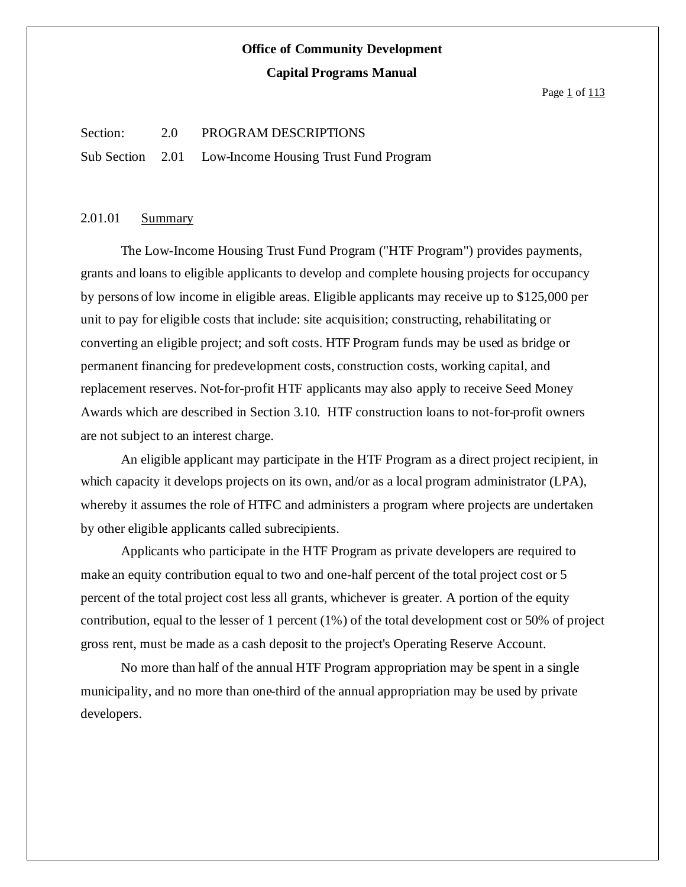Page 1 of 113

#### Section: 2.0 PROGRAM DESCRIPTIONS

Sub Section 2.01 Low-Income Housing Trust Fund Program

### 2.01.01 Summary

The Low-Income Housing Trust Fund Program ("HTF Program") provides payments, grants and loans to eligible applicants to develop and complete housing projects for occupancy by persons of low income in eligible areas. Eligible applicants may receive up to \$125,000 per unit to pay for eligible costs that include: site acquisition; constructing, rehabilitating or converting an eligible project; and soft costs. HTF Program funds may be used as bridge or permanent financing for predevelopment costs, construction costs, working capital, and replacement reserves. Not-for-profit HTF applicants may also apply to receive Seed Money Awards which are described in Section 3.10. HTF construction loans to not-for-profit owners are not subject to an interest charge.

An eligible applicant may participate in the HTF Program as a direct project recipient, in which capacity it develops projects on its own, and/or as a local program administrator (LPA), whereby it assumes the role of HTFC and administers a program where projects are undertaken by other eligible applicants called subrecipients.

Applicants who participate in the HTF Program as private developers are required to make an equity contribution equal to two and one-half percent of the total project cost or 5 percent of the total project cost less all grants, whichever is greater. A portion of the equity contribution, equal to the lesser of 1 percent (1%) of the total development cost or 50% of project gross rent, must be made as a cash deposit to the project's Operating Reserve Account.

No more than half of the annual HTF Program appropriation may be spent in a single municipality, and no more than one-third of the annual appropriation may be used by private developers.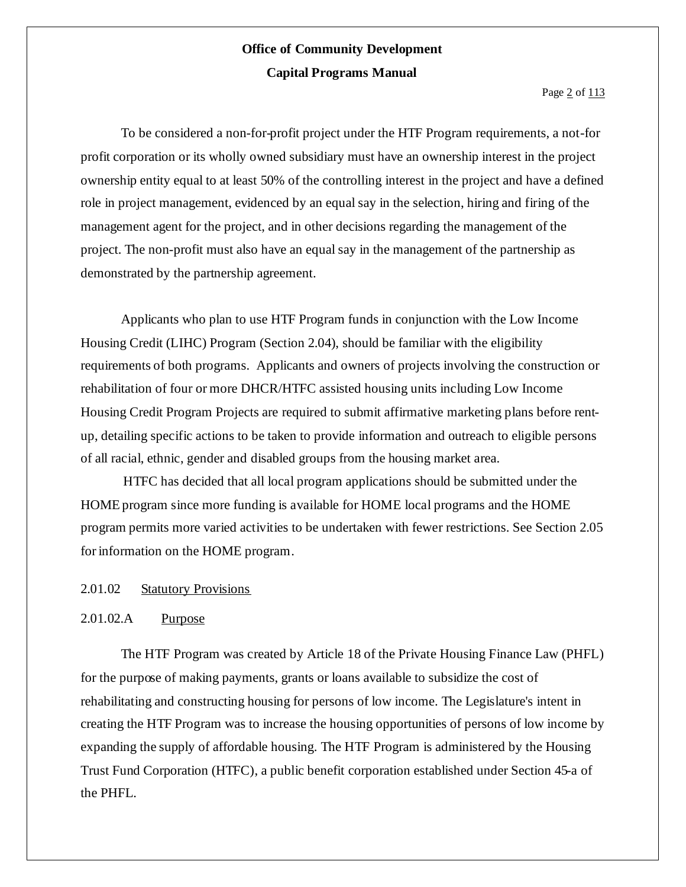Page 2 of 113

To be considered a non-for-profit project under the HTF Program requirements, a not-for profit corporation or its wholly owned subsidiary must have an ownership interest in the project ownership entity equal to at least 50% of the controlling interest in the project and have a defined role in project management, evidenced by an equal say in the selection, hiring and firing of the management agent for the project, and in other decisions regarding the management of the project. The non-profit must also have an equal say in the management of the partnership as demonstrated by the partnership agreement.

Applicants who plan to use HTF Program funds in conjunction with the Low Income Housing Credit (LIHC) Program (Section 2.04), should be familiar with the eligibility requirements of both programs. Applicants and owners of projects involving the construction or rehabilitation of four or more DHCR/HTFC assisted housing units including Low Income Housing Credit Program Projects are required to submit affirmative marketing plans before rentup, detailing specific actions to be taken to provide information and outreach to eligible persons of all racial, ethnic, gender and disabled groups from the housing market area.

HTFC has decided that all local program applications should be submitted under the HOME program since more funding is available for HOME local programs and the HOME program permits more varied activities to be undertaken with fewer restrictions. See Section 2.05 for information on the HOME program.

#### 2.01.02 Statutory Provisions

#### 2.01.02.A Purpose

The HTF Program was created by Article 18 of the Private Housing Finance Law (PHFL) for the purpose of making payments, grants or loans available to subsidize the cost of rehabilitating and constructing housing for persons of low income. The Legislature's intent in creating the HTF Program was to increase the housing opportunities of persons of low income by expanding the supply of affordable housing. The HTF Program is administered by the Housing Trust Fund Corporation (HTFC), a public benefit corporation established under Section 45-a of the PHFL.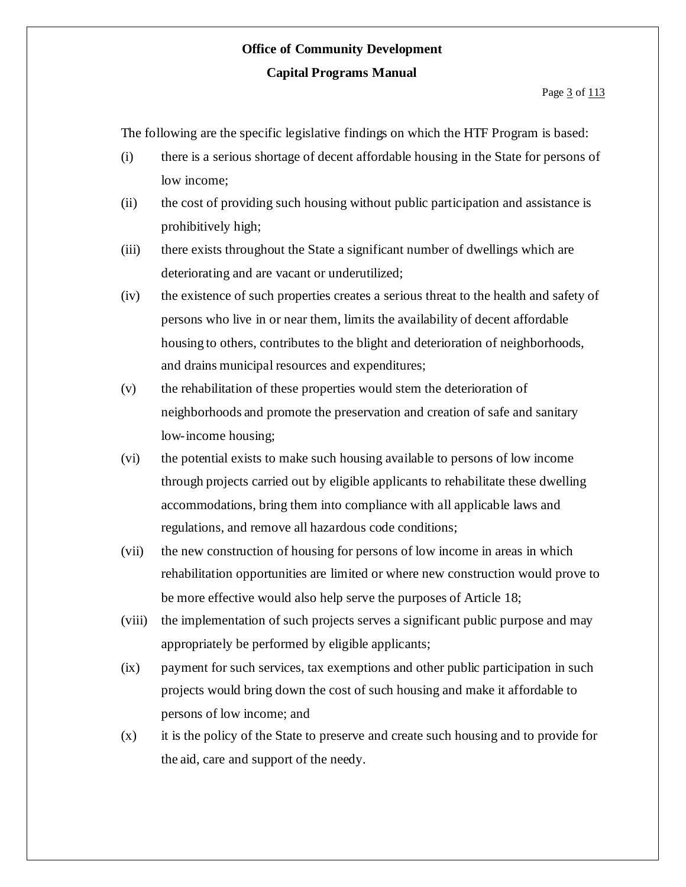The following are the specific legislative findings on which the HTF Program is based:

- (i) there is a serious shortage of decent affordable housing in the State for persons of low income;
- (ii) the cost of providing such housing without public participation and assistance is prohibitively high;
- (iii) there exists throughout the State a significant number of dwellings which are deteriorating and are vacant or underutilized;
- (iv) the existence of such properties creates a serious threat to the health and safety of persons who live in or near them, limits the availability of decent affordable housing to others, contributes to the blight and deterioration of neighborhoods, and drains municipal resources and expenditures;
- (v) the rehabilitation of these properties would stem the deterioration of neighborhoods and promote the preservation and creation of safe and sanitary low-income housing;
- (vi) the potential exists to make such housing available to persons of low income through projects carried out by eligible applicants to rehabilitate these dwelling accommodations, bring them into compliance with all applicable laws and regulations, and remove all hazardous code conditions;
- (vii) the new construction of housing for persons of low income in areas in which rehabilitation opportunities are limited or where new construction would prove to be more effective would also help serve the purposes of Article 18;
- (viii) the implementation of such projects serves a significant public purpose and may appropriately be performed by eligible applicants;
- (ix) payment for such services, tax exemptions and other public participation in such projects would bring down the cost of such housing and make it affordable to persons of low income; and
- (x) it is the policy of the State to preserve and create such housing and to provide for the aid, care and support of the needy.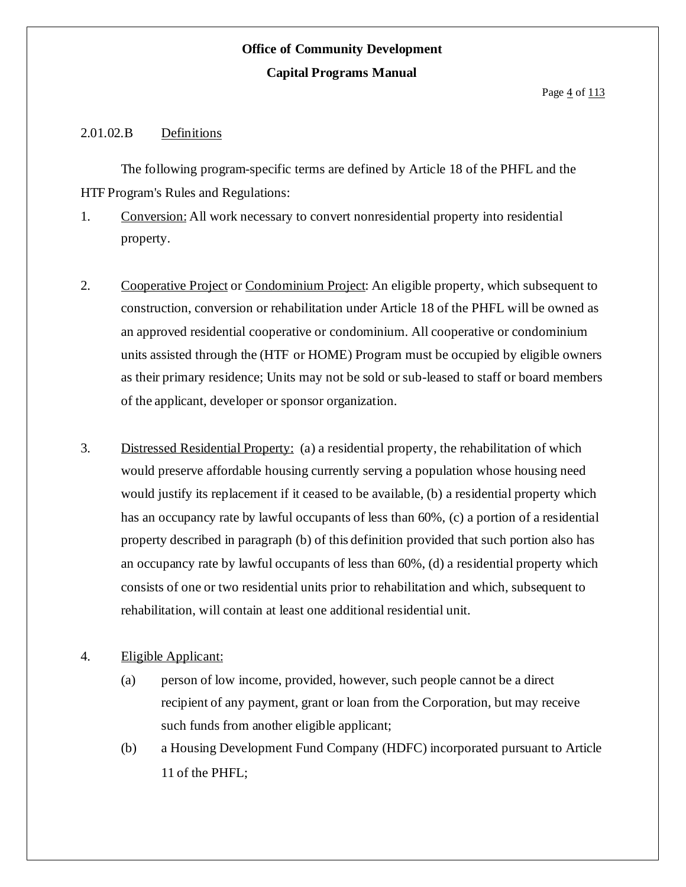### 2.01.02.B Definitions

The following program-specific terms are defined by Article 18 of the PHFL and the HTF Program's Rules and Regulations:

- 1. Conversion: All work necessary to convert nonresidential property into residential property.
- 2. Cooperative Project or Condominium Project: An eligible property, which subsequent to construction, conversion or rehabilitation under Article 18 of the PHFL will be owned as an approved residential cooperative or condominium. All cooperative or condominium units assisted through the (HTF or HOME) Program must be occupied by eligible owners as their primary residence; Units may not be sold or sub-leased to staff or board members of the applicant, developer or sponsor organization.
- 3. Distressed Residential Property: (a) a residential property, the rehabilitation of which would preserve affordable housing currently serving a population whose housing need would justify its replacement if it ceased to be available, (b) a residential property which has an occupancy rate by lawful occupants of less than 60%, (c) a portion of a residential property described in paragraph (b) of this definition provided that such portion also has an occupancy rate by lawful occupants of less than 60%, (d) a residential property which consists of one or two residential units prior to rehabilitation and which, subsequent to rehabilitation, will contain at least one additional residential unit.
- 4. Eligible Applicant:
	- (a) person of low income, provided, however, such people cannot be a direct recipient of any payment, grant or loan from the Corporation, but may receive such funds from another eligible applicant;
	- (b) a Housing Development Fund Company (HDFC) incorporated pursuant to Article 11 of the PHFL;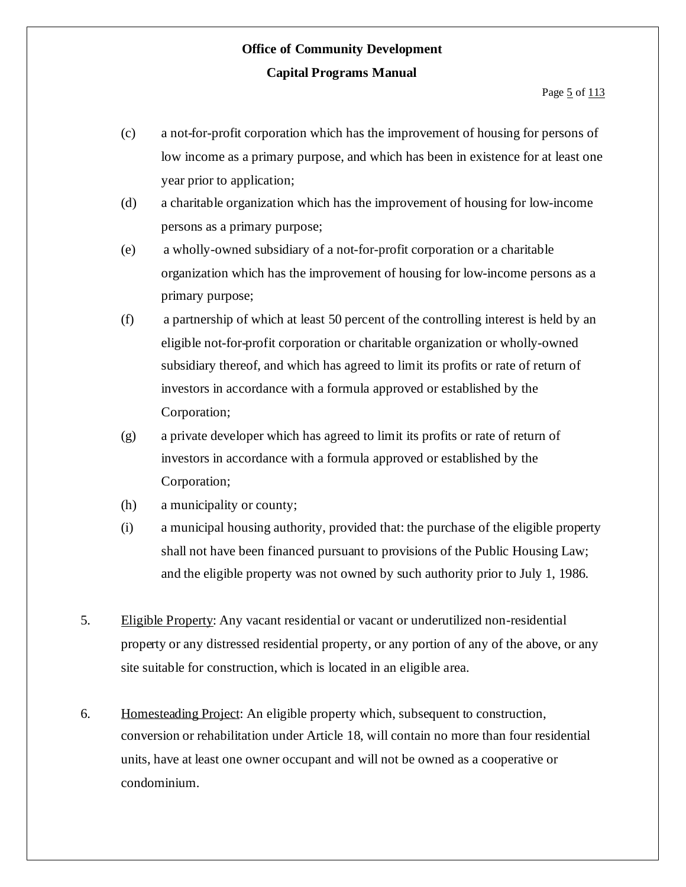- (c) a not-for-profit corporation which has the improvement of housing for persons of low income as a primary purpose, and which has been in existence for at least one year prior to application;
- (d) a charitable organization which has the improvement of housing for low-income persons as a primary purpose;
- (e) a wholly-owned subsidiary of a not-for-profit corporation or a charitable organization which has the improvement of housing for low-income persons as a primary purpose;
- (f) a partnership of which at least 50 percent of the controlling interest is held by an eligible not-for-profit corporation or charitable organization or wholly-owned subsidiary thereof, and which has agreed to limit its profits or rate of return of investors in accordance with a formula approved or established by the Corporation;
- (g) a private developer which has agreed to limit its profits or rate of return of investors in accordance with a formula approved or established by the Corporation;
- (h) a municipality or county;
- (i) a municipal housing authority, provided that: the purchase of the eligible property shall not have been financed pursuant to provisions of the Public Housing Law; and the eligible property was not owned by such authority prior to July 1, 1986.
- 5. Eligible Property: Any vacant residential or vacant or underutilized non-residential property or any distressed residential property, or any portion of any of the above, or any site suitable for construction, which is located in an eligible area.
- 6. Homesteading Project: An eligible property which, subsequent to construction, conversion or rehabilitation under Article 18, will contain no more than four residential units, have at least one owner occupant and will not be owned as a cooperative or condominium.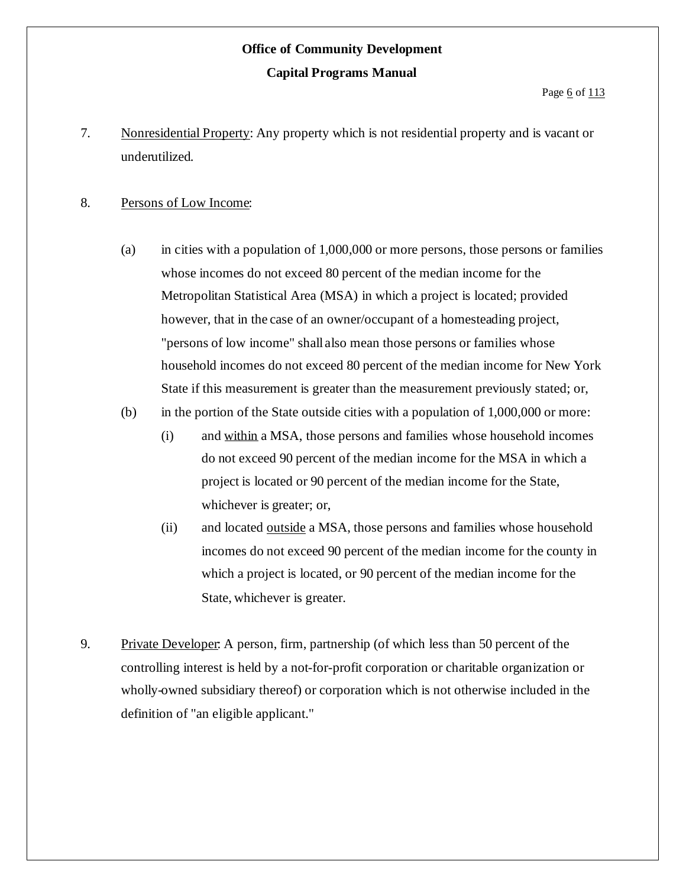Page 6 of 113

7. Nonresidential Property: Any property which is not residential property and is vacant or underutilized.

### 8. Persons of Low Income:

- (a) in cities with a population of 1,000,000 or more persons, those persons or families whose incomes do not exceed 80 percent of the median income for the Metropolitan Statistical Area (MSA) in which a project is located; provided however, that in the case of an owner/occupant of a homesteading project, "persons of low income" shall also mean those persons or families whose household incomes do not exceed 80 percent of the median income for New York State if this measurement is greater than the measurement previously stated; or,
- (b) in the portion of the State outside cities with a population of 1,000,000 or more:
	- (i) and within a MSA, those persons and families whose household incomes do not exceed 90 percent of the median income for the MSA in which a project is located or 90 percent of the median income for the State, whichever is greater; or,
	- (ii) and located outside a MSA, those persons and families whose household incomes do not exceed 90 percent of the median income for the county in which a project is located, or 90 percent of the median income for the State, whichever is greater.
- 9. Private Developer: A person, firm, partnership (of which less than 50 percent of the controlling interest is held by a not-for-profit corporation or charitable organization or wholly-owned subsidiary thereof) or corporation which is not otherwise included in the definition of "an eligible applicant."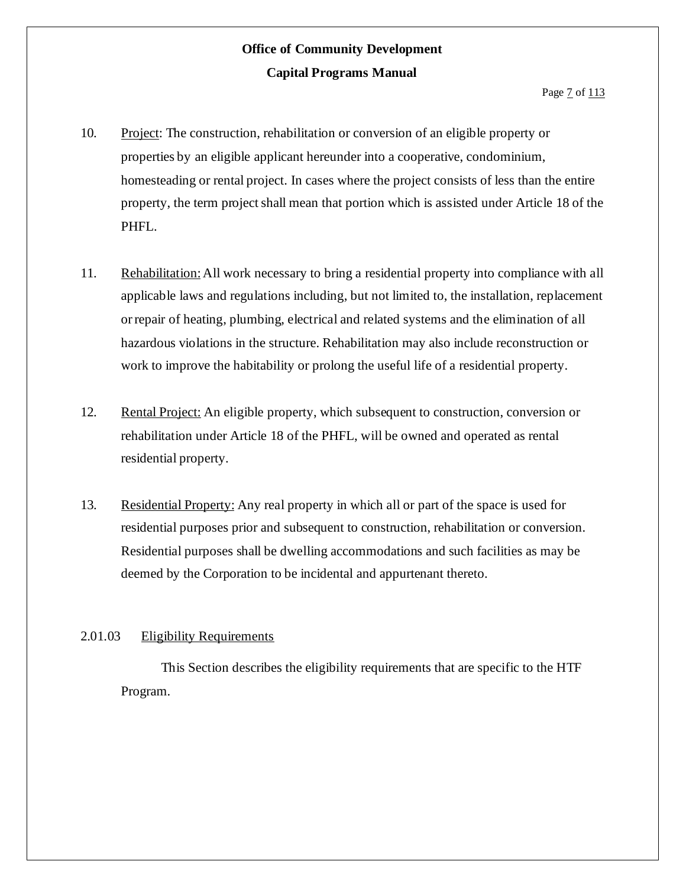- 10. Project: The construction, rehabilitation or conversion of an eligible property or properties by an eligible applicant hereunder into a cooperative, condominium, homesteading or rental project. In cases where the project consists of less than the entire property, the term project shall mean that portion which is assisted under Article 18 of the PHFL.
- 11. Rehabilitation:All work necessary to bring a residential property into compliance with all applicable laws and regulations including, but not limited to, the installation, replacement orrepair of heating, plumbing, electrical and related systems and the elimination of all hazardous violations in the structure. Rehabilitation may also include reconstruction or work to improve the habitability or prolong the useful life of a residential property.
- 12. Rental Project: An eligible property, which subsequent to construction, conversion or rehabilitation under Article 18 of the PHFL, will be owned and operated as rental residential property.
- 13. Residential Property: Any real property in which all or part of the space is used for residential purposes prior and subsequent to construction, rehabilitation or conversion. Residential purposes shall be dwelling accommodations and such facilities as may be deemed by the Corporation to be incidental and appurtenant thereto.

### 2.01.03 Eligibility Requirements

This Section describes the eligibility requirements that are specific to the HTF Program.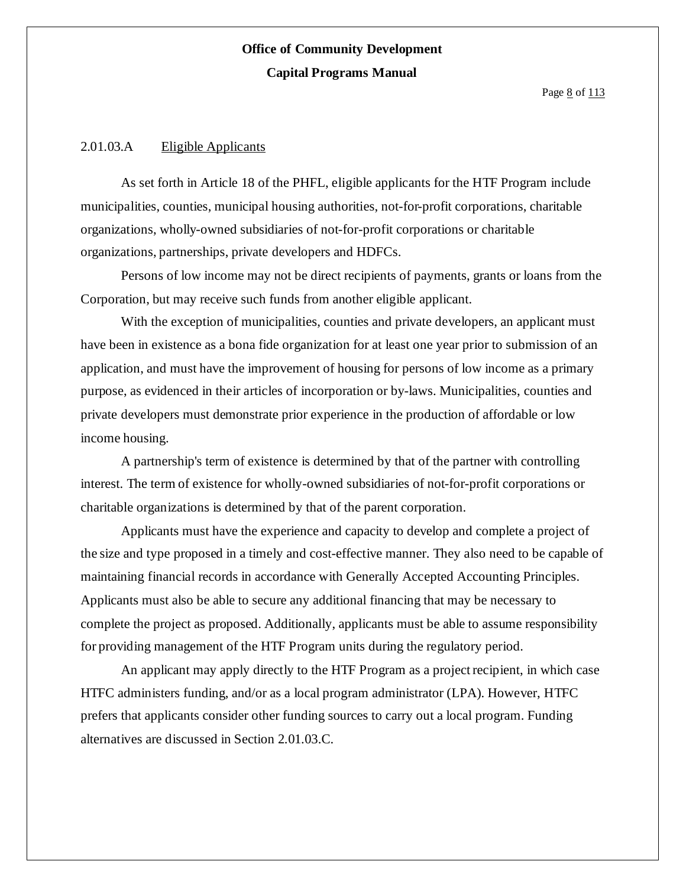#### 2.01.03.A Eligible Applicants

As set forth in Article 18 of the PHFL, eligible applicants for the HTF Program include municipalities, counties, municipal housing authorities, not-for-profit corporations, charitable organizations, wholly-owned subsidiaries of not-for-profit corporations or charitable organizations, partnerships, private developers and HDFCs.

Persons of low income may not be direct recipients of payments, grants or loans from the Corporation, but may receive such funds from another eligible applicant.

With the exception of municipalities, counties and private developers, an applicant must have been in existence as a bona fide organization for at least one year prior to submission of an application, and must have the improvement of housing for persons of low income as a primary purpose, as evidenced in their articles of incorporation or by-laws. Municipalities, counties and private developers must demonstrate prior experience in the production of affordable or low income housing.

A partnership's term of existence is determined by that of the partner with controlling interest. The term of existence for wholly-owned subsidiaries of not-for-profit corporations or charitable organizations is determined by that of the parent corporation.

Applicants must have the experience and capacity to develop and complete a project of the size and type proposed in a timely and cost-effective manner. They also need to be capable of maintaining financial records in accordance with Generally Accepted Accounting Principles. Applicants must also be able to secure any additional financing that may be necessary to complete the project as proposed. Additionally, applicants must be able to assume responsibility for providing management of the HTF Program units during the regulatory period.

An applicant may apply directly to the HTF Program as a project recipient, in which case HTFC administers funding, and/or as a local program administrator (LPA). However, HTFC prefers that applicants consider other funding sources to carry out a local program. Funding alternatives are discussed in Section 2.01.03.C.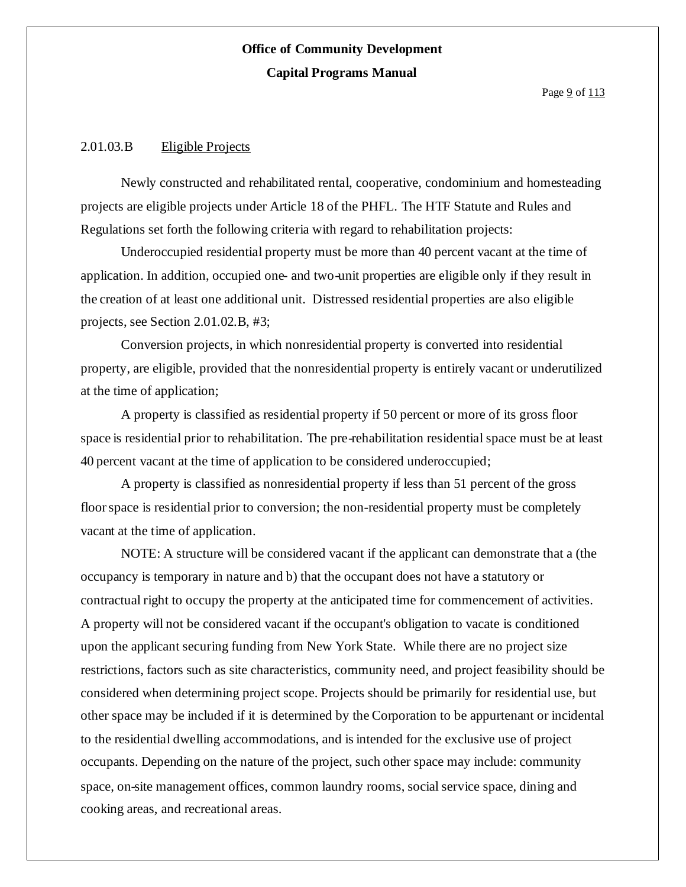Page  $9$  of  $113$ 

#### 2.01.03.B Eligible Projects

Newly constructed and rehabilitated rental, cooperative, condominium and homesteading projects are eligible projects under Article 18 of the PHFL. The HTF Statute and Rules and Regulations set forth the following criteria with regard to rehabilitation projects:

Underoccupied residential property must be more than 40 percent vacant at the time of application. In addition, occupied one- and two-unit properties are eligible only if they result in the creation of at least one additional unit. Distressed residential properties are also eligible projects, see Section 2.01.02.B, #3;

Conversion projects, in which nonresidential property is converted into residential property, are eligible, provided that the nonresidential property is entirely vacant or underutilized at the time of application;

A property is classified as residential property if 50 percent or more of its gross floor space is residential prior to rehabilitation. The pre-rehabilitation residential space must be at least 40 percent vacant at the time of application to be considered underoccupied;

A property is classified as nonresidential property if less than 51 percent of the gross floorspace is residential prior to conversion; the non-residential property must be completely vacant at the time of application.

NOTE: A structure will be considered vacant if the applicant can demonstrate that a (the occupancy is temporary in nature and b) that the occupant does not have a statutory or contractual right to occupy the property at the anticipated time for commencement of activities. A property will not be considered vacant if the occupant's obligation to vacate is conditioned upon the applicant securing funding from New York State. While there are no project size restrictions, factors such as site characteristics, community need, and project feasibility should be considered when determining project scope. Projects should be primarily for residential use, but other space may be included if it is determined by the Corporation to be appurtenant or incidental to the residential dwelling accommodations, and isintended for the exclusive use of project occupants. Depending on the nature of the project, such other space may include: community space, on-site management offices, common laundry rooms, social service space, dining and cooking areas, and recreational areas.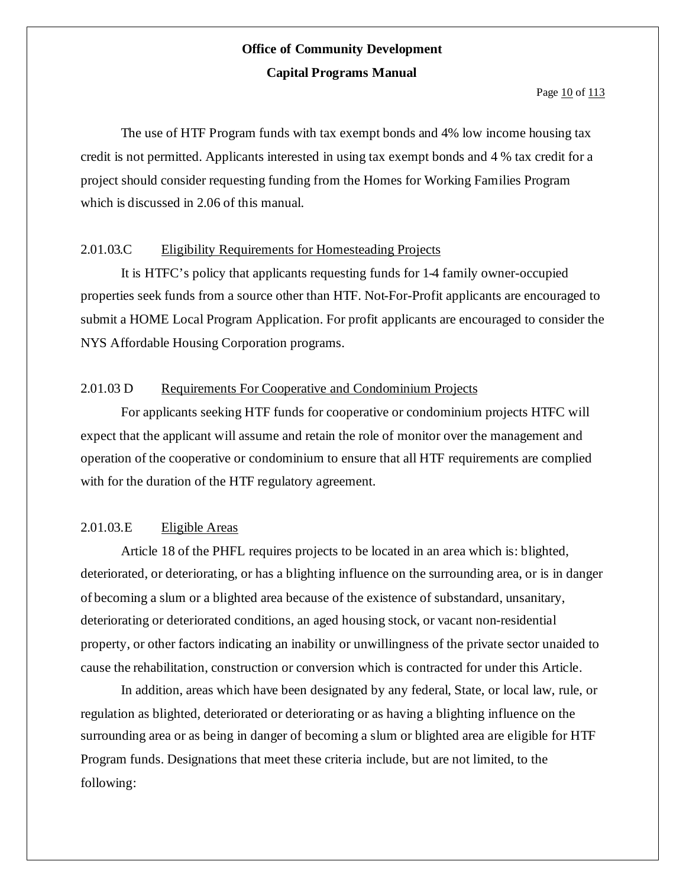The use of HTF Program funds with tax exempt bonds and 4% low income housing tax credit is not permitted. Applicants interested in using tax exempt bonds and 4 % tax credit for a project should consider requesting funding from the Homes for Working Families Program which is discussed in 2.06 of this manual.

### 2.01.03.C Eligibility Requirements for Homesteading Projects

It is HTFC's policy that applicants requesting funds for 1-4 family owner-occupied properties seek funds from a source other than HTF. Not-For-Profit applicants are encouraged to submit a HOME Local Program Application. For profit applicants are encouraged to consider the NYS Affordable Housing Corporation programs.

### 2.01.03 D Requirements For Cooperative and Condominium Projects

For applicants seeking HTF funds for cooperative or condominium projects HTFC will expect that the applicant will assume and retain the role of monitor over the management and operation of the cooperative or condominium to ensure that all HTF requirements are complied with for the duration of the HTF regulatory agreement.

### 2.01.03.E Eligible Areas

Article 18 of the PHFL requires projects to be located in an area which is: blighted, deteriorated, or deteriorating, or has a blighting influence on the surrounding area, or is in danger of becoming a slum or a blighted area because of the existence of substandard, unsanitary, deteriorating or deteriorated conditions, an aged housing stock, or vacant non-residential property, or other factors indicating an inability or unwillingness of the private sector unaided to cause the rehabilitation, construction or conversion which is contracted for under this Article.

In addition, areas which have been designated by any federal, State, or local law, rule, or regulation as blighted, deteriorated or deteriorating or as having a blighting influence on the surrounding area or as being in danger of becoming a slum or blighted area are eligible for HTF Program funds. Designations that meet these criteria include, but are not limited, to the following: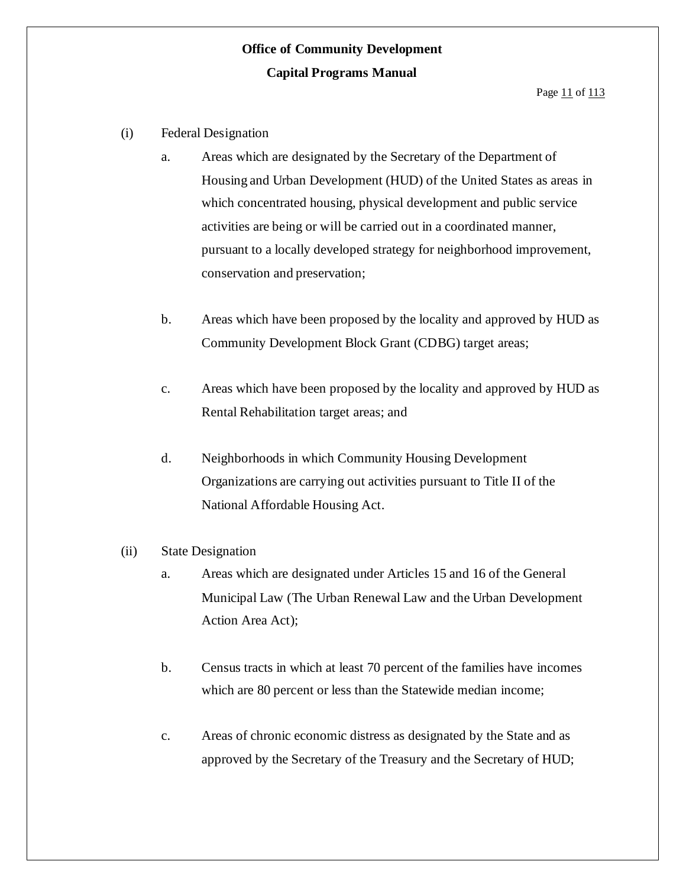- (i) Federal Designation
	- a. Areas which are designated by the Secretary of the Department of Housing and Urban Development (HUD) of the United States as areas in which concentrated housing, physical development and public service activities are being or will be carried out in a coordinated manner, pursuant to a locally developed strategy for neighborhood improvement, conservation and preservation;
	- b. Areas which have been proposed by the locality and approved by HUD as Community Development Block Grant (CDBG) target areas;
	- c. Areas which have been proposed by the locality and approved by HUD as Rental Rehabilitation target areas; and
	- d. Neighborhoods in which Community Housing Development Organizations are carrying out activities pursuant to Title II of the National Affordable Housing Act.

### (ii) State Designation

- a. Areas which are designated under Articles 15 and 16 of the General Municipal Law (The Urban Renewal Law and the Urban Development Action Area Act);
- b. Census tracts in which at least 70 percent of the families have incomes which are 80 percent or less than the Statewide median income;
- c. Areas of chronic economic distress as designated by the State and as approved by the Secretary of the Treasury and the Secretary of HUD;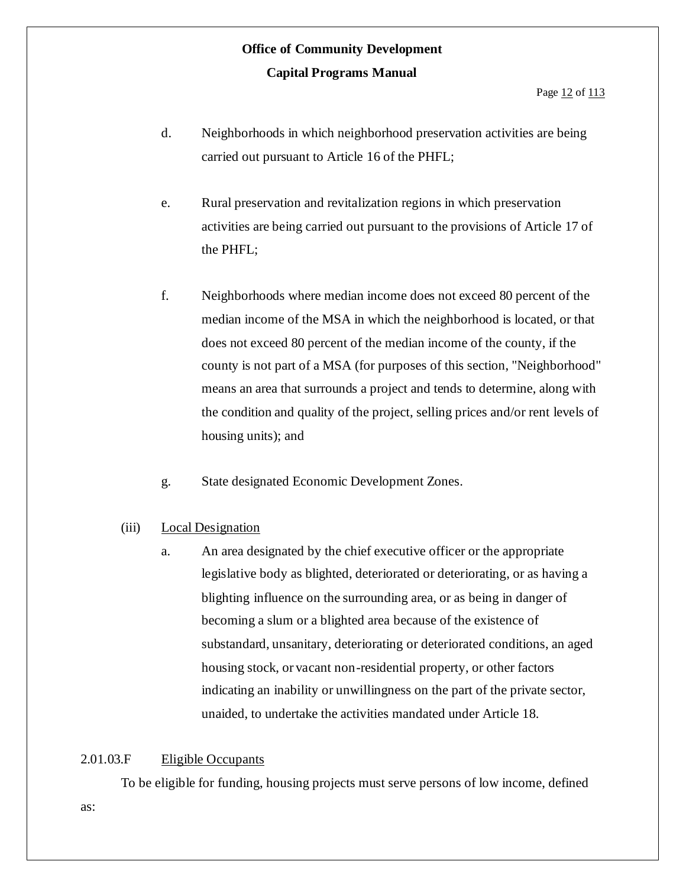Page 12 of 113

- d. Neighborhoods in which neighborhood preservation activities are being carried out pursuant to Article 16 of the PHFL;
- e. Rural preservation and revitalization regions in which preservation activities are being carried out pursuant to the provisions of Article 17 of the PHFL;
- f. Neighborhoods where median income does not exceed 80 percent of the median income of the MSA in which the neighborhood is located, or that does not exceed 80 percent of the median income of the county, if the county is not part of a MSA (for purposes of this section, "Neighborhood" means an area that surrounds a project and tends to determine, along with the condition and quality of the project, selling prices and/or rent levels of housing units); and
- g. State designated Economic Development Zones.

### (iii) Local Designation

a. An area designated by the chief executive officer or the appropriate legislative body as blighted, deteriorated or deteriorating, or as having a blighting influence on the surrounding area, or as being in danger of becoming a slum or a blighted area because of the existence of substandard, unsanitary, deteriorating or deteriorated conditions, an aged housing stock, or vacant non-residential property, or other factors indicating an inability or unwillingness on the part of the private sector, unaided, to undertake the activities mandated under Article 18.

### 2.01.03.F Eligible Occupants

as:

To be eligible for funding, housing projects must serve persons of low income, defined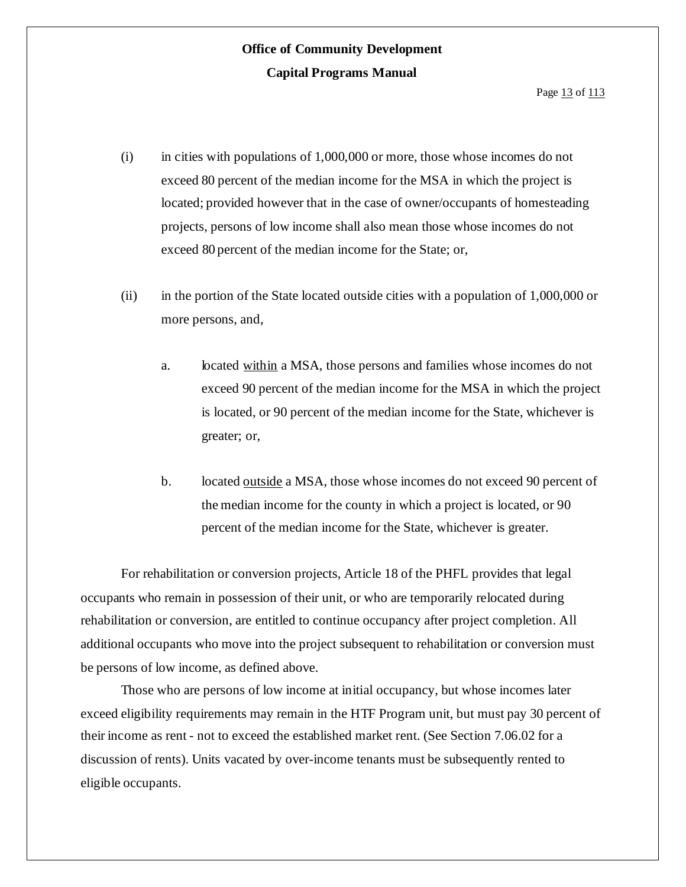- (i) in cities with populations of 1,000,000 or more, those whose incomes do not exceed 80 percent of the median income for the MSA in which the project is located; provided however that in the case of owner/occupants of homesteading projects, persons of low income shall also mean those whose incomes do not exceed 80 percent of the median income for the State; or,
- (ii) in the portion of the State located outside cities with a population of 1,000,000 or more persons, and,
	- a. located within a MSA, those persons and families whose incomes do not exceed 90 percent of the median income for the MSA in which the project is located, or 90 percent of the median income for the State, whichever is greater; or,
	- b. located outside a MSA, those whose incomes do not exceed 90 percent of the median income for the county in which a project is located, or 90 percent of the median income for the State, whichever is greater.

For rehabilitation or conversion projects, Article 18 of the PHFL provides that legal occupants who remain in possession of their unit, or who are temporarily relocated during rehabilitation or conversion, are entitled to continue occupancy after project completion. All additional occupants who move into the project subsequent to rehabilitation or conversion must be persons of low income, as defined above.

Those who are persons of low income at initial occupancy, but whose incomes later exceed eligibility requirements may remain in the HTF Program unit, but must pay 30 percent of their income as rent - not to exceed the established market rent. (See Section 7.06.02 for a discussion of rents). Units vacated by over-income tenants must be subsequently rented to eligible occupants.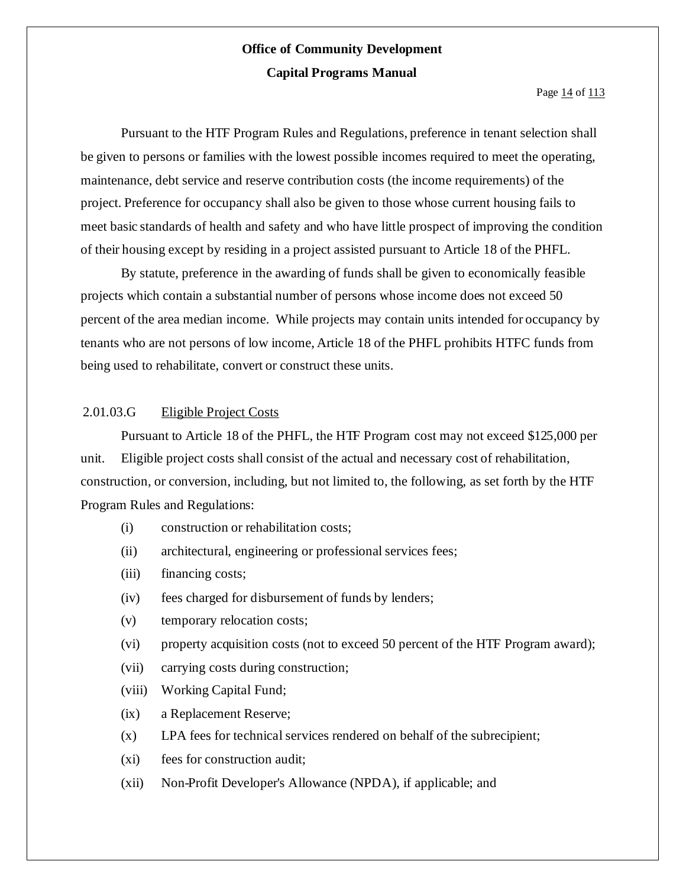Pursuant to the HTF Program Rules and Regulations, preference in tenant selection shall be given to persons or families with the lowest possible incomes required to meet the operating, maintenance, debt service and reserve contribution costs (the income requirements) of the project. Preference for occupancy shall also be given to those whose current housing fails to meet basic standards of health and safety and who have little prospect of improving the condition of their housing except by residing in a project assisted pursuant to Article 18 of the PHFL.

By statute, preference in the awarding of funds shall be given to economically feasible projects which contain a substantial number of persons whose income does not exceed 50 percent of the area median income. While projects may contain units intended for occupancy by tenants who are not persons of low income, Article 18 of the PHFL prohibits HTFC funds from being used to rehabilitate, convert or construct these units.

#### 2.01.03.G Eligible Project Costs

Pursuant to Article 18 of the PHFL, the HTF Program cost may not exceed \$125,000 per unit. Eligible project costs shall consist of the actual and necessary cost of rehabilitation, construction, or conversion, including, but not limited to, the following, as set forth by the HTF Program Rules and Regulations:

- (i) construction or rehabilitation costs;
- (ii) architectural, engineering or professional services fees;
- (iii) financing costs;
- (iv) fees charged for disbursement of funds by lenders;
- (v) temporary relocation costs;
- (vi) property acquisition costs (not to exceed 50 percent of the HTF Program award);
- (vii) carrying costs during construction;
- (viii) Working Capital Fund;
- (ix) a Replacement Reserve;
- (x) LPA fees for technical services rendered on behalf of the subrecipient;
- (xi) fees for construction audit;
- (xii) Non-Profit Developer's Allowance (NPDA), if applicable; and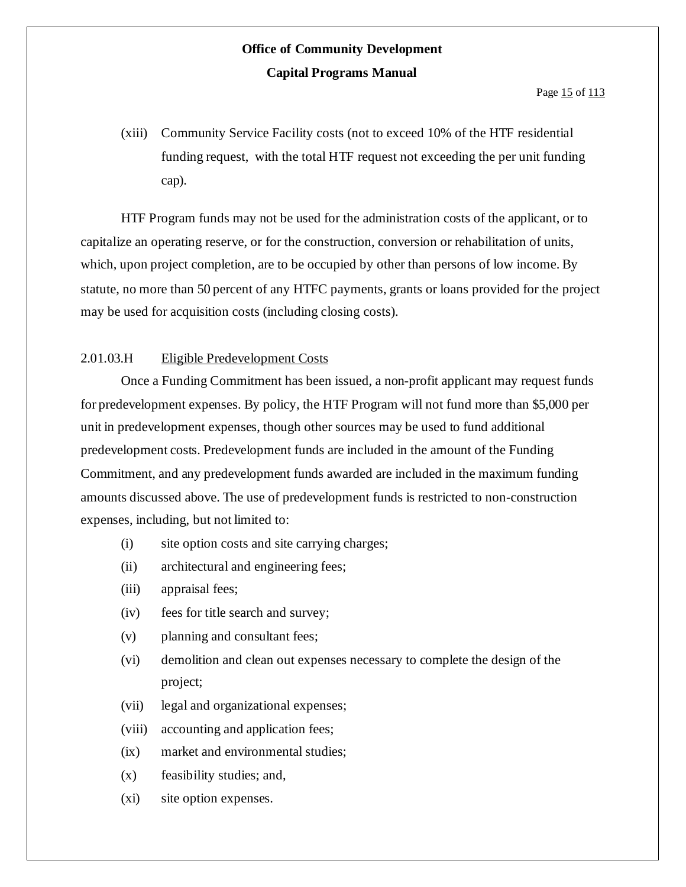(xiii) Community Service Facility costs (not to exceed 10% of the HTF residential funding request, with the total HTF request not exceeding the per unit funding cap).

HTF Program funds may not be used for the administration costs of the applicant, or to capitalize an operating reserve, or for the construction, conversion or rehabilitation of units, which, upon project completion, are to be occupied by other than persons of low income. By statute, no more than 50 percent of any HTFC payments, grants or loans provided for the project may be used for acquisition costs (including closing costs).

### 2.01.03.H Eligible Predevelopment Costs

Once a Funding Commitment has been issued, a non-profit applicant may request funds for predevelopment expenses. By policy, the HTF Program will not fund more than \$5,000 per unit in predevelopment expenses, though other sources may be used to fund additional predevelopment costs. Predevelopment funds are included in the amount of the Funding Commitment, and any predevelopment funds awarded are included in the maximum funding amounts discussed above. The use of predevelopment funds is restricted to non-construction expenses, including, but not limited to:

- (i) site option costs and site carrying charges;
- (ii) architectural and engineering fees;
- (iii) appraisal fees;
- (iv) fees for title search and survey;
- (v) planning and consultant fees;
- (vi) demolition and clean out expenses necessary to complete the design of the project;
- (vii) legal and organizational expenses;
- (viii) accounting and application fees;
- (ix) market and environmental studies;
- (x) feasibility studies; and,
- (xi) site option expenses.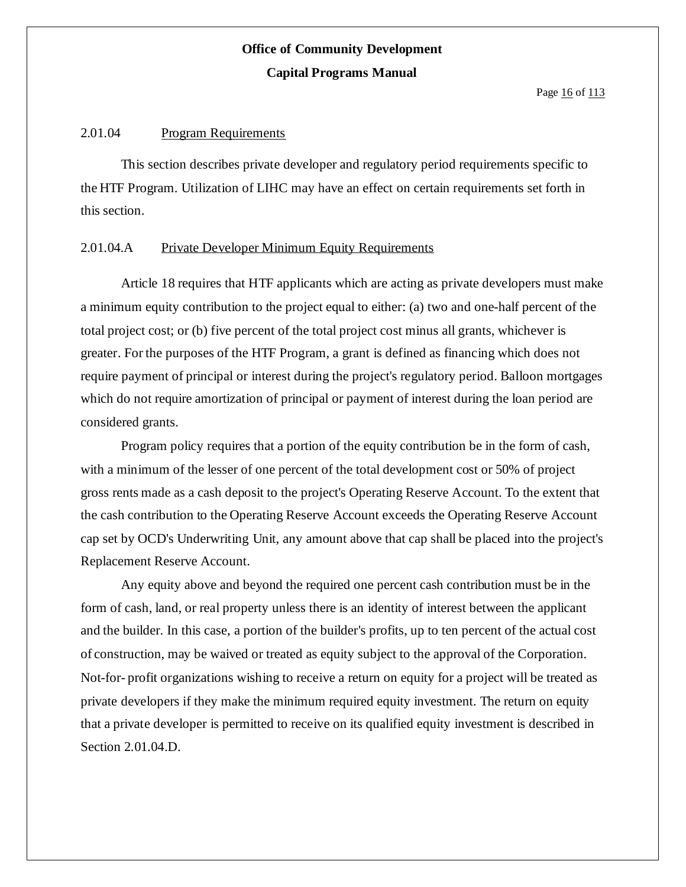Page 16 of 113

#### 2.01.04 Program Requirements

This section describes private developer and regulatory period requirements specific to the HTF Program. Utilization of LIHC may have an effect on certain requirements set forth in this section.

### 2.01.04.A Private Developer Minimum Equity Requirements

Article 18 requires that HTF applicants which are acting as private developers must make a minimum equity contribution to the project equal to either: (a) two and one-half percent of the total project cost; or (b) five percent of the total project cost minus all grants, whichever is greater. For the purposes of the HTF Program, a grant is defined as financing which does not require payment of principal or interest during the project's regulatory period. Balloon mortgages which do not require amortization of principal or payment of interest during the loan period are considered grants.

Program policy requires that a portion of the equity contribution be in the form of cash, with a minimum of the lesser of one percent of the total development cost or 50% of project gross rents made as a cash deposit to the project's Operating Reserve Account. To the extent that the cash contribution to the Operating Reserve Account exceeds the Operating Reserve Account cap set by OCD's Underwriting Unit, any amount above that cap shall be placed into the project's Replacement Reserve Account.

Any equity above and beyond the required one percent cash contribution must be in the form of cash, land, or real property unless there is an identity of interest between the applicant and the builder. In this case, a portion of the builder's profits, up to ten percent of the actual cost of construction, may be waived or treated as equity subject to the approval of the Corporation. Not-for- profit organizations wishing to receive a return on equity for a project will be treated as private developers if they make the minimum required equity investment. The return on equity that a private developer is permitted to receive on its qualified equity investment is described in Section 2.01.04.D.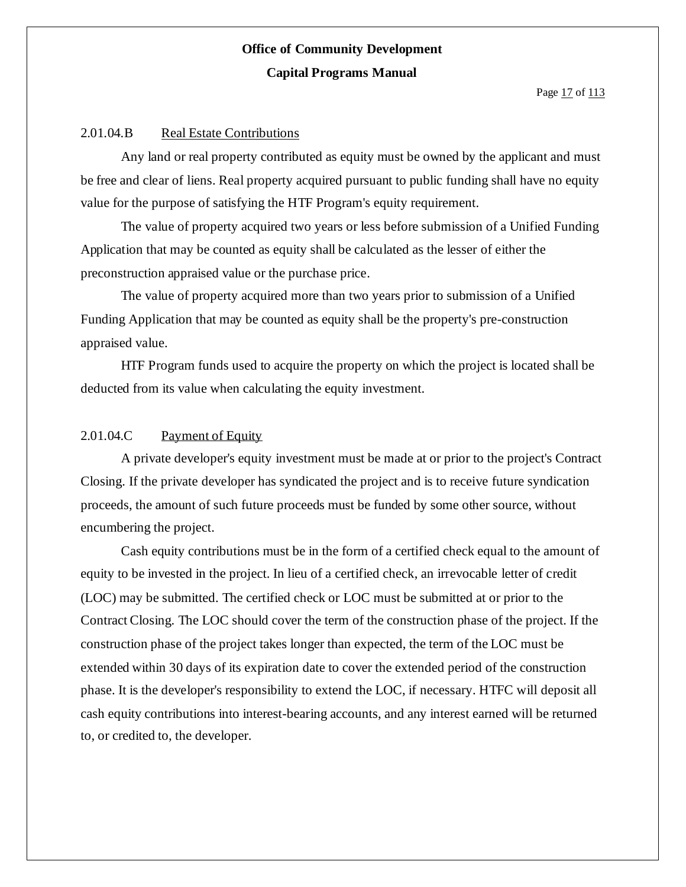#### 2.01.04.B Real Estate Contributions

Any land or real property contributed as equity must be owned by the applicant and must be free and clear of liens. Real property acquired pursuant to public funding shall have no equity value for the purpose of satisfying the HTF Program's equity requirement.

The value of property acquired two years or less before submission of a Unified Funding Application that may be counted as equity shall be calculated as the lesser of either the preconstruction appraised value or the purchase price.

The value of property acquired more than two years prior to submission of a Unified Funding Application that may be counted as equity shall be the property's pre-construction appraised value.

HTF Program funds used to acquire the property on which the project is located shall be deducted from its value when calculating the equity investment.

#### 2.01.04.C Payment of Equity

A private developer's equity investment must be made at or prior to the project's Contract Closing. If the private developer has syndicated the project and is to receive future syndication proceeds, the amount of such future proceeds must be funded by some other source, without encumbering the project.

Cash equity contributions must be in the form of a certified check equal to the amount of equity to be invested in the project. In lieu of a certified check, an irrevocable letter of credit (LOC) may be submitted. The certified check or LOC must be submitted at or prior to the Contract Closing. The LOC should cover the term of the construction phase of the project. If the construction phase of the project takes longer than expected, the term of the LOC must be extended within 30 days of its expiration date to cover the extended period of the construction phase. It is the developer's responsibility to extend the LOC, if necessary. HTFC will deposit all cash equity contributions into interest-bearing accounts, and any interest earned will be returned to, or credited to, the developer.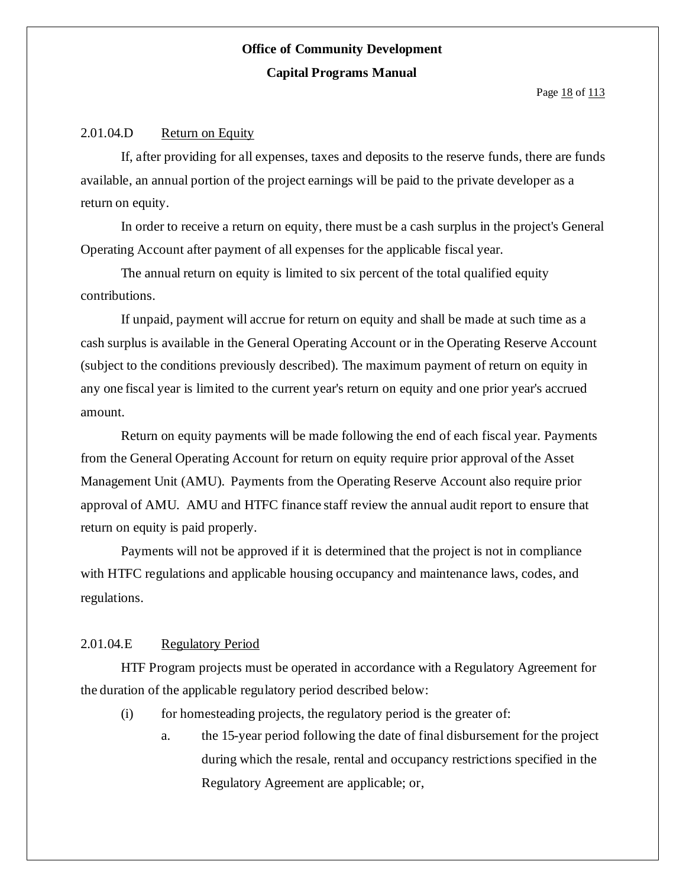#### 2.01.04.D Return on Equity

If, after providing for all expenses, taxes and deposits to the reserve funds, there are funds available, an annual portion of the project earnings will be paid to the private developer as a return on equity.

In order to receive a return on equity, there must be a cash surplus in the project's General Operating Account after payment of all expenses for the applicable fiscal year.

The annual return on equity is limited to six percent of the total qualified equity contributions.

If unpaid, payment will accrue for return on equity and shall be made at such time as a cash surplus is available in the General Operating Account or in the Operating Reserve Account (subject to the conditions previously described). The maximum payment of return on equity in any one fiscal year is limited to the current year's return on equity and one prior year's accrued amount.

Return on equity payments will be made following the end of each fiscal year. Payments from the General Operating Account for return on equity require prior approval ofthe Asset Management Unit (AMU). Payments from the Operating Reserve Account also require prior approval of AMU. AMU and HTFC finance staff review the annual audit report to ensure that return on equity is paid properly.

Payments will not be approved if it is determined that the project is not in compliance with HTFC regulations and applicable housing occupancy and maintenance laws, codes, and regulations.

#### 2.01.04.E Regulatory Period

HTF Program projects must be operated in accordance with a Regulatory Agreement for the duration of the applicable regulatory period described below:

- (i) for homesteading projects, the regulatory period is the greater of:
	- a. the 15-year period following the date of final disbursement for the project during which the resale, rental and occupancy restrictions specified in the Regulatory Agreement are applicable; or,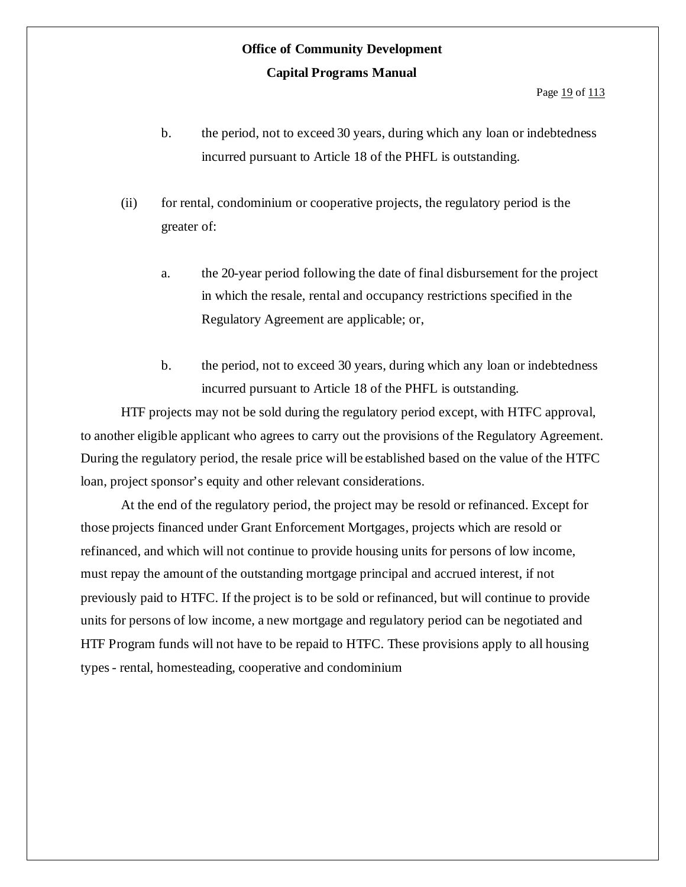- b. the period, not to exceed 30 years, during which any loan or indebtedness incurred pursuant to Article 18 of the PHFL is outstanding.
- (ii) for rental, condominium or cooperative projects, the regulatory period is the greater of:
	- a. the 20-year period following the date of final disbursement for the project in which the resale, rental and occupancy restrictions specified in the Regulatory Agreement are applicable; or,
	- b. the period, not to exceed 30 years, during which any loan or indebtedness incurred pursuant to Article 18 of the PHFL is outstanding.

HTF projects may not be sold during the regulatory period except, with HTFC approval, to another eligible applicant who agrees to carry out the provisions of the Regulatory Agreement. During the regulatory period, the resale price will be established based on the value of the HTFC loan, project sponsor's equity and other relevant considerations.

At the end of the regulatory period, the project may be resold or refinanced. Except for those projects financed under Grant Enforcement Mortgages, projects which are resold or refinanced, and which will not continue to provide housing units for persons of low income, must repay the amount of the outstanding mortgage principal and accrued interest, if not previously paid to HTFC. If the project is to be sold or refinanced, but will continue to provide units for persons of low income, a new mortgage and regulatory period can be negotiated and HTF Program funds will not have to be repaid to HTFC. These provisions apply to all housing types- rental, homesteading, cooperative and condominium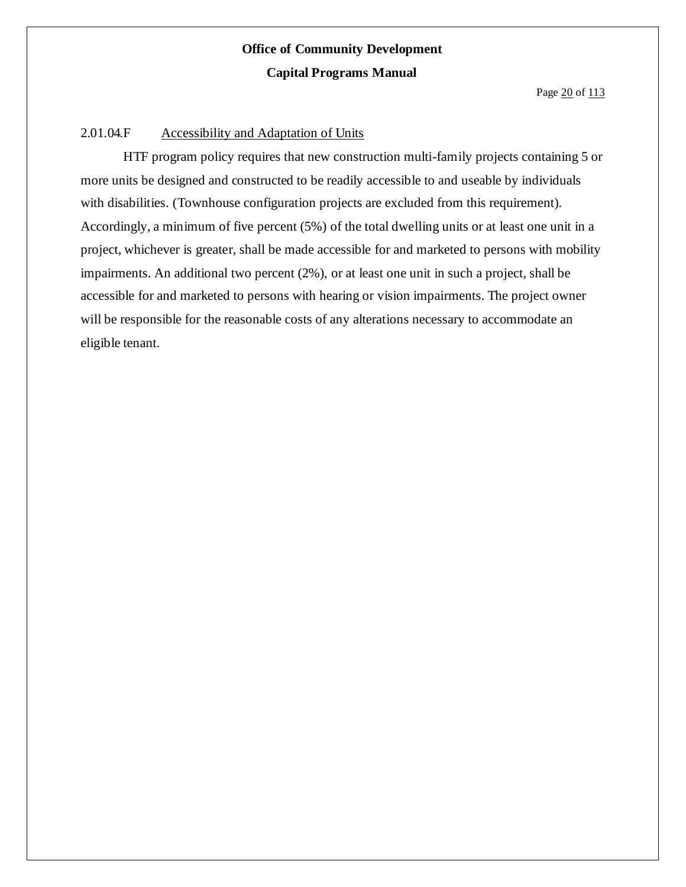#### 2.01.04.F Accessibility and Adaptation of Units

HTF program policy requires that new construction multi-family projects containing 5 or more units be designed and constructed to be readily accessible to and useable by individuals with disabilities. (Townhouse configuration projects are excluded from this requirement). Accordingly, a minimum of five percent (5%) of the total dwelling units or at least one unit in a project, whichever is greater, shall be made accessible for and marketed to persons with mobility impairments. An additional two percent (2%), or at least one unit in such a project, shall be accessible for and marketed to persons with hearing or vision impairments. The project owner will be responsible for the reasonable costs of any alterations necessary to accommodate an eligible tenant.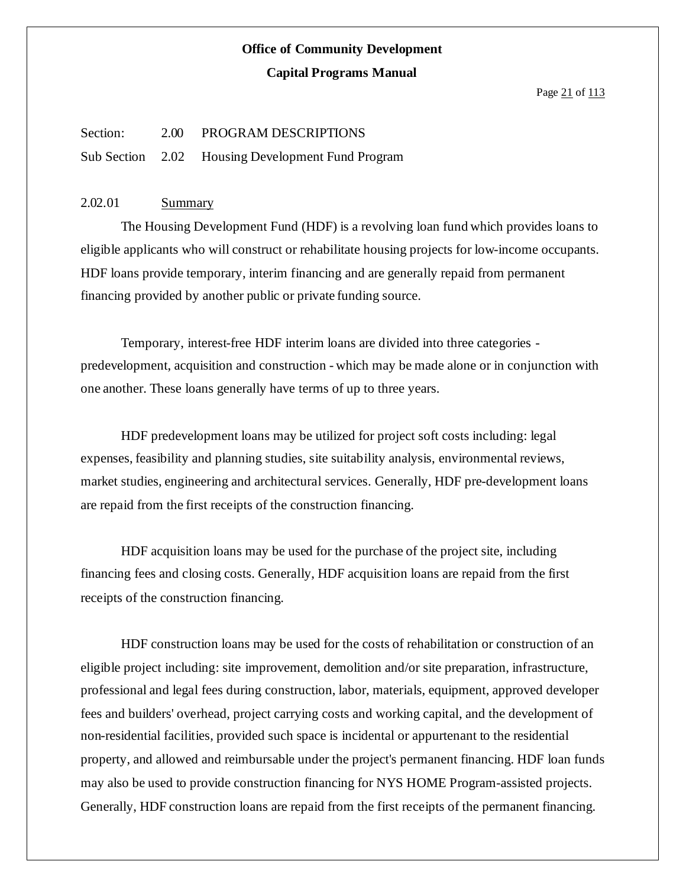#### Section: 2.00 PROGRAM DESCRIPTIONS

Sub Section 2.02 Housing Development Fund Program

#### 2.02.01 Summary

The Housing Development Fund (HDF) is a revolving loan fund which provides loans to eligible applicants who will construct or rehabilitate housing projects for low-income occupants. HDF loans provide temporary, interim financing and are generally repaid from permanent financing provided by another public or private funding source.

Temporary, interest-free HDF interim loans are divided into three categories predevelopment, acquisition and construction - which may be made alone or in conjunction with one another. These loans generally have terms of up to three years.

HDF predevelopment loans may be utilized for project soft costs including: legal expenses, feasibility and planning studies, site suitability analysis, environmental reviews, market studies, engineering and architectural services. Generally, HDF pre-development loans are repaid from the first receipts of the construction financing.

HDF acquisition loans may be used for the purchase of the project site, including financing fees and closing costs. Generally, HDF acquisition loans are repaid from the first receipts of the construction financing.

HDF construction loans may be used for the costs of rehabilitation or construction of an eligible project including: site improvement, demolition and/or site preparation, infrastructure, professional and legal fees during construction, labor, materials, equipment, approved developer fees and builders' overhead, project carrying costs and working capital, and the development of non-residential facilities, provided such space is incidental or appurtenant to the residential property, and allowed and reimbursable under the project's permanent financing. HDF loan funds may also be used to provide construction financing for NYS HOME Program-assisted projects. Generally, HDF construction loans are repaid from the first receipts of the permanent financing.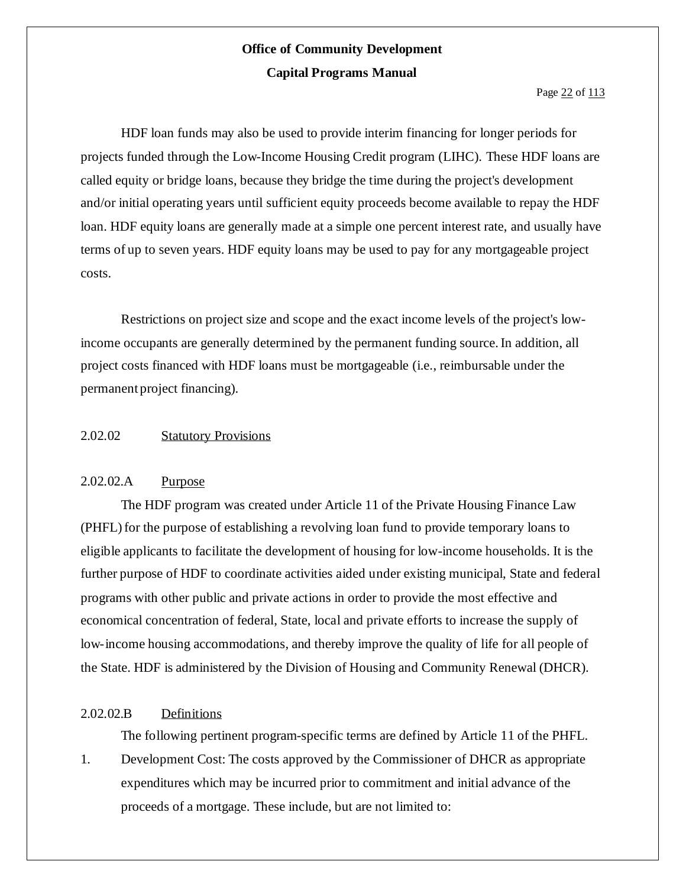Page 22 of 113

HDF loan funds may also be used to provide interim financing for longer periods for projects funded through the Low-Income Housing Credit program (LIHC). These HDF loans are called equity or bridge loans, because they bridge the time during the project's development and/or initial operating years until sufficient equity proceeds become available to repay the HDF loan. HDF equity loans are generally made at a simple one percent interest rate, and usually have terms of up to seven years. HDF equity loans may be used to pay for any mortgageable project costs.

Restrictions on project size and scope and the exact income levels of the project's lowincome occupants are generally determined by the permanent funding source.In addition, all project costs financed with HDF loans must be mortgageable (i.e., reimbursable under the permanent project financing).

#### 2.02.02 Statutory Provisions

#### 2.02.02.A Purpose

The HDF program was created under Article 11 of the Private Housing Finance Law (PHFL) for the purpose of establishing a revolving loan fund to provide temporary loans to eligible applicants to facilitate the development of housing for low-income households. It is the further purpose of HDF to coordinate activities aided under existing municipal, State and federal programs with other public and private actions in order to provide the most effective and economical concentration of federal, State, local and private efforts to increase the supply of low-income housing accommodations, and thereby improve the quality of life for all people of the State. HDF is administered by the Division of Housing and Community Renewal (DHCR).

#### 2.02.02.B Definitions

The following pertinent program-specific terms are defined by Article 11 of the PHFL.

1. Development Cost: The costs approved by the Commissioner of DHCR as appropriate expenditures which may be incurred prior to commitment and initial advance of the proceeds of a mortgage. These include, but are not limited to: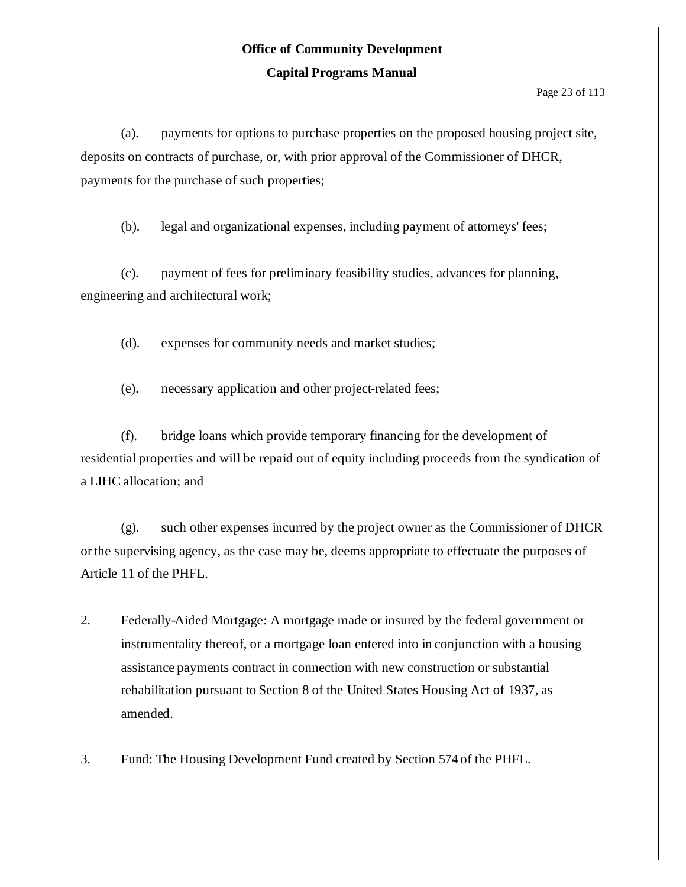Page 23 of 113

(a). payments for options to purchase properties on the proposed housing project site, deposits on contracts of purchase, or, with prior approval of the Commissioner of DHCR, payments for the purchase of such properties;

(b). legal and organizational expenses, including payment of attorneys' fees;

(c). payment of fees for preliminary feasibility studies, advances for planning, engineering and architectural work;

(d). expenses for community needs and market studies;

(e). necessary application and other project-related fees;

(f). bridge loans which provide temporary financing for the development of residential properties and will be repaid out of equity including proceeds from the syndication of a LIHC allocation; and

(g). such other expenses incurred by the project owner as the Commissioner of DHCR orthe supervising agency, as the case may be, deems appropriate to effectuate the purposes of Article 11 of the PHFL.

- 2. Federally-Aided Mortgage: A mortgage made or insured by the federal government or instrumentality thereof, or a mortgage loan entered into in conjunction with a housing assistance payments contract in connection with new construction or substantial rehabilitation pursuant to Section 8 of the United States Housing Act of 1937, as amended.
- 3. Fund: The Housing Development Fund created by Section 574 of the PHFL.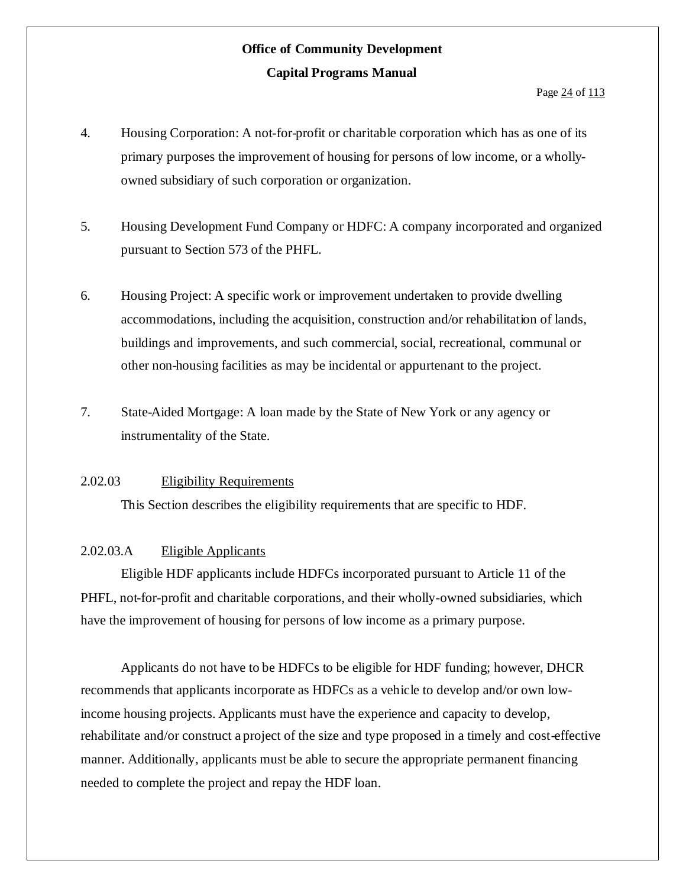- 4. Housing Corporation: A not-for-profit or charitable corporation which has as one of its primary purposes the improvement of housing for persons of low income, or a whollyowned subsidiary of such corporation or organization.
- 5. Housing Development Fund Company or HDFC: A company incorporated and organized pursuant to Section 573 of the PHFL.
- 6. Housing Project: A specific work or improvement undertaken to provide dwelling accommodations, including the acquisition, construction and/or rehabilitation of lands, buildings and improvements, and such commercial, social, recreational, communal or other non-housing facilities as may be incidental or appurtenant to the project.
- 7. State-Aided Mortgage: A loan made by the State of New York or any agency or instrumentality of the State.

#### 2.02.03 Eligibility Requirements

This Section describes the eligibility requirements that are specific to HDF.

#### 2.02.03.A Eligible Applicants

Eligible HDF applicants include HDFCs incorporated pursuant to Article 11 of the PHFL, not-for-profit and charitable corporations, and their wholly-owned subsidiaries, which have the improvement of housing for persons of low income as a primary purpose.

Applicants do not have to be HDFCs to be eligible for HDF funding; however, DHCR recommends that applicants incorporate as HDFCs as a vehicle to develop and/or own lowincome housing projects. Applicants must have the experience and capacity to develop, rehabilitate and/or construct a project of the size and type proposed in a timely and cost-effective manner. Additionally, applicants must be able to secure the appropriate permanent financing needed to complete the project and repay the HDF loan.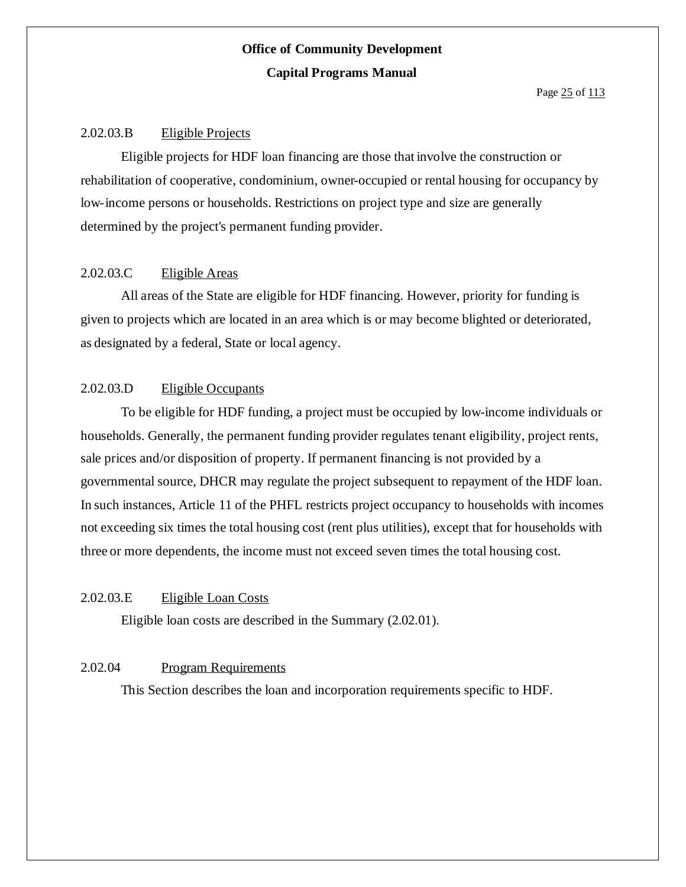#### 2.02.03.B Eligible Projects

Eligible projects for HDF loan financing are those that involve the construction or rehabilitation of cooperative, condominium, owner-occupied or rental housing for occupancy by low-income persons or households. Restrictions on project type and size are generally determined by the project's permanent funding provider.

#### 2.02.03.C Eligible Areas

All areas of the State are eligible for HDF financing. However, priority for funding is given to projects which are located in an area which is or may become blighted or deteriorated, as designated by a federal, State or local agency.

#### 2.02.03.D Eligible Occupants

To be eligible for HDF funding, a project must be occupied by low-income individuals or households. Generally, the permanent funding provider regulates tenant eligibility, project rents, sale prices and/or disposition of property. If permanent financing is not provided by a governmental source, DHCR may regulate the project subsequent to repayment of the HDF loan. In such instances, Article 11 of the PHFL restricts project occupancy to households with incomes not exceeding six times the total housing cost (rent plus utilities), except that for households with three or more dependents, the income must not exceed seven times the total housing cost.

#### 2.02.03.E Eligible Loan Costs

Eligible loan costs are described in the Summary (2.02.01).

#### 2.02.04 Program Requirements

This Section describes the loan and incorporation requirements specific to HDF.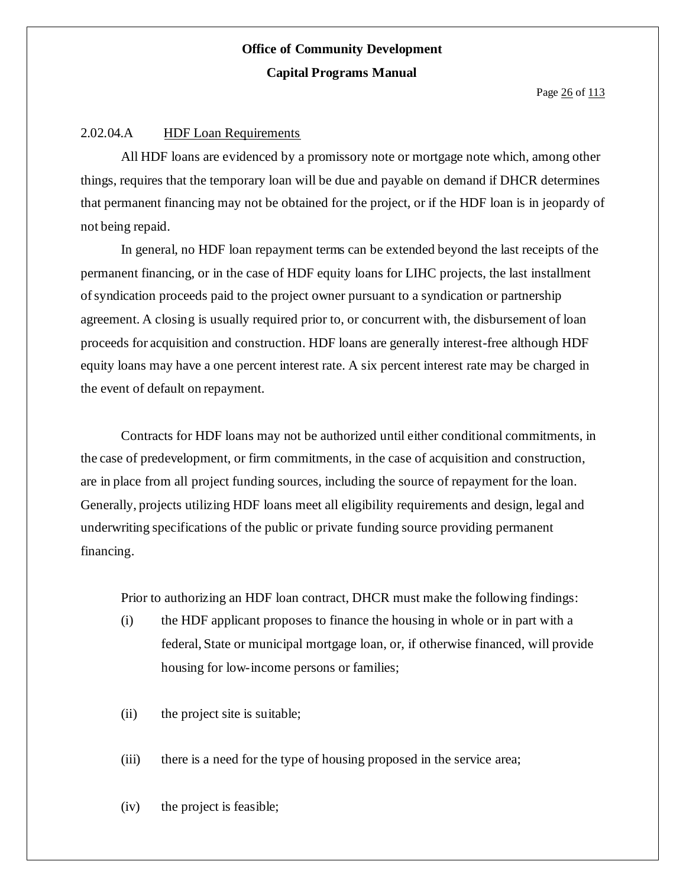Page 26 of 113

#### 2.02.04.A HDF Loan Requirements

All HDF loans are evidenced by a promissory note or mortgage note which, among other things, requires that the temporary loan will be due and payable on demand if DHCR determines that permanent financing may not be obtained for the project, or if the HDF loan is in jeopardy of not being repaid.

In general, no HDF loan repayment terms can be extended beyond the last receipts of the permanent financing, or in the case of HDF equity loans for LIHC projects, the last installment ofsyndication proceeds paid to the project owner pursuant to a syndication or partnership agreement. A closing is usually required prior to, or concurrent with, the disbursement of loan proceeds for acquisition and construction. HDF loans are generally interest-free although HDF equity loans may have a one percent interest rate. A six percent interest rate may be charged in the event of default on repayment.

Contracts for HDF loans may not be authorized until either conditional commitments, in the case of predevelopment, or firm commitments, in the case of acquisition and construction, are in place from all project funding sources, including the source of repayment for the loan. Generally, projects utilizing HDF loans meet all eligibility requirements and design, legal and underwriting specifications of the public or private funding source providing permanent financing.

Prior to authorizing an HDF loan contract, DHCR must make the following findings:

- (i) the HDF applicant proposes to finance the housing in whole or in part with a federal, State or municipal mortgage loan, or, if otherwise financed, will provide housing for low-income persons or families;
- (ii) the project site is suitable;
- (iii) there is a need for the type of housing proposed in the service area;
- (iv) the project is feasible;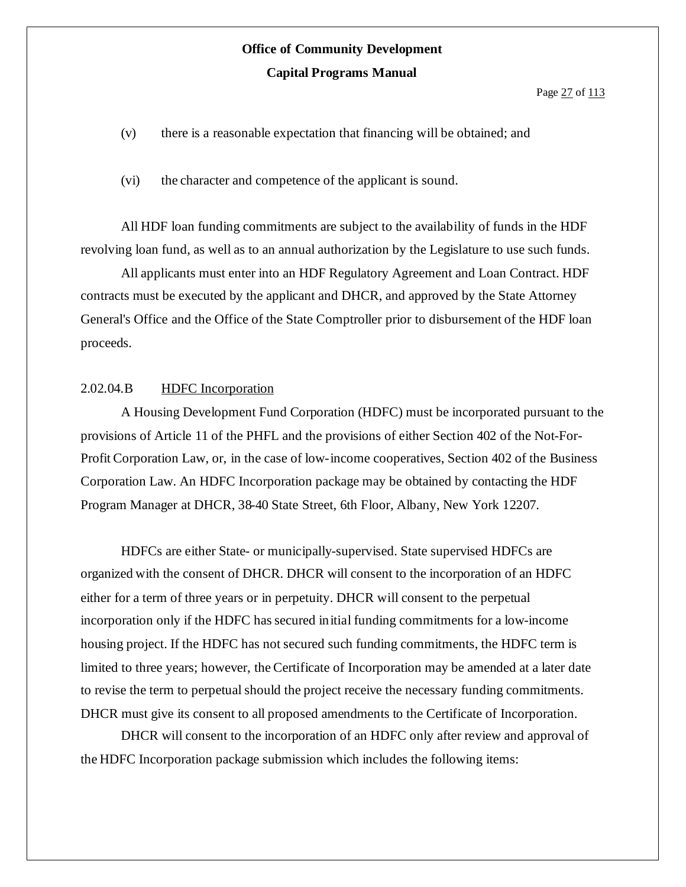Page 27 of 113

(v) there is a reasonable expectation that financing will be obtained; and

(vi) the character and competence of the applicant is sound.

All HDF loan funding commitments are subject to the availability of funds in the HDF revolving loan fund, as well as to an annual authorization by the Legislature to use such funds.

All applicants must enter into an HDF Regulatory Agreement and Loan Contract. HDF contracts must be executed by the applicant and DHCR, and approved by the State Attorney General's Office and the Office of the State Comptroller prior to disbursement of the HDF loan proceeds.

#### 2.02.04.B HDFC Incorporation

A Housing Development Fund Corporation (HDFC) must be incorporated pursuant to the provisions of Article 11 of the PHFL and the provisions of either Section 402 of the Not-For-Profit Corporation Law, or, in the case of low-income cooperatives, Section 402 of the Business Corporation Law. An HDFC Incorporation package may be obtained by contacting the HDF Program Manager at DHCR, 38-40 State Street, 6th Floor, Albany, New York 12207.

HDFCs are either State- or municipally-supervised. State supervised HDFCs are organized with the consent of DHCR. DHCR will consent to the incorporation of an HDFC either for a term of three years or in perpetuity. DHCR will consent to the perpetual incorporation only if the HDFC hassecured initial funding commitments for a low-income housing project. If the HDFC has not secured such funding commitments, the HDFC term is limited to three years; however, the Certificate of Incorporation may be amended at a later date to revise the term to perpetual should the project receive the necessary funding commitments. DHCR must give its consent to all proposed amendments to the Certificate of Incorporation.

DHCR will consent to the incorporation of an HDFC only after review and approval of the HDFC Incorporation package submission which includes the following items: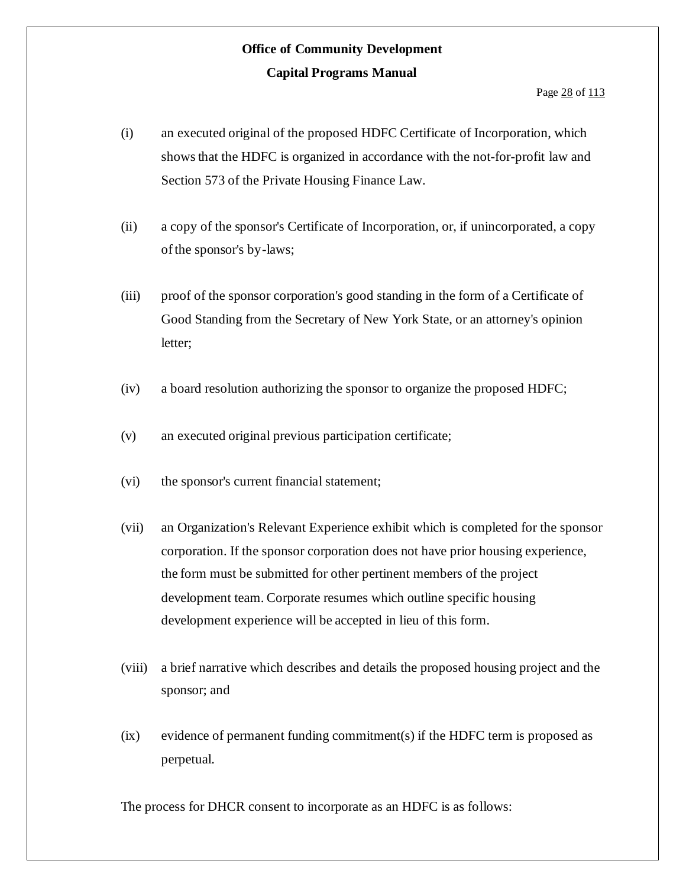- (i) an executed original of the proposed HDFC Certificate of Incorporation, which shows that the HDFC is organized in accordance with the not-for-profit law and Section 573 of the Private Housing Finance Law.
- (ii) a copy of the sponsor's Certificate of Incorporation, or, if unincorporated, a copy of the sponsor's by-laws;
- (iii) proof of the sponsor corporation's good standing in the form of a Certificate of Good Standing from the Secretary of New York State, or an attorney's opinion letter;
- (iv) a board resolution authorizing the sponsor to organize the proposed HDFC;
- (v) an executed original previous participation certificate;
- (vi) the sponsor's current financial statement;
- (vii) an Organization's Relevant Experience exhibit which is completed for the sponsor corporation. If the sponsor corporation does not have prior housing experience, the form must be submitted for other pertinent members of the project development team. Corporate resumes which outline specific housing development experience will be accepted in lieu of this form.
- (viii) a brief narrative which describes and details the proposed housing project and the sponsor; and
- (ix) evidence of permanent funding commitment(s) if the HDFC term is proposed as perpetual.

The process for DHCR consent to incorporate as an HDFC is as follows: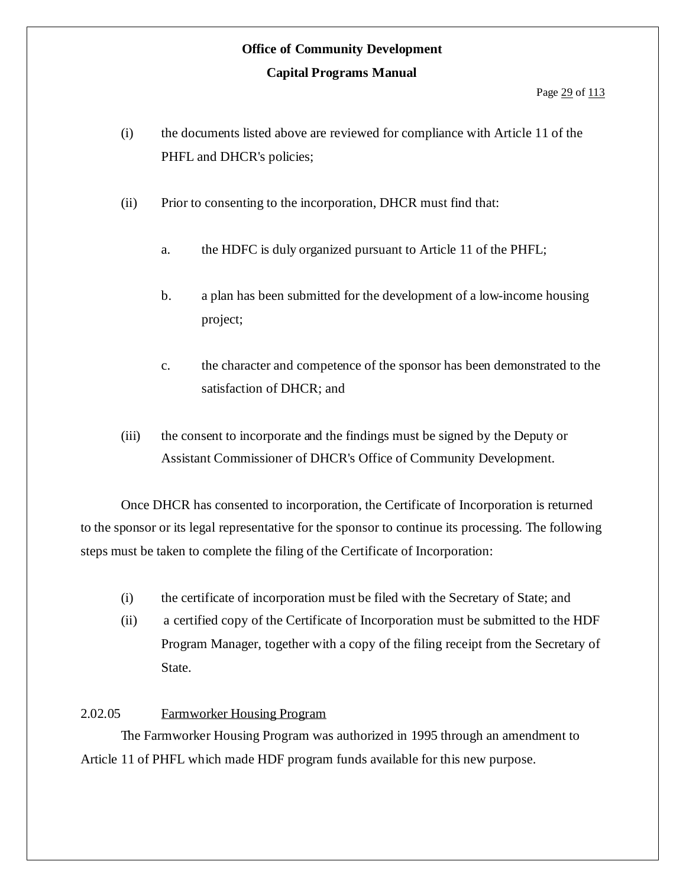- (i) the documents listed above are reviewed for compliance with Article 11 of the PHFL and DHCR's policies;
- (ii) Prior to consenting to the incorporation, DHCR must find that:
	- a. the HDFC is duly organized pursuant to Article 11 of the PHFL;
	- b. a plan has been submitted for the development of a low-income housing project;
	- c. the character and competence of the sponsor has been demonstrated to the satisfaction of DHCR; and
- (iii) the consent to incorporate and the findings must be signed by the Deputy or Assistant Commissioner of DHCR's Office of Community Development.

Once DHCR has consented to incorporation, the Certificate of Incorporation is returned to the sponsor or its legal representative for the sponsor to continue its processing. The following steps must be taken to complete the filing of the Certificate of Incorporation:

- (i) the certificate of incorporation must be filed with the Secretary of State; and
- (ii) a certified copy of the Certificate of Incorporation must be submitted to the HDF Program Manager, together with a copy of the filing receipt from the Secretary of State.

#### 2.02.05 Farmworker Housing Program

The Farmworker Housing Program was authorized in 1995 through an amendment to Article 11 of PHFL which made HDF program funds available for this new purpose.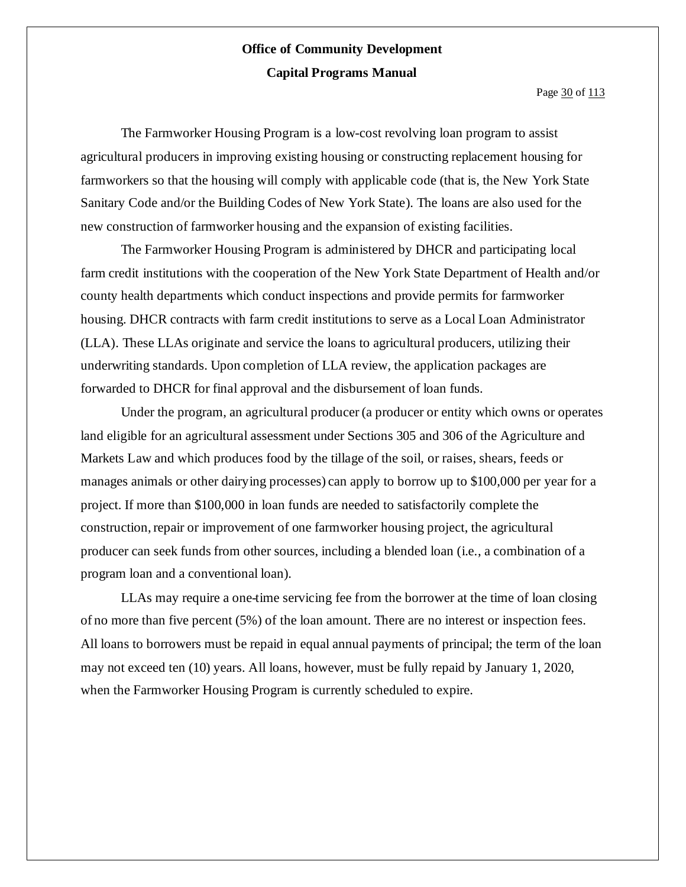Page 30 of 113

The Farmworker Housing Program is a low-cost revolving loan program to assist agricultural producers in improving existing housing or constructing replacement housing for farmworkers so that the housing will comply with applicable code (that is, the New York State Sanitary Code and/or the Building Codes of New York State). The loans are also used for the new construction of farmworker housing and the expansion of existing facilities.

The Farmworker Housing Program is administered by DHCR and participating local farm credit institutions with the cooperation of the New York State Department of Health and/or county health departments which conduct inspections and provide permits for farmworker housing. DHCR contracts with farm credit institutions to serve as a Local Loan Administrator (LLA). These LLAs originate and service the loans to agricultural producers, utilizing their underwriting standards. Upon completion of LLA review, the application packages are forwarded to DHCR for final approval and the disbursement of loan funds.

Under the program, an agricultural producer (a producer or entity which owns or operates land eligible for an agricultural assessment under Sections 305 and 306 of the Agriculture and Markets Law and which produces food by the tillage of the soil, or raises, shears, feeds or manages animals or other dairying processes) can apply to borrow up to \$100,000 per year for a project. If more than \$100,000 in loan funds are needed to satisfactorily complete the construction, repair or improvement of one farmworker housing project, the agricultural producer can seek funds from other sources, including a blended loan (i.e., a combination of a program loan and a conventional loan).

LLAs may require a one-time servicing fee from the borrower at the time of loan closing of no more than five percent (5%) of the loan amount. There are no interest or inspection fees. All loans to borrowers must be repaid in equal annual payments of principal; the term of the loan may not exceed ten (10) years. All loans, however, must be fully repaid by January 1, 2020, when the Farmworker Housing Program is currently scheduled to expire.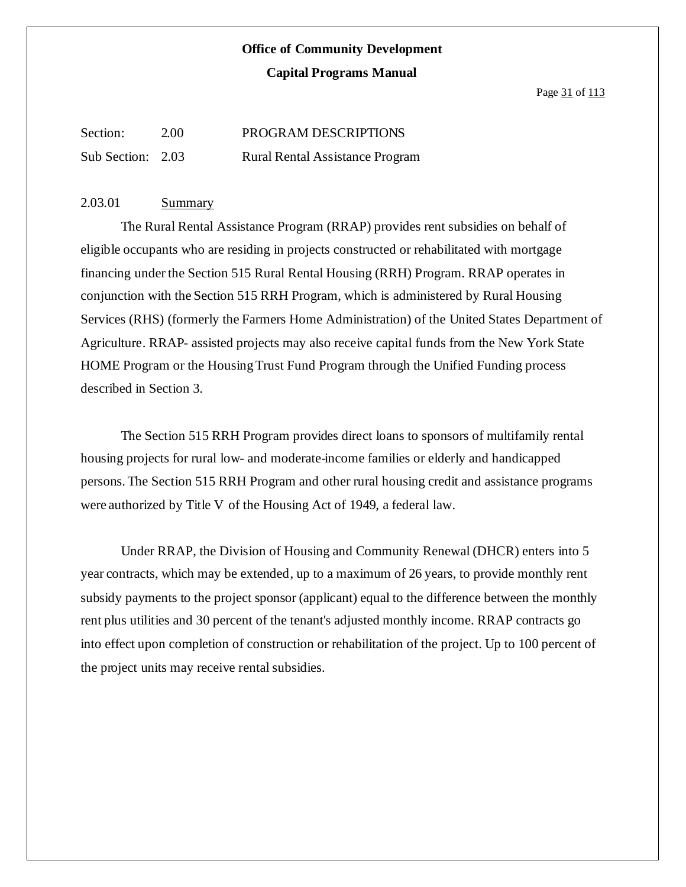### **Office of Community Development**

#### **Capital Programs Manual**

Page 31 of 113

| Section:          | 2.00 | PROGRAM DESCRIPTIONS                   |
|-------------------|------|----------------------------------------|
| Sub Section: 2.03 |      | <b>Rural Rental Assistance Program</b> |

#### 2.03.01 Summary

The Rural Rental Assistance Program (RRAP) provides rent subsidies on behalf of eligible occupants who are residing in projects constructed or rehabilitated with mortgage financing under the Section 515 Rural Rental Housing (RRH) Program. RRAP operates in conjunction with the Section 515 RRH Program, which is administered by Rural Housing Services (RHS) (formerly the Farmers Home Administration) of the United States Department of Agriculture. RRAP- assisted projects may also receive capital funds from the New York State HOME Program or the Housing Trust Fund Program through the Unified Funding process described in Section 3.

The Section 515 RRH Program provides direct loans to sponsors of multifamily rental housing projects for rural low- and moderate-income families or elderly and handicapped persons. The Section 515 RRH Program and other rural housing credit and assistance programs were authorized by Title V of the Housing Act of 1949, a federal law.

Under RRAP, the Division of Housing and Community Renewal (DHCR) enters into 5 year contracts, which may be extended, up to a maximum of 26 years, to provide monthly rent subsidy payments to the project sponsor (applicant) equal to the difference between the monthly rent plus utilities and 30 percent of the tenant's adjusted monthly income. RRAP contracts go into effect upon completion of construction or rehabilitation of the project. Up to 100 percent of the project units may receive rental subsidies.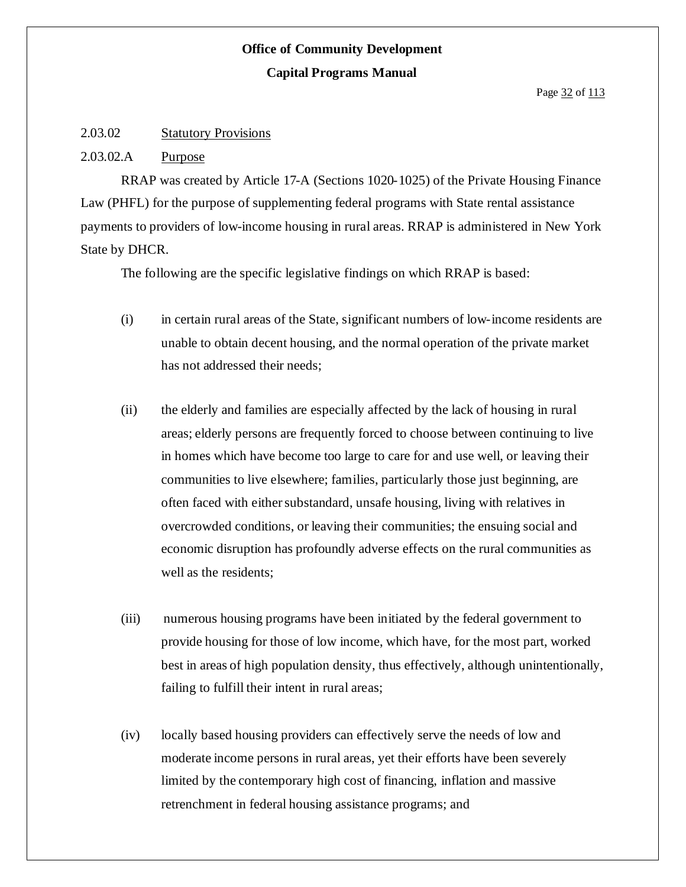#### 2.03.02 Statutory Provisions

#### 2.03.02.A Purpose

RRAP was created by Article 17-A (Sections 1020-1025) of the Private Housing Finance Law (PHFL) for the purpose of supplementing federal programs with State rental assistance payments to providers of low-income housing in rural areas. RRAP is administered in New York State by DHCR.

The following are the specific legislative findings on which RRAP is based:

- (i) in certain rural areas of the State, significant numbers of low-income residents are unable to obtain decent housing, and the normal operation of the private market has not addressed their needs;
- (ii) the elderly and families are especially affected by the lack of housing in rural areas; elderly persons are frequently forced to choose between continuing to live in homes which have become too large to care for and use well, or leaving their communities to live elsewhere; families, particularly those just beginning, are often faced with either substandard, unsafe housing, living with relatives in overcrowded conditions, or leaving their communities; the ensuing social and economic disruption has profoundly adverse effects on the rural communities as well as the residents;
- (iii) numerous housing programs have been initiated by the federal government to provide housing for those of low income, which have, for the most part, worked best in areas of high population density, thus effectively, although unintentionally, failing to fulfill their intent in rural areas;
- (iv) locally based housing providers can effectively serve the needs of low and moderate income persons in rural areas, yet their efforts have been severely limited by the contemporary high cost of financing, inflation and massive retrenchment in federal housing assistance programs; and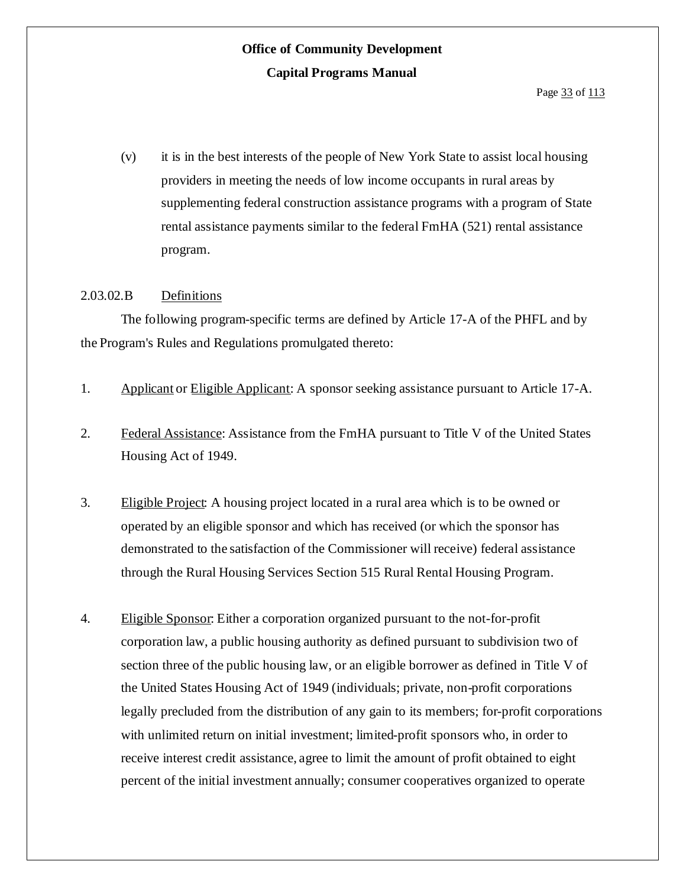(v) it is in the best interests of the people of New York State to assist local housing providers in meeting the needs of low income occupants in rural areas by supplementing federal construction assistance programs with a program of State rental assistance payments similar to the federal FmHA (521) rental assistance program.

#### 2.03.02.B Definitions

The following program-specific terms are defined by Article 17-A of the PHFL and by the Program's Rules and Regulations promulgated thereto:

- 1. Applicant or Eligible Applicant: A sponsor seeking assistance pursuant to Article 17-A.
- 2. Federal Assistance: Assistance from the FmHA pursuant to Title V of the United States Housing Act of 1949.
- 3. Eligible Project: A housing project located in a rural area which is to be owned or operated by an eligible sponsor and which has received (or which the sponsor has demonstrated to the satisfaction of the Commissioner will receive) federal assistance through the Rural Housing Services Section 515 Rural Rental Housing Program.
- 4. Eligible Sponsor: Either a corporation organized pursuant to the not-for-profit corporation law, a public housing authority as defined pursuant to subdivision two of section three of the public housing law, or an eligible borrower as defined in Title V of the United States Housing Act of 1949 (individuals; private, non-profit corporations legally precluded from the distribution of any gain to its members; for-profit corporations with unlimited return on initial investment; limited-profit sponsors who, in order to receive interest credit assistance, agree to limit the amount of profit obtained to eight percent of the initial investment annually; consumer cooperatives organized to operate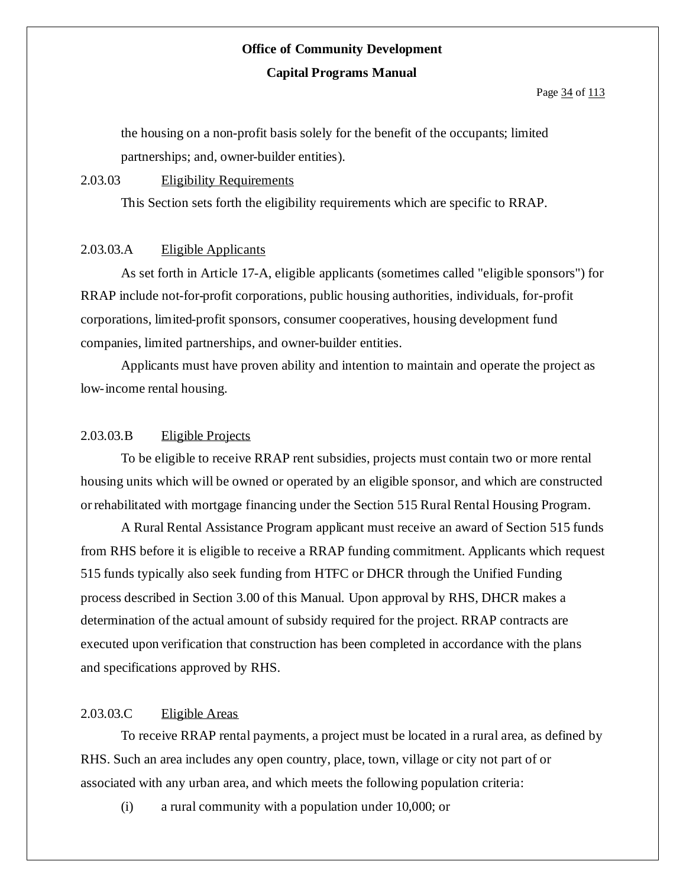#### Page 34 of 113

the housing on a non-profit basis solely for the benefit of the occupants; limited partnerships; and, owner-builder entities).

#### 2.03.03 Eligibility Requirements

This Section sets forth the eligibility requirements which are specific to RRAP.

#### 2.03.03.A Eligible Applicants

As set forth in Article 17-A, eligible applicants (sometimes called "eligible sponsors") for RRAP include not-for-profit corporations, public housing authorities, individuals, for-profit corporations, limited-profit sponsors, consumer cooperatives, housing development fund companies, limited partnerships, and owner-builder entities.

Applicants must have proven ability and intention to maintain and operate the project as low-income rental housing.

#### 2.03.03.B Eligible Projects

To be eligible to receive RRAP rent subsidies, projects must contain two or more rental housing units which will be owned or operated by an eligible sponsor, and which are constructed orrehabilitated with mortgage financing under the Section 515 Rural Rental Housing Program.

A Rural Rental Assistance Program applicant must receive an award of Section 515 funds from RHS before it is eligible to receive a RRAP funding commitment. Applicants which request 515 funds typically also seek funding from HTFC or DHCR through the Unified Funding process described in Section 3.00 of this Manual. Upon approval by RHS, DHCR makes a determination of the actual amount of subsidy required for the project. RRAP contracts are executed upon verification that construction has been completed in accordance with the plans and specifications approved by RHS.

#### 2.03.03.C Eligible Areas

To receive RRAP rental payments, a project must be located in a rural area, as defined by RHS. Such an area includes any open country, place, town, village or city not part of or associated with any urban area, and which meets the following population criteria:

(i) a rural community with a population under 10,000; or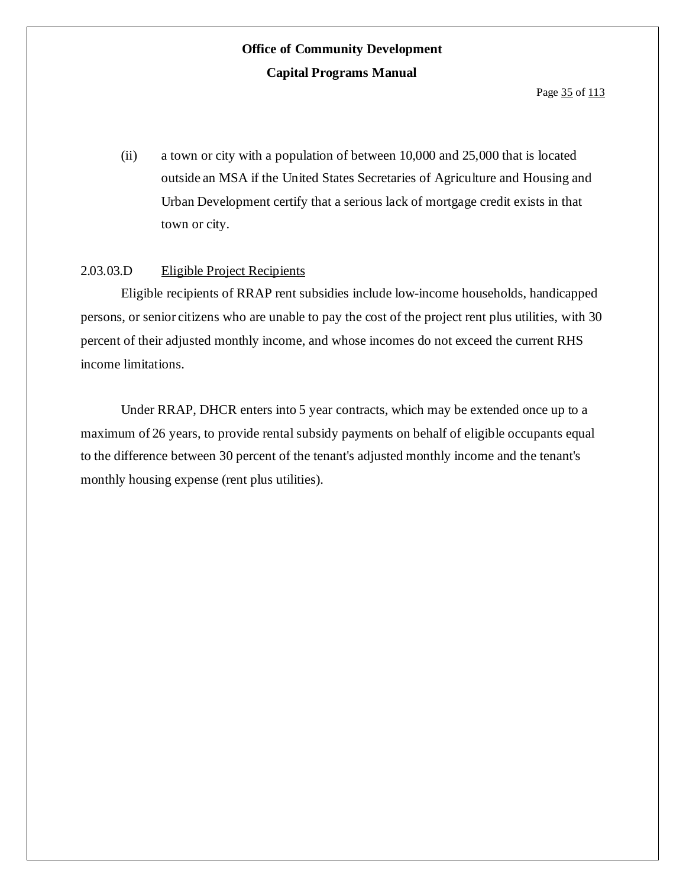(ii) a town or city with a population of between 10,000 and 25,000 that is located outside an MSA if the United States Secretaries of Agriculture and Housing and Urban Development certify that a serious lack of mortgage credit exists in that town or city.

#### 2.03.03.D Eligible Project Recipients

Eligible recipients of RRAP rent subsidies include low-income households, handicapped persons, or senior citizens who are unable to pay the cost of the project rent plus utilities, with 30 percent of their adjusted monthly income, and whose incomes do not exceed the current RHS income limitations.

Under RRAP, DHCR enters into 5 year contracts, which may be extended once up to a maximum of 26 years, to provide rental subsidy payments on behalf of eligible occupants equal to the difference between 30 percent of the tenant's adjusted monthly income and the tenant's monthly housing expense (rent plus utilities).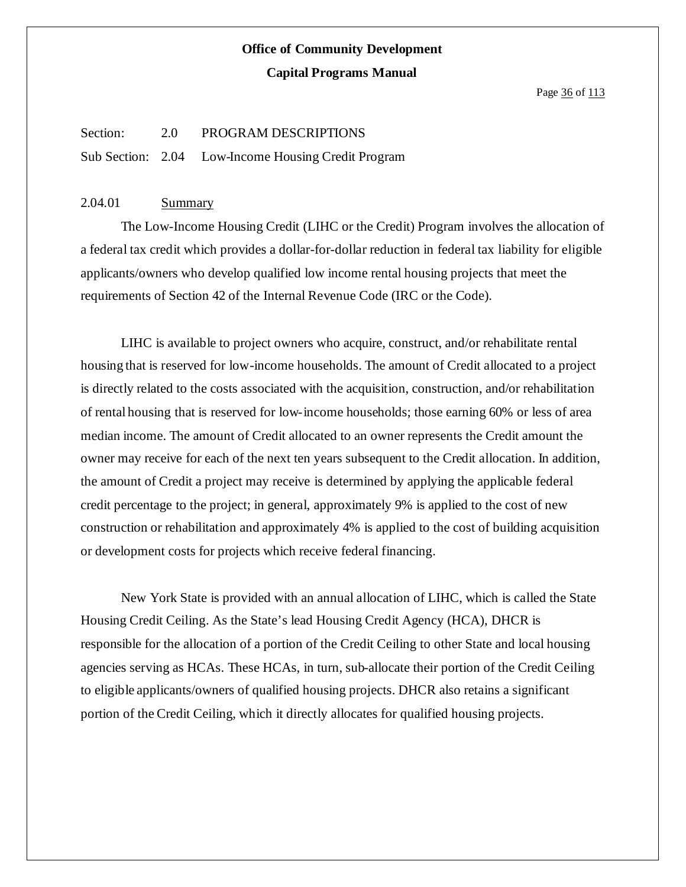Page 36 of 113

#### Section: 2.0 PROGRAM DESCRIPTIONS

Sub Section: 2.04 Low-Income Housing Credit Program

#### 2.04.01 Summary

The Low-Income Housing Credit (LIHC or the Credit) Program involves the allocation of a federal tax credit which provides a dollar-for-dollar reduction in federal tax liability for eligible applicants/owners who develop qualified low income rental housing projects that meet the requirements of Section 42 of the Internal Revenue Code (IRC or the Code).

LIHC is available to project owners who acquire, construct, and/or rehabilitate rental housing that is reserved for low-income households. The amount of Credit allocated to a project is directly related to the costs associated with the acquisition, construction, and/or rehabilitation of rental housing that is reserved for low-income households; those earning 60% or less of area median income. The amount of Credit allocated to an owner represents the Credit amount the owner may receive for each of the next ten years subsequent to the Credit allocation. In addition, the amount of Credit a project may receive is determined by applying the applicable federal credit percentage to the project; in general, approximately 9% is applied to the cost of new construction or rehabilitation and approximately 4% is applied to the cost of building acquisition or development costs for projects which receive federal financing.

New York State is provided with an annual allocation of LIHC, which is called the State Housing Credit Ceiling. As the State's lead Housing Credit Agency (HCA), DHCR is responsible for the allocation of a portion of the Credit Ceiling to other State and local housing agencies serving as HCAs. These HCAs, in turn, sub-allocate their portion of the Credit Ceiling to eligible applicants/owners of qualified housing projects. DHCR also retains a significant portion of the Credit Ceiling, which it directly allocates for qualified housing projects.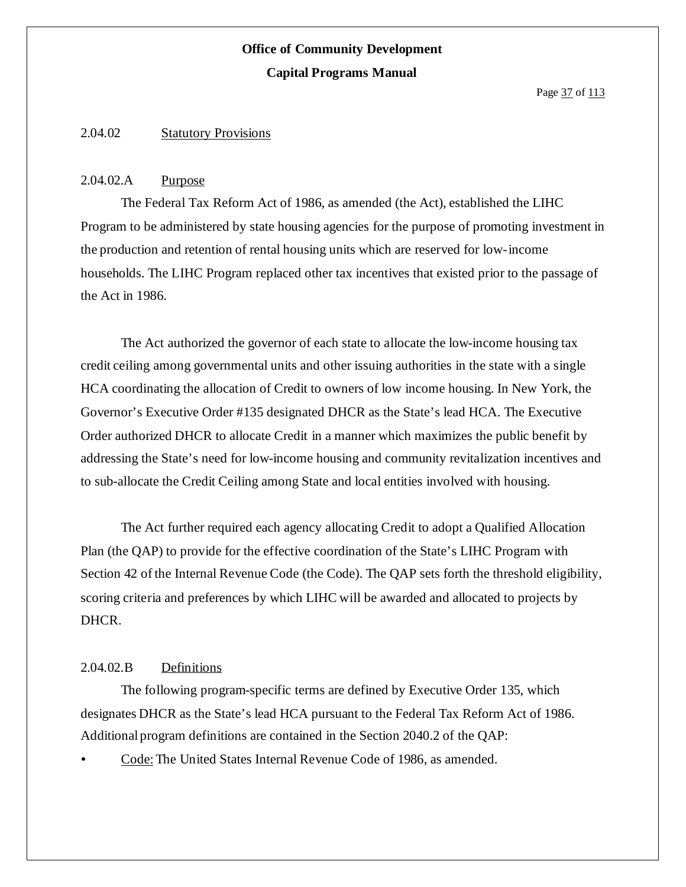#### 2.04.02 Statutory Provisions

#### 2.04.02.A Purpose

The Federal Tax Reform Act of 1986, as amended (the Act), established the LIHC Program to be administered by state housing agencies for the purpose of promoting investment in the production and retention of rental housing units which are reserved for low-income households. The LIHC Program replaced other tax incentives that existed prior to the passage of the Act in 1986.

The Act authorized the governor of each state to allocate the low-income housing tax credit ceiling among governmental units and other issuing authorities in the state with a single HCA coordinating the allocation of Credit to owners of low income housing. In New York, the Governor's Executive Order #135 designated DHCR as the State's lead HCA. The Executive Order authorized DHCR to allocate Credit in a manner which maximizes the public benefit by addressing the State's need for low-income housing and community revitalization incentives and to sub-allocate the Credit Ceiling among State and local entities involved with housing.

The Act further required each agency allocating Credit to adopt a Qualified Allocation Plan (the QAP) to provide for the effective coordination of the State's LIHC Program with Section 42 of the Internal Revenue Code (the Code). The QAP sets forth the threshold eligibility, scoring criteria and preferences by which LIHC will be awarded and allocated to projects by DHCR.

#### 2.04.02.B Definitions

The following program-specific terms are defined by Executive Order 135, which designates DHCR as the State's lead HCA pursuant to the Federal Tax Reform Act of 1986. Additional program definitions are contained in the Section 2040.2 of the QAP:

Code:The United States Internal Revenue Code of 1986, as amended.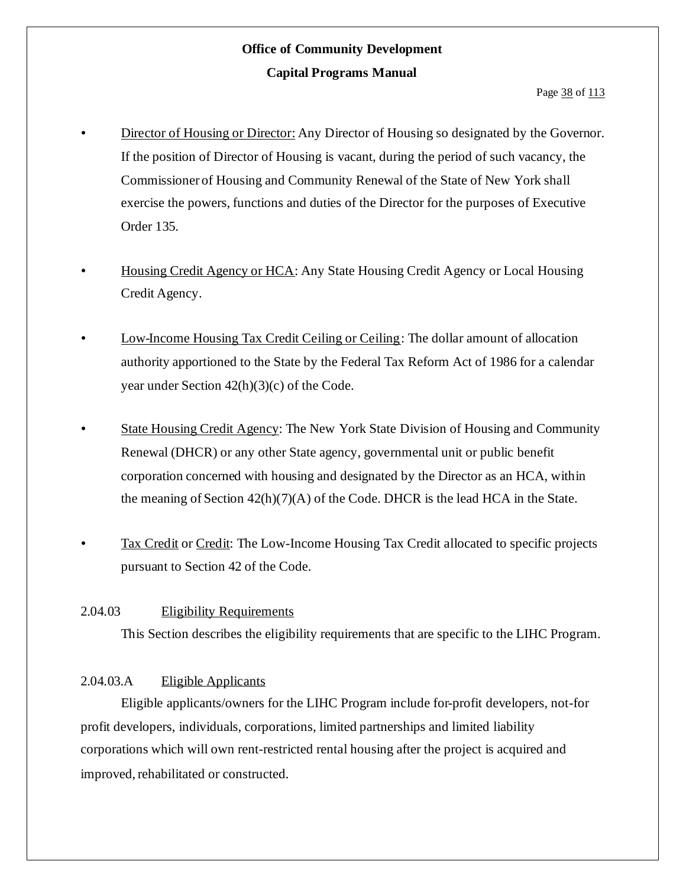- Director of Housing or Director: Any Director of Housing so designated by the Governor. If the position of Director of Housing is vacant, during the period of such vacancy, the Commissioner of Housing and Community Renewal of the State of New York shall exercise the powers, functions and duties of the Director for the purposes of Executive Order 135.
- Housing Credit Agency or HCA: Any State Housing Credit Agency or Local Housing Credit Agency.
- Low-Income Housing Tax Credit Ceiling or Ceiling: The dollar amount of allocation authority apportioned to the State by the Federal Tax Reform Act of 1986 for a calendar year under Section  $42(h)(3)(c)$  of the Code.
- State Housing Credit Agency: The New York State Division of Housing and Community Renewal (DHCR) or any other State agency, governmental unit or public benefit corporation concerned with housing and designated by the Director as an HCA, within the meaning of Section 42(h)(7)(A) of the Code. DHCR is the lead HCA in the State.
- Tax Credit or Credit: The Low-Income Housing Tax Credit allocated to specific projects pursuant to Section 42 of the Code.

#### 2.04.03 Eligibility Requirements

This Section describes the eligibility requirements that are specific to the LIHC Program.

#### 2.04.03.A Eligible Applicants

Eligible applicants/owners for the LIHC Program include for-profit developers, not-for profit developers, individuals, corporations, limited partnerships and limited liability corporations which will own rent-restricted rental housing after the project is acquired and improved, rehabilitated or constructed.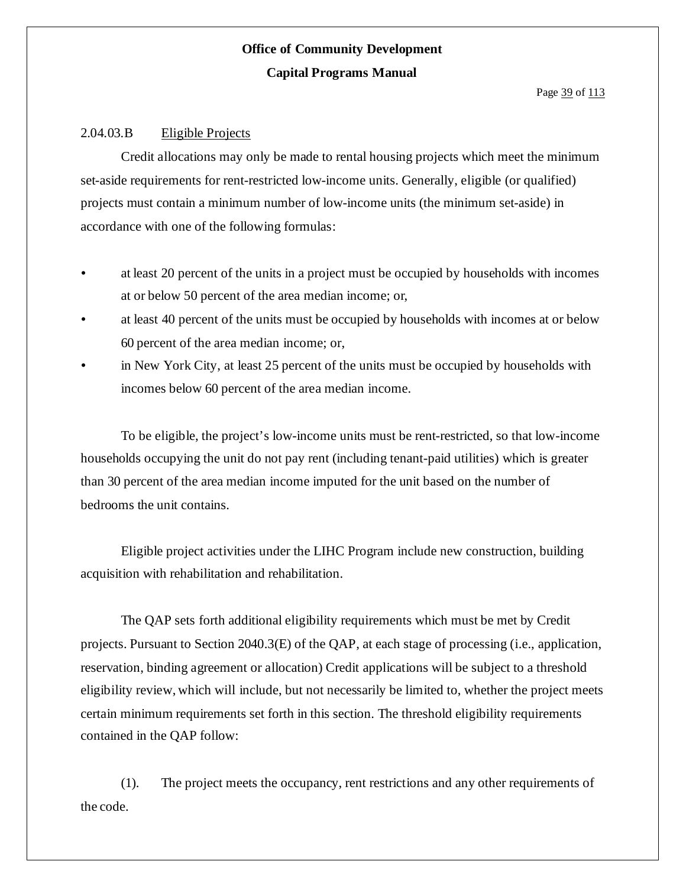#### 2.04.03.B Eligible Projects

Credit allocations may only be made to rental housing projects which meet the minimum set-aside requirements for rent-restricted low-income units. Generally, eligible (or qualified) projects must contain a minimum number of low-income units (the minimum set-aside) in accordance with one of the following formulas:

- at least 20 percent of the units in a project must be occupied by households with incomes at or below 50 percent of the area median income; or,
- at least 40 percent of the units must be occupied by households with incomes at or below 60 percent of the area median income; or,
- in New York City, at least 25 percent of the units must be occupied by households with incomes below 60 percent of the area median income.

To be eligible, the project's low-income units must be rent-restricted, so that low-income households occupying the unit do not pay rent (including tenant-paid utilities) which is greater than 30 percent of the area median income imputed for the unit based on the number of bedrooms the unit contains.

Eligible project activities under the LIHC Program include new construction, building acquisition with rehabilitation and rehabilitation.

The QAP sets forth additional eligibility requirements which must be met by Credit projects. Pursuant to Section 2040.3(E) of the QAP, at each stage of processing (i.e., application, reservation, binding agreement or allocation) Credit applications will be subject to a threshold eligibility review, which will include, but not necessarily be limited to, whether the project meets certain minimum requirements set forth in this section. The threshold eligibility requirements contained in the QAP follow:

(1). The project meets the occupancy, rent restrictions and any other requirements of the code.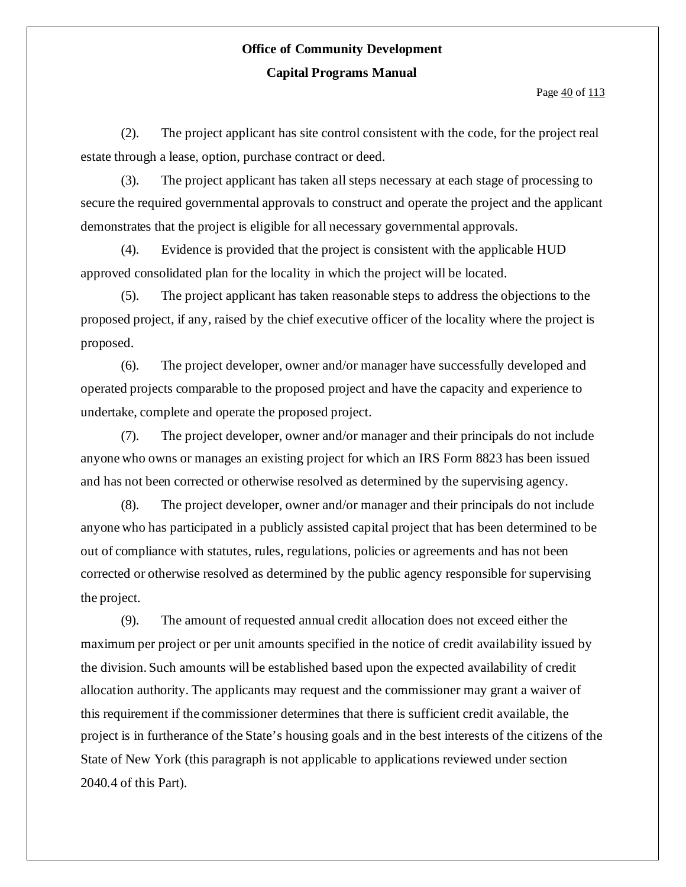Page  $\frac{40}{113}$ 

(2). The project applicant has site control consistent with the code, for the project real estate through a lease, option, purchase contract or deed.

(3). The project applicant has taken all steps necessary at each stage of processing to secure the required governmental approvals to construct and operate the project and the applicant demonstrates that the project is eligible for all necessary governmental approvals.

(4). Evidence is provided that the project is consistent with the applicable HUD approved consolidated plan for the locality in which the project will be located.

(5). The project applicant has taken reasonable steps to address the objections to the proposed project, if any, raised by the chief executive officer of the locality where the project is proposed.

(6). The project developer, owner and/or manager have successfully developed and operated projects comparable to the proposed project and have the capacity and experience to undertake, complete and operate the proposed project.

(7). The project developer, owner and/or manager and their principals do not include anyone who owns or manages an existing project for which an IRS Form 8823 has been issued and has not been corrected or otherwise resolved as determined by the supervising agency.

(8). The project developer, owner and/or manager and their principals do not include anyone who has participated in a publicly assisted capital project that has been determined to be out of compliance with statutes, rules, regulations, policies or agreements and has not been corrected or otherwise resolved as determined by the public agency responsible for supervising the project.

(9). The amount of requested annual credit allocation does not exceed either the maximum per project or per unit amounts specified in the notice of credit availability issued by the division. Such amounts will be established based upon the expected availability of credit allocation authority. The applicants may request and the commissioner may grant a waiver of this requirement if the commissioner determines that there is sufficient credit available, the project is in furtherance of the State's housing goals and in the best interests of the citizens of the State of New York (this paragraph is not applicable to applications reviewed under section 2040.4 of this Part).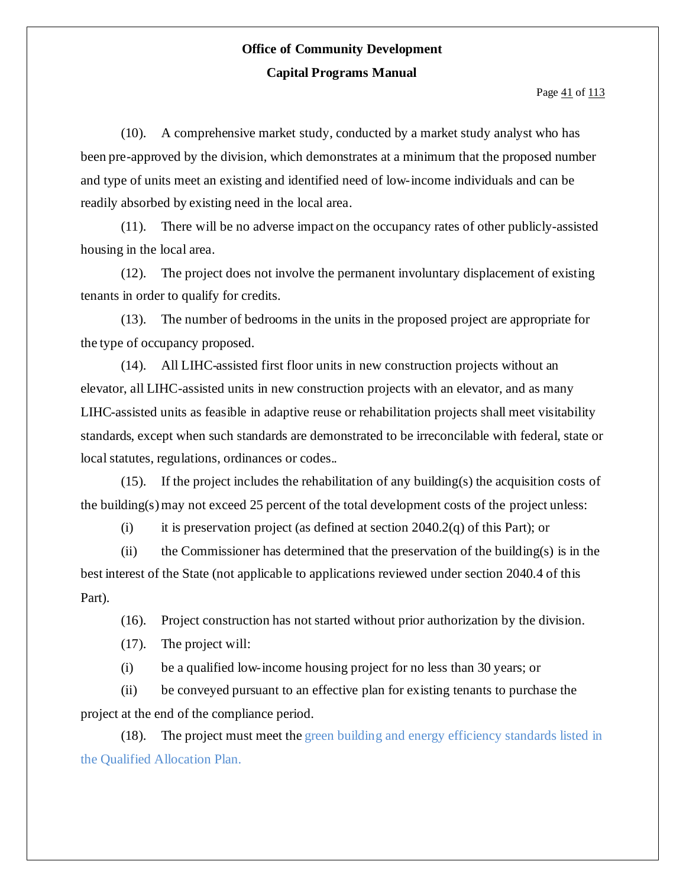Page  $41$  of  $113$ 

(10). A comprehensive market study, conducted by a market study analyst who has been pre-approved by the division, which demonstrates at a minimum that the proposed number and type of units meet an existing and identified need of low-income individuals and can be readily absorbed by existing need in the local area.

(11). There will be no adverse impact on the occupancy rates of other publicly-assisted housing in the local area.

(12). The project does not involve the permanent involuntary displacement of existing tenants in order to qualify for credits.

(13). The number of bedrooms in the units in the proposed project are appropriate for the type of occupancy proposed.

(14). All LIHC-assisted first floor units in new construction projects without an elevator, all LIHC-assisted units in new construction projects with an elevator, and as many LIHC-assisted units as feasible in adaptive reuse or rehabilitation projects shall meet visitability standards, except when such standards are demonstrated to be irreconcilable with federal, state or local statutes, regulations, ordinances or codes..

(15). If the project includes the rehabilitation of any building(s) the acquisition costs of the building(s)may not exceed 25 percent of the total development costs of the project unless:

(i) it is preservation project (as defined at section  $2040.2(q)$  of this Part); or

(ii) the Commissioner has determined that the preservation of the building(s) is in the best interest of the State (not applicable to applications reviewed under section 2040.4 of this Part).

(16). Project construction has not started without prior authorization by the division.

(17). The project will:

(i) be a qualified low-income housing project for no less than 30 years; or

(ii) be conveyed pursuant to an effective plan for existing tenants to purchase the project at the end of the compliance period.

(18). The project must meet the green building and energy efficiency standards listed in the Qualified Allocation Plan.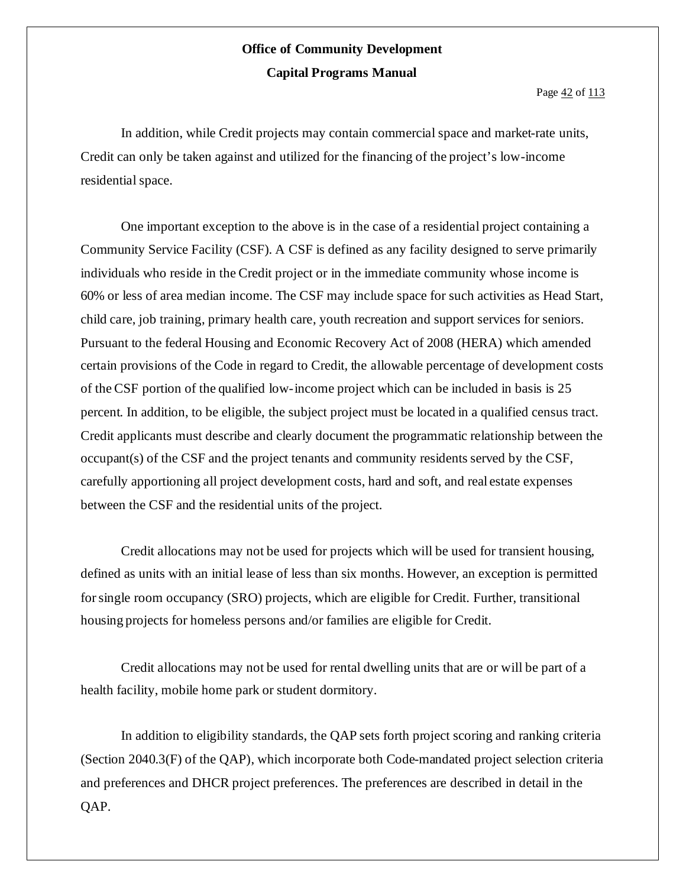Page  $42$  of  $113$ 

In addition, while Credit projects may contain commercial space and market-rate units, Credit can only be taken against and utilized for the financing of the project's low-income residential space.

One important exception to the above is in the case of a residential project containing a Community Service Facility (CSF). A CSF is defined as any facility designed to serve primarily individuals who reside in the Credit project or in the immediate community whose income is 60% or less of area median income. The CSF may include space for such activities as Head Start, child care, job training, primary health care, youth recreation and support services for seniors. Pursuant to the federal Housing and Economic Recovery Act of 2008 (HERA) which amended certain provisions of the Code in regard to Credit, the allowable percentage of development costs of the CSF portion of the qualified low-income project which can be included in basis is 25 percent. In addition, to be eligible, the subject project must be located in a qualified census tract. Credit applicants must describe and clearly document the programmatic relationship between the occupant(s) of the CSF and the project tenants and community residents served by the CSF, carefully apportioning all project development costs, hard and soft, and real estate expenses between the CSF and the residential units of the project.

Credit allocations may not be used for projects which will be used for transient housing, defined as units with an initial lease of less than six months. However, an exception is permitted forsingle room occupancy (SRO) projects, which are eligible for Credit. Further, transitional housing projects for homeless persons and/or families are eligible for Credit.

Credit allocations may not be used for rental dwelling units that are or will be part of a health facility, mobile home park or student dormitory.

In addition to eligibility standards, the QAP sets forth project scoring and ranking criteria (Section 2040.3(F) of the QAP), which incorporate both Code-mandated project selection criteria and preferences and DHCR project preferences. The preferences are described in detail in the QAP.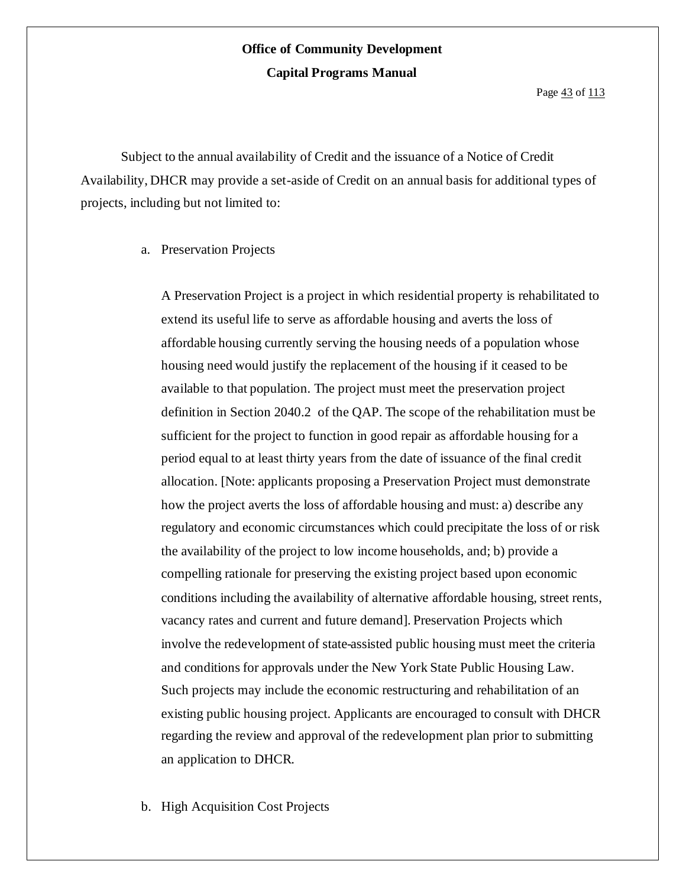Page  $\frac{43}{ }$  of  $\frac{113}{ }$ 

Subject to the annual availability of Credit and the issuance of a Notice of Credit Availability, DHCR may provide a set-aside of Credit on an annual basis for additional types of projects, including but not limited to:

a. Preservation Projects

A Preservation Project is a project in which residential property is rehabilitated to extend its useful life to serve as affordable housing and averts the loss of affordable housing currently serving the housing needs of a population whose housing need would justify the replacement of the housing if it ceased to be available to that population. The project must meet the preservation project definition in Section 2040.2 of the QAP. The scope of the rehabilitation must be sufficient for the project to function in good repair as affordable housing for a period equal to at least thirty years from the date of issuance of the final credit allocation. [Note: applicants proposing a Preservation Project must demonstrate how the project averts the loss of affordable housing and must: a) describe any regulatory and economic circumstances which could precipitate the loss of or risk the availability of the project to low income households, and; b) provide a compelling rationale for preserving the existing project based upon economic conditions including the availability of alternative affordable housing, street rents, vacancy rates and current and future demand]. Preservation Projects which involve the redevelopment of state-assisted public housing must meet the criteria and conditions for approvals under the New York State Public Housing Law. Such projects may include the economic restructuring and rehabilitation of an existing public housing project. Applicants are encouraged to consult with DHCR regarding the review and approval of the redevelopment plan prior to submitting an application to DHCR.

b. High Acquisition Cost Projects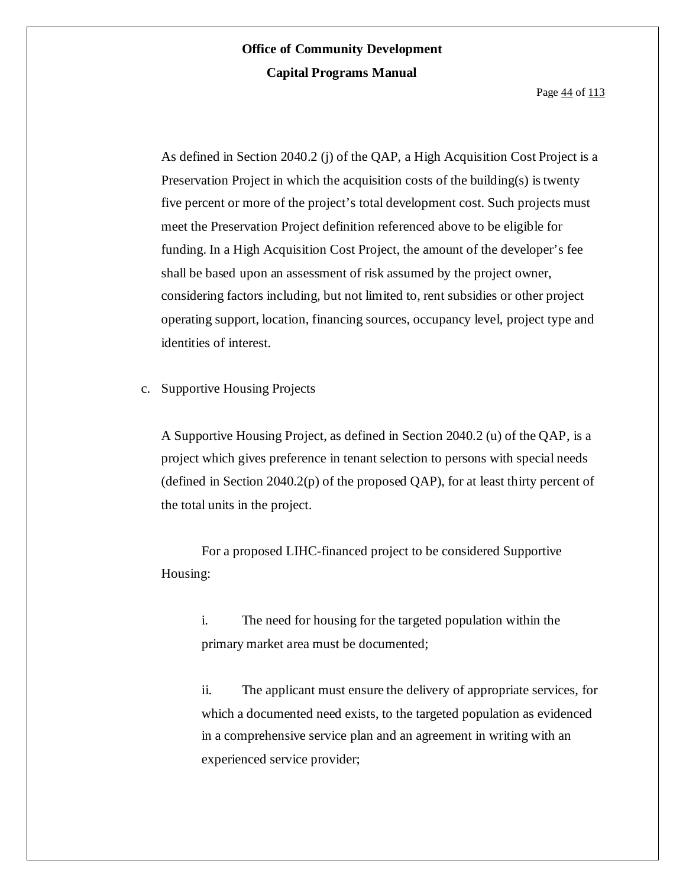Page  $\frac{44}{113}$ 

As defined in Section 2040.2 (j) of the QAP, a High Acquisition Cost Project is a Preservation Project in which the acquisition costs of the building(s) is twenty five percent or more of the project's total development cost. Such projects must meet the Preservation Project definition referenced above to be eligible for funding. In a High Acquisition Cost Project, the amount of the developer's fee shall be based upon an assessment of risk assumed by the project owner, considering factors including, but not limited to, rent subsidies or other project operating support, location, financing sources, occupancy level, project type and identities of interest.

c. Supportive Housing Projects

A Supportive Housing Project, as defined in Section 2040.2 (u) of the QAP, is a project which gives preference in tenant selection to persons with special needs (defined in Section 2040.2(p) of the proposed QAP), for at least thirty percent of the total units in the project.

For a proposed LIHC-financed project to be considered Supportive Housing:

i. The need for housing for the targeted population within the primary market area must be documented;

ii. The applicant must ensure the delivery of appropriate services, for which a documented need exists, to the targeted population as evidenced in a comprehensive service plan and an agreement in writing with an experienced service provider;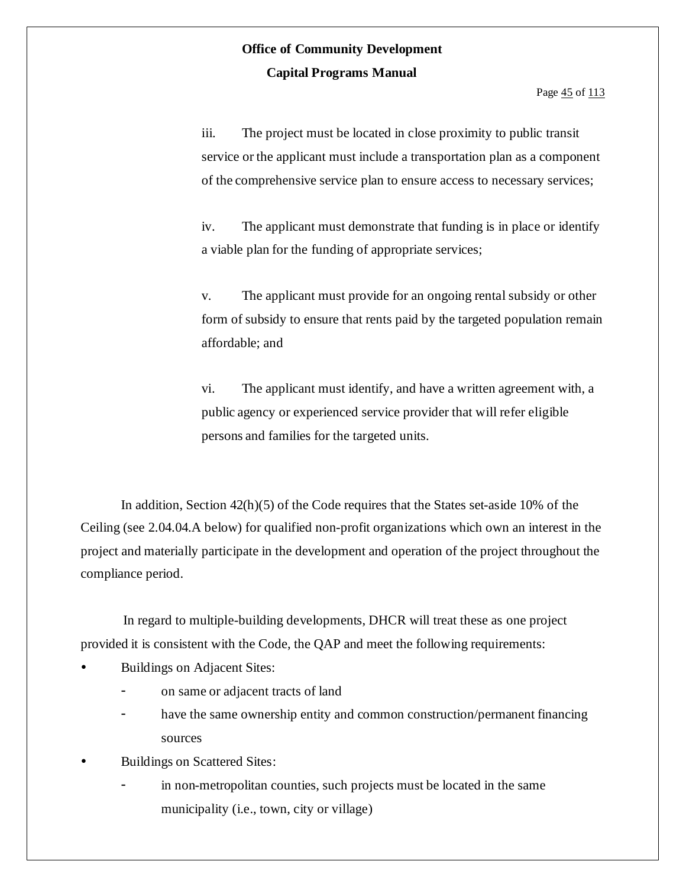Page  $\frac{45}{113}$ 

iii. The project must be located in close proximity to public transit service or the applicant must include a transportation plan as a component of the comprehensive service plan to ensure access to necessary services;

iv. The applicant must demonstrate that funding is in place or identify a viable plan for the funding of appropriate services;

v. The applicant must provide for an ongoing rental subsidy or other form of subsidy to ensure that rents paid by the targeted population remain affordable; and

vi. The applicant must identify, and have a written agreement with, a public agency or experienced service provider that will refer eligible persons and families for the targeted units.

In addition, Section 42(h)(5) of the Code requires that the States set-aside 10% of the Ceiling (see 2.04.04.A below) for qualified non-profit organizations which own an interest in the project and materially participate in the development and operation of the project throughout the compliance period.

In regard to multiple-building developments, DHCR will treat these as one project provided it is consistent with the Code, the QAP and meet the following requirements:

- Buildings on Adjacent Sites:
	- on same or adjacent tracts of land
	- have the same ownership entity and common construction/permanent financing sources
- Buildings on Scattered Sites:
	- in non-metropolitan counties, such projects must be located in the same municipality (i.e., town, city or village)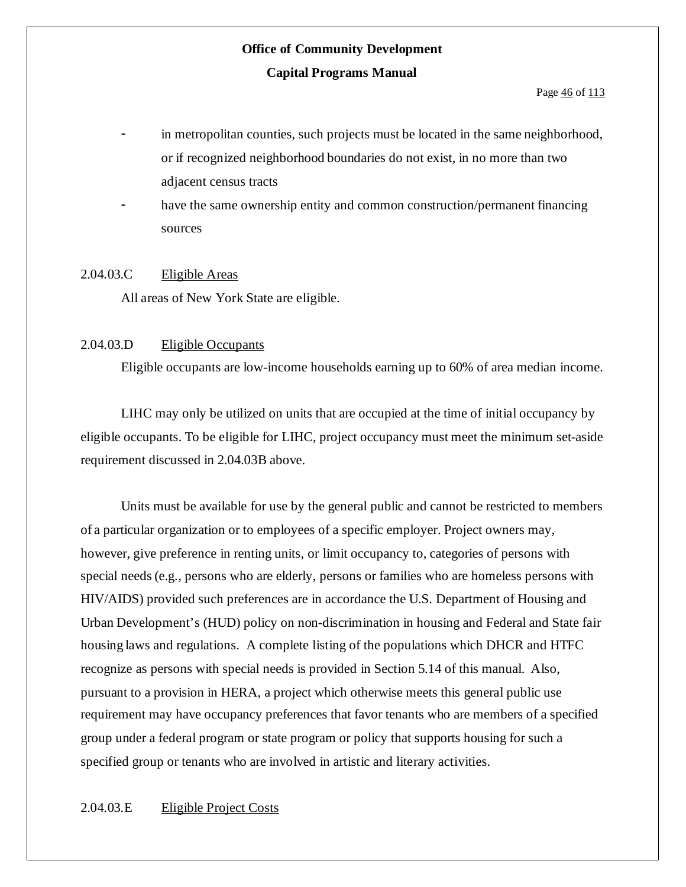Page  $\frac{46}{113}$ 

- in metropolitan counties, such projects must be located in the same neighborhood, or if recognized neighborhood boundaries do not exist, in no more than two adjacent census tracts
- have the same ownership entity and common construction/permanent financing sources

#### 2.04.03.C Eligible Areas

All areas of New York State are eligible.

#### 2.04.03.D Eligible Occupants

Eligible occupants are low-income households earning up to 60% of area median income.

LIHC may only be utilized on units that are occupied at the time of initial occupancy by eligible occupants. To be eligible for LIHC, project occupancy must meet the minimum set-aside requirement discussed in 2.04.03B above.

Units must be available for use by the general public and cannot be restricted to members of a particular organization or to employees of a specific employer. Project owners may, however, give preference in renting units, or limit occupancy to, categories of persons with special needs(e.g., persons who are elderly, persons or families who are homeless persons with HIV/AIDS) provided such preferences are in accordance the U.S. Department of Housing and Urban Development's (HUD) policy on non-discrimination in housing and Federal and State fair housing laws and regulations. A complete listing of the populations which DHCR and HTFC recognize as persons with special needs is provided in Section 5.14 of this manual. Also, pursuant to a provision in HERA, a project which otherwise meets this general public use requirement may have occupancy preferences that favor tenants who are members of a specified group under a federal program or state program or policy that supports housing for such a specified group or tenants who are involved in artistic and literary activities.

#### 2.04.03.E Eligible Project Costs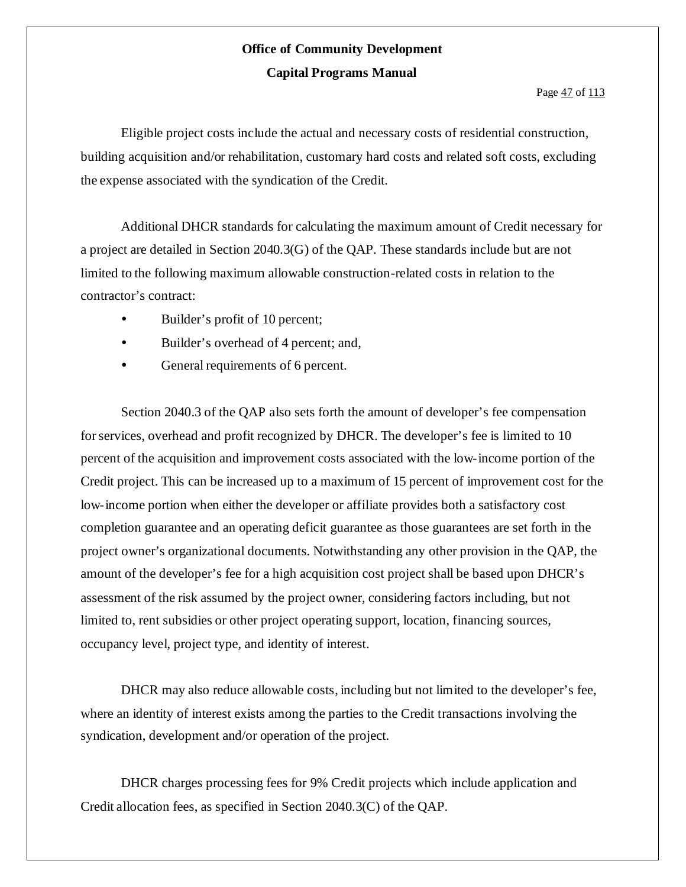Eligible project costs include the actual and necessary costs of residential construction, building acquisition and/or rehabilitation, customary hard costs and related soft costs, excluding the expense associated with the syndication of the Credit.

Additional DHCR standards for calculating the maximum amount of Credit necessary for a project are detailed in Section 2040.3(G) of the QAP. These standards include but are not limited to the following maximum allowable construction-related costs in relation to the contractor's contract:

- Builder's profit of 10 percent;
- Builder's overhead of 4 percent; and,
- General requirements of 6 percent.

Section 2040.3 of the QAP also sets forth the amount of developer's fee compensation for services, overhead and profit recognized by DHCR. The developer's fee is limited to 10 percent of the acquisition and improvement costs associated with the low-income portion of the Credit project. This can be increased up to a maximum of 15 percent of improvement cost for the low-income portion when either the developer or affiliate provides both a satisfactory cost completion guarantee and an operating deficit guarantee as those guarantees are set forth in the project owner's organizational documents. Notwithstanding any other provision in the QAP, the amount of the developer's fee for a high acquisition cost project shall be based upon DHCR's assessment of the risk assumed by the project owner, considering factors including, but not limited to, rent subsidies or other project operating support, location, financing sources, occupancy level, project type, and identity of interest.

DHCR may also reduce allowable costs, including but not limited to the developer's fee, where an identity of interest exists among the parties to the Credit transactions involving the syndication, development and/or operation of the project.

DHCR charges processing fees for 9% Credit projects which include application and Credit allocation fees, as specified in Section 2040.3(C) of the QAP.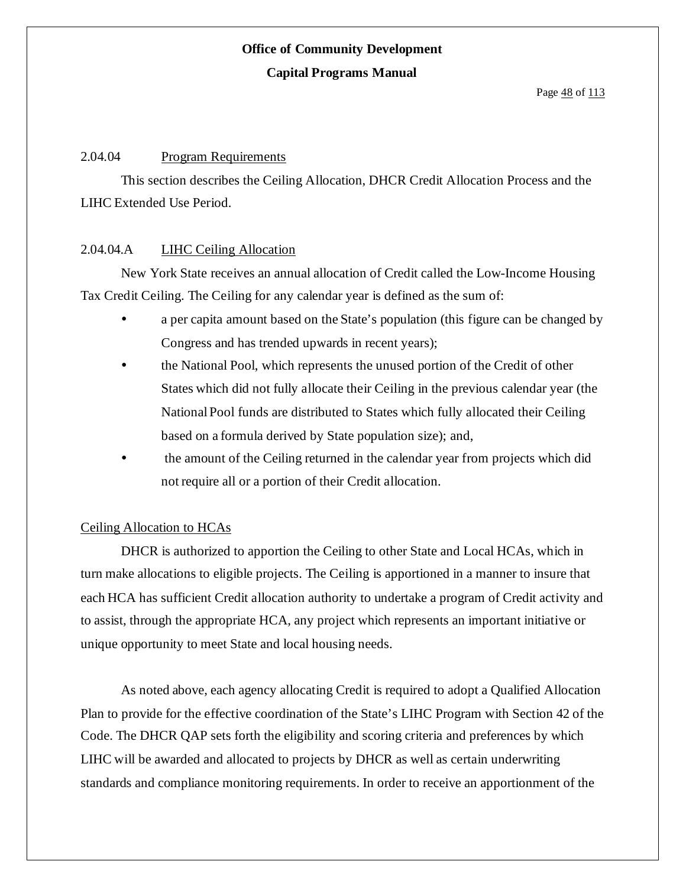#### 2.04.04 Program Requirements

This section describes the Ceiling Allocation, DHCR Credit Allocation Process and the LIHC Extended Use Period.

#### 2.04.04.A LIHC Ceiling Allocation

New York State receives an annual allocation of Credit called the Low-Income Housing Tax Credit Ceiling. The Ceiling for any calendar year is defined as the sum of:

- a per capita amount based on the State's population (this figure can be changed by Congress and has trended upwards in recent years);
- the National Pool, which represents the unused portion of the Credit of other States which did not fully allocate their Ceiling in the previous calendar year (the National Pool funds are distributed to States which fully allocated their Ceiling based on a formula derived by State population size); and,
- the amount of the Ceiling returned in the calendar year from projects which did not require all or a portion of their Credit allocation.

#### Ceiling Allocation to HCAs

DHCR is authorized to apportion the Ceiling to other State and Local HCAs, which in turn make allocations to eligible projects. The Ceiling is apportioned in a manner to insure that each HCA has sufficient Credit allocation authority to undertake a program of Credit activity and to assist, through the appropriate HCA, any project which represents an important initiative or unique opportunity to meet State and local housing needs.

As noted above, each agency allocating Credit is required to adopt a Qualified Allocation Plan to provide for the effective coordination of the State's LIHC Program with Section 42 of the Code. The DHCR QAP sets forth the eligibility and scoring criteria and preferences by which LIHC will be awarded and allocated to projects by DHCR as well as certain underwriting standards and compliance monitoring requirements. In order to receive an apportionment of the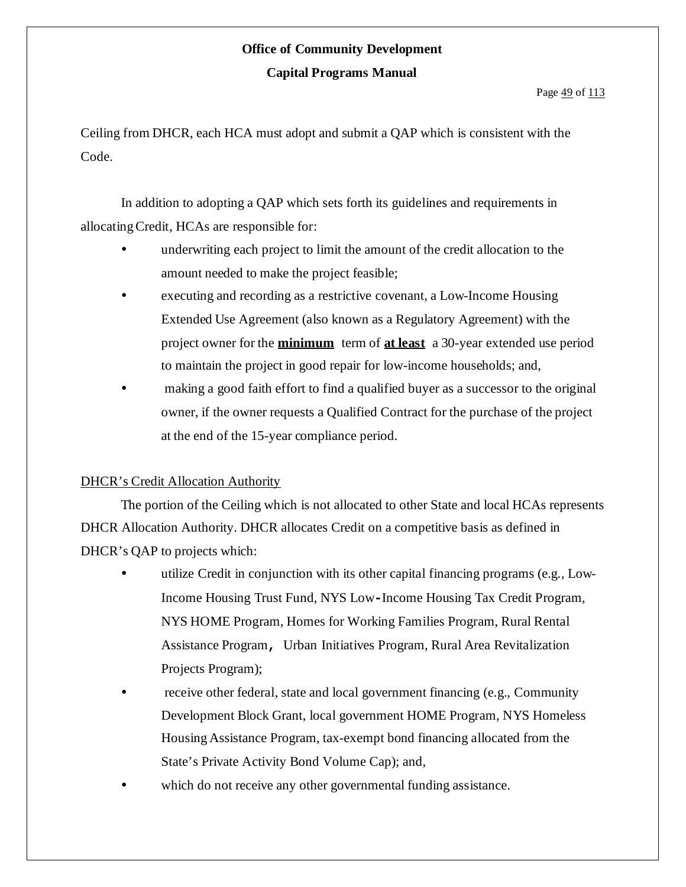Ceiling from DHCR, each HCA must adopt and submit a QAP which is consistent with the Code.

In addition to adopting a QAP which sets forth its guidelines and requirements in allocatingCredit, HCAs are responsible for:

- underwriting each project to limit the amount of the credit allocation to the amount needed to make the project feasible;
- executing and recording as a restrictive covenant, a Low-Income Housing Extended Use Agreement (also known as a Regulatory Agreement) with the project owner for the **minimum** term of **at least** a 30-year extended use period to maintain the project in good repair for low-income households; and,
- making a good faith effort to find a qualified buyer as a successor to the original owner, if the owner requests a Qualified Contract for the purchase of the project at the end of the 15-year compliance period.

#### DHCR's Credit Allocation Authority

The portion of the Ceiling which is not allocated to other State and local HCAs represents DHCR Allocation Authority. DHCR allocates Credit on a competitive basis as defined in DHCR's OAP to projects which:

- utilize Credit in conjunction with its other capital financing programs (e.g., Low-Income Housing Trust Fund, NYS Low**-**Income Housing Tax Credit Program, NYS HOME Program, Homes for Working Families Program, Rural Rental Assistance Program**,** Urban Initiatives Program, Rural Area Revitalization Projects Program);
- receive other federal, state and local government financing (e.g., Community Development Block Grant, local government HOME Program, NYS Homeless Housing Assistance Program, tax-exempt bond financing allocated from the State's Private Activity Bond Volume Cap); and,
- which do not receive any other governmental funding assistance.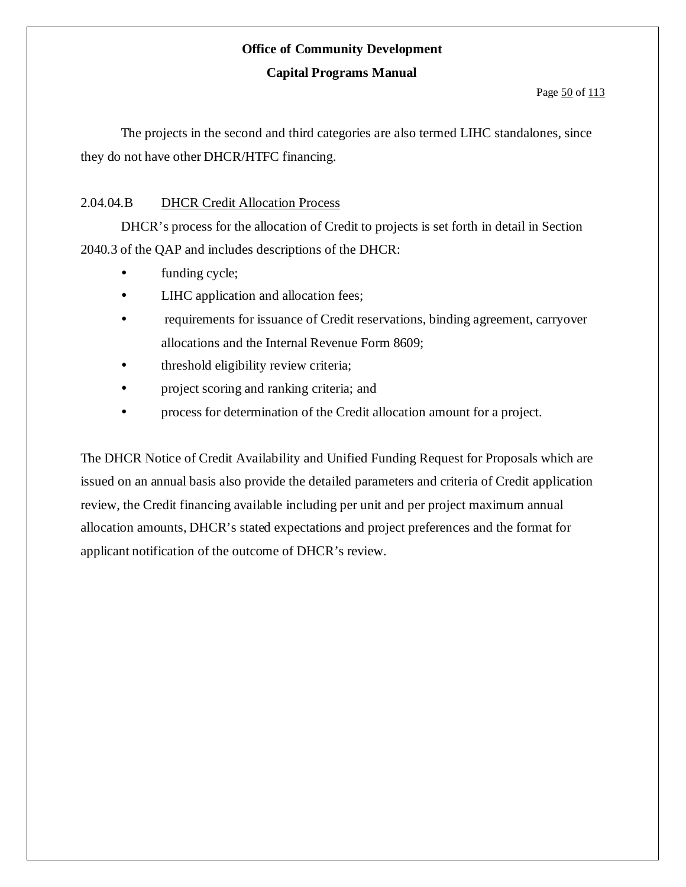# **Office of Community Development**

#### **Capital Programs Manual**

The projects in the second and third categories are also termed LIHC standalones, since they do not have other DHCR/HTFC financing.

#### 2.04.04.B DHCR Credit Allocation Process

DHCR's process for the allocation of Credit to projects is set forth in detail in Section 2040.3 of the QAP and includes descriptions of the DHCR:

- funding cycle;
- LIHC application and allocation fees;
- requirements for issuance of Credit reservations, binding agreement, carryover allocations and the Internal Revenue Form 8609;
- threshold eligibility review criteria;
- project scoring and ranking criteria; and
- process for determination of the Credit allocation amount for a project.

The DHCR Notice of Credit Availability and Unified Funding Request for Proposals which are issued on an annual basis also provide the detailed parameters and criteria of Credit application review, the Credit financing available including per unit and per project maximum annual allocation amounts, DHCR's stated expectations and project preferences and the format for applicant notification of the outcome of DHCR's review.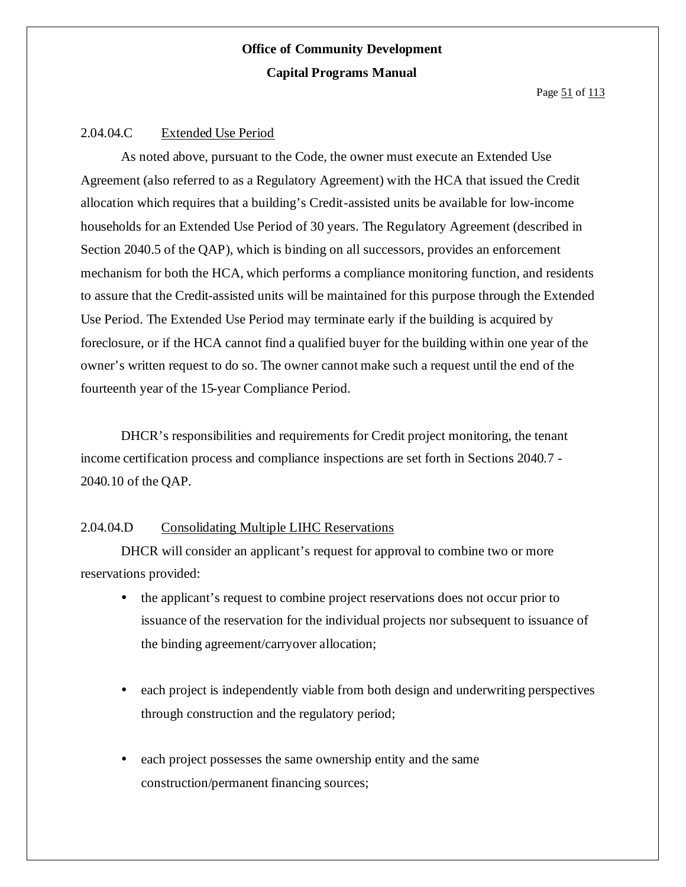#### 2.04.04.C Extended Use Period

As noted above, pursuant to the Code, the owner must execute an Extended Use Agreement (also referred to as a Regulatory Agreement) with the HCA that issued the Credit allocation which requires that a building's Credit-assisted units be available for low-income households for an Extended Use Period of 30 years. The Regulatory Agreement (described in Section 2040.5 of the QAP), which is binding on all successors, provides an enforcement mechanism for both the HCA, which performs a compliance monitoring function, and residents to assure that the Credit-assisted units will be maintained for this purpose through the Extended Use Period. The Extended Use Period may terminate early if the building is acquired by foreclosure, or if the HCA cannot find a qualified buyer for the building within one year of the owner's written request to do so. The owner cannot make such a request until the end of the fourteenth year of the 15-year Compliance Period.

DHCR's responsibilities and requirements for Credit project monitoring, the tenant income certification process and compliance inspections are set forth in Sections 2040.7 - 2040.10 of the QAP.

#### 2.04.04.D Consolidating Multiple LIHC Reservations

DHCR will consider an applicant's request for approval to combine two or more reservations provided:

- the applicant's request to combine project reservations does not occur prior to issuance of the reservation for the individual projects nor subsequent to issuance of the binding agreement/carryover allocation;
- each project is independently viable from both design and underwriting perspectives through construction and the regulatory period;
- each project possesses the same ownership entity and the same construction/permanent financing sources;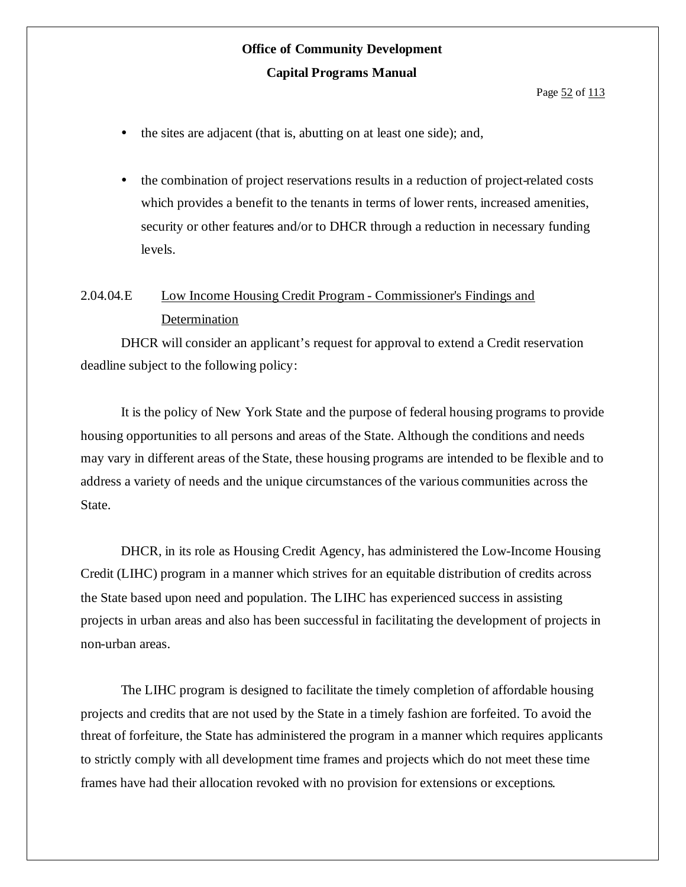- the sites are adjacent (that is, abutting on at least one side); and,
- the combination of project reservations results in a reduction of project-related costs which provides a benefit to the tenants in terms of lower rents, increased amenities, security or other features and/or to DHCR through a reduction in necessary funding levels.

### 2.04.04.E Low Income Housing Credit Program - Commissioner's Findings and Determination

DHCR will consider an applicant's request for approval to extend a Credit reservation deadline subject to the following policy:

It is the policy of New York State and the purpose of federal housing programs to provide housing opportunities to all persons and areas of the State. Although the conditions and needs may vary in different areas of the State, these housing programs are intended to be flexible and to address a variety of needs and the unique circumstances of the various communities across the State.

DHCR, in its role as Housing Credit Agency, has administered the Low-Income Housing Credit (LIHC) program in a manner which strives for an equitable distribution of credits across the State based upon need and population. The LIHC has experienced success in assisting projects in urban areas and also has been successful in facilitating the development of projects in non-urban areas.

The LIHC program is designed to facilitate the timely completion of affordable housing projects and credits that are not used by the State in a timely fashion are forfeited. To avoid the threat of forfeiture, the State has administered the program in a manner which requires applicants to strictly comply with all development time frames and projects which do not meet these time frames have had their allocation revoked with no provision for extensions or exceptions.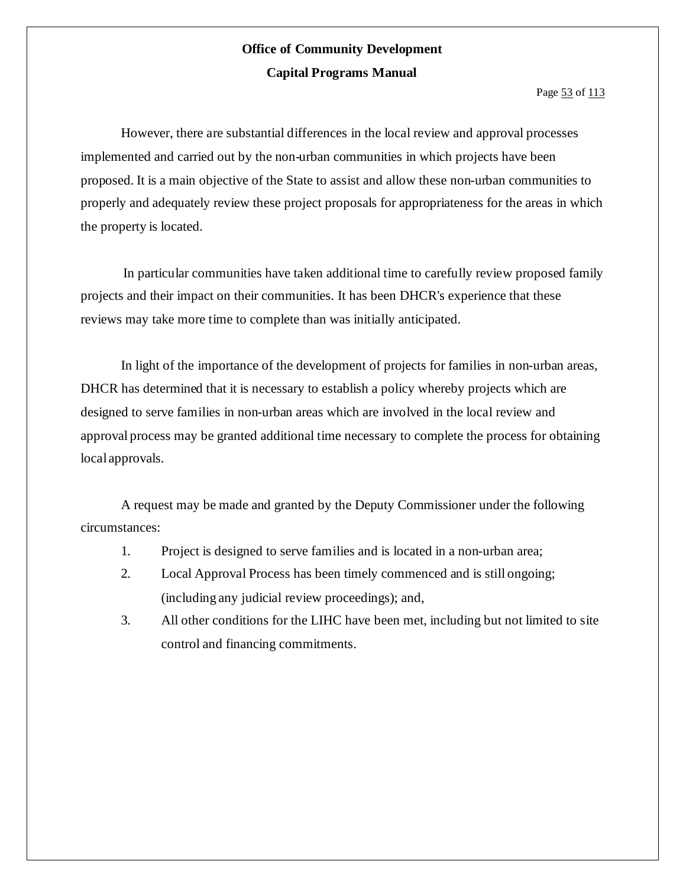Page 53 of 113

However, there are substantial differences in the local review and approval processes implemented and carried out by the non-urban communities in which projects have been proposed. It is a main objective of the State to assist and allow these non-urban communities to properly and adequately review these project proposals for appropriateness for the areas in which the property is located.

In particular communities have taken additional time to carefully review proposed family projects and their impact on their communities. It has been DHCR's experience that these reviews may take more time to complete than was initially anticipated.

In light of the importance of the development of projects for families in non-urban areas, DHCR has determined that it is necessary to establish a policy whereby projects which are designed to serve families in non-urban areas which are involved in the local review and approval process may be granted additional time necessary to complete the process for obtaining local approvals.

A request may be made and granted by the Deputy Commissioner under the following circumstances:

- 1. Project is designed to serve families and is located in a non-urban area;
- 2. Local Approval Process has been timely commenced and is still ongoing; (including any judicial review proceedings); and,
- 3. All other conditions for the LIHC have been met, including but not limited to site control and financing commitments.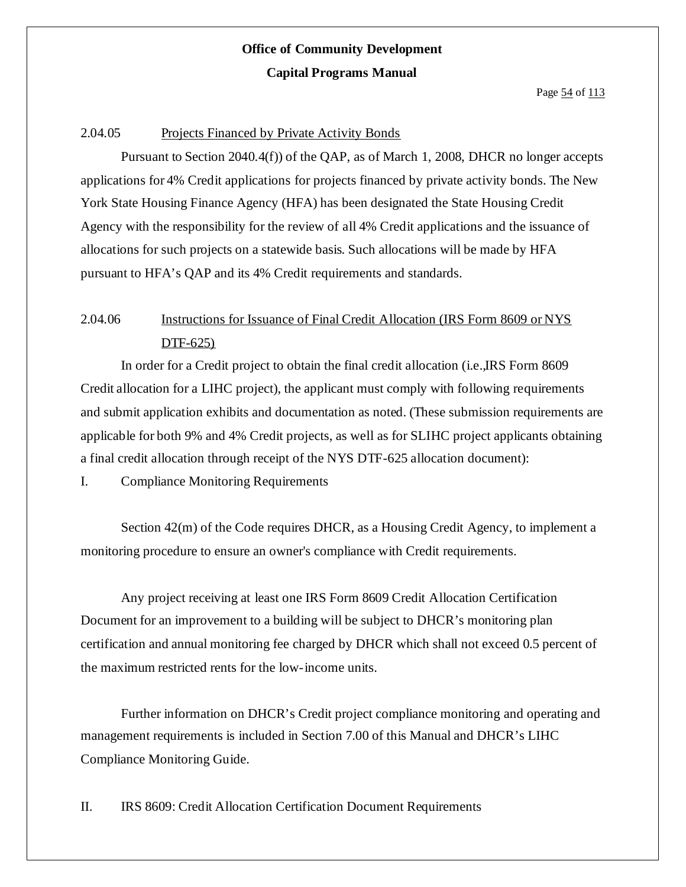#### 2.04.05 Projects Financed by Private Activity Bonds

Pursuant to Section 2040.4(f)) of the QAP, as of March 1, 2008, DHCR no longer accepts applications for 4% Credit applications for projects financed by private activity bonds. The New York State Housing Finance Agency (HFA) has been designated the State Housing Credit Agency with the responsibility for the review of all 4% Credit applications and the issuance of allocations for such projects on a statewide basis. Such allocations will be made by HFA pursuant to HFA's QAP and its 4% Credit requirements and standards.

### 2.04.06 Instructions for Issuance of Final Credit Allocation (IRS Form 8609 or NYS DTF-625)

In order for a Credit project to obtain the final credit allocation (i.e.,IRS Form 8609 Credit allocation for a LIHC project), the applicant must comply with following requirements and submit application exhibits and documentation as noted. (These submission requirements are applicable for both 9% and 4% Credit projects, as well as for SLIHC project applicants obtaining a final credit allocation through receipt of the NYS DTF-625 allocation document):

I. Compliance Monitoring Requirements

Section 42(m) of the Code requires DHCR, as a Housing Credit Agency, to implement a monitoring procedure to ensure an owner's compliance with Credit requirements.

Any project receiving at least one IRS Form 8609 Credit Allocation Certification Document for an improvement to a building will be subject to DHCR's monitoring plan certification and annual monitoring fee charged by DHCR which shall not exceed 0.5 percent of the maximum restricted rents for the low-income units.

Further information on DHCR's Credit project compliance monitoring and operating and management requirements is included in Section 7.00 of this Manual and DHCR's LIHC Compliance Monitoring Guide.

II. IRS 8609: Credit Allocation Certification Document Requirements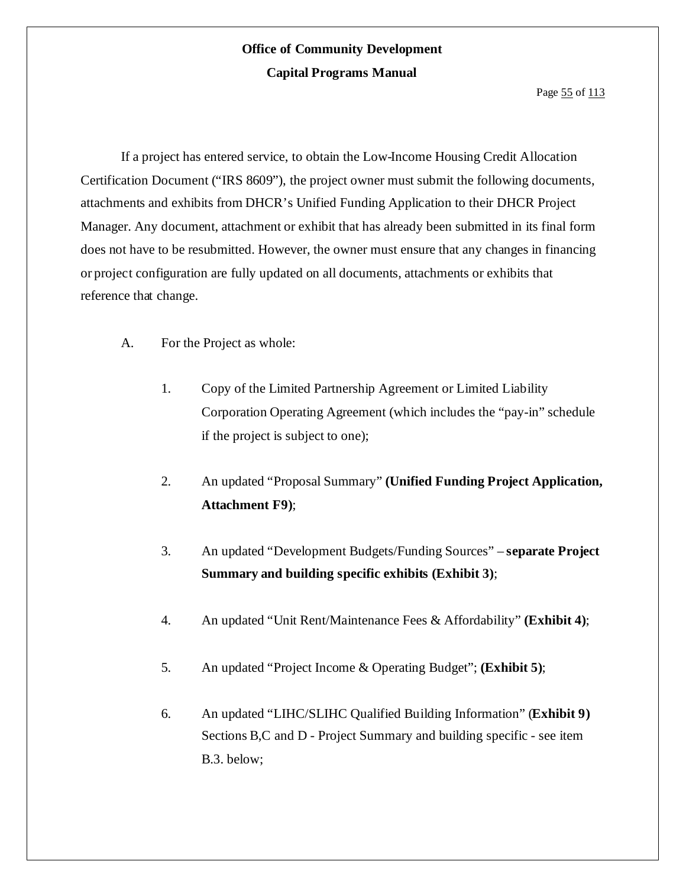If a project has entered service, to obtain the Low-Income Housing Credit Allocation Certification Document ("IRS 8609"), the project owner must submit the following documents, attachments and exhibits from DHCR's Unified Funding Application to their DHCR Project Manager. Any document, attachment or exhibit that has already been submitted in its final form does not have to be resubmitted. However, the owner must ensure that any changes in financing or project configuration are fully updated on all documents, attachments or exhibits that reference that change.

- A. For the Project as whole:
	- 1. Copy of the Limited Partnership Agreement or Limited Liability Corporation Operating Agreement (which includes the "pay-in" schedule if the project is subject to one);
	- 2. An updated "Proposal Summary" **(Unified Funding Project Application, Attachment F9)**;
	- 3. An updated "Development Budgets/Funding Sources" **separate Project Summary and building specific exhibits (Exhibit 3)**;
	- 4. An updated "Unit Rent/Maintenance Fees & Affordability" **(Exhibit 4)**;
	- 5. An updated "Project Income & Operating Budget"; **(Exhibit 5)**;
	- 6. An updated "LIHC/SLIHC Qualified Building Information" (**Exhibit 9)** Sections B,C and D - Project Summary and building specific - see item B.3. below;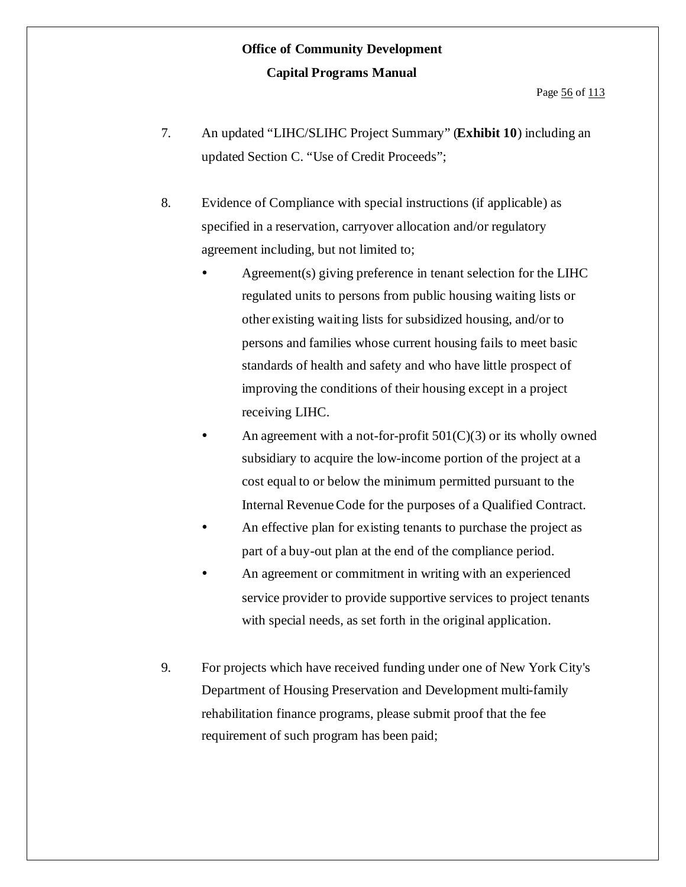- 7. An updated "LIHC/SLIHC Project Summary" (**Exhibit 10**) including an updated Section C. "Use of Credit Proceeds";
- 8. Evidence of Compliance with special instructions (if applicable) as specified in a reservation, carryover allocation and/or regulatory agreement including, but not limited to;
	- Agreement(s) giving preference in tenant selection for the LIHC regulated units to persons from public housing waiting lists or other existing waiting lists for subsidized housing, and/or to persons and families whose current housing fails to meet basic standards of health and safety and who have little prospect of improving the conditions of their housing except in a project receiving LIHC.
	- An agreement with a not-for-profit  $501(C)(3)$  or its wholly owned subsidiary to acquire the low-income portion of the project at a cost equal to or below the minimum permitted pursuant to the Internal Revenue Code for the purposes of a Qualified Contract.
	- An effective plan for existing tenants to purchase the project as part of a buy-out plan at the end of the compliance period.
	- An agreement or commitment in writing with an experienced service provider to provide supportive services to project tenants with special needs, as set forth in the original application.
- 9. For projects which have received funding under one of New York City's Department of Housing Preservation and Development multi-family rehabilitation finance programs, please submit proof that the fee requirement of such program has been paid;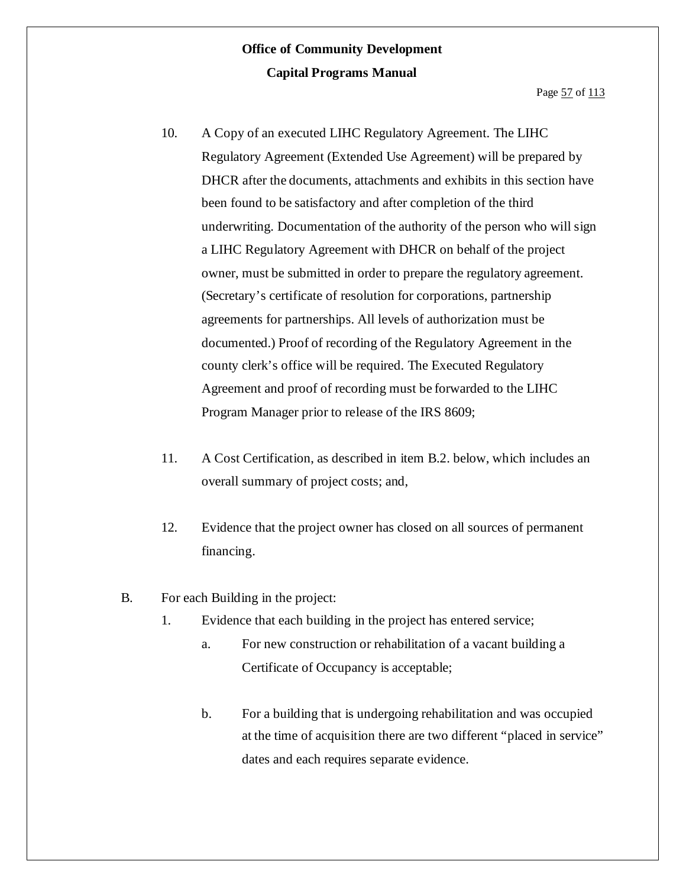- 10. A Copy of an executed LIHC Regulatory Agreement. The LIHC Regulatory Agreement (Extended Use Agreement) will be prepared by DHCR after the documents, attachments and exhibits in this section have been found to be satisfactory and after completion of the third underwriting. Documentation of the authority of the person who will sign a LIHC Regulatory Agreement with DHCR on behalf of the project owner, must be submitted in order to prepare the regulatory agreement. (Secretary's certificate of resolution for corporations, partnership agreements for partnerships. All levels of authorization must be documented.) Proof of recording of the Regulatory Agreement in the county clerk's office will be required. The Executed Regulatory Agreement and proof of recording must be forwarded to the LIHC Program Manager prior to release of the IRS 8609;
- 11. A Cost Certification, as described in item B.2. below, which includes an overall summary of project costs; and,
- 12. Evidence that the project owner has closed on all sources of permanent financing.
- B. For each Building in the project:
	- 1. Evidence that each building in the project has entered service;
		- a. For new construction or rehabilitation of a vacant building a Certificate of Occupancy is acceptable;
		- b. For a building that is undergoing rehabilitation and was occupied at the time of acquisition there are two different "placed in service" dates and each requires separate evidence.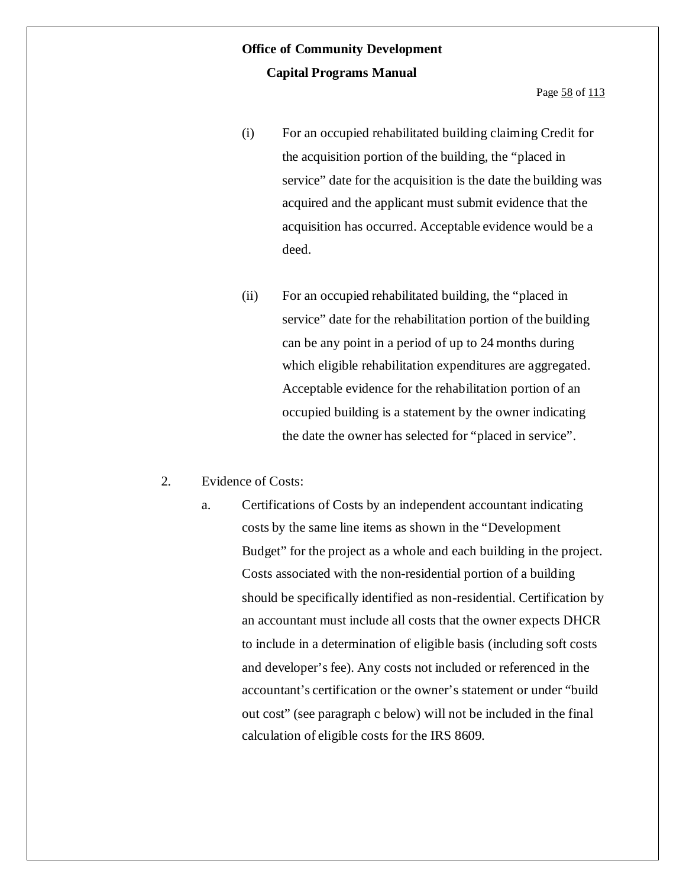Page 58 of 113

- (i) For an occupied rehabilitated building claiming Credit for the acquisition portion of the building, the "placed in service" date for the acquisition is the date the building was acquired and the applicant must submit evidence that the acquisition has occurred. Acceptable evidence would be a deed.
- (ii) For an occupied rehabilitated building, the "placed in service" date for the rehabilitation portion of the building can be any point in a period of up to 24 months during which eligible rehabilitation expenditures are aggregated. Acceptable evidence for the rehabilitation portion of an occupied building is a statement by the owner indicating the date the owner has selected for "placed in service".

#### 2. Evidence of Costs:

a. Certifications of Costs by an independent accountant indicating costs by the same line items as shown in the "Development Budget" for the project as a whole and each building in the project. Costs associated with the non-residential portion of a building should be specifically identified as non-residential. Certification by an accountant must include all costs that the owner expects DHCR to include in a determination of eligible basis (including soft costs and developer'sfee). Any costs not included or referenced in the accountant's certification or the owner's statement or under "build out cost" (see paragraph c below) will not be included in the final calculation of eligible costs for the IRS 8609.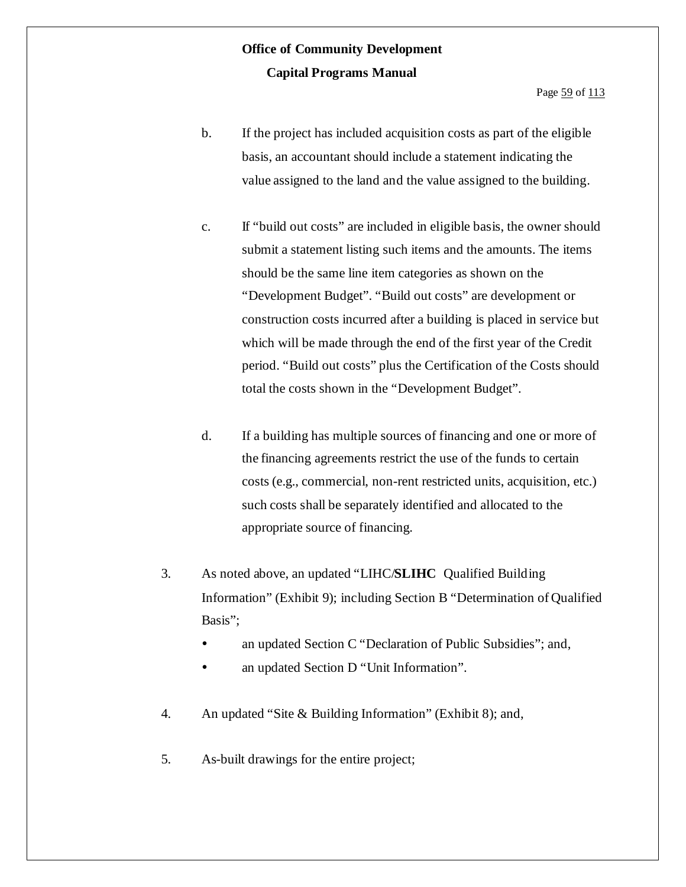Page 59 of 113

- b. If the project has included acquisition costs as part of the eligible basis, an accountant should include a statement indicating the value assigned to the land and the value assigned to the building.
- c. If "build out costs" are included in eligible basis, the owner should submit a statement listing such items and the amounts. The items should be the same line item categories as shown on the "Development Budget". "Build out costs" are development or construction costs incurred after a building is placed in service but which will be made through the end of the first year of the Credit period. "Build out costs" plus the Certification of the Costs should total the costs shown in the "Development Budget".
- d. If a building has multiple sources of financing and one or more of the financing agreements restrict the use of the funds to certain costs (e.g., commercial, non-rent restricted units, acquisition, etc.) such costs shall be separately identified and allocated to the appropriate source of financing.
- 3. As noted above, an updated "LIHC/**SLIHC** Qualified Building Information" (Exhibit 9); including Section B "Determination of Qualified Basis";
	- an updated Section C "Declaration of Public Subsidies"; and,
	- an updated Section D "Unit Information".
- 4. An updated "Site & Building Information" (Exhibit 8); and,
- 5. As-built drawings for the entire project;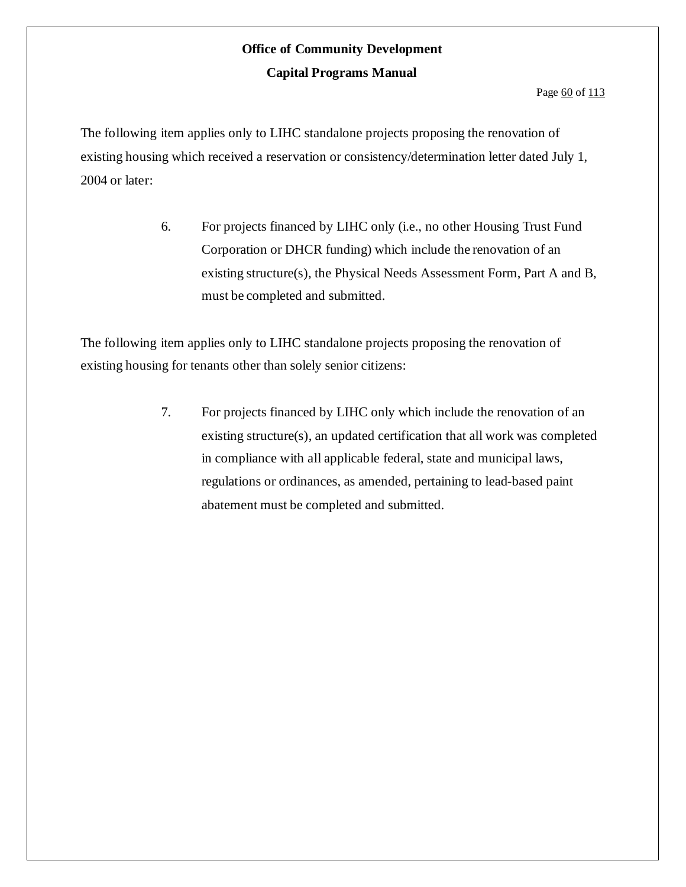#### Page 60 of 113

The following item applies only to LIHC standalone projects proposing the renovation of existing housing which received a reservation or consistency/determination letter dated July 1, 2004 or later:

> 6. For projects financed by LIHC only (i.e., no other Housing Trust Fund Corporation or DHCR funding) which include the renovation of an existing structure(s), the Physical Needs Assessment Form, Part A and B, must be completed and submitted.

The following item applies only to LIHC standalone projects proposing the renovation of existing housing for tenants other than solely senior citizens:

> 7. For projects financed by LIHC only which include the renovation of an existing structure(s), an updated certification that all work was completed in compliance with all applicable federal, state and municipal laws, regulations or ordinances, as amended, pertaining to lead-based paint abatement must be completed and submitted.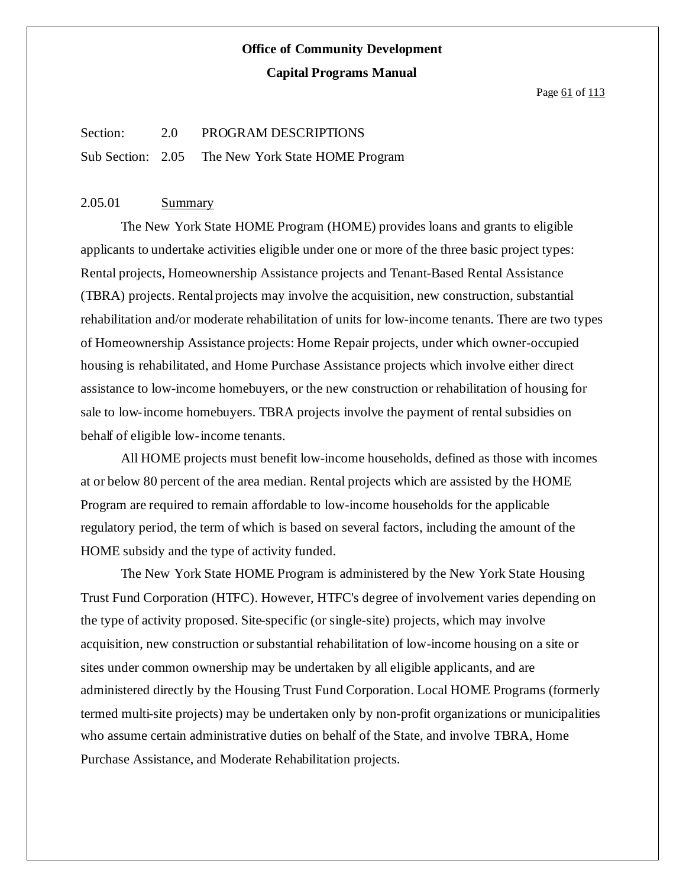Page 61 of 113

#### Section: 2.0 PROGRAM DESCRIPTIONS

Sub Section: 2.05 The New York State HOME Program

### 2.05.01 Summary

The New York State HOME Program (HOME) provides loans and grants to eligible applicants to undertake activities eligible under one or more of the three basic project types: Rental projects, Homeownership Assistance projects and Tenant-Based Rental Assistance (TBRA) projects. Rentalprojects may involve the acquisition, new construction, substantial rehabilitation and/or moderate rehabilitation of units for low-income tenants. There are two types of Homeownership Assistance projects: Home Repair projects, under which owner-occupied housing is rehabilitated, and Home Purchase Assistance projects which involve either direct assistance to low-income homebuyers, or the new construction or rehabilitation of housing for sale to low-income homebuyers. TBRA projects involve the payment of rental subsidies on behalf of eligible low-income tenants.

All HOME projects must benefit low-income households, defined as those with incomes at or below 80 percent of the area median. Rental projects which are assisted by the HOME Program are required to remain affordable to low-income households for the applicable regulatory period, the term of which is based on several factors, including the amount of the HOME subsidy and the type of activity funded.

The New York State HOME Program is administered by the New York State Housing Trust Fund Corporation (HTFC). However, HTFC's degree of involvement varies depending on the type of activity proposed. Site-specific (or single-site) projects, which may involve acquisition, new construction orsubstantial rehabilitation of low-income housing on a site or sites under common ownership may be undertaken by all eligible applicants, and are administered directly by the Housing Trust Fund Corporation. Local HOME Programs (formerly termed multi-site projects) may be undertaken only by non-profit organizations or municipalities who assume certain administrative duties on behalf of the State, and involve TBRA, Home Purchase Assistance, and Moderate Rehabilitation projects.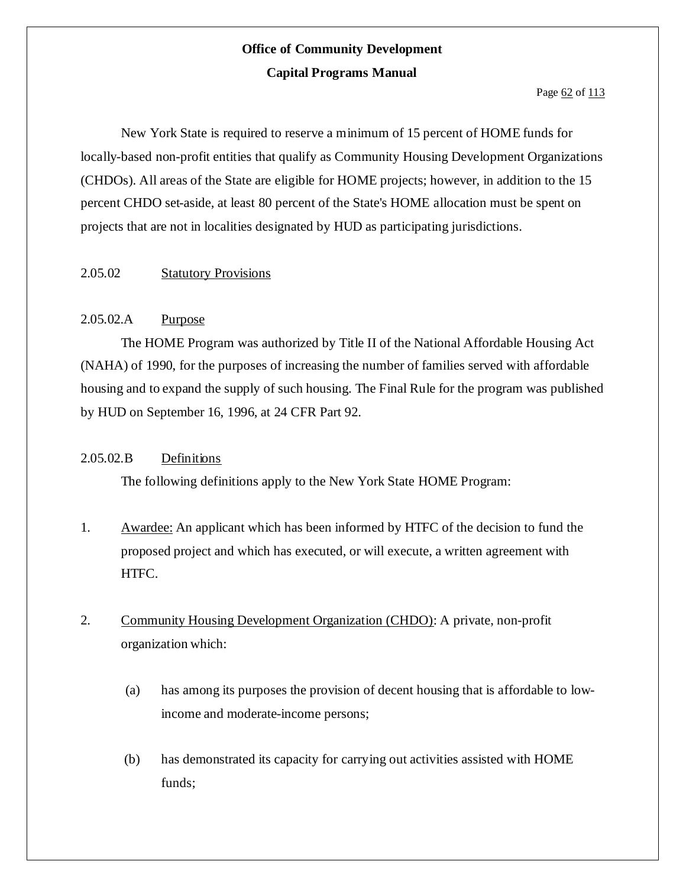Page 62 of 113

New York State is required to reserve a minimum of 15 percent of HOME funds for locally-based non-profit entities that qualify as Community Housing Development Organizations (CHDOs). All areas of the State are eligible for HOME projects; however, in addition to the 15 percent CHDO set-aside, at least 80 percent of the State's HOME allocation must be spent on projects that are not in localities designated by HUD as participating jurisdictions.

### 2.05.02 Statutory Provisions

### 2.05.02.A Purpose

The HOME Program was authorized by Title II of the National Affordable Housing Act (NAHA) of 1990, for the purposes of increasing the number of families served with affordable housing and to expand the supply of such housing. The Final Rule for the program was published by HUD on September 16, 1996, at 24 CFR Part 92.

### 2.05.02.B Definitions

The following definitions apply to the New York State HOME Program:

- 1. Awardee: An applicant which has been informed by HTFC of the decision to fund the proposed project and which has executed, or will execute, a written agreement with HTFC.
- 2. Community Housing Development Organization (CHDO): A private, non-profit organization which:
	- (a) has among its purposes the provision of decent housing that is affordable to lowincome and moderate-income persons;
	- (b) has demonstrated its capacity for carrying out activities assisted with HOME funds;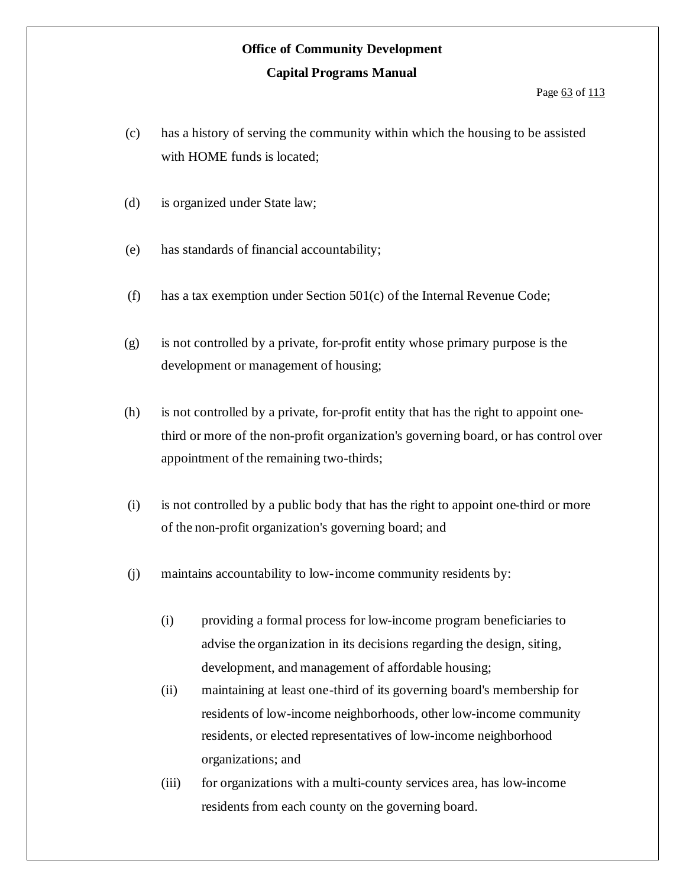- (c) has a history of serving the community within which the housing to be assisted with HOME funds is located;
- (d) is organized under State law;
- (e) has standards of financial accountability;
- (f) has a tax exemption under Section 501(c) of the Internal Revenue Code;
- (g) is not controlled by a private, for-profit entity whose primary purpose is the development or management of housing;
- (h) is not controlled by a private, for-profit entity that has the right to appoint onethird or more of the non-profit organization's governing board, or has control over appointment of the remaining two-thirds;
- (i) is not controlled by a public body that has the right to appoint one-third or more of the non-profit organization's governing board; and
- (j) maintains accountability to low-income community residents by:
	- (i) providing a formal process for low-income program beneficiaries to advise the organization in its decisions regarding the design, siting, development, and management of affordable housing;
	- (ii) maintaining at least one-third of its governing board's membership for residents of low-income neighborhoods, other low-income community residents, or elected representatives of low-income neighborhood organizations; and
	- (iii) for organizations with a multi-county services area, has low-income residents from each county on the governing board.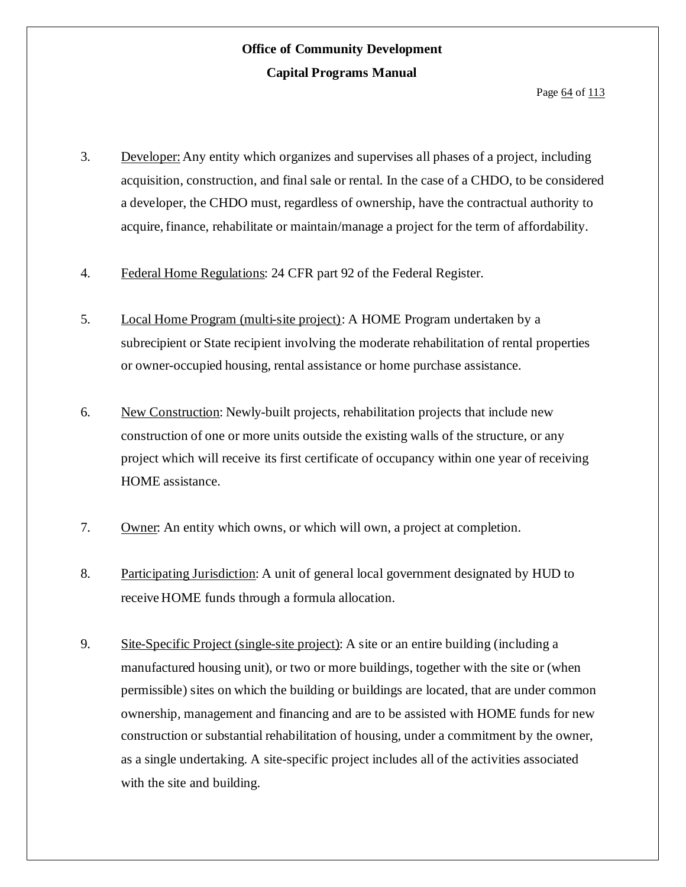- 3. Developer: Any entity which organizes and supervises all phases of a project, including acquisition, construction, and final sale or rental. In the case of a CHDO, to be considered a developer, the CHDO must, regardless of ownership, have the contractual authority to acquire, finance, rehabilitate or maintain/manage a project for the term of affordability.
- 4. Federal Home Regulations: 24 CFR part 92 of the Federal Register.
- 5. Local Home Program (multi-site project): A HOME Program undertaken by a subrecipient or State recipient involving the moderate rehabilitation of rental properties or owner-occupied housing, rental assistance or home purchase assistance.
- 6. New Construction: Newly-built projects, rehabilitation projects that include new construction of one or more units outside the existing walls of the structure, or any project which will receive its first certificate of occupancy within one year of receiving HOME assistance.
- 7. Owner: An entity which owns, or which will own, a project at completion.
- 8. Participating Jurisdiction: A unit of general local government designated by HUD to receive HOME funds through a formula allocation.
- 9. Site-Specific Project (single-site project): A site or an entire building (including a manufactured housing unit), or two or more buildings, together with the site or (when permissible) sites on which the building or buildings are located, that are under common ownership, management and financing and are to be assisted with HOME funds for new construction or substantial rehabilitation of housing, under a commitment by the owner, as a single undertaking. A site-specific project includes all of the activities associated with the site and building.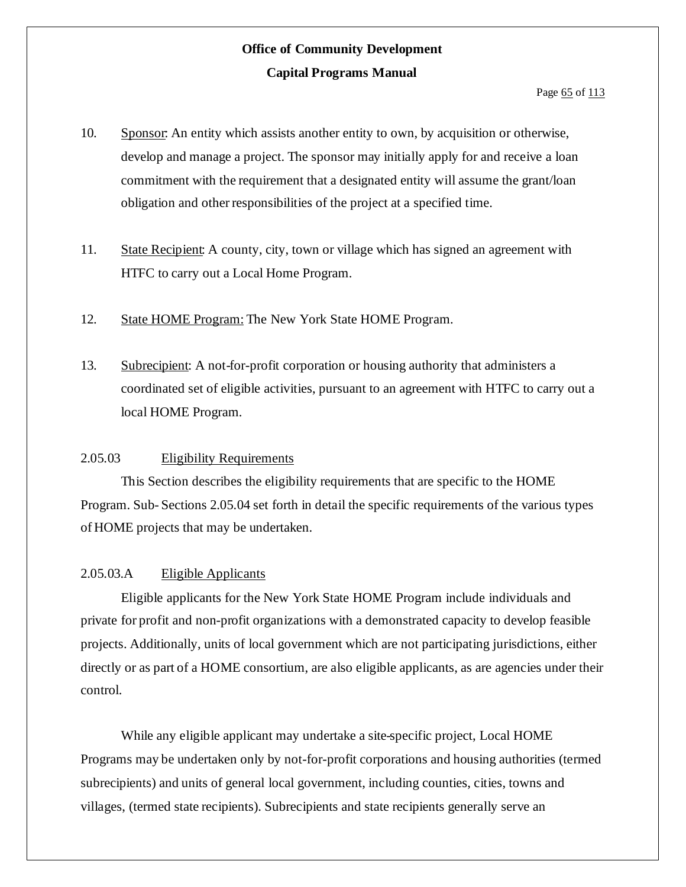- 10. Sponsor: An entity which assists another entity to own, by acquisition or otherwise, develop and manage a project. The sponsor may initially apply for and receive a loan commitment with the requirement that a designated entity will assume the grant/loan obligation and otherresponsibilities of the project at a specified time.
- 11. State Recipient: A county, city, town or village which has signed an agreement with HTFC to carry out a Local Home Program.
- 12. State HOME Program: The New York State HOME Program.
- 13. Subrecipient: A not-for-profit corporation or housing authority that administers a coordinated set of eligible activities, pursuant to an agreement with HTFC to carry out a local HOME Program.

### 2.05.03 Eligibility Requirements

This Section describes the eligibility requirements that are specific to the HOME Program. Sub- Sections 2.05.04 set forth in detail the specific requirements of the various types of HOME projects that may be undertaken.

#### 2.05.03.A Eligible Applicants

Eligible applicants for the New York State HOME Program include individuals and private for profit and non-profit organizations with a demonstrated capacity to develop feasible projects. Additionally, units of local government which are not participating jurisdictions, either directly or as part of a HOME consortium, are also eligible applicants, as are agencies under their control.

While any eligible applicant may undertake a site-specific project, Local HOME Programs may be undertaken only by not-for-profit corporations and housing authorities (termed subrecipients) and units of general local government, including counties, cities, towns and villages, (termed state recipients). Subrecipients and state recipients generally serve an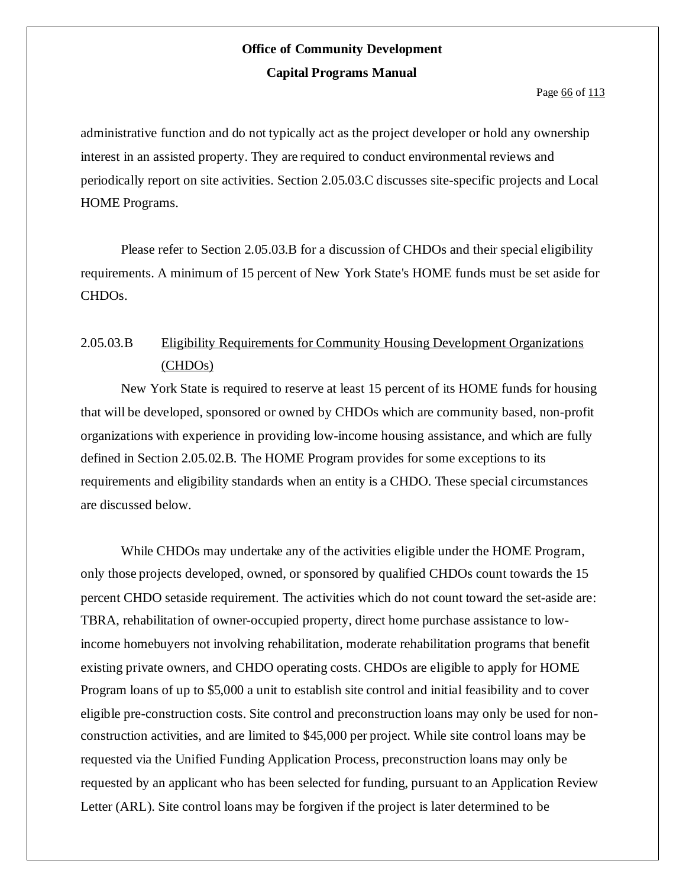Page 66 of 113

administrative function and do not typically act as the project developer or hold any ownership interest in an assisted property. They are required to conduct environmental reviews and periodically report on site activities. Section 2.05.03.C discusses site-specific projects and Local HOME Programs.

Please refer to Section 2.05.03.B for a discussion of CHDOs and their special eligibility requirements. A minimum of 15 percent of New York State's HOME funds must be set aside for CHDOs.

### 2.05.03.B Eligibility Requirements for Community Housing Development Organizations (CHDOs)

New York State is required to reserve at least 15 percent of its HOME funds for housing that will be developed, sponsored or owned by CHDOs which are community based, non-profit organizations with experience in providing low-income housing assistance, and which are fully defined in Section 2.05.02.B. The HOME Program provides for some exceptions to its requirements and eligibility standards when an entity is a CHDO. These special circumstances are discussed below.

While CHDOs may undertake any of the activities eligible under the HOME Program, only those projects developed, owned, or sponsored by qualified CHDOs count towards the 15 percent CHDO setaside requirement. The activities which do not count toward the set-aside are: TBRA, rehabilitation of owner-occupied property, direct home purchase assistance to lowincome homebuyers not involving rehabilitation, moderate rehabilitation programs that benefit existing private owners, and CHDO operating costs. CHDOs are eligible to apply for HOME Program loans of up to \$5,000 a unit to establish site control and initial feasibility and to cover eligible pre-construction costs. Site control and preconstruction loans may only be used for nonconstruction activities, and are limited to \$45,000 per project. While site control loans may be requested via the Unified Funding Application Process, preconstruction loans may only be requested by an applicant who has been selected for funding, pursuant to an Application Review Letter (ARL). Site control loans may be forgiven if the project is later determined to be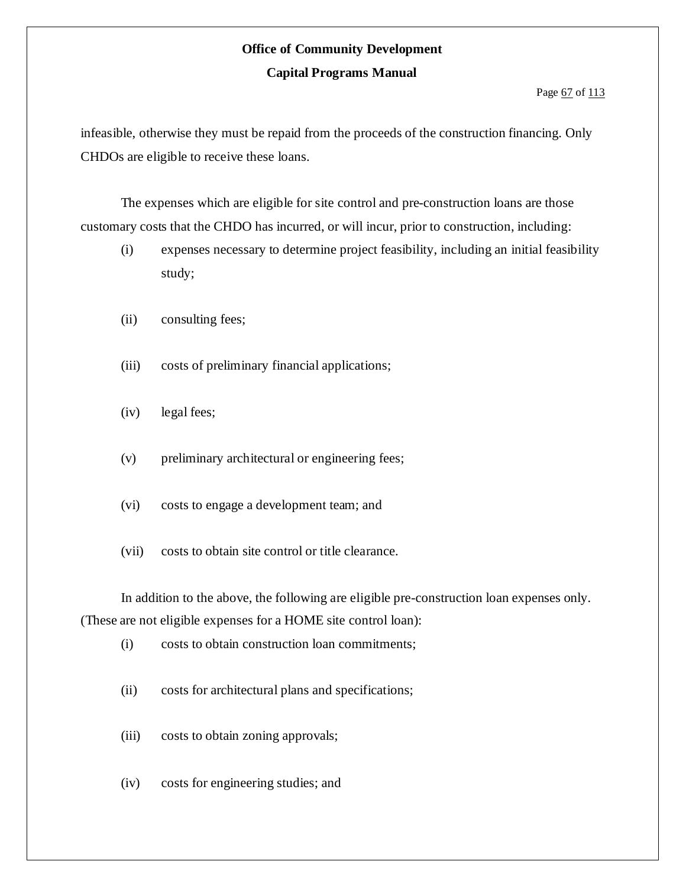#### Page 67 of 113

infeasible, otherwise they must be repaid from the proceeds of the construction financing. Only CHDOs are eligible to receive these loans.

The expenses which are eligible for site control and pre-construction loans are those customary costs that the CHDO has incurred, or will incur, prior to construction, including:

- (i) expenses necessary to determine project feasibility, including an initial feasibility study;
- (ii) consulting fees;
- (iii) costs of preliminary financial applications;
- (iv) legal fees;
- (v) preliminary architectural or engineering fees;
- (vi) costs to engage a development team; and
- (vii) costs to obtain site control or title clearance.

In addition to the above, the following are eligible pre-construction loan expenses only. (These are not eligible expenses for a HOME site control loan):

- (i) costs to obtain construction loan commitments;
- (ii) costs for architectural plans and specifications;
- (iii) costs to obtain zoning approvals;
- (iv) costs for engineering studies; and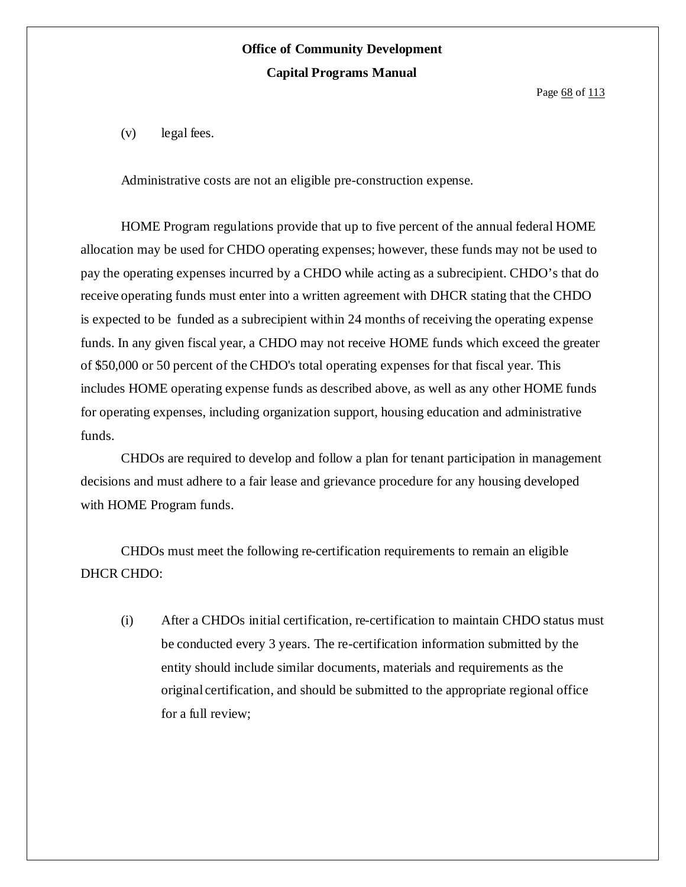Page 68 of 113

(v) legal fees.

Administrative costs are not an eligible pre-construction expense.

HOME Program regulations provide that up to five percent of the annual federal HOME allocation may be used for CHDO operating expenses; however, these funds may not be used to pay the operating expenses incurred by a CHDO while acting as a subrecipient. CHDO's that do receive operating funds must enter into a written agreement with DHCR stating that the CHDO is expected to be funded as a subrecipient within 24 months of receiving the operating expense funds. In any given fiscal year, a CHDO may not receive HOME funds which exceed the greater of \$50,000 or 50 percent of the CHDO's total operating expenses for that fiscal year. This includes HOME operating expense funds as described above, as well as any other HOME funds for operating expenses, including organization support, housing education and administrative funds.

CHDOs are required to develop and follow a plan for tenant participation in management decisions and must adhere to a fair lease and grievance procedure for any housing developed with HOME Program funds.

CHDOs must meet the following re-certification requirements to remain an eligible DHCR CHDO:

(i) After a CHDOs initial certification, re-certification to maintain CHDO status must be conducted every 3 years. The re-certification information submitted by the entity should include similar documents, materials and requirements as the original certification, and should be submitted to the appropriate regional office for a full review;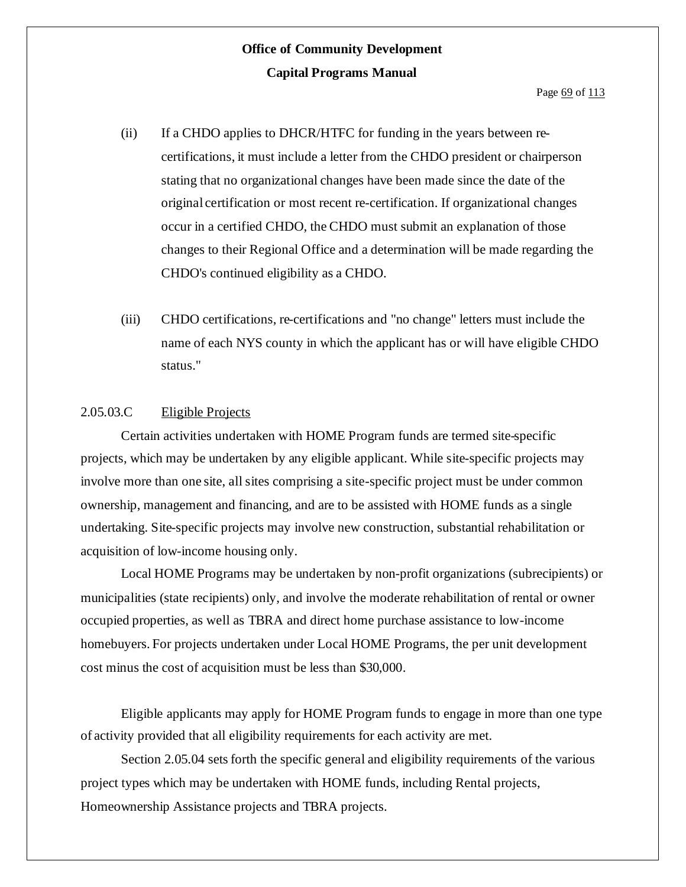- (ii) If a CHDO applies to DHCR/HTFC for funding in the years between recertifications, it must include a letter from the CHDO president or chairperson stating that no organizational changes have been made since the date of the original certification or most recent re-certification. If organizational changes occur in a certified CHDO, the CHDO must submit an explanation of those changes to their Regional Office and a determination will be made regarding the CHDO's continued eligibility as a CHDO.
- (iii) CHDO certifications, re-certifications and "no change" letters must include the name of each NYS county in which the applicant has or will have eligible CHDO status."

#### 2.05.03.C Eligible Projects

Certain activities undertaken with HOME Program funds are termed site-specific projects, which may be undertaken by any eligible applicant. While site-specific projects may involve more than one site, all sites comprising a site-specific project must be under common ownership, management and financing, and are to be assisted with HOME funds as a single undertaking. Site-specific projects may involve new construction, substantial rehabilitation or acquisition of low-income housing only.

Local HOME Programs may be undertaken by non-profit organizations (subrecipients) or municipalities (state recipients) only, and involve the moderate rehabilitation of rental or owner occupied properties, as well as TBRA and direct home purchase assistance to low-income homebuyers. For projects undertaken under Local HOME Programs, the per unit development cost minus the cost of acquisition must be less than \$30,000.

Eligible applicants may apply for HOME Program funds to engage in more than one type of activity provided that all eligibility requirements for each activity are met.

Section 2.05.04 sets forth the specific general and eligibility requirements of the various project types which may be undertaken with HOME funds, including Rental projects, Homeownership Assistance projects and TBRA projects.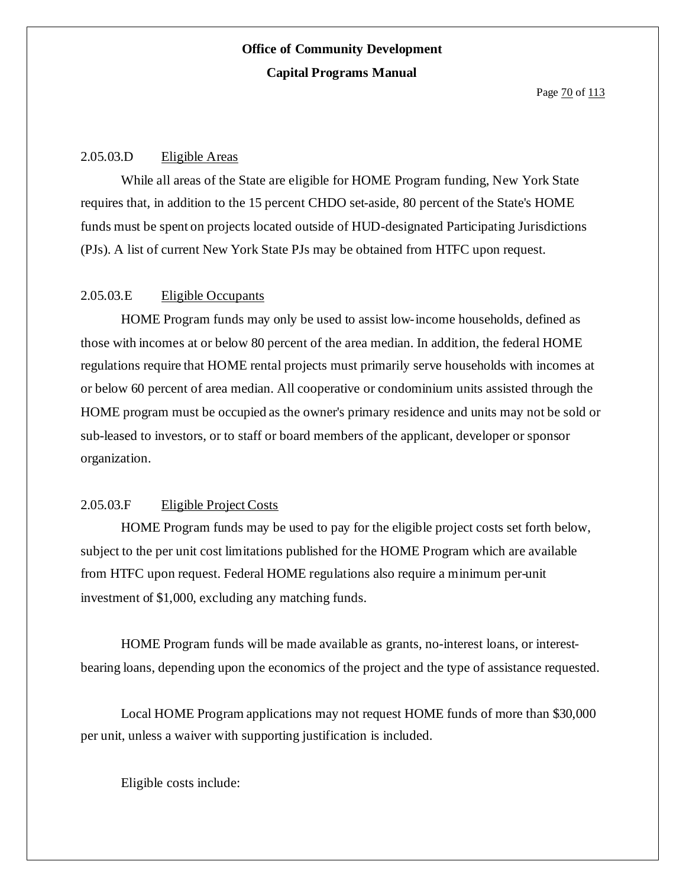Page  $\frac{70}{113}$ 

### 2.05.03.D Eligible Areas

While all areas of the State are eligible for HOME Program funding, New York State requires that, in addition to the 15 percent CHDO set-aside, 80 percent of the State's HOME funds must be spent on projects located outside of HUD-designated Participating Jurisdictions (PJs). A list of current New York State PJs may be obtained from HTFC upon request.

### 2.05.03.E Eligible Occupants

HOME Program funds may only be used to assist low-income households, defined as those with incomes at or below 80 percent of the area median. In addition, the federal HOME regulations require that HOME rental projects must primarily serve households with incomes at or below 60 percent of area median. All cooperative or condominium units assisted through the HOME program must be occupied as the owner's primary residence and units may not be sold or sub-leased to investors, or to staff or board members of the applicant, developer or sponsor organization.

### 2.05.03.F Eligible Project Costs

HOME Program funds may be used to pay for the eligible project costs set forth below, subject to the per unit cost limitations published for the HOME Program which are available from HTFC upon request. Federal HOME regulations also require a minimum per-unit investment of \$1,000, excluding any matching funds.

HOME Program funds will be made available as grants, no-interest loans, or interestbearing loans, depending upon the economics of the project and the type of assistance requested.

Local HOME Program applications may not request HOME funds of more than \$30,000 per unit, unless a waiver with supporting justification is included.

Eligible costs include: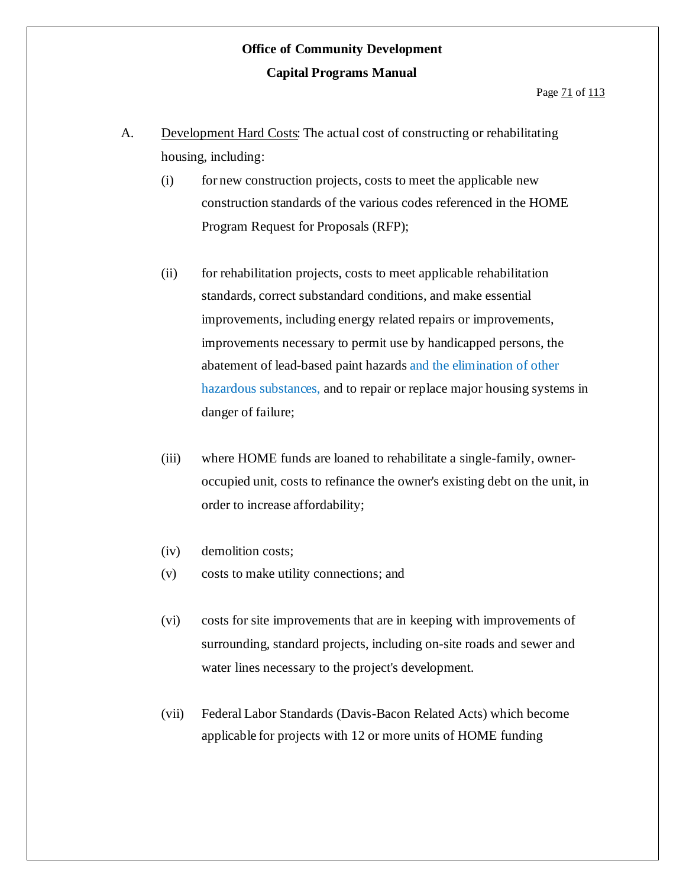- A. Development Hard Costs: The actual cost of constructing or rehabilitating housing, including:
	- (i) for new construction projects, costs to meet the applicable new construction standards of the various codes referenced in the HOME Program Request for Proposals (RFP);
	- (ii) for rehabilitation projects, costs to meet applicable rehabilitation standards, correct substandard conditions, and make essential improvements, including energy related repairs or improvements, improvements necessary to permit use by handicapped persons, the abatement of lead-based paint hazards and the elimination of other hazardous substances, and to repair or replace major housing systems in danger of failure;
	- (iii) where HOME funds are loaned to rehabilitate a single-family, owneroccupied unit, costs to refinance the owner's existing debt on the unit, in order to increase affordability;
	- (iv) demolition costs;
	- (v) costs to make utility connections; and
	- (vi) costs for site improvements that are in keeping with improvements of surrounding, standard projects, including on-site roads and sewer and water lines necessary to the project's development.
	- (vii) Federal Labor Standards (Davis-Bacon Related Acts) which become applicable for projects with 12 or more units of HOME funding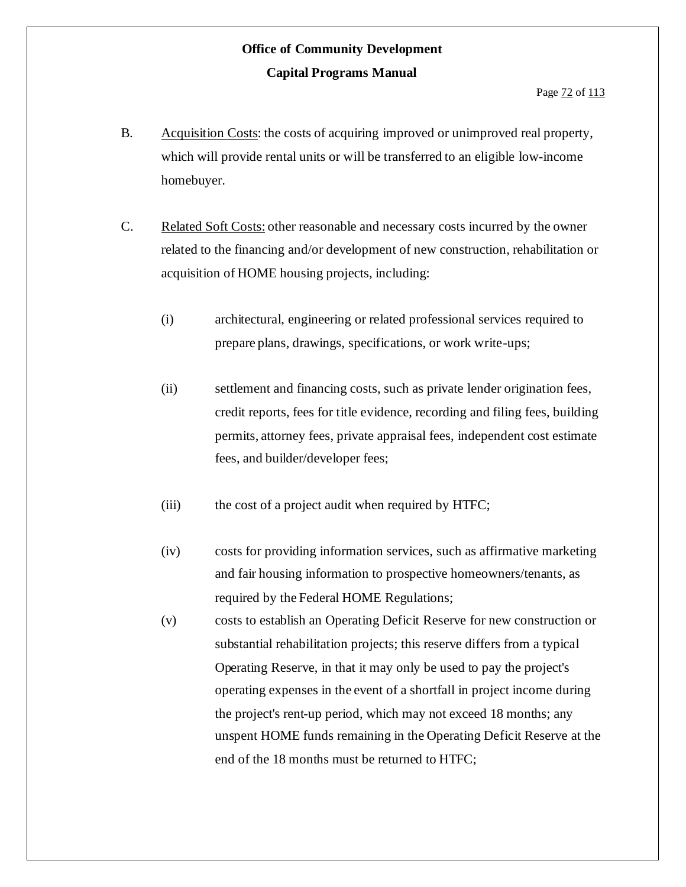- B. Acquisition Costs: the costs of acquiring improved or unimproved real property, which will provide rental units or will be transferred to an eligible low-income homebuyer.
- C. Related Soft Costs: other reasonable and necessary costs incurred by the owner related to the financing and/or development of new construction, rehabilitation or acquisition of HOME housing projects, including:
	- (i) architectural, engineering or related professional services required to prepare plans, drawings, specifications, or work write-ups;
	- (ii) settlement and financing costs, such as private lender origination fees, credit reports, fees for title evidence, recording and filing fees, building permits, attorney fees, private appraisal fees, independent cost estimate fees, and builder/developer fees;
	- (iii) the cost of a project audit when required by HTFC;
	- (iv) costs for providing information services, such as affirmative marketing and fair housing information to prospective homeowners/tenants, as required by the Federal HOME Regulations;
	- (v) costs to establish an Operating Deficit Reserve for new construction or substantial rehabilitation projects; this reserve differs from a typical Operating Reserve, in that it may only be used to pay the project's operating expenses in the event of a shortfall in project income during the project's rent-up period, which may not exceed 18 months; any unspent HOME funds remaining in the Operating Deficit Reserve at the end of the 18 months must be returned to HTFC;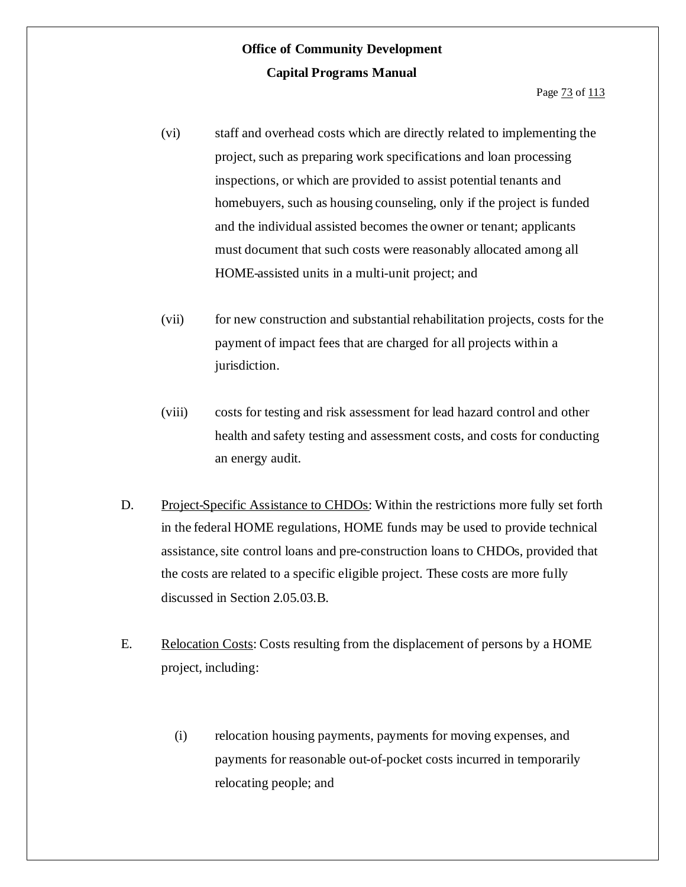- (vi) staff and overhead costs which are directly related to implementing the project, such as preparing work specifications and loan processing inspections, or which are provided to assist potential tenants and homebuyers, such as housing counseling, only if the project is funded and the individual assisted becomes the owner or tenant; applicants must document that such costs were reasonably allocated among all HOME-assisted units in a multi-unit project; and
- (vii) for new construction and substantial rehabilitation projects, costs for the payment of impact fees that are charged for all projects within a jurisdiction.
- (viii) costs for testing and risk assessment for lead hazard control and other health and safety testing and assessment costs, and costs for conducting an energy audit.
- D. Project-Specific Assistance to CHDOs: Within the restrictions more fully set forth in the federal HOME regulations, HOME funds may be used to provide technical assistance, site control loans and pre-construction loans to CHDOs, provided that the costs are related to a specific eligible project. These costs are more fully discussed in Section 2.05.03.B.
- E. Relocation Costs: Costs resulting from the displacement of persons by a HOME project, including:
	- (i) relocation housing payments, payments for moving expenses, and payments for reasonable out-of-pocket costs incurred in temporarily relocating people; and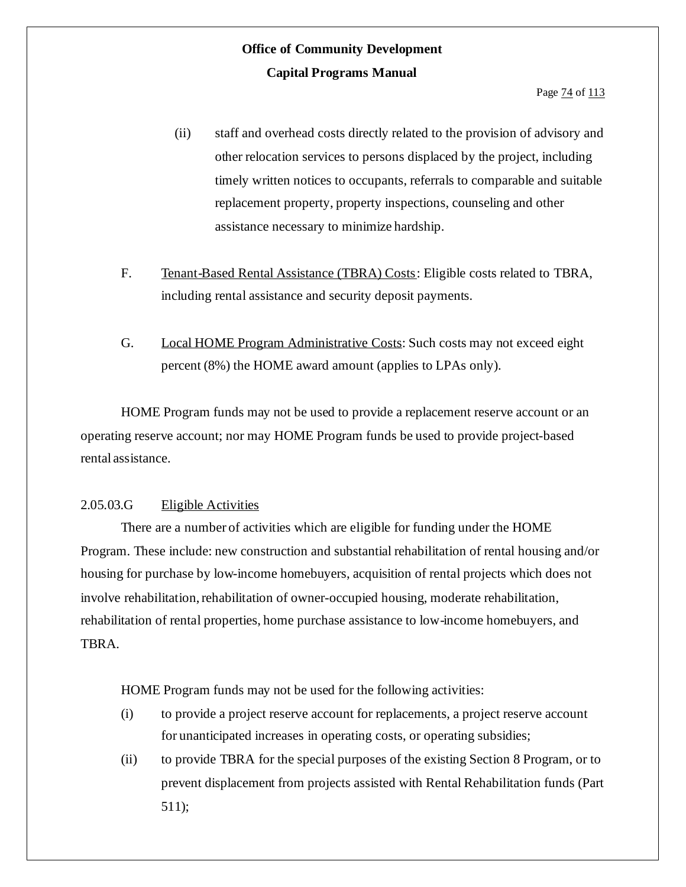- (ii) staff and overhead costs directly related to the provision of advisory and other relocation services to persons displaced by the project, including timely written notices to occupants, referrals to comparable and suitable replacement property, property inspections, counseling and other assistance necessary to minimize hardship.
- F. Tenant-Based Rental Assistance (TBRA) Costs: Eligible costs related to TBRA, including rental assistance and security deposit payments.
- G. Local HOME Program Administrative Costs: Such costs may not exceed eight percent (8%) the HOME award amount (applies to LPAs only).

HOME Program funds may not be used to provide a replacement reserve account or an operating reserve account; nor may HOME Program funds be used to provide project-based rental assistance.

#### 2.05.03.G Eligible Activities

There are a number of activities which are eligible for funding under the HOME Program. These include: new construction and substantial rehabilitation of rental housing and/or housing for purchase by low-income homebuyers, acquisition of rental projects which does not involve rehabilitation, rehabilitation of owner-occupied housing, moderate rehabilitation, rehabilitation of rental properties, home purchase assistance to low-income homebuyers, and TBRA.

HOME Program funds may not be used for the following activities:

- (i) to provide a project reserve account for replacements, a project reserve account for unanticipated increases in operating costs, or operating subsidies;
- (ii) to provide TBRA for the special purposes of the existing Section 8 Program, or to prevent displacement from projects assisted with Rental Rehabilitation funds (Part 511);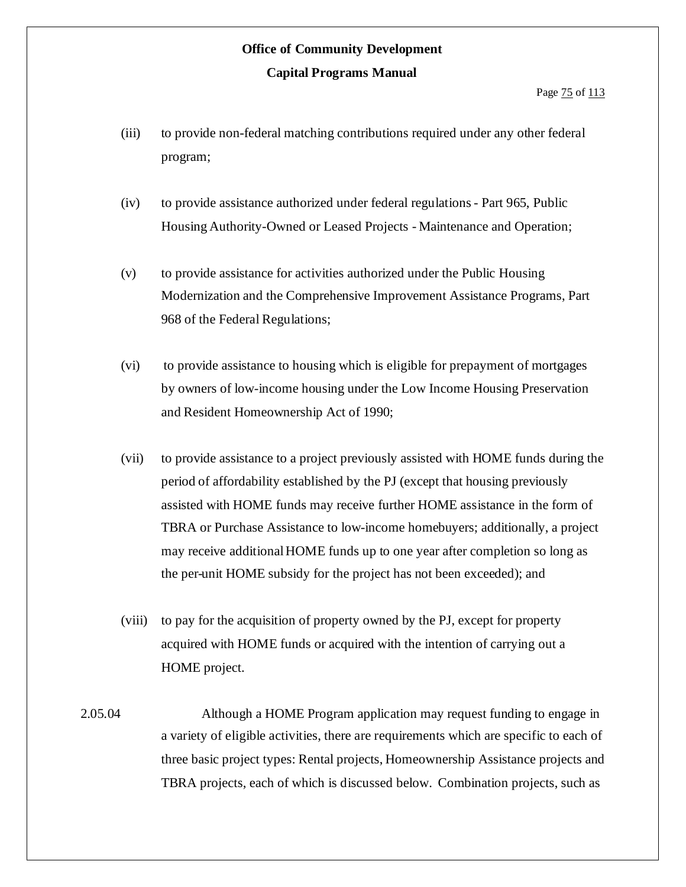- (iii) to provide non-federal matching contributions required under any other federal program;
- (iv) to provide assistance authorized under federal regulations- Part 965, Public Housing Authority-Owned or Leased Projects - Maintenance and Operation;
- (v) to provide assistance for activities authorized under the Public Housing Modernization and the Comprehensive Improvement Assistance Programs, Part 968 of the Federal Regulations;
- (vi) to provide assistance to housing which is eligible for prepayment of mortgages by owners of low-income housing under the Low Income Housing Preservation and Resident Homeownership Act of 1990;
- (vii) to provide assistance to a project previously assisted with HOME funds during the period of affordability established by the PJ (except that housing previously assisted with HOME funds may receive further HOME assistance in the form of TBRA or Purchase Assistance to low-income homebuyers; additionally, a project may receive additional HOME funds up to one year after completion so long as the per-unit HOME subsidy for the project has not been exceeded); and
- (viii) to pay for the acquisition of property owned by the PJ, except for property acquired with HOME funds or acquired with the intention of carrying out a HOME project.
- 2.05.04 Although a HOME Program application may request funding to engage in a variety of eligible activities, there are requirements which are specific to each of three basic project types: Rental projects, Homeownership Assistance projects and TBRA projects, each of which is discussed below. Combination projects, such as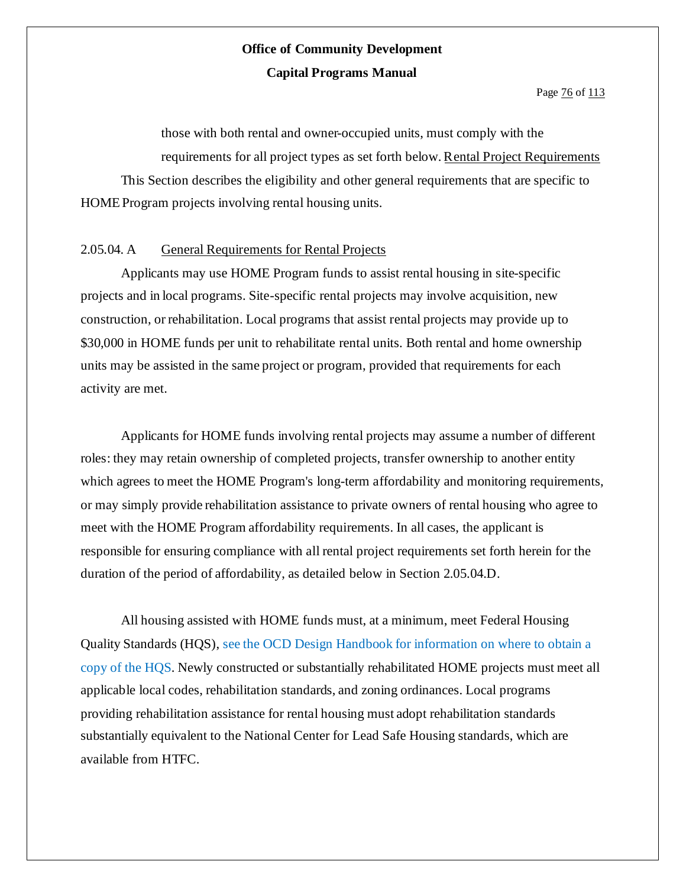Page  $\frac{76}{6}$  of  $\frac{113}{6}$ 

those with both rental and owner-occupied units, must comply with the requirements for all project types as set forth below.Rental Project Requirements This Section describes the eligibility and other general requirements that are specific to HOMEProgram projects involving rental housing units.

### 2.05.04. A General Requirements for Rental Projects

Applicants may use HOME Program funds to assist rental housing in site-specific projects and in local programs. Site-specific rental projects may involve acquisition, new construction, or rehabilitation. Local programs that assist rental projects may provide up to \$30,000 in HOME funds per unit to rehabilitate rental units. Both rental and home ownership units may be assisted in the same project or program, provided that requirements for each activity are met.

Applicants for HOME funds involving rental projects may assume a number of different roles: they may retain ownership of completed projects, transfer ownership to another entity which agrees to meet the HOME Program's long-term affordability and monitoring requirements, or may simply provide rehabilitation assistance to private owners of rental housing who agree to meet with the HOME Program affordability requirements. In all cases, the applicant is responsible for ensuring compliance with all rental project requirements set forth herein for the duration of the period of affordability, as detailed below in Section 2.05.04.D.

All housing assisted with HOME funds must, at a minimum, meet Federal Housing Quality Standards (HQS), see the OCD Design Handbook for information on where to obtain a copy of the HQS. Newly constructed or substantially rehabilitated HOME projects must meet all applicable local codes, rehabilitation standards, and zoning ordinances. Local programs providing rehabilitation assistance for rental housing must adopt rehabilitation standards substantially equivalent to the National Center for Lead Safe Housing standards, which are available from HTFC.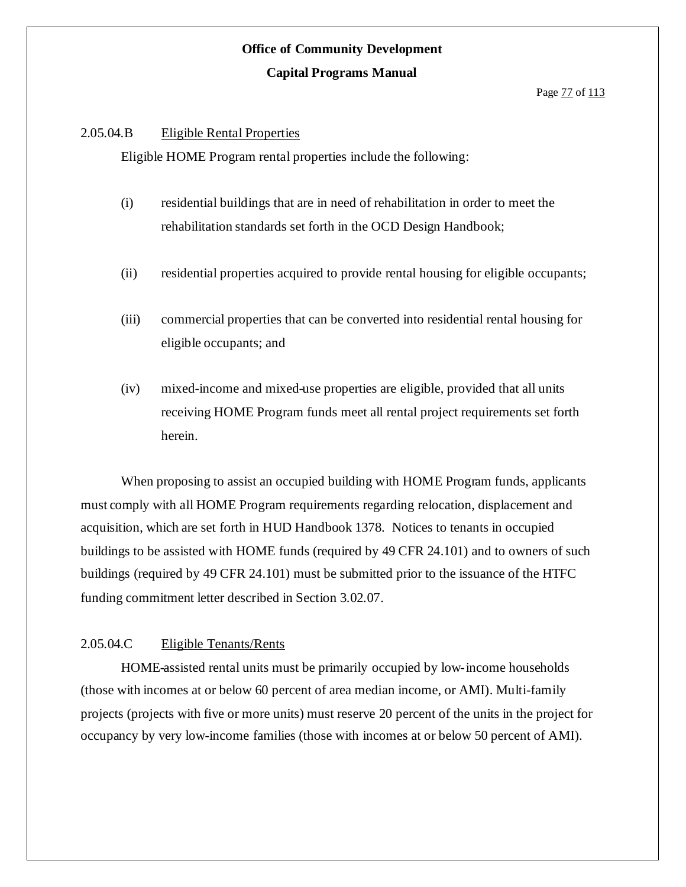#### 2.05.04.B Eligible Rental Properties

Eligible HOME Program rental properties include the following:

- (i) residential buildings that are in need of rehabilitation in order to meet the rehabilitation standards set forth in the OCD Design Handbook;
- (ii) residential properties acquired to provide rental housing for eligible occupants;
- (iii) commercial properties that can be converted into residential rental housing for eligible occupants; and
- (iv) mixed-income and mixed-use properties are eligible, provided that all units receiving HOME Program funds meet all rental project requirements set forth herein.

When proposing to assist an occupied building with HOME Program funds, applicants must comply with all HOME Program requirements regarding relocation, displacement and acquisition, which are set forth in HUD Handbook 1378. Notices to tenants in occupied buildings to be assisted with HOME funds (required by 49 CFR 24.101) and to owners of such buildings (required by 49 CFR 24.101) must be submitted prior to the issuance of the HTFC funding commitment letter described in Section 3.02.07.

#### 2.05.04.C Eligible Tenants/Rents

HOME-assisted rental units must be primarily occupied by low-income households (those with incomes at or below 60 percent of area median income, or AMI). Multi-family projects (projects with five or more units) must reserve 20 percent of the units in the project for occupancy by very low-income families (those with incomes at or below 50 percent of AMI).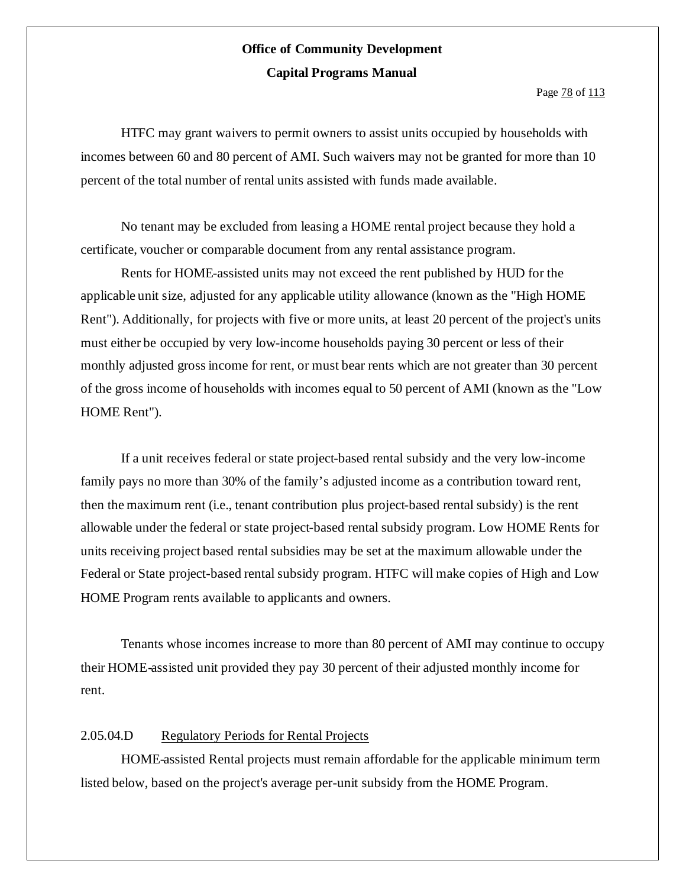Page  $\frac{78}{113}$ 

HTFC may grant waivers to permit owners to assist units occupied by households with incomes between 60 and 80 percent of AMI. Such waivers may not be granted for more than 10 percent of the total number of rental units assisted with funds made available.

No tenant may be excluded from leasing a HOME rental project because they hold a certificate, voucher or comparable document from any rental assistance program.

Rents for HOME-assisted units may not exceed the rent published by HUD for the applicable unit size, adjusted for any applicable utility allowance (known as the "High HOME Rent"). Additionally, for projects with five or more units, at least 20 percent of the project's units must either be occupied by very low-income households paying 30 percent or less of their monthly adjusted gross income for rent, or must bear rents which are not greater than 30 percent of the gross income of households with incomes equal to 50 percent of AMI (known as the "Low HOME Rent").

If a unit receives federal or state project-based rental subsidy and the very low-income family pays no more than 30% of the family's adjusted income as a contribution toward rent, then the maximum rent (i.e., tenant contribution plus project-based rental subsidy) is the rent allowable under the federal or state project-based rental subsidy program. Low HOME Rents for units receiving project based rental subsidies may be set at the maximum allowable under the Federal or State project-based rental subsidy program. HTFC will make copies of High and Low HOME Program rents available to applicants and owners.

Tenants whose incomes increase to more than 80 percent of AMI may continue to occupy their HOME-assisted unit provided they pay 30 percent of their adjusted monthly income for rent.

### 2.05.04.D Regulatory Periods for Rental Projects

HOME-assisted Rental projects must remain affordable for the applicable minimum term listed below, based on the project's average per-unit subsidy from the HOME Program.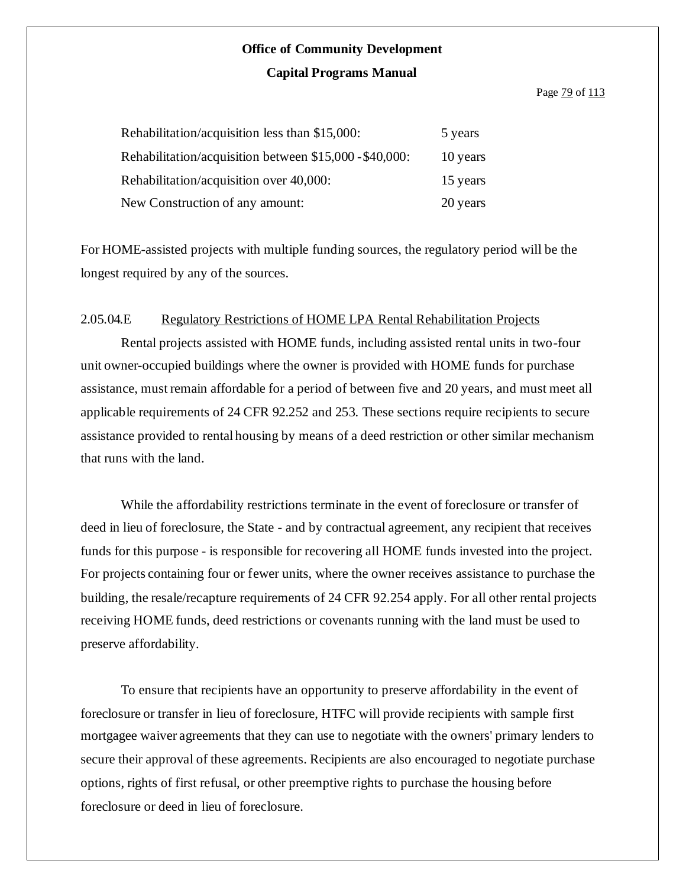#### Page **79** of **113**

| Rehabilitation/acquisition less than \$15,000:          | 5 years  |
|---------------------------------------------------------|----------|
| Rehabilitation/acquisition between \$15,000 - \$40,000: | 10 years |
| Rehabilitation/acquisition over 40,000:                 | 15 years |
| New Construction of any amount:                         | 20 years |

For HOME-assisted projects with multiple funding sources, the regulatory period will be the longest required by any of the sources.

#### 2.05.04.E Regulatory Restrictions of HOME LPA Rental Rehabilitation Projects

Rental projects assisted with HOME funds, including assisted rental units in two-four unit owner-occupied buildings where the owner is provided with HOME funds for purchase assistance, must remain affordable for a period of between five and 20 years, and must meet all applicable requirements of 24 CFR 92.252 and 253. These sections require recipients to secure assistance provided to rental housing by means of a deed restriction or other similar mechanism that runs with the land.

While the affordability restrictions terminate in the event of foreclosure or transfer of deed in lieu of foreclosure, the State - and by contractual agreement, any recipient that receives funds for this purpose - is responsible for recovering all HOME funds invested into the project. For projects containing four or fewer units, where the owner receives assistance to purchase the building, the resale/recapture requirements of 24 CFR 92.254 apply. For all other rental projects receiving HOME funds, deed restrictions or covenants running with the land must be used to preserve affordability.

To ensure that recipients have an opportunity to preserve affordability in the event of foreclosure or transfer in lieu of foreclosure, HTFC will provide recipients with sample first mortgagee waiver agreements that they can use to negotiate with the owners' primary lenders to secure their approval of these agreements. Recipients are also encouraged to negotiate purchase options, rights of first refusal, or other preemptive rights to purchase the housing before foreclosure or deed in lieu of foreclosure.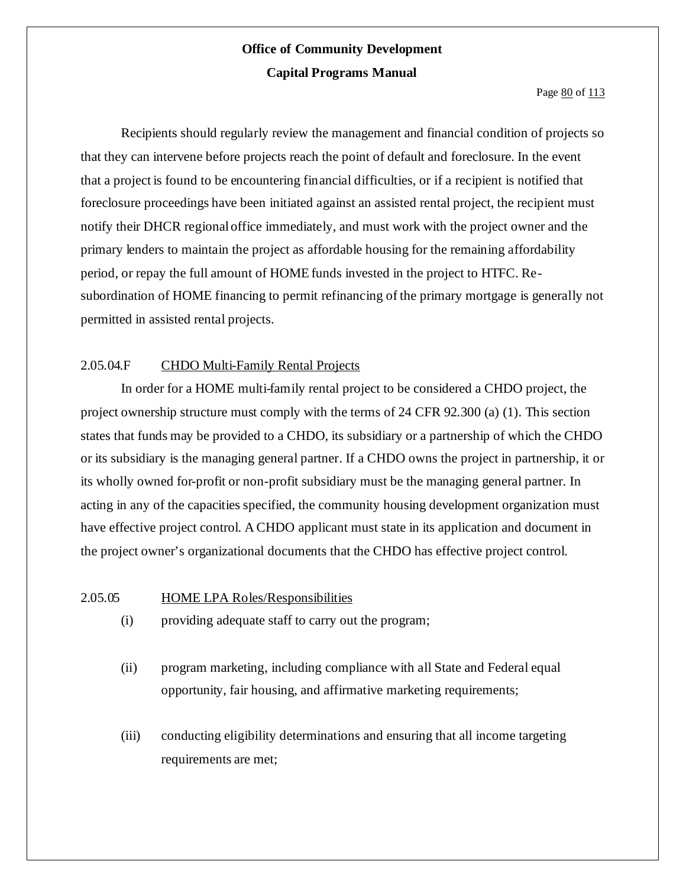Page 80 of 113

Recipients should regularly review the management and financial condition of projects so that they can intervene before projects reach the point of default and foreclosure. In the event that a project is found to be encountering financial difficulties, or if a recipient is notified that foreclosure proceedings have been initiated against an assisted rental project, the recipient must notify their DHCR regional office immediately, and must work with the project owner and the primary lenders to maintain the project as affordable housing for the remaining affordability period, or repay the full amount of HOME funds invested in the project to HTFC. Resubordination of HOME financing to permit refinancing of the primary mortgage is generally not permitted in assisted rental projects.

### 2.05.04.F CHDO Multi-Family Rental Projects

In order for a HOME multi-family rental project to be considered a CHDO project, the project ownership structure must comply with the terms of 24 CFR 92.300 (a) (1). This section states that funds may be provided to a CHDO, its subsidiary or a partnership of which the CHDO or its subsidiary is the managing general partner. If a CHDO owns the project in partnership, it or its wholly owned for-profit or non-profit subsidiary must be the managing general partner. In acting in any of the capacities specified, the community housing development organization must have effective project control. A CHDO applicant must state in its application and document in the project owner's organizational documents that the CHDO has effective project control.

2.05.05 HOME LPA Roles/Responsibilities

- (i) providing adequate staff to carry out the program;
- (ii) program marketing, including compliance with all State and Federal equal opportunity, fair housing, and affirmative marketing requirements;
- (iii) conducting eligibility determinations and ensuring that all income targeting requirements are met;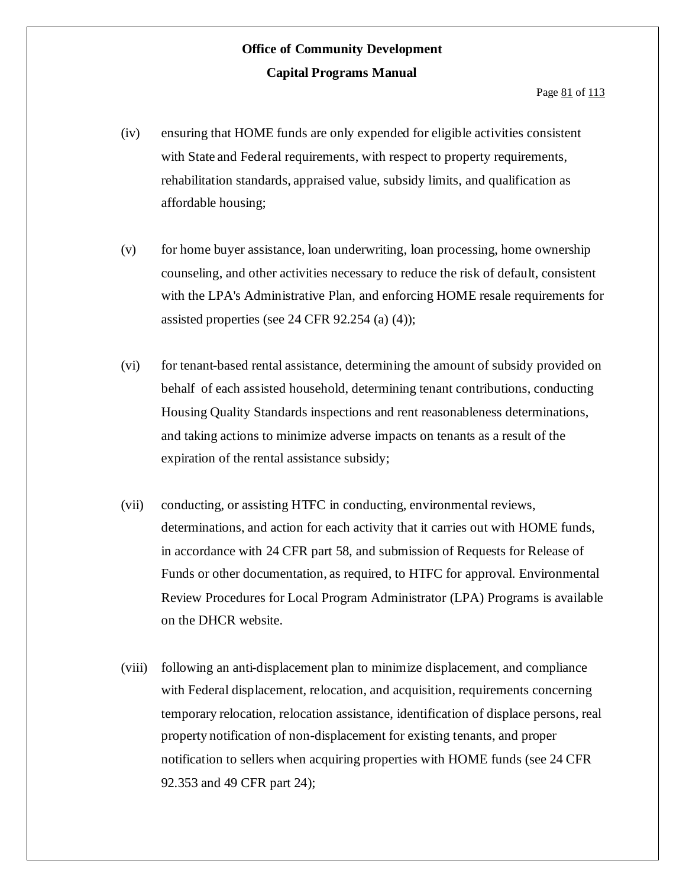- (iv) ensuring that HOME funds are only expended for eligible activities consistent with State and Federal requirements, with respect to property requirements, rehabilitation standards, appraised value, subsidy limits, and qualification as affordable housing;
- (v) for home buyer assistance, loan underwriting, loan processing, home ownership counseling, and other activities necessary to reduce the risk of default, consistent with the LPA's Administrative Plan, and enforcing HOME resale requirements for assisted properties (see 24 CFR 92.254 (a) (4));
- (vi) for tenant-based rental assistance, determining the amount of subsidy provided on behalf of each assisted household, determining tenant contributions, conducting Housing Quality Standards inspections and rent reasonableness determinations, and taking actions to minimize adverse impacts on tenants as a result of the expiration of the rental assistance subsidy;
- (vii) conducting, or assisting HTFC in conducting, environmental reviews, determinations, and action for each activity that it carries out with HOME funds, in accordance with 24 CFR part 58, and submission of Requests for Release of Funds or other documentation, as required, to HTFC for approval. Environmental Review Procedures for Local Program Administrator (LPA) Programs is available on the DHCR website.
- (viii) following an anti-displacement plan to minimize displacement, and compliance with Federal displacement, relocation, and acquisition, requirements concerning temporary relocation, relocation assistance, identification of displace persons, real property notification of non-displacement for existing tenants, and proper notification to sellers when acquiring properties with HOME funds (see 24 CFR 92.353 and 49 CFR part 24);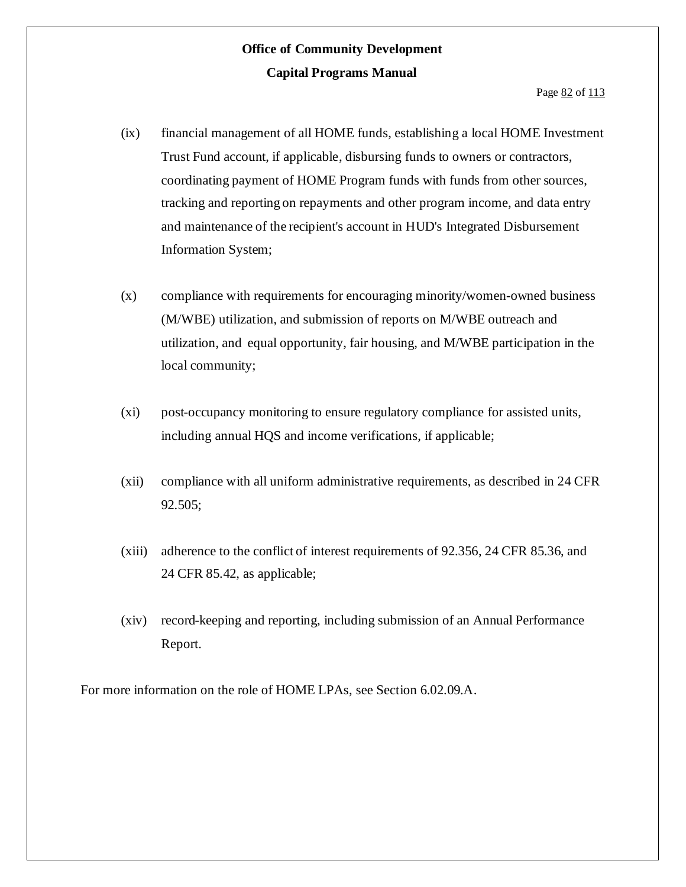- (ix) financial management of all HOME funds, establishing a local HOME Investment Trust Fund account, if applicable, disbursing funds to owners or contractors, coordinating payment of HOME Program funds with funds from other sources, tracking and reporting on repayments and other program income, and data entry and maintenance of the recipient's account in HUD's Integrated Disbursement Information System;
- (x) compliance with requirements for encouraging minority/women-owned business (M/WBE) utilization, and submission of reports on M/WBE outreach and utilization, and equal opportunity, fair housing, and M/WBE participation in the local community;
- (xi) post-occupancy monitoring to ensure regulatory compliance for assisted units, including annual HQS and income verifications, if applicable;
- (xii) compliance with all uniform administrative requirements, as described in 24 CFR 92.505;
- (xiii) adherence to the conflict of interest requirements of 92.356, 24 CFR 85.36, and 24 CFR 85.42, as applicable;
- (xiv) record-keeping and reporting, including submission of an Annual Performance Report.

For more information on the role of HOME LPAs, see Section 6.02.09.A.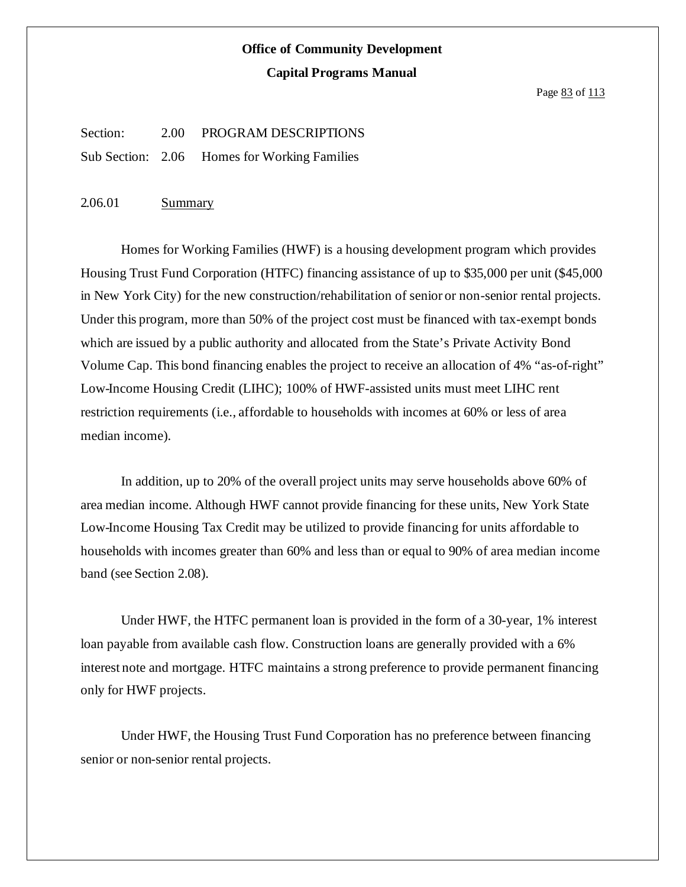Page 83 of 113

Section: 2.00 PROGRAM DESCRIPTIONS Sub Section: 2.06 Homes for Working Families

2.06.01 Summary

Homes for Working Families (HWF) is a housing development program which provides Housing Trust Fund Corporation (HTFC) financing assistance of up to \$35,000 per unit (\$45,000 in New York City) for the new construction/rehabilitation of senior or non-senior rental projects. Under this program, more than 50% of the project cost must be financed with tax-exempt bonds which are issued by a public authority and allocated from the State's Private Activity Bond Volume Cap. This bond financing enables the project to receive an allocation of 4% "as-of-right" Low-Income Housing Credit (LIHC); 100% of HWF-assisted units must meet LIHC rent restriction requirements (i.e., affordable to households with incomes at 60% or less of area median income).

In addition, up to 20% of the overall project units may serve households above 60% of area median income. Although HWF cannot provide financing for these units, New York State Low-Income Housing Tax Credit may be utilized to provide financing for units affordable to households with incomes greater than 60% and less than or equal to 90% of area median income band (see Section 2.08).

Under HWF, the HTFC permanent loan is provided in the form of a 30-year, 1% interest loan payable from available cash flow. Construction loans are generally provided with a 6% interest note and mortgage. HTFC maintains a strong preference to provide permanent financing only for HWF projects.

Under HWF, the Housing Trust Fund Corporation has no preference between financing senior or non-senior rental projects.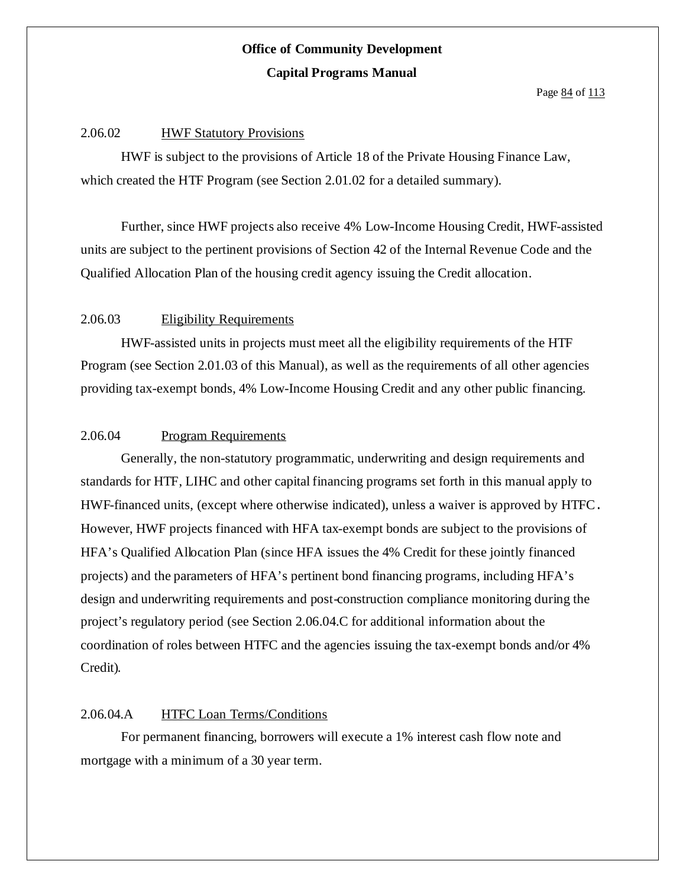Page 84 of 113

#### 2.06.02 HWF Statutory Provisions

HWF is subject to the provisions of Article 18 of the Private Housing Finance Law, which created the HTF Program (see Section 2.01.02 for a detailed summary).

Further, since HWF projects also receive 4% Low-Income Housing Credit, HWF-assisted units are subject to the pertinent provisions of Section 42 of the Internal Revenue Code and the Qualified Allocation Plan of the housing credit agency issuing the Credit allocation.

#### 2.06.03 Eligibility Requirements

HWF-assisted units in projects must meet all the eligibility requirements of the HTF Program (see Section 2.01.03 of this Manual), as well as the requirements of all other agencies providing tax-exempt bonds, 4% Low-Income Housing Credit and any other public financing.

#### 2.06.04 Program Requirements

Generally, the non-statutory programmatic, underwriting and design requirements and standards for HTF, LIHC and other capital financing programs set forth in this manual apply to HWF-financed units, (except where otherwise indicated), unless a waiver is approved by HTFC. However, HWF projects financed with HFA tax-exempt bonds are subject to the provisions of HFA's Qualified Allocation Plan (since HFA issues the 4% Credit for these jointly financed projects) and the parameters of HFA's pertinent bond financing programs, including HFA's design and underwriting requirements and post-construction compliance monitoring during the project's regulatory period (see Section 2.06.04.C for additional information about the coordination of roles between HTFC and the agencies issuing the tax-exempt bonds and/or 4% Credit).

### 2.06.04.A HTFC Loan Terms/Conditions

For permanent financing, borrowers will execute a 1% interest cash flow note and mortgage with a minimum of a 30 year term.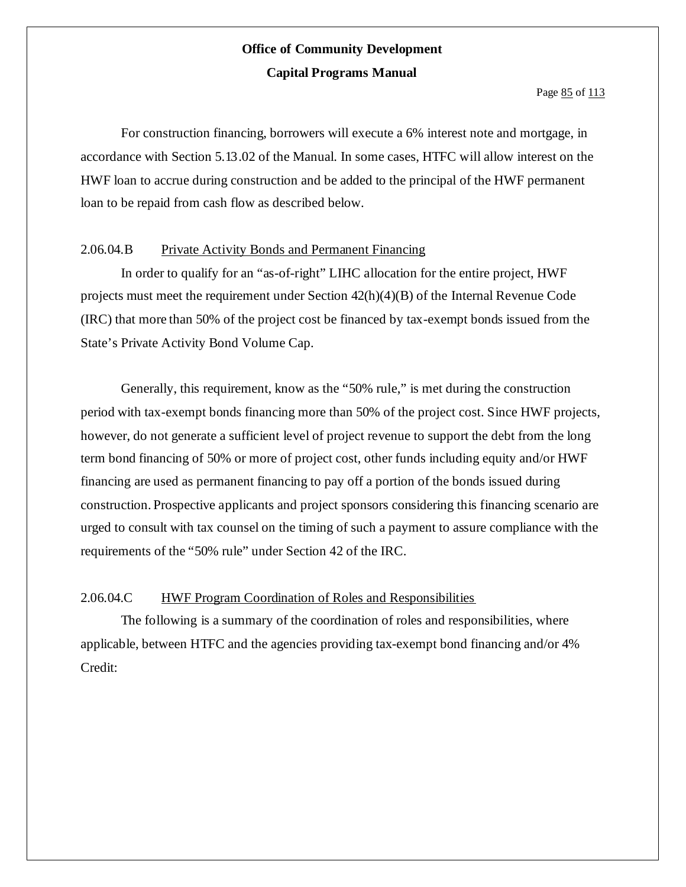For construction financing, borrowers will execute a 6% interest note and mortgage, in accordance with Section 5.13.02 of the Manual. In some cases, HTFC will allow interest on the HWF loan to accrue during construction and be added to the principal of the HWF permanent loan to be repaid from cash flow as described below.

#### 2.06.04.B Private Activity Bonds and Permanent Financing

In order to qualify for an "as-of-right" LIHC allocation for the entire project, HWF projects must meet the requirement under Section 42(h)(4)(B) of the Internal Revenue Code (IRC) that more than 50% of the project cost be financed by tax-exempt bonds issued from the State's Private Activity Bond Volume Cap.

Generally, this requirement, know as the "50% rule," is met during the construction period with tax-exempt bonds financing more than 50% of the project cost. Since HWF projects, however, do not generate a sufficient level of project revenue to support the debt from the long term bond financing of 50% or more of project cost, other funds including equity and/or HWF financing are used as permanent financing to pay off a portion of the bonds issued during construction. Prospective applicants and project sponsors considering this financing scenario are urged to consult with tax counsel on the timing of such a payment to assure compliance with the requirements of the "50% rule" under Section 42 of the IRC.

#### 2.06.04.C HWF Program Coordination of Roles and Responsibilities

The following is a summary of the coordination of roles and responsibilities, where applicable, between HTFC and the agencies providing tax-exempt bond financing and/or 4% Credit: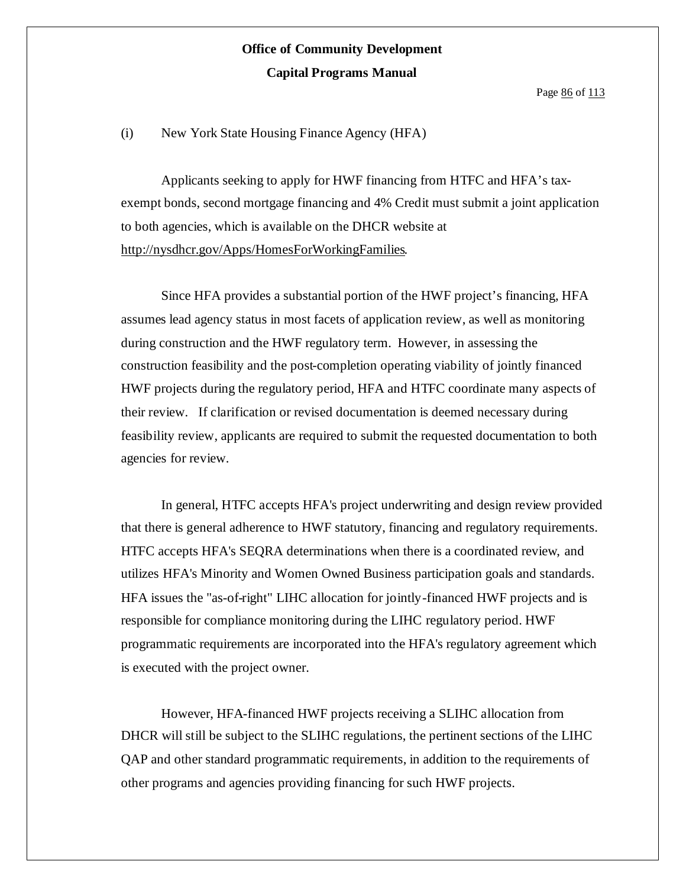Page 86 of 113

(i) New York State Housing Finance Agency (HFA)

Applicants seeking to apply for HWF financing from HTFC and HFA's taxexempt bonds, second mortgage financing and 4% Credit must submit a joint application to both agencies, which is available on the DHCR website at http://nysdhcr.gov/Apps/HomesForWorkingFamilies.

Since HFA provides a substantial portion of the HWF project's financing, HFA assumes lead agency status in most facets of application review, as well as monitoring during construction and the HWF regulatory term. However, in assessing the construction feasibility and the post-completion operating viability of jointly financed HWF projects during the regulatory period, HFA and HTFC coordinate many aspects of their review. If clarification or revised documentation is deemed necessary during feasibility review, applicants are required to submit the requested documentation to both agencies for review.

In general, HTFC accepts HFA's project underwriting and design review provided that there is general adherence to HWF statutory, financing and regulatory requirements. HTFC accepts HFA's SEQRA determinations when there is a coordinated review, and utilizes HFA's Minority and Women Owned Business participation goals and standards. HFA issues the "as-of-right" LIHC allocation for jointly-financed HWF projects and is responsible for compliance monitoring during the LIHC regulatory period. HWF programmatic requirements are incorporated into the HFA's regulatory agreement which is executed with the project owner.

However, HFA-financed HWF projects receiving a SLIHC allocation from DHCR will still be subject to the SLIHC regulations, the pertinent sections of the LIHC QAP and other standard programmatic requirements, in addition to the requirements of other programs and agencies providing financing for such HWF projects.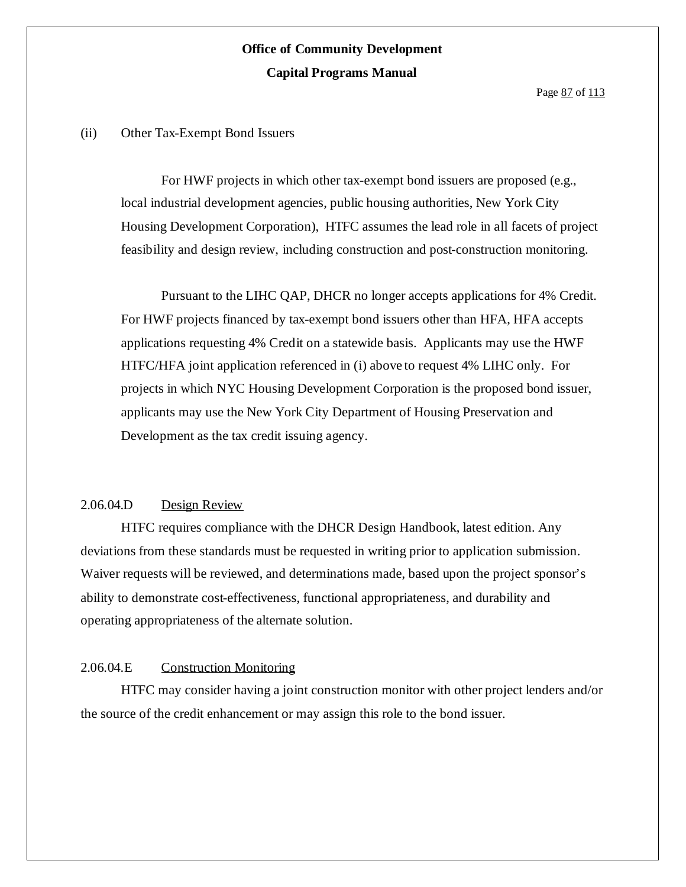(ii) Other Tax-Exempt Bond Issuers

For HWF projects in which other tax-exempt bond issuers are proposed (e.g., local industrial development agencies, public housing authorities, New York City Housing Development Corporation), HTFC assumes the lead role in all facets of project feasibility and design review, including construction and post-construction monitoring.

Pursuant to the LIHC QAP, DHCR no longer accepts applications for 4% Credit. For HWF projects financed by tax-exempt bond issuers other than HFA, HFA accepts applications requesting 4% Credit on a statewide basis. Applicants may use the HWF HTFC/HFA joint application referenced in (i) above to request 4% LIHC only. For projects in which NYC Housing Development Corporation is the proposed bond issuer, applicants may use the New York City Department of Housing Preservation and Development as the tax credit issuing agency.

### 2.06.04.D Design Review

HTFC requires compliance with the DHCR Design Handbook, latest edition. Any deviations from these standards must be requested in writing prior to application submission. Waiver requests will be reviewed, and determinations made, based upon the project sponsor's ability to demonstrate cost-effectiveness, functional appropriateness, and durability and operating appropriateness of the alternate solution.

#### 2.06.04.E Construction Monitoring

HTFC may consider having a joint construction monitor with other project lenders and/or the source of the credit enhancement or may assign this role to the bond issuer.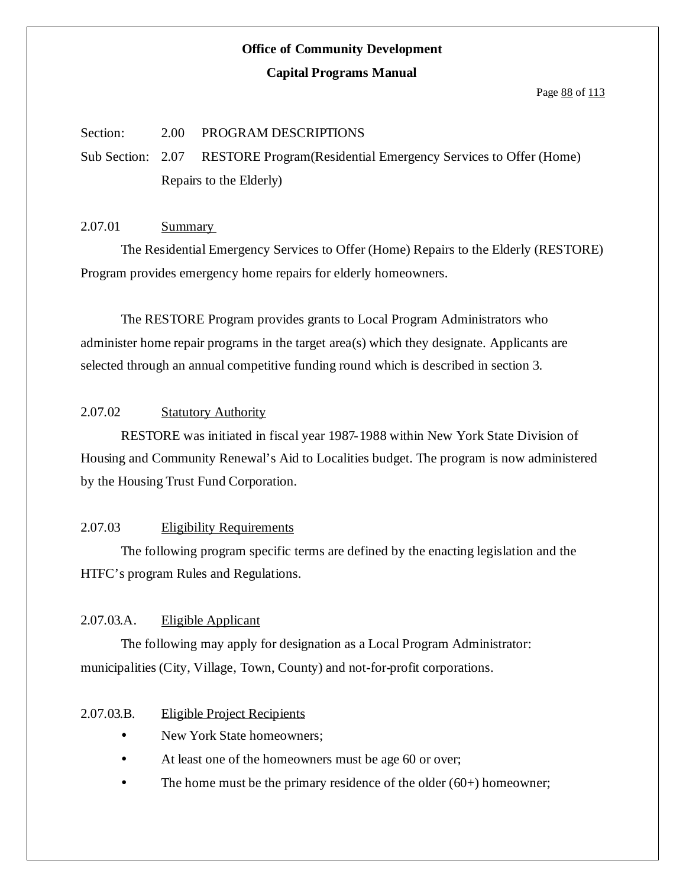### **Office of Community Development**

#### **Capital Programs Manual**

Page 88 of 113

### Section: 2.00 PROGRAM DESCRIPTIONS

Sub Section: 2.07 RESTORE Program(Residential Emergency Services to Offer (Home) Repairs to the Elderly)

#### 2.07.01 Summary

The Residential Emergency Services to Offer (Home) Repairs to the Elderly (RESTORE) Program provides emergency home repairs for elderly homeowners.

The RESTORE Program provides grants to Local Program Administrators who administer home repair programs in the target area(s) which they designate. Applicants are selected through an annual competitive funding round which is described in section 3.

### 2.07.02 Statutory Authority

RESTORE was initiated in fiscal year 1987-1988 within New York State Division of Housing and Community Renewal's Aid to Localities budget. The program is now administered by the Housing Trust Fund Corporation.

### 2.07.03 Eligibility Requirements

The following program specific terms are defined by the enacting legislation and the HTFC's program Rules and Regulations.

#### 2.07.03.A. Eligible Applicant

The following may apply for designation as a Local Program Administrator: municipalities (City, Village, Town, County) and not-for-profit corporations.

#### 2.07.03.B. Eligible Project Recipients

- New York State homeowners;
- At least one of the homeowners must be age 60 or over;
- $\bullet$  The home must be the primary residence of the older (60+) homeowner;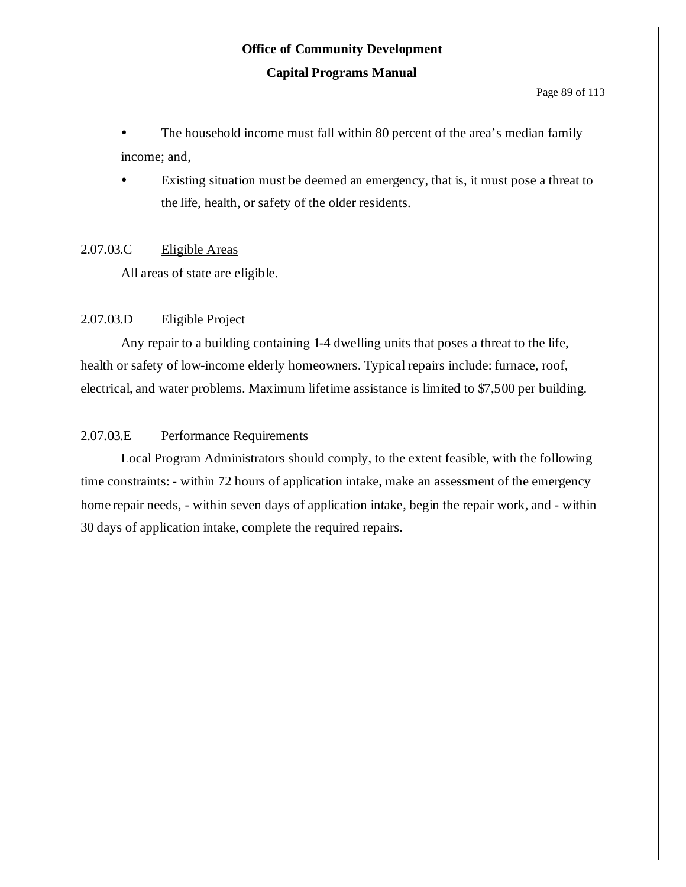The household income must fall within 80 percent of the area's median family income; and,

 Existing situation must be deemed an emergency, that is, it must pose a threat to the life, health, or safety of the older residents.

### 2.07.03.C Eligible Areas

All areas of state are eligible.

### 2.07.03.D Eligible Project

Any repair to a building containing 1-4 dwelling units that poses a threat to the life, health or safety of low-income elderly homeowners. Typical repairs include: furnace, roof, electrical, and water problems. Maximum lifetime assistance is limited to \$7,500 per building.

### 2.07.03.E Performance Requirements

Local Program Administrators should comply, to the extent feasible, with the following time constraints: - within 72 hours of application intake, make an assessment of the emergency home repair needs, - within seven days of application intake, begin the repair work, and - within 30 days of application intake, complete the required repairs.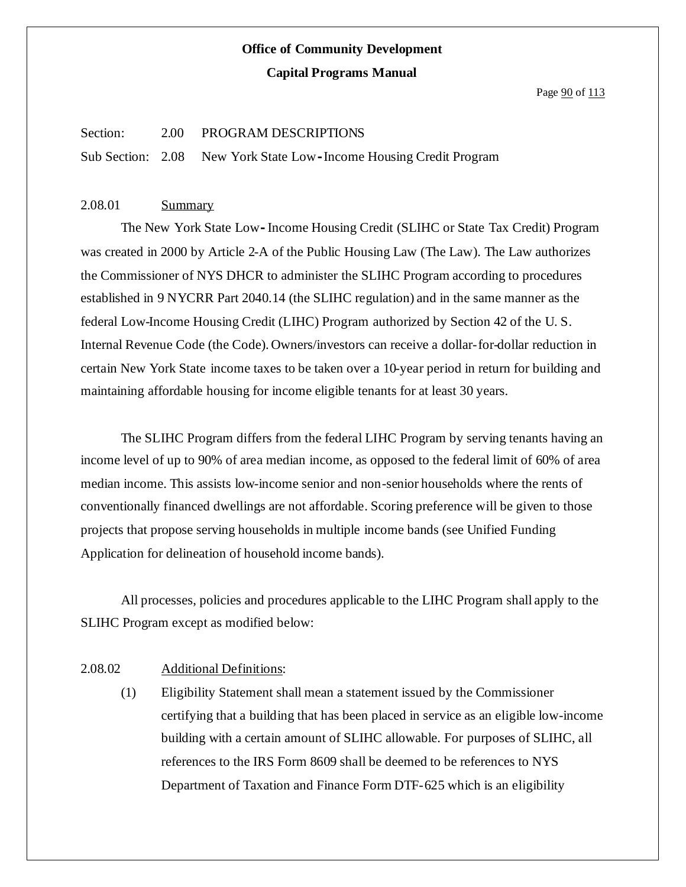Page  $90$  of  $113$ 

#### Section: 2.00 PROGRAM DESCRIPTIONS

Sub Section: 2.08 New York State Low**-**Income Housing Credit Program

#### 2.08.01 Summary

The New York State Low**-**Income Housing Credit (SLIHC or State Tax Credit) Program was created in 2000 by Article 2-A of the Public Housing Law (The Law). The Law authorizes the Commissioner of NYS DHCR to administer the SLIHC Program according to procedures established in 9 NYCRR Part 2040.14 (the SLIHC regulation) and in the same manner as the federal Low-Income Housing Credit (LIHC) Program authorized by Section 42 of the U. S. Internal Revenue Code (the Code). Owners/investors can receive a dollar-for-dollar reduction in certain New York State income taxes to be taken over a 10-year period in return for building and maintaining affordable housing for income eligible tenants for at least 30 years.

The SLIHC Program differs from the federal LIHC Program by serving tenants having an income level of up to 90% of area median income, as opposed to the federal limit of 60% of area median income. This assists low-income senior and non-senior households where the rents of conventionally financed dwellings are not affordable. Scoring preference will be given to those projects that propose serving households in multiple income bands (see Unified Funding Application for delineation of household income bands).

All processes, policies and procedures applicable to the LIHC Program shall apply to the SLIHC Program except as modified below:

### 2.08.02 Additional Definitions:

(1) Eligibility Statement shall mean a statement issued by the Commissioner certifying that a building that has been placed in service as an eligible low-income building with a certain amount of SLIHC allowable. For purposes of SLIHC, all references to the IRS Form 8609 shall be deemed to be references to NYS Department of Taxation and Finance Form DTF-625 which is an eligibility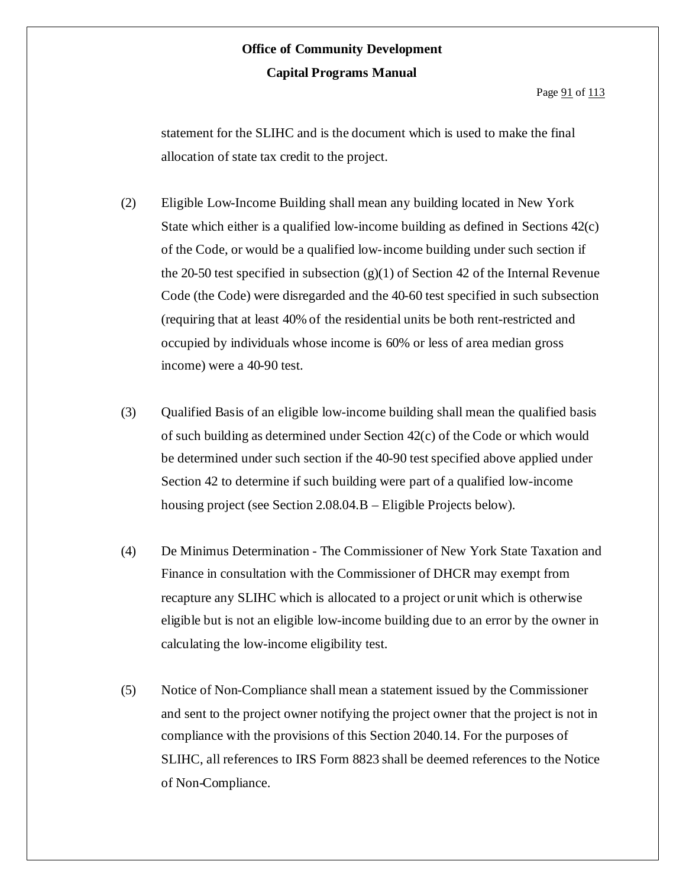Page  $91$  of  $113$ 

statement for the SLIHC and is the document which is used to make the final allocation of state tax credit to the project.

- (2) Eligible Low-Income Building shall mean any building located in New York State which either is a qualified low-income building as defined in Sections 42(c) of the Code, or would be a qualified low-income building under such section if the 20-50 test specified in subsection  $(g)(1)$  of Section 42 of the Internal Revenue Code (the Code) were disregarded and the 40-60 test specified in such subsection (requiring that at least 40% of the residential units be both rent-restricted and occupied by individuals whose income is 60% or less of area median gross income) were a 40-90 test.
- (3) Qualified Basis of an eligible low-income building shall mean the qualified basis of such building as determined under Section  $42(c)$  of the Code or which would be determined under such section if the 40-90 test specified above applied under Section 42 to determine if such building were part of a qualified low-income housing project (see Section 2.08.04.B – Eligible Projects below).
- (4) De Minimus Determination The Commissioner of New York State Taxation and Finance in consultation with the Commissioner of DHCR may exempt from recapture any SLIHC which is allocated to a project or unit which is otherwise eligible but is not an eligible low-income building due to an error by the owner in calculating the low-income eligibility test.
- (5) Notice of Non-Compliance shall mean a statement issued by the Commissioner and sent to the project owner notifying the project owner that the project is not in compliance with the provisions of this Section 2040.14. For the purposes of SLIHC, all references to IRS Form 8823 shall be deemed references to the Notice of Non-Compliance.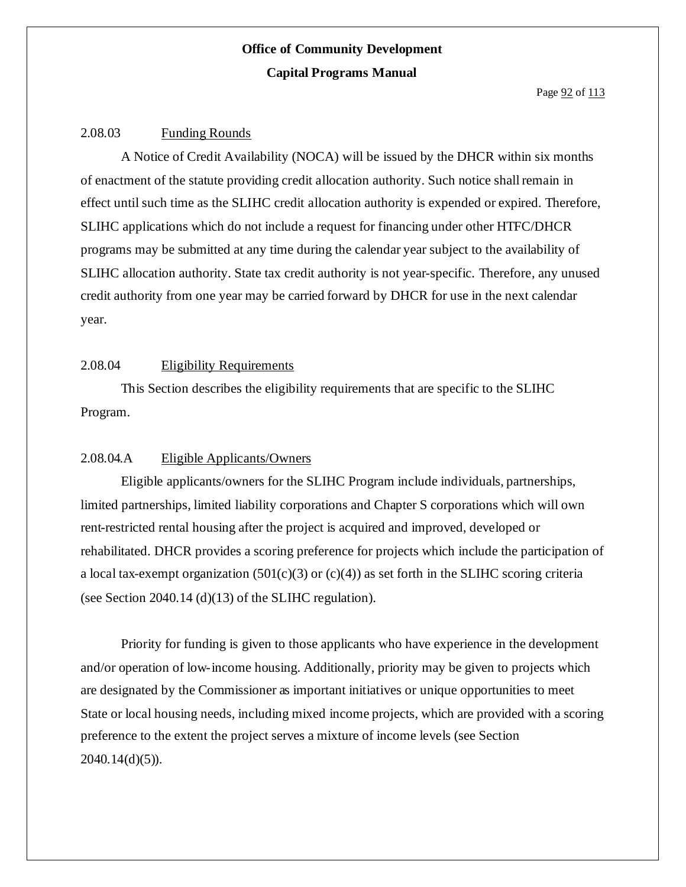#### 2.08.03 Funding Rounds

A Notice of Credit Availability (NOCA) will be issued by the DHCR within six months of enactment of the statute providing credit allocation authority. Such notice shallremain in effect until such time as the SLIHC credit allocation authority is expended or expired. Therefore, SLIHC applications which do not include a request for financing under other HTFC/DHCR programs may be submitted at any time during the calendar year subject to the availability of SLIHC allocation authority. State tax credit authority is not year-specific. Therefore, any unused credit authority from one year may be carried forward by DHCR for use in the next calendar year.

### 2.08.04 Eligibility Requirements

This Section describes the eligibility requirements that are specific to the SLIHC Program.

### 2.08.04.A Eligible Applicants/Owners

Eligible applicants/owners for the SLIHC Program include individuals, partnerships, limited partnerships, limited liability corporations and Chapter S corporations which will own rent-restricted rental housing after the project is acquired and improved, developed or rehabilitated. DHCR provides a scoring preference for projects which include the participation of a local tax-exempt organization  $(501(c)(3)$  or  $(c)(4)$ ) as set forth in the SLIHC scoring criteria (see Section 2040.14 (d) $(13)$  of the SLIHC regulation).

Priority for funding is given to those applicants who have experience in the development and/or operation of low-income housing. Additionally, priority may be given to projects which are designated by the Commissioner as important initiatives or unique opportunities to meet State or local housing needs, including mixed income projects, which are provided with a scoring preference to the extent the project serves a mixture of income levels (see Section  $2040.14(d)(5)$ ).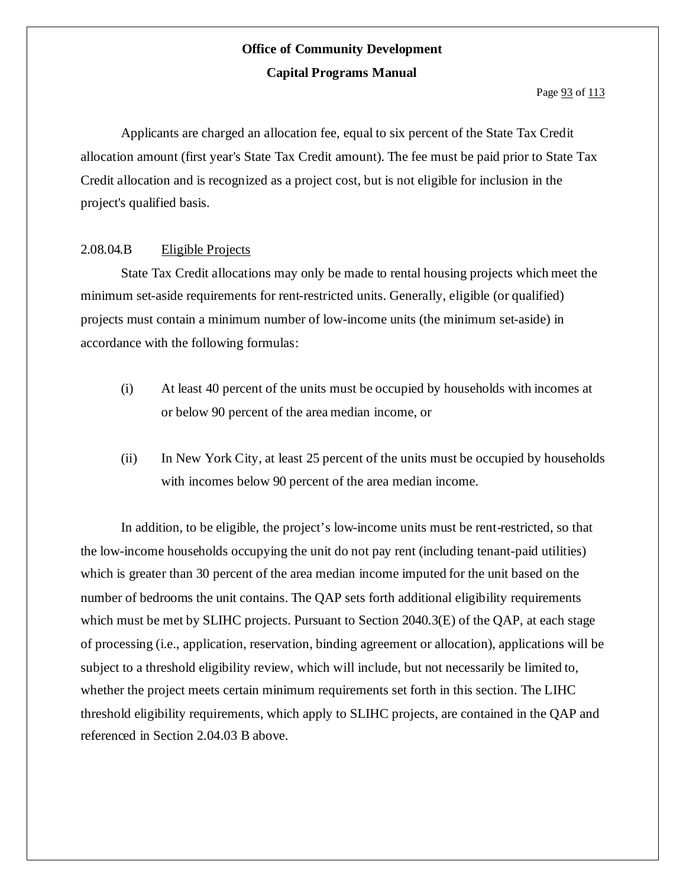Applicants are charged an allocation fee, equal to six percent of the State Tax Credit allocation amount (first year's State Tax Credit amount). The fee must be paid prior to State Tax Credit allocation and is recognized as a project cost, but is not eligible for inclusion in the project's qualified basis.

#### 2.08.04.B Eligible Projects

State Tax Credit allocations may only be made to rental housing projects which meet the minimum set-aside requirements for rent-restricted units. Generally, eligible (or qualified) projects must contain a minimum number of low-income units (the minimum set-aside) in accordance with the following formulas:

- (i) At least 40 percent of the units must be occupied by households with incomes at or below 90 percent of the area median income, or
- (ii) In New York City, at least 25 percent of the units must be occupied by households with incomes below 90 percent of the area median income.

In addition, to be eligible, the project's low-income units must be rent-restricted, so that the low-income households occupying the unit do not pay rent (including tenant-paid utilities) which is greater than 30 percent of the area median income imputed for the unit based on the number of bedrooms the unit contains. The QAP sets forth additional eligibility requirements which must be met by SLIHC projects. Pursuant to Section 2040.3(E) of the OAP, at each stage of processing (i.e., application, reservation, binding agreement or allocation), applications will be subject to a threshold eligibility review, which will include, but not necessarily be limited to, whether the project meets certain minimum requirements set forth in this section. The LIHC threshold eligibility requirements, which apply to SLIHC projects, are contained in the QAP and referenced in Section 2.04.03 B above.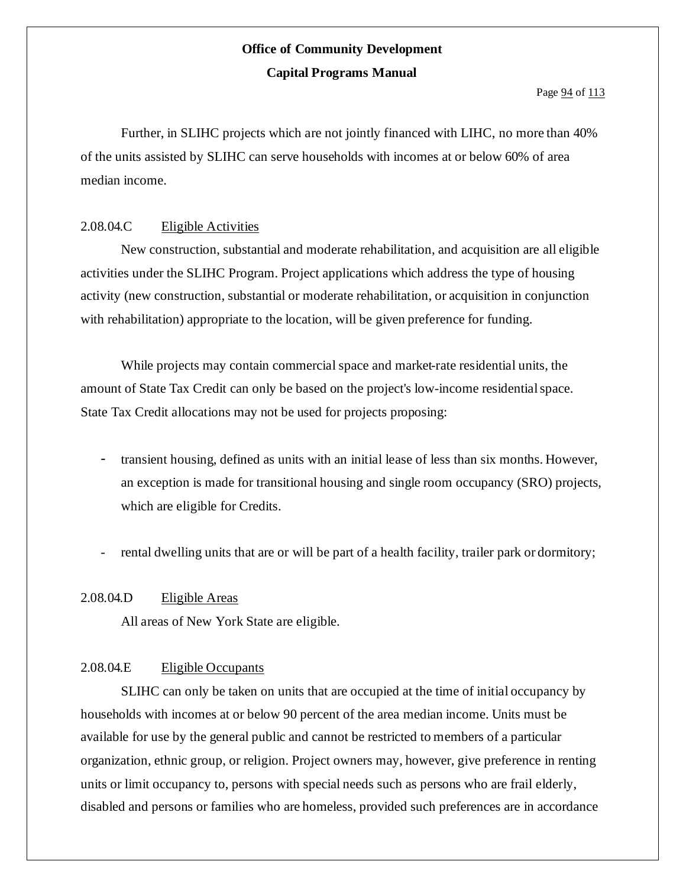Page  $94$  of  $113$ 

Further, in SLIHC projects which are not jointly financed with LIHC, no more than 40% of the units assisted by SLIHC can serve households with incomes at or below 60% of area median income.

### 2.08.04.C Eligible Activities

New construction, substantial and moderate rehabilitation, and acquisition are all eligible activities under the SLIHC Program. Project applications which address the type of housing activity (new construction, substantial or moderate rehabilitation, or acquisition in conjunction with rehabilitation) appropriate to the location, will be given preference for funding.

While projects may contain commercial space and market-rate residential units, the amount of State Tax Credit can only be based on the project's low-income residentialspace. State Tax Credit allocations may not be used for projects proposing:

- transient housing, defined as units with an initial lease of less than six months. However, an exception is made for transitional housing and single room occupancy (SRO) projects, which are eligible for Credits.
- rental dwelling units that are or will be part of a health facility, trailer park or dormitory;

### 2.08.04.D Eligible Areas

All areas of New York State are eligible.

### 2.08.04.E Eligible Occupants

SLIHC can only be taken on units that are occupied at the time of initial occupancy by households with incomes at or below 90 percent of the area median income. Units must be available for use by the general public and cannot be restricted to members of a particular organization, ethnic group, or religion. Project owners may, however, give preference in renting units or limit occupancy to, persons with special needs such as persons who are frail elderly, disabled and persons or families who are homeless, provided such preferences are in accordance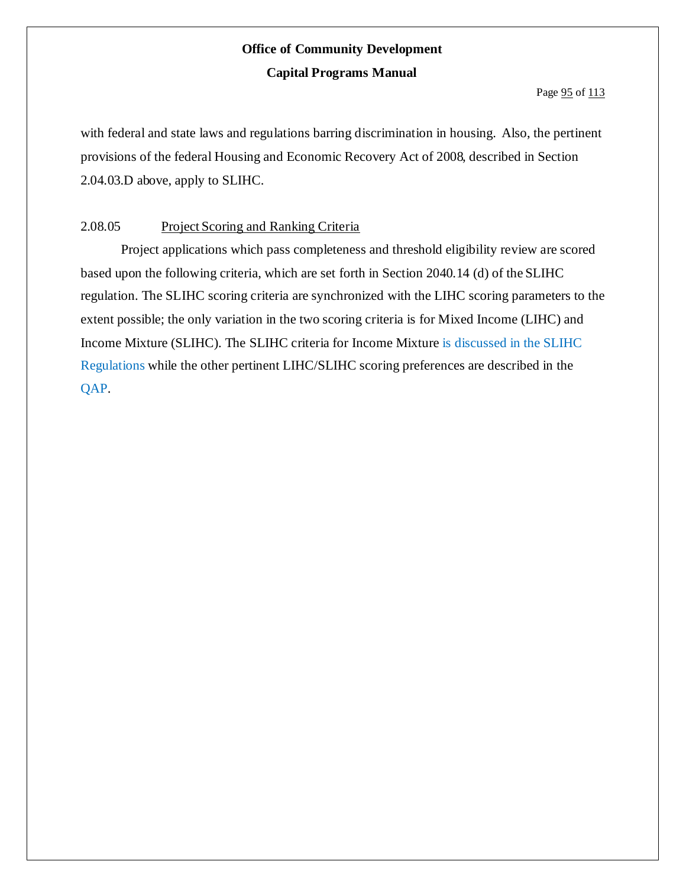Page  $95$  of  $113$ 

with federal and state laws and regulations barring discrimination in housing. Also, the pertinent provisions of the federal Housing and Economic Recovery Act of 2008, described in Section 2.04.03.D above, apply to SLIHC.

### 2.08.05 Project Scoring and Ranking Criteria

Project applications which pass completeness and threshold eligibility review are scored based upon the following criteria, which are set forth in Section 2040.14 (d) of the SLIHC regulation. The SLIHC scoring criteria are synchronized with the LIHC scoring parameters to the extent possible; the only variation in the two scoring criteria is for Mixed Income (LIHC) and Income Mixture (SLIHC). The SLIHC criteria for Income Mixture is discussed in the SLIHC Regulations while the other pertinent LIHC/SLIHC scoring preferences are described in the QAP.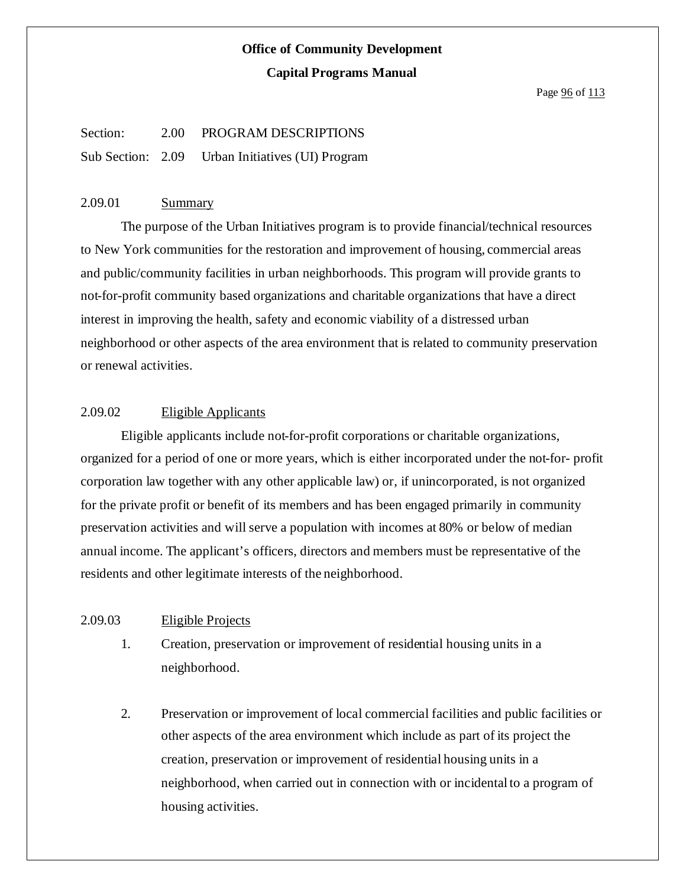#### Page  $96$  of  $113$

## Section: 2.00 PROGRAM DESCRIPTIONS Sub Section: 2.09 Urban Initiatives (UI) Program

#### 2.09.01 Summary

The purpose of the Urban Initiatives program is to provide financial/technical resources to New York communities for the restoration and improvement of housing, commercial areas and public/community facilities in urban neighborhoods. This program will provide grants to not-for-profit community based organizations and charitable organizations that have a direct interest in improving the health, safety and economic viability of a distressed urban neighborhood or other aspects of the area environment that is related to community preservation or renewal activities.

#### 2.09.02 Eligible Applicants

Eligible applicants include not-for-profit corporations or charitable organizations, organized for a period of one or more years, which is either incorporated under the not-for- profit corporation law together with any other applicable law) or, if unincorporated, is not organized for the private profit or benefit of its members and has been engaged primarily in community preservation activities and will serve a population with incomes at 80% or below of median annual income. The applicant's officers, directors and members must be representative of the residents and other legitimate interests of the neighborhood.

#### 2.09.03 Eligible Projects

- 1. Creation, preservation or improvement of residential housing units in a neighborhood.
- 2. Preservation or improvement of local commercial facilities and public facilities or other aspects of the area environment which include as part of its project the creation, preservation or improvement of residential housing units in a neighborhood, when carried out in connection with or incidental to a program of housing activities.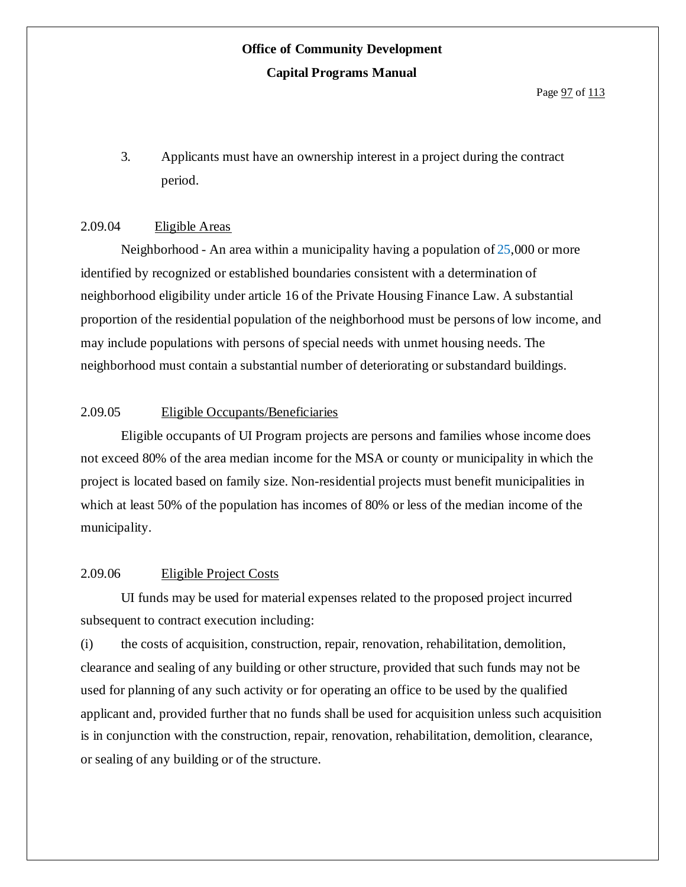3. Applicants must have an ownership interest in a project during the contract period.

#### 2.09.04 Eligible Areas

Neighborhood - An area within a municipality having a population of 25,000 or more identified by recognized or established boundaries consistent with a determination of neighborhood eligibility under article 16 of the Private Housing Finance Law. A substantial proportion of the residential population of the neighborhood must be persons of low income, and may include populations with persons of special needs with unmet housing needs. The neighborhood must contain a substantial number of deteriorating orsubstandard buildings.

### 2.09.05 Eligible Occupants/Beneficiaries

Eligible occupants of UI Program projects are persons and families whose income does not exceed 80% of the area median income for the MSA or county or municipality in which the project is located based on family size. Non-residential projects must benefit municipalities in which at least 50% of the population has incomes of 80% or less of the median income of the municipality.

### 2.09.06 Eligible Project Costs

UI funds may be used for material expenses related to the proposed project incurred subsequent to contract execution including:

(i) the costs of acquisition, construction, repair, renovation, rehabilitation, demolition, clearance and sealing of any building or other structure, provided that such funds may not be used for planning of any such activity or for operating an office to be used by the qualified applicant and, provided further that no funds shall be used for acquisition unless such acquisition is in conjunction with the construction, repair, renovation, rehabilitation, demolition, clearance, or sealing of any building or of the structure.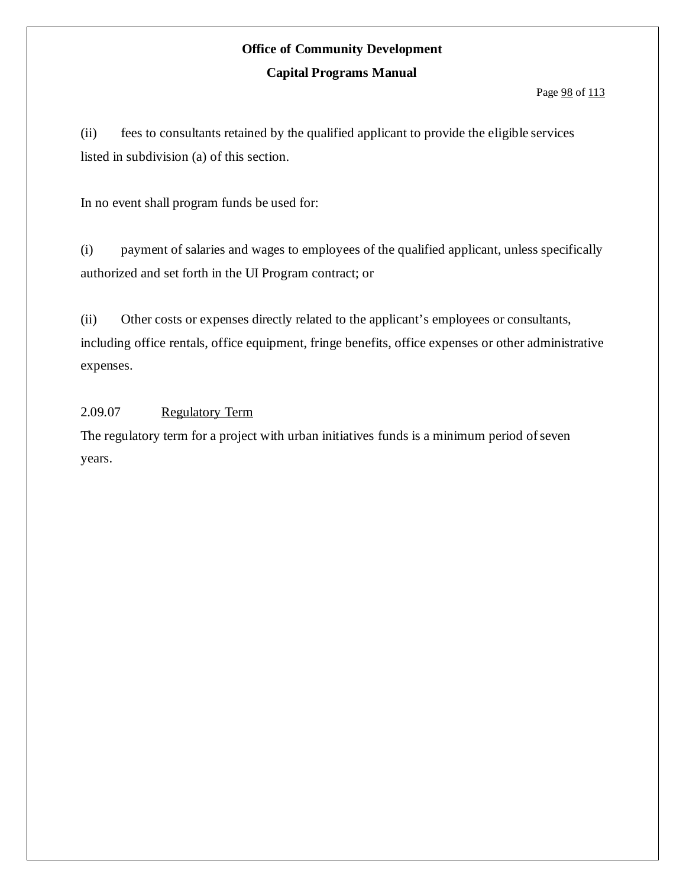#### Page  $98$  of 113

(ii) fees to consultants retained by the qualified applicant to provide the eligible services listed in subdivision (a) of this section.

In no event shall program funds be used for:

(i) payment of salaries and wages to employees of the qualified applicant, unless specifically authorized and set forth in the UI Program contract; or

(ii) Other costs or expenses directly related to the applicant's employees or consultants, including office rentals, office equipment, fringe benefits, office expenses or other administrative expenses.

### 2.09.07 Regulatory Term

The regulatory term for a project with urban initiatives funds is a minimum period of seven years.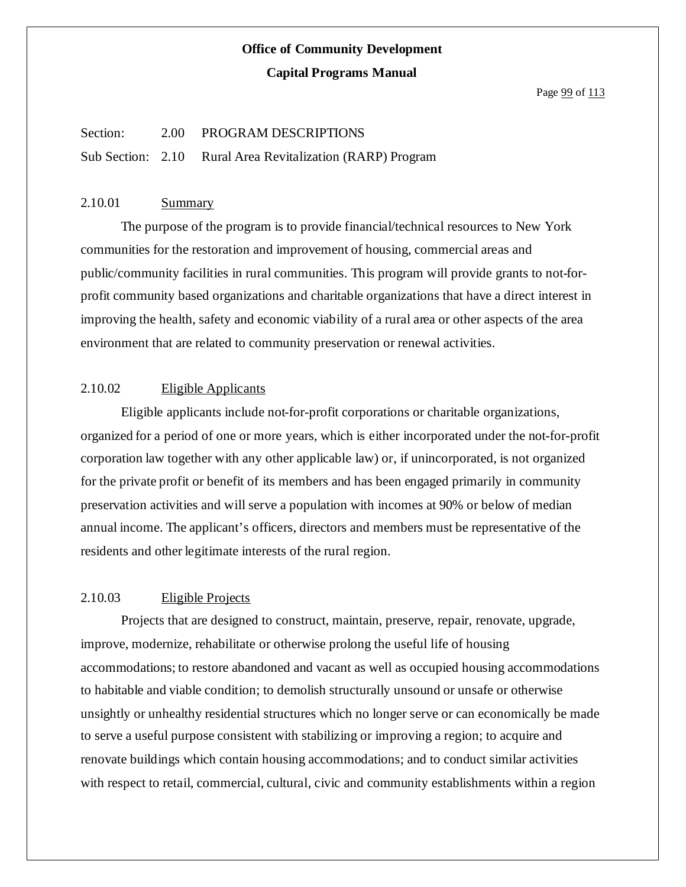Page  $99$  of  $113$ 

#### Section: 2.00 PROGRAM DESCRIPTIONS

Sub Section: 2.10 Rural Area Revitalization (RARP) Program

#### 2.10.01 Summary

The purpose of the program is to provide financial/technical resources to New York communities for the restoration and improvement of housing, commercial areas and public/community facilities in rural communities. This program will provide grants to not-forprofit community based organizations and charitable organizations that have a direct interest in improving the health, safety and economic viability of a rural area or other aspects of the area environment that are related to community preservation or renewal activities.

### 2.10.02 Eligible Applicants

Eligible applicants include not-for-profit corporations or charitable organizations, organized for a period of one or more years, which is either incorporated under the not-for-profit corporation law together with any other applicable law) or, if unincorporated, is not organized for the private profit or benefit of its members and has been engaged primarily in community preservation activities and will serve a population with incomes at 90% or below of median annual income. The applicant's officers, directors and members must be representative of the residents and other legitimate interests of the rural region.

### 2.10.03 Eligible Projects

Projects that are designed to construct, maintain, preserve, repair, renovate, upgrade, improve, modernize, rehabilitate or otherwise prolong the useful life of housing accommodations; to restore abandoned and vacant as well as occupied housing accommodations to habitable and viable condition; to demolish structurally unsound or unsafe or otherwise unsightly or unhealthy residential structures which no longer serve or can economically be made to serve a useful purpose consistent with stabilizing or improving a region; to acquire and renovate buildings which contain housing accommodations; and to conduct similar activities with respect to retail, commercial, cultural, civic and community establishments within a region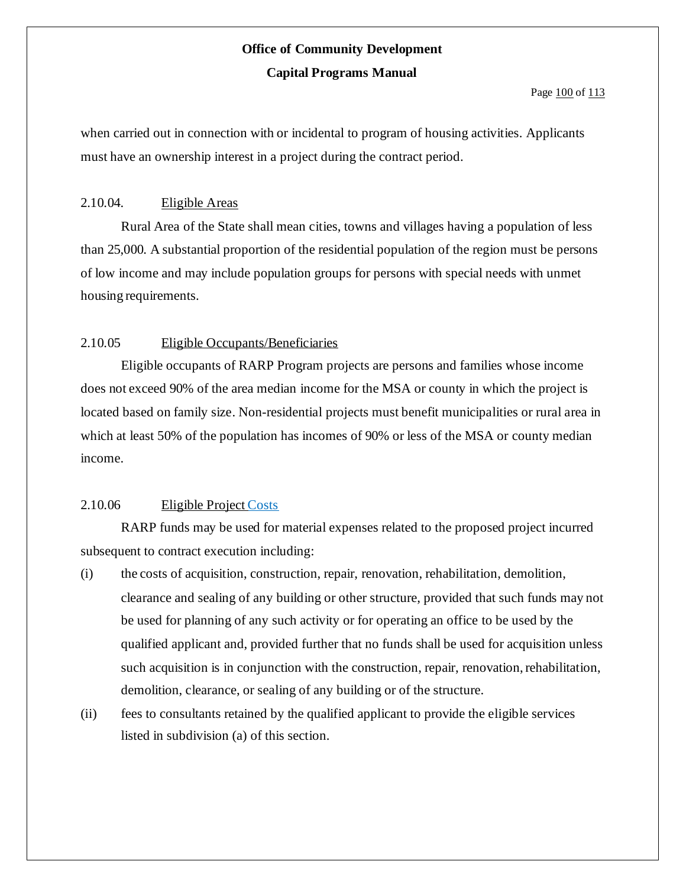#### Page 100 of 113

when carried out in connection with or incidental to program of housing activities. Applicants must have an ownership interest in a project during the contract period.

### 2.10.04. Eligible Areas

Rural Area of the State shall mean cities, towns and villages having a population of less than 25,000. A substantial proportion of the residential population of the region must be persons of low income and may include population groups for persons with special needs with unmet housing requirements.

### 2.10.05 Eligible Occupants/Beneficiaries

Eligible occupants of RARP Program projects are persons and families whose income does not exceed 90% of the area median income for the MSA or county in which the project is located based on family size. Non-residential projects must benefit municipalities or rural area in which at least 50% of the population has incomes of 90% or less of the MSA or county median income.

### 2.10.06 Eligible Project Costs

RARP funds may be used for material expenses related to the proposed project incurred subsequent to contract execution including:

- (i) the costs of acquisition, construction, repair, renovation, rehabilitation, demolition, clearance and sealing of any building or other structure, provided that such funds may not be used for planning of any such activity or for operating an office to be used by the qualified applicant and, provided further that no funds shall be used for acquisition unless such acquisition is in conjunction with the construction, repair, renovation, rehabilitation, demolition, clearance, or sealing of any building or of the structure.
- (ii) fees to consultants retained by the qualified applicant to provide the eligible services listed in subdivision (a) of this section.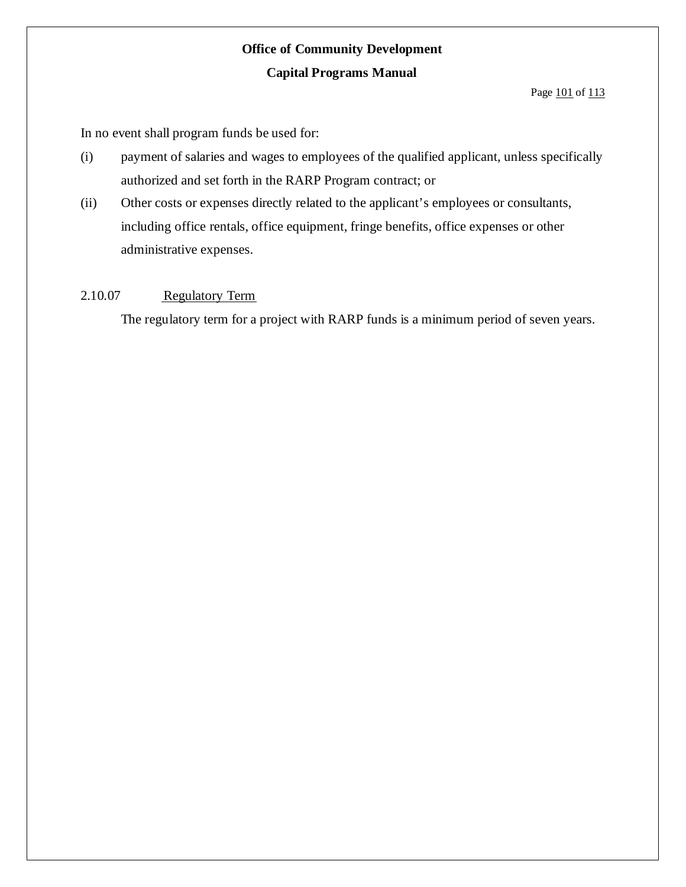#### Page 101 of 113

In no event shall program funds be used for:

- (i) payment of salaries and wages to employees of the qualified applicant, unless specifically authorized and set forth in the RARP Program contract; or
- (ii) Other costs or expenses directly related to the applicant's employees or consultants, including office rentals, office equipment, fringe benefits, office expenses or other administrative expenses.

### 2.10.07 Regulatory Term

The regulatory term for a project with RARP funds is a minimum period of seven years.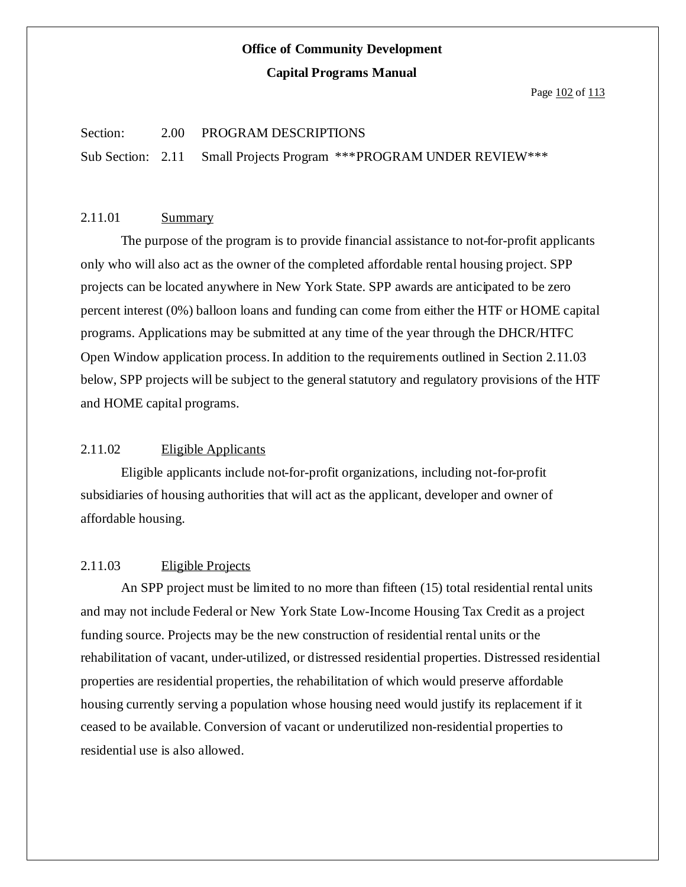Page 102 of 113

#### Section: 2.00 PROGRAM DESCRIPTIONS

Sub Section: 2.11 Small Projects Program \*\*\*PROGRAM UNDER REVIEW\*\*\*

#### 2.11.01 Summary

The purpose of the program is to provide financial assistance to not-for-profit applicants only who will also act as the owner of the completed affordable rental housing project. SPP projects can be located anywhere in New York State. SPP awards are anticipated to be zero percent interest (0%) balloon loans and funding can come from either the HTF or HOME capital programs. Applications may be submitted at any time of the year through the DHCR/HTFC Open Window application process.In addition to the requirements outlined in Section 2.11.03 below, SPP projects will be subject to the general statutory and regulatory provisions of the HTF and HOME capital programs.

#### 2.11.02 Eligible Applicants

Eligible applicants include not-for-profit organizations, including not-for-profit subsidiaries of housing authorities that will act as the applicant, developer and owner of affordable housing.

#### 2.11.03 Eligible Projects

An SPP project must be limited to no more than fifteen (15) total residential rental units and may not include Federal or New York State Low-Income Housing Tax Credit as a project funding source. Projects may be the new construction of residential rental units or the rehabilitation of vacant, under-utilized, or distressed residential properties. Distressed residential properties are residential properties, the rehabilitation of which would preserve affordable housing currently serving a population whose housing need would justify its replacement if it ceased to be available. Conversion of vacant or underutilized non-residential properties to residential use is also allowed.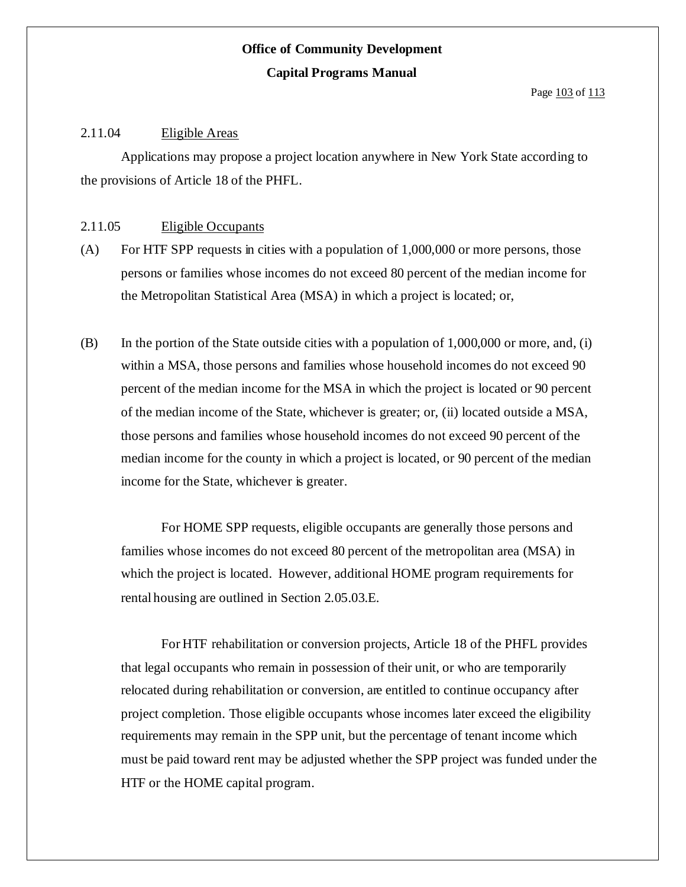Page 103 of 113

### 2.11.04 Eligible Areas

Applications may propose a project location anywhere in New York State according to the provisions of Article 18 of the PHFL.

#### 2.11.05 Eligible Occupants

- (A) For HTF SPP requests in cities with a population of 1,000,000 or more persons, those persons or families whose incomes do not exceed 80 percent of the median income for the Metropolitan Statistical Area (MSA) in which a project is located; or,
- (B) In the portion of the State outside cities with a population of 1,000,000 or more, and, (i) within a MSA, those persons and families whose household incomes do not exceed 90 percent of the median income for the MSA in which the project is located or 90 percent of the median income of the State, whichever is greater; or, (ii) located outside a MSA, those persons and families whose household incomes do not exceed 90 percent of the median income for the county in which a project is located, or 90 percent of the median income for the State, whichever is greater.

For HOME SPP requests, eligible occupants are generally those persons and families whose incomes do not exceed 80 percent of the metropolitan area (MSA) in which the project is located. However, additional HOME program requirements for rental housing are outlined in Section 2.05.03.E.

For HTF rehabilitation or conversion projects, Article 18 of the PHFL provides that legal occupants who remain in possession of their unit, or who are temporarily relocated during rehabilitation or conversion, are entitled to continue occupancy after project completion. Those eligible occupants whose incomes later exceed the eligibility requirements may remain in the SPP unit, but the percentage of tenant income which must be paid toward rent may be adjusted whether the SPP project was funded under the HTF or the HOME capital program.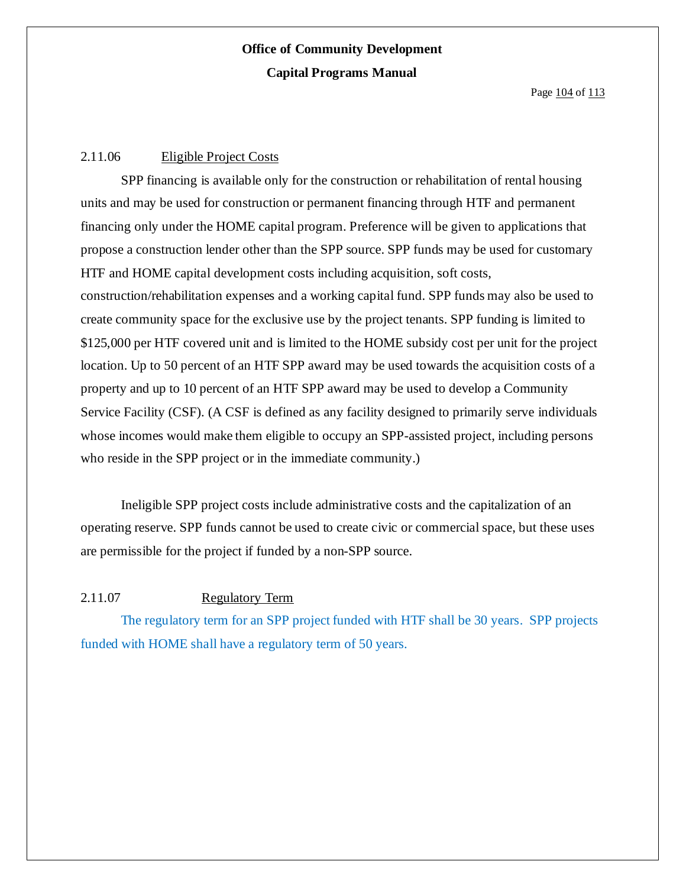Page 104 of 113

### 2.11.06 Eligible Project Costs

SPP financing is available only for the construction or rehabilitation of rental housing units and may be used for construction or permanent financing through HTF and permanent financing only under the HOME capital program. Preference will be given to applications that propose a construction lender other than the SPP source. SPP funds may be used for customary HTF and HOME capital development costs including acquisition, soft costs, construction/rehabilitation expenses and a working capital fund. SPP funds may also be used to create community space for the exclusive use by the project tenants. SPP funding is limited to \$125,000 per HTF covered unit and is limited to the HOME subsidy cost per unit for the project location. Up to 50 percent of an HTF SPP award may be used towards the acquisition costs of a property and up to 10 percent of an HTF SPP award may be used to develop a Community Service Facility (CSF). (A CSF is defined as any facility designed to primarily serve individuals whose incomes would make them eligible to occupy an SPP-assisted project, including persons who reside in the SPP project or in the immediate community.)

Ineligible SPP project costs include administrative costs and the capitalization of an operating reserve. SPP funds cannot be used to create civic or commercial space, but these uses are permissible for the project if funded by a non-SPP source.

### 2.11.07 Regulatory Term

The regulatory term for an SPP project funded with HTF shall be 30 years. SPP projects funded with HOME shall have a regulatory term of 50 years.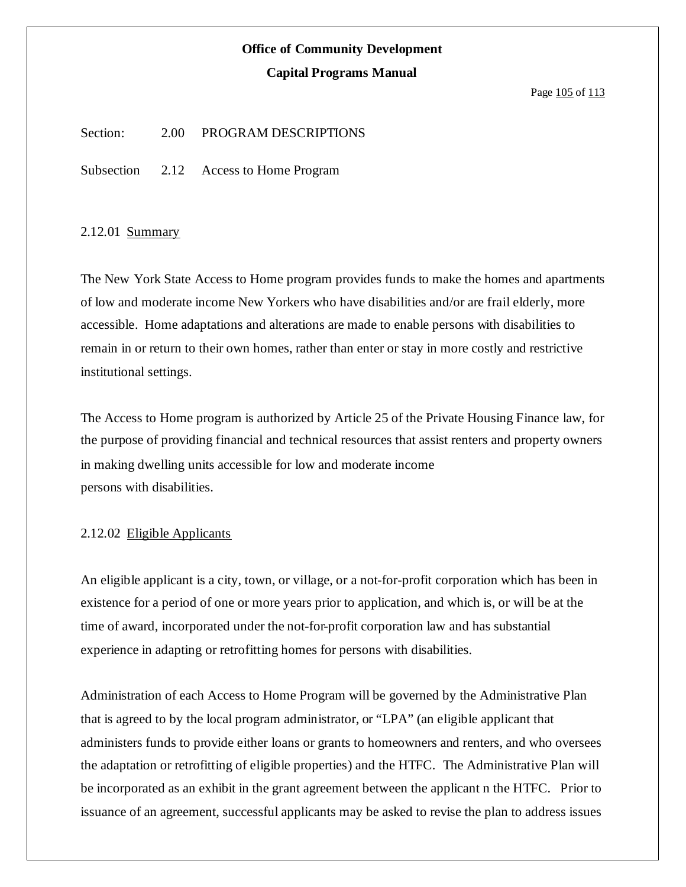## **Office of Community Development**

#### **Capital Programs Manual**

#### Page 105 of 113

Section: 2.00 PROGRAM DESCRIPTIONS

Subsection 2.12 Access to Home Program

#### 2.12.01 Summary

The New York State Access to Home program provides funds to make the homes and apartments of low and moderate income New Yorkers who have disabilities and/or are frail elderly, more accessible. Home adaptations and alterations are made to enable persons with disabilities to remain in or return to their own homes, rather than enter or stay in more costly and restrictive institutional settings.

The Access to Home program is authorized by Article 25 of the Private Housing Finance law, for the purpose of providing financial and technical resources that assist renters and property owners in making dwelling units accessible for low and moderate income persons with disabilities.

#### 2.12.02 Eligible Applicants

An eligible applicant is a city, town, or village, or a not-for-profit corporation which has been in existence for a period of one or more years prior to application, and which is, or will be at the time of award, incorporated under the not-for-profit corporation law and has substantial experience in adapting or retrofitting homes for persons with disabilities.

Administration of each Access to Home Program will be governed by the Administrative Plan that is agreed to by the local program administrator, or "LPA" (an eligible applicant that administers funds to provide either loans or grants to homeowners and renters, and who oversees the adaptation or retrofitting of eligible properties) and the HTFC. The Administrative Plan will be incorporated as an exhibit in the grant agreement between the applicant n the HTFC. Prior to issuance of an agreement, successful applicants may be asked to revise the plan to address issues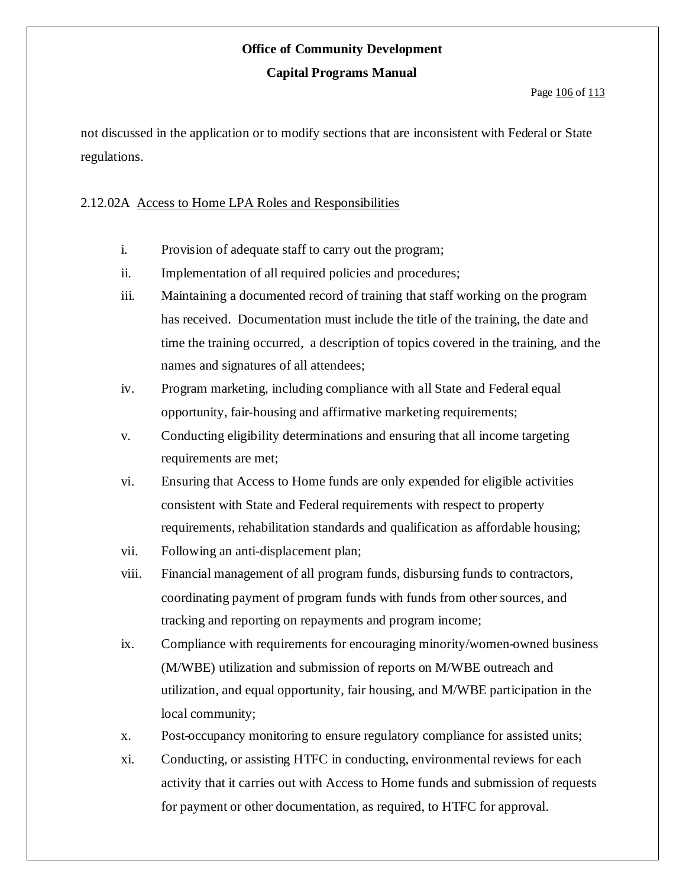### **Office of Community Development**

#### **Capital Programs Manual**

not discussed in the application or to modify sections that are inconsistent with Federal or State regulations.

### 2.12.02A Access to Home LPA Roles and Responsibilities

- i. Provision of adequate staff to carry out the program;
- ii. Implementation of all required policies and procedures;
- iii. Maintaining a documented record of training that staff working on the program has received. Documentation must include the title of the training, the date and time the training occurred, a description of topics covered in the training, and the names and signatures of all attendees;
- iv. Program marketing, including compliance with all State and Federal equal opportunity, fair-housing and affirmative marketing requirements;
- v. Conducting eligibility determinations and ensuring that all income targeting requirements are met;
- vi. Ensuring that Access to Home funds are only expended for eligible activities consistent with State and Federal requirements with respect to property requirements, rehabilitation standards and qualification as affordable housing;
- vii. Following an anti-displacement plan;
- viii. Financial management of all program funds, disbursing funds to contractors, coordinating payment of program funds with funds from other sources, and tracking and reporting on repayments and program income;
- ix. Compliance with requirements for encouraging minority/women-owned business (M/WBE) utilization and submission of reports on M/WBE outreach and utilization, and equal opportunity, fair housing, and M/WBE participation in the local community;
- x. Post-occupancy monitoring to ensure regulatory compliance for assisted units;
- xi. Conducting, or assisting HTFC in conducting, environmental reviews for each activity that it carries out with Access to Home funds and submission of requests for payment or other documentation, as required, to HTFC for approval.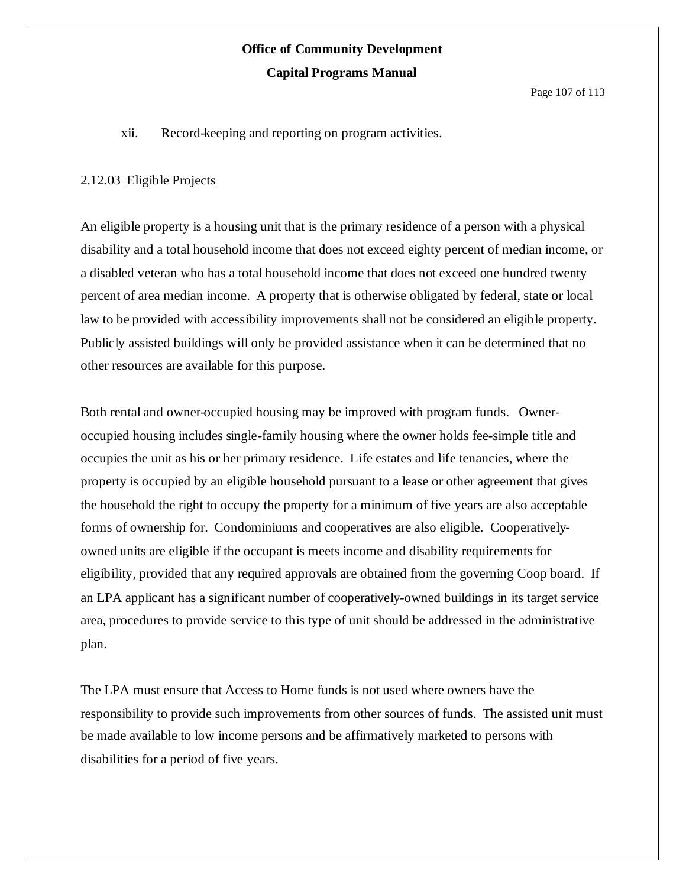#### Page 107 of 113

xii. Record-keeping and reporting on program activities.

#### 2.12.03 Eligible Projects

An eligible property is a housing unit that is the primary residence of a person with a physical disability and a total household income that does not exceed eighty percent of median income, or a disabled veteran who has a total household income that does not exceed one hundred twenty percent of area median income. A property that is otherwise obligated by federal, state or local law to be provided with accessibility improvements shall not be considered an eligible property. Publicly assisted buildings will only be provided assistance when it can be determined that no other resources are available for this purpose.

Both rental and owner-occupied housing may be improved with program funds. Owneroccupied housing includes single-family housing where the owner holds fee-simple title and occupies the unit as his or her primary residence. Life estates and life tenancies, where the property is occupied by an eligible household pursuant to a lease or other agreement that gives the household the right to occupy the property for a minimum of five years are also acceptable forms of ownership for. Condominiums and cooperatives are also eligible. Cooperativelyowned units are eligible if the occupant is meets income and disability requirements for eligibility, provided that any required approvals are obtained from the governing Coop board. If an LPA applicant has a significant number of cooperatively-owned buildings in its target service area, procedures to provide service to this type of unit should be addressed in the administrative plan.

The LPA must ensure that Access to Home funds is not used where owners have the responsibility to provide such improvements from other sources of funds. The assisted unit must be made available to low income persons and be affirmatively marketed to persons with disabilities for a period of five years.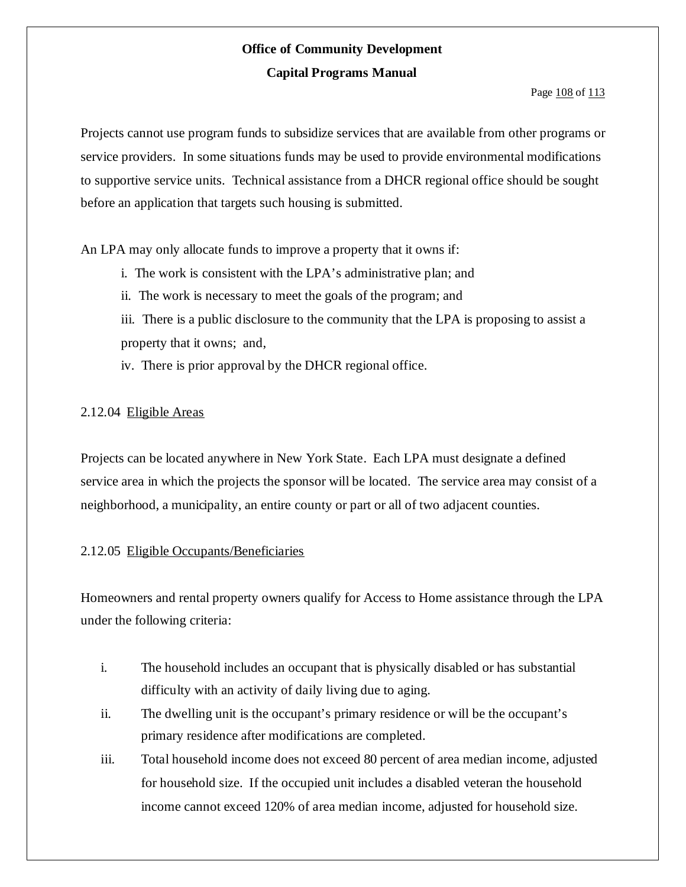#### Page 108 of 113

Projects cannot use program funds to subsidize services that are available from other programs or service providers. In some situations funds may be used to provide environmental modifications to supportive service units. Technical assistance from a DHCR regional office should be sought before an application that targets such housing is submitted.

An LPA may only allocate funds to improve a property that it owns if:

- i. The work is consistent with the LPA's administrative plan; and
- ii. The work is necessary to meet the goals of the program; and

iii. There is a public disclosure to the community that the LPA is proposing to assist a property that it owns; and,

iv. There is prior approval by the DHCR regional office.

### 2.12.04 Eligible Areas

Projects can be located anywhere in New York State. Each LPA must designate a defined service area in which the projects the sponsor will be located. The service area may consist of a neighborhood, a municipality, an entire county or part or all of two adjacent counties.

### 2.12.05 Eligible Occupants/Beneficiaries

Homeowners and rental property owners qualify for Access to Home assistance through the LPA under the following criteria:

- i. The household includes an occupant that is physically disabled or has substantial difficulty with an activity of daily living due to aging.
- ii. The dwelling unit is the occupant's primary residence or will be the occupant's primary residence after modifications are completed.
- iii. Total household income does not exceed 80 percent of area median income, adjusted for household size. If the occupied unit includes a disabled veteran the household income cannot exceed 120% of area median income, adjusted for household size.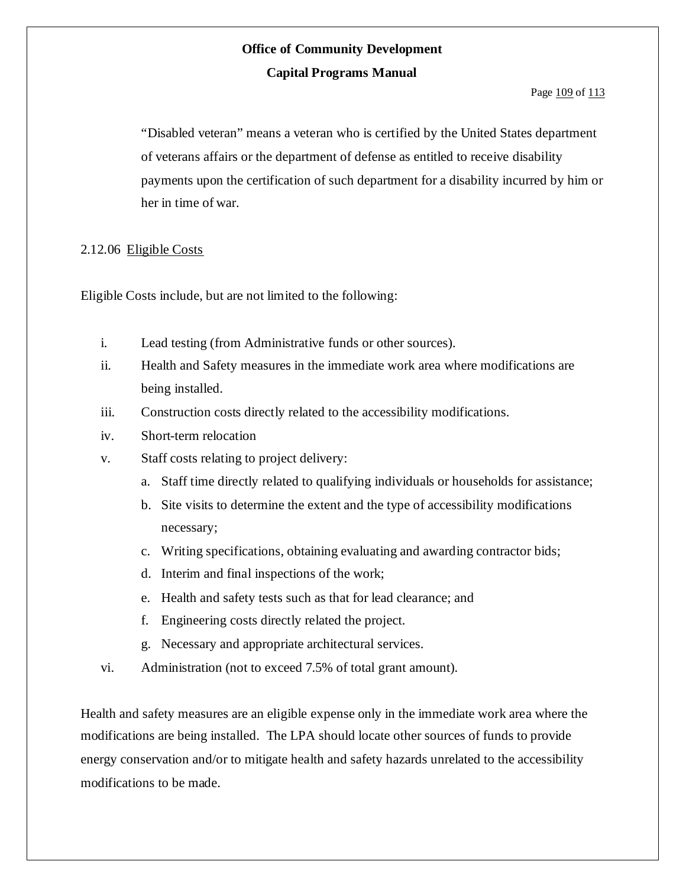#### Page 109 of 113

"Disabled veteran" means a veteran who is certified by the United States department of veterans affairs or the department of defense as entitled to receive disability payments upon the certification of such department for a disability incurred by him or her in time of war.

### 2.12.06 Eligible Costs

Eligible Costs include, but are not limited to the following:

- i. Lead testing (from Administrative funds or other sources).
- ii. Health and Safety measures in the immediate work area where modifications are being installed.
- iii. Construction costs directly related to the accessibility modifications.
- iv. Short-term relocation
- v. Staff costs relating to project delivery:
	- a. Staff time directly related to qualifying individuals or households for assistance;
	- b. Site visits to determine the extent and the type of accessibility modifications necessary;
	- c. Writing specifications, obtaining evaluating and awarding contractor bids;
	- d. Interim and final inspections of the work;
	- e. Health and safety tests such as that for lead clearance; and
	- f. Engineering costs directly related the project.
	- g. Necessary and appropriate architectural services.
- vi. Administration (not to exceed 7.5% of total grant amount).

Health and safety measures are an eligible expense only in the immediate work area where the modifications are being installed. The LPA should locate other sources of funds to provide energy conservation and/or to mitigate health and safety hazards unrelated to the accessibility modifications to be made.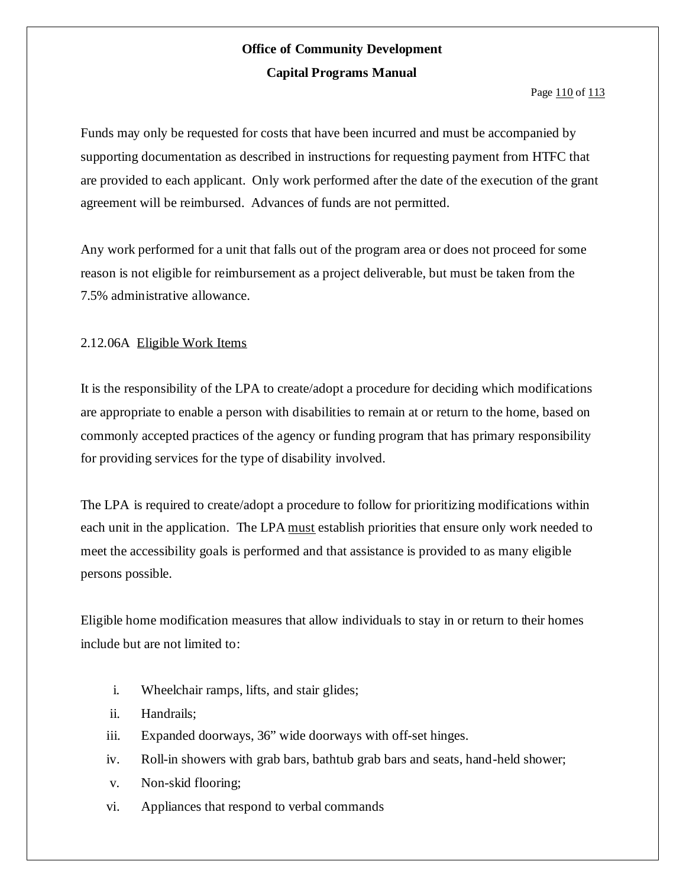Page 110 of 113

Funds may only be requested for costs that have been incurred and must be accompanied by supporting documentation as described in instructions for requesting payment from HTFC that are provided to each applicant. Only work performed after the date of the execution of the grant agreement will be reimbursed. Advances of funds are not permitted.

Any work performed for a unit that falls out of the program area or does not proceed for some reason is not eligible for reimbursement as a project deliverable, but must be taken from the 7.5% administrative allowance.

### 2.12.06A Eligible Work Items

It is the responsibility of the LPA to create/adopt a procedure for deciding which modifications are appropriate to enable a person with disabilities to remain at or return to the home, based on commonly accepted practices of the agency or funding program that has primary responsibility for providing services for the type of disability involved.

The LPA is required to create/adopt a procedure to follow for prioritizing modifications within each unit in the application. The LPA must establish priorities that ensure only work needed to meet the accessibility goals is performed and that assistance is provided to as many eligible persons possible.

Eligible home modification measures that allow individuals to stay in or return to their homes include but are not limited to:

- i. Wheelchair ramps, lifts, and stair glides;
- ii. Handrails;
- iii. Expanded doorways, 36" wide doorways with off-set hinges.
- iv. Roll-in showers with grab bars, bathtub grab bars and seats, hand-held shower;
- v. Non-skid flooring;
- vi. Appliances that respond to verbal commands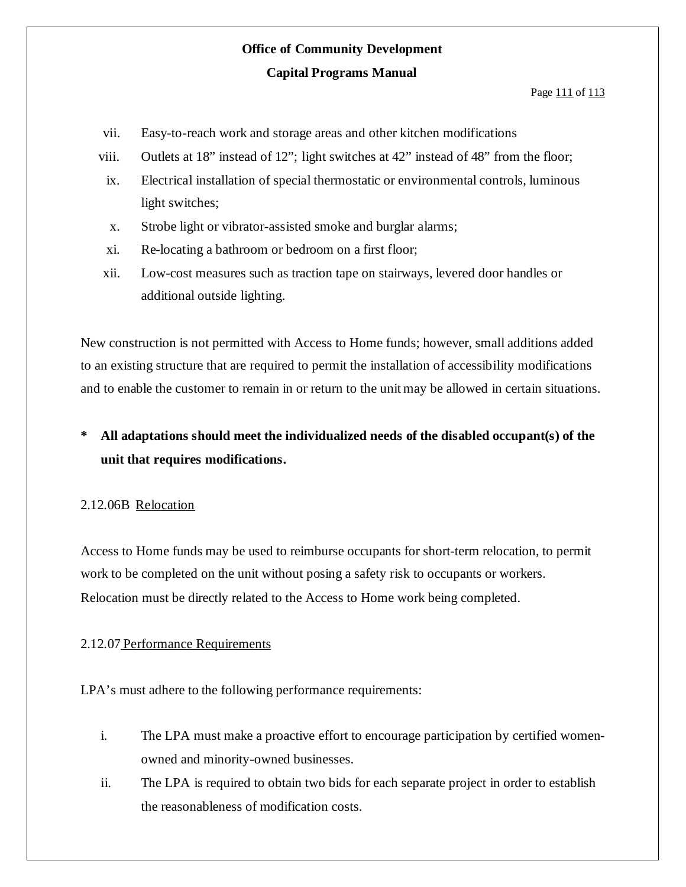Page 111 of 113

- vii. Easy-to-reach work and storage areas and other kitchen modifications
- viii. Outlets at 18" instead of 12"; light switches at 42" instead of 48" from the floor;
- ix. Electrical installation of special thermostatic or environmental controls, luminous light switches;
- x. Strobe light or vibrator-assisted smoke and burglar alarms;
- xi. Re-locating a bathroom or bedroom on a first floor;
- xii. Low-cost measures such as traction tape on stairways, levered door handles or additional outside lighting.

New construction is not permitted with Access to Home funds; however, small additions added to an existing structure that are required to permit the installation of accessibility modifications and to enable the customer to remain in or return to the unit may be allowed in certain situations.

## **\* All adaptations should meet the individualized needs of the disabled occupant(s) of the unit that requires modifications.**

### 2.12.06B Relocation

Access to Home funds may be used to reimburse occupants for short-term relocation, to permit work to be completed on the unit without posing a safety risk to occupants or workers. Relocation must be directly related to the Access to Home work being completed.

### 2.12.07 Performance Requirements

LPA's must adhere to the following performance requirements:

- i. The LPA must make a proactive effort to encourage participation by certified womenowned and minority-owned businesses.
- ii. The LPA is required to obtain two bids for each separate project in order to establish the reasonableness of modification costs.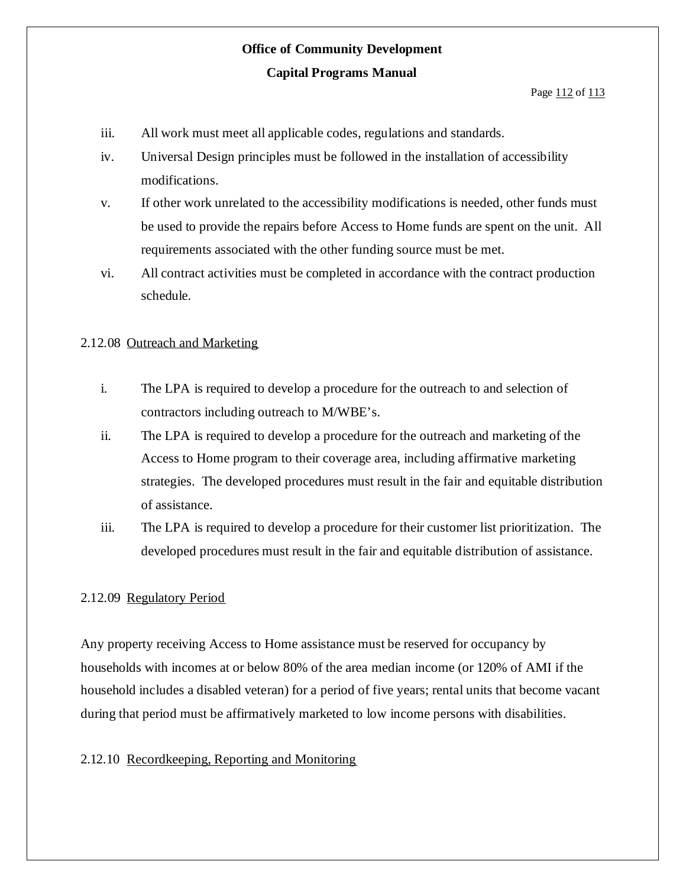#### Page 112 of 113

- iii. All work must meet all applicable codes, regulations and standards.
- iv. Universal Design principles must be followed in the installation of accessibility modifications.
- v. If other work unrelated to the accessibility modifications is needed, other funds must be used to provide the repairs before Access to Home funds are spent on the unit. All requirements associated with the other funding source must be met.
- vi. All contract activities must be completed in accordance with the contract production schedule.

### 2.12.08 Outreach and Marketing

- i. The LPA is required to develop a procedure for the outreach to and selection of contractors including outreach to M/WBE's.
- ii. The LPA is required to develop a procedure for the outreach and marketing of the Access to Home program to their coverage area, including affirmative marketing strategies. The developed procedures must result in the fair and equitable distribution of assistance.
- iii. The LPA is required to develop a procedure for their customer list prioritization. The developed procedures must result in the fair and equitable distribution of assistance.

### 2.12.09 Regulatory Period

Any property receiving Access to Home assistance must be reserved for occupancy by households with incomes at or below 80% of the area median income (or 120% of AMI if the household includes a disabled veteran) for a period of five years; rental units that become vacant during that period must be affirmatively marketed to low income persons with disabilities.

#### 2.12.10 Recordkeeping, Reporting and Monitoring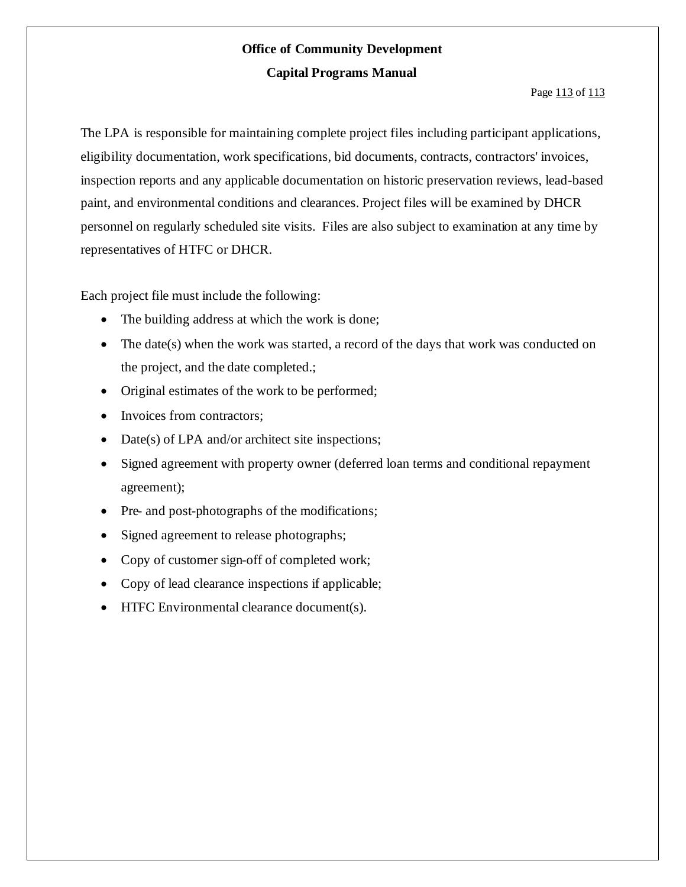#### Page 113 of 113

The LPA is responsible for maintaining complete project files including participant applications, eligibility documentation, work specifications, bid documents, contracts, contractors' invoices, inspection reports and any applicable documentation on historic preservation reviews, lead-based paint, and environmental conditions and clearances. Project files will be examined by DHCR personnel on regularly scheduled site visits. Files are also subject to examination at any time by representatives of HTFC or DHCR.

Each project file must include the following:

- The building address at which the work is done;
- The date(s) when the work was started, a record of the days that work was conducted on the project, and the date completed.;
- Original estimates of the work to be performed;
- Invoices from contractors;
- Date(s) of LPA and/or architect site inspections;
- Signed agreement with property owner (deferred loan terms and conditional repayment agreement);
- Pre- and post-photographs of the modifications;
- Signed agreement to release photographs;
- Copy of customer sign-off of completed work;
- Copy of lead clearance inspections if applicable;
- HTFC Environmental clearance document(s).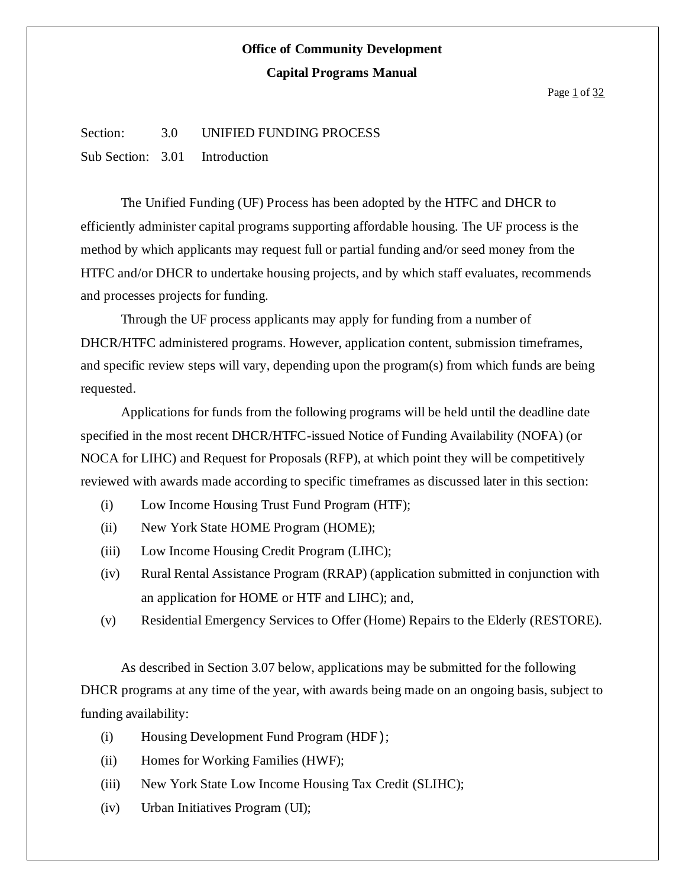#### Page 1 of 32

### Section: 3.0 UNIFIED FUNDING PROCESS

Sub Section: 3.01 Introduction

The Unified Funding (UF) Process has been adopted by the HTFC and DHCR to efficiently administer capital programs supporting affordable housing. The UF process is the method by which applicants may request full or partial funding and/or seed money from the HTFC and/or DHCR to undertake housing projects, and by which staff evaluates, recommends and processes projects for funding.

Through the UF process applicants may apply for funding from a number of DHCR/HTFC administered programs. However, application content, submission timeframes, and specific review steps will vary, depending upon the program(s) from which funds are being requested.

Applications for funds from the following programs will be held until the deadline date specified in the most recent DHCR/HTFC-issued Notice of Funding Availability (NOFA) (or NOCA for LIHC) and Request for Proposals (RFP), at which point they will be competitively reviewed with awards made according to specific timeframes as discussed later in this section:

- (i) Low Income Housing Trust Fund Program (HTF);
- (ii) New York State HOME Program (HOME);
- (iii) Low Income Housing Credit Program (LIHC);
- (iv) Rural Rental Assistance Program (RRAP) (application submitted in conjunction with an application for HOME or HTF and LIHC); and,
- (v) Residential Emergency Services to Offer (Home) Repairs to the Elderly (RESTORE).

As described in Section 3.07 below, applications may be submitted for the following DHCR programs at any time of the year, with awards being made on an ongoing basis, subject to funding availability:

- (i) Housing Development Fund Program (HDF);
- (ii) Homes for Working Families (HWF);
- (iii) New York State Low Income Housing Tax Credit (SLIHC);
- (iv) Urban Initiatives Program (UI);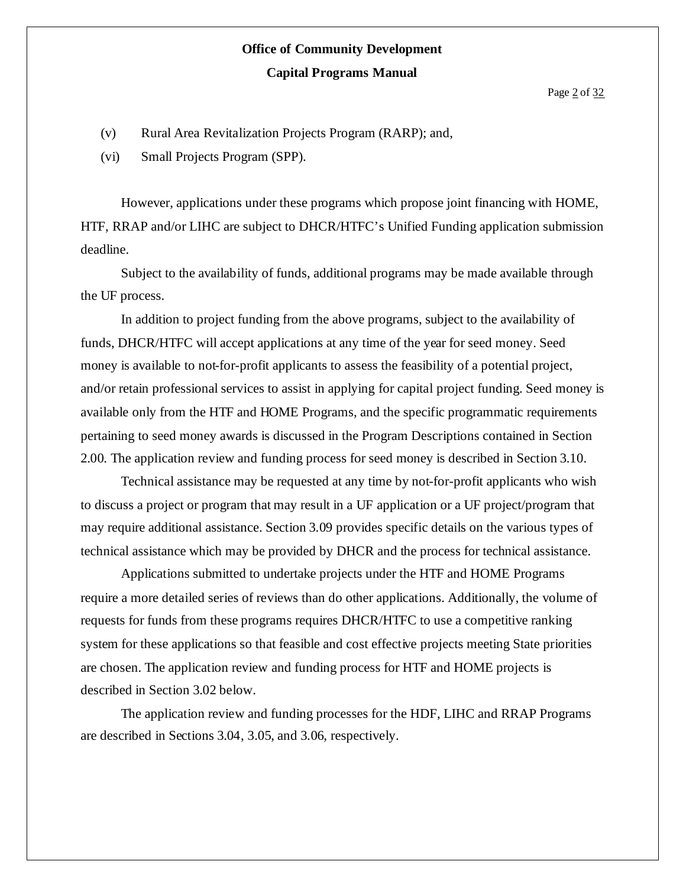Page 2 of 32

- (v) Rural Area Revitalization Projects Program (RARP); and,
- (vi) Small Projects Program (SPP).

However, applications under these programs which propose joint financing with HOME, HTF, RRAP and/or LIHC are subject to DHCR/HTFC's Unified Funding application submission deadline.

Subject to the availability of funds, additional programs may be made available through the UF process.

In addition to project funding from the above programs, subject to the availability of funds, DHCR/HTFC will accept applications at any time of the year for seed money. Seed money is available to not-for-profit applicants to assess the feasibility of a potential project, and/or retain professional services to assist in applying for capital project funding. Seed money is available only from the HTF and HOME Programs, and the specific programmatic requirements pertaining to seed money awards is discussed in the Program Descriptions contained in Section 2.00. The application review and funding process for seed money is described in Section 3.10.

Technical assistance may be requested at any time by not-for-profit applicants who wish to discuss a project or program that may result in a UF application or a UF project/program that may require additional assistance. Section 3.09 provides specific details on the various types of technical assistance which may be provided by DHCR and the process for technical assistance.

Applications submitted to undertake projects under the HTF and HOME Programs require a more detailed series of reviews than do other applications. Additionally, the volume of requests for funds from these programs requires DHCR/HTFC to use a competitive ranking system for these applications so that feasible and cost effective projects meeting State priorities are chosen. The application review and funding process for HTF and HOME projects is described in Section 3.02 below.

The application review and funding processes for the HDF, LIHC and RRAP Programs are described in Sections 3.04, 3.05, and 3.06, respectively.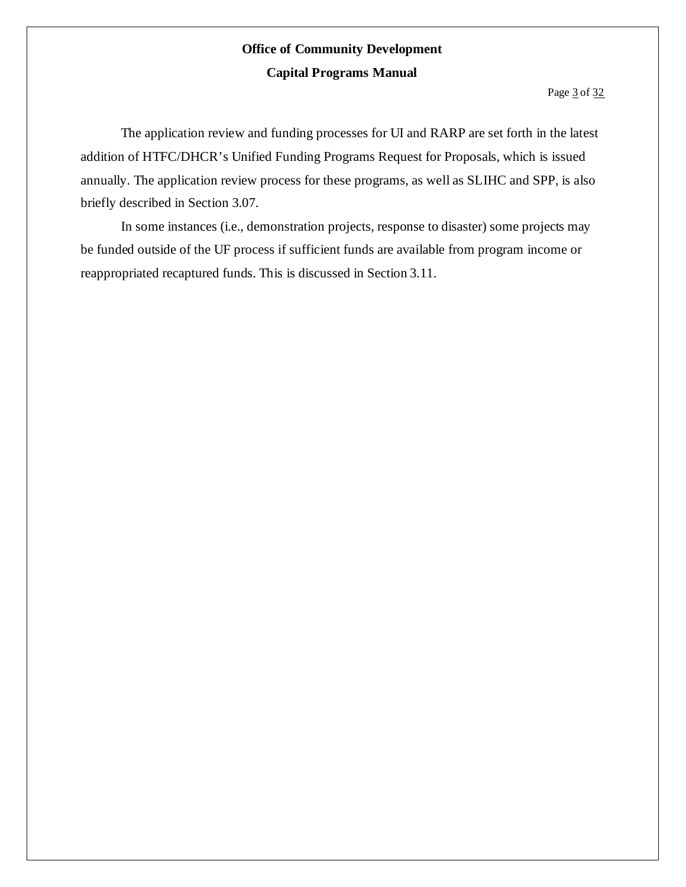The application review and funding processes for UI and RARP are set forth in the latest addition of HTFC/DHCR's Unified Funding Programs Request for Proposals, which is issued annually. The application review process for these programs, as well as SLIHC and SPP, is also briefly described in Section 3.07.

In some instances (i.e., demonstration projects, response to disaster) some projects may be funded outside of the UF process if sufficient funds are available from program income or reappropriated recaptured funds. This is discussed in Section 3.11.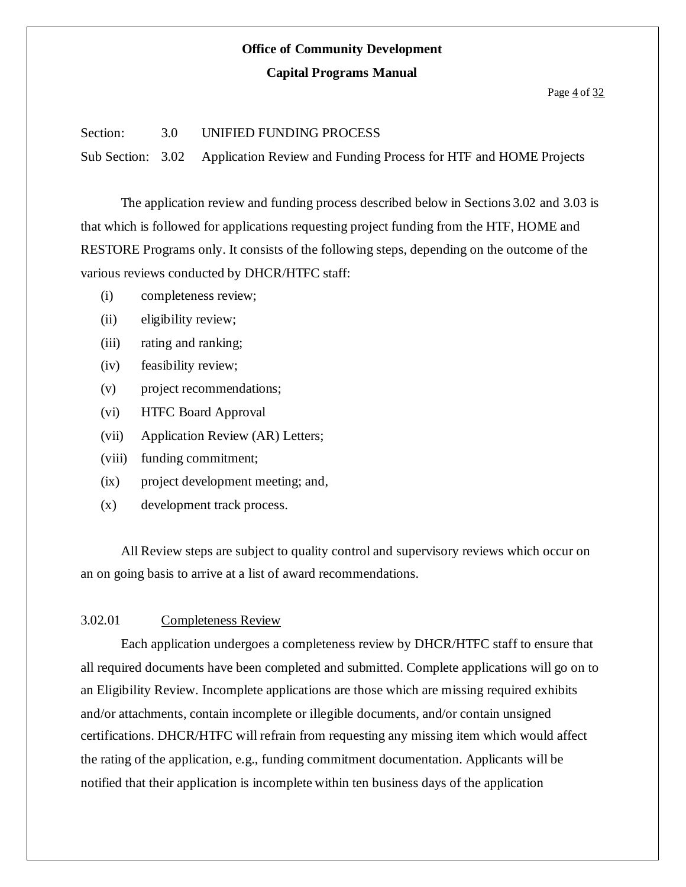# **Office of Community Development**

#### **Capital Programs Manual**

#### Page  $\frac{4}{10}$  of  $\frac{32}{100}$

#### Section: 3.0 UNIFIED FUNDING PROCESS

Sub Section: 3.02 Application Review and Funding Process for HTF and HOME Projects

The application review and funding process described below in Sections 3.02 and 3.03 is that which is followed for applications requesting project funding from the HTF, HOME and RESTORE Programs only. It consists of the following steps, depending on the outcome of the various reviews conducted by DHCR/HTFC staff:

- (i) completeness review;
- (ii) eligibility review;
- (iii) rating and ranking;
- (iv) feasibility review;
- (v) project recommendations;
- (vi) HTFC Board Approval
- (vii) Application Review (AR) Letters;
- (viii) funding commitment;
- (ix) project development meeting; and,
- (x) development track process.

All Review steps are subject to quality control and supervisory reviews which occur on an on going basis to arrive at a list of award recommendations.

#### 3.02.01 Completeness Review

Each application undergoes a completeness review by DHCR/HTFC staff to ensure that all required documents have been completed and submitted. Complete applications will go on to an Eligibility Review. Incomplete applications are those which are missing required exhibits and/or attachments, contain incomplete or illegible documents, and/or contain unsigned certifications. DHCR/HTFC will refrain from requesting any missing item which would affect the rating of the application, e.g., funding commitment documentation. Applicants will be notified that their application is incomplete within ten business days of the application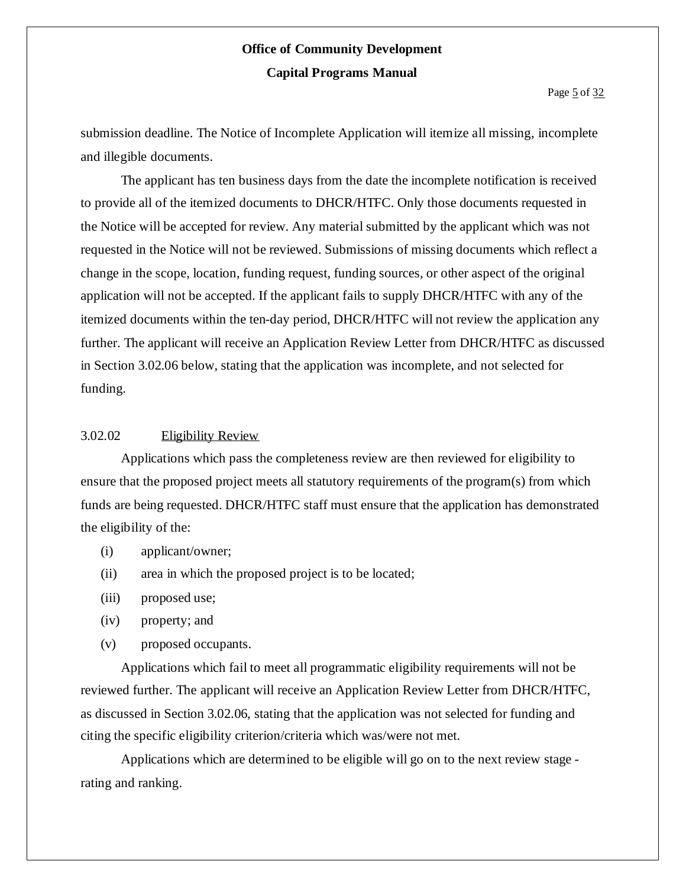Page 5 of 32

submission deadline. The Notice of Incomplete Application will itemize all missing, incomplete and illegible documents.

The applicant has ten business days from the date the incomplete notification is received to provide all of the itemized documents to DHCR/HTFC. Only those documents requested in the Notice will be accepted for review. Any material submitted by the applicant which was not requested in the Notice will not be reviewed. Submissions of missing documents which reflect a change in the scope, location, funding request, funding sources, or other aspect of the original application will not be accepted. If the applicant fails to supply DHCR/HTFC with any of the itemized documents within the ten-day period, DHCR/HTFC will not review the application any further. The applicant will receive an Application Review Letter from DHCR/HTFC as discussed in Section 3.02.06 below, stating that the application was incomplete, and not selected for funding.

#### 3.02.02 Eligibility Review

Applications which pass the completeness review are then reviewed for eligibility to ensure that the proposed project meets all statutory requirements of the program(s) from which funds are being requested. DHCR/HTFC staff must ensure that the application has demonstrated the eligibility of the:

- (i) applicant/owner;
- (ii) area in which the proposed project is to be located;
- (iii) proposed use;
- (iv) property; and
- (v) proposed occupants.

Applications which fail to meet all programmatic eligibility requirements will not be reviewed further. The applicant will receive an Application Review Letter from DHCR/HTFC, as discussed in Section 3.02.06, stating that the application was not selected for funding and citing the specific eligibility criterion/criteria which was/were not met.

Applications which are determined to be eligible will go on to the next review stage rating and ranking.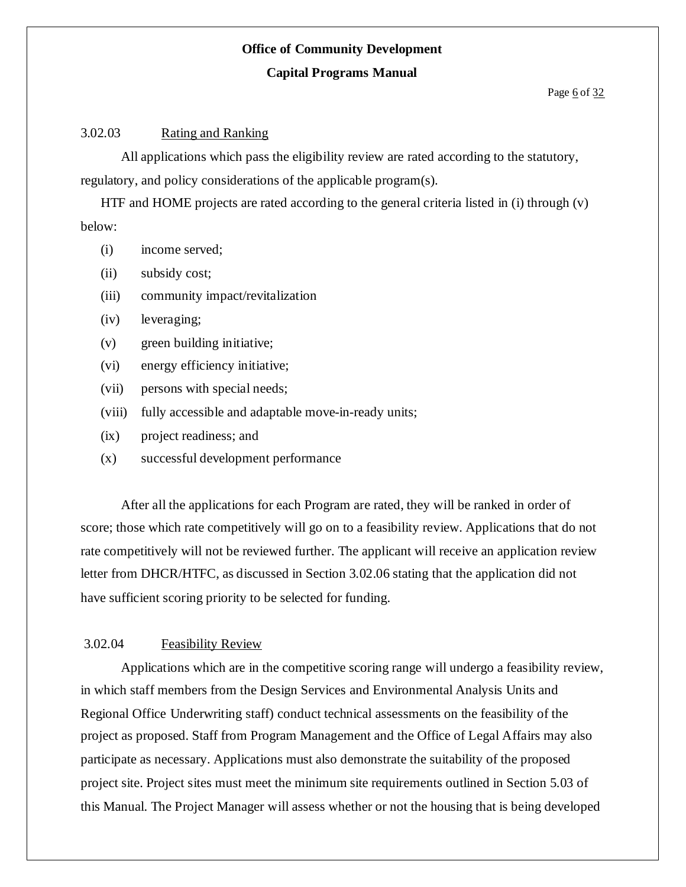### **Office of Community Development**

#### **Capital Programs Manual**

#### Page 6 of 32

#### 3.02.03 Rating and Ranking

All applications which pass the eligibility review are rated according to the statutory, regulatory, and policy considerations of the applicable program(s).

HTF and HOME projects are rated according to the general criteria listed in (i) through (v) below:

- (i) income served;
- (ii) subsidy cost;
- (iii) community impact/revitalization
- (iv) leveraging;
- (v) green building initiative;
- (vi) energy efficiency initiative;
- (vii) persons with special needs;
- (viii) fully accessible and adaptable move-in-ready units;
- (ix) project readiness; and
- (x) successful development performance

After all the applications for each Program are rated, they will be ranked in order of score; those which rate competitively will go on to a feasibility review. Applications that do not rate competitively will not be reviewed further. The applicant will receive an application review letter from DHCR/HTFC, as discussed in Section 3.02.06 stating that the application did not have sufficient scoring priority to be selected for funding.

#### 3.02.04 Feasibility Review

Applications which are in the competitive scoring range will undergo a feasibility review, in which staff members from the Design Services and Environmental Analysis Units and Regional Office Underwriting staff) conduct technical assessments on the feasibility of the project as proposed. Staff from Program Management and the Office of Legal Affairs may also participate as necessary. Applications must also demonstrate the suitability of the proposed project site. Project sites must meet the minimum site requirements outlined in Section 5.03 of this Manual. The Project Manager will assess whether or not the housing that is being developed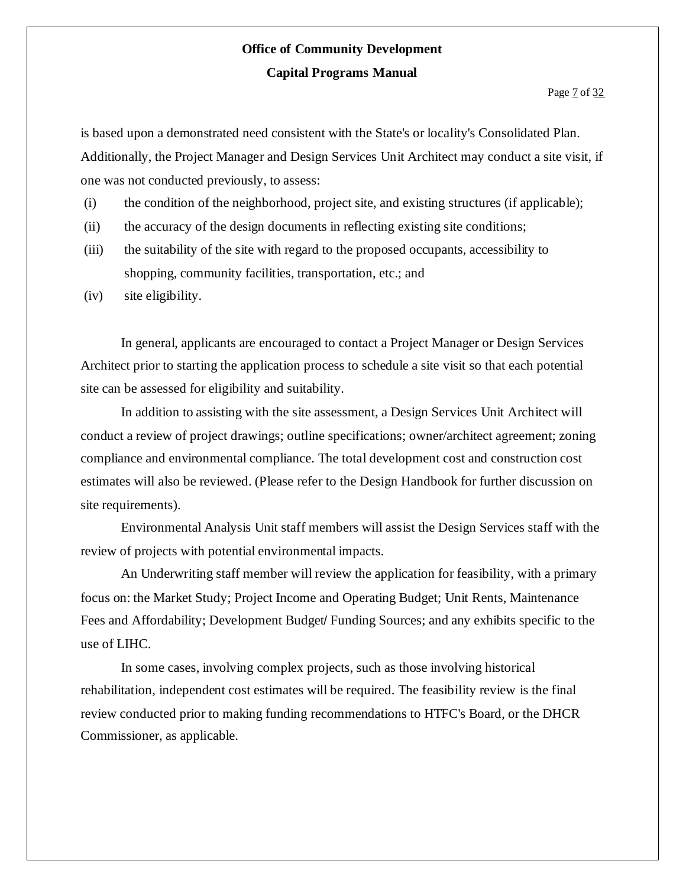is based upon a demonstrated need consistent with the State's or locality's Consolidated Plan. Additionally, the Project Manager and Design Services Unit Architect may conduct a site visit, if one was not conducted previously, to assess:

- (i) the condition of the neighborhood, project site, and existing structures (if applicable);
- (ii) the accuracy of the design documents in reflecting existing site conditions;
- (iii) the suitability of the site with regard to the proposed occupants, accessibility to shopping, community facilities, transportation, etc.; and
- (iv) site eligibility.

In general, applicants are encouraged to contact a Project Manager or Design Services Architect prior to starting the application process to schedule a site visit so that each potential site can be assessed for eligibility and suitability.

In addition to assisting with the site assessment, a Design Services Unit Architect will conduct a review of project drawings; outline specifications; owner/architect agreement; zoning compliance and environmental compliance. The total development cost and construction cost estimates will also be reviewed. (Please refer to the Design Handbook for further discussion on site requirements).

Environmental Analysis Unit staff members will assist the Design Services staff with the review of projects with potential environmental impacts.

An Underwriting staff member will review the application for feasibility, with a primary focus on: the Market Study; Project Income and Operating Budget; Unit Rents, Maintenance Fees and Affordability; Development Budget/ Funding Sources; and any exhibits specific to the use of LIHC.

In some cases, involving complex projects, such as those involving historical rehabilitation, independent cost estimates will be required. The feasibility review is the final review conducted prior to making funding recommendations to HTFC's Board, or the DHCR Commissioner, as applicable.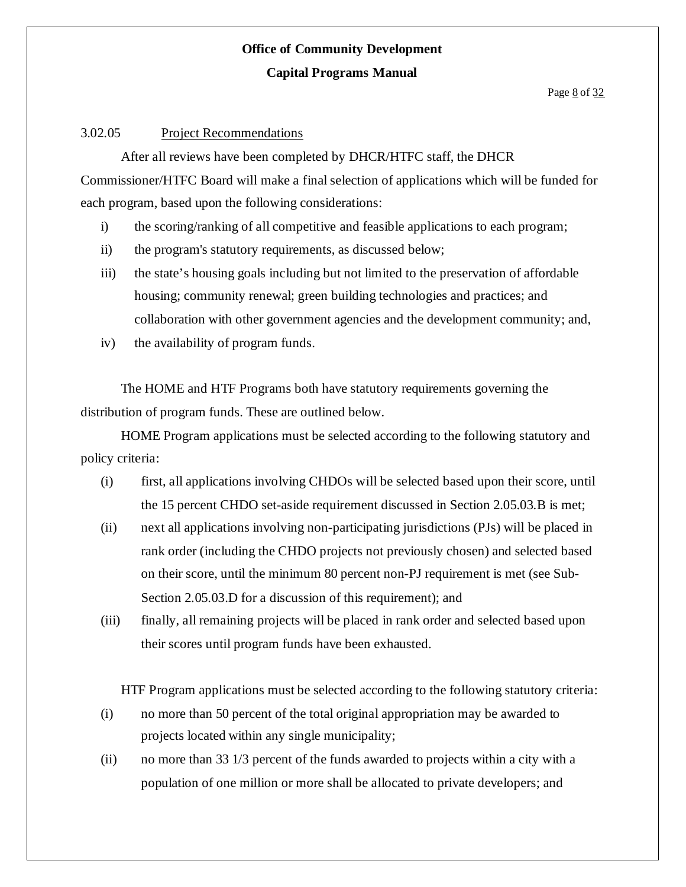Page <u>8</u> of 32

#### 3.02.05 Project Recommendations

After all reviews have been completed by DHCR/HTFC staff, the DHCR Commissioner/HTFC Board will make a final selection of applications which will be funded for each program, based upon the following considerations:

- i) the scoring/ranking of all competitive and feasible applications to each program;
- ii) the program's statutory requirements, as discussed below;
- iii) the state's housing goals including but not limited to the preservation of affordable housing; community renewal; green building technologies and practices; and collaboration with other government agencies and the development community; and,
- iv) the availability of program funds.

The HOME and HTF Programs both have statutory requirements governing the distribution of program funds. These are outlined below.

HOME Program applications must be selected according to the following statutory and policy criteria:

- (i) first, all applications involving CHDOs will be selected based upon their score, until the 15 percent CHDO set-aside requirement discussed in Section 2.05.03.B is met;
- (ii) next all applications involving non-participating jurisdictions (PJs) will be placed in rank order (including the CHDO projects not previously chosen) and selected based on their score, until the minimum 80 percent non-PJ requirement is met (see Sub-Section 2.05.03.D for a discussion of this requirement); and
- (iii) finally, all remaining projects will be placed in rank order and selected based upon their scores until program funds have been exhausted.

HTF Program applications must be selected according to the following statutory criteria:

- (i) no more than 50 percent of the total original appropriation may be awarded to projects located within any single municipality;
- (ii) no more than 33 1/3 percent of the funds awarded to projects within a city with a population of one million or more shall be allocated to private developers; and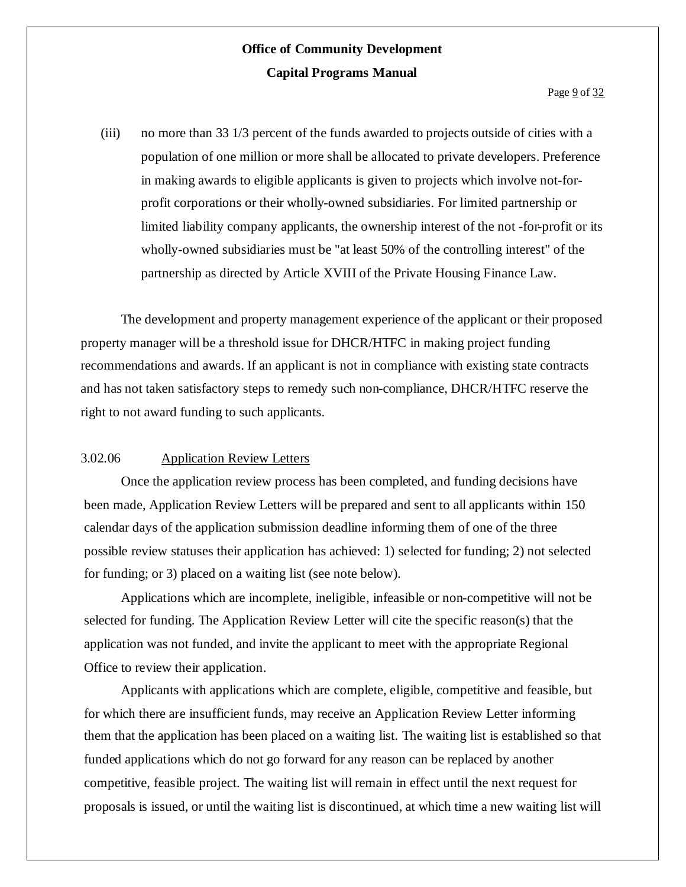(iii) no more than 33 1/3 percent of the funds awarded to projects outside of cities with a population of one million or more shall be allocated to private developers. Preference in making awards to eligible applicants is given to projects which involve not-forprofit corporations or their wholly-owned subsidiaries. For limited partnership or limited liability company applicants, the ownership interest of the not -for-profit or its wholly-owned subsidiaries must be "at least 50% of the controlling interest" of the partnership as directed by Article XVIII of the Private Housing Finance Law.

The development and property management experience of the applicant or their proposed property manager will be a threshold issue for DHCR/HTFC in making project funding recommendations and awards. If an applicant is not in compliance with existing state contracts and has not taken satisfactory steps to remedy such non-compliance, DHCR/HTFC reserve the right to not award funding to such applicants.

### 3.02.06 Application Review Letters

Once the application review process has been completed, and funding decisions have been made, Application Review Letters will be prepared and sent to all applicants within 150 calendar days of the application submission deadline informing them of one of the three possible review statuses their application has achieved: 1) selected for funding; 2) not selected for funding; or 3) placed on a waiting list (see note below).

Applications which are incomplete, ineligible, infeasible or non-competitive will not be selected for funding. The Application Review Letter will cite the specific reason(s) that the application was not funded, and invite the applicant to meet with the appropriate Regional Office to review their application.

Applicants with applications which are complete, eligible, competitive and feasible, but for which there are insufficient funds, may receive an Application Review Letter informing them that the application has been placed on a waiting list. The waiting list is established so that funded applications which do not go forward for any reason can be replaced by another competitive, feasible project. The waiting list will remain in effect until the next request for proposals is issued, or until the waiting list is discontinued, at which time a new waiting list will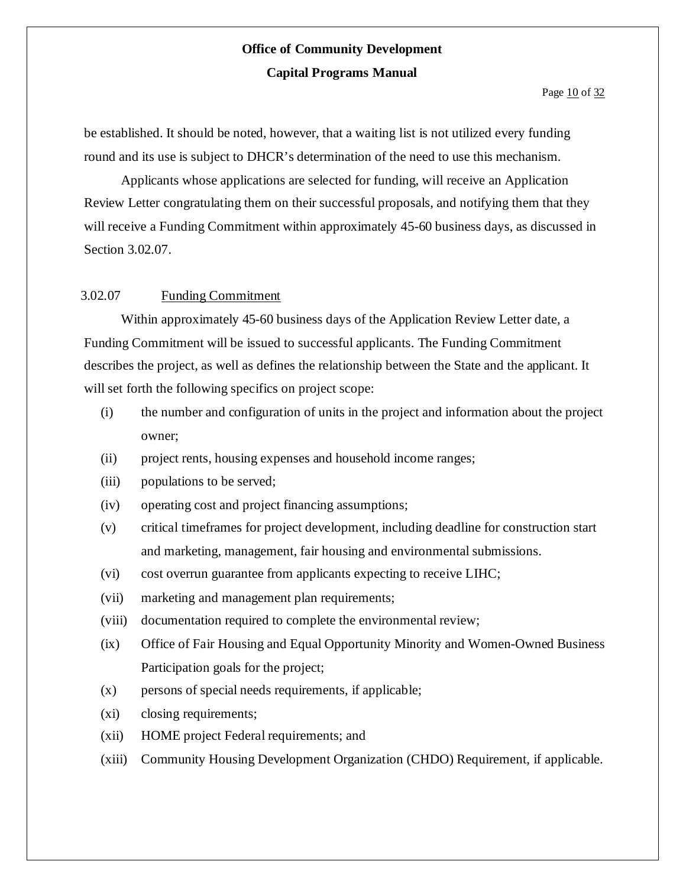be established. It should be noted, however, that a waiting list is not utilized every funding round and its use is subject to DHCR's determination of the need to use this mechanism.

Applicants whose applications are selected for funding, will receive an Application Review Letter congratulating them on their successful proposals, and notifying them that they will receive a Funding Commitment within approximately 45-60 business days, as discussed in Section 3.02.07.

### 3.02.07 Funding Commitment

Within approximately 45-60 business days of the Application Review Letter date, a Funding Commitment will be issued to successful applicants. The Funding Commitment describes the project, as well as defines the relationship between the State and the applicant. It will set forth the following specifics on project scope:

- (i) the number and configuration of units in the project and information about the project owner;
- (ii) project rents, housing expenses and household income ranges;
- (iii) populations to be served;
- (iv) operating cost and project financing assumptions;
- (v) critical timeframes for project development, including deadline for construction start and marketing, management, fair housing and environmental submissions.
- (vi) cost overrun guarantee from applicants expecting to receive LIHC;
- (vii) marketing and management plan requirements;
- (viii) documentation required to complete the environmental review;
- (ix) Office of Fair Housing and Equal Opportunity Minority and Women-Owned Business Participation goals for the project;
- (x) persons of special needs requirements, if applicable;
- (xi) closing requirements;
- (xii) HOME project Federal requirements; and
- (xiii) Community Housing Development Organization (CHDO) Requirement, if applicable.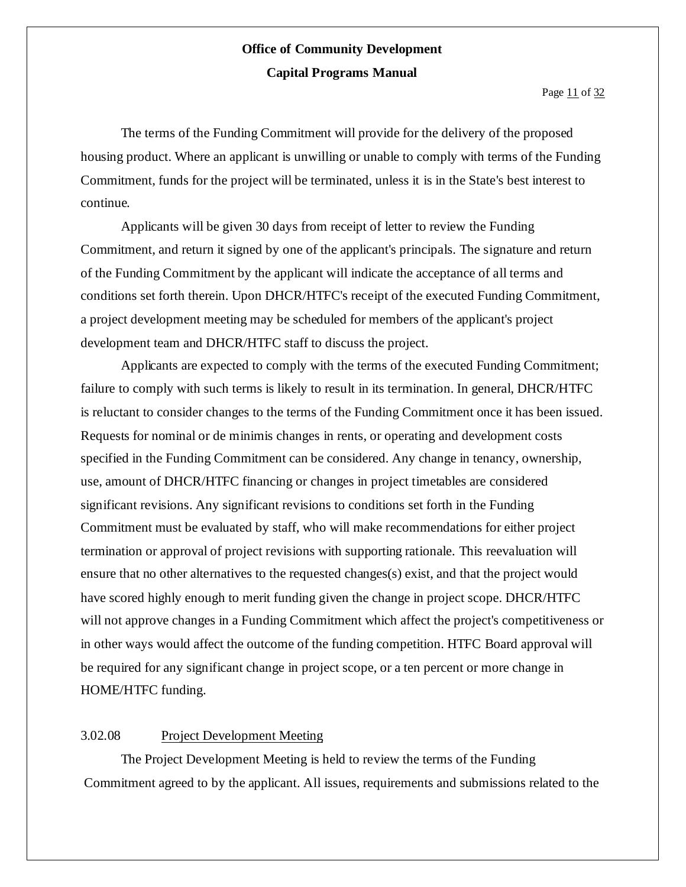The terms of the Funding Commitment will provide for the delivery of the proposed housing product. Where an applicant is unwilling or unable to comply with terms of the Funding Commitment, funds for the project will be terminated, unless it is in the State's best interest to continue.

Applicants will be given 30 days from receipt of letter to review the Funding Commitment, and return it signed by one of the applicant's principals. The signature and return of the Funding Commitment by the applicant will indicate the acceptance of all terms and conditions set forth therein. Upon DHCR/HTFC's receipt of the executed Funding Commitment, a project development meeting may be scheduled for members of the applicant's project development team and DHCR/HTFC staff to discuss the project.

Applicants are expected to comply with the terms of the executed Funding Commitment; failure to comply with such terms is likely to result in its termination. In general, DHCR/HTFC is reluctant to consider changes to the terms of the Funding Commitment once it has been issued. Requests for nominal or de minimis changes in rents, or operating and development costs specified in the Funding Commitment can be considered. Any change in tenancy, ownership, use, amount of DHCR/HTFC financing or changes in project timetables are considered significant revisions. Any significant revisions to conditions set forth in the Funding Commitment must be evaluated by staff, who will make recommendations for either project termination or approval of project revisions with supporting rationale. This reevaluation will ensure that no other alternatives to the requested changes(s) exist, and that the project would have scored highly enough to merit funding given the change in project scope. DHCR/HTFC will not approve changes in a Funding Commitment which affect the project's competitiveness or in other ways would affect the outcome of the funding competition. HTFC Board approval will be required for any significant change in project scope, or a ten percent or more change in HOME/HTFC funding.

### 3.02.08 Project Development Meeting

The Project Development Meeting is held to review the terms of the Funding Commitment agreed to by the applicant. All issues, requirements and submissions related to the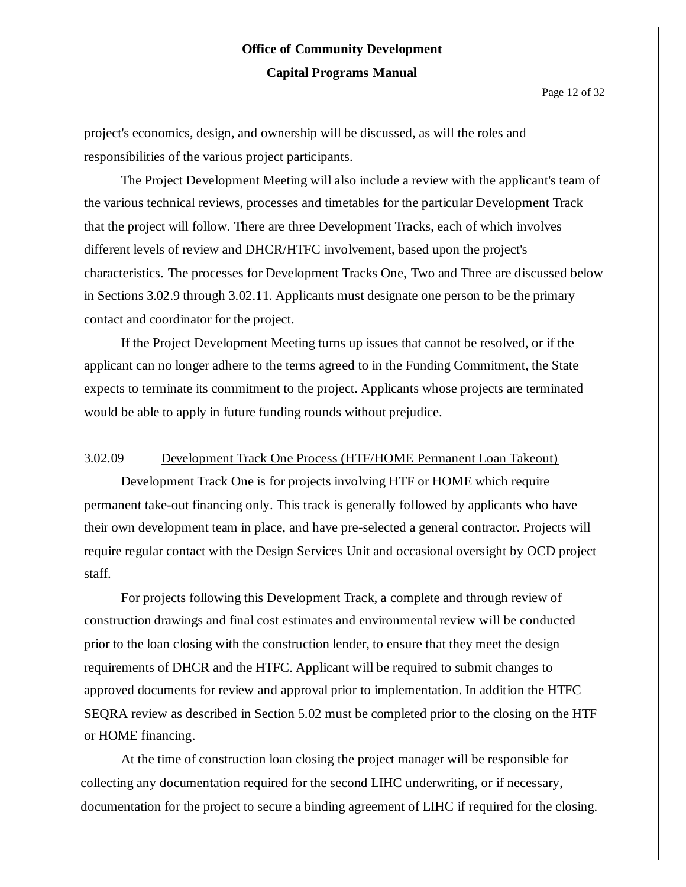project's economics, design, and ownership will be discussed, as will the roles and responsibilities of the various project participants.

The Project Development Meeting will also include a review with the applicant's team of the various technical reviews, processes and timetables for the particular Development Track that the project will follow. There are three Development Tracks, each of which involves different levels of review and DHCR/HTFC involvement, based upon the project's characteristics. The processes for Development Tracks One, Two and Three are discussed below in Sections 3.02.9 through 3.02.11. Applicants must designate one person to be the primary contact and coordinator for the project.

If the Project Development Meeting turns up issues that cannot be resolved, or if the applicant can no longer adhere to the terms agreed to in the Funding Commitment, the State expects to terminate its commitment to the project. Applicants whose projects are terminated would be able to apply in future funding rounds without prejudice.

#### 3.02.09 Development Track One Process (HTF/HOME Permanent Loan Takeout)

Development Track One is for projects involving HTF or HOME which require permanent take-out financing only. This track is generally followed by applicants who have their own development team in place, and have pre-selected a general contractor. Projects will require regular contact with the Design Services Unit and occasional oversight by OCD project staff.

For projects following this Development Track, a complete and through review of construction drawings and final cost estimates and environmental review will be conducted prior to the loan closing with the construction lender, to ensure that they meet the design requirements of DHCR and the HTFC. Applicant will be required to submit changes to approved documents for review and approval prior to implementation. In addition the HTFC SEQRA review as described in Section 5.02 must be completed prior to the closing on the HTF or HOME financing.

At the time of construction loan closing the project manager will be responsible for collecting any documentation required for the second LIHC underwriting, or if necessary, documentation for the project to secure a binding agreement of LIHC if required for the closing.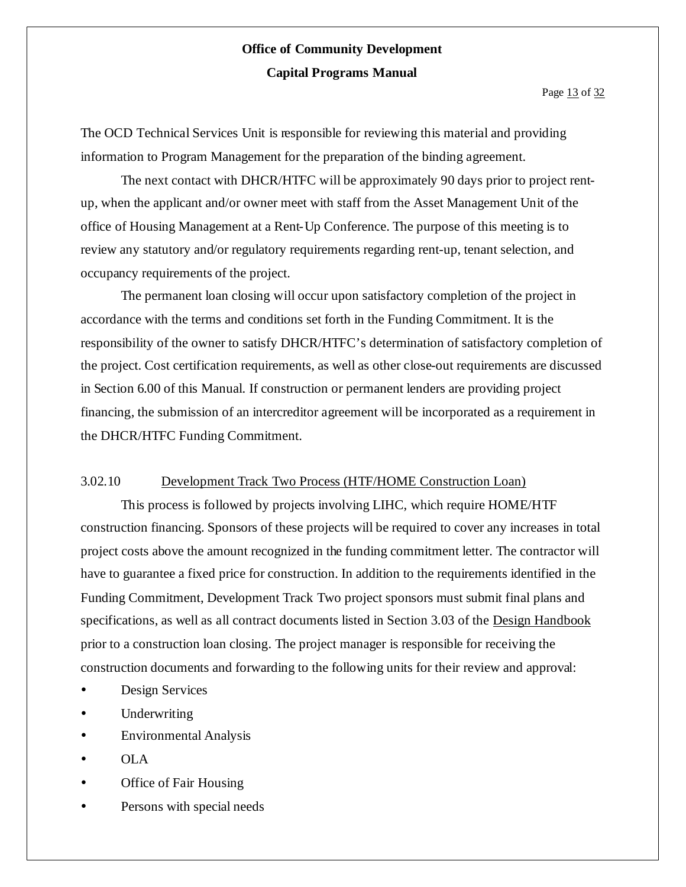Page 13 of 32

The OCD Technical Services Unit is responsible for reviewing this material and providing information to Program Management for the preparation of the binding agreement.

The next contact with DHCR/HTFC will be approximately 90 days prior to project rentup, when the applicant and/or owner meet with staff from the Asset Management Unit of the office of Housing Management at a Rent-Up Conference. The purpose of this meeting is to review any statutory and/or regulatory requirements regarding rent-up, tenant selection, and occupancy requirements of the project.

The permanent loan closing will occur upon satisfactory completion of the project in accordance with the terms and conditions set forth in the Funding Commitment. It is the responsibility of the owner to satisfy DHCR/HTFC's determination of satisfactory completion of the project. Cost certification requirements, as well as other close-out requirements are discussed in Section 6.00 of this Manual. If construction or permanent lenders are providing project financing, the submission of an intercreditor agreement will be incorporated as a requirement in the DHCR/HTFC Funding Commitment.

### 3.02.10 Development Track Two Process (HTF/HOME Construction Loan)

This process is followed by projects involving LIHC, which require HOME/HTF construction financing. Sponsors of these projects will be required to cover any increases in total project costs above the amount recognized in the funding commitment letter. The contractor will have to guarantee a fixed price for construction. In addition to the requirements identified in the Funding Commitment, Development Track Two project sponsors must submit final plans and specifications, as well as all contract documents listed in Section 3.03 of the Design Handbook prior to a construction loan closing. The project manager is responsible for receiving the construction documents and forwarding to the following units for their review and approval:

- Design Services
- Underwriting
- Environmental Analysis
- OLA
- Office of Fair Housing
- Persons with special needs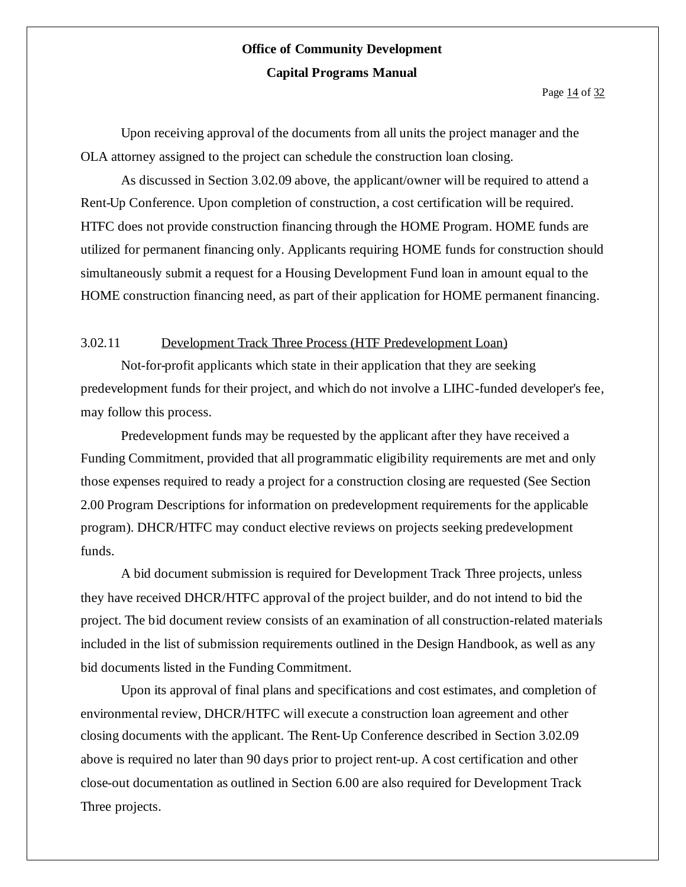Page 14 of 32

Upon receiving approval of the documents from all units the project manager and the OLA attorney assigned to the project can schedule the construction loan closing.

As discussed in Section 3.02.09 above, the applicant/owner will be required to attend a Rent-Up Conference. Upon completion of construction, a cost certification will be required. HTFC does not provide construction financing through the HOME Program. HOME funds are utilized for permanent financing only. Applicants requiring HOME funds for construction should simultaneously submit a request for a Housing Development Fund loan in amount equal to the HOME construction financing need, as part of their application for HOME permanent financing.

### 3.02.11 Development Track Three Process (HTF Predevelopment Loan)

Not-for-profit applicants which state in their application that they are seeking predevelopment funds for their project, and which do not involve a LIHC-funded developer's fee, may follow this process.

Predevelopment funds may be requested by the applicant after they have received a Funding Commitment, provided that all programmatic eligibility requirements are met and only those expenses required to ready a project for a construction closing are requested (See Section 2.00 Program Descriptions for information on predevelopment requirements for the applicable program). DHCR/HTFC may conduct elective reviews on projects seeking predevelopment funds.

A bid document submission is required for Development Track Three projects, unless they have received DHCR/HTFC approval of the project builder, and do not intend to bid the project. The bid document review consists of an examination of all construction-related materials included in the list of submission requirements outlined in the Design Handbook, as well as any bid documents listed in the Funding Commitment.

Upon its approval of final plans and specifications and cost estimates, and completion of environmental review, DHCR/HTFC will execute a construction loan agreement and other closing documents with the applicant. The Rent-Up Conference described in Section 3.02.09 above is required no later than 90 days prior to project rent-up. A cost certification and other close-out documentation as outlined in Section 6.00 are also required for Development Track Three projects.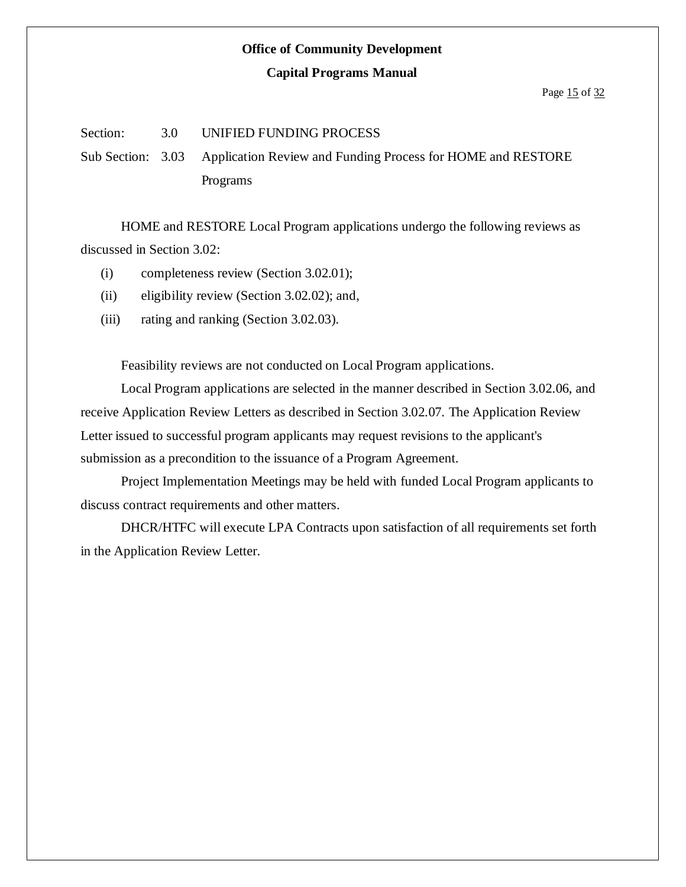#### **Capital Programs Manual**

#### Section: 3.0 UNIFIED FUNDING PROCESS

Sub Section: 3.03 Application Review and Funding Process for HOME and RESTORE Programs

HOME and RESTORE Local Program applications undergo the following reviews as discussed in Section 3.02:

- (i) completeness review (Section 3.02.01);
- (ii) eligibility review (Section 3.02.02); and,
- (iii) rating and ranking (Section 3.02.03).

Feasibility reviews are not conducted on Local Program applications.

Local Program applications are selected in the manner described in Section 3.02.06, and receive Application Review Letters as described in Section 3.02.07. The Application Review Letter issued to successful program applicants may request revisions to the applicant's submission as a precondition to the issuance of a Program Agreement.

Project Implementation Meetings may be held with funded Local Program applicants to discuss contract requirements and other matters.

DHCR/HTFC will execute LPA Contracts upon satisfaction of all requirements set forth in the Application Review Letter.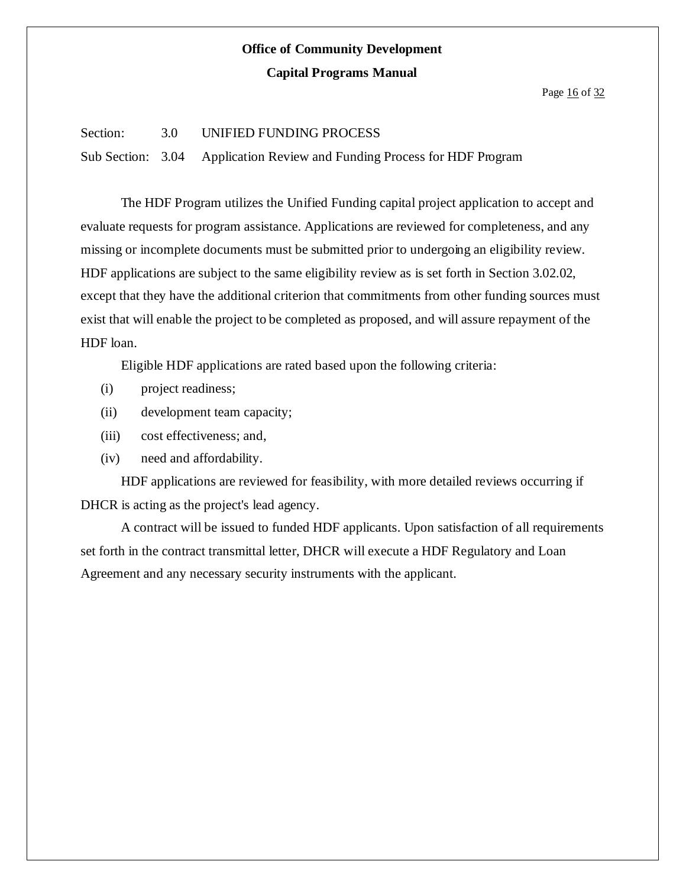#### Page 16 of 32

#### Section: 3.0 UNIFIED FUNDING PROCESS

Sub Section: 3.04 Application Review and Funding Process for HDF Program

The HDF Program utilizes the Unified Funding capital project application to accept and evaluate requests for program assistance. Applications are reviewed for completeness, and any missing or incomplete documents must be submitted prior to undergoing an eligibility review. HDF applications are subject to the same eligibility review as is set forth in Section 3.02.02, except that they have the additional criterion that commitments from other funding sources must exist that will enable the project to be completed as proposed, and will assure repayment of the HDF loan.

Eligible HDF applications are rated based upon the following criteria:

- (i) project readiness;
- (ii) development team capacity;
- (iii) cost effectiveness; and,
- (iv) need and affordability.

HDF applications are reviewed for feasibility, with more detailed reviews occurring if DHCR is acting as the project's lead agency.

A contract will be issued to funded HDF applicants. Upon satisfaction of all requirements set forth in the contract transmittal letter, DHCR will execute a HDF Regulatory and Loan Agreement and any necessary security instruments with the applicant.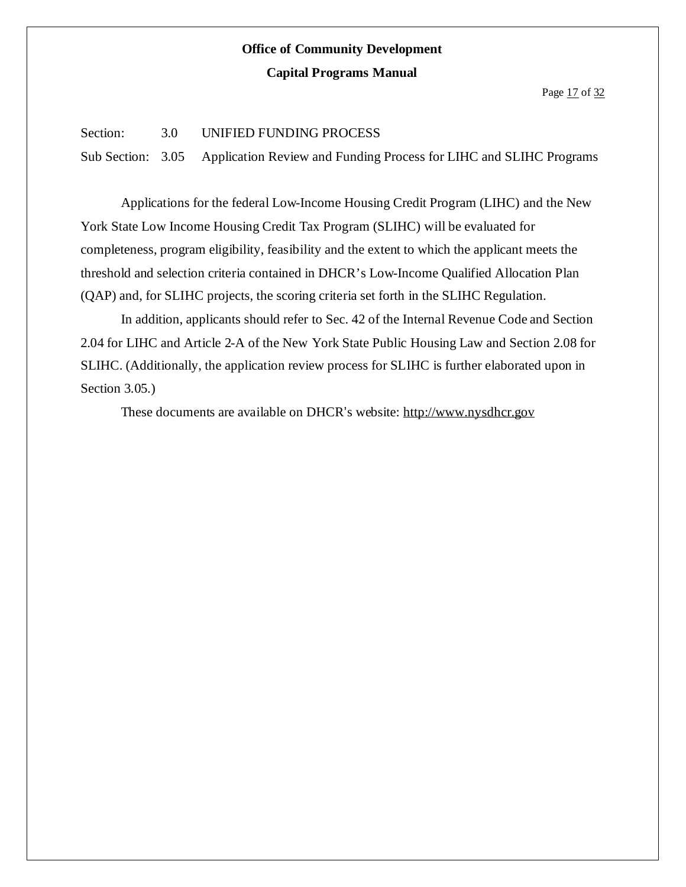Page 17 of 32

### Section: 3.0 UNIFIED FUNDING PROCESS

Sub Section: 3.05 Application Review and Funding Process for LIHC and SLIHC Programs

Applications for the federal Low-Income Housing Credit Program (LIHC) and the New York State Low Income Housing Credit Tax Program (SLIHC) will be evaluated for completeness, program eligibility, feasibility and the extent to which the applicant meets the threshold and selection criteria contained in DHCR's Low-Income Qualified Allocation Plan (QAP) and, for SLIHC projects, the scoring criteria set forth in the SLIHC Regulation.

In addition, applicants should refer to Sec. 42 of the Internal Revenue Code and Section 2.04 for LIHC and Article 2-A of the New York State Public Housing Law and Section 2.08 for SLIHC. (Additionally, the application review process for SLIHC is further elaborated upon in Section 3.05.)

These documents are available on DHCR's website: http://www.nysdhcr.gov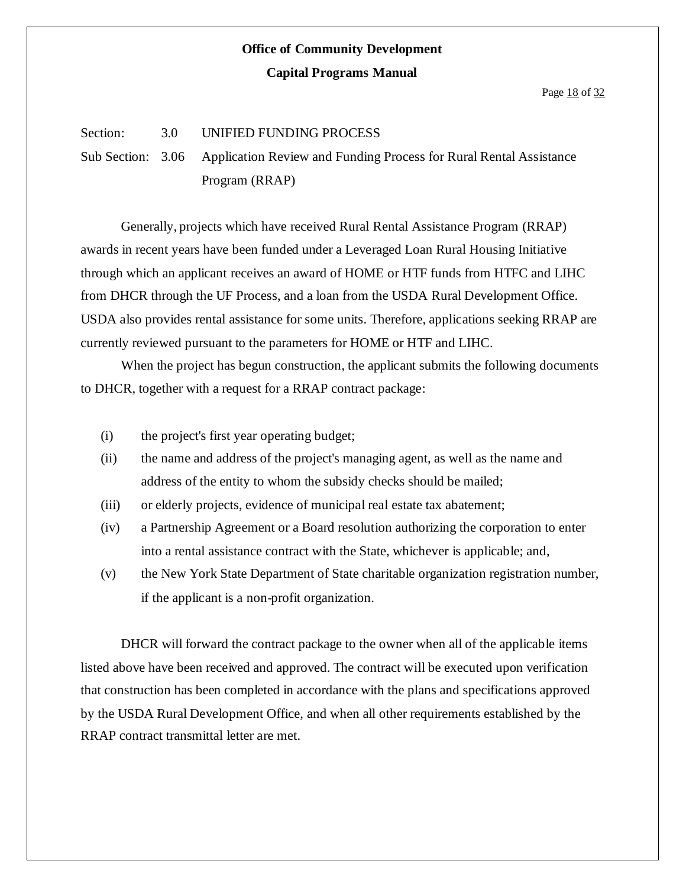#### Page 18 of 32

#### Section: 3.0 UNIFIED FUNDING PROCESS

Sub Section: 3.06 Application Review and Funding Process for Rural Rental Assistance Program (RRAP)

Generally, projects which have received Rural Rental Assistance Program (RRAP) awards in recent years have been funded under a Leveraged Loan Rural Housing Initiative through which an applicant receives an award of HOME or HTF funds from HTFC and LIHC from DHCR through the UF Process, and a loan from the USDA Rural Development Office. USDA also provides rental assistance for some units. Therefore, applications seeking RRAP are currently reviewed pursuant to the parameters for HOME or HTF and LIHC.

When the project has begun construction, the applicant submits the following documents to DHCR, together with a request for a RRAP contract package:

- (i) the project's first year operating budget;
- (ii) the name and address of the project's managing agent, as well as the name and address of the entity to whom the subsidy checks should be mailed;
- (iii) or elderly projects, evidence of municipal real estate tax abatement;
- (iv) a Partnership Agreement or a Board resolution authorizing the corporation to enter into a rental assistance contract with the State, whichever is applicable; and,
- (v) the New York State Department of State charitable organization registration number, if the applicant is a non-profit organization.

DHCR will forward the contract package to the owner when all of the applicable items listed above have been received and approved. The contract will be executed upon verification that construction has been completed in accordance with the plans and specifications approved by the USDA Rural Development Office, and when all other requirements established by the RRAP contract transmittal letter are met.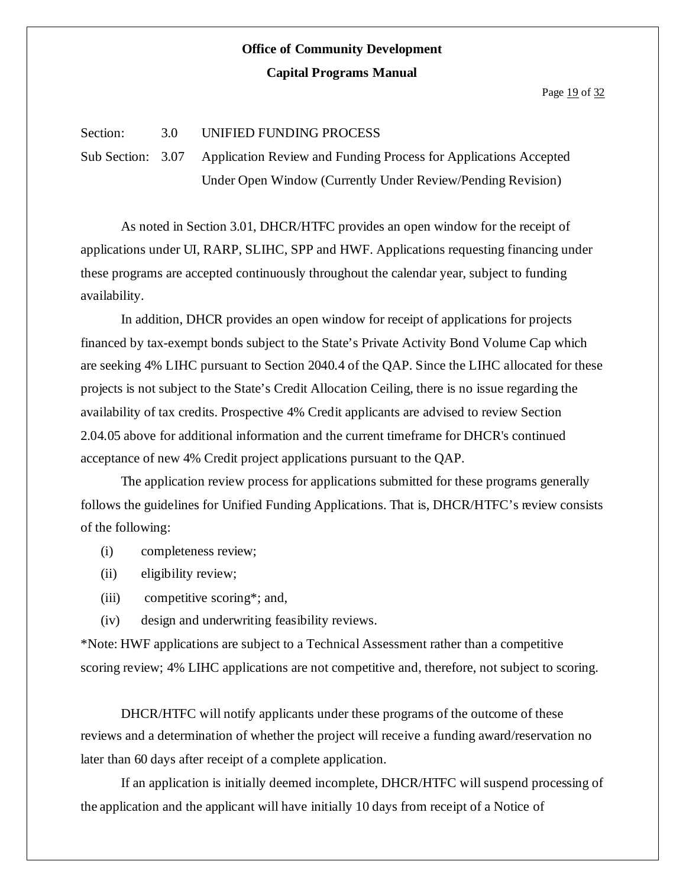Page 19 of 32

### Section: 3.0 UNIFIED FUNDING PROCESS

Sub Section: 3.07 Application Review and Funding Process for Applications Accepted Under Open Window (Currently Under Review/Pending Revision)

As noted in Section 3.01, DHCR/HTFC provides an open window for the receipt of applications under UI, RARP, SLIHC, SPP and HWF. Applications requesting financing under these programs are accepted continuously throughout the calendar year, subject to funding availability.

In addition, DHCR provides an open window for receipt of applications for projects financed by tax-exempt bonds subject to the State's Private Activity Bond Volume Cap which are seeking 4% LIHC pursuant to Section 2040.4 of the QAP. Since the LIHC allocated for these projects is not subject to the State's Credit Allocation Ceiling, there is no issue regarding the availability of tax credits. Prospective 4% Credit applicants are advised to review Section 2.04.05 above for additional information and the current timeframe for DHCR's continued acceptance of new 4% Credit project applications pursuant to the QAP.

The application review process for applications submitted for these programs generally follows the guidelines for Unified Funding Applications. That is, DHCR/HTFC's review consists of the following:

- (i) completeness review;
- (ii) eligibility review;
- (iii) competitive scoring\*; and,
- (iv) design and underwriting feasibility reviews.

\*Note: HWF applications are subject to a Technical Assessment rather than a competitive scoring review; 4% LIHC applications are not competitive and, therefore, not subject to scoring.

DHCR/HTFC will notify applicants under these programs of the outcome of these reviews and a determination of whether the project will receive a funding award/reservation no later than 60 days after receipt of a complete application.

If an application is initially deemed incomplete, DHCR/HTFC will suspend processing of the application and the applicant will have initially 10 days from receipt of a Notice of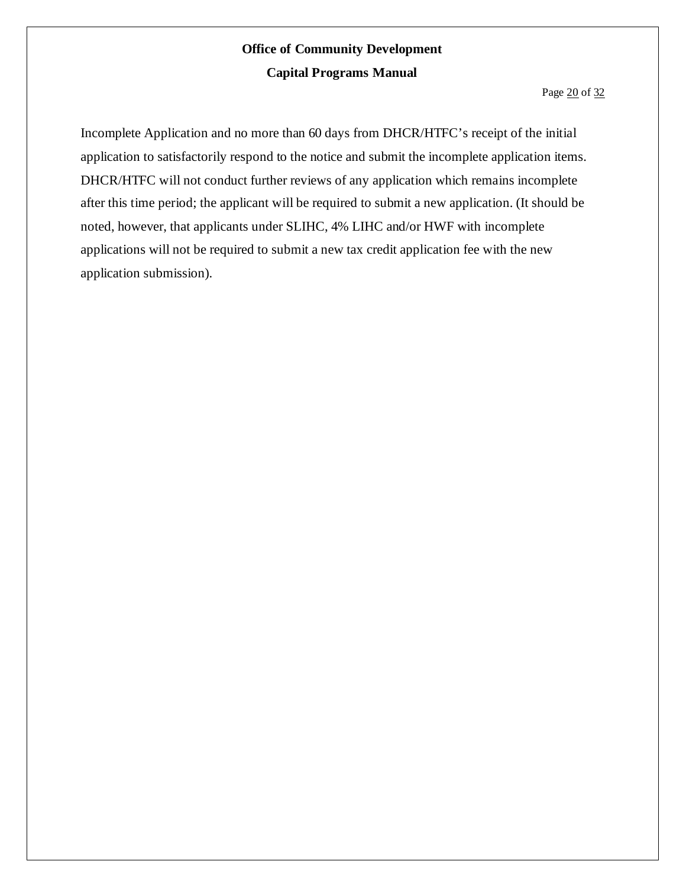Incomplete Application and no more than 60 days from DHCR/HTFC's receipt of the initial application to satisfactorily respond to the notice and submit the incomplete application items. DHCR/HTFC will not conduct further reviews of any application which remains incomplete after this time period; the applicant will be required to submit a new application. (It should be noted, however, that applicants under SLIHC, 4% LIHC and/or HWF with incomplete applications will not be required to submit a new tax credit application fee with the new application submission).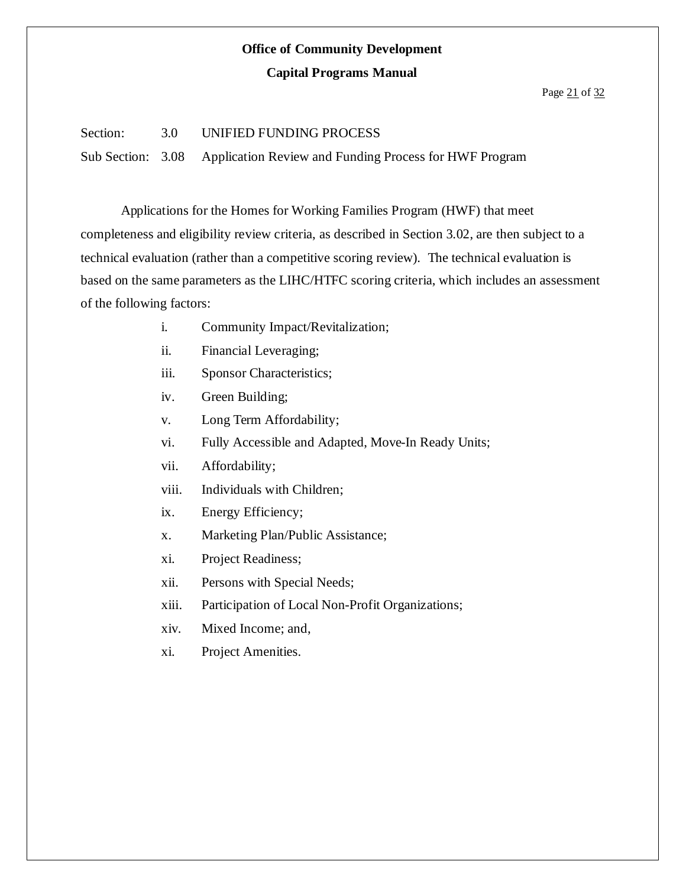### **Capital Programs Manual**

#### Page 21 of 32

### Section: 3.0 UNIFIED FUNDING PROCESS

Sub Section: 3.08 Application Review and Funding Process for HWF Program

Applications for the Homes for Working Families Program (HWF) that meet completeness and eligibility review criteria, as described in Section 3.02, are then subject to a technical evaluation (rather than a competitive scoring review). The technical evaluation is based on the same parameters as the LIHC/HTFC scoring criteria, which includes an assessment of the following factors:

- i. Community Impact/Revitalization;
- ii. Financial Leveraging;
- iii. Sponsor Characteristics;
- iv. Green Building;
- v. Long Term Affordability;
- vi. Fully Accessible and Adapted, Move-In Ready Units;
- vii. Affordability;
- viii. Individuals with Children;
- ix. Energy Efficiency;
- x. Marketing Plan/Public Assistance;
- xi. Project Readiness;
- xii. Persons with Special Needs;
- xiii. Participation of Local Non-Profit Organizations;
- xiv. Mixed Income; and,
- xi. Project Amenities.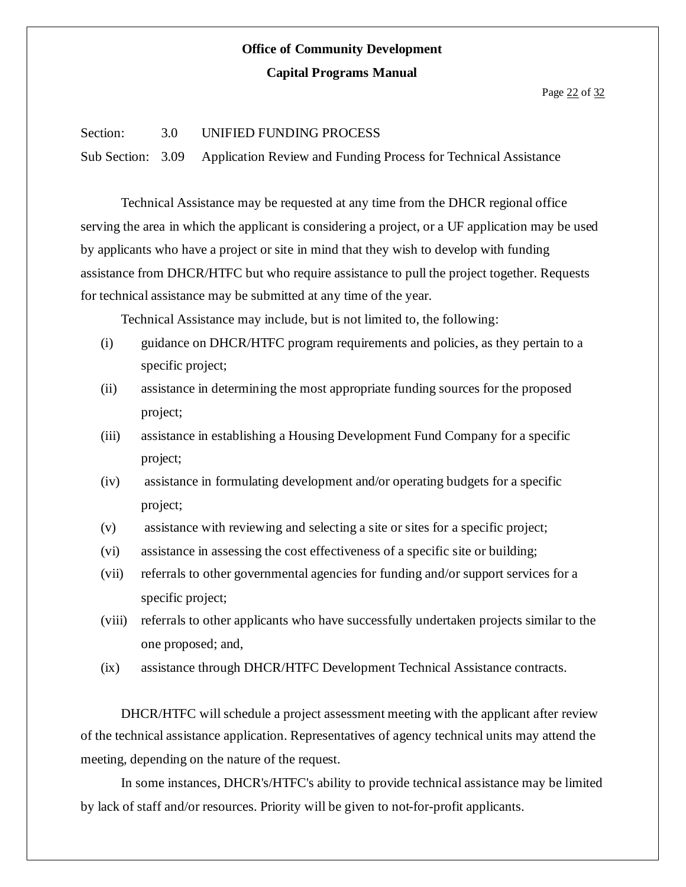### **Capital Programs Manual**

### Page 22 of 32

### Section: 3.0 UNIFIED FUNDING PROCESS

Sub Section: 3.09 Application Review and Funding Process for Technical Assistance

Technical Assistance may be requested at any time from the DHCR regional office serving the area in which the applicant is considering a project, or a UF application may be used by applicants who have a project or site in mind that they wish to develop with funding assistance from DHCR/HTFC but who require assistance to pull the project together. Requests for technical assistance may be submitted at any time of the year.

Technical Assistance may include, but is not limited to, the following:

- (i) guidance on DHCR/HTFC program requirements and policies, as they pertain to a specific project;
- (ii) assistance in determining the most appropriate funding sources for the proposed project;
- (iii) assistance in establishing a Housing Development Fund Company for a specific project;
- (iv) assistance in formulating development and/or operating budgets for a specific project;
- (v) assistance with reviewing and selecting a site or sites for a specific project;
- (vi) assistance in assessing the cost effectiveness of a specific site or building;
- (vii) referrals to other governmental agencies for funding and/or support services for a specific project;
- (viii) referrals to other applicants who have successfully undertaken projects similar to the one proposed; and,
- (ix) assistance through DHCR/HTFC Development Technical Assistance contracts.

DHCR/HTFC will schedule a project assessment meeting with the applicant after review of the technical assistance application. Representatives of agency technical units may attend the meeting, depending on the nature of the request.

In some instances, DHCR's/HTFC's ability to provide technical assistance may be limited by lack of staff and/or resources. Priority will be given to not-for-profit applicants.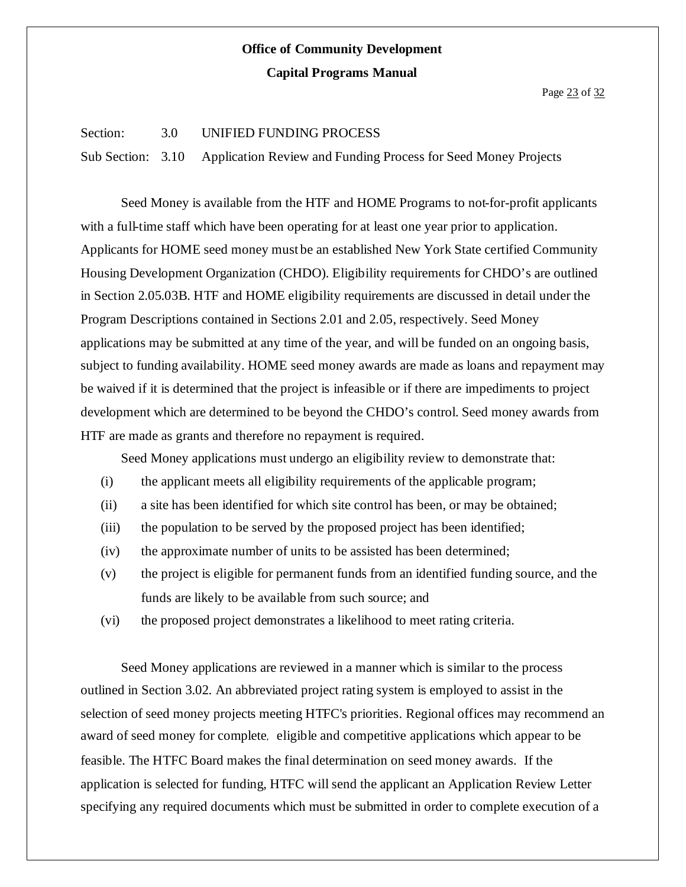### Section: 3.0 UNIFIED FUNDING PROCESS

Sub Section: 3.10 Application Review and Funding Process for Seed Money Projects

Seed Money is available from the HTF and HOME Programs to not-for-profit applicants with a full-time staff which have been operating for at least one year prior to application. Applicants for HOME seed money must be an established New York State certified Community Housing Development Organization (CHDO). Eligibility requirements for CHDO's are outlined in Section 2.05.03B. HTF and HOME eligibility requirements are discussed in detail under the Program Descriptions contained in Sections 2.01 and 2.05, respectively. Seed Money applications may be submitted at any time of the year, and will be funded on an ongoing basis, subject to funding availability. HOME seed money awards are made as loans and repayment may be waived if it is determined that the project is infeasible or if there are impediments to project development which are determined to be beyond the CHDO's control. Seed money awards from HTF are made as grants and therefore no repayment is required.

Seed Money applications must undergo an eligibility review to demonstrate that:

- (i) the applicant meets all eligibility requirements of the applicable program;
- (ii) a site has been identified for which site control has been, or may be obtained;
- (iii) the population to be served by the proposed project has been identified;
- (iv) the approximate number of units to be assisted has been determined;
- (v) the project is eligible for permanent funds from an identified funding source, and the funds are likely to be available from such source; and
- (vi) the proposed project demonstrates a likelihood to meet rating criteria.

Seed Money applications are reviewed in a manner which is similar to the process outlined in Section 3.02. An abbreviated project rating system is employed to assist in the selection of seed money projects meeting HTFC's priorities. Regional offices may recommend an award of seed money for complete, eligible and competitive applications which appear to be feasible. The HTFC Board makes the final determination on seed money awards. If the application is selected for funding, HTFC will send the applicant an Application Review Letter specifying any required documents which must be submitted in order to complete execution of a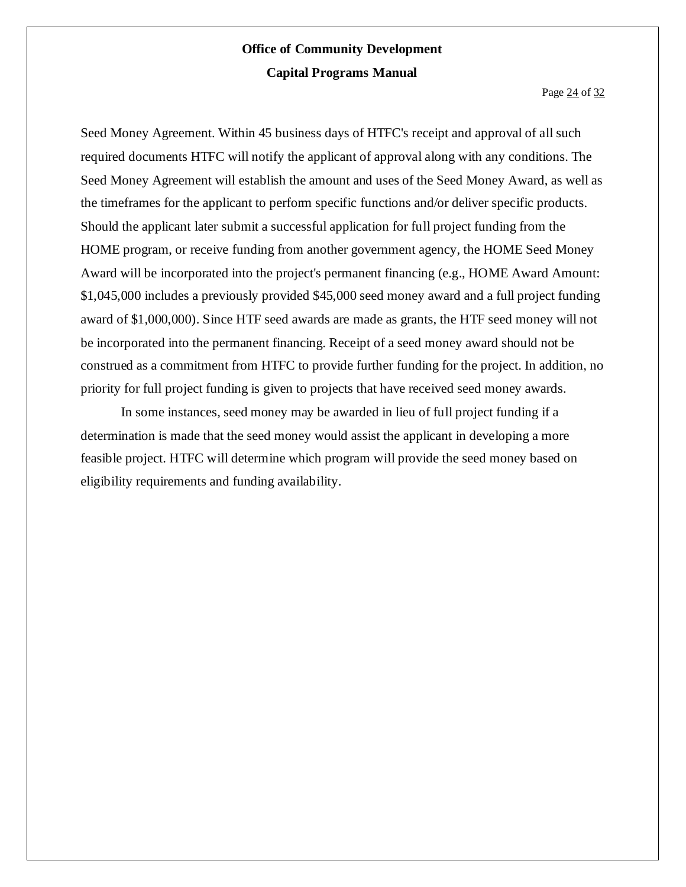Page 24 of 32

Seed Money Agreement. Within 45 business days of HTFC's receipt and approval of all such required documents HTFC will notify the applicant of approval along with any conditions. The Seed Money Agreement will establish the amount and uses of the Seed Money Award, as well as the timeframes for the applicant to perform specific functions and/or deliver specific products. Should the applicant later submit a successful application for full project funding from the HOME program, or receive funding from another government agency, the HOME Seed Money Award will be incorporated into the project's permanent financing (e.g., HOME Award Amount: \$1,045,000 includes a previously provided \$45,000 seed money award and a full project funding award of \$1,000,000). Since HTF seed awards are made as grants, the HTF seed money will not be incorporated into the permanent financing. Receipt of a seed money award should not be construed as a commitment from HTFC to provide further funding for the project. In addition, no priority for full project funding is given to projects that have received seed money awards.

In some instances, seed money may be awarded in lieu of full project funding if a determination is made that the seed money would assist the applicant in developing a more feasible project. HTFC will determine which program will provide the seed money based on eligibility requirements and funding availability.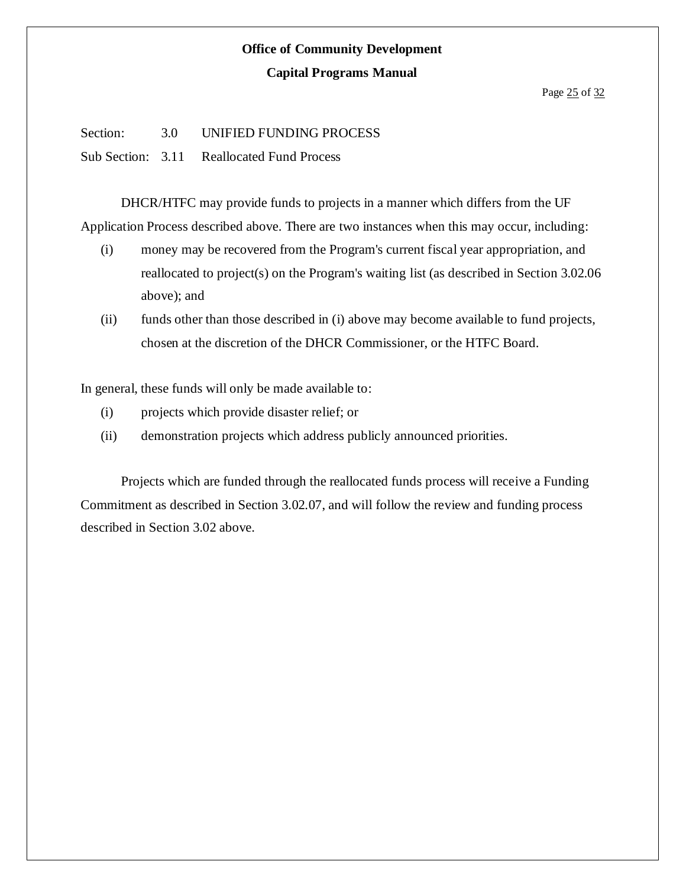#### Page 25 of 32

Section: 3.0 UNIFIED FUNDING PROCESS

Sub Section: 3.11 Reallocated Fund Process

DHCR/HTFC may provide funds to projects in a manner which differs from the UF Application Process described above. There are two instances when this may occur, including:

- (i) money may be recovered from the Program's current fiscal year appropriation, and reallocated to project(s) on the Program's waiting list (as described in Section 3.02.06 above); and
- (ii) funds other than those described in (i) above may become available to fund projects, chosen at the discretion of the DHCR Commissioner, or the HTFC Board.

In general, these funds will only be made available to:

- (i) projects which provide disaster relief; or
- (ii) demonstration projects which address publicly announced priorities.

Projects which are funded through the reallocated funds process will receive a Funding Commitment as described in Section 3.02.07, and will follow the review and funding process described in Section 3.02 above.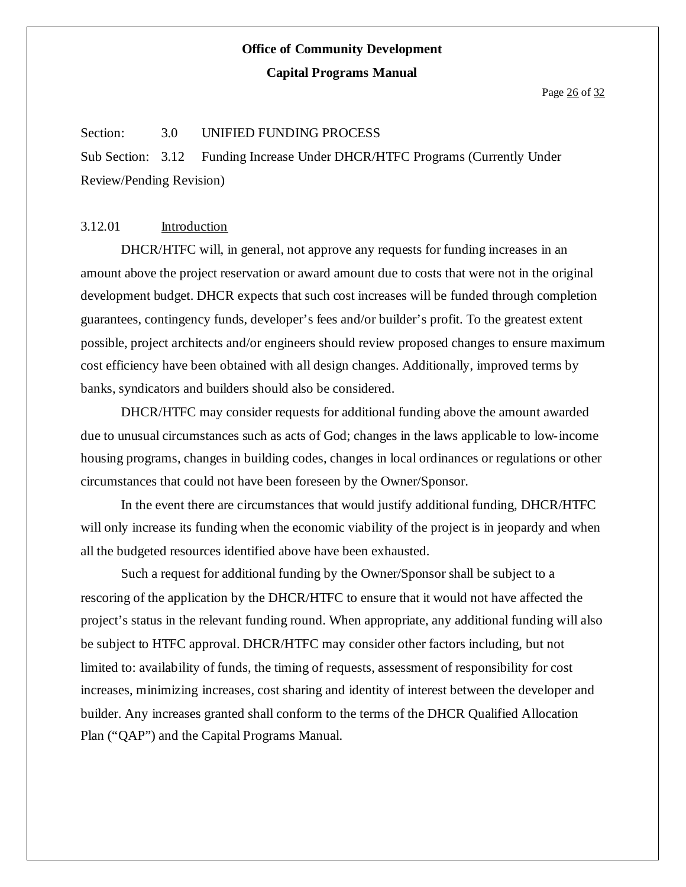### **Capital Programs Manual**

Page 26 of 32

#### Section: 3.0 UNIFIED FUNDING PROCESS

Sub Section: 3.12 Funding Increase Under DHCR/HTFC Programs (Currently Under Review/Pending Revision)

### 3.12.01 Introduction

DHCR/HTFC will, in general, not approve any requests for funding increases in an amount above the project reservation or award amount due to costs that were not in the original development budget. DHCR expects that such cost increases will be funded through completion guarantees, contingency funds, developer's fees and/or builder's profit. To the greatest extent possible, project architects and/or engineers should review proposed changes to ensure maximum cost efficiency have been obtained with all design changes. Additionally, improved terms by banks, syndicators and builders should also be considered.

DHCR/HTFC may consider requests for additional funding above the amount awarded due to unusual circumstances such as acts of God; changes in the laws applicable to low-income housing programs, changes in building codes, changes in local ordinances or regulations or other circumstances that could not have been foreseen by the Owner/Sponsor.

In the event there are circumstances that would justify additional funding, DHCR/HTFC will only increase its funding when the economic viability of the project is in jeopardy and when all the budgeted resources identified above have been exhausted.

Such a request for additional funding by the Owner/Sponsor shall be subject to a rescoring of the application by the DHCR/HTFC to ensure that it would not have affected the project's status in the relevant funding round. When appropriate, any additional funding will also be subject to HTFC approval. DHCR/HTFC may consider other factors including, but not limited to: availability of funds, the timing of requests, assessment of responsibility for cost increases, minimizing increases, cost sharing and identity of interest between the developer and builder. Any increases granted shall conform to the terms of the DHCR Qualified Allocation Plan ("QAP") and the Capital Programs Manual.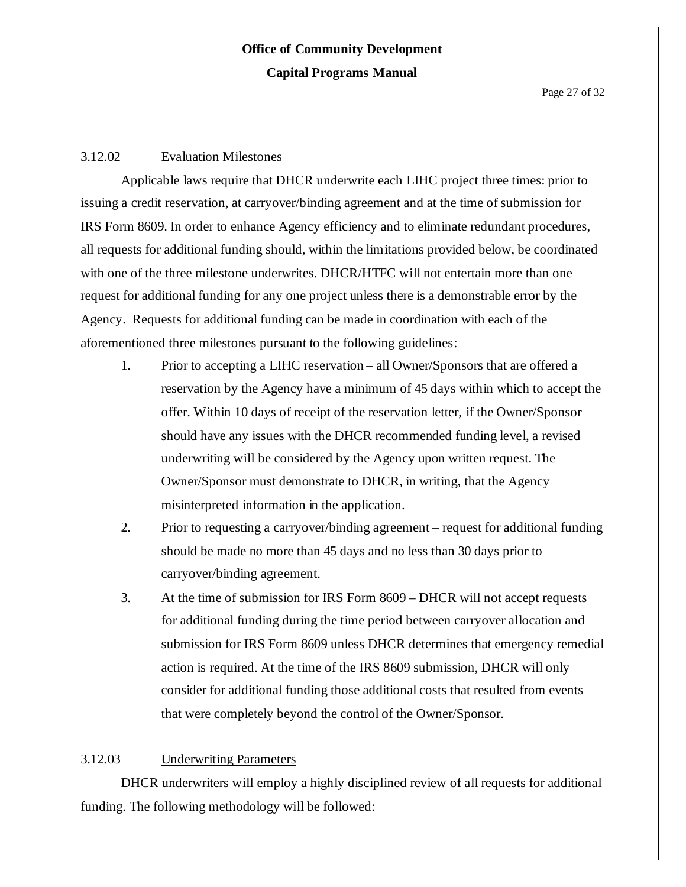### 3.12.02 Evaluation Milestones

Applicable laws require that DHCR underwrite each LIHC project three times: prior to issuing a credit reservation, at carryover/binding agreement and at the time of submission for IRS Form 8609. In order to enhance Agency efficiency and to eliminate redundant procedures, all requests for additional funding should, within the limitations provided below, be coordinated with one of the three milestone underwrites. DHCR/HTFC will not entertain more than one request for additional funding for any one project unless there is a demonstrable error by the Agency. Requests for additional funding can be made in coordination with each of the aforementioned three milestones pursuant to the following guidelines:

- 1. Prior to accepting a LIHC reservation all Owner/Sponsors that are offered a reservation by the Agency have a minimum of 45 days within which to accept the offer. Within 10 days of receipt of the reservation letter, if the Owner/Sponsor should have any issues with the DHCR recommended funding level, a revised underwriting will be considered by the Agency upon written request. The Owner/Sponsor must demonstrate to DHCR, in writing, that the Agency misinterpreted information in the application.
- 2. Prior to requesting a carryover/binding agreement request for additional funding should be made no more than 45 days and no less than 30 days prior to carryover/binding agreement.
- 3. At the time of submission for IRS Form 8609 DHCR will not accept requests for additional funding during the time period between carryover allocation and submission for IRS Form 8609 unless DHCR determines that emergency remedial action is required. At the time of the IRS 8609 submission, DHCR will only consider for additional funding those additional costs that resulted from events that were completely beyond the control of the Owner/Sponsor.

### 3.12.03 Underwriting Parameters

DHCR underwriters will employ a highly disciplined review of all requests for additional funding. The following methodology will be followed: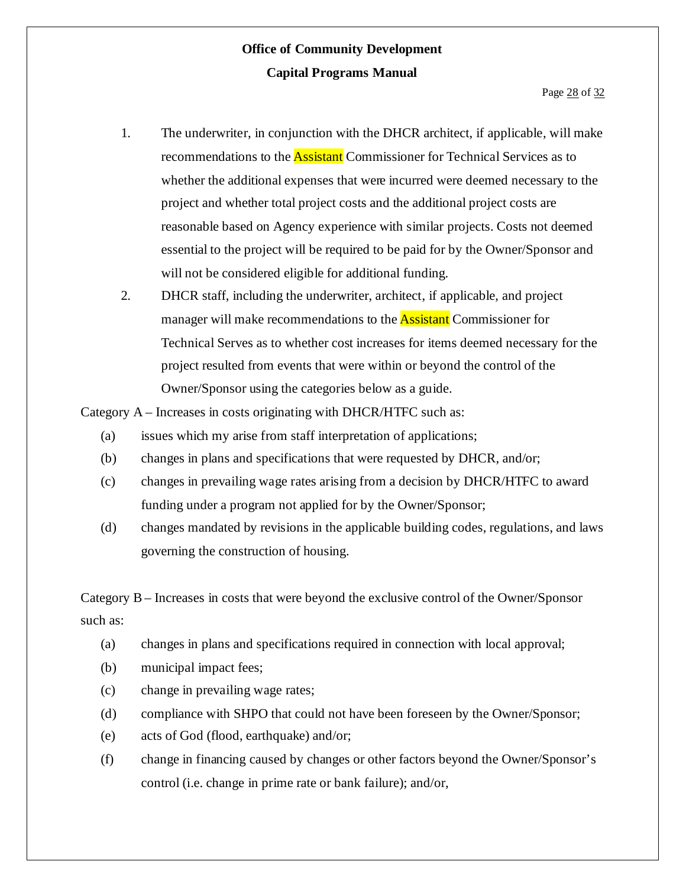- 1. The underwriter, in conjunction with the DHCR architect, if applicable, will make recommendations to the **Assistant** Commissioner for Technical Services as to whether the additional expenses that were incurred were deemed necessary to the project and whether total project costs and the additional project costs are reasonable based on Agency experience with similar projects. Costs not deemed essential to the project will be required to be paid for by the Owner/Sponsor and will not be considered eligible for additional funding.
- 2. DHCR staff, including the underwriter, architect, if applicable, and project manager will make recommendations to the **Assistant** Commissioner for Technical Serves as to whether cost increases for items deemed necessary for the project resulted from events that were within or beyond the control of the Owner/Sponsor using the categories below as a guide.

Category A – Increases in costs originating with DHCR/HTFC such as:

- (a) issues which my arise from staff interpretation of applications;
- (b) changes in plans and specifications that were requested by DHCR, and/or;
- (c) changes in prevailing wage rates arising from a decision by DHCR/HTFC to award funding under a program not applied for by the Owner/Sponsor;
- (d) changes mandated by revisions in the applicable building codes, regulations, and laws governing the construction of housing.

Category B– Increases in costs that were beyond the exclusive control of the Owner/Sponsor such as:

- (a) changes in plans and specifications required in connection with local approval;
- (b) municipal impact fees;
- (c) change in prevailing wage rates;
- (d) compliance with SHPO that could not have been foreseen by the Owner/Sponsor;
- (e) acts of God (flood, earthquake) and/or;
- (f) change in financing caused by changes or other factors beyond the Owner/Sponsor's control (i.e. change in prime rate or bank failure); and/or,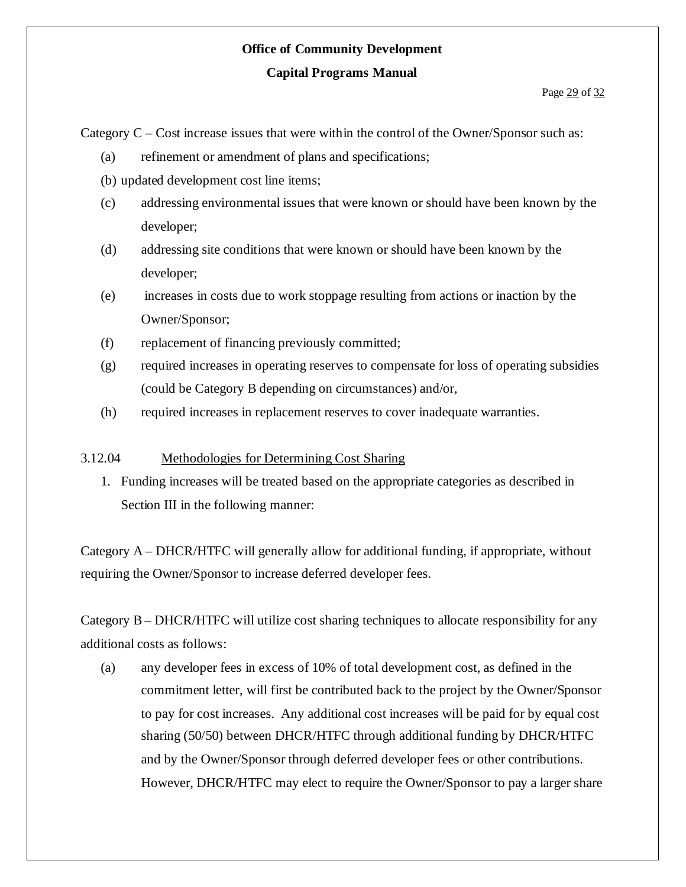#### **Capital Programs Manual**

### Page 29 of 32

Category C – Cost increase issues that were within the control of the Owner/Sponsor such as:

- (a) refinement or amendment of plans and specifications;
- (b) updated development cost line items;
- (c) addressing environmental issues that were known or should have been known by the developer;
- (d) addressing site conditions that were known or should have been known by the developer;
- (e) increases in costs due to work stoppage resulting from actions or inaction by the Owner/Sponsor;
- (f) replacement of financing previously committed;
- (g) required increases in operating reserves to compensate for loss of operating subsidies (could be Category B depending on circumstances) and/or,
- (h) required increases in replacement reserves to cover inadequate warranties.

### 3.12.04 Methodologies for Determining Cost Sharing

1. Funding increases will be treated based on the appropriate categories as described in Section III in the following manner:

Category A – DHCR/HTFC will generally allow for additional funding, if appropriate, without requiring the Owner/Sponsor to increase deferred developer fees.

Category B– DHCR/HTFC will utilize cost sharing techniques to allocate responsibility for any additional costs as follows:

(a) any developer fees in excess of 10% of total development cost, as defined in the commitment letter, will first be contributed back to the project by the Owner/Sponsor to pay for cost increases. Any additional cost increases will be paid for by equal cost sharing (50/50) between DHCR/HTFC through additional funding by DHCR/HTFC and by the Owner/Sponsor through deferred developer fees or other contributions. However, DHCR/HTFC may elect to require the Owner/Sponsor to pay a larger share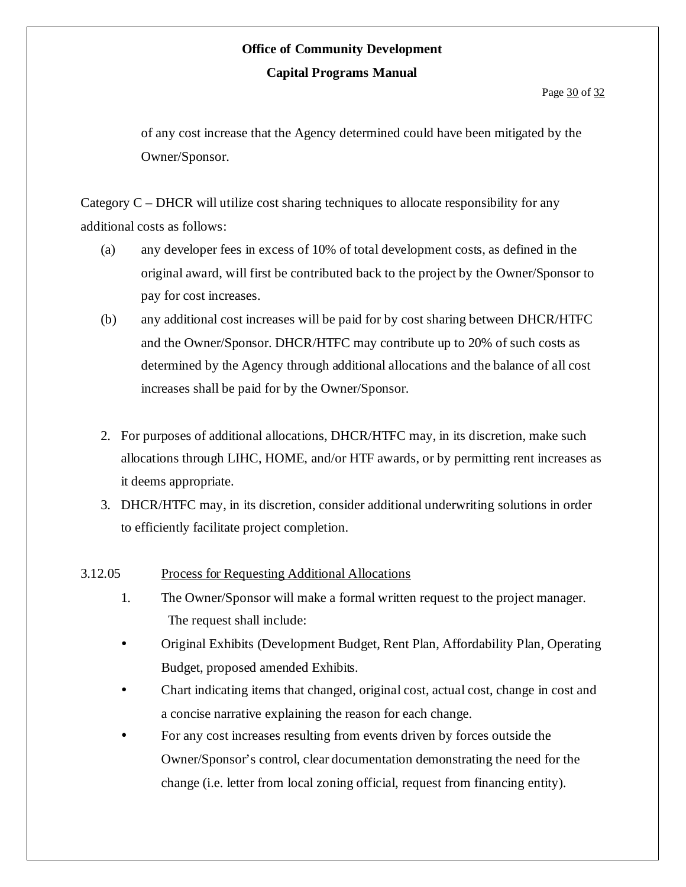of any cost increase that the Agency determined could have been mitigated by the Owner/Sponsor.

Category C – DHCR will utilize cost sharing techniques to allocate responsibility for any additional costs as follows:

- (a) any developer fees in excess of 10% of total development costs, as defined in the original award, will first be contributed back to the project by the Owner/Sponsor to pay for cost increases.
- (b) any additional cost increases will be paid for by cost sharing between DHCR/HTFC and the Owner/Sponsor. DHCR/HTFC may contribute up to 20% of such costs as determined by the Agency through additional allocations and the balance of all cost increases shall be paid for by the Owner/Sponsor.
- 2. For purposes of additional allocations, DHCR/HTFC may, in its discretion, make such allocations through LIHC, HOME, and/or HTF awards, or by permitting rent increases as it deems appropriate.
- 3. DHCR/HTFC may, in its discretion, consider additional underwriting solutions in order to efficiently facilitate project completion.

### 3.12.05 Process for Requesting Additional Allocations

- 1. The Owner/Sponsor will make a formal written request to the project manager. The request shall include:
- Original Exhibits (Development Budget, Rent Plan, Affordability Plan, Operating Budget, proposed amended Exhibits.
- Chart indicating items that changed, original cost, actual cost, change in cost and a concise narrative explaining the reason for each change.
- For any cost increases resulting from events driven by forces outside the Owner/Sponsor's control, clear documentation demonstrating the need for the change (i.e. letter from local zoning official, request from financing entity).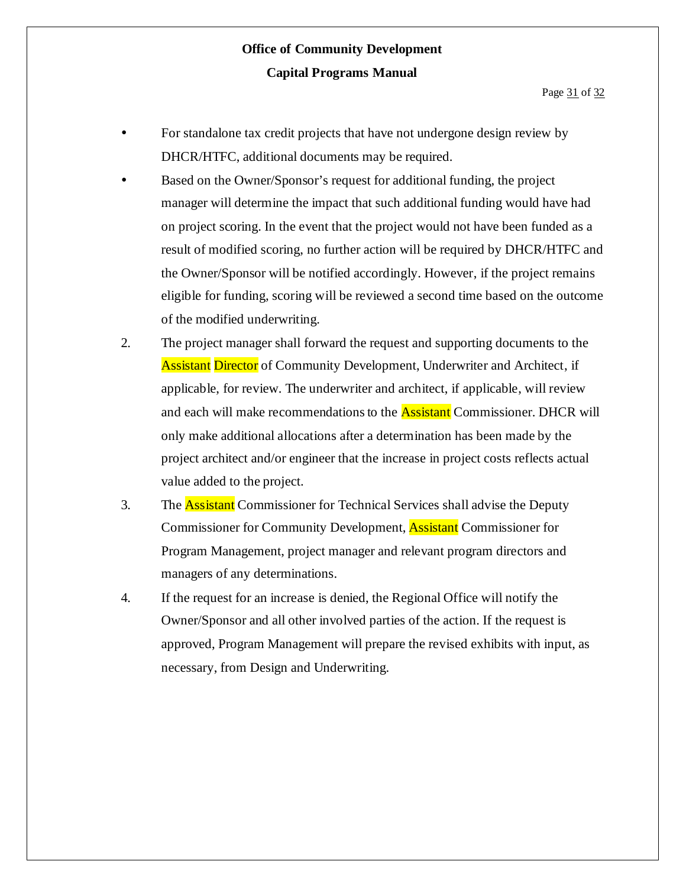- For standalone tax credit projects that have not undergone design review by DHCR/HTFC, additional documents may be required.
- Based on the Owner/Sponsor's request for additional funding, the project manager will determine the impact that such additional funding would have had on project scoring. In the event that the project would not have been funded as a result of modified scoring, no further action will be required by DHCR/HTFC and the Owner/Sponsor will be notified accordingly. However, if the project remains eligible for funding, scoring will be reviewed a second time based on the outcome of the modified underwriting.
- 2. The project manager shall forward the request and supporting documents to the **Assistant Director** of Community Development, Underwriter and Architect, if applicable, for review. The underwriter and architect, if applicable, will review and each will make recommendations to the **Assistant** Commissioner. DHCR will only make additional allocations after a determination has been made by the project architect and/or engineer that the increase in project costs reflects actual value added to the project.
- 3. The **Assistant** Commissioner for Technical Services shall advise the Deputy Commissioner for Community Development, Assistant Commissioner for Program Management, project manager and relevant program directors and managers of any determinations.
- 4. If the request for an increase is denied, the Regional Office will notify the Owner/Sponsor and all other involved parties of the action. If the request is approved, Program Management will prepare the revised exhibits with input, as necessary, from Design and Underwriting.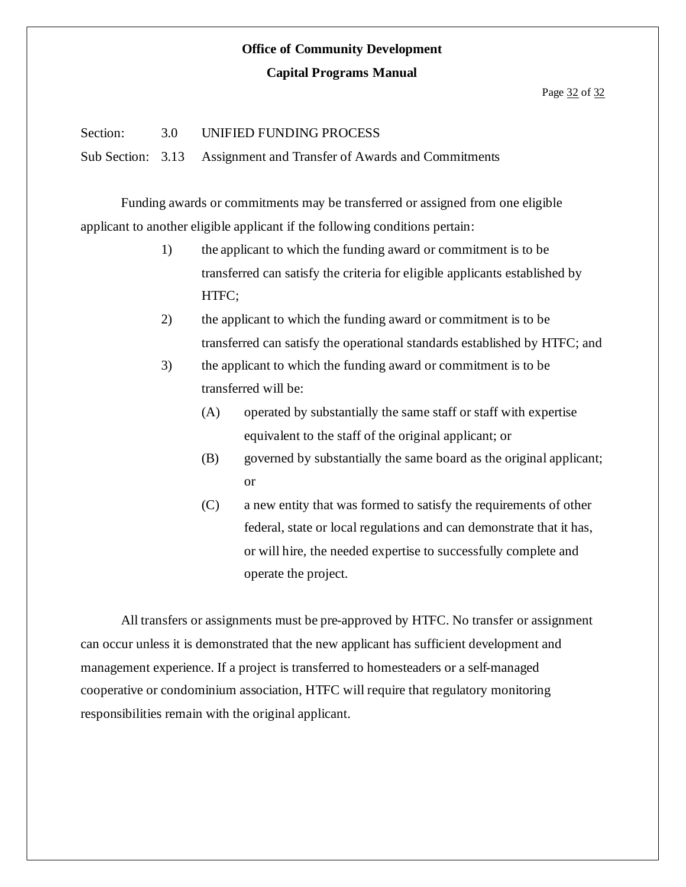### **Capital Programs Manual**

#### Page 32 of 32

### Section: 3.0 UNIFIED FUNDING PROCESS

Sub Section: 3.13 Assignment and Transfer of Awards and Commitments

Funding awards or commitments may be transferred or assigned from one eligible applicant to another eligible applicant if the following conditions pertain:

- 1) the applicant to which the funding award or commitment is to be transferred can satisfy the criteria for eligible applicants established by HTFC;
- 2) the applicant to which the funding award or commitment is to be transferred can satisfy the operational standards established by HTFC; and
- 3) the applicant to which the funding award or commitment is to be transferred will be:
	- (A) operated by substantially the same staff or staff with expertise equivalent to the staff of the original applicant; or
	- (B) governed by substantially the same board as the original applicant; or
	- (C) a new entity that was formed to satisfy the requirements of other federal, state or local regulations and can demonstrate that it has, or will hire, the needed expertise to successfully complete and operate the project.

All transfers or assignments must be pre-approved by HTFC. No transfer or assignment can occur unless it is demonstrated that the new applicant has sufficient development and management experience. If a project is transferred to homesteaders or a self-managed cooperative or condominium association, HTFC will require that regulatory monitoring responsibilities remain with the original applicant.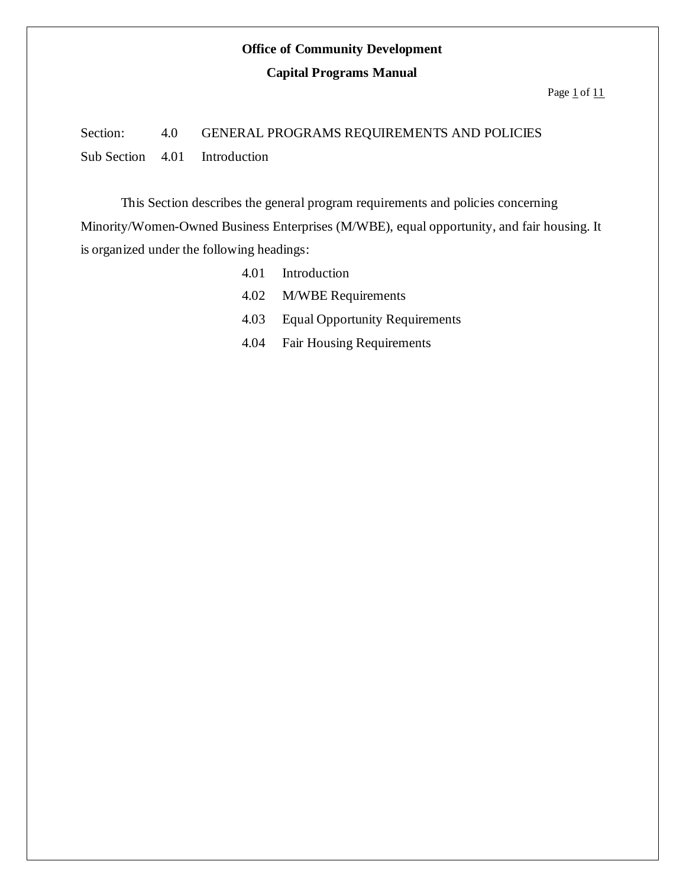### **Capital Programs Manual**

Page  $1$  of  $11$ 

# Section: 4.0 GENERAL PROGRAMS REQUIREMENTS AND POLICIES Sub Section 4.01 Introduction

This Section describes the general program requirements and policies concerning Minority/Women-Owned Business Enterprises (M/WBE), equal opportunity, and fair housing. It is organized under the following headings:

> 4.01 Introduction 4.02 M/WBE Requirements 4.03 Equal Opportunity Requirements 4.04 Fair Housing Requirements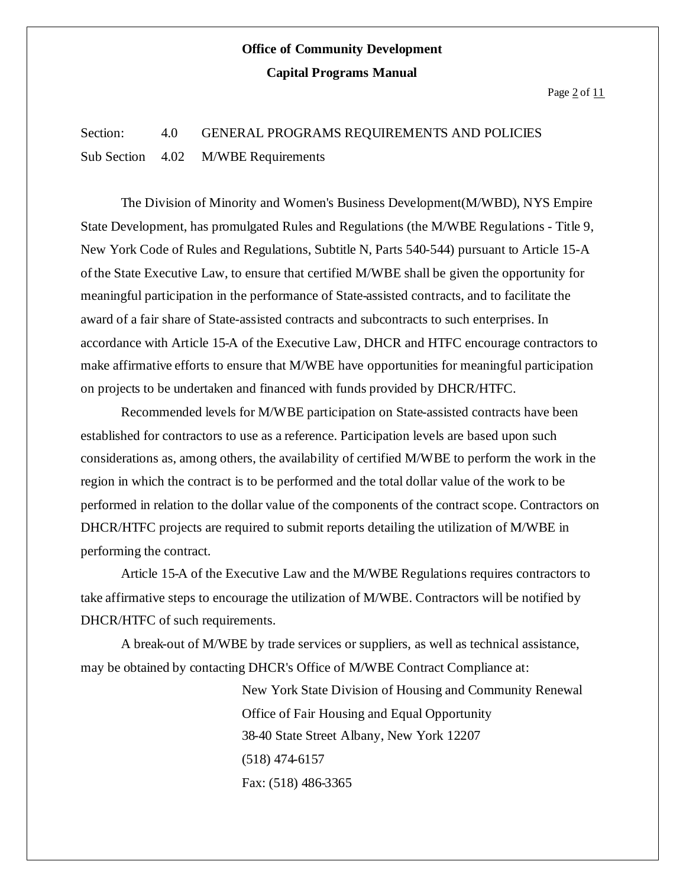Page  $2$  of  $11$ 

### Section: 4.0 GENERAL PROGRAMS REQUIREMENTS AND POLICIES Sub Section 4.02 M/WBE Requirements

The Division of Minority and Women's Business Development(M/WBD), NYS Empire State Development, has promulgated Rules and Regulations (the M/WBE Regulations - Title 9, New York Code of Rules and Regulations, Subtitle N, Parts 540-544) pursuant to Article 15-A ofthe State Executive Law, to ensure that certified M/WBE shall be given the opportunity for meaningful participation in the performance of State-assisted contracts, and to facilitate the award of a fair share of State-assisted contracts and subcontracts to such enterprises. In accordance with Article 15-A of the Executive Law, DHCR and HTFC encourage contractors to make affirmative efforts to ensure that M/WBE have opportunities for meaningful participation on projects to be undertaken and financed with funds provided by DHCR/HTFC.

Recommended levels for M/WBE participation on State-assisted contracts have been established for contractors to use as a reference. Participation levels are based upon such considerations as, among others, the availability of certified M/WBE to perform the work in the region in which the contract is to be performed and the total dollar value of the work to be performed in relation to the dollar value of the components of the contract scope. Contractors on DHCR/HTFC projects are required to submit reports detailing the utilization of M/WBE in performing the contract.

Article 15-A of the Executive Law and the M/WBE Regulations requires contractors to take affirmative steps to encourage the utilization of M/WBE. Contractors will be notified by DHCR/HTFC of such requirements.

A break-out of M/WBE by trade services or suppliers, as well as technical assistance, may be obtained by contacting DHCR's Office of M/WBE Contract Compliance at:

> New York State Division of Housing and Community Renewal Office of Fair Housing and Equal Opportunity 38-40 State Street Albany, New York 12207 (518) 474-6157 Fax: (518) 486-3365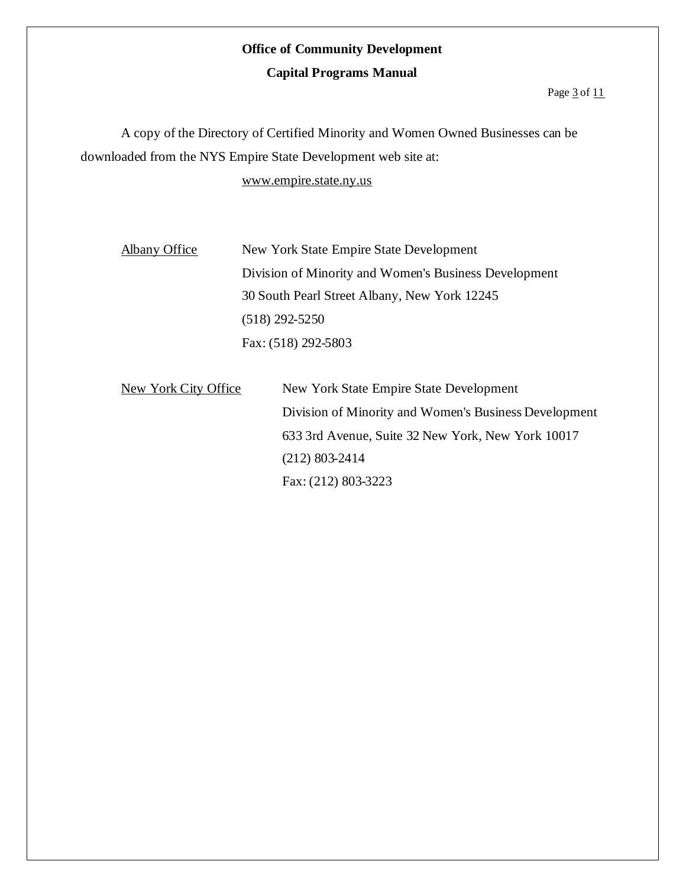### **Capital Programs Manual**

#### Page  $3$  of  $11$

A copy of the Directory of Certified Minority and Women Owned Businesses can be downloaded from the NYS Empire State Development web site at:

www.empire.state.ny.us

| Albany Office |
|---------------|
|               |

New York State Empire State Development Division of Minority and Women's Business Development 30 South Pearl Street Albany, New York 12245 (518) 292-5250 Fax: (518) 292-5803

New York City Office New York State Empire State Development Division of Minority and Women's Business Development 633 3rd Avenue, Suite 32 New York, New York 10017 (212) 803-2414 Fax: (212) 803-3223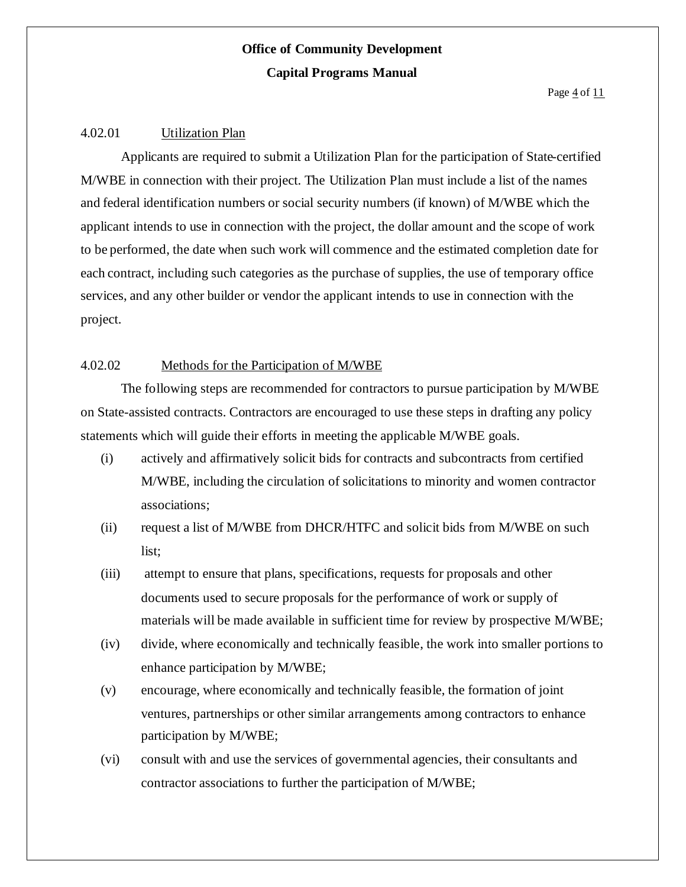Page  $4$  of  $11$ 

### 4.02.01 Utilization Plan

Applicants are required to submit a Utilization Plan for the participation of State-certified M/WBE in connection with their project. The Utilization Plan must include a list of the names and federal identification numbers or social security numbers (if known) of M/WBE which the applicant intends to use in connection with the project, the dollar amount and the scope of work to be performed, the date when such work will commence and the estimated completion date for each contract, including such categories as the purchase of supplies, the use of temporary office services, and any other builder or vendor the applicant intends to use in connection with the project.

### 4.02.02 Methods for the Participation of M/WBE

The following steps are recommended for contractors to pursue participation by M/WBE on State-assisted contracts. Contractors are encouraged to use these steps in drafting any policy statements which will guide their efforts in meeting the applicable M/WBE goals.

- (i) actively and affirmatively solicit bids for contracts and subcontracts from certified M/WBE, including the circulation of solicitations to minority and women contractor associations;
- (ii) request a list of M/WBE from DHCR/HTFC and solicit bids from M/WBE on such list;
- (iii) attempt to ensure that plans, specifications, requests for proposals and other documents used to secure proposals for the performance of work or supply of materials will be made available in sufficient time for review by prospective M/WBE;
- (iv) divide, where economically and technically feasible, the work into smaller portions to enhance participation by M/WBE;
- (v) encourage, where economically and technically feasible, the formation of joint ventures, partnerships or other similar arrangements among contractors to enhance participation by M/WBE;
- (vi) consult with and use the services of governmental agencies, their consultants and contractor associations to further the participation of M/WBE;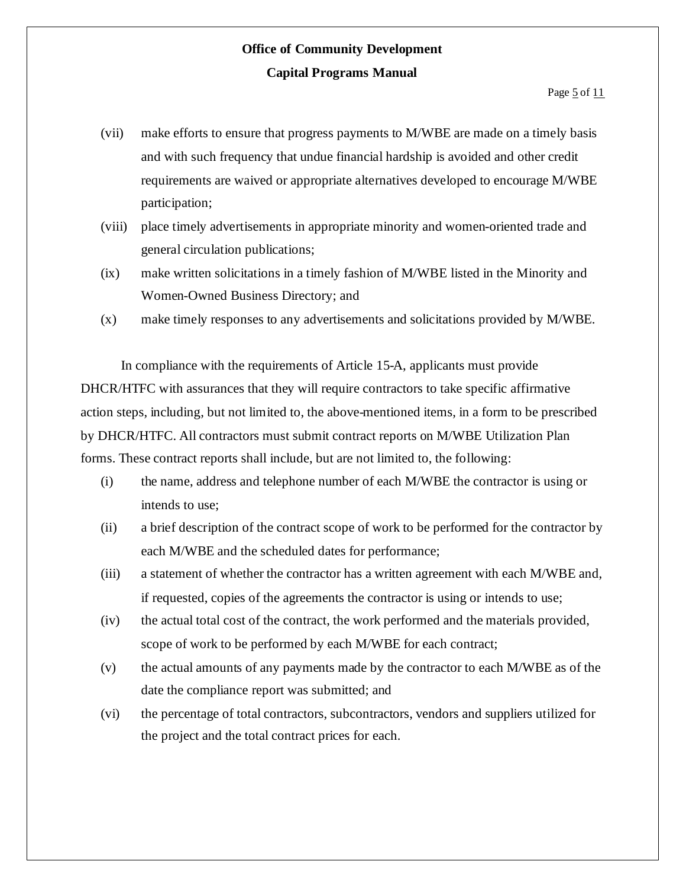- (vii) make efforts to ensure that progress payments to M/WBE are made on a timely basis and with such frequency that undue financial hardship is avoided and other credit requirements are waived or appropriate alternatives developed to encourage M/WBE participation;
- (viii) place timely advertisements in appropriate minority and women-oriented trade and general circulation publications;
- (ix) make written solicitations in a timely fashion of M/WBE listed in the Minority and Women-Owned Business Directory; and
- (x) make timely responses to any advertisements and solicitations provided by M/WBE.

In compliance with the requirements of Article 15-A, applicants must provide DHCR/HTFC with assurances that they will require contractors to take specific affirmative action steps, including, but not limited to, the above-mentioned items, in a form to be prescribed by DHCR/HTFC. All contractors must submit contract reports on M/WBE Utilization Plan forms. These contract reports shall include, but are not limited to, the following:

- (i) the name, address and telephone number of each M/WBE the contractor is using or intends to use;
- (ii) a brief description of the contract scope of work to be performed for the contractor by each M/WBE and the scheduled dates for performance;
- (iii) a statement of whether the contractor has a written agreement with each M/WBE and, if requested, copies of the agreements the contractor is using or intends to use;
- (iv) the actual total cost of the contract, the work performed and the materials provided, scope of work to be performed by each M/WBE for each contract;
- (v) the actual amounts of any payments made by the contractor to each M/WBE as of the date the compliance report was submitted; and
- (vi) the percentage of total contractors, subcontractors, vendors and suppliers utilized for the project and the total contract prices for each.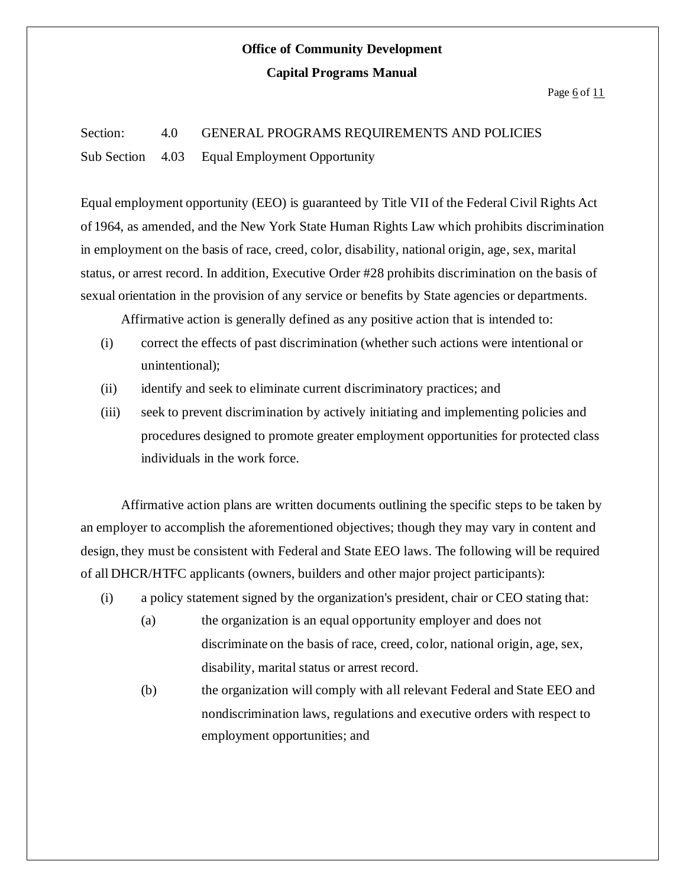#### Page  $6$  of  $11$

# Section: 4.0 GENERAL PROGRAMS REQUIREMENTS AND POLICIES Sub Section 4.03 Equal Employment Opportunity

Equal employment opportunity (EEO) is guaranteed by Title VII of the Federal Civil Rights Act of 1964, as amended, and the New York State Human Rights Law which prohibits discrimination in employment on the basis of race, creed, color, disability, national origin, age, sex, marital status, or arrest record. In addition, Executive Order #28 prohibits discrimination on the basis of sexual orientation in the provision of any service or benefits by State agencies or departments.

Affirmative action is generally defined as any positive action that is intended to:

- (i) correct the effects of past discrimination (whether such actions were intentional or unintentional);
- (ii) identify and seek to eliminate current discriminatory practices; and
- (iii) seek to prevent discrimination by actively initiating and implementing policies and procedures designed to promote greater employment opportunities for protected class individuals in the work force.

Affirmative action plans are written documents outlining the specific steps to be taken by an employer to accomplish the aforementioned objectives; though they may vary in content and design, they must be consistent with Federal and State EEO laws. The following will be required of all DHCR/HTFC applicants (owners, builders and other major project participants):

- (i) a policy statement signed by the organization's president, chair or CEO stating that:
	- (a) the organization is an equal opportunity employer and does not discriminate on the basis of race, creed, color, national origin, age, sex, disability, marital status or arrest record.
	- (b) the organization will comply with all relevant Federal and State EEO and nondiscrimination laws, regulations and executive orders with respect to employment opportunities; and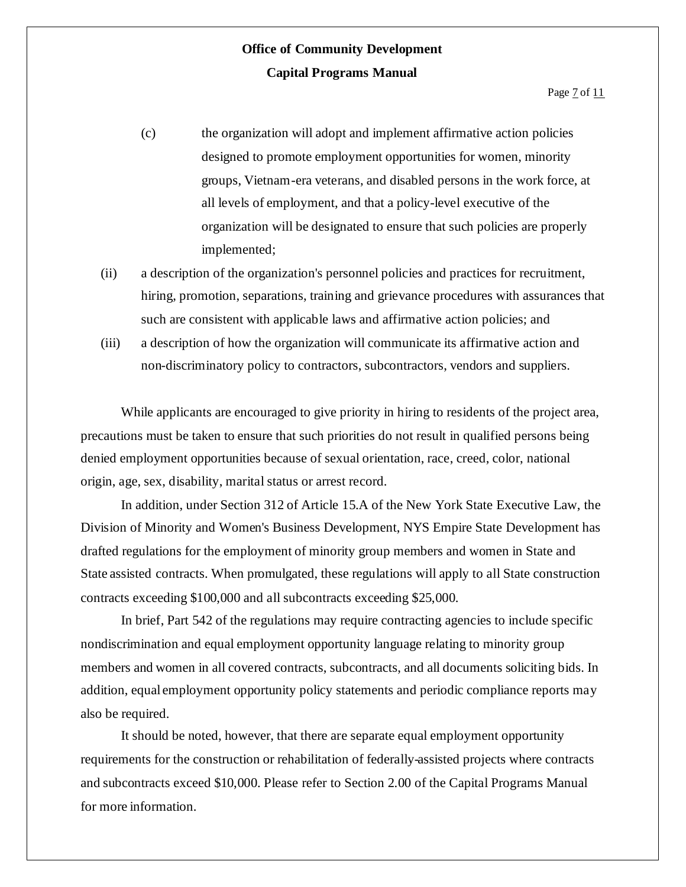- (c) the organization will adopt and implement affirmative action policies designed to promote employment opportunities for women, minority groups, Vietnam-era veterans, and disabled persons in the work force, at all levels of employment, and that a policy-level executive of the organization will be designated to ensure that such policies are properly implemented;
- (ii) a description of the organization's personnel policies and practices for recruitment, hiring, promotion, separations, training and grievance procedures with assurances that such are consistent with applicable laws and affirmative action policies; and
- (iii) a description of how the organization will communicate its affirmative action and non-discriminatory policy to contractors, subcontractors, vendors and suppliers.

While applicants are encouraged to give priority in hiring to residents of the project area, precautions must be taken to ensure that such priorities do not result in qualified persons being denied employment opportunities because of sexual orientation, race, creed, color, national origin, age, sex, disability, marital status or arrest record.

In addition, under Section 312 of Article 15.A of the New York State Executive Law, the Division of Minority and Women's Business Development, NYS Empire State Development has drafted regulations for the employment of minority group members and women in State and State assisted contracts. When promulgated, these regulations will apply to all State construction contracts exceeding \$100,000 and all subcontracts exceeding \$25,000.

In brief, Part 542 of the regulations may require contracting agencies to include specific nondiscrimination and equal employment opportunity language relating to minority group members and women in all covered contracts, subcontracts, and all documents soliciting bids. In addition, equal employment opportunity policy statements and periodic compliance reports may also be required.

It should be noted, however, that there are separate equal employment opportunity requirements for the construction or rehabilitation of federally-assisted projects where contracts and subcontracts exceed \$10,000. Please refer to Section 2.00 of the Capital Programs Manual for more information.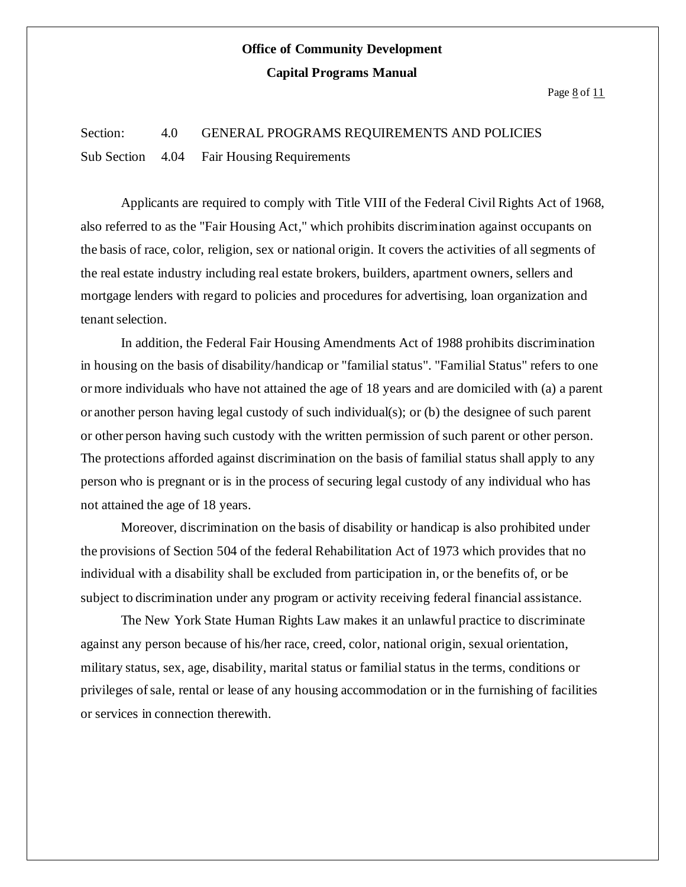Page  $8$  of  $11$ 

### Section: 4.0 GENERAL PROGRAMS REQUIREMENTS AND POLICIES Sub Section 4.04 Fair Housing Requirements

Applicants are required to comply with Title VIII of the Federal Civil Rights Act of 1968, also referred to as the "Fair Housing Act," which prohibits discrimination against occupants on the basis of race, color, religion, sex or national origin. It covers the activities of all segments of the real estate industry including real estate brokers, builders, apartment owners, sellers and mortgage lenders with regard to policies and procedures for advertising, loan organization and tenant selection.

In addition, the Federal Fair Housing Amendments Act of 1988 prohibits discrimination in housing on the basis of disability/handicap or "familial status". "Familial Status" refers to one ormore individuals who have not attained the age of 18 years and are domiciled with (a) a parent or another person having legal custody of such individual(s); or (b) the designee of such parent or other person having such custody with the written permission of such parent or other person. The protections afforded against discrimination on the basis of familial status shall apply to any person who is pregnant or is in the process of securing legal custody of any individual who has not attained the age of 18 years.

Moreover, discrimination on the basis of disability or handicap is also prohibited under the provisions of Section 504 of the federal Rehabilitation Act of 1973 which provides that no individual with a disability shall be excluded from participation in, or the benefits of, or be subject to discrimination under any program or activity receiving federal financial assistance.

The New York State Human Rights Law makes it an unlawful practice to discriminate against any person because of his/her race, creed, color, national origin, sexual orientation, military status, sex, age, disability, marital status or familial status in the terms, conditions or privileges ofsale, rental or lease of any housing accommodation or in the furnishing of facilities or services in connection therewith.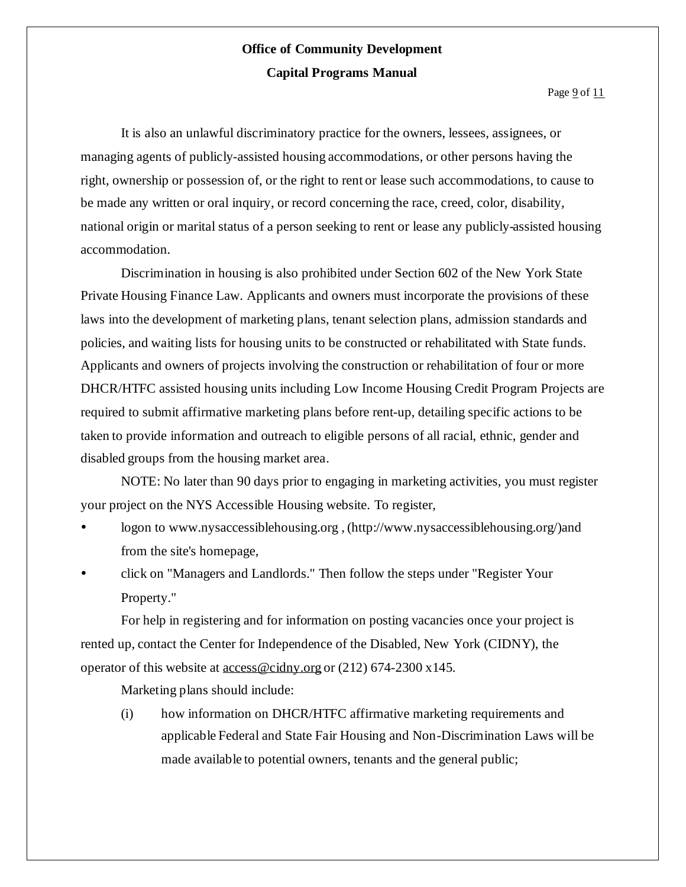It is also an unlawful discriminatory practice for the owners, lessees, assignees, or managing agents of publicly-assisted housing accommodations, or other persons having the right, ownership or possession of, or the right to rent or lease such accommodations, to cause to be made any written or oral inquiry, or record concerning the race, creed, color, disability, national origin or marital status of a person seeking to rent or lease any publicly-assisted housing accommodation.

Discrimination in housing is also prohibited under Section 602 of the New York State Private Housing Finance Law. Applicants and owners must incorporate the provisions of these laws into the development of marketing plans, tenant selection plans, admission standards and policies, and waiting lists for housing units to be constructed or rehabilitated with State funds. Applicants and owners of projects involving the construction or rehabilitation of four or more DHCR/HTFC assisted housing units including Low Income Housing Credit Program Projects are required to submit affirmative marketing plans before rent-up, detailing specific actions to be taken to provide information and outreach to eligible persons of all racial, ethnic, gender and disabled groups from the housing market area.

NOTE: No later than 90 days prior to engaging in marketing activities, you must register your project on the NYS Accessible Housing website. To register,

- logon to www.nysaccessiblehousing.org , (http://www.nysaccessiblehousing.org/)and from the site's homepage,
- click on "Managers and Landlords." Then follow the steps under "Register Your Property."

For help in registering and for information on posting vacancies once your project is rented up, contact the Center for Independence of the Disabled, New York (CIDNY), the operator of this website at access@cidny.org or (212) 674-2300 x145.

Marketing plans should include:

(i) how information on DHCR/HTFC affirmative marketing requirements and applicable Federal and State Fair Housing and Non-Discrimination Laws will be made available to potential owners, tenants and the general public;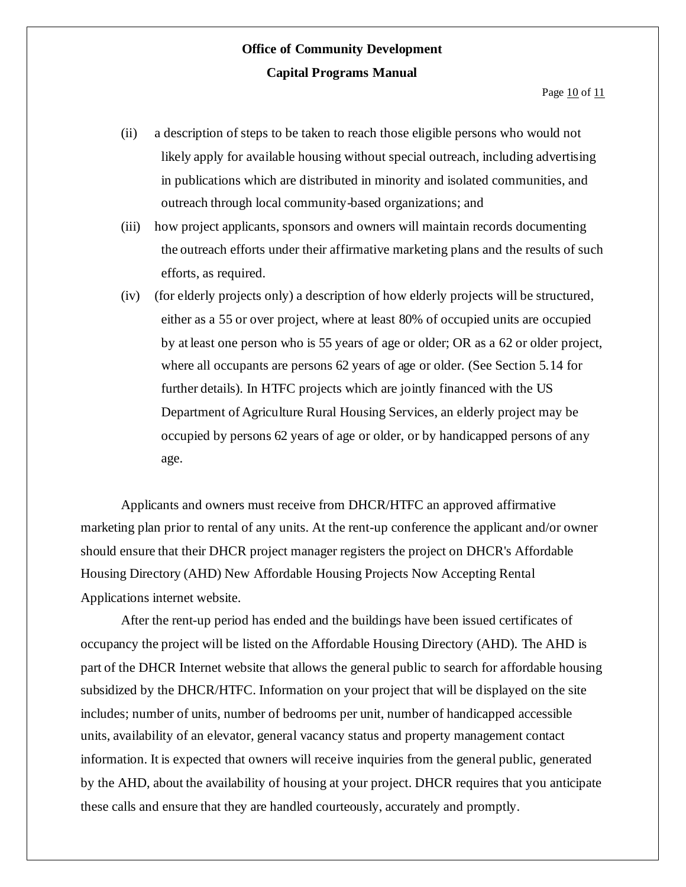- (ii) a description of steps to be taken to reach those eligible persons who would not likely apply for available housing without special outreach, including advertising in publications which are distributed in minority and isolated communities, and outreach through local community-based organizations; and
- (iii) how project applicants, sponsors and owners will maintain records documenting the outreach efforts under their affirmative marketing plans and the results of such efforts, as required.
- (iv) (for elderly projects only) a description of how elderly projects will be structured, either as a 55 or over project, where at least 80% of occupied units are occupied by at least one person who is 55 years of age or older; OR as a 62 or older project, where all occupants are persons 62 years of age or older. (See Section 5.14 for further details). In HTFC projects which are jointly financed with the US Department of Agriculture Rural Housing Services, an elderly project may be occupied by persons 62 years of age or older, or by handicapped persons of any age.

Applicants and owners must receive from DHCR/HTFC an approved affirmative marketing plan prior to rental of any units. At the rent-up conference the applicant and/or owner should ensure that their DHCR project manager registers the project on DHCR's Affordable Housing Directory (AHD) New Affordable Housing Projects Now Accepting Rental Applications internet website.

After the rent-up period has ended and the buildings have been issued certificates of occupancy the project will be listed on the Affordable Housing Directory (AHD). The AHD is part of the DHCR Internet website that allows the general public to search for affordable housing subsidized by the DHCR/HTFC. Information on your project that will be displayed on the site includes; number of units, number of bedrooms per unit, number of handicapped accessible units, availability of an elevator, general vacancy status and property management contact information. It is expected that owners will receive inquiries from the general public, generated by the AHD, about the availability of housing at your project. DHCR requires that you anticipate these calls and ensure that they are handled courteously, accurately and promptly.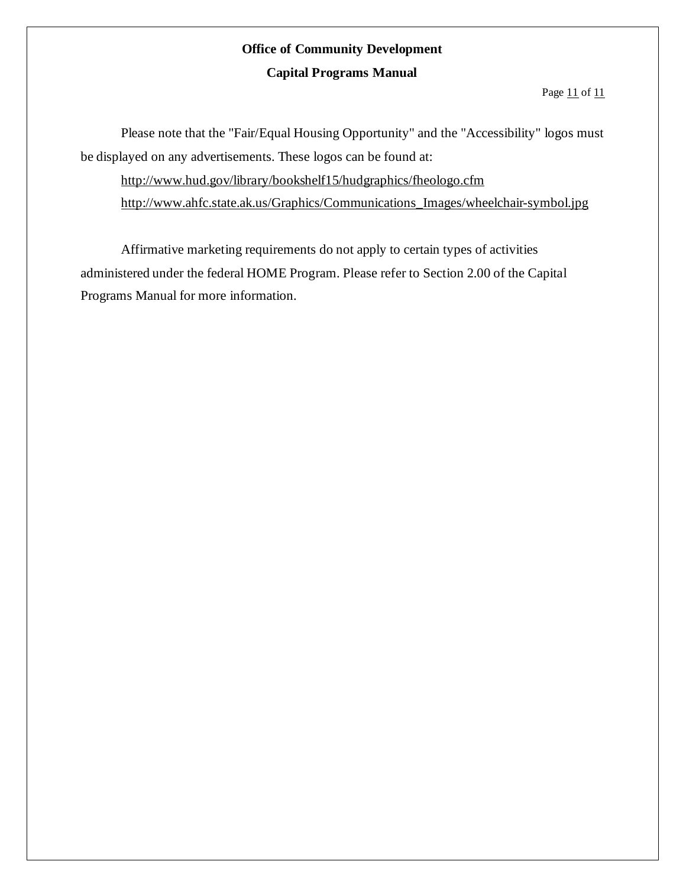Page 11 of 11

Please note that the "Fair/Equal Housing Opportunity" and the "Accessibility" logos must be displayed on any advertisements. These logos can be found at:

http://www.hud.gov/library/bookshelf15/hudgraphics/fheologo.cfm http://www.ahfc.state.ak.us/Graphics/Communications\_Images/wheelchair-symbol.jpg

Affirmative marketing requirements do not apply to certain types of activities administered under the federal HOME Program. Please refer to Section 2.00 of the Capital Programs Manual for more information.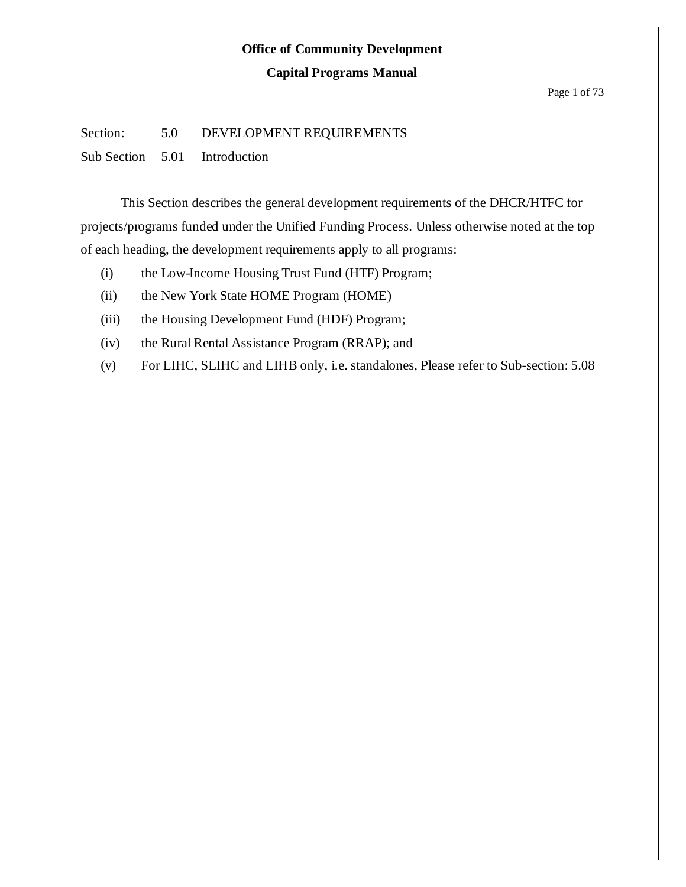### **Capital Programs Manual**

#### Page  $1$  of  $73$

### Section: 5.0 DEVELOPMENT REQUIREMENTS

Sub Section 5.01 Introduction

This Section describes the general development requirements of the DHCR/HTFC for projects/programs funded under the Unified Funding Process. Unless otherwise noted at the top of each heading, the development requirements apply to all programs:

- (i) the Low-Income Housing Trust Fund (HTF) Program;
- (ii) the New York State HOME Program (HOME)
- (iii) the Housing Development Fund (HDF) Program;
- (iv) the Rural Rental Assistance Program (RRAP); and
- (v) For LIHC, SLIHC and LIHB only, i.e. standalones, Please refer to Sub-section: 5.08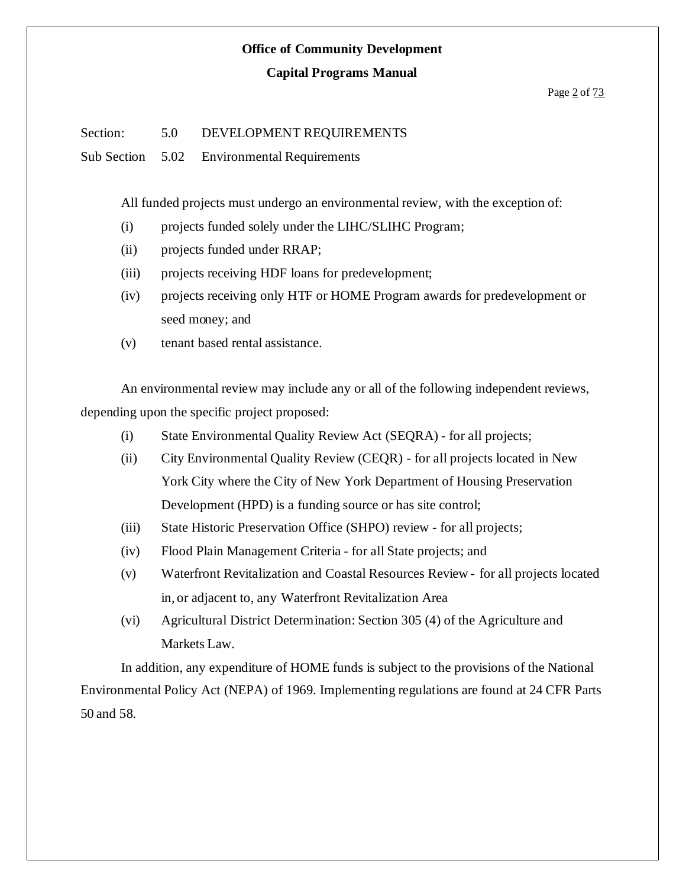#### **Capital Programs Manual**

### Section: 5.0 DEVELOPMENT REQUIREMENTS

Sub Section 5.02 Environmental Requirements

All funded projects must undergo an environmental review, with the exception of:

- (i) projects funded solely under the LIHC/SLIHC Program;
- (ii) projects funded under RRAP;
- (iii) projects receiving HDF loans for predevelopment;
- (iv) projects receiving only HTF or HOME Program awards for predevelopment or seed money; and
- (v) tenant based rental assistance.

An environmental review may include any or all of the following independent reviews, depending upon the specific project proposed:

- (i) State Environmental Quality Review Act (SEQRA) for all projects;
- (ii) City Environmental Quality Review (CEQR) for all projects located in New York City where the City of New York Department of Housing Preservation Development (HPD) is a funding source or has site control;
- (iii) State Historic Preservation Office (SHPO) review for all projects;
- (iv) Flood Plain Management Criteria for all State projects; and
- (v) Waterfront Revitalization and Coastal Resources Review for all projects located in, or adjacent to, any Waterfront Revitalization Area
- (vi) Agricultural District Determination: Section 305 (4) of the Agriculture and Markets Law.

In addition, any expenditure of HOME funds is subject to the provisions of the National Environmental Policy Act (NEPA) of 1969. Implementing regulations are found at 24 CFR Parts 50 and 58.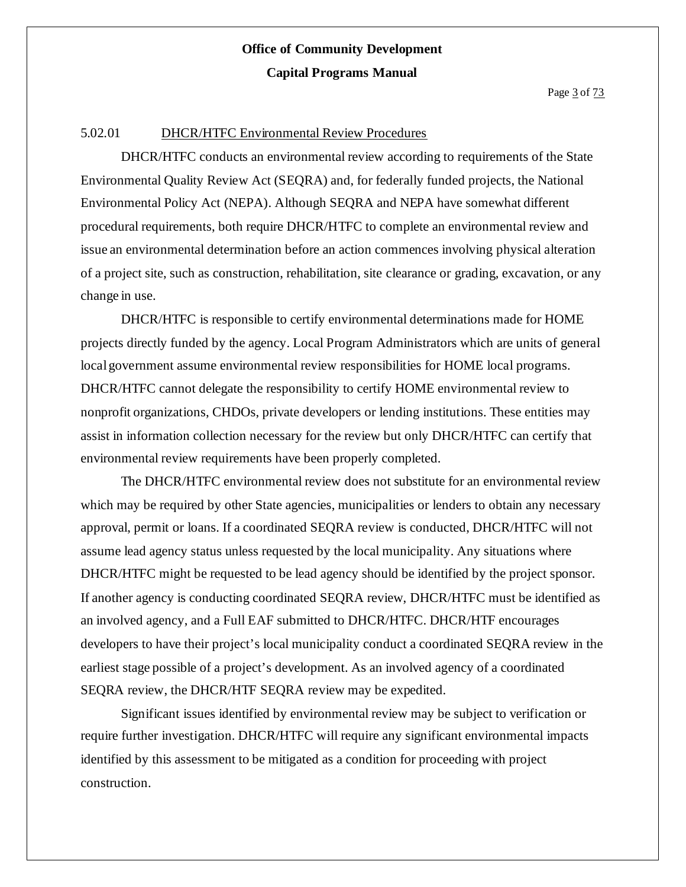#### 5.02.01 DHCR/HTFC Environmental Review Procedures

DHCR/HTFC conducts an environmental review according to requirements of the State Environmental Quality Review Act (SEQRA) and, for federally funded projects, the National Environmental Policy Act (NEPA). Although SEQRA and NEPA have somewhat different procedural requirements, both require DHCR/HTFC to complete an environmental review and issue an environmental determination before an action commences involving physical alteration of a project site, such as construction, rehabilitation, site clearance or grading, excavation, or any change in use.

DHCR/HTFC is responsible to certify environmental determinations made for HOME projects directly funded by the agency. Local Program Administrators which are units of general local government assume environmental review responsibilities for HOME local programs. DHCR/HTFC cannot delegate the responsibility to certify HOME environmental review to nonprofit organizations, CHDOs, private developers or lending institutions. These entities may assist in information collection necessary for the review but only DHCR/HTFC can certify that environmental review requirements have been properly completed.

The DHCR/HTFC environmental review does not substitute for an environmental review which may be required by other State agencies, municipalities or lenders to obtain any necessary approval, permit or loans. If a coordinated SEQRA review is conducted, DHCR/HTFC will not assume lead agency status unless requested by the local municipality. Any situations where DHCR/HTFC might be requested to be lead agency should be identified by the project sponsor. If another agency is conducting coordinated SEQRA review, DHCR/HTFC must be identified as an involved agency, and a Full EAF submitted to DHCR/HTFC. DHCR/HTF encourages developers to have their project's local municipality conduct a coordinated SEQRA review in the earliest stage possible of a project's development. As an involved agency of a coordinated SEQRA review, the DHCR/HTF SEQRA review may be expedited.

Significant issues identified by environmental review may be subject to verification or require further investigation. DHCR/HTFC will require any significant environmental impacts identified by this assessment to be mitigated as a condition for proceeding with project construction.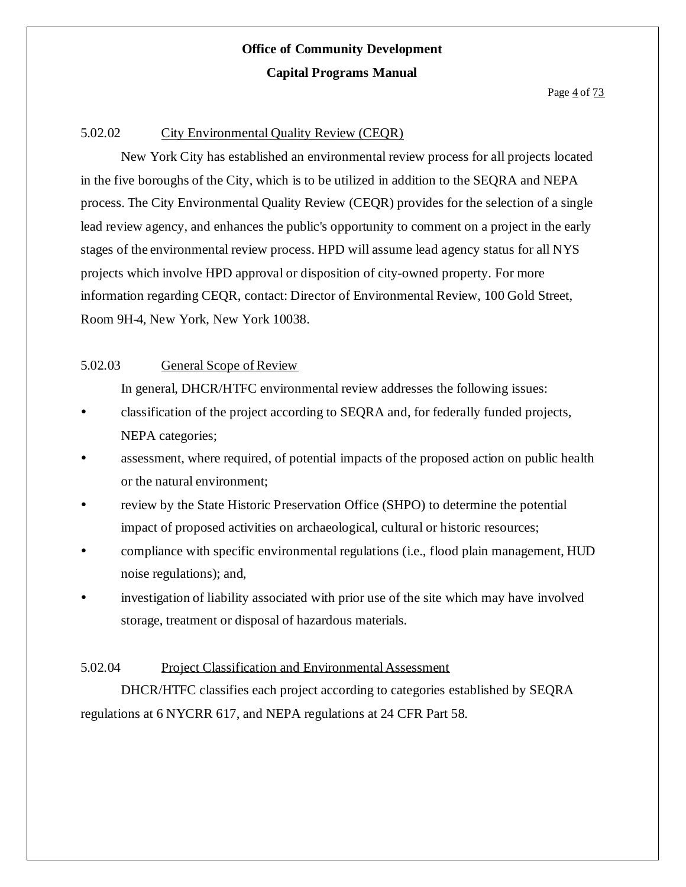### 5.02.02 City Environmental Quality Review (CEQR)

New York City has established an environmental review process for all projects located in the five boroughs of the City, which is to be utilized in addition to the SEQRA and NEPA process. The City Environmental Quality Review (CEQR) provides for the selection of a single lead review agency, and enhances the public's opportunity to comment on a project in the early stages of the environmental review process. HPD will assume lead agency status for all NYS projects which involve HPD approval or disposition of city-owned property. For more information regarding CEQR, contact: Director of Environmental Review, 100 Gold Street, Room 9H-4, New York, New York 10038.

### 5.02.03 General Scope of Review

In general, DHCR/HTFC environmental review addresses the following issues:

- classification of the project according to SEQRA and, for federally funded projects, NEPA categories;
- assessment, where required, of potential impacts of the proposed action on public health or the natural environment;
- review by the State Historic Preservation Office (SHPO) to determine the potential impact of proposed activities on archaeological, cultural or historic resources;
- compliance with specific environmental regulations (i.e., flood plain management, HUD noise regulations); and,
- investigation of liability associated with prior use of the site which may have involved storage, treatment or disposal of hazardous materials.

### 5.02.04 Project Classification and Environmental Assessment

DHCR/HTFC classifies each project according to categories established by SEQRA regulations at 6 NYCRR 617, and NEPA regulations at 24 CFR Part 58.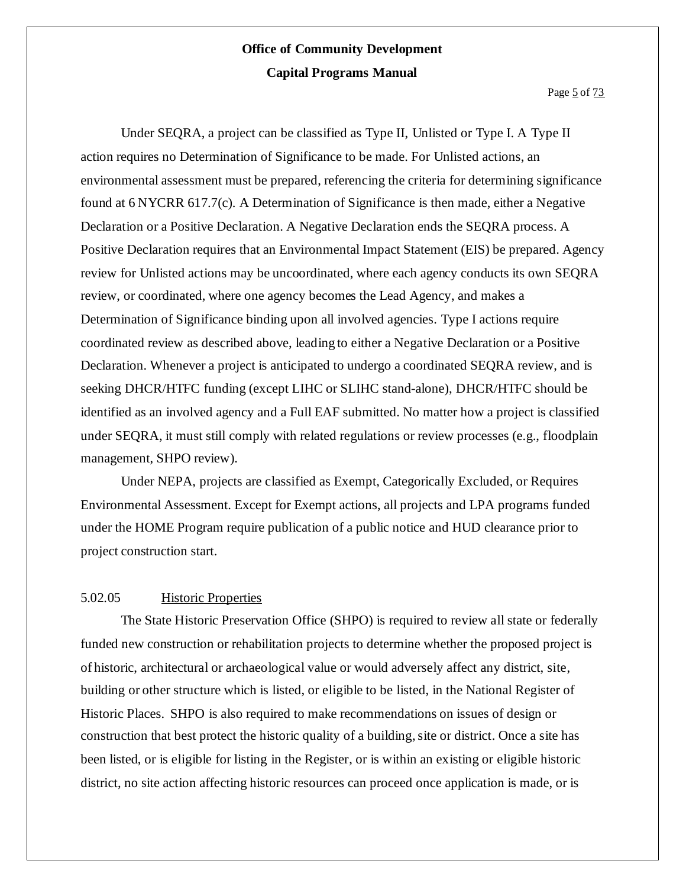Under SEQRA, a project can be classified as Type II, Unlisted or Type I. A Type II action requires no Determination of Significance to be made. For Unlisted actions, an environmental assessment must be prepared, referencing the criteria for determining significance found at 6 NYCRR 617.7(c). A Determination of Significance is then made, either a Negative Declaration or a Positive Declaration. A Negative Declaration ends the SEQRA process. A Positive Declaration requires that an Environmental Impact Statement (EIS) be prepared. Agency review for Unlisted actions may be uncoordinated, where each agency conducts its own SEQRA review, or coordinated, where one agency becomes the Lead Agency, and makes a Determination of Significance binding upon all involved agencies. Type I actions require coordinated review as described above, leading to either a Negative Declaration or a Positive Declaration. Whenever a project is anticipated to undergo a coordinated SEQRA review, and is seeking DHCR/HTFC funding (except LIHC or SLIHC stand-alone), DHCR/HTFC should be identified as an involved agency and a Full EAF submitted. No matter how a project is classified under SEQRA, it must still comply with related regulations or review processes (e.g., floodplain management, SHPO review).

Under NEPA, projects are classified as Exempt, Categorically Excluded, or Requires Environmental Assessment. Except for Exempt actions, all projects and LPA programs funded under the HOME Program require publication of a public notice and HUD clearance prior to project construction start.

#### 5.02.05 Historic Properties

The State Historic Preservation Office (SHPO) is required to review all state or federally funded new construction or rehabilitation projects to determine whether the proposed project is of historic, architectural or archaeological value or would adversely affect any district, site, building or other structure which is listed, or eligible to be listed, in the National Register of Historic Places. SHPO is also required to make recommendations on issues of design or construction that best protect the historic quality of a building, site or district. Once a site has been listed, or is eligible for listing in the Register, or is within an existing or eligible historic district, no site action affecting historic resources can proceed once application is made, or is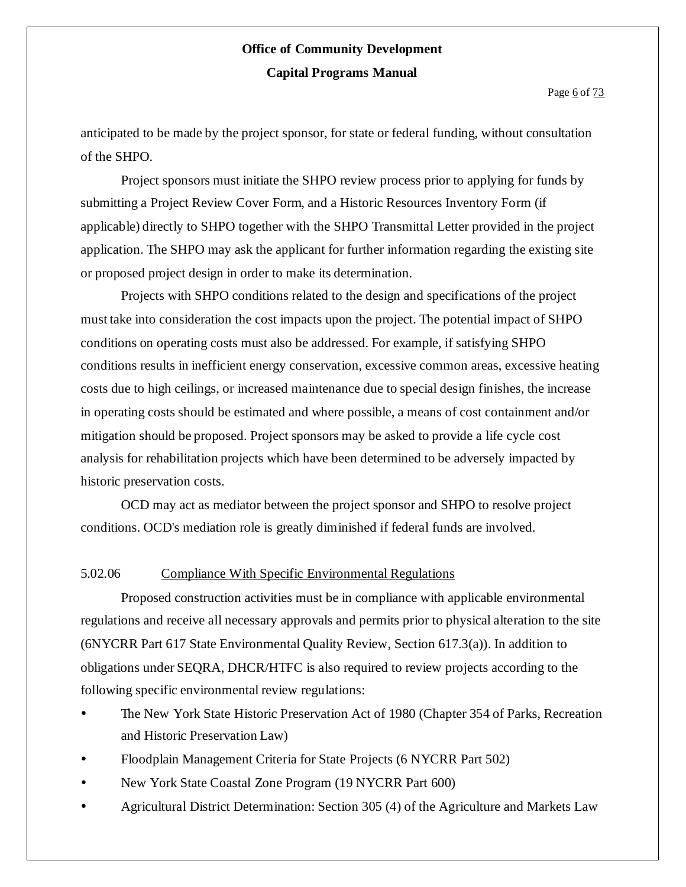anticipated to be made by the project sponsor, for state or federal funding, without consultation of the SHPO.

Project sponsors must initiate the SHPO review process prior to applying for funds by submitting a Project Review Cover Form, and a Historic Resources Inventory Form (if applicable) directly to SHPO together with the SHPO Transmittal Letter provided in the project application. The SHPO may ask the applicant for further information regarding the existing site or proposed project design in order to make its determination.

Projects with SHPO conditions related to the design and specifications of the project must take into consideration the cost impacts upon the project. The potential impact of SHPO conditions on operating costs must also be addressed. For example, if satisfying SHPO conditions results in inefficient energy conservation, excessive common areas, excessive heating costs due to high ceilings, or increased maintenance due to special design finishes, the increase in operating costs should be estimated and where possible, a means of cost containment and/or mitigation should be proposed. Project sponsors may be asked to provide a life cycle cost analysis for rehabilitation projects which have been determined to be adversely impacted by historic preservation costs.

OCD may act as mediator between the project sponsor and SHPO to resolve project conditions. OCD's mediation role is greatly diminished if federal funds are involved.

#### 5.02.06 Compliance With Specific Environmental Regulations

Proposed construction activities must be in compliance with applicable environmental regulations and receive all necessary approvals and permits prior to physical alteration to the site (6NYCRR Part 617 State Environmental Quality Review, Section 617.3(a)). In addition to obligations under SEQRA, DHCR/HTFC is also required to review projects according to the following specific environmental review regulations:

- The New York State Historic Preservation Act of 1980 (Chapter 354 of Parks, Recreation and Historic Preservation Law)
- Floodplain Management Criteria for State Projects (6 NYCRR Part 502)
- New York State Coastal Zone Program (19 NYCRR Part 600)
- Agricultural District Determination: Section 305 (4) of the Agriculture and Markets Law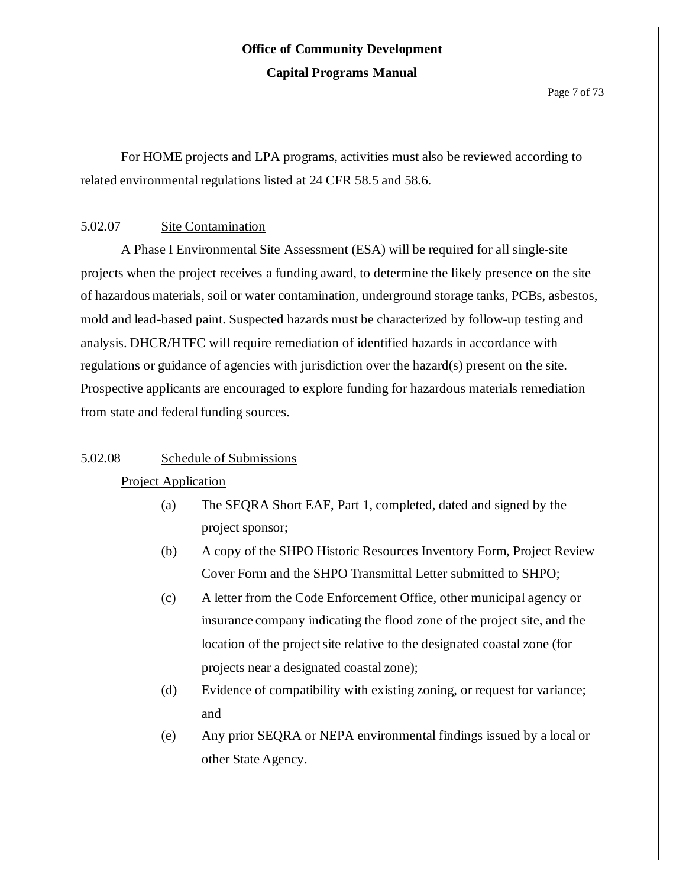For HOME projects and LPA programs, activities must also be reviewed according to related environmental regulations listed at 24 CFR 58.5 and 58.6.

#### 5.02.07 Site Contamination

A Phase I Environmental Site Assessment (ESA) will be required for all single-site projects when the project receives a funding award, to determine the likely presence on the site of hazardous materials, soil or water contamination, underground storage tanks, PCBs, asbestos, mold and lead-based paint. Suspected hazards must be characterized by follow-up testing and analysis. DHCR/HTFC will require remediation of identified hazards in accordance with regulations or guidance of agencies with jurisdiction over the hazard(s) present on the site. Prospective applicants are encouraged to explore funding for hazardous materials remediation from state and federal funding sources.

#### 5.02.08 Schedule of Submissions

#### Project Application

- (a) The SEQRA Short EAF, Part 1, completed, dated and signed by the project sponsor;
- (b) A copy of the SHPO Historic Resources Inventory Form, Project Review Cover Form and the SHPO Transmittal Letter submitted to SHPO;
- (c) A letter from the Code Enforcement Office, other municipal agency or insurance company indicating the flood zone of the project site, and the location of the project site relative to the designated coastal zone (for projects near a designated coastal zone);
- (d) Evidence of compatibility with existing zoning, or request for variance; and
- (e) Any prior SEQRA or NEPA environmental findings issued by a local or other State Agency.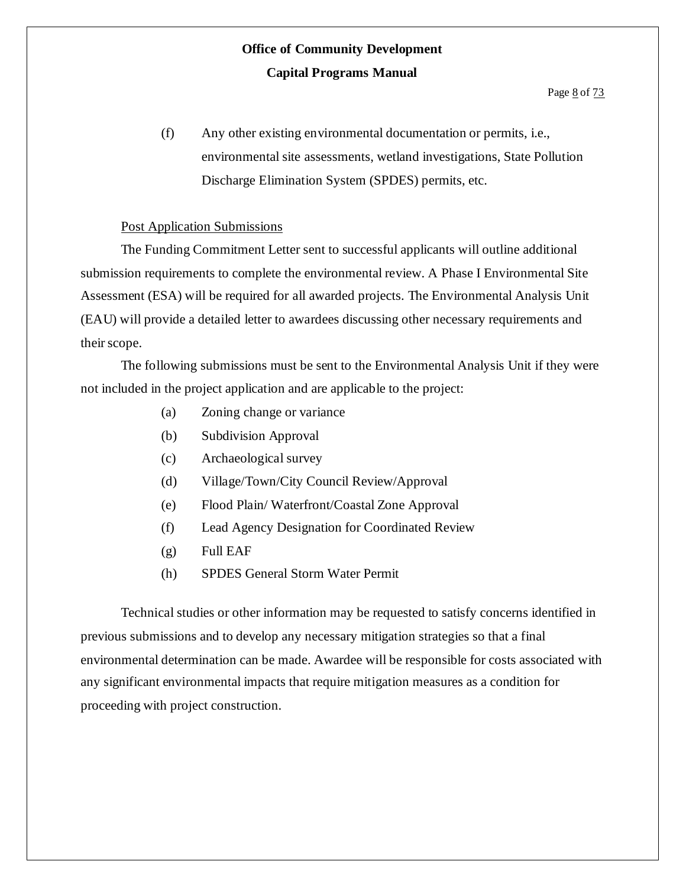(f) Any other existing environmental documentation or permits, i.e., environmental site assessments, wetland investigations, State Pollution Discharge Elimination System (SPDES) permits, etc.

#### Post Application Submissions

The Funding Commitment Letter sent to successful applicants will outline additional submission requirements to complete the environmental review. A Phase I Environmental Site Assessment (ESA) will be required for all awarded projects. The Environmental Analysis Unit (EAU) will provide a detailed letter to awardees discussing other necessary requirements and their scope.

The following submissions must be sent to the Environmental Analysis Unit if they were not included in the project application and are applicable to the project:

- (a) Zoning change or variance
- (b) Subdivision Approval
- (c) Archaeological survey
- (d) Village/Town/City Council Review/Approval
- (e) Flood Plain/ Waterfront/Coastal Zone Approval
- (f) Lead Agency Designation for Coordinated Review
- (g) Full EAF
- (h) SPDES General Storm Water Permit

Technical studies or other information may be requested to satisfy concerns identified in previous submissions and to develop any necessary mitigation strategies so that a final environmental determination can be made. Awardee will be responsible for costs associated with any significant environmental impacts that require mitigation measures as a condition for proceeding with project construction.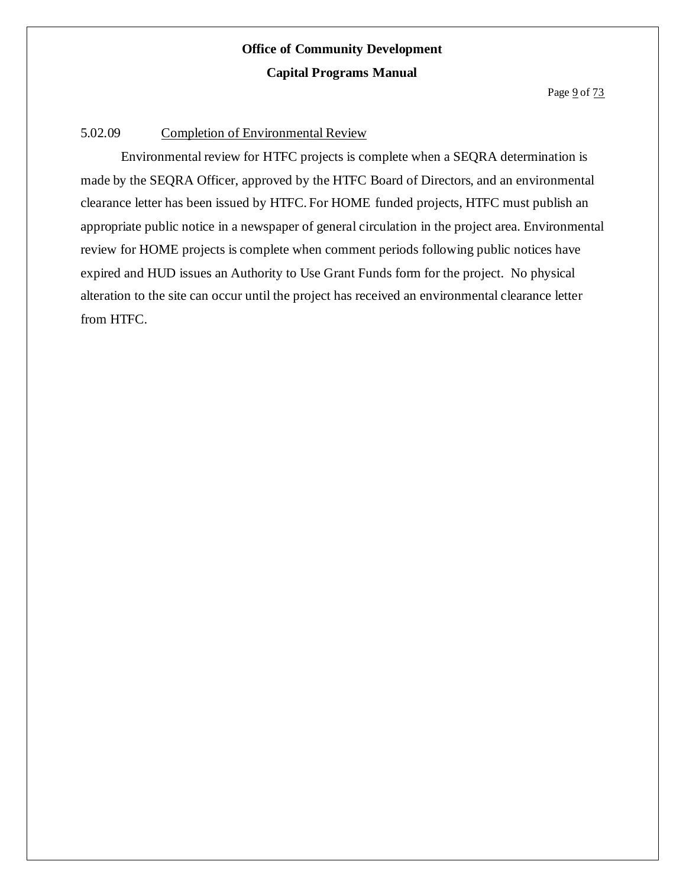#### 5.02.09 Completion of Environmental Review

Environmental review for HTFC projects is complete when a SEQRA determination is made by the SEQRA Officer, approved by the HTFC Board of Directors, and an environmental clearance letter has been issued by HTFC. For HOME funded projects, HTFC must publish an appropriate public notice in a newspaper of general circulation in the project area. Environmental review for HOME projects is complete when comment periods following public notices have expired and HUD issues an Authority to Use Grant Funds form for the project. No physical alteration to the site can occur until the project has received an environmental clearance letter from HTFC.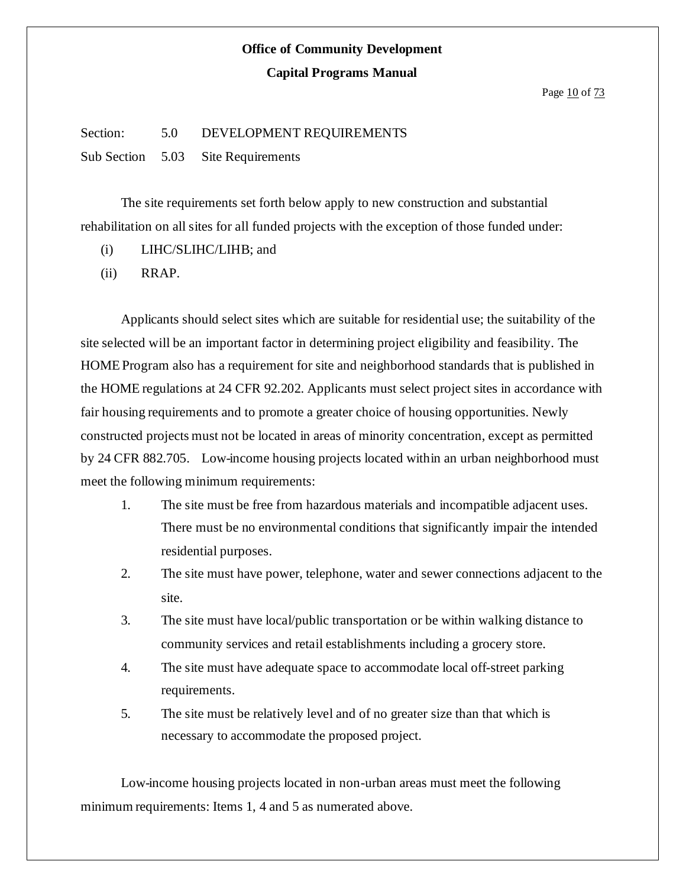Page 10 of 73

#### Section: 5.0 DEVELOPMENT REQUIREMENTS

Sub Section 5.03 Site Requirements

The site requirements set forth below apply to new construction and substantial rehabilitation on all sites for all funded projects with the exception of those funded under:

- (i) LIHC/SLIHC/LIHB; and
- (ii) RRAP.

Applicants should select sites which are suitable for residential use; the suitability of the site selected will be an important factor in determining project eligibility and feasibility. The HOME Program also has a requirement for site and neighborhood standards that is published in the HOME regulations at 24 CFR 92.202. Applicants must select project sites in accordance with fair housing requirements and to promote a greater choice of housing opportunities. Newly constructed projects must not be located in areas of minority concentration, except as permitted by 24 CFR 882.705. Low-income housing projects located within an urban neighborhood must meet the following minimum requirements:

- 1. The site must be free from hazardous materials and incompatible adjacent uses. There must be no environmental conditions that significantly impair the intended residential purposes.
- 2. The site must have power, telephone, water and sewer connections adjacent to the site.
- 3. The site must have local/public transportation or be within walking distance to community services and retail establishments including a grocery store.
- 4. The site must have adequate space to accommodate local off-street parking requirements.
- 5. The site must be relatively level and of no greater size than that which is necessary to accommodate the proposed project.

Low-income housing projects located in non-urban areas must meet the following minimum requirements: Items 1, 4 and 5 as numerated above.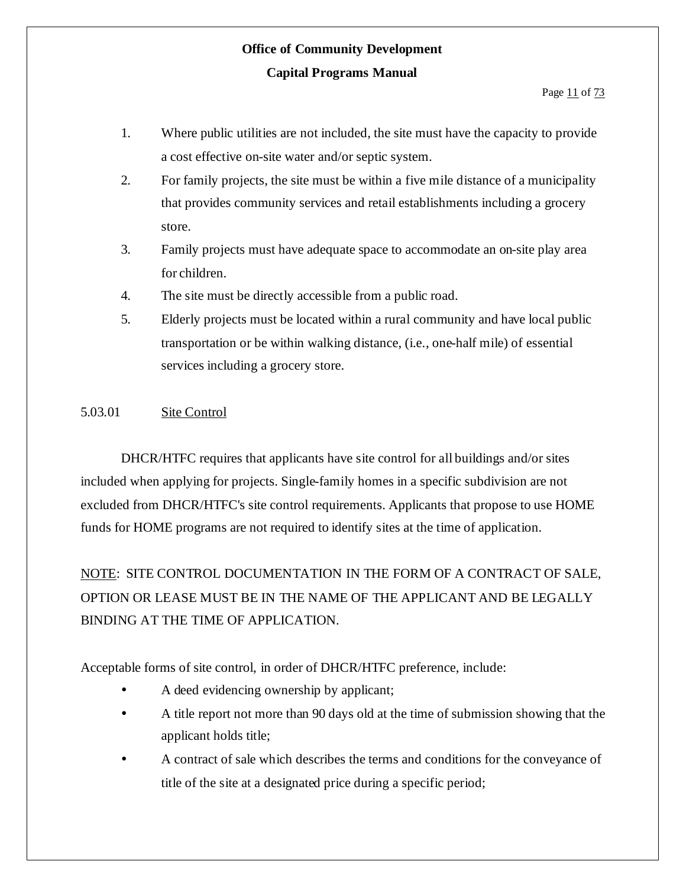- 1. Where public utilities are not included, the site must have the capacity to provide a cost effective on-site water and/or septic system.
- 2. For family projects, the site must be within a five mile distance of a municipality that provides community services and retail establishments including a grocery store.
- 3. Family projects must have adequate space to accommodate an on-site play area for children.
- 4. The site must be directly accessible from a public road.
- 5. Elderly projects must be located within a rural community and have local public transportation or be within walking distance, (i.e., one-half mile) of essential services including a grocery store.

#### 5.03.01 Site Control

DHCR/HTFC requires that applicants have site control for all buildings and/or sites included when applying for projects. Single-family homes in a specific subdivision are not excluded from DHCR/HTFC's site control requirements. Applicants that propose to use HOME funds for HOME programs are not required to identify sites at the time of application.

NOTE: SITE CONTROL DOCUMENTATION IN THE FORM OF A CONTRACT OF SALE, OPTION OR LEASE MUST BE IN THE NAME OF THE APPLICANT AND BE LEGALLY BINDING AT THE TIME OF APPLICATION.

Acceptable forms of site control, in order of DHCR/HTFC preference, include:

- A deed evidencing ownership by applicant;
- A title report not more than 90 days old at the time of submission showing that the applicant holds title;
- A contract of sale which describes the terms and conditions for the conveyance of title of the site at a designated price during a specific period;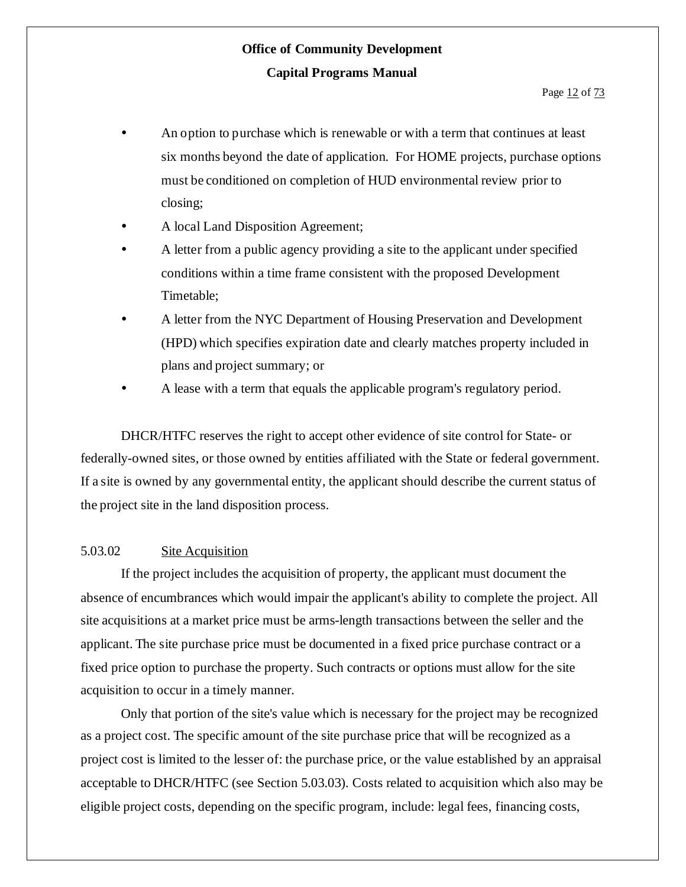- An option to purchase which is renewable or with a term that continues at least six months beyond the date of application. For HOME projects, purchase options must be conditioned on completion of HUD environmental review prior to closing;
- A local Land Disposition Agreement;
- A letter from a public agency providing a site to the applicant under specified conditions within a time frame consistent with the proposed Development Timetable;
- A letter from the NYC Department of Housing Preservation and Development (HPD) which specifies expiration date and clearly matches property included in plans and project summary; or
- A lease with a term that equals the applicable program's regulatory period.

DHCR/HTFC reserves the right to accept other evidence of site control for State- or federally-owned sites, or those owned by entities affiliated with the State or federal government. If a site is owned by any governmental entity, the applicant should describe the current status of the project site in the land disposition process.

#### 5.03.02 Site Acquisition

If the project includes the acquisition of property, the applicant must document the absence of encumbrances which would impair the applicant's ability to complete the project. All site acquisitions at a market price must be arms-length transactions between the seller and the applicant. The site purchase price must be documented in a fixed price purchase contract or a fixed price option to purchase the property. Such contracts or options must allow for the site acquisition to occur in a timely manner.

Only that portion of the site's value which is necessary for the project may be recognized as a project cost. The specific amount of the site purchase price that will be recognized as a project cost is limited to the lesser of: the purchase price, or the value established by an appraisal acceptable to DHCR/HTFC (see Section 5.03.03). Costs related to acquisition which also may be eligible project costs, depending on the specific program, include: legal fees, financing costs,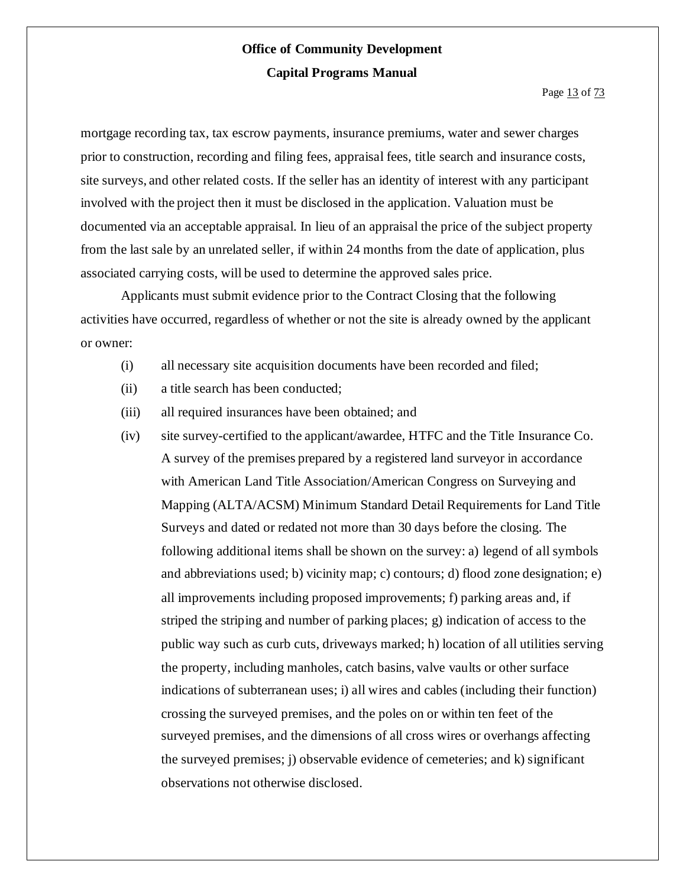mortgage recording tax, tax escrow payments, insurance premiums, water and sewer charges prior to construction, recording and filing fees, appraisal fees, title search and insurance costs, site surveys, and other related costs. If the seller has an identity of interest with any participant involved with the project then it must be disclosed in the application. Valuation must be documented via an acceptable appraisal. In lieu of an appraisal the price of the subject property from the last sale by an unrelated seller, if within 24 months from the date of application, plus associated carrying costs, will be used to determine the approved sales price.

Applicants must submit evidence prior to the Contract Closing that the following activities have occurred, regardless of whether or not the site is already owned by the applicant or owner:

- (i) all necessary site acquisition documents have been recorded and filed;
- (ii) a title search has been conducted;
- (iii) all required insurances have been obtained; and
- (iv) site survey-certified to the applicant/awardee, HTFC and the Title Insurance Co. A survey of the premises prepared by a registered land surveyor in accordance with American Land Title Association/American Congress on Surveying and Mapping (ALTA/ACSM) Minimum Standard Detail Requirements for Land Title Surveys and dated or redated not more than 30 days before the closing. The following additional items shall be shown on the survey: a) legend of all symbols and abbreviations used; b) vicinity map; c) contours; d) flood zone designation; e) all improvements including proposed improvements; f) parking areas and, if striped the striping and number of parking places; g) indication of access to the public way such as curb cuts, driveways marked; h) location of all utilities serving the property, including manholes, catch basins, valve vaults or other surface indications of subterranean uses; i) all wires and cables (including their function) crossing the surveyed premises, and the poles on or within ten feet of the surveyed premises, and the dimensions of all cross wires or overhangs affecting the surveyed premises; j) observable evidence of cemeteries; and k) significant observations not otherwise disclosed.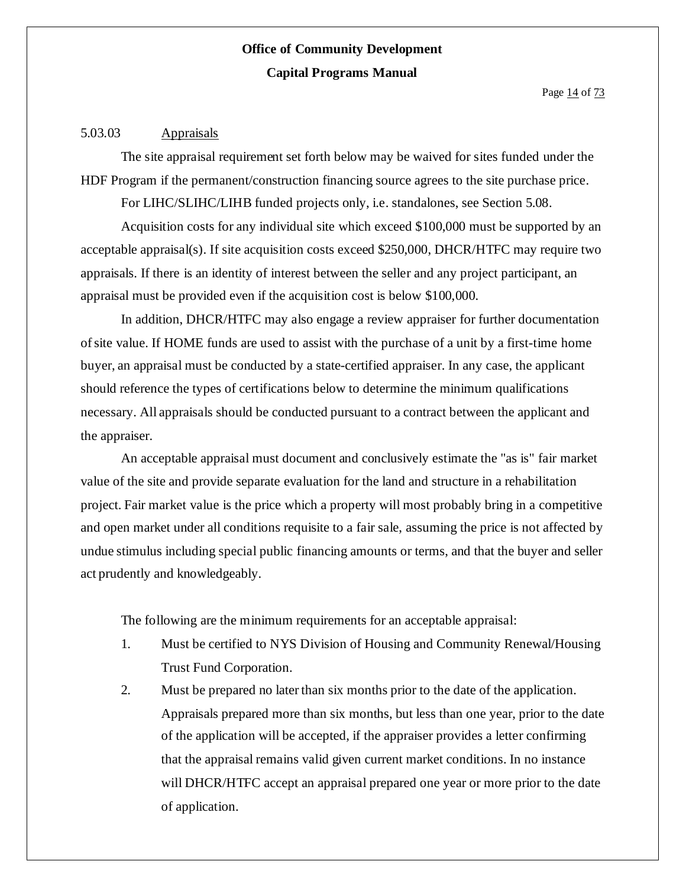#### 5.03.03 Appraisals

The site appraisal requirement set forth below may be waived for sites funded under the HDF Program if the permanent/construction financing source agrees to the site purchase price.

For LIHC/SLIHC/LIHB funded projects only, i.e. standalones, see Section 5.08.

Acquisition costs for any individual site which exceed \$100,000 must be supported by an acceptable appraisal(s). If site acquisition costs exceed \$250,000, DHCR/HTFC may require two appraisals. If there is an identity of interest between the seller and any project participant, an appraisal must be provided even if the acquisition cost is below \$100,000.

In addition, DHCR/HTFC may also engage a review appraiser for further documentation ofsite value. If HOME funds are used to assist with the purchase of a unit by a first-time home buyer, an appraisal must be conducted by a state-certified appraiser. In any case, the applicant should reference the types of certifications below to determine the minimum qualifications necessary. All appraisals should be conducted pursuant to a contract between the applicant and the appraiser.

An acceptable appraisal must document and conclusively estimate the "as is" fair market value of the site and provide separate evaluation for the land and structure in a rehabilitation project. Fair market value is the price which a property will most probably bring in a competitive and open market under all conditions requisite to a fair sale, assuming the price is not affected by undue stimulus including special public financing amounts or terms, and that the buyer and seller act prudently and knowledgeably.

The following are the minimum requirements for an acceptable appraisal:

- 1. Must be certified to NYS Division of Housing and Community Renewal/Housing Trust Fund Corporation.
- 2. Must be prepared no laterthan six months prior to the date of the application. Appraisals prepared more than six months, but less than one year, prior to the date of the application will be accepted, if the appraiser provides a letter confirming that the appraisal remains valid given current market conditions. In no instance will DHCR/HTFC accept an appraisal prepared one year or more prior to the date of application.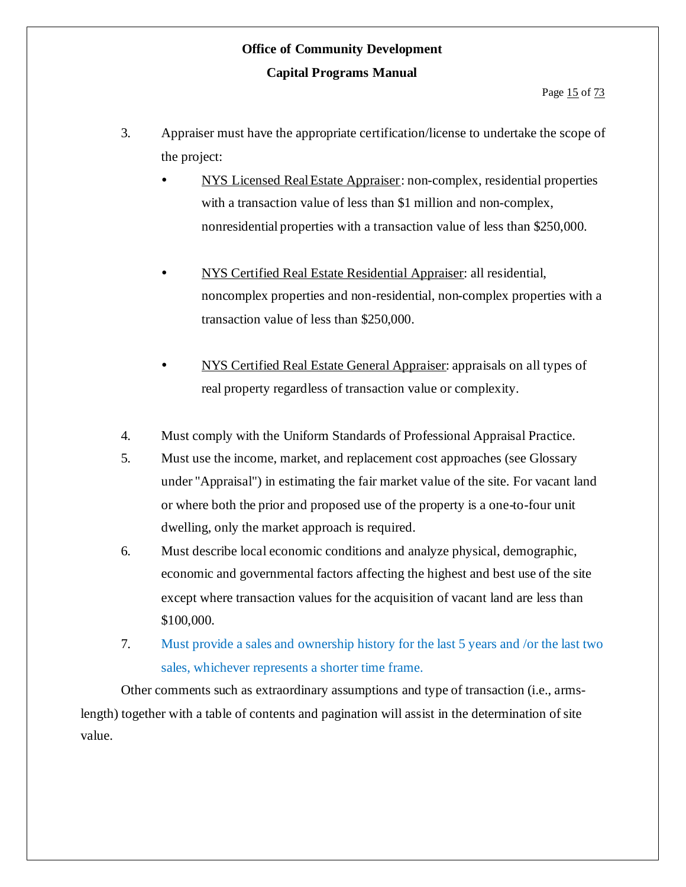- 3. Appraiser must have the appropriate certification/license to undertake the scope of the project:
	- NYS Licensed RealEstate Appraiser: non-complex, residential properties with a transaction value of less than \$1 million and non-complex, nonresidential properties with a transaction value of less than \$250,000.
	- NYS Certified Real Estate Residential Appraiser: all residential, noncomplex properties and non-residential, non-complex properties with a transaction value of less than \$250,000.
	- NYS Certified Real Estate General Appraiser: appraisals on all types of real property regardless of transaction value or complexity.
- 4. Must comply with the Uniform Standards of Professional Appraisal Practice.
- 5. Must use the income, market, and replacement cost approaches (see Glossary under "Appraisal") in estimating the fair market value of the site. For vacant land or where both the prior and proposed use of the property is a one-to-four unit dwelling, only the market approach is required.
- 6. Must describe local economic conditions and analyze physical, demographic, economic and governmental factors affecting the highest and best use of the site except where transaction values for the acquisition of vacant land are less than \$100,000.
- 7. Must provide a sales and ownership history for the last 5 years and /or the last two sales, whichever represents a shorter time frame.

Other comments such as extraordinary assumptions and type of transaction (i.e., armslength) together with a table of contents and pagination will assist in the determination of site value.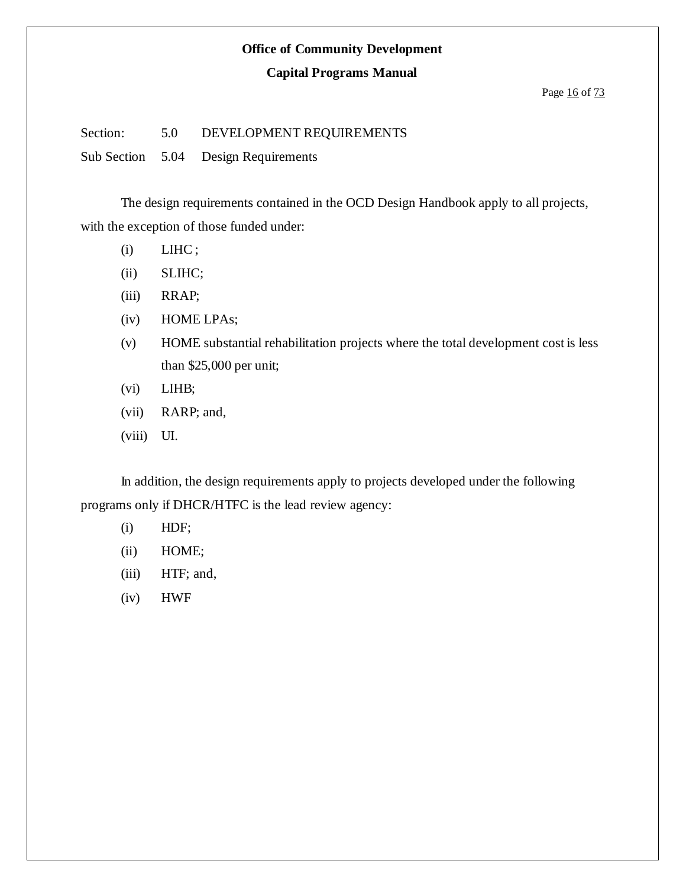#### **Office of Community Development**

#### **Capital Programs Manual**

#### Page 16 of 73

Section: 5.0 DEVELOPMENT REQUIREMENTS

Sub Section 5.04 Design Requirements

The design requirements contained in the OCD Design Handbook apply to all projects, with the exception of those funded under:

- $(i)$  LIHC;
- (ii) SLIHC;
- (iii) RRAP;
- (iv) HOME LPAs;
- (v) HOME substantial rehabilitation projects where the total development cost is less than \$25,000 per unit;
- (vi) LIHB;
- (vii) RARP; and,
- (viii) UI.

In addition, the design requirements apply to projects developed under the following programs only if DHCR/HTFC is the lead review agency:

- (i) HDF;
- (ii) HOME;
- (iii) HTF; and,
- (iv) HWF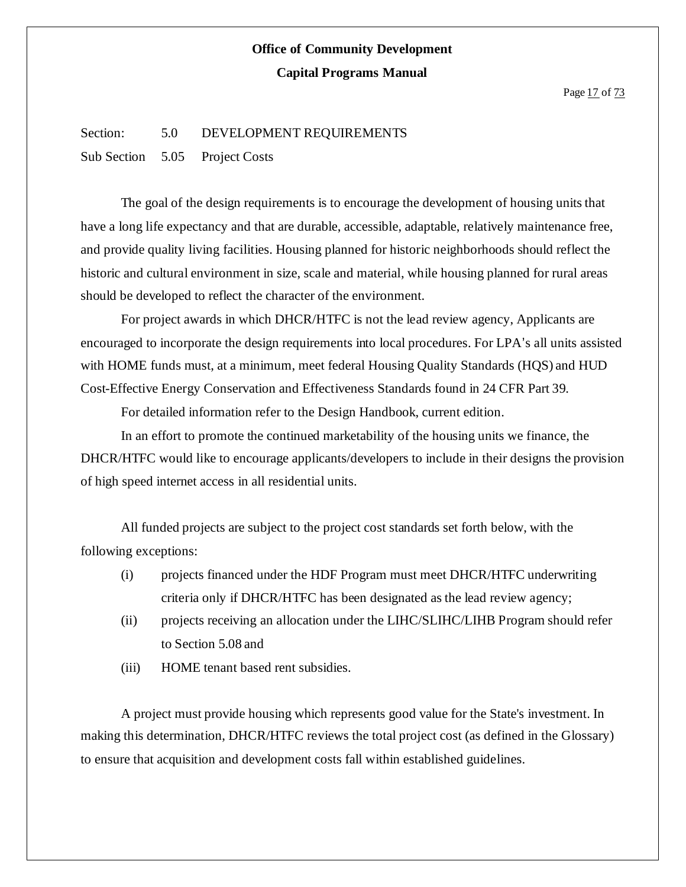Page 17 of 73

#### Section: 5.0 DEVELOPMENT REQUIREMENTS

Sub Section 5.05 Project Costs

The goal of the design requirements is to encourage the development of housing units that have a long life expectancy and that are durable, accessible, adaptable, relatively maintenance free, and provide quality living facilities. Housing planned for historic neighborhoods should reflect the historic and cultural environment in size, scale and material, while housing planned for rural areas should be developed to reflect the character of the environment.

For project awards in which DHCR/HTFC is not the lead review agency, Applicants are encouraged to incorporate the design requirements into local procedures. For LPA's all units assisted with HOME funds must, at a minimum, meet federal Housing Quality Standards (HQS) and HUD Cost-Effective Energy Conservation and Effectiveness Standards found in 24 CFR Part 39.

For detailed information refer to the Design Handbook, current edition.

In an effort to promote the continued marketability of the housing units we finance, the DHCR/HTFC would like to encourage applicants/developers to include in their designs the provision of high speed internet access in all residential units.

All funded projects are subject to the project cost standards set forth below, with the following exceptions:

- (i) projects financed under the HDF Program must meet DHCR/HTFC underwriting criteria only if DHCR/HTFC has been designated as the lead review agency;
- (ii) projects receiving an allocation under the LIHC/SLIHC/LIHB Program should refer to Section 5.08 and
- (iii) HOME tenant based rent subsidies.

A project must provide housing which represents good value for the State's investment. In making this determination, DHCR/HTFC reviews the total project cost (as defined in the Glossary) to ensure that acquisition and development costs fall within established guidelines.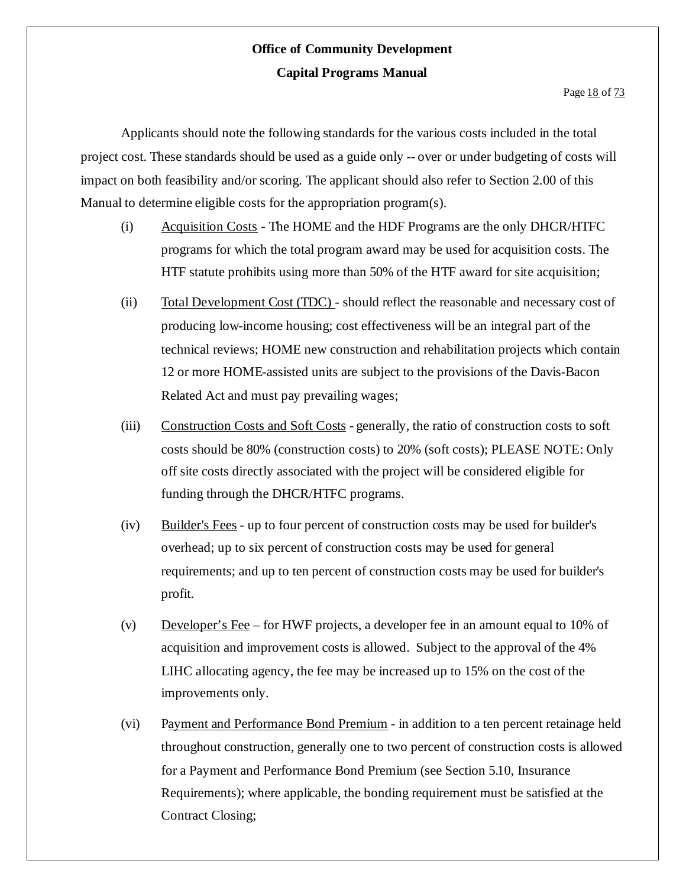Page 18 of 73

Applicants should note the following standards for the various costs included in the total project cost. These standards should be used as a guide only -- over or under budgeting of costs will impact on both feasibility and/or scoring. The applicant should also refer to Section 2.00 of this Manual to determine eligible costs for the appropriation program(s).

- (i) Acquisition Costs The HOME and the HDF Programs are the only DHCR/HTFC programs for which the total program award may be used for acquisition costs. The HTF statute prohibits using more than 50% of the HTF award for site acquisition;
- (ii) Total Development Cost (TDC) should reflect the reasonable and necessary cost of producing low-income housing; cost effectiveness will be an integral part of the technical reviews; HOME new construction and rehabilitation projects which contain 12 or more HOME-assisted units are subject to the provisions of the Davis-Bacon Related Act and must pay prevailing wages;
- (iii) Construction Costs and Soft Costs generally, the ratio of construction costs to soft costs should be 80% (construction costs) to 20% (soft costs); PLEASE NOTE: Only off site costs directly associated with the project will be considered eligible for funding through the DHCR/HTFC programs.
- (iv) Builder's Fees up to four percent of construction costs may be used for builder's overhead; up to six percent of construction costs may be used for general requirements; and up to ten percent of construction costs may be used for builder's profit.
- (v) Developer's Fee for HWF projects, a developer fee in an amount equal to 10% of acquisition and improvement costs is allowed. Subject to the approval of the 4% LIHC allocating agency, the fee may be increased up to 15% on the cost of the improvements only.
- (vi) Payment and Performance Bond Premium in addition to a ten percent retainage held throughout construction, generally one to two percent of construction costs is allowed for a Payment and Performance Bond Premium (see Section 5.10, Insurance Requirements); where applicable, the bonding requirement must be satisfied at the Contract Closing;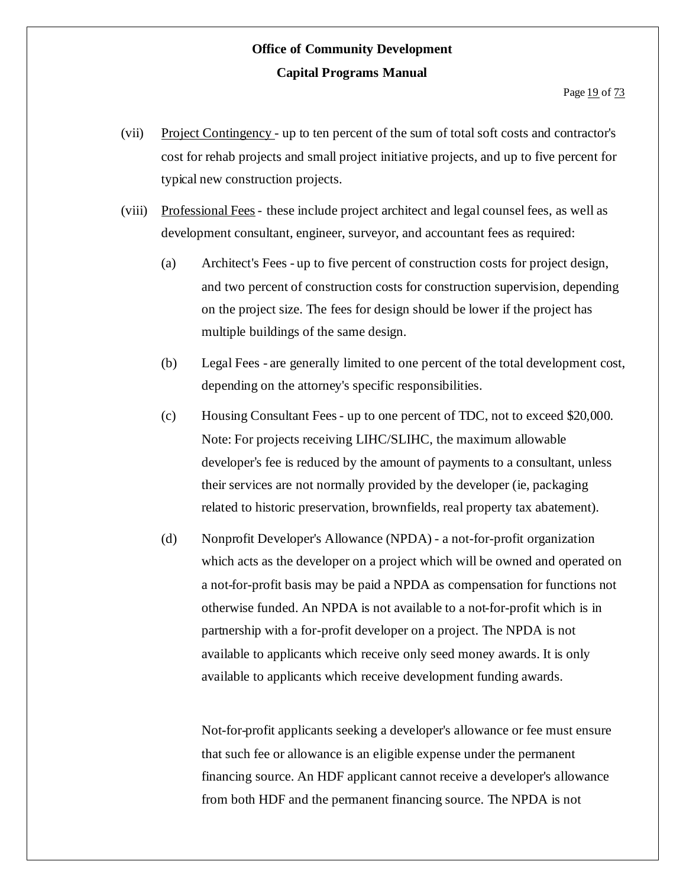- (vii) Project Contingency up to ten percent of the sum of total soft costs and contractor's cost for rehab projects and small project initiative projects, and up to five percent for typical new construction projects.
- (viii) Professional Fees- these include project architect and legal counsel fees, as well as development consultant, engineer, surveyor, and accountant fees as required:
	- (a) Architect's Fees up to five percent of construction costs for project design, and two percent of construction costs for construction supervision, depending on the project size. The fees for design should be lower if the project has multiple buildings of the same design.
	- (b) Legal Fees are generally limited to one percent of the total development cost, depending on the attorney's specific responsibilities.
	- (c) Housing Consultant Fees- up to one percent of TDC, not to exceed \$20,000. Note: For projects receiving LIHC/SLIHC, the maximum allowable developer's fee is reduced by the amount of payments to a consultant, unless their services are not normally provided by the developer (ie, packaging related to historic preservation, brownfields, real property tax abatement).
	- (d) Nonprofit Developer's Allowance (NPDA) a not-for-profit organization which acts as the developer on a project which will be owned and operated on a not-for-profit basis may be paid a NPDA as compensation for functions not otherwise funded. An NPDA is not available to a not-for-profit which is in partnership with a for-profit developer on a project. The NPDA is not available to applicants which receive only seed money awards. It is only available to applicants which receive development funding awards.

Not-for-profit applicants seeking a developer's allowance or fee must ensure that such fee or allowance is an eligible expense under the permanent financing source. An HDF applicant cannot receive a developer's allowance from both HDF and the permanent financing source. The NPDA is not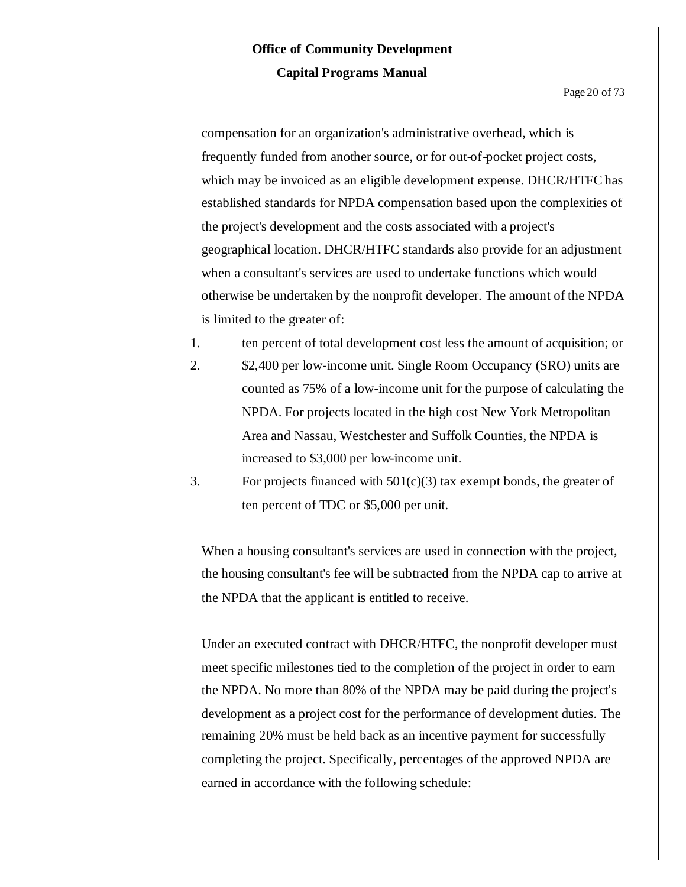Page 20 of 73

compensation for an organization's administrative overhead, which is frequently funded from another source, or for out-of-pocket project costs, which may be invoiced as an eligible development expense. DHCR/HTFC has established standards for NPDA compensation based upon the complexities of the project's development and the costs associated with a project's geographical location. DHCR/HTFC standards also provide for an adjustment when a consultant's services are used to undertake functions which would otherwise be undertaken by the nonprofit developer. The amount of the NPDA is limited to the greater of:

- 1. ten percent of total development cost less the amount of acquisition; or
- 2. \$2,400 per low-income unit. Single Room Occupancy (SRO) units are counted as 75% of a low-income unit for the purpose of calculating the NPDA. For projects located in the high cost New York Metropolitan Area and Nassau, Westchester and Suffolk Counties, the NPDA is increased to \$3,000 per low-income unit.
- 3. For projects financed with  $501(c)(3)$  tax exempt bonds, the greater of ten percent of TDC or \$5,000 per unit.

When a housing consultant's services are used in connection with the project, the housing consultant's fee will be subtracted from the NPDA cap to arrive at the NPDA that the applicant is entitled to receive.

Under an executed contract with DHCR/HTFC, the nonprofit developer must meet specific milestones tied to the completion of the project in order to earn the NPDA. No more than 80% of the NPDA may be paid during the project's development as a project cost for the performance of development duties. The remaining 20% must be held back as an incentive payment for successfully completing the project. Specifically, percentages of the approved NPDA are earned in accordance with the following schedule: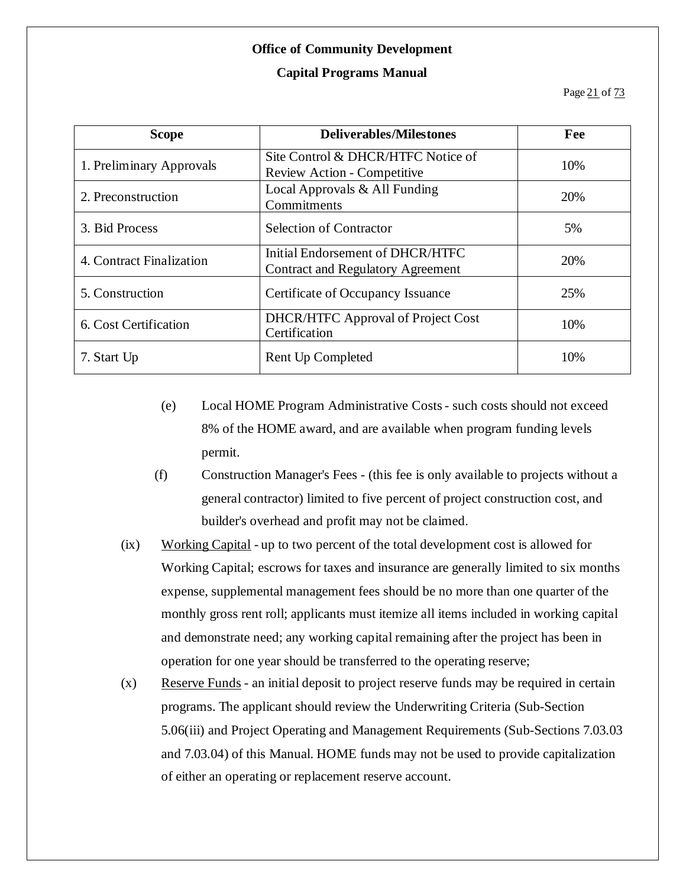#### **Office of Community Development**

#### **Capital Programs Manual**

Page 21 of 73

| <b>Scope</b>             | <b>Deliverables/Milestones</b>                                               | Fee |
|--------------------------|------------------------------------------------------------------------------|-----|
| 1. Preliminary Approvals | Site Control & DHCR/HTFC Notice of<br><b>Review Action - Competitive</b>     | 10% |
| 2. Preconstruction       | Local Approvals & All Funding<br>Commitments                                 | 20% |
| 3. Bid Process           | <b>Selection of Contractor</b>                                               | 5%  |
| 4. Contract Finalization | Initial Endorsement of DHCR/HTFC<br><b>Contract and Regulatory Agreement</b> | 20% |
| 5. Construction          | Certificate of Occupancy Issuance                                            | 25% |
| 6. Cost Certification    | <b>DHCR/HTFC</b> Approval of Project Cost<br>Certification                   | 10% |
| 7. Start Up              | Rent Up Completed                                                            | 10% |

- (e) Local HOME Program Administrative Costs- such costs should not exceed 8% of the HOME award, and are available when program funding levels permit.
- (f) Construction Manager's Fees (this fee is only available to projects without a general contractor) limited to five percent of project construction cost, and builder's overhead and profit may not be claimed.
- (ix) Working Capital up to two percent of the total development cost is allowed for Working Capital; escrows for taxes and insurance are generally limited to six months expense, supplemental management fees should be no more than one quarter of the monthly gross rent roll; applicants must itemize all items included in working capital and demonstrate need; any working capital remaining after the project has been in operation for one year should be transferred to the operating reserve;
- (x) Reserve Funds an initial deposit to project reserve funds may be required in certain programs. The applicant should review the Underwriting Criteria (Sub-Section 5.06(iii) and Project Operating and Management Requirements (Sub-Sections 7.03.03 and 7.03.04) of this Manual. HOME funds may not be used to provide capitalization of either an operating or replacement reserve account.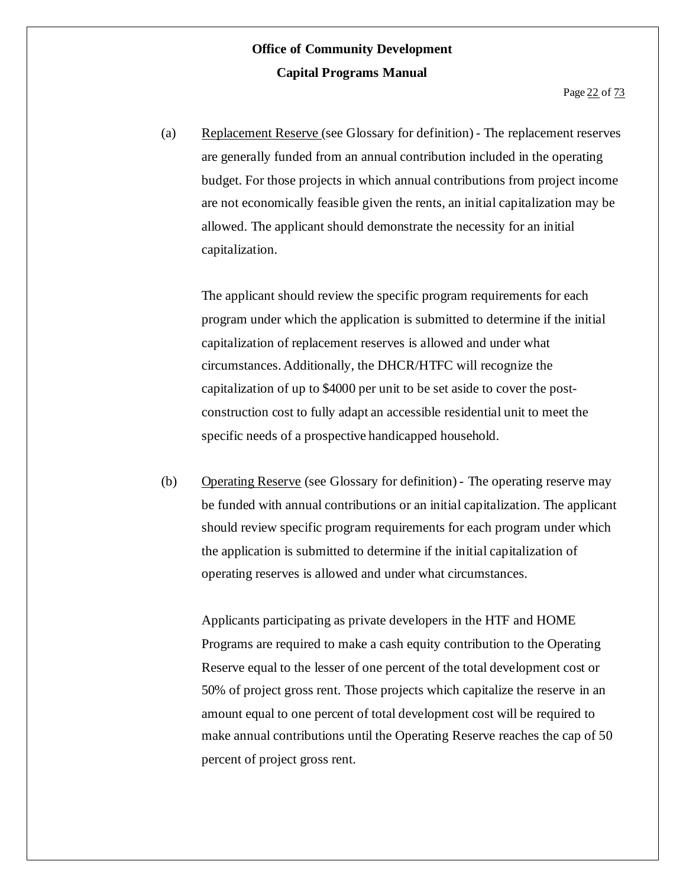(a) Replacement Reserve (see Glossary for definition) - The replacement reserves are generally funded from an annual contribution included in the operating budget. For those projects in which annual contributions from project income are not economically feasible given the rents, an initial capitalization may be allowed. The applicant should demonstrate the necessity for an initial capitalization.

The applicant should review the specific program requirements for each program under which the application is submitted to determine if the initial capitalization of replacement reserves is allowed and under what circumstances. Additionally, the DHCR/HTFC will recognize the capitalization of up to \$4000 per unit to be set aside to cover the postconstruction cost to fully adapt an accessible residential unit to meet the specific needs of a prospective handicapped household.

(b) Operating Reserve (see Glossary for definition) - The operating reserve may be funded with annual contributions or an initial capitalization. The applicant should review specific program requirements for each program under which the application is submitted to determine if the initial capitalization of operating reserves is allowed and under what circumstances.

Applicants participating as private developers in the HTF and HOME Programs are required to make a cash equity contribution to the Operating Reserve equal to the lesser of one percent of the total development cost or 50% of project gross rent. Those projects which capitalize the reserve in an amount equal to one percent of total development cost will be required to make annual contributions until the Operating Reserve reaches the cap of 50 percent of project gross rent.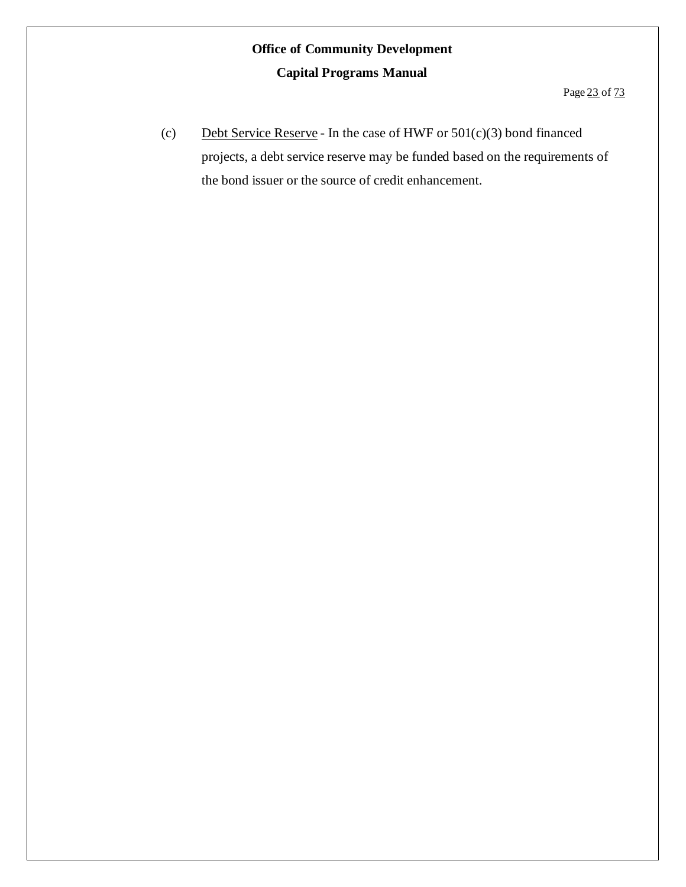(c) Debt Service Reserve - In the case of HWF or  $501(c)(3)$  bond financed projects, a debt service reserve may be funded based on the requirements of the bond issuer or the source of credit enhancement.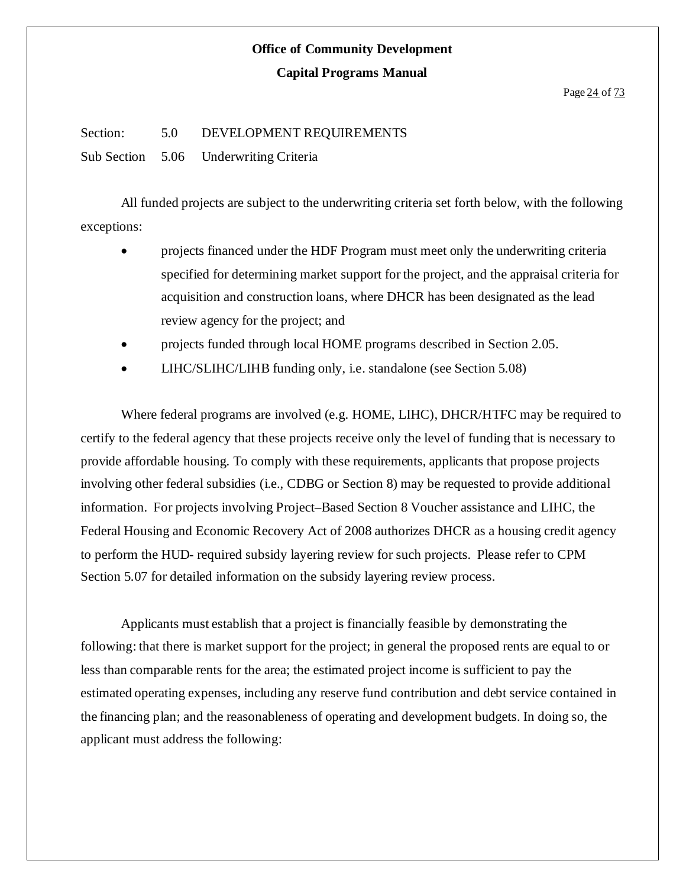#### Page 24 of 73

#### Section: 5.0 DEVELOPMENT REQUIREMENTS

Sub Section 5.06 Underwriting Criteria

All funded projects are subject to the underwriting criteria set forth below, with the following exceptions:

- projects financed under the HDF Program must meet only the underwriting criteria specified for determining market support for the project, and the appraisal criteria for acquisition and construction loans, where DHCR has been designated as the lead review agency for the project; and
- projects funded through local HOME programs described in Section 2.05.
- LIHC/SLIHC/LIHB funding only, i.e. standalone (see Section 5.08)

Where federal programs are involved (e.g. HOME, LIHC), DHCR/HTFC may be required to certify to the federal agency that these projects receive only the level of funding that is necessary to provide affordable housing. To comply with these requirements, applicants that propose projects involving other federal subsidies (i.e., CDBG or Section 8) may be requested to provide additional information. For projects involving Project–Based Section 8 Voucher assistance and LIHC, the Federal Housing and Economic Recovery Act of 2008 authorizes DHCR as a housing credit agency to perform the HUD- required subsidy layering review for such projects. Please refer to CPM Section 5.07 for detailed information on the subsidy layering review process.

Applicants must establish that a project is financially feasible by demonstrating the following: that there is market support for the project; in general the proposed rents are equal to or less than comparable rents for the area; the estimated project income is sufficient to pay the estimated operating expenses, including any reserve fund contribution and debt service contained in the financing plan; and the reasonableness of operating and development budgets. In doing so, the applicant must address the following: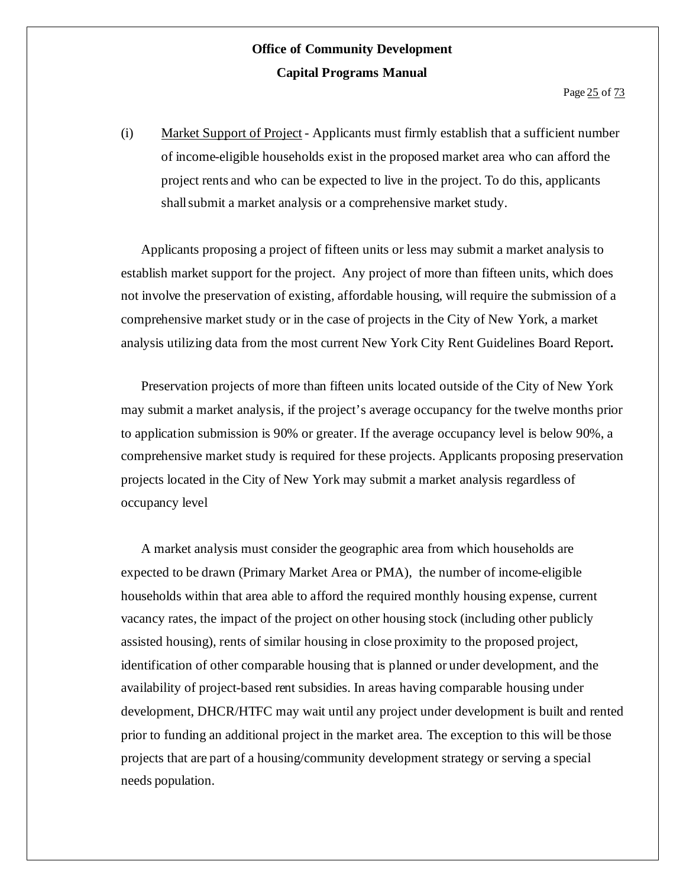(i) Market Support of Project - Applicants must firmly establish that a sufficient number of income-eligible households exist in the proposed market area who can afford the project rents and who can be expected to live in the project. To do this, applicants shall submit a market analysis or a comprehensive market study.

Applicants proposing a project of fifteen units or less may submit a market analysis to establish market support for the project. Any project of more than fifteen units, which does not involve the preservation of existing, affordable housing, will require the submission of a comprehensive market study or in the case of projects in the City of New York, a market analysis utilizing data from the most current New York City Rent Guidelines Board Report**.**

Preservation projects of more than fifteen units located outside of the City of New York may submit a market analysis, if the project's average occupancy for the twelve months prior to application submission is 90% or greater. If the average occupancy level is below 90%, a comprehensive market study is required for these projects. Applicants proposing preservation projects located in the City of New York may submit a market analysis regardless of occupancy level

A market analysis must consider the geographic area from which households are expected to be drawn (Primary Market Area or PMA), the number of income-eligible households within that area able to afford the required monthly housing expense, current vacancy rates, the impact of the project on other housing stock (including other publicly assisted housing), rents of similar housing in close proximity to the proposed project, identification of other comparable housing that is planned or under development, and the availability of project-based rent subsidies. In areas having comparable housing under development, DHCR/HTFC may wait until any project under development is built and rented prior to funding an additional project in the market area. The exception to this will be those projects that are part of a housing/community development strategy or serving a special needs population.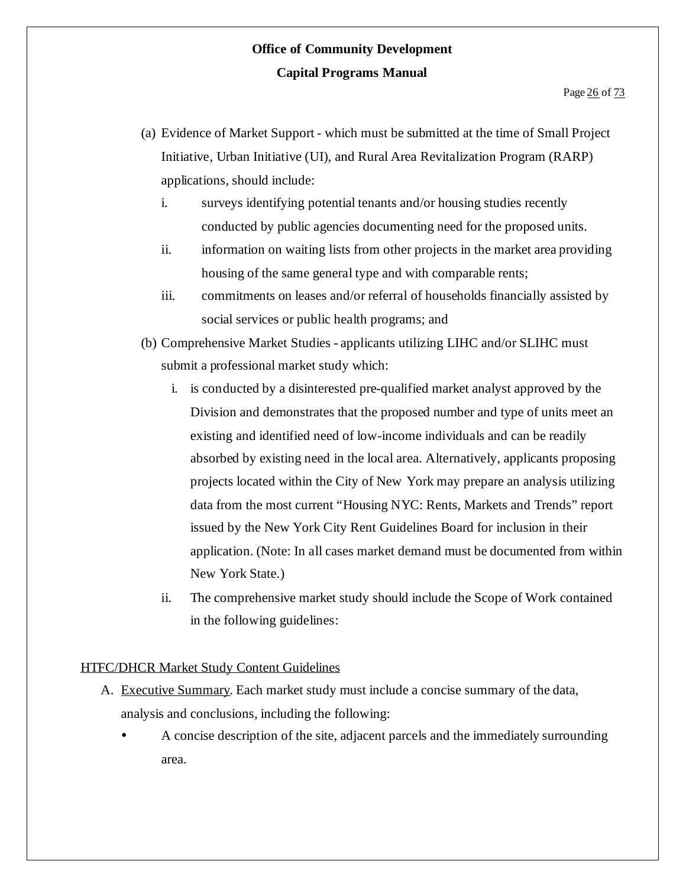- (a) Evidence of Market Support which must be submitted at the time of Small Project Initiative, Urban Initiative (UI), and Rural Area Revitalization Program (RARP) applications, should include:
	- i. surveys identifying potential tenants and/or housing studies recently conducted by public agencies documenting need for the proposed units.
	- ii. information on waiting lists from other projects in the market area providing housing of the same general type and with comparable rents;
	- iii. commitments on leases and/or referral of households financially assisted by social services or public health programs; and
- (b) Comprehensive Market Studies applicants utilizing LIHC and/or SLIHC must submit a professional market study which:
	- i. is conducted by a disinterested pre-qualified market analyst approved by the Division and demonstrates that the proposed number and type of units meet an existing and identified need of low-income individuals and can be readily absorbed by existing need in the local area. Alternatively, applicants proposing projects located within the City of New York may prepare an analysis utilizing data from the most current "Housing NYC: Rents, Markets and Trends" report issued by the New York City Rent Guidelines Board for inclusion in their application. (Note: In all cases market demand must be documented from within New York State.)
	- ii. The comprehensive market study should include the Scope of Work contained in the following guidelines:

#### HTFC/DHCR Market Study Content Guidelines

- A. Executive Summary. Each market study must include a concise summary of the data, analysis and conclusions, including the following:
	- A concise description of the site, adjacent parcels and the immediately surrounding area.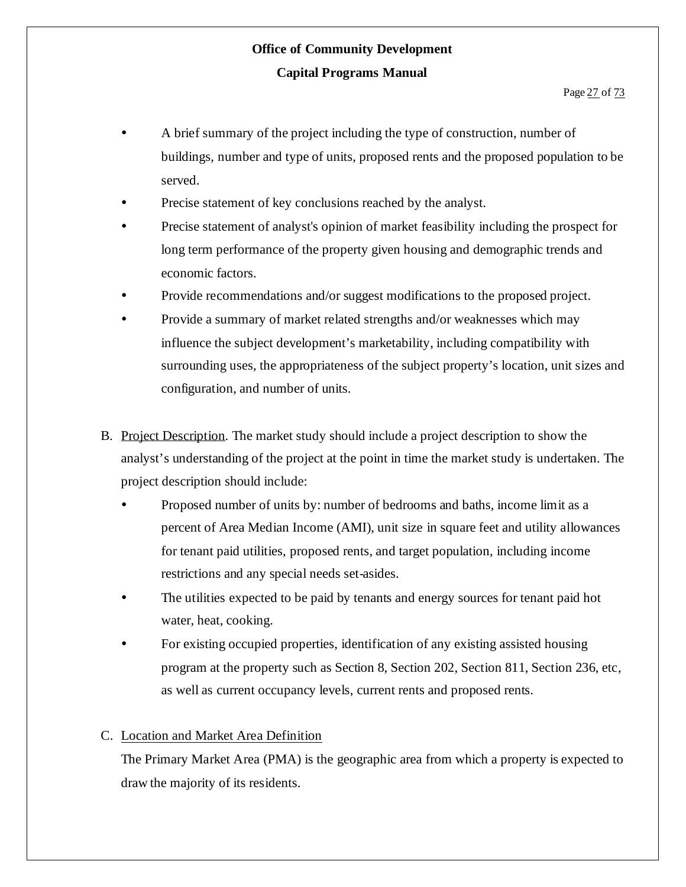- A brief summary of the project including the type of construction, number of buildings, number and type of units, proposed rents and the proposed population to be served.
- Precise statement of key conclusions reached by the analyst.
- Precise statement of analyst's opinion of market feasibility including the prospect for long term performance of the property given housing and demographic trends and economic factors.
- Provide recommendations and/or suggest modifications to the proposed project.
- Provide a summary of market related strengths and/or weaknesses which may influence the subject development's marketability, including compatibility with surrounding uses, the appropriateness of the subject property's location, unit sizes and configuration, and number of units.
- B. Project Description. The market study should include a project description to show the analyst's understanding of the project at the point in time the market study is undertaken. The project description should include:
	- Proposed number of units by: number of bedrooms and baths, income limit as a percent of Area Median Income (AMI), unit size in square feet and utility allowances for tenant paid utilities, proposed rents, and target population, including income restrictions and any special needs set-asides.
	- The utilities expected to be paid by tenants and energy sources for tenant paid hot water, heat, cooking.
	- For existing occupied properties, identification of any existing assisted housing program at the property such as Section 8, Section 202, Section 811, Section 236, etc, as well as current occupancy levels, current rents and proposed rents.

#### C. Location and Market Area Definition

The Primary Market Area (PMA) is the geographic area from which a property is expected to draw the majority of its residents.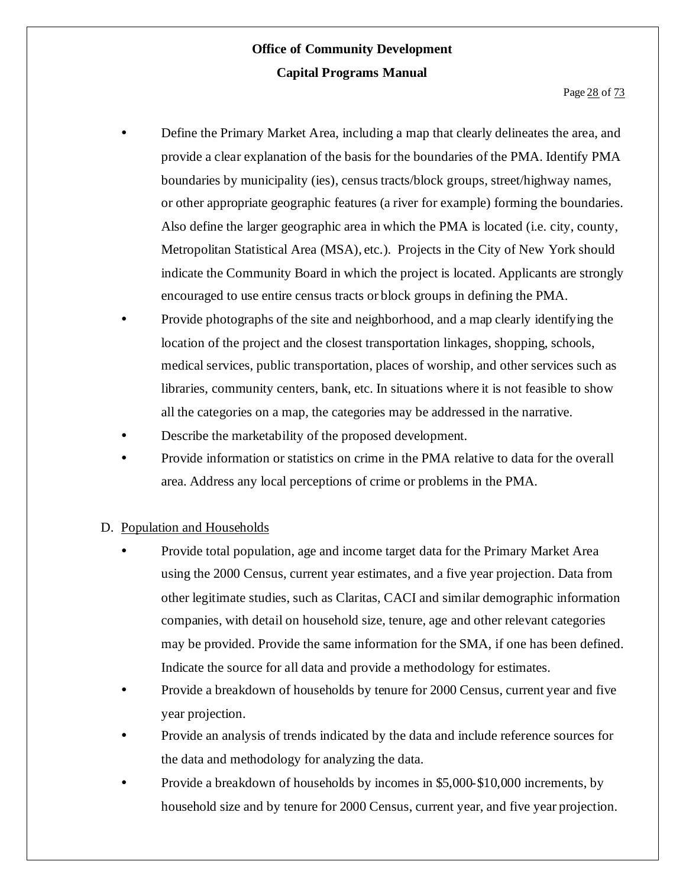- Define the Primary Market Area, including a map that clearly delineates the area, and provide a clear explanation of the basis for the boundaries of the PMA. Identify PMA boundaries by municipality (ies), census tracts/block groups, street/highway names, or other appropriate geographic features (a river for example) forming the boundaries. Also define the larger geographic area in which the PMA is located (i.e. city, county, Metropolitan Statistical Area (MSA), etc.). Projects in the City of New York should indicate the Community Board in which the project is located. Applicants are strongly encouraged to use entire census tracts or block groups in defining the PMA.
- Provide photographs of the site and neighborhood, and a map clearly identifying the location of the project and the closest transportation linkages, shopping, schools, medical services, public transportation, places of worship, and other services such as libraries, community centers, bank, etc. In situations where it is not feasible to show all the categories on a map, the categories may be addressed in the narrative.
- Describe the marketability of the proposed development.
- Provide information or statistics on crime in the PMA relative to data for the overall area. Address any local perceptions of crime or problems in the PMA.

#### D. Population and Households

- Provide total population, age and income target data for the Primary Market Area using the 2000 Census, current year estimates, and a five year projection. Data from other legitimate studies, such as Claritas, CACI and similar demographic information companies, with detail on household size, tenure, age and other relevant categories may be provided. Provide the same information for the SMA, if one has been defined. Indicate the source for all data and provide a methodology for estimates.
- Provide a breakdown of households by tenure for 2000 Census, current year and five year projection.
- Provide an analysis of trends indicated by the data and include reference sources for the data and methodology for analyzing the data.
- Provide a breakdown of households by incomes in \$5,000-\$10,000 increments, by household size and by tenure for 2000 Census, current year, and five year projection.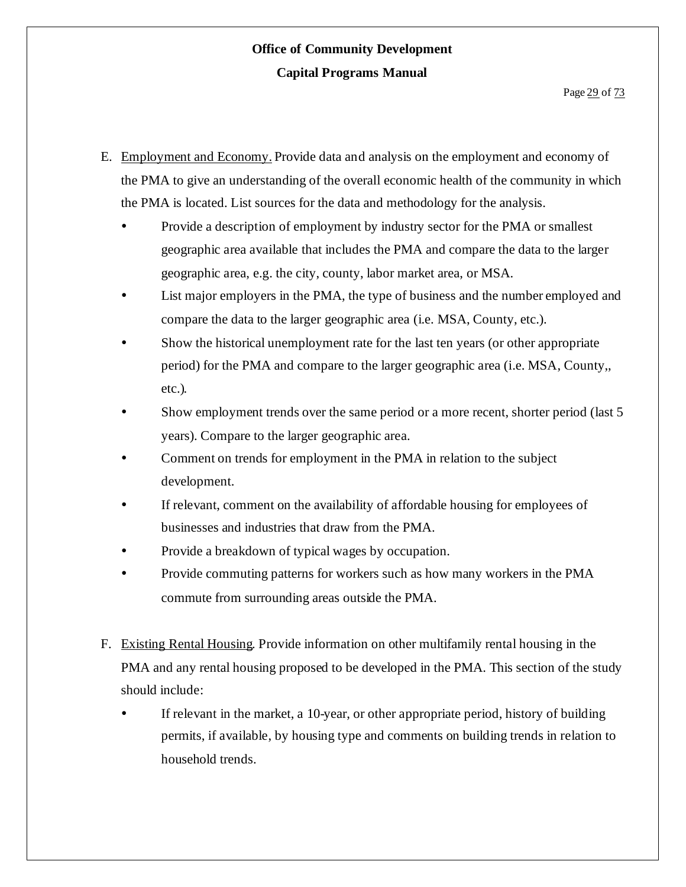- E. Employment and Economy. Provide data and analysis on the employment and economy of the PMA to give an understanding of the overall economic health of the community in which the PMA is located. List sources for the data and methodology for the analysis.
	- Provide a description of employment by industry sector for the PMA or smallest geographic area available that includes the PMA and compare the data to the larger geographic area, e.g. the city, county, labor market area, or MSA.
	- List major employers in the PMA, the type of business and the number employed and compare the data to the larger geographic area (i.e. MSA, County, etc.).
	- Show the historical unemployment rate for the last ten years (or other appropriate period) for the PMA and compare to the larger geographic area (i.e. MSA, County,, etc.).
	- Show employment trends over the same period or a more recent, shorter period (last 5 years). Compare to the larger geographic area.
	- Comment on trends for employment in the PMA in relation to the subject development.
	- If relevant, comment on the availability of affordable housing for employees of businesses and industries that draw from the PMA.
	- Provide a breakdown of typical wages by occupation.
	- Provide commuting patterns for workers such as how many workers in the PMA commute from surrounding areas outside the PMA.
- F. Existing Rental Housing. Provide information on other multifamily rental housing in the PMA and any rental housing proposed to be developed in the PMA. This section of the study should include:
	- If relevant in the market, a 10-year, or other appropriate period, history of building permits, if available, by housing type and comments on building trends in relation to household trends.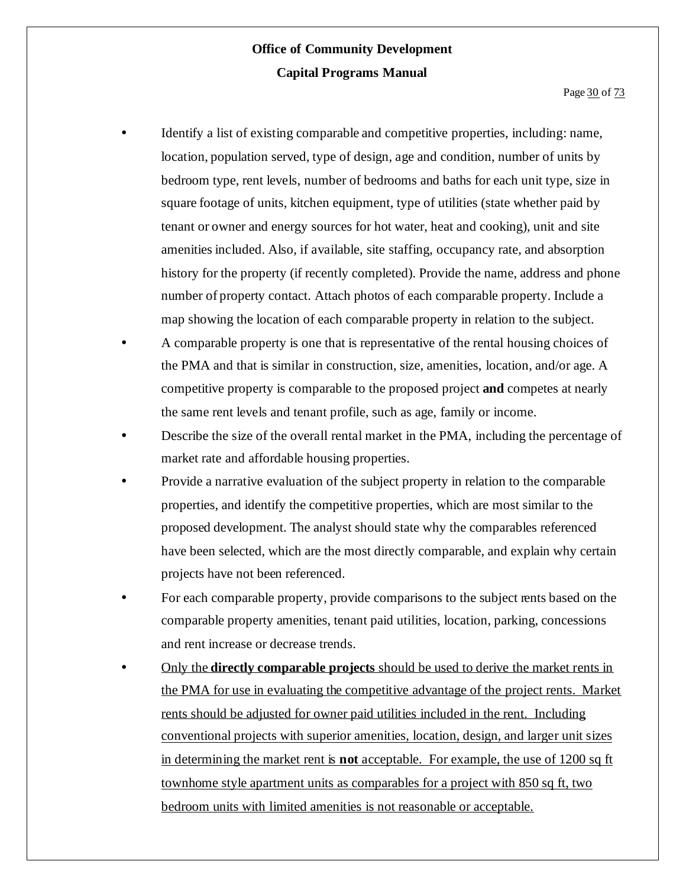- Identify a list of existing comparable and competitive properties, including: name, location, population served, type of design, age and condition, number of units by bedroom type, rent levels, number of bedrooms and baths for each unit type, size in square footage of units, kitchen equipment, type of utilities (state whether paid by tenant or owner and energy sources for hot water, heat and cooking), unit and site amenities included. Also, if available, site staffing, occupancy rate, and absorption history for the property (if recently completed). Provide the name, address and phone number of property contact. Attach photos of each comparable property. Include a map showing the location of each comparable property in relation to the subject.
- A comparable property is one that is representative of the rental housing choices of the PMA and that is similar in construction, size, amenities, location, and/or age. A competitive property is comparable to the proposed project **and** competes at nearly the same rent levels and tenant profile, such as age, family or income.
- Describe the size of the overall rental market in the PMA, including the percentage of market rate and affordable housing properties.
- Provide a narrative evaluation of the subject property in relation to the comparable properties, and identify the competitive properties, which are most similar to the proposed development. The analyst should state why the comparables referenced have been selected, which are the most directly comparable, and explain why certain projects have not been referenced.
- For each comparable property, provide comparisons to the subject rents based on the comparable property amenities, tenant paid utilities, location, parking, concessions and rent increase or decrease trends.
- Only the **directly comparable projects** should be used to derive the market rents in the PMA for use in evaluating the competitive advantage of the project rents. Market rents should be adjusted for owner paid utilities included in the rent. Including conventional projects with superior amenities, location, design, and larger unit sizes in determining the market rent is **not** acceptable. For example, the use of 1200 sq ft townhome style apartment units as comparables for a project with 850 sq ft, two bedroom units with limited amenities is not reasonable or acceptable.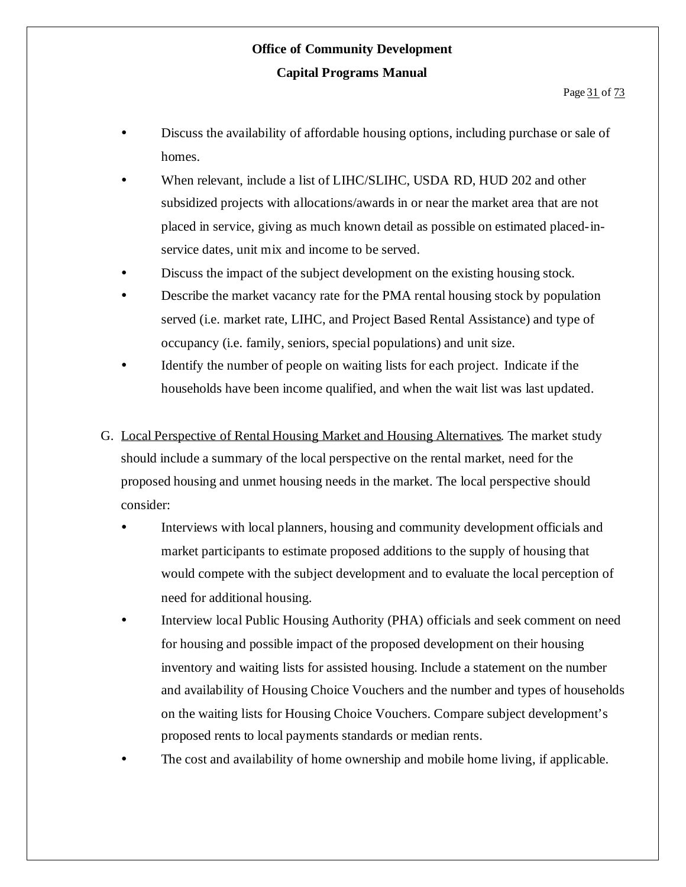- Discuss the availability of affordable housing options, including purchase or sale of homes.
- When relevant, include a list of LIHC/SLIHC, USDA RD, HUD 202 and other subsidized projects with allocations/awards in or near the market area that are not placed in service, giving as much known detail as possible on estimated placed-inservice dates, unit mix and income to be served.
- Discuss the impact of the subject development on the existing housing stock.
- Describe the market vacancy rate for the PMA rental housing stock by population served (i.e. market rate, LIHC, and Project Based Rental Assistance) and type of occupancy (i.e. family, seniors, special populations) and unit size.
- Identify the number of people on waiting lists for each project. Indicate if the households have been income qualified, and when the wait list was last updated.
- G. Local Perspective of Rental Housing Market and Housing Alternatives. The market study should include a summary of the local perspective on the rental market, need for the proposed housing and unmet housing needs in the market. The local perspective should consider:
	- Interviews with local planners, housing and community development officials and market participants to estimate proposed additions to the supply of housing that would compete with the subject development and to evaluate the local perception of need for additional housing.
	- Interview local Public Housing Authority (PHA) officials and seek comment on need for housing and possible impact of the proposed development on their housing inventory and waiting lists for assisted housing. Include a statement on the number and availability of Housing Choice Vouchers and the number and types of households on the waiting lists for Housing Choice Vouchers. Compare subject development's proposed rents to local payments standards or median rents.
	- The cost and availability of home ownership and mobile home living, if applicable.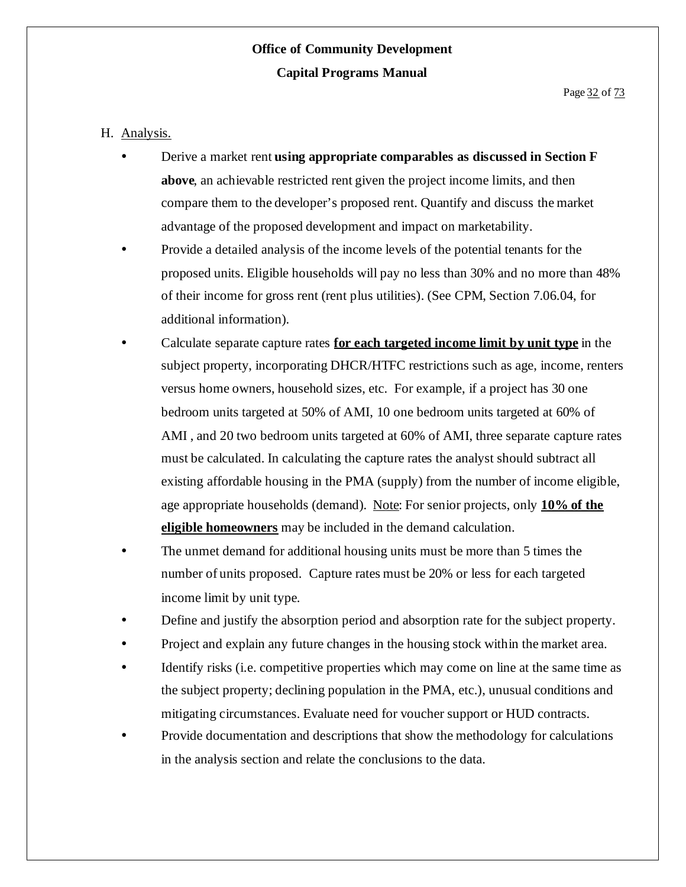#### H. Analysis.

- Derive a market rent **using appropriate comparables as discussed in Section F above**, an achievable restricted rent given the project income limits, and then compare them to the developer's proposed rent. Quantify and discuss the market advantage of the proposed development and impact on marketability.
- Provide a detailed analysis of the income levels of the potential tenants for the proposed units. Eligible households will pay no less than 30% and no more than 48% of their income for gross rent (rent plus utilities). (See CPM, Section 7.06.04, for additional information).
- Calculate separate capture rates **for each targeted income limit by unit type** in the subject property, incorporating DHCR/HTFC restrictions such as age, income, renters versus home owners, household sizes, etc. For example, if a project has 30 one bedroom units targeted at 50% of AMI, 10 one bedroom units targeted at 60% of AMI , and 20 two bedroom units targeted at 60% of AMI, three separate capture rates must be calculated. In calculating the capture rates the analyst should subtract all existing affordable housing in the PMA (supply) from the number of income eligible, age appropriate households (demand). Note: For senior projects, only **10% of the eligible homeowners** may be included in the demand calculation.
- The unmet demand for additional housing units must be more than 5 times the number of units proposed. Capture rates must be 20% or less for each targeted income limit by unit type.
- Define and justify the absorption period and absorption rate for the subject property.
- Project and explain any future changes in the housing stock within the market area.
- Identify risks (i.e. competitive properties which may come on line at the same time as the subject property; declining population in the PMA, etc.), unusual conditions and mitigating circumstances. Evaluate need for voucher support or HUD contracts.
- Provide documentation and descriptions that show the methodology for calculations in the analysis section and relate the conclusions to the data.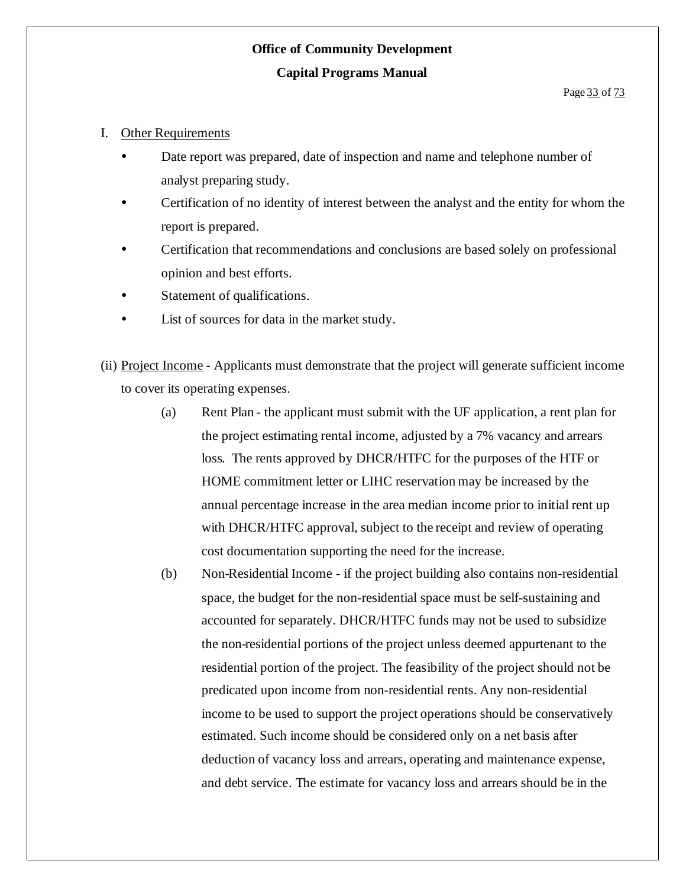#### I. Other Requirements

- Date report was prepared, date of inspection and name and telephone number of analyst preparing study.
- Certification of no identity of interest between the analyst and the entity for whom the report is prepared.
- Certification that recommendations and conclusions are based solely on professional opinion and best efforts.
- Statement of qualifications.
- List of sources for data in the market study.
- (ii) Project Income Applicants must demonstrate that the project will generate sufficient income to cover its operating expenses.
	- (a) Rent Plan the applicant must submit with the UF application, a rent plan for the project estimating rental income, adjusted by a 7% vacancy and arrears loss. The rents approved by DHCR/HTFC for the purposes of the HTF or HOME commitment letter or LIHC reservation may be increased by the annual percentage increase in the area median income prior to initial rent up with DHCR/HTFC approval, subject to the receipt and review of operating cost documentation supporting the need for the increase.
	- (b) Non-Residential Income if the project building also contains non-residential space, the budget for the non-residential space must be self-sustaining and accounted for separately. DHCR/HTFC funds may not be used to subsidize the non-residential portions of the project unless deemed appurtenant to the residential portion of the project. The feasibility of the project should not be predicated upon income from non-residential rents. Any non-residential income to be used to support the project operations should be conservatively estimated. Such income should be considered only on a net basis after deduction of vacancy loss and arrears, operating and maintenance expense, and debt service. The estimate for vacancy loss and arrears should be in the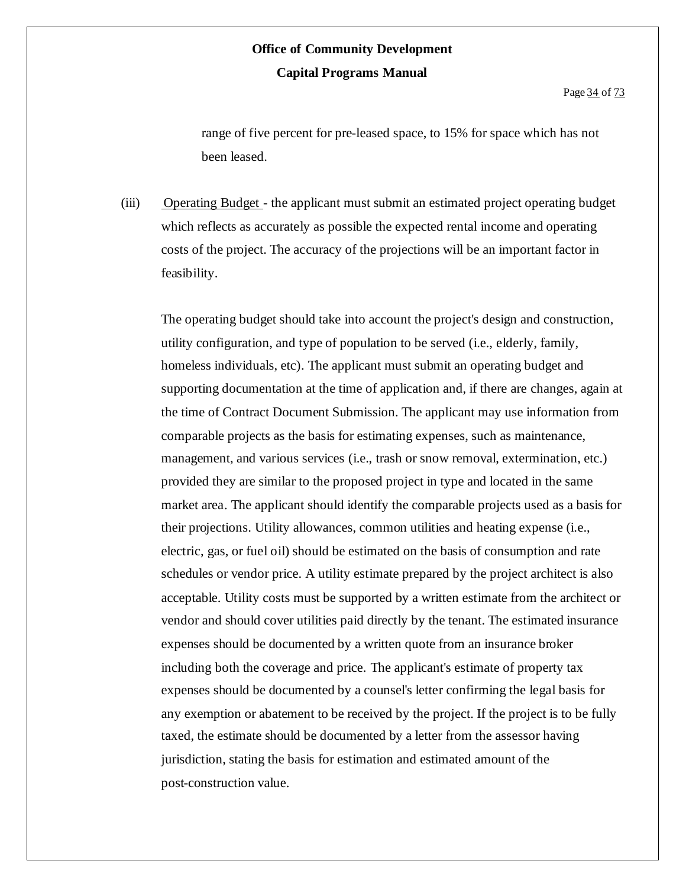range of five percent for pre-leased space, to 15% for space which has not been leased.

(iii) Operating Budget - the applicant must submit an estimated project operating budget which reflects as accurately as possible the expected rental income and operating costs of the project. The accuracy of the projections will be an important factor in feasibility.

The operating budget should take into account the project's design and construction, utility configuration, and type of population to be served (i.e., elderly, family, homeless individuals, etc). The applicant must submit an operating budget and supporting documentation at the time of application and, if there are changes, again at the time of Contract Document Submission. The applicant may use information from comparable projects as the basis for estimating expenses, such as maintenance, management, and various services (i.e., trash or snow removal, extermination, etc.) provided they are similar to the proposed project in type and located in the same market area. The applicant should identify the comparable projects used as a basis for their projections. Utility allowances, common utilities and heating expense (i.e., electric, gas, or fuel oil) should be estimated on the basis of consumption and rate schedules or vendor price. A utility estimate prepared by the project architect is also acceptable. Utility costs must be supported by a written estimate from the architect or vendor and should cover utilities paid directly by the tenant. The estimated insurance expenses should be documented by a written quote from an insurance broker including both the coverage and price. The applicant's estimate of property tax expenses should be documented by a counsel's letter confirming the legal basis for any exemption or abatement to be received by the project. If the project is to be fully taxed, the estimate should be documented by a letter from the assessor having jurisdiction, stating the basis for estimation and estimated amount of the post-construction value.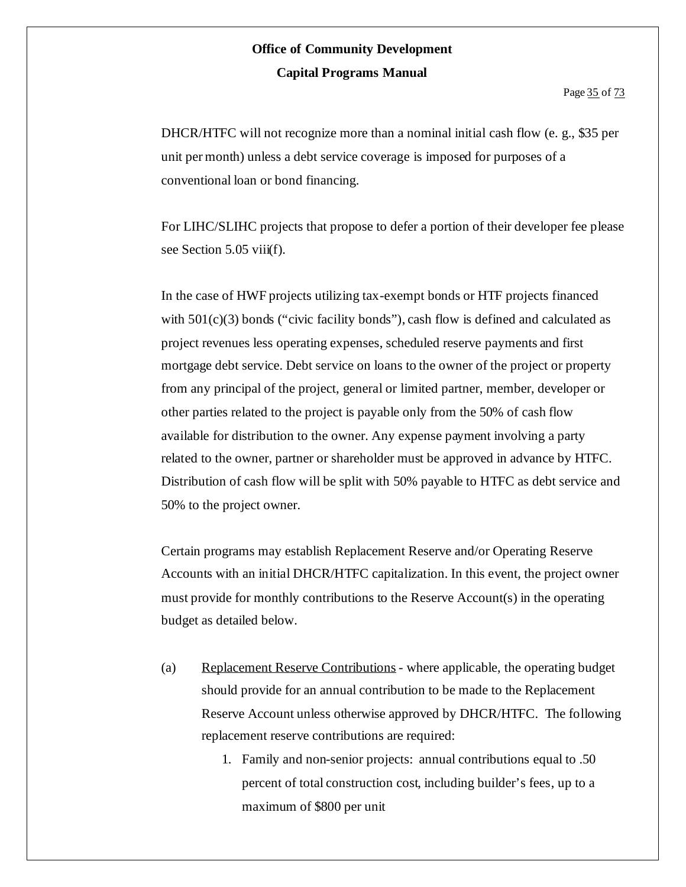DHCR/HTFC will not recognize more than a nominal initial cash flow (e. g., \$35 per unit per month) unless a debt service coverage is imposed for purposes of a conventional loan or bond financing.

For LIHC/SLIHC projects that propose to defer a portion of their developer fee please see Section 5.05 viii(f).

In the case of HWF projects utilizing tax-exempt bonds or HTF projects financed with  $501(c)(3)$  bonds ("civic facility bonds"), cash flow is defined and calculated as project revenues less operating expenses, scheduled reserve payments and first mortgage debt service. Debt service on loans to the owner of the project or property from any principal of the project, general or limited partner, member, developer or other parties related to the project is payable only from the 50% of cash flow available for distribution to the owner. Any expense payment involving a party related to the owner, partner or shareholder must be approved in advance by HTFC. Distribution of cash flow will be split with 50% payable to HTFC as debt service and 50% to the project owner.

Certain programs may establish Replacement Reserve and/or Operating Reserve Accounts with an initial DHCR/HTFC capitalization. In this event, the project owner must provide for monthly contributions to the Reserve Account(s) in the operating budget as detailed below.

- (a) Replacement Reserve Contributions where applicable, the operating budget should provide for an annual contribution to be made to the Replacement Reserve Account unless otherwise approved by DHCR/HTFC. The following replacement reserve contributions are required:
	- 1. Family and non-senior projects: annual contributions equal to .50 percent of total construction cost, including builder's fees, up to a maximum of \$800 per unit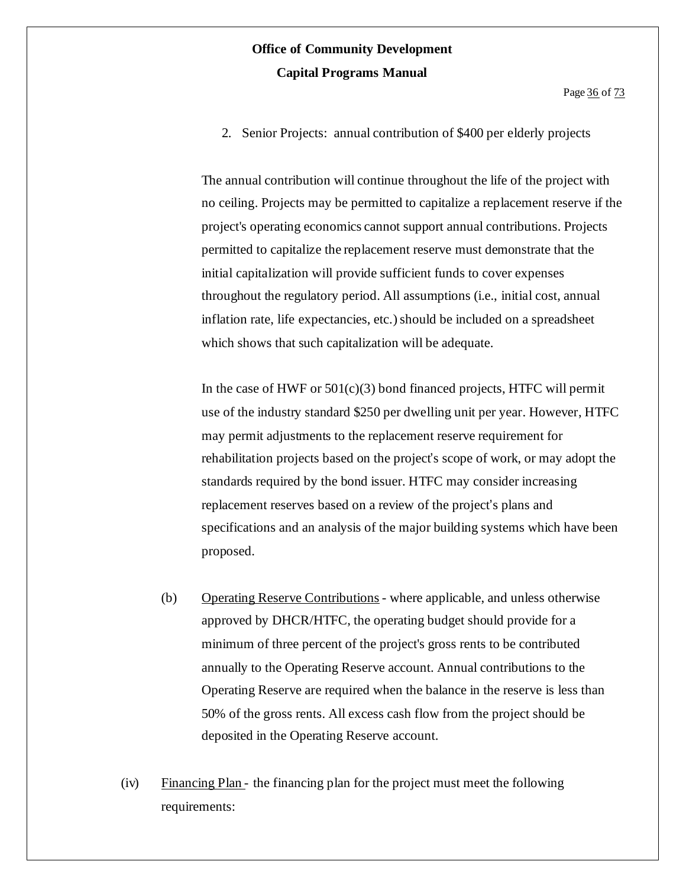2. Senior Projects: annual contribution of \$400 per elderly projects

The annual contribution will continue throughout the life of the project with no ceiling. Projects may be permitted to capitalize a replacement reserve if the project's operating economics cannot support annual contributions. Projects permitted to capitalize the replacement reserve must demonstrate that the initial capitalization will provide sufficient funds to cover expenses throughout the regulatory period. All assumptions (i.e., initial cost, annual inflation rate, life expectancies, etc.) should be included on a spreadsheet which shows that such capitalization will be adequate.

In the case of HWF or  $501(c)(3)$  bond financed projects, HTFC will permit use of the industry standard \$250 per dwelling unit per year. However, HTFC may permit adjustments to the replacement reserve requirement for rehabilitation projects based on the project's scope of work, or may adopt the standards required by the bond issuer. HTFC may consider increasing replacement reserves based on a review of the project's plans and specifications and an analysis of the major building systems which have been proposed.

- (b) Operating Reserve Contributions- where applicable, and unless otherwise approved by DHCR/HTFC, the operating budget should provide for a minimum of three percent of the project's gross rents to be contributed annually to the Operating Reserve account. Annual contributions to the Operating Reserve are required when the balance in the reserve is less than 50% of the gross rents. All excess cash flow from the project should be deposited in the Operating Reserve account.
- (iv) Financing Plan the financing plan for the project must meet the following requirements: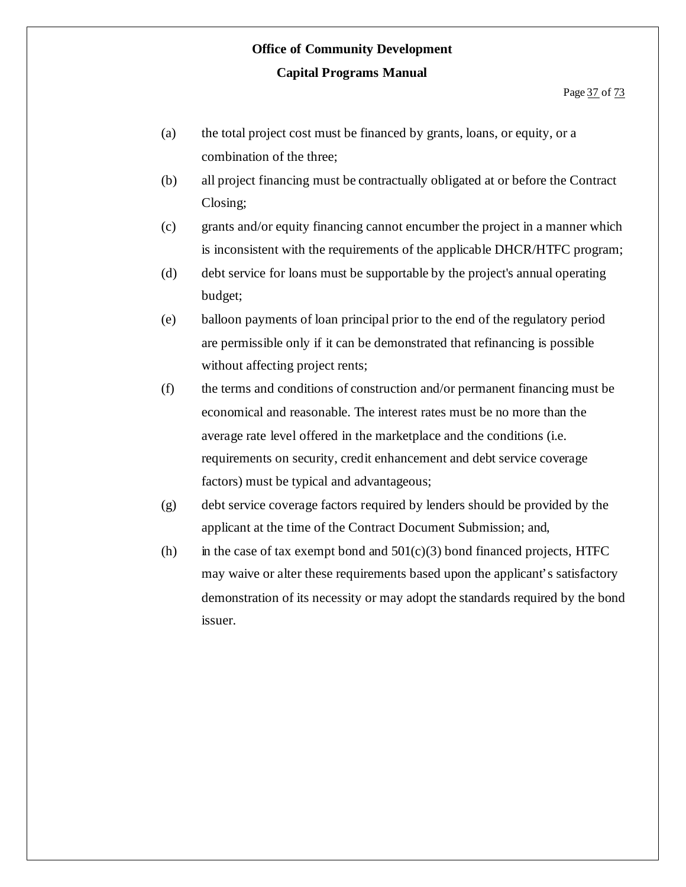- (a) the total project cost must be financed by grants, loans, or equity, or a combination of the three;
- (b) all project financing must be contractually obligated at or before the Contract Closing;
- (c) grants and/or equity financing cannot encumber the project in a manner which is inconsistent with the requirements of the applicable DHCR/HTFC program;
- (d) debt service for loans must be supportable by the project's annual operating budget;
- (e) balloon payments of loan principal prior to the end of the regulatory period are permissible only if it can be demonstrated that refinancing is possible without affecting project rents;
- (f) the terms and conditions of construction and/or permanent financing must be economical and reasonable. The interest rates must be no more than the average rate level offered in the marketplace and the conditions (i.e. requirements on security, credit enhancement and debt service coverage factors) must be typical and advantageous;
- (g) debt service coverage factors required by lenders should be provided by the applicant at the time of the Contract Document Submission; and,
- (h) in the case of tax exempt bond and  $501(c)(3)$  bond financed projects, HTFC may waive or alter these requirements based upon the applicant's satisfactory demonstration of its necessity or may adopt the standards required by the bond issuer.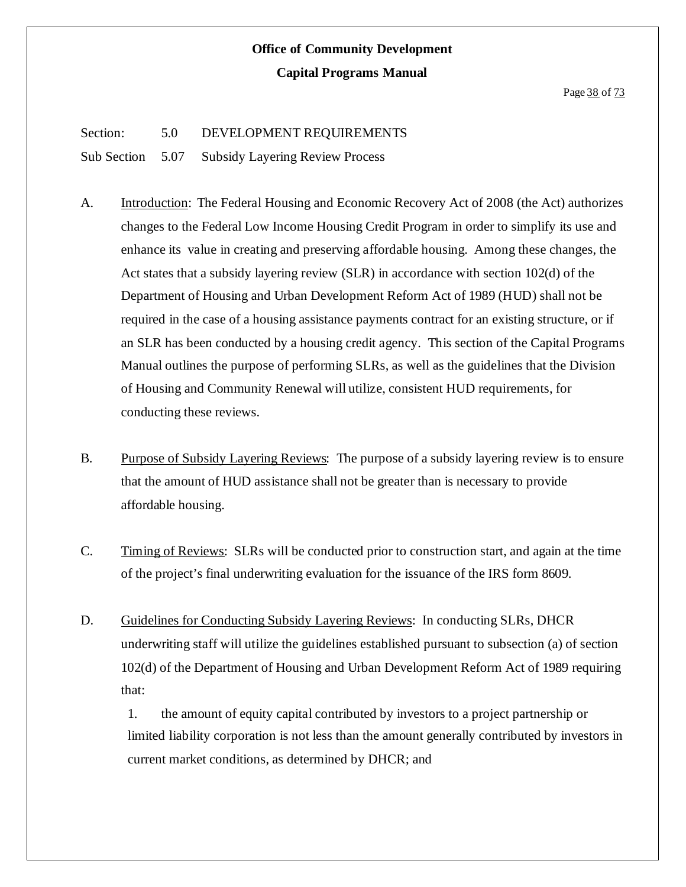#### Page 38 of 73

#### Section: 5.0 DEVELOPMENT REQUIREMENTS

Sub Section 5.07 Subsidy Layering Review Process

- A. Introduction: The Federal Housing and Economic Recovery Act of 2008 (the Act) authorizes changes to the Federal Low Income Housing Credit Program in order to simplify its use and enhance its value in creating and preserving affordable housing. Among these changes, the Act states that a subsidy layering review (SLR) in accordance with section 102(d) of the Department of Housing and Urban Development Reform Act of 1989 (HUD) shall not be required in the case of a housing assistance payments contract for an existing structure, or if an SLR has been conducted by a housing credit agency. This section of the Capital Programs Manual outlines the purpose of performing SLRs, as well as the guidelines that the Division of Housing and Community Renewal will utilize, consistent HUD requirements, for conducting these reviews.
- B. Purpose of Subsidy Layering Reviews: The purpose of a subsidy layering review is to ensure that the amount of HUD assistance shall not be greater than is necessary to provide affordable housing.
- C. Timing of Reviews: SLRs will be conducted prior to construction start, and again at the time of the project's final underwriting evaluation for the issuance of the IRS form 8609.
- D. Guidelines for Conducting Subsidy Layering Reviews: In conducting SLRs, DHCR underwriting staff will utilize the guidelines established pursuant to subsection (a) of section 102(d) of the Department of Housing and Urban Development Reform Act of 1989 requiring that:

1. the amount of equity capital contributed by investors to a project partnership or limited liability corporation is not less than the amount generally contributed by investors in current market conditions, as determined by DHCR; and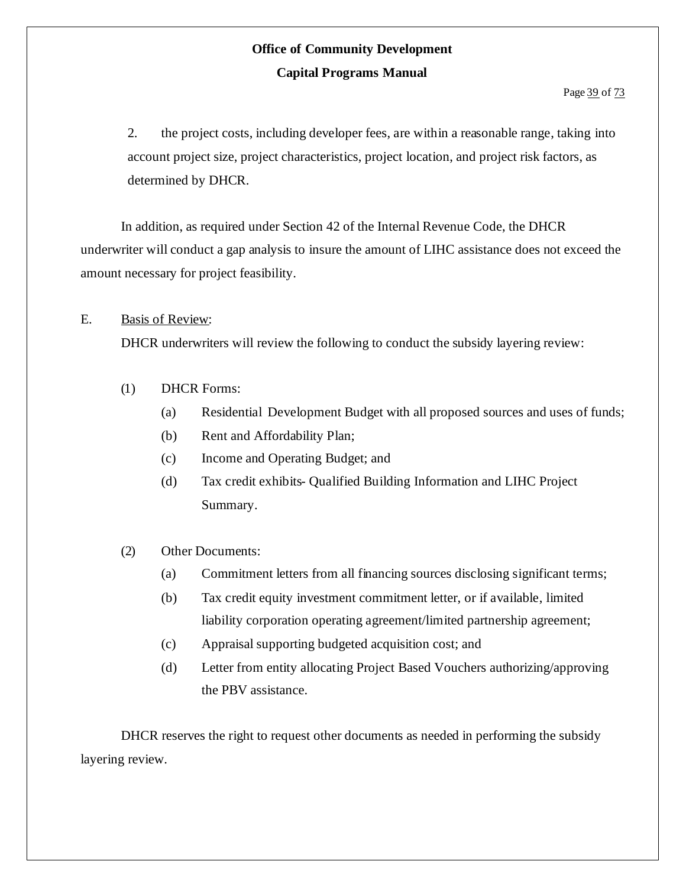2. the project costs, including developer fees, are within a reasonable range, taking into account project size, project characteristics, project location, and project risk factors, as determined by DHCR.

In addition, as required under Section 42 of the Internal Revenue Code, the DHCR underwriter will conduct a gap analysis to insure the amount of LIHC assistance does not exceed the amount necessary for project feasibility.

#### E. Basis of Review:

DHCR underwriters will review the following to conduct the subsidy layering review:

- (1) DHCR Forms:
	- (a) Residential Development Budget with all proposed sources and uses of funds;
	- (b) Rent and Affordability Plan;
	- (c) Income and Operating Budget; and
	- (d) Tax credit exhibits- Qualified Building Information and LIHC Project Summary.

#### (2) Other Documents:

- (a) Commitment letters from all financing sources disclosing significant terms;
- (b) Tax credit equity investment commitment letter, or if available, limited liability corporation operating agreement/limited partnership agreement;
- (c) Appraisal supporting budgeted acquisition cost; and
- (d) Letter from entity allocating Project Based Vouchers authorizing/approving the PBV assistance.

DHCR reserves the right to request other documents as needed in performing the subsidy layering review.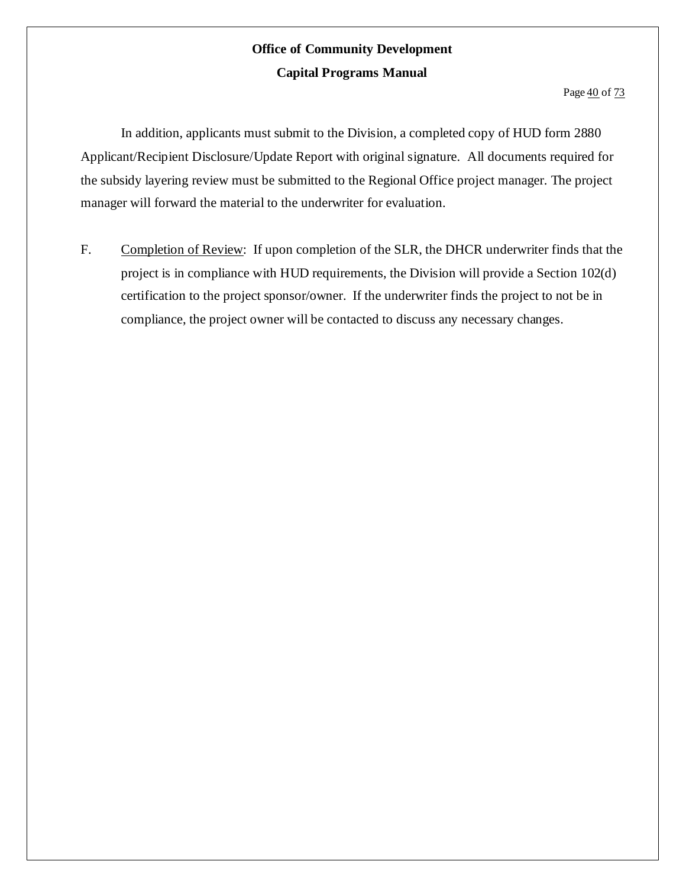Page  $\frac{40}{13}$  of 73

In addition, applicants must submit to the Division, a completed copy of HUD form 2880 Applicant/Recipient Disclosure/Update Report with original signature. All documents required for the subsidy layering review must be submitted to the Regional Office project manager. The project manager will forward the material to the underwriter for evaluation.

F. Completion of Review: If upon completion of the SLR, the DHCR underwriter finds that the project is in compliance with HUD requirements, the Division will provide a Section 102(d) certification to the project sponsor/owner. If the underwriter finds the project to not be in compliance, the project owner will be contacted to discuss any necessary changes.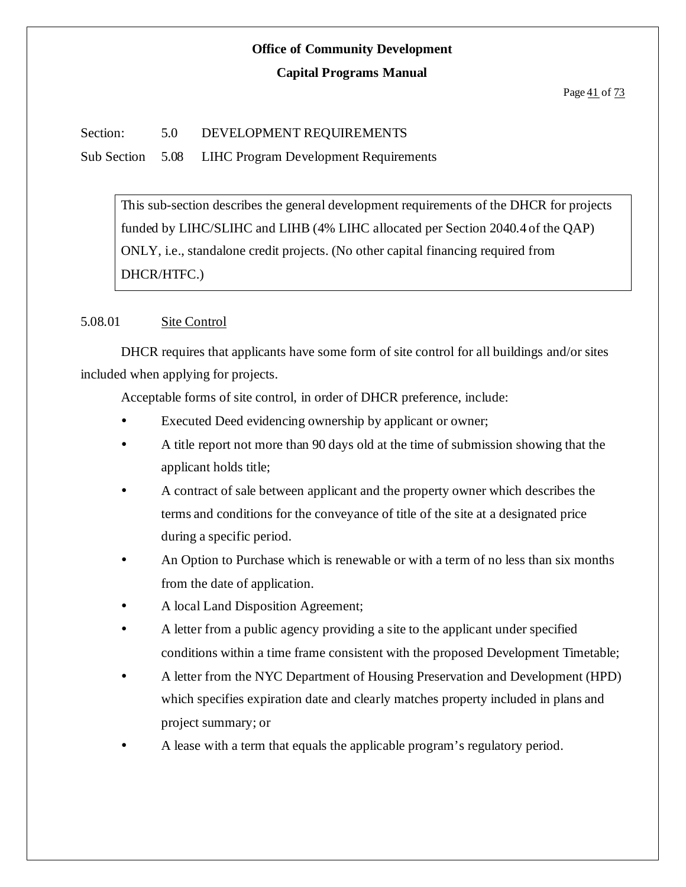#### **Capital Programs Manual**

#### Section: 5.0 DEVELOPMENT REQUIREMENTS

Sub Section 5.08 LIHC Program Development Requirements

This sub-section describes the general development requirements of the DHCR for projects funded by LIHC/SLIHC and LIHB (4% LIHC allocated per Section 2040.4 of the QAP) ONLY, i.e., standalone credit projects. (No other capital financing required from DHCR/HTFC.)

#### 5.08.01 Site Control

DHCR requires that applicants have some form of site control for all buildings and/or sites included when applying for projects.

Acceptable forms of site control, in order of DHCR preference, include:

- Executed Deed evidencing ownership by applicant or owner;
- A title report not more than 90 days old at the time of submission showing that the applicant holds title;
- A contract of sale between applicant and the property owner which describes the terms and conditions for the conveyance of title of the site at a designated price during a specific period.
- An Option to Purchase which is renewable or with a term of no less than six months from the date of application.
- A local Land Disposition Agreement;
- A letter from a public agency providing a site to the applicant under specified conditions within a time frame consistent with the proposed Development Timetable;
- A letter from the NYC Department of Housing Preservation and Development (HPD) which specifies expiration date and clearly matches property included in plans and project summary; or
- A lease with a term that equals the applicable program's regulatory period.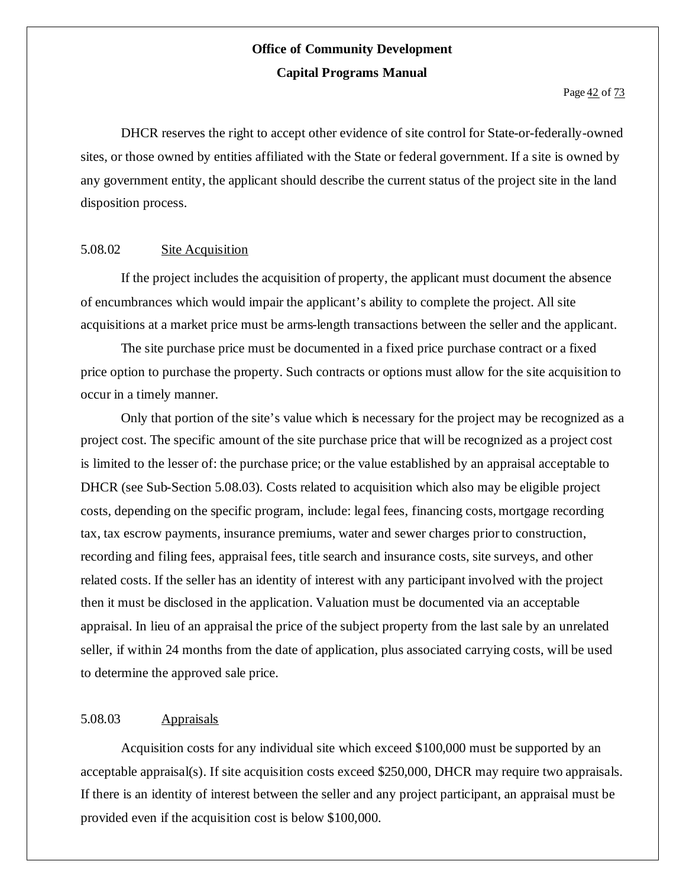Page 42 of 73

DHCR reserves the right to accept other evidence of site control for State-or-federally-owned sites, or those owned by entities affiliated with the State or federal government. If a site is owned by any government entity, the applicant should describe the current status of the project site in the land disposition process.

#### 5.08.02 Site Acquisition

If the project includes the acquisition of property, the applicant must document the absence of encumbrances which would impair the applicant's ability to complete the project. All site acquisitions at a market price must be arms-length transactions between the seller and the applicant.

The site purchase price must be documented in a fixed price purchase contract or a fixed price option to purchase the property. Such contracts or options must allow for the site acquisition to occur in a timely manner.

Only that portion of the site's value which is necessary for the project may be recognized as a project cost. The specific amount of the site purchase price that will be recognized as a project cost is limited to the lesser of: the purchase price; or the value established by an appraisal acceptable to DHCR (see Sub-Section 5.08.03). Costs related to acquisition which also may be eligible project costs, depending on the specific program, include: legal fees, financing costs,mortgage recording tax, tax escrow payments, insurance premiums, water and sewer charges priorto construction, recording and filing fees, appraisal fees, title search and insurance costs, site surveys, and other related costs. If the seller has an identity of interest with any participant involved with the project then it must be disclosed in the application. Valuation must be documented via an acceptable appraisal. In lieu of an appraisal the price of the subject property from the last sale by an unrelated seller, if within 24 months from the date of application, plus associated carrying costs, will be used to determine the approved sale price.

#### 5.08.03 Appraisals

Acquisition costs for any individual site which exceed \$100,000 must be supported by an acceptable appraisal(s). If site acquisition costs exceed \$250,000, DHCR may require two appraisals. If there is an identity of interest between the seller and any project participant, an appraisal must be provided even if the acquisition cost is below \$100,000.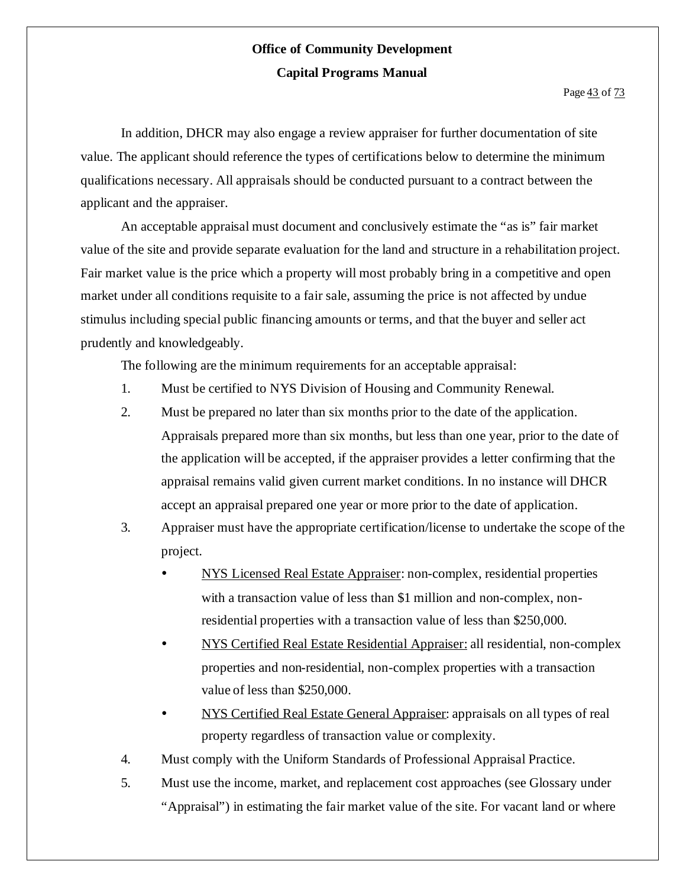In addition, DHCR may also engage a review appraiser for further documentation of site value. The applicant should reference the types of certifications below to determine the minimum qualifications necessary. All appraisals should be conducted pursuant to a contract between the applicant and the appraiser.

An acceptable appraisal must document and conclusively estimate the "as is" fair market value of the site and provide separate evaluation for the land and structure in a rehabilitation project. Fair market value is the price which a property will most probably bring in a competitive and open market under all conditions requisite to a fair sale, assuming the price is not affected by undue stimulus including special public financing amounts or terms, and that the buyer and seller act prudently and knowledgeably.

The following are the minimum requirements for an acceptable appraisal:

- 1. Must be certified to NYS Division of Housing and Community Renewal.
- 2. Must be prepared no later than six months prior to the date of the application. Appraisals prepared more than six months, but less than one year, prior to the date of the application will be accepted, if the appraiser provides a letter confirming that the appraisal remains valid given current market conditions. In no instance will DHCR accept an appraisal prepared one year or more prior to the date of application.
- 3. Appraiser must have the appropriate certification/license to undertake the scope of the project.
	- NYS Licensed Real Estate Appraiser: non-complex, residential properties with a transaction value of less than \$1 million and non-complex, nonresidential properties with a transaction value of less than \$250,000.
	- NYS Certified Real Estate Residential Appraiser: all residential, non-complex properties and non-residential, non-complex properties with a transaction value of less than \$250,000.
	- NYS Certified Real Estate General Appraiser: appraisals on all types of real property regardless of transaction value or complexity.
- 4. Must comply with the Uniform Standards of Professional Appraisal Practice.
- 5. Must use the income, market, and replacement cost approaches (see Glossary under "Appraisal") in estimating the fair market value of the site. For vacant land or where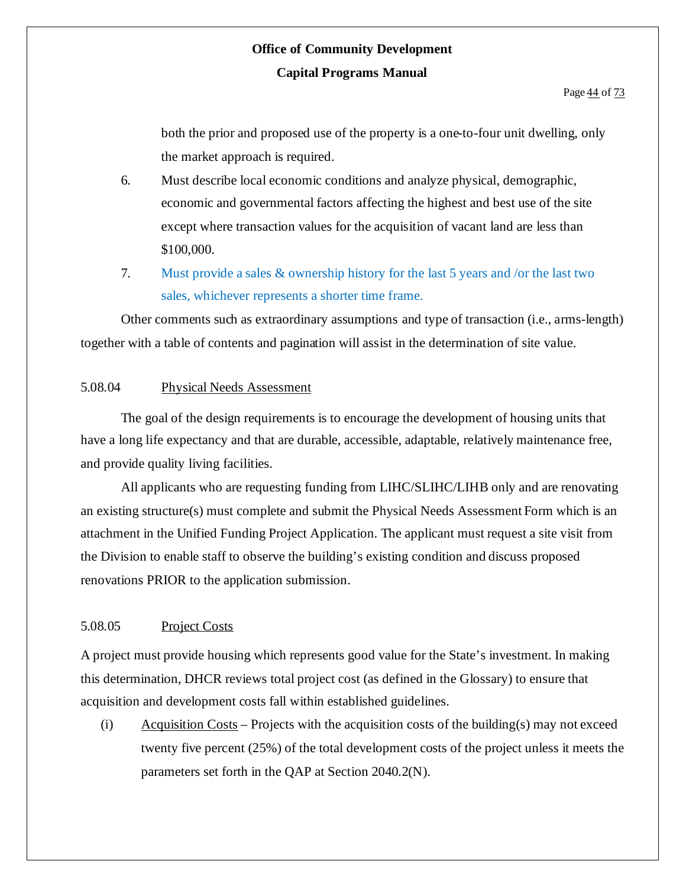both the prior and proposed use of the property is a one-to-four unit dwelling, only the market approach is required.

- 6. Must describe local economic conditions and analyze physical, demographic, economic and governmental factors affecting the highest and best use of the site except where transaction values for the acquisition of vacant land are less than \$100,000.
- 7. Must provide a sales & ownership history for the last 5 years and /or the last two sales, whichever represents a shorter time frame.

Other comments such as extraordinary assumptions and type of transaction (i.e., arms-length) together with a table of contents and pagination will assist in the determination of site value.

#### 5.08.04 Physical Needs Assessment

The goal of the design requirements is to encourage the development of housing units that have a long life expectancy and that are durable, accessible, adaptable, relatively maintenance free, and provide quality living facilities.

All applicants who are requesting funding from LIHC/SLIHC/LIHB only and are renovating an existing structure(s) must complete and submit the Physical Needs Assessment Form which is an attachment in the Unified Funding Project Application. The applicant must request a site visit from the Division to enable staff to observe the building's existing condition and discuss proposed renovations PRIOR to the application submission.

#### 5.08.05 Project Costs

A project must provide housing which represents good value for the State's investment. In making this determination, DHCR reviews total project cost (as defined in the Glossary) to ensure that acquisition and development costs fall within established guidelines.

(i)  $\Delta$  *Acquisition Costs – Projects with the acquisition costs of the building(s) may not exceed* twenty five percent (25%) of the total development costs of the project unless it meets the parameters set forth in the QAP at Section 2040.2(N).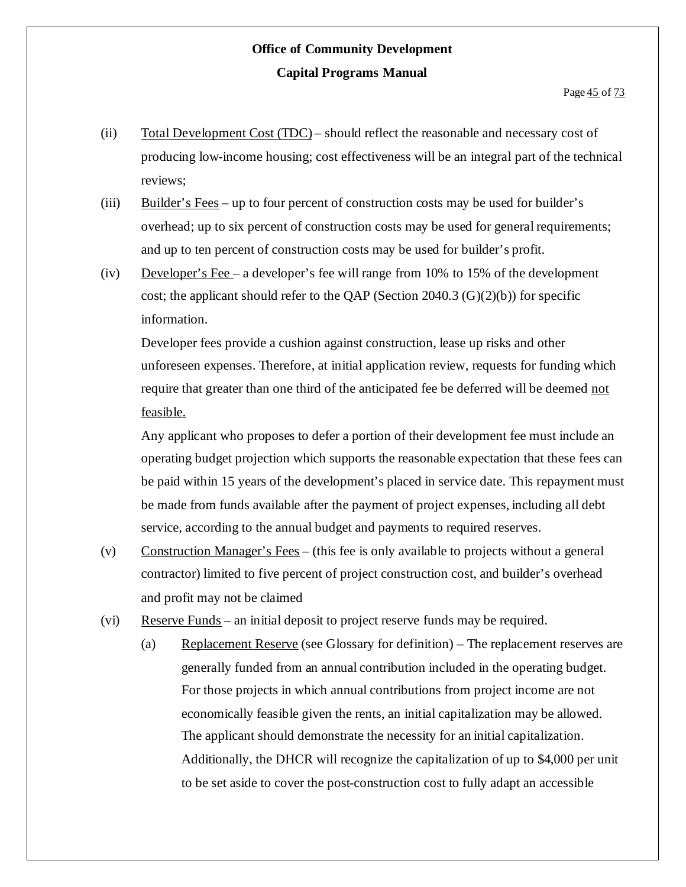- (ii) Total Development Cost (TDC) should reflect the reasonable and necessary cost of producing low-income housing; cost effectiveness will be an integral part of the technical reviews;
- (iii) Builder's Fees up to four percent of construction costs may be used for builder's overhead; up to six percent of construction costs may be used for general requirements; and up to ten percent of construction costs may be used for builder's profit.
- (iv) Developer's Fee a developer's fee will range from 10% to 15% of the development cost; the applicant should refer to the QAP (Section 2040.3  $(G)(2)(b)$ ) for specific information.

Developer fees provide a cushion against construction, lease up risks and other unforeseen expenses. Therefore, at initial application review, requests for funding which require that greater than one third of the anticipated fee be deferred will be deemed not feasible.

Any applicant who proposes to defer a portion of their development fee must include an operating budget projection which supports the reasonable expectation that these fees can be paid within 15 years of the development's placed in service date. This repayment must be made from funds available after the payment of project expenses, including all debt service, according to the annual budget and payments to required reserves.

- (v) Construction Manager's Fees (this fee is only available to projects without a general contractor) limited to five percent of project construction cost, and builder's overhead and profit may not be claimed
- (vi) Reserve Funds an initial deposit to project reserve funds may be required.
	- (a) Replacement Reserve (see Glossary for definition) The replacement reserves are generally funded from an annual contribution included in the operating budget. For those projects in which annual contributions from project income are not economically feasible given the rents, an initial capitalization may be allowed. The applicant should demonstrate the necessity for an initial capitalization. Additionally, the DHCR will recognize the capitalization of up to \$4,000 per unit to be set aside to cover the post-construction cost to fully adapt an accessible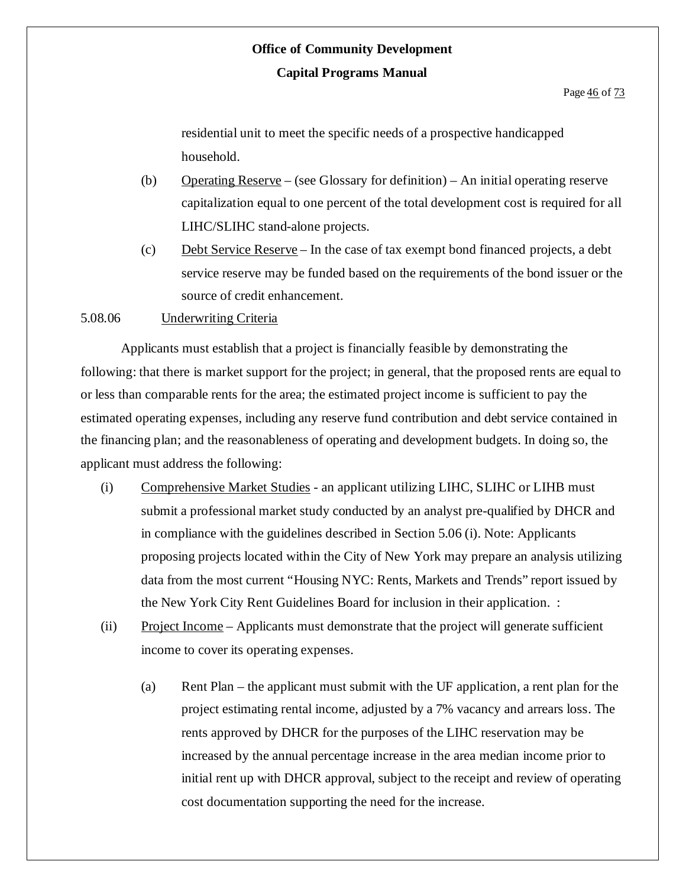residential unit to meet the specific needs of a prospective handicapped household.

- (b) Operating Reserve (see Glossary for definition) An initial operating reserve capitalization equal to one percent of the total development cost is required for all LIHC/SLIHC stand-alone projects.
- (c) Debt Service Reserve In the case of tax exempt bond financed projects, a debt service reserve may be funded based on the requirements of the bond issuer or the source of credit enhancement.

#### 5.08.06 Underwriting Criteria

Applicants must establish that a project is financially feasible by demonstrating the following: that there is market support for the project; in general, that the proposed rents are equal to or less than comparable rents for the area; the estimated project income is sufficient to pay the estimated operating expenses, including any reserve fund contribution and debt service contained in the financing plan; and the reasonableness of operating and development budgets. In doing so, the applicant must address the following:

- (i) Comprehensive Market Studies an applicant utilizing LIHC, SLIHC or LIHB must submit a professional market study conducted by an analyst pre-qualified by DHCR and in compliance with the guidelines described in Section 5.06 (i). Note: Applicants proposing projects located within the City of New York may prepare an analysis utilizing data from the most current "Housing NYC: Rents, Markets and Trends" report issued by the New York City Rent Guidelines Board for inclusion in their application. :
- (ii) Project Income Applicants must demonstrate that the project will generate sufficient income to cover its operating expenses.
	- (a) Rent Plan the applicant must submit with the UF application, a rent plan for the project estimating rental income, adjusted by a 7% vacancy and arrears loss. The rents approved by DHCR for the purposes of the LIHC reservation may be increased by the annual percentage increase in the area median income prior to initial rent up with DHCR approval, subject to the receipt and review of operating cost documentation supporting the need for the increase.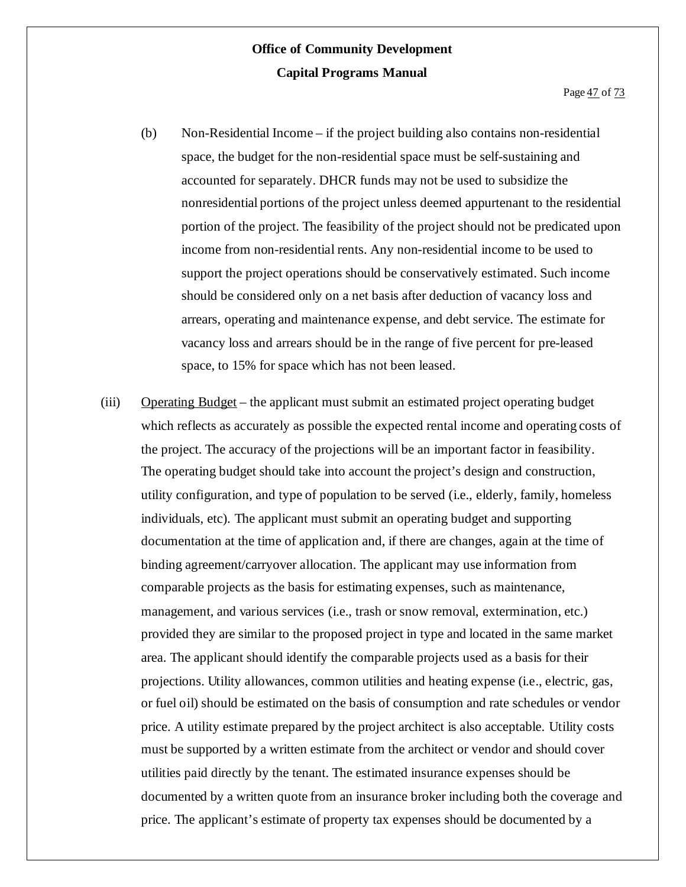- (b) Non-Residential Income if the project building also contains non-residential space, the budget for the non-residential space must be self-sustaining and accounted for separately. DHCR funds may not be used to subsidize the nonresidential portions of the project unless deemed appurtenant to the residential portion of the project. The feasibility of the project should not be predicated upon income from non-residential rents. Any non-residential income to be used to support the project operations should be conservatively estimated. Such income should be considered only on a net basis after deduction of vacancy loss and arrears, operating and maintenance expense, and debt service. The estimate for vacancy loss and arrears should be in the range of five percent for pre-leased space, to 15% for space which has not been leased.
- (iii) Operating Budget the applicant must submit an estimated project operating budget which reflects as accurately as possible the expected rental income and operating costs of the project. The accuracy of the projections will be an important factor in feasibility. The operating budget should take into account the project's design and construction, utility configuration, and type of population to be served (i.e., elderly, family, homeless individuals, etc). The applicant must submit an operating budget and supporting documentation at the time of application and, if there are changes, again at the time of binding agreement/carryover allocation. The applicant may use information from comparable projects as the basis for estimating expenses, such as maintenance, management, and various services (i.e., trash or snow removal, extermination, etc.) provided they are similar to the proposed project in type and located in the same market area. The applicant should identify the comparable projects used as a basis for their projections. Utility allowances, common utilities and heating expense (i.e., electric, gas, or fuel oil) should be estimated on the basis of consumption and rate schedules or vendor price. A utility estimate prepared by the project architect is also acceptable. Utility costs must be supported by a written estimate from the architect or vendor and should cover utilities paid directly by the tenant. The estimated insurance expenses should be documented by a written quote from an insurance broker including both the coverage and price. The applicant's estimate of property tax expenses should be documented by a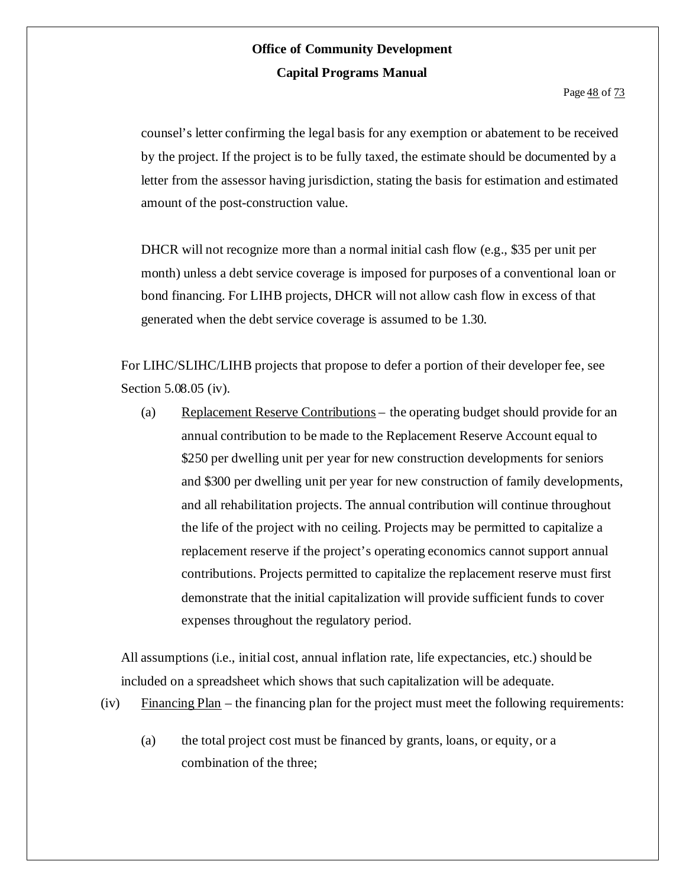Page  $\frac{48}{13}$  of  $\frac{73}{13}$ 

counsel's letter confirming the legal basis for any exemption or abatement to be received by the project. If the project is to be fully taxed, the estimate should be documented by a letter from the assessor having jurisdiction, stating the basis for estimation and estimated amount of the post-construction value.

DHCR will not recognize more than a normal initial cash flow (e.g., \$35 per unit per month) unless a debt service coverage is imposed for purposes of a conventional loan or bond financing. For LIHB projects, DHCR will not allow cash flow in excess of that generated when the debt service coverage is assumed to be 1.30.

For LIHC/SLIHC/LIHB projects that propose to defer a portion of their developer fee, see Section 5.08.05 (iv).

(a) Replacement Reserve Contributions – the operating budget should provide for an annual contribution to be made to the Replacement Reserve Account equal to \$250 per dwelling unit per year for new construction developments for seniors and \$300 per dwelling unit per year for new construction of family developments, and all rehabilitation projects. The annual contribution will continue throughout the life of the project with no ceiling. Projects may be permitted to capitalize a replacement reserve if the project's operating economics cannot support annual contributions. Projects permitted to capitalize the replacement reserve must first demonstrate that the initial capitalization will provide sufficient funds to cover expenses throughout the regulatory period.

All assumptions (i.e., initial cost, annual inflation rate, life expectancies, etc.) should be included on a spreadsheet which shows that such capitalization will be adequate.

- (iv)  $\frac{Financing Plan}{\frac{Plan}{n}}$  the financing plan for the project must meet the following requirements:
	- (a) the total project cost must be financed by grants, loans, or equity, or a combination of the three;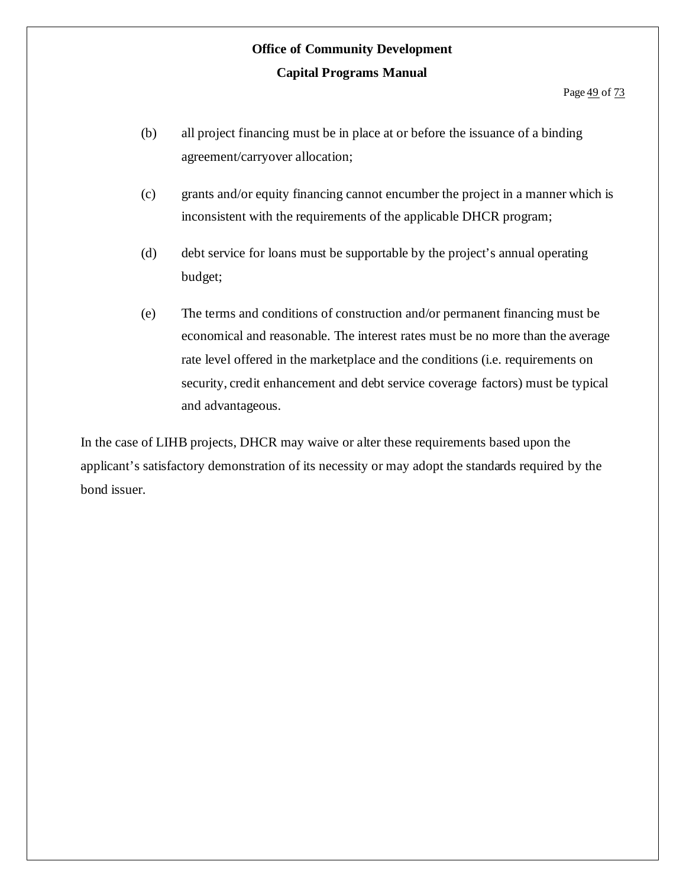- (b) all project financing must be in place at or before the issuance of a binding agreement/carryover allocation;
- (c) grants and/or equity financing cannot encumber the project in a manner which is inconsistent with the requirements of the applicable DHCR program;
- (d) debt service for loans must be supportable by the project's annual operating budget;
- (e) The terms and conditions of construction and/or permanent financing must be economical and reasonable. The interest rates must be no more than the average rate level offered in the marketplace and the conditions (i.e. requirements on security, credit enhancement and debt service coverage factors) must be typical and advantageous.

In the case of LIHB projects, DHCR may waive or alter these requirements based upon the applicant's satisfactory demonstration of its necessity or may adopt the standards required by the bond issuer.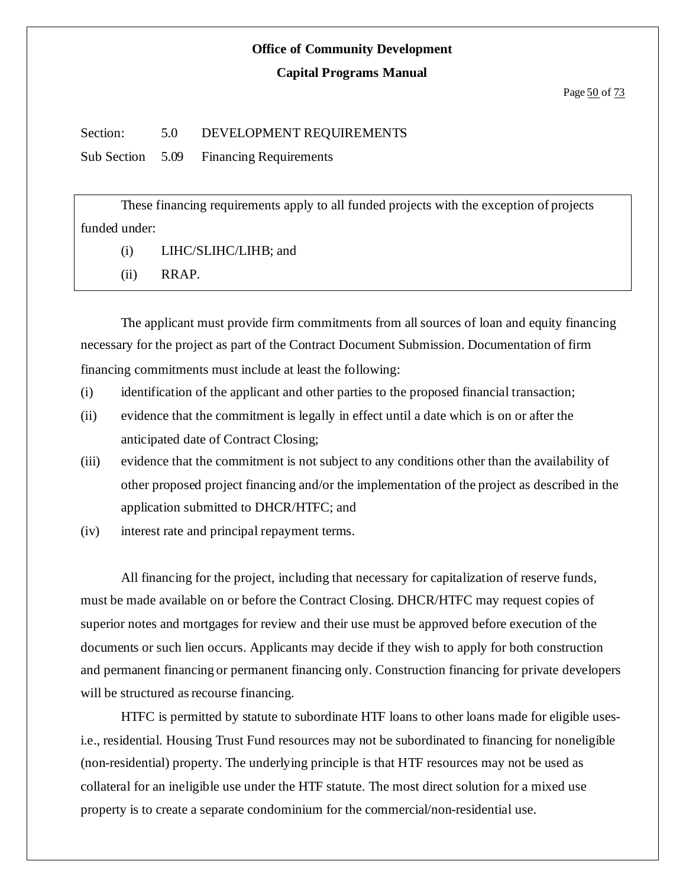#### **Capital Programs Manual**

#### Section: 5.0 DEVELOPMENT REQUIREMENTS

Sub Section 5.09 Financing Requirements

These financing requirements apply to all funded projects with the exception of projects funded under:

(i) LIHC/SLIHC/LIHB; and

(ii) RRAP.

The applicant must provide firm commitments from all sources of loan and equity financing necessary for the project as part of the Contract Document Submission. Documentation of firm financing commitments must include at least the following:

- (i) identification of the applicant and other parties to the proposed financial transaction;
- (ii) evidence that the commitment is legally in effect until a date which is on or after the anticipated date of Contract Closing;
- (iii) evidence that the commitment is not subject to any conditions other than the availability of other proposed project financing and/or the implementation of the project as described in the application submitted to DHCR/HTFC; and
- (iv) interest rate and principal repayment terms.

All financing for the project, including that necessary for capitalization of reserve funds, must be made available on or before the Contract Closing. DHCR/HTFC may request copies of superior notes and mortgages for review and their use must be approved before execution of the documents or such lien occurs. Applicants may decide if they wish to apply for both construction and permanent financing or permanent financing only. Construction financing for private developers will be structured as recourse financing.

HTFC is permitted by statute to subordinate HTF loans to other loans made for eligible usesi.e., residential. Housing Trust Fund resources may not be subordinated to financing for noneligible (non-residential) property. The underlying principle is that HTF resources may not be used as collateral for an ineligible use under the HTF statute. The most direct solution for a mixed use property is to create a separate condominium for the commercial/non-residential use.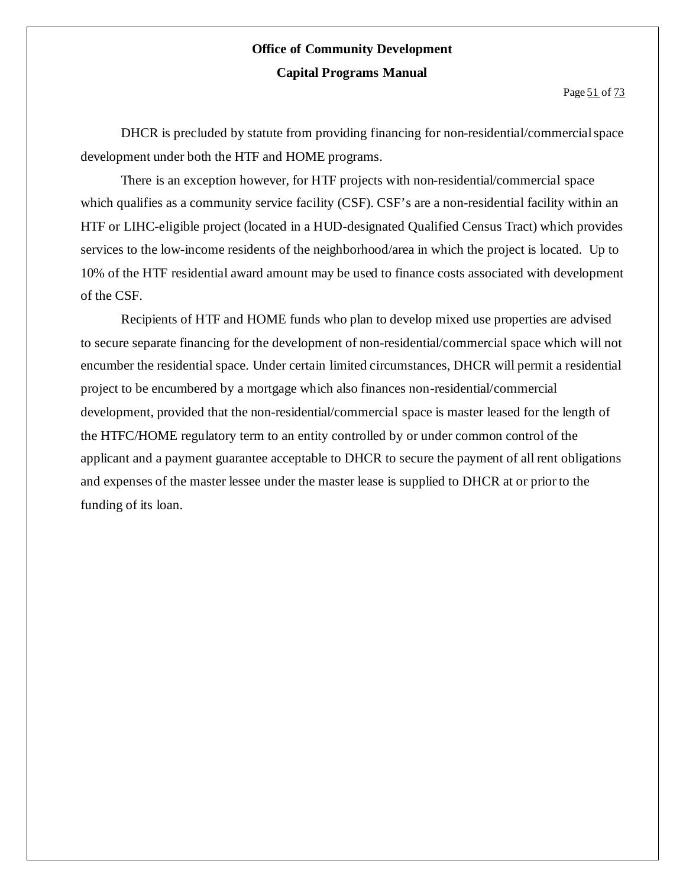DHCR is precluded by statute from providing financing for non-residential/commercial space development under both the HTF and HOME programs.

There is an exception however, for HTF projects with non-residential/commercial space which qualifies as a community service facility (CSF). CSF's are a non-residential facility within an HTF or LIHC-eligible project (located in a HUD-designated Qualified Census Tract) which provides services to the low-income residents of the neighborhood/area in which the project is located. Up to 10% of the HTF residential award amount may be used to finance costs associated with development of the CSF.

Recipients of HTF and HOME funds who plan to develop mixed use properties are advised to secure separate financing for the development of non-residential/commercial space which will not encumber the residential space. Under certain limited circumstances, DHCR will permit a residential project to be encumbered by a mortgage which also finances non-residential/commercial development, provided that the non-residential/commercial space is master leased for the length of the HTFC/HOME regulatory term to an entity controlled by or under common control of the applicant and a payment guarantee acceptable to DHCR to secure the payment of all rent obligations and expenses of the master lessee under the master lease is supplied to DHCR at or prior to the funding of its loan.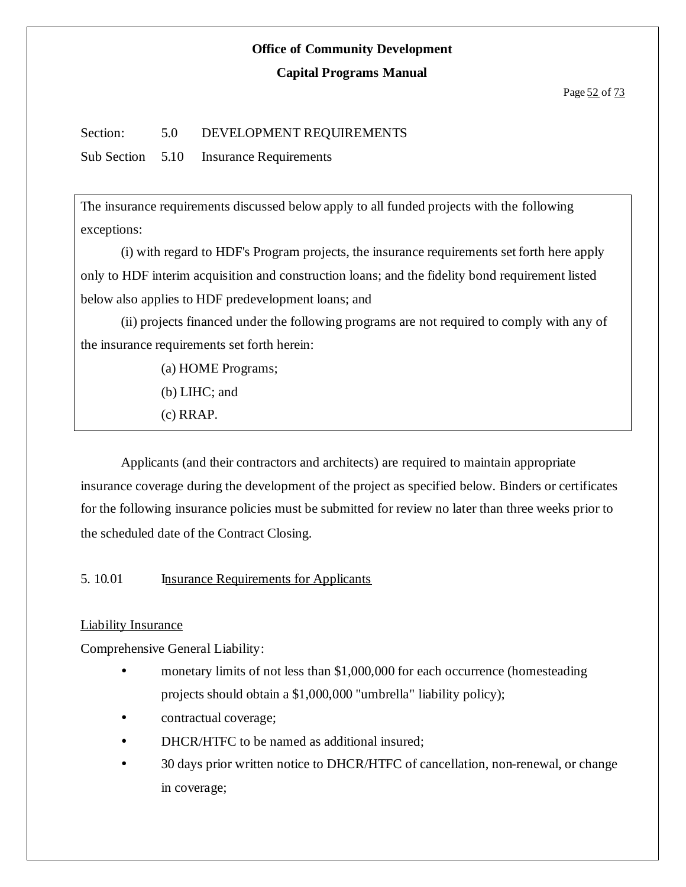#### **Capital Programs Manual**

#### Section: 5.0 DEVELOPMENT REQUIREMENTS

Sub Section 5.10 Insurance Requirements

The insurance requirements discussed below apply to all funded projects with the following exceptions:

(i) with regard to HDF's Program projects, the insurance requirements set forth here apply only to HDF interim acquisition and construction loans; and the fidelity bond requirement listed below also applies to HDF predevelopment loans; and

(ii) projects financed under the following programs are not required to comply with any of the insurance requirements set forth herein:

(a) HOME Programs;

(b) LIHC; and

(c) RRAP.

Applicants (and their contractors and architects) are required to maintain appropriate insurance coverage during the development of the project as specified below. Binders or certificates for the following insurance policies must be submitted for review no later than three weeks prior to the scheduled date of the Contract Closing.

5. 10.01 Insurance Requirements for Applicants

#### Liability Insurance

Comprehensive General Liability:

- monetary limits of not less than \$1,000,000 for each occurrence (homesteading projects should obtain a \$1,000,000 "umbrella" liability policy);
- contractual coverage;
- DHCR/HTFC to be named as additional insured:
- <sup>•</sup> 30 days prior written notice to DHCR/HTFC of cancellation, non-renewal, or change in coverage;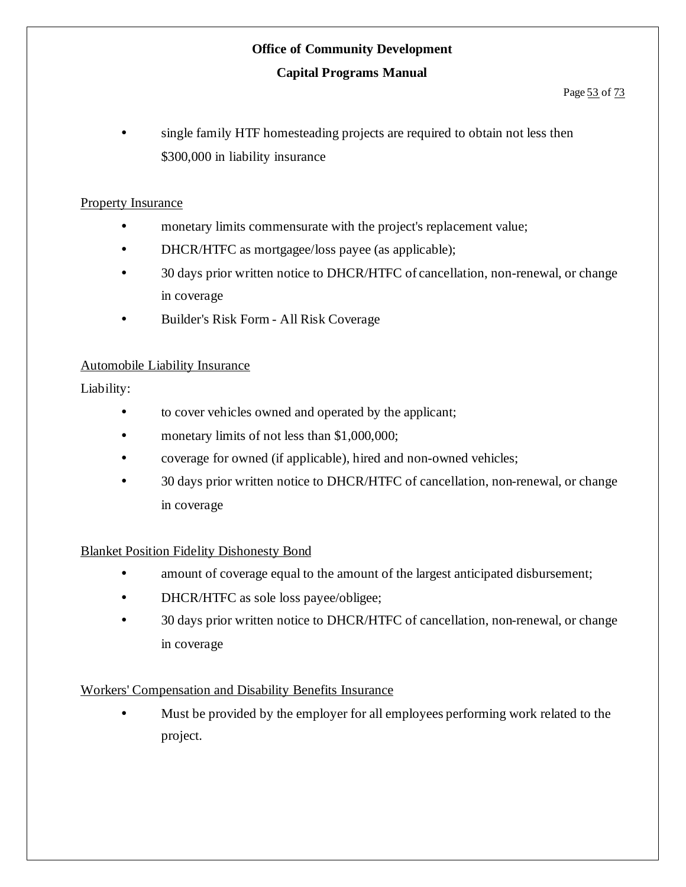#### **Capital Programs Manual**

#### Page 53 of 73

 single family HTF homesteading projects are required to obtain not less then \$300,000 in liability insurance

#### Property Insurance

- monetary limits commensurate with the project's replacement value;
- DHCR/HTFC as mortgagee/loss payee (as applicable);
- 30 days prior written notice to DHCR/HTFC of cancellation, non-renewal, or change in coverage
- Builder's Risk Form All Risk Coverage

#### Automobile Liability Insurance

Liability:

- to cover vehicles owned and operated by the applicant;
- monetary limits of not less than \$1,000,000;
- coverage for owned (if applicable), hired and non-owned vehicles;
- 30 days prior written notice to DHCR/HTFC of cancellation, non-renewal, or change in coverage

#### Blanket Position Fidelity Dishonesty Bond

- amount of coverage equal to the amount of the largest anticipated disbursement;
- DHCR/HTFC as sole loss payee/obligee;
- <sup>•</sup> 30 days prior written notice to DHCR/HTFC of cancellation, non-renewal, or change in coverage

#### Workers' Compensation and Disability Benefits Insurance

 Must be provided by the employer for all employees performing work related to the project.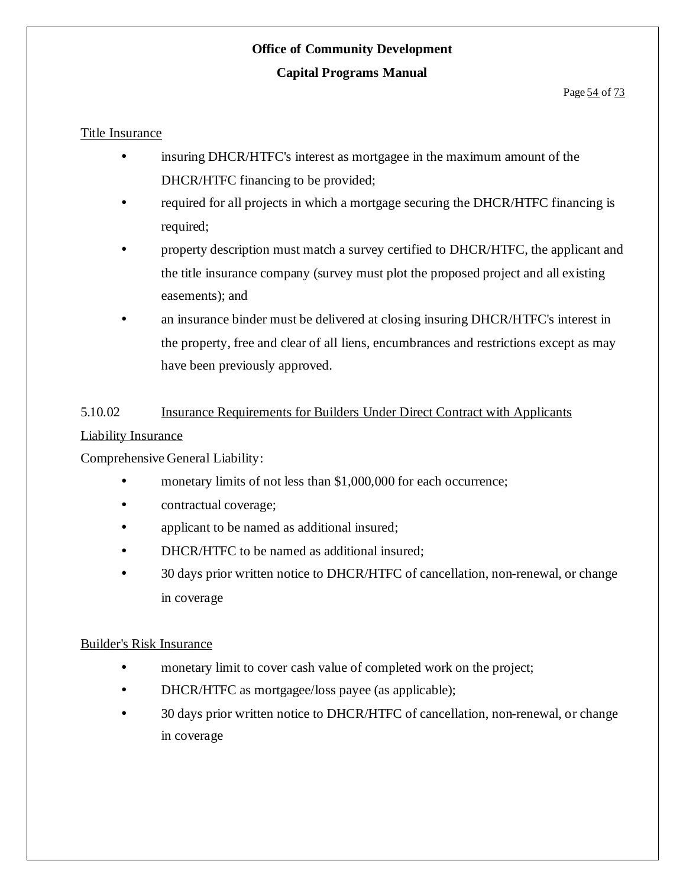#### **Capital Programs Manual**

#### Title Insurance

- insuring DHCR/HTFC's interest as mortgagee in the maximum amount of the DHCR/HTFC financing to be provided;
- required for all projects in which a mortgage securing the DHCR/HTFC financing is required;
- property description must match a survey certified to DHCR/HTFC, the applicant and the title insurance company (survey must plot the proposed project and all existing easements); and
- an insurance binder must be delivered at closing insuring DHCR/HTFC's interest in the property, free and clear of all liens, encumbrances and restrictions except as may have been previously approved.

#### 5.10.02 Insurance Requirements for Builders Under Direct Contract with Applicants

#### Liability Insurance

Comprehensive General Liability:

- monetary limits of not less than \$1,000,000 for each occurrence;
- contractual coverage;
- applicant to be named as additional insured;
- DHCR/HTFC to be named as additional insured;
- 30 days prior written notice to DHCR/HTFC of cancellation, non-renewal, or change in coverage

#### Builder's Risk Insurance

- monetary limit to cover cash value of completed work on the project;
- DHCR/HTFC as mortgagee/loss payee (as applicable);
- 30 days prior written notice to DHCR/HTFC of cancellation, non-renewal, or change in coverage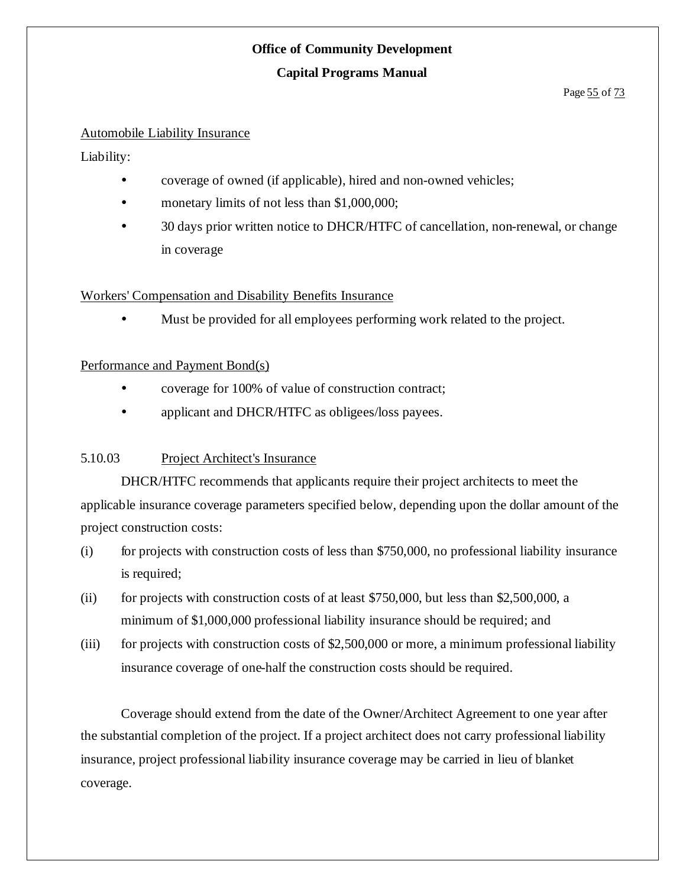#### **Capital Programs Manual**

#### Page 55 of 73

#### Automobile Liability Insurance

Liability:

- coverage of owned (if applicable), hired and non-owned vehicles;
- monetary limits of not less than \$1,000,000;
- 30 days prior written notice to DHCR/HTFC of cancellation, non-renewal, or change in coverage

#### Workers' Compensation and Disability Benefits Insurance

Must be provided for all employees performing work related to the project.

#### Performance and Payment Bond(s)

- coverage for 100% of value of construction contract;
- applicant and DHCR/HTFC as obligees/loss payees.

#### 5.10.03 Project Architect's Insurance

DHCR/HTFC recommends that applicants require their project architects to meet the applicable insurance coverage parameters specified below, depending upon the dollar amount of the project construction costs:

- $(i)$  for projects with construction costs of less than \$750,000, no professional liability insurance is required;
- (ii) for projects with construction costs of at least \$750,000, but less than \$2,500,000, a minimum of \$1,000,000 professional liability insurance should be required; and
- (iii) for projects with construction costs of \$2,500,000 or more, a minimum professional liability insurance coverage of one-half the construction costs should be required.

Coverage should extend from the date of the Owner/Architect Agreement to one year after the substantial completion of the project. If a project architect does not carry professional liability insurance, project professional liability insurance coverage may be carried in lieu of blanket coverage.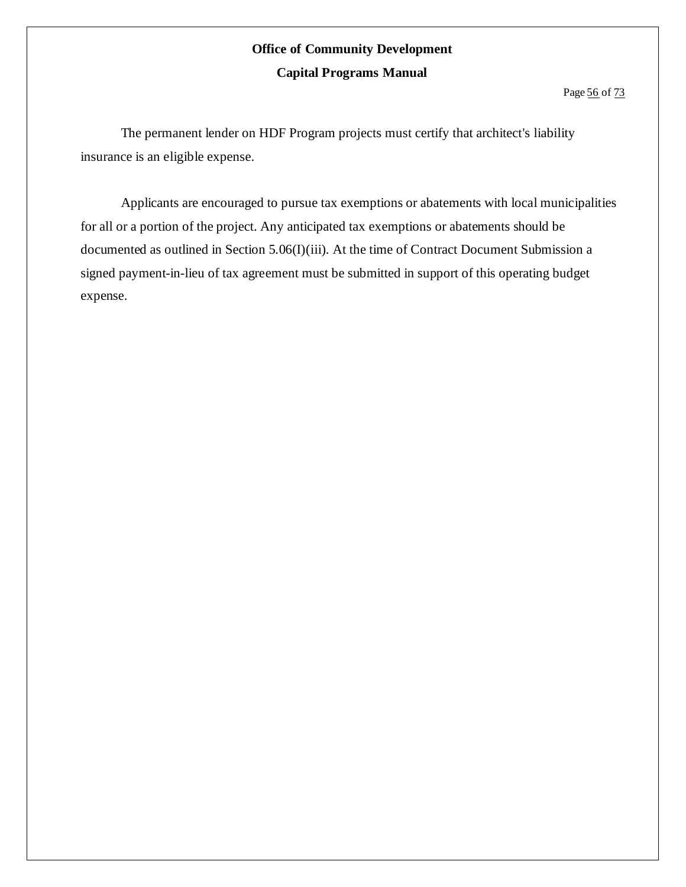The permanent lender on HDF Program projects must certify that architect's liability insurance is an eligible expense.

Applicants are encouraged to pursue tax exemptions or abatements with local municipalities for all or a portion of the project. Any anticipated tax exemptions or abatements should be documented as outlined in Section 5.06(I)(iii). At the time of Contract Document Submission a signed payment-in-lieu of tax agreement must be submitted in support of this operating budget expense.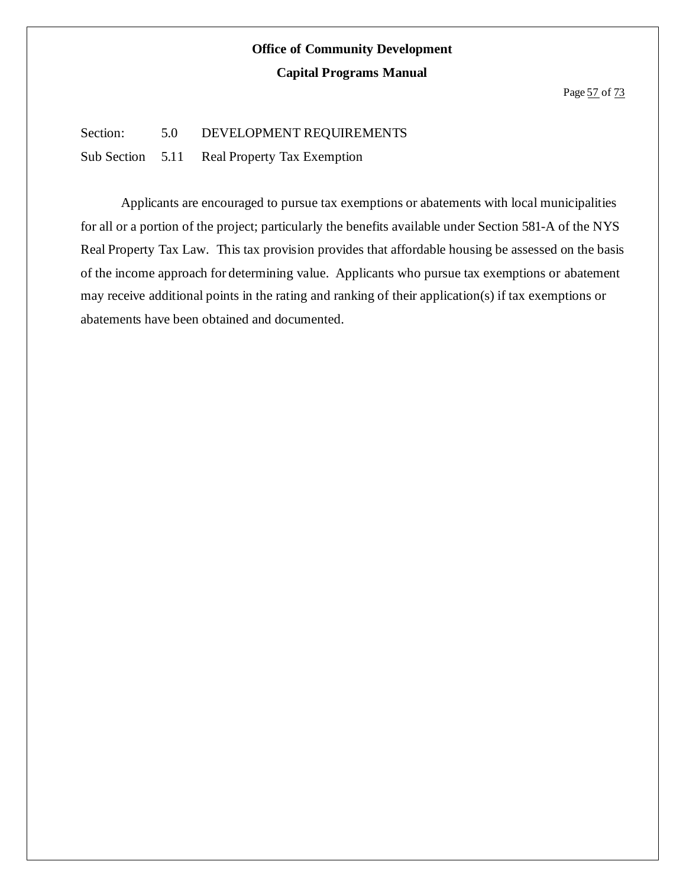#### Section: 5.0 DEVELOPMENT REQUIREMENTS

Sub Section 5.11 Real Property Tax Exemption

Applicants are encouraged to pursue tax exemptions or abatements with local municipalities for all or a portion of the project; particularly the benefits available under Section 581-A of the NYS Real Property Tax Law. This tax provision provides that affordable housing be assessed on the basis of the income approach for determining value. Applicants who pursue tax exemptions or abatement may receive additional points in the rating and ranking of their application(s) if tax exemptions or abatements have been obtained and documented.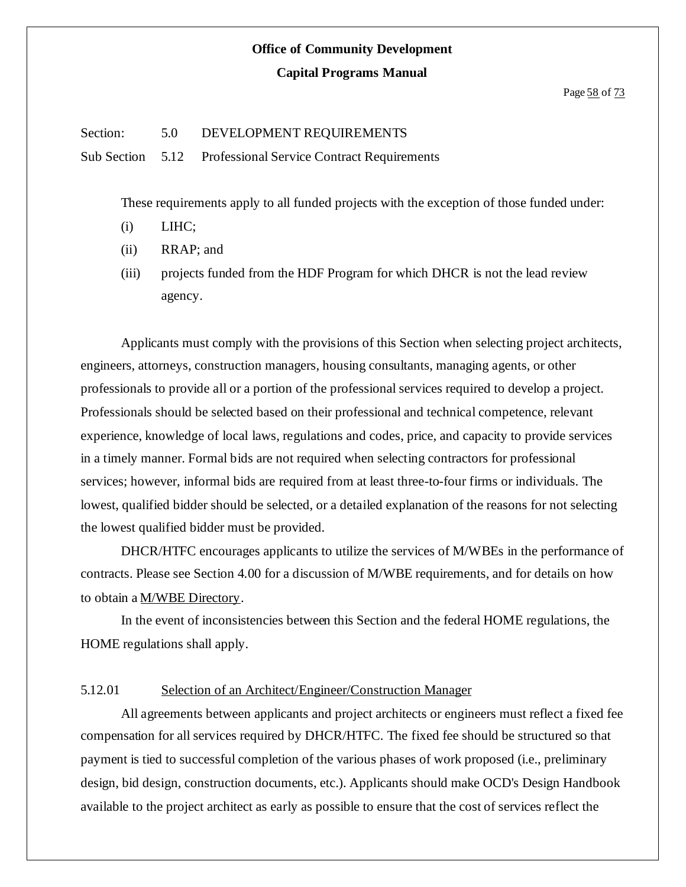#### Section: 5.0 DEVELOPMENT REQUIREMENTS

Sub Section 5.12 Professional Service Contract Requirements

These requirements apply to all funded projects with the exception of those funded under:

- (i) LIHC;
- (ii) RRAP; and
- (iii) projects funded from the HDF Program for which DHCR is not the lead review agency.

Applicants must comply with the provisions of this Section when selecting project architects, engineers, attorneys, construction managers, housing consultants, managing agents, or other professionals to provide all or a portion of the professional services required to develop a project. Professionals should be selected based on their professional and technical competence, relevant experience, knowledge of local laws, regulations and codes, price, and capacity to provide services in a timely manner. Formal bids are not required when selecting contractors for professional services; however, informal bids are required from at least three-to-four firms or individuals. The lowest, qualified bidder should be selected, or a detailed explanation of the reasons for not selecting the lowest qualified bidder must be provided.

DHCR/HTFC encourages applicants to utilize the services of M/WBEs in the performance of contracts. Please see Section 4.00 for a discussion of M/WBE requirements, and for details on how to obtain a M/WBE Directory.

In the event of inconsistencies between this Section and the federal HOME regulations, the HOME regulations shall apply.

#### 5.12.01 Selection of an Architect/Engineer/Construction Manager

All agreements between applicants and project architects or engineers must reflect a fixed fee compensation for all services required by DHCR/HTFC. The fixed fee should be structured so that payment is tied to successful completion of the various phases of work proposed (i.e., preliminary design, bid design, construction documents, etc.). Applicants should make OCD's Design Handbook available to the project architect as early as possible to ensure that the cost of services reflect the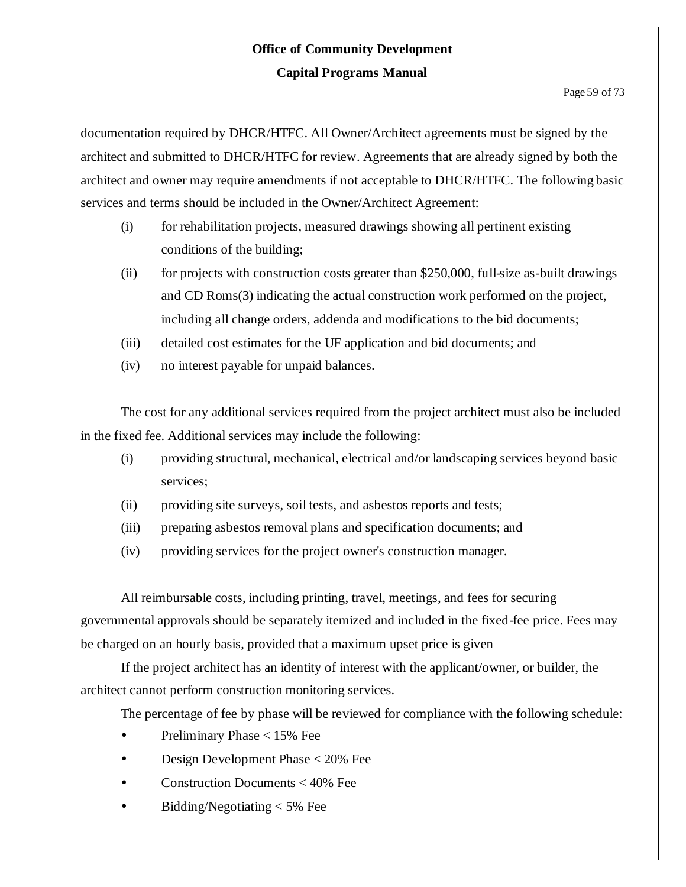#### Page 59 of 73

documentation required by DHCR/HTFC. All Owner/Architect agreements must be signed by the architect and submitted to DHCR/HTFC for review. Agreements that are already signed by both the architect and owner may require amendments if not acceptable to DHCR/HTFC. The following basic services and terms should be included in the Owner/Architect Agreement:

- (i) for rehabilitation projects, measured drawings showing all pertinent existing conditions of the building;
- (ii) for projects with construction costs greater than \$250,000, full-size as-built drawings and CD Roms(3) indicating the actual construction work performed on the project, including all change orders, addenda and modifications to the bid documents;
- (iii) detailed cost estimates for the UF application and bid documents; and
- (iv) no interest payable for unpaid balances.

The cost for any additional services required from the project architect must also be included in the fixed fee. Additional services may include the following:

- (i) providing structural, mechanical, electrical and/or landscaping services beyond basic services;
- (ii) providing site surveys, soil tests, and asbestos reports and tests;
- (iii) preparing asbestos removal plans and specification documents; and
- (iv) providing services for the project owner's construction manager.

All reimbursable costs, including printing, travel, meetings, and fees for securing governmental approvals should be separately itemized and included in the fixed-fee price. Fees may be charged on an hourly basis, provided that a maximum upset price is given

If the project architect has an identity of interest with the applicant/owner, or builder, the architect cannot perform construction monitoring services.

The percentage of fee by phase will be reviewed for compliance with the following schedule:

- Preliminary Phase  $< 15\%$  Fee
- Design Development Phase < 20% Fee
- Construction Documents < 40% Fee
- Bidding/Negotiating < 5% Fee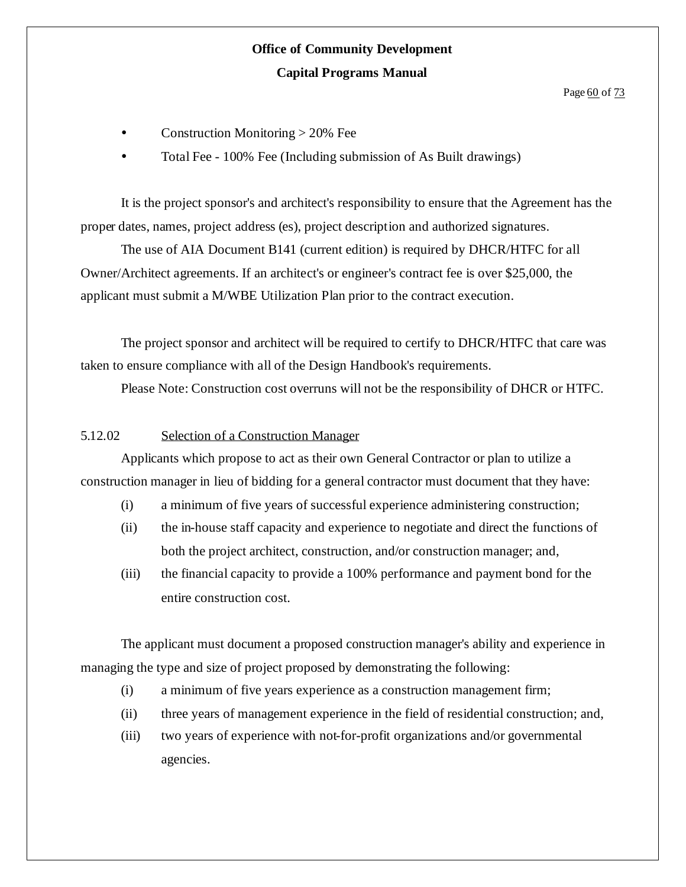Page 60 of 73

- Construction Monitoring > 20% Fee
- Total Fee 100% Fee (Including submission of As Built drawings)

It is the project sponsor's and architect's responsibility to ensure that the Agreement has the proper dates, names, project address (es), project description and authorized signatures.

The use of AIA Document B141 (current edition) is required by DHCR/HTFC for all Owner/Architect agreements. If an architect's or engineer's contract fee is over \$25,000, the applicant must submit a M/WBE Utilization Plan prior to the contract execution.

The project sponsor and architect will be required to certify to DHCR/HTFC that care was taken to ensure compliance with all of the Design Handbook's requirements.

Please Note: Construction cost overruns will not be the responsibility of DHCR or HTFC.

#### 5.12.02 Selection of a Construction Manager

Applicants which propose to act as their own General Contractor or plan to utilize a construction manager in lieu of bidding for a general contractor must document that they have:

- (i) a minimum of five years of successful experience administering construction;
- (ii) the in-house staff capacity and experience to negotiate and direct the functions of both the project architect, construction, and/or construction manager; and,
- (iii) the financial capacity to provide a 100% performance and payment bond for the entire construction cost.

The applicant must document a proposed construction manager's ability and experience in managing the type and size of project proposed by demonstrating the following:

- (i) a minimum of five years experience as a construction management firm;
- (ii) three years of management experience in the field of residential construction; and,
- (iii) two years of experience with not-for-profit organizations and/or governmental agencies.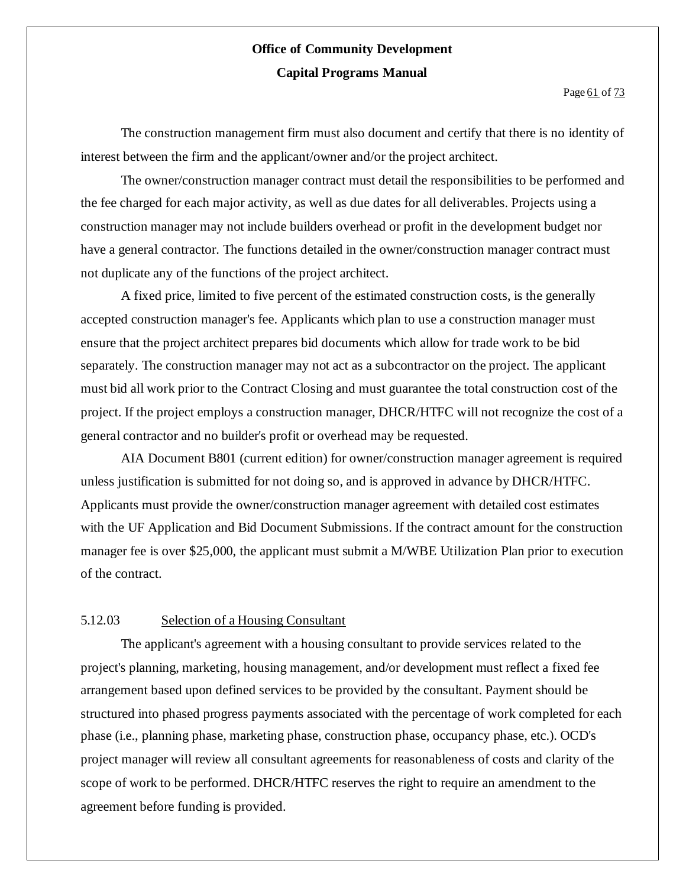Page 61 of 73

The construction management firm must also document and certify that there is no identity of interest between the firm and the applicant/owner and/or the project architect.

The owner/construction manager contract must detail the responsibilities to be performed and the fee charged for each major activity, as well as due dates for all deliverables. Projects using a construction manager may not include builders overhead or profit in the development budget nor have a general contractor. The functions detailed in the owner/construction manager contract must not duplicate any of the functions of the project architect.

A fixed price, limited to five percent of the estimated construction costs, is the generally accepted construction manager's fee. Applicants which plan to use a construction manager must ensure that the project architect prepares bid documents which allow for trade work to be bid separately. The construction manager may not act as a subcontractor on the project. The applicant must bid all work prior to the Contract Closing and must guarantee the total construction cost of the project. If the project employs a construction manager, DHCR/HTFC will not recognize the cost of a general contractor and no builder's profit or overhead may be requested.

AIA Document B801 (current edition) for owner/construction manager agreement is required unless justification is submitted for not doing so, and is approved in advance by DHCR/HTFC. Applicants must provide the owner/construction manager agreement with detailed cost estimates with the UF Application and Bid Document Submissions. If the contract amount for the construction manager fee is over \$25,000, the applicant must submit a M/WBE Utilization Plan prior to execution of the contract.

#### 5.12.03 Selection of a Housing Consultant

The applicant's agreement with a housing consultant to provide services related to the project's planning, marketing, housing management, and/or development must reflect a fixed fee arrangement based upon defined services to be provided by the consultant. Payment should be structured into phased progress payments associated with the percentage of work completed for each phase (i.e., planning phase, marketing phase, construction phase, occupancy phase, etc.). OCD's project manager will review all consultant agreements for reasonableness of costs and clarity of the scope of work to be performed. DHCR/HTFC reserves the right to require an amendment to the agreement before funding is provided.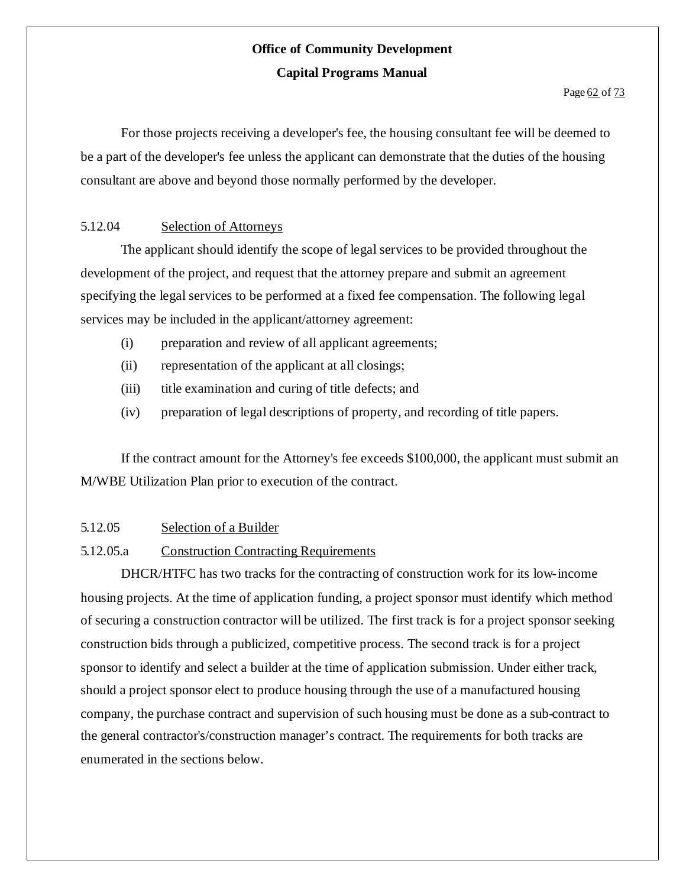For those projects receiving a developer's fee, the housing consultant fee will be deemed to be a part of the developer's fee unless the applicant can demonstrate that the duties of the housing consultant are above and beyond those normally performed by the developer.

#### 5.12.04 Selection of Attorneys

The applicant should identify the scope of legal services to be provided throughout the development of the project, and request that the attorney prepare and submit an agreement specifying the legal services to be performed at a fixed fee compensation. The following legal services may be included in the applicant/attorney agreement:

- (i) preparation and review of all applicant agreements;
- (ii) representation of the applicant at all closings;
- (iii) title examination and curing of title defects; and
- (iv) preparation of legal descriptions of property, and recording of title papers.

If the contract amount for the Attorney's fee exceeds \$100,000, the applicant must submit an M/WBE Utilization Plan prior to execution of the contract.

#### 5.12.05 Selection of a Builder

#### 5.12.05.a Construction Contracting Requirements

DHCR/HTFC has two tracks for the contracting of construction work for its low-income housing projects. At the time of application funding, a project sponsor must identify which method of securing a construction contractor will be utilized. The first track is for a project sponsor seeking construction bids through a publicized, competitive process. The second track is for a project sponsor to identify and select a builder at the time of application submission. Under either track, should a project sponsor elect to produce housing through the use of a manufactured housing company, the purchase contract and supervision of such housing must be done as a sub-contract to the general contractor's/construction manager's contract. The requirements for both tracks are enumerated in the sections below.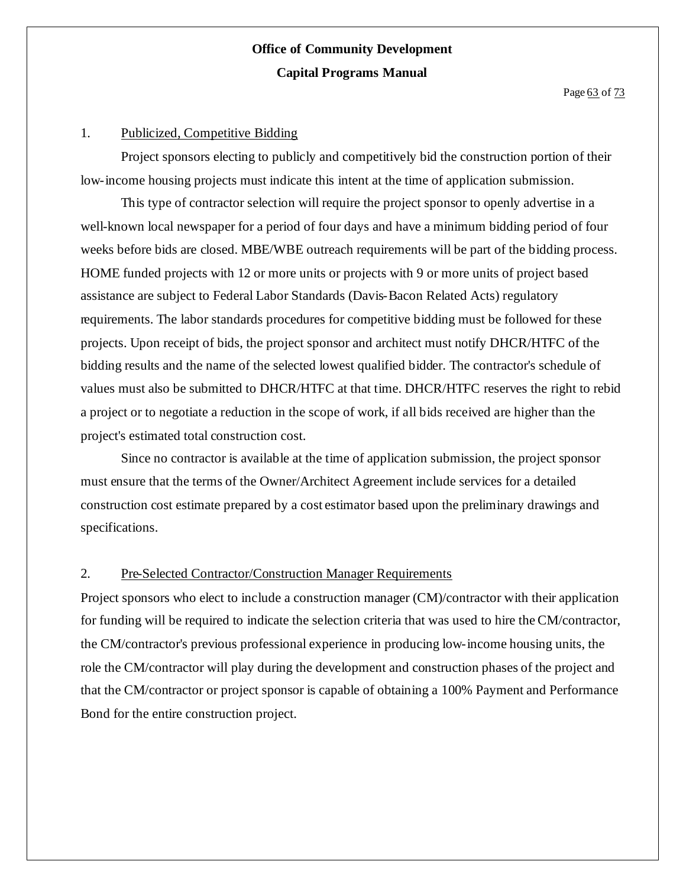#### 1. Publicized, Competitive Bidding

Project sponsors electing to publicly and competitively bid the construction portion of their low-income housing projects must indicate this intent at the time of application submission.

This type of contractor selection will require the project sponsor to openly advertise in a well-known local newspaper for a period of four days and have a minimum bidding period of four weeks before bids are closed. MBE/WBE outreach requirements will be part of the bidding process. HOME funded projects with 12 or more units or projects with 9 or more units of project based assistance are subject to Federal Labor Standards (Davis-Bacon Related Acts) regulatory requirements. The labor standards procedures for competitive bidding must be followed for these projects. Upon receipt of bids, the project sponsor and architect must notify DHCR/HTFC of the bidding results and the name of the selected lowest qualified bidder. The contractor's schedule of values must also be submitted to DHCR/HTFC at that time. DHCR/HTFC reserves the right to rebid a project or to negotiate a reduction in the scope of work, if all bids received are higher than the project's estimated total construction cost.

Since no contractor is available at the time of application submission, the project sponsor must ensure that the terms of the Owner/Architect Agreement include services for a detailed construction cost estimate prepared by a cost estimator based upon the preliminary drawings and specifications.

#### 2. Pre-Selected Contractor/Construction Manager Requirements

Project sponsors who elect to include a construction manager (CM)/contractor with their application for funding will be required to indicate the selection criteria that was used to hire the CM/contractor, the CM/contractor's previous professional experience in producing low-income housing units, the role the CM/contractor will play during the development and construction phases of the project and that the CM/contractor or project sponsor is capable of obtaining a 100% Payment and Performance Bond for the entire construction project.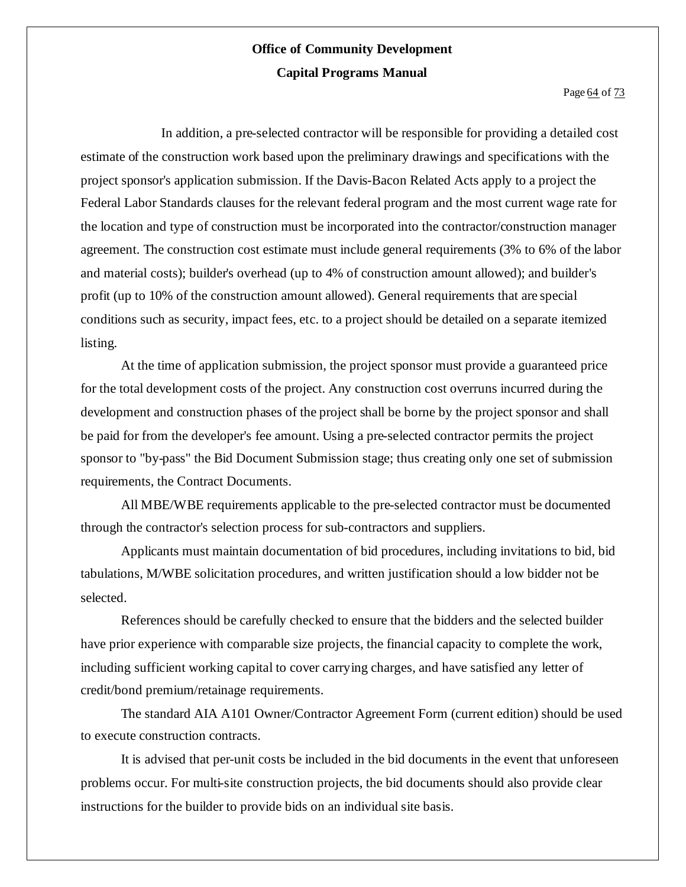#### Page 64 of 73

In addition, a pre-selected contractor will be responsible for providing a detailed cost estimate of the construction work based upon the preliminary drawings and specifications with the project sponsor's application submission. If the Davis-Bacon Related Acts apply to a project the Federal Labor Standards clauses for the relevant federal program and the most current wage rate for the location and type of construction must be incorporated into the contractor/construction manager agreement. The construction cost estimate must include general requirements (3% to 6% of the labor and material costs); builder's overhead (up to 4% of construction amount allowed); and builder's profit (up to 10% of the construction amount allowed). General requirements that are special conditions such as security, impact fees, etc. to a project should be detailed on a separate itemized listing.

At the time of application submission, the project sponsor must provide a guaranteed price for the total development costs of the project. Any construction cost overruns incurred during the development and construction phases of the project shall be borne by the project sponsor and shall be paid for from the developer's fee amount. Using a pre-selected contractor permits the project sponsor to "by-pass" the Bid Document Submission stage; thus creating only one set of submission requirements, the Contract Documents.

All MBE/WBE requirements applicable to the pre-selected contractor must be documented through the contractor's selection process for sub-contractors and suppliers.

Applicants must maintain documentation of bid procedures, including invitations to bid, bid tabulations, M/WBE solicitation procedures, and written justification should a low bidder not be selected.

References should be carefully checked to ensure that the bidders and the selected builder have prior experience with comparable size projects, the financial capacity to complete the work, including sufficient working capital to cover carrying charges, and have satisfied any letter of credit/bond premium/retainage requirements.

The standard AIA A101 Owner/Contractor Agreement Form (current edition) should be used to execute construction contracts.

It is advised that per-unit costs be included in the bid documents in the event that unforeseen problems occur. For multi-site construction projects, the bid documents should also provide clear instructions for the builder to provide bids on an individual site basis.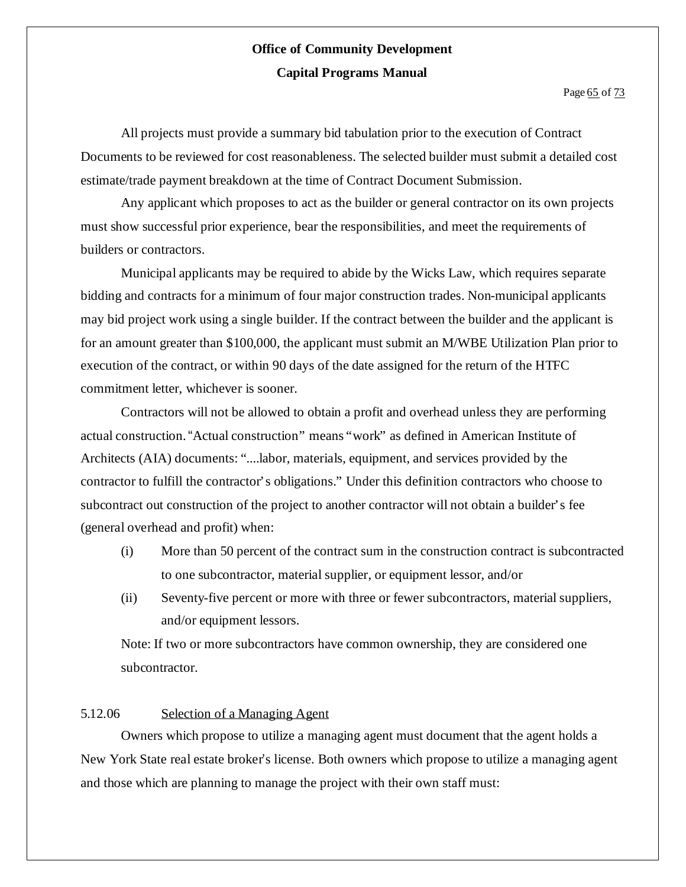All projects must provide a summary bid tabulation prior to the execution of Contract Documents to be reviewed for cost reasonableness. The selected builder must submit a detailed cost estimate/trade payment breakdown at the time of Contract Document Submission.

Any applicant which proposes to act as the builder or general contractor on its own projects must show successful prior experience, bear the responsibilities, and meet the requirements of builders or contractors.

Municipal applicants may be required to abide by the Wicks Law, which requires separate bidding and contracts for a minimum of four major construction trades. Non-municipal applicants may bid project work using a single builder. If the contract between the builder and the applicant is for an amount greater than \$100,000, the applicant must submit an M/WBE Utilization Plan prior to execution of the contract, or within 90 days of the date assigned for the return of the HTFC commitment letter, whichever is sooner.

Contractors will not be allowed to obtain a profit and overhead unless they are performing actual construction."Actual construction" means "work" as defined in American Institute of Architects (AIA) documents: "....labor, materials, equipment, and services provided by the contractor to fulfill the contractor's obligations." Under this definition contractors who choose to subcontract out construction of the project to another contractor will not obtain a builder's fee (general overhead and profit) when:

- (i) More than 50 percent of the contract sum in the construction contract is subcontracted to one subcontractor, material supplier, or equipment lessor, and/or
- (ii) Seventy-five percent or more with three or fewer subcontractors, material suppliers, and/or equipment lessors.

Note: If two or more subcontractors have common ownership, they are considered one subcontractor.

#### 5.12.06 Selection of a Managing Agent

Owners which propose to utilize a managing agent must document that the agent holds a New York State real estate broker's license. Both owners which propose to utilize a managing agent and those which are planning to manage the project with their own staff must: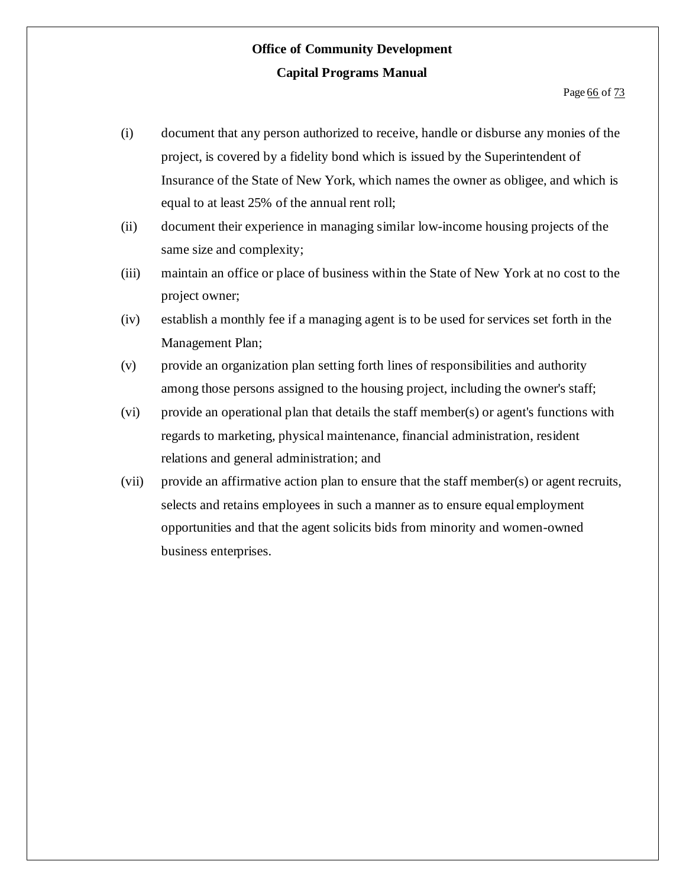- (i) document that any person authorized to receive, handle or disburse any monies of the project, is covered by a fidelity bond which is issued by the Superintendent of Insurance of the State of New York, which names the owner as obligee, and which is equal to at least 25% of the annual rent roll;
- (ii) document their experience in managing similar low-income housing projects of the same size and complexity;
- (iii) maintain an office or place of business within the State of New York at no cost to the project owner;
- (iv) establish a monthly fee if a managing agent is to be used for services set forth in the Management Plan;
- (v) provide an organization plan setting forth lines of responsibilities and authority among those persons assigned to the housing project, including the owner's staff;
- (vi) provide an operational plan that details the staff member(s) or agent's functions with regards to marketing, physical maintenance, financial administration, resident relations and general administration; and
- (vii) provide an affirmative action plan to ensure that the staff member(s) or agent recruits, selects and retains employees in such a manner as to ensure equal employment opportunities and that the agent solicits bids from minority and women-owned business enterprises.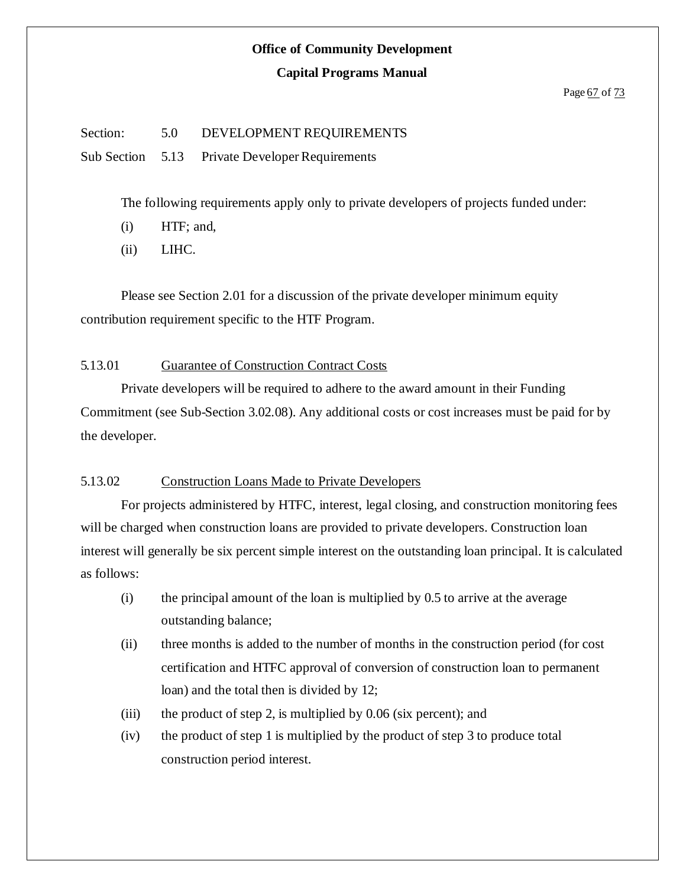#### **Capital Programs Manual**

#### Page 67 of 73

#### Section: 5.0 DEVELOPMENT REQUIREMENTS

Sub Section 5.13 Private Developer Requirements

The following requirements apply only to private developers of projects funded under:

- (i) HTF; and,
- (ii) LIHC.

Please see Section 2.01 for a discussion of the private developer minimum equity contribution requirement specific to the HTF Program.

#### 5.13.01 Guarantee of Construction Contract Costs

Private developers will be required to adhere to the award amount in their Funding Commitment (see Sub-Section 3.02.08). Any additional costs or cost increases must be paid for by the developer.

#### 5.13.02 Construction Loans Made to Private Developers

For projects administered by HTFC, interest, legal closing, and construction monitoring fees will be charged when construction loans are provided to private developers. Construction loan interest will generally be six percent simple interest on the outstanding loan principal. It is calculated as follows:

- (i) the principal amount of the loan is multiplied by 0.5 to arrive at the average outstanding balance;
- (ii) three months is added to the number of months in the construction period (for cost certification and HTFC approval of conversion of construction loan to permanent loan) and the total then is divided by 12;
- (iii) the product of step 2, is multiplied by  $0.06$  (six percent); and
- (iv) the product of step 1 is multiplied by the product of step 3 to produce total construction period interest.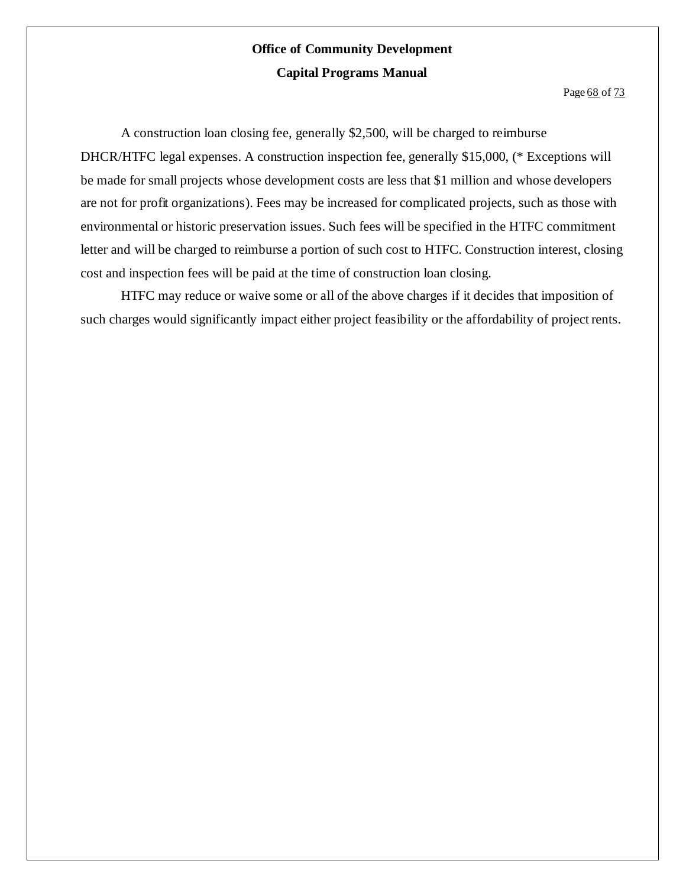Page 68 of 73

A construction loan closing fee, generally \$2,500, will be charged to reimburse DHCR/HTFC legal expenses. A construction inspection fee, generally \$15,000, (\* Exceptions will be made for small projects whose development costs are less that \$1 million and whose developers are not for profit organizations). Fees may be increased for complicated projects, such as those with environmental or historic preservation issues. Such fees will be specified in the HTFC commitment letter and will be charged to reimburse a portion of such cost to HTFC. Construction interest, closing cost and inspection fees will be paid at the time of construction loan closing.

HTFC may reduce or waive some or all of the above charges if it decides that imposition of such charges would significantly impact either project feasibility or the affordability of project rents.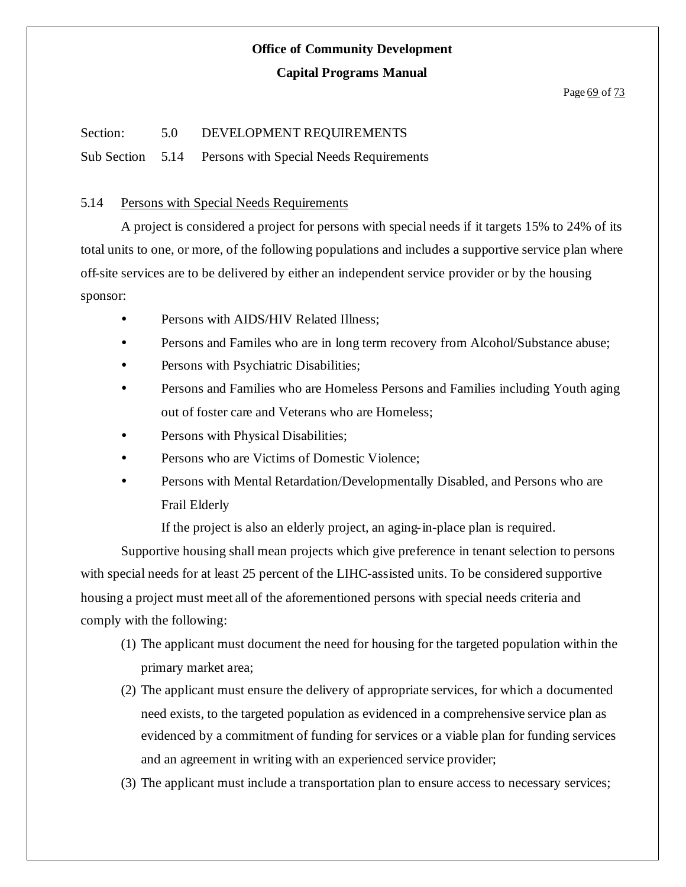#### Page 69 of 73

#### Section: 5.0 DEVELOPMENT REQUIREMENTS

Sub Section 5.14 Persons with Special Needs Requirements

#### 5.14 Persons with Special Needs Requirements

A project is considered a project for persons with special needs if it targets 15% to 24% of its total units to one, or more, of the following populations and includes a supportive service plan where off-site services are to be delivered by either an independent service provider or by the housing sponsor:

- Persons with AIDS/HIV Related Illness;
- Persons and Familes who are in long term recovery from Alcohol/Substance abuse;
- Persons with Psychiatric Disabilities;
- Persons and Families who are Homeless Persons and Families including Youth aging out of foster care and Veterans who are Homeless;
- Persons with Physical Disabilities;
- Persons who are Victims of Domestic Violence;
- Persons with Mental Retardation/Developmentally Disabled, and Persons who are Frail Elderly

If the project is also an elderly project, an aging-in-place plan is required.

Supportive housing shall mean projects which give preference in tenant selection to persons with special needs for at least 25 percent of the LIHC-assisted units. To be considered supportive housing a project must meet all of the aforementioned persons with special needs criteria and comply with the following:

- (1) The applicant must document the need for housing for the targeted population within the primary market area;
- (2) The applicant must ensure the delivery of appropriate services, for which a documented need exists, to the targeted population as evidenced in a comprehensive service plan as evidenced by a commitment of funding for services or a viable plan for funding services and an agreement in writing with an experienced service provider;
- (3) The applicant must include a transportation plan to ensure access to necessary services;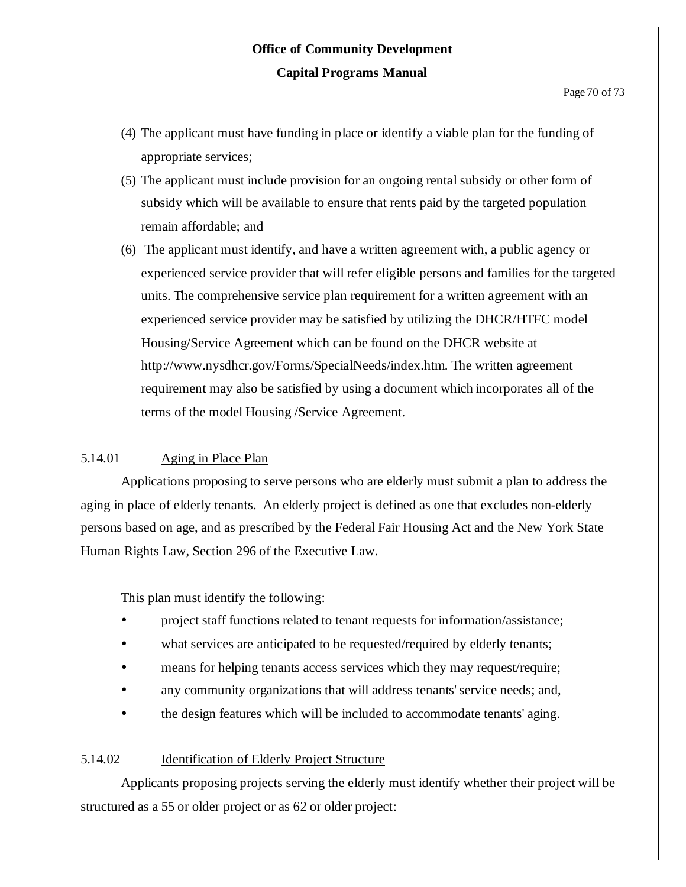- (4) The applicant must have funding in place or identify a viable plan for the funding of appropriate services;
- (5) The applicant must include provision for an ongoing rental subsidy or other form of subsidy which will be available to ensure that rents paid by the targeted population remain affordable; and
- (6) The applicant must identify, and have a written agreement with, a public agency or experienced service provider that will refer eligible persons and families for the targeted units. The comprehensive service plan requirement for a written agreement with an experienced service provider may be satisfied by utilizing the DHCR/HTFC model Housing/Service Agreement which can be found on the DHCR website at http://www.nysdhcr.gov/Forms/SpecialNeeds/index.htm. The written agreement requirement may also be satisfied by using a document which incorporates all of the terms of the model Housing /Service Agreement.

#### 5.14.01 Aging in Place Plan

Applications proposing to serve persons who are elderly must submit a plan to address the aging in place of elderly tenants. An elderly project is defined as one that excludes non-elderly persons based on age, and as prescribed by the Federal Fair Housing Act and the New York State Human Rights Law, Section 296 of the Executive Law.

This plan must identify the following:

- project staff functions related to tenant requests for information/assistance;
- what services are anticipated to be requested/required by elderly tenants;
- means for helping tenants access services which they may request/require;
- any community organizations that will address tenants'service needs; and,
- the design features which will be included to accommodate tenants' aging.

#### 5.14.02 Identification of Elderly Project Structure

Applicants proposing projects serving the elderly must identify whether their project will be structured as a 55 or older project or as 62 or older project: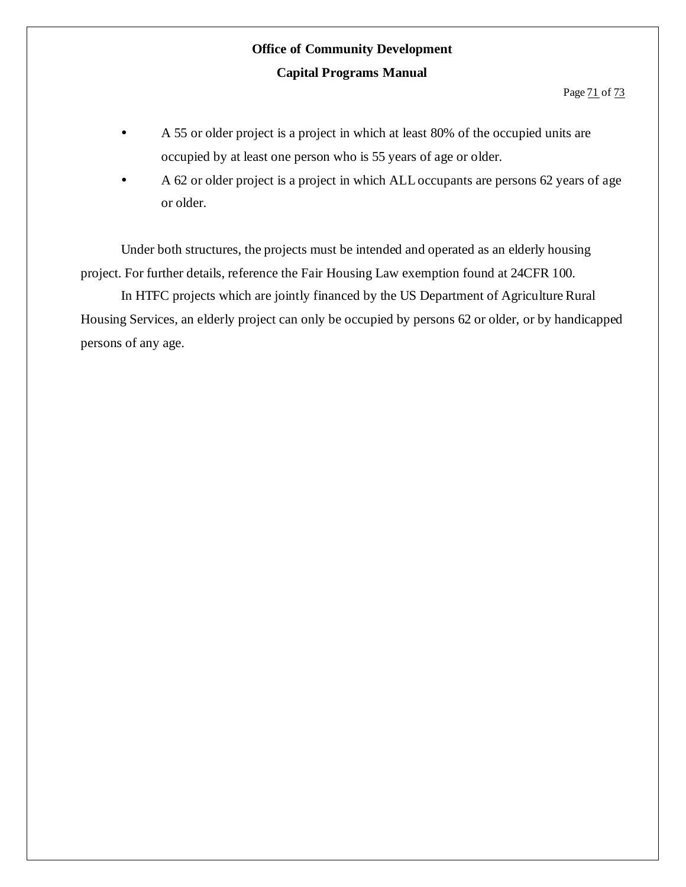- A 55 or older project is a project in which at least 80% of the occupied units are occupied by at least one person who is 55 years of age or older.
- A 62 or older project is a project in which ALLoccupants are persons 62 years of age or older.

Under both structures, the projects must be intended and operated as an elderly housing project. For further details, reference the Fair Housing Law exemption found at 24CFR 100.

In HTFC projects which are jointly financed by the US Department of Agriculture Rural Housing Services, an elderly project can only be occupied by persons 62 or older, or by handicapped persons of any age.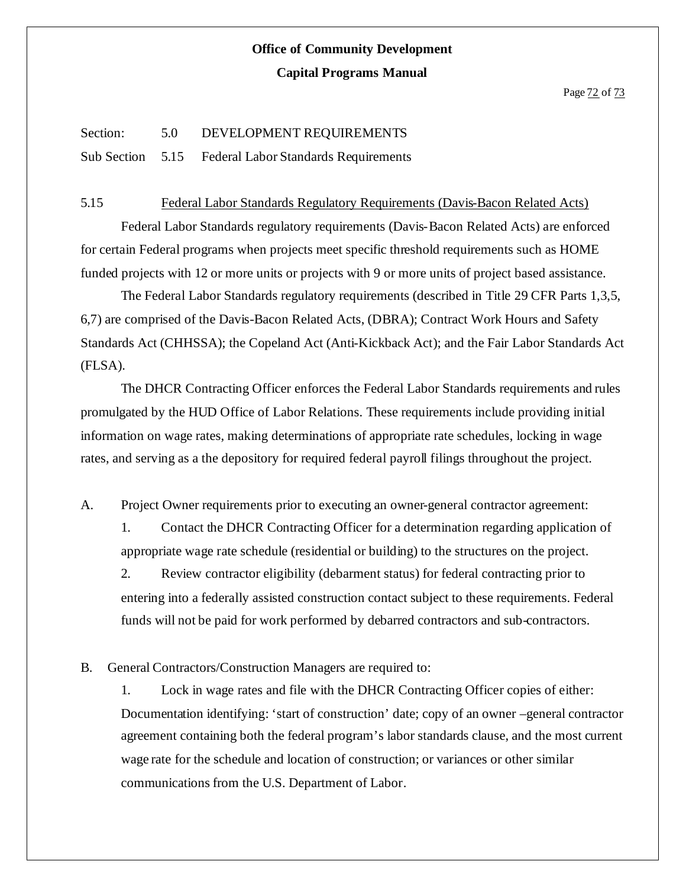#### Section: 5.0 DEVELOPMENT REQUIREMENTS

Sub Section 5.15 Federal Labor Standards Requirements

#### 5.15 Federal Labor Standards Regulatory Requirements (Davis-Bacon Related Acts)

Federal Labor Standards regulatory requirements (Davis-Bacon Related Acts) are enforced for certain Federal programs when projects meet specific threshold requirements such as HOME funded projects with 12 or more units or projects with 9 or more units of project based assistance.

The Federal Labor Standards regulatory requirements (described in Title 29 CFR Parts 1,3,5, 6,7) are comprised of the Davis-Bacon Related Acts, (DBRA); Contract Work Hours and Safety Standards Act (CHHSSA); the Copeland Act (Anti-Kickback Act); and the Fair Labor Standards Act (FLSA).

The DHCR Contracting Officer enforces the Federal Labor Standards requirements and rules promulgated by the HUD Office of Labor Relations. These requirements include providing initial information on wage rates, making determinations of appropriate rate schedules, locking in wage rates, and serving as a the depository for required federal payroll filings throughout the project.

A. Project Owner requirements prior to executing an owner-general contractor agreement:

1. Contact the DHCR Contracting Officer for a determination regarding application of appropriate wage rate schedule (residential or building) to the structures on the project.

2. Review contractor eligibility (debarment status) for federal contracting prior to entering into a federally assisted construction contact subject to these requirements. Federal funds will not be paid for work performed by debarred contractors and sub-contractors.

#### B. General Contractors/Construction Managers are required to:

1. Lock in wage rates and file with the DHCR Contracting Officer copies of either: Documentation identifying: 'start of construction' date; copy of an owner –general contractor agreement containing both the federal program's labor standards clause, and the most current wage rate for the schedule and location of construction; or variances or other similar communications from the U.S. Department of Labor.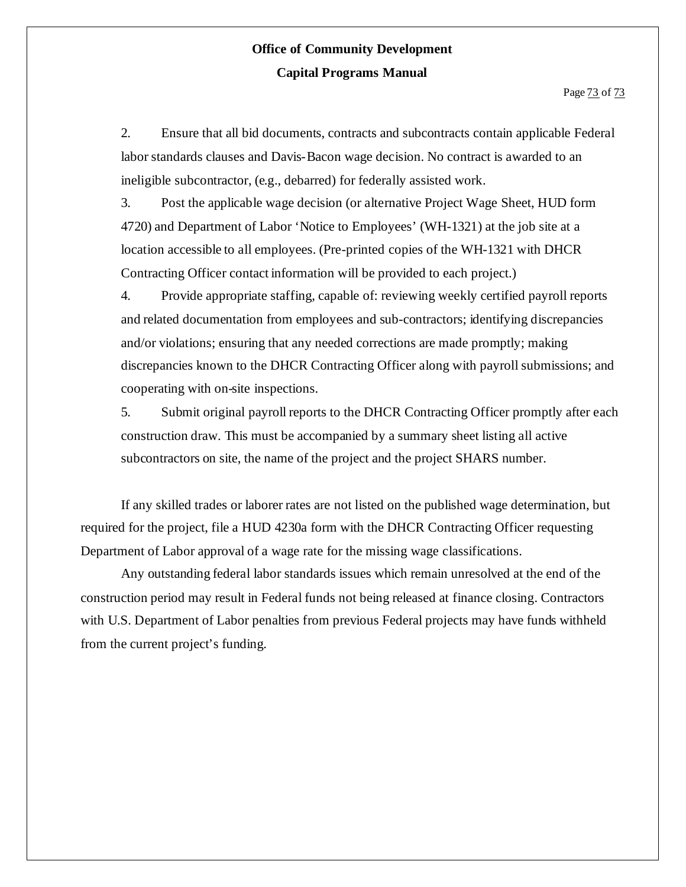2. Ensure that all bid documents, contracts and subcontracts contain applicable Federal labor standards clauses and Davis-Bacon wage decision. No contract is awarded to an ineligible subcontractor, (e.g., debarred) for federally assisted work.

3. Post the applicable wage decision (or alternative Project Wage Sheet, HUD form 4720) and Department of Labor 'Notice to Employees' (WH-1321) at the job site at a location accessible to all employees. (Pre-printed copies of the WH-1321 with DHCR Contracting Officer contact information will be provided to each project.)

4. Provide appropriate staffing, capable of: reviewing weekly certified payroll reports and related documentation from employees and sub-contractors; identifying discrepancies and/or violations; ensuring that any needed corrections are made promptly; making discrepancies known to the DHCR Contracting Officer along with payroll submissions; and cooperating with on-site inspections.

5. Submit original payroll reports to the DHCR Contracting Officer promptly after each construction draw. This must be accompanied by a summary sheet listing all active subcontractors on site, the name of the project and the project SHARS number.

If any skilled trades or laborer rates are not listed on the published wage determination, but required for the project, file a HUD 4230a form with the DHCR Contracting Officer requesting Department of Labor approval of a wage rate for the missing wage classifications.

Any outstanding federal labor standards issues which remain unresolved at the end of the construction period may result in Federal funds not being released at finance closing. Contractors with U.S. Department of Labor penalties from previous Federal projects may have funds withheld from the current project's funding.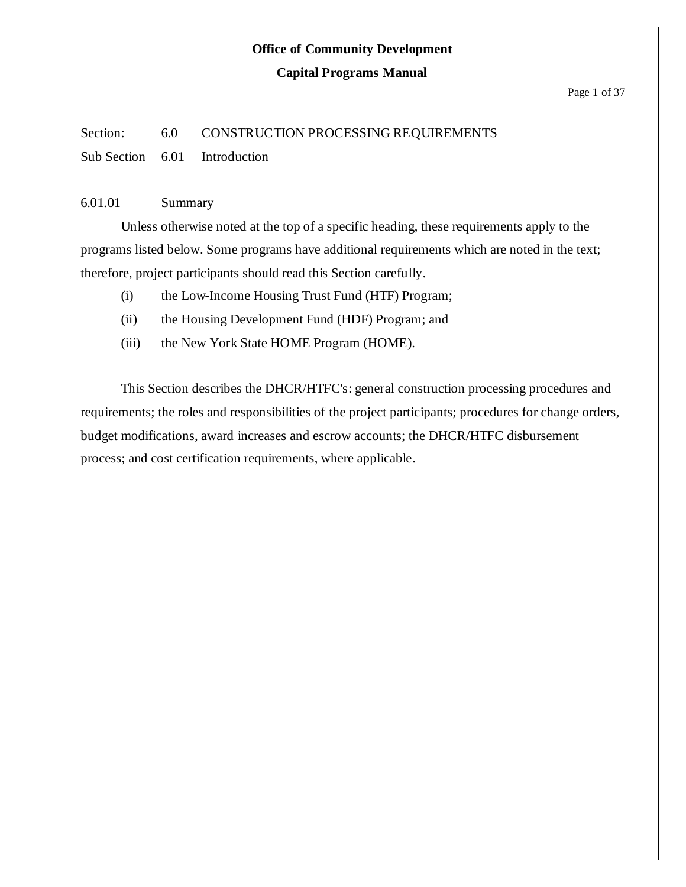#### **Capital Programs Manual**

#### Page  $1$  of  $37$

#### Section: 6.0 CONSTRUCTION PROCESSING REQUIREMENTS

Sub Section 6.01 Introduction

#### 6.01.01 Summary

Unless otherwise noted at the top of a specific heading, these requirements apply to the programs listed below. Some programs have additional requirements which are noted in the text; therefore, project participants should read this Section carefully.

- (i) the Low-Income Housing Trust Fund (HTF) Program;
- (ii) the Housing Development Fund (HDF) Program; and
- (iii) the New York State HOME Program (HOME).

This Section describes the DHCR/HTFC's: general construction processing procedures and requirements; the roles and responsibilities of the project participants; procedures for change orders, budget modifications, award increases and escrow accounts; the DHCR/HTFC disbursement process; and cost certification requirements, where applicable.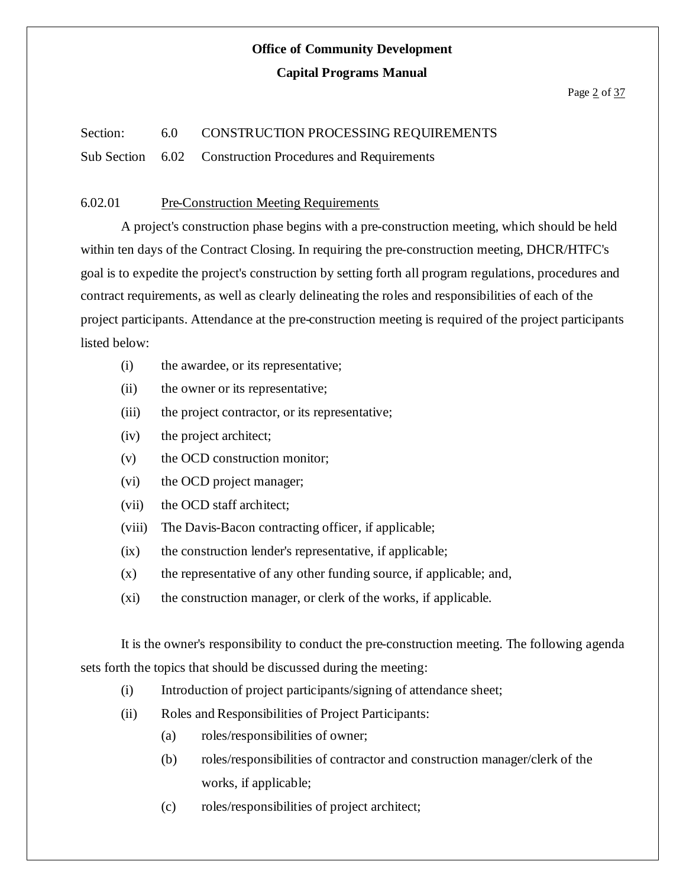#### **Capital Programs Manual**

#### Page 2 of 37

#### Section: 6.0 CONSTRUCTION PROCESSING REQUIREMENTS

Sub Section 6.02 Construction Procedures and Requirements

#### 6.02.01 Pre-Construction Meeting Requirements

A project's construction phase begins with a pre-construction meeting, which should be held within ten days of the Contract Closing. In requiring the pre-construction meeting, DHCR/HTFC's goal is to expedite the project's construction by setting forth all program regulations, procedures and contract requirements, as well as clearly delineating the roles and responsibilities of each of the project participants. Attendance at the pre-construction meeting is required of the project participants listed below:

- (i) the awardee, or its representative;
- (ii) the owner or its representative;
- (iii) the project contractor, or its representative;
- (iv) the project architect;
- (v) the OCD construction monitor;
- (vi) the OCD project manager;
- (vii) the OCD staff architect;
- (viii) The Davis-Bacon contracting officer, if applicable;
- (ix) the construction lender's representative, if applicable;
- $(x)$  the representative of any other funding source, if applicable; and,
- (xi) the construction manager, or clerk of the works, if applicable.

It is the owner's responsibility to conduct the pre-construction meeting. The following agenda sets forth the topics that should be discussed during the meeting:

- (i) Introduction of project participants/signing of attendance sheet;
- (ii) Roles and Responsibilities of Project Participants:
	- (a) roles/responsibilities of owner;
	- (b) roles/responsibilities of contractor and construction manager/clerk of the works, if applicable;
	- (c) roles/responsibilities of project architect;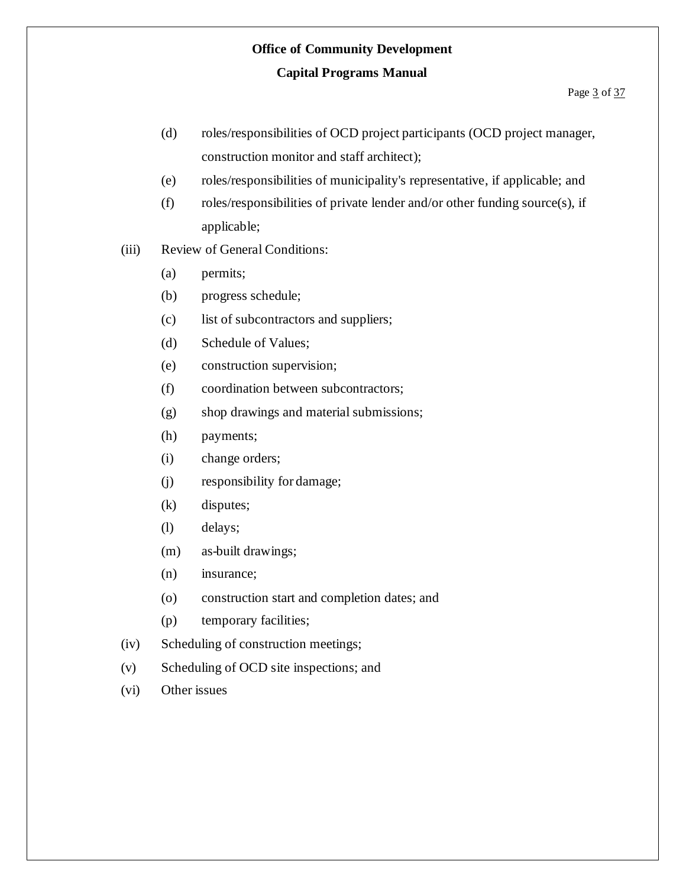- (d) roles/responsibilities of OCD project participants (OCD project manager, construction monitor and staff architect);
- (e) roles/responsibilities of municipality's representative, if applicable; and
- (f) roles/responsibilities of private lender and/or other funding source(s), if applicable;
- (iii) Review of General Conditions:
	- (a) permits;
	- (b) progress schedule;
	- (c) list of subcontractors and suppliers;
	- (d) Schedule of Values;
	- (e) construction supervision;
	- (f) coordination between subcontractors;
	- (g) shop drawings and material submissions;
	- (h) payments;
	- (i) change orders;
	- (j) responsibility for damage;
	- (k) disputes;
	- (l) delays;
	- (m) as-built drawings;
	- (n) insurance;
	- (o) construction start and completion dates; and
	- (p) temporary facilities;
- (iv) Scheduling of construction meetings;
- (v) Scheduling of OCD site inspections; and
- (vi) Other issues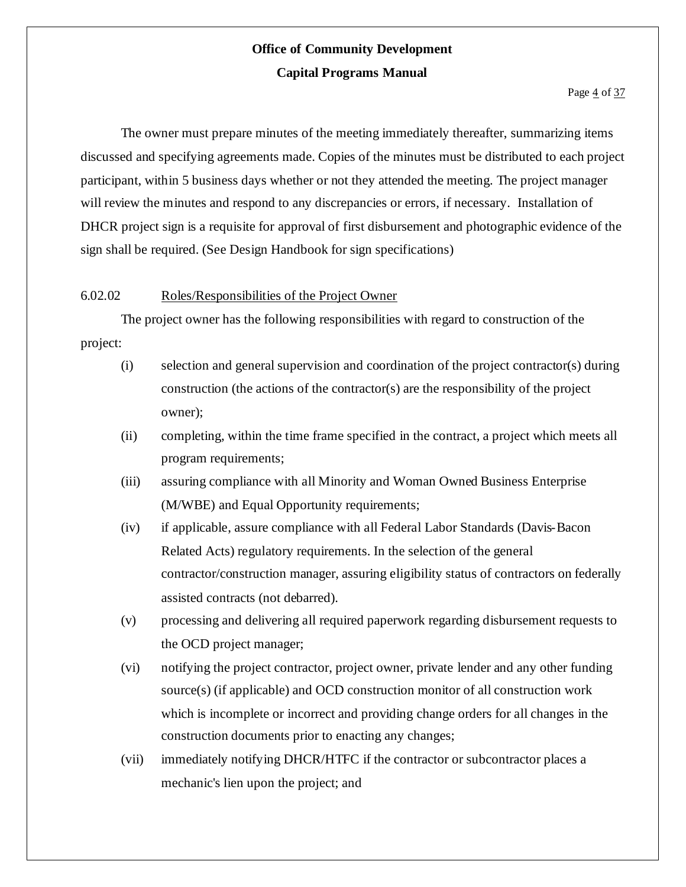The owner must prepare minutes of the meeting immediately thereafter, summarizing items discussed and specifying agreements made. Copies of the minutes must be distributed to each project participant, within 5 business days whether or not they attended the meeting. The project manager will review the minutes and respond to any discrepancies or errors, if necessary. Installation of DHCR project sign is a requisite for approval of first disbursement and photographic evidence of the sign shall be required. (See Design Handbook for sign specifications)

#### 6.02.02 Roles/Responsibilities of the Project Owner

The project owner has the following responsibilities with regard to construction of the project:

- (i) selection and general supervision and coordination of the project contractor(s) during construction (the actions of the contractor(s) are the responsibility of the project owner);
- (ii) completing, within the time frame specified in the contract, a project which meets all program requirements;
- (iii) assuring compliance with all Minority and Woman Owned Business Enterprise (M/WBE) and Equal Opportunity requirements;
- (iv) if applicable, assure compliance with all Federal Labor Standards (Davis-Bacon Related Acts) regulatory requirements. In the selection of the general contractor/construction manager, assuring eligibility status of contractors on federally assisted contracts (not debarred).
- (v) processing and delivering all required paperwork regarding disbursement requests to the OCD project manager;
- (vi) notifying the project contractor, project owner, private lender and any other funding source(s) (if applicable) and OCD construction monitor of all construction work which is incomplete or incorrect and providing change orders for all changes in the construction documents prior to enacting any changes;
- (vii) immediately notifying DHCR/HTFC if the contractor or subcontractor places a mechanic's lien upon the project; and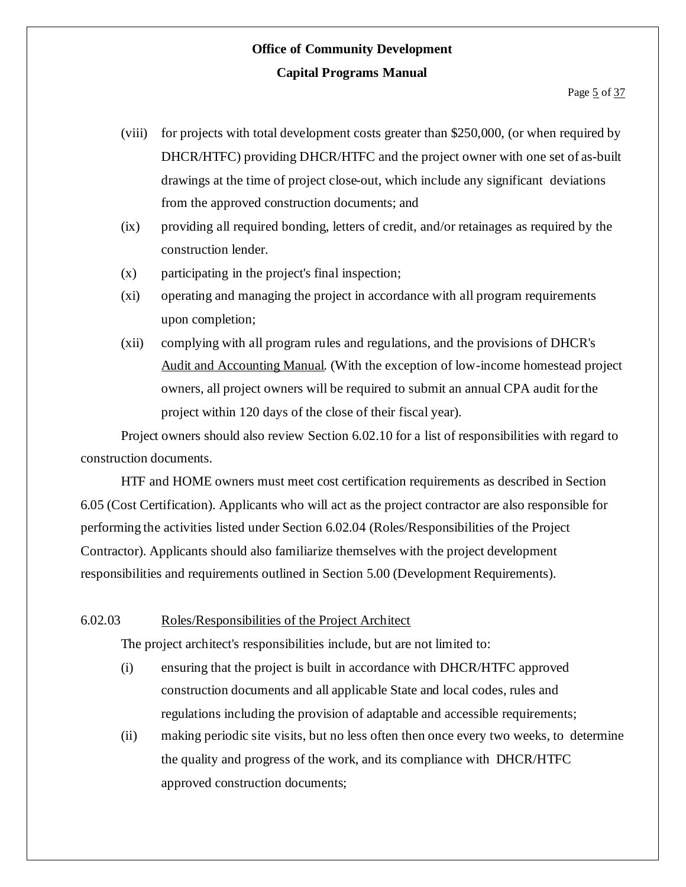- (viii) for projects with total development costs greater than \$250,000, (or when required by DHCR/HTFC) providing DHCR/HTFC and the project owner with one set of as-built drawings at the time of project close-out, which include any significant deviations from the approved construction documents; and
- (ix) providing all required bonding, letters of credit, and/or retainages as required by the construction lender.
- (x) participating in the project's final inspection;
- (xi) operating and managing the project in accordance with all program requirements upon completion;
- (xii) complying with all program rules and regulations, and the provisions of DHCR's Audit and Accounting Manual. (With the exception of low-income homestead project owners, all project owners will be required to submit an annual CPA audit forthe project within 120 days of the close of their fiscal year).

Project owners should also review Section 6.02.10 for a list of responsibilities with regard to construction documents.

HTF and HOME owners must meet cost certification requirements as described in Section 6.05 (Cost Certification). Applicants who will act as the project contractor are also responsible for performing the activities listed under Section 6.02.04 (Roles/Responsibilities of the Project Contractor). Applicants should also familiarize themselves with the project development responsibilities and requirements outlined in Section 5.00 (Development Requirements).

#### 6.02.03 Roles/Responsibilities of the Project Architect

The project architect's responsibilities include, but are not limited to:

- (i) ensuring that the project is built in accordance with DHCR/HTFC approved construction documents and all applicable State and local codes, rules and regulations including the provision of adaptable and accessible requirements;
- (ii) making periodic site visits, but no less often then once every two weeks, to determine the quality and progress of the work, and its compliance with DHCR/HTFC approved construction documents;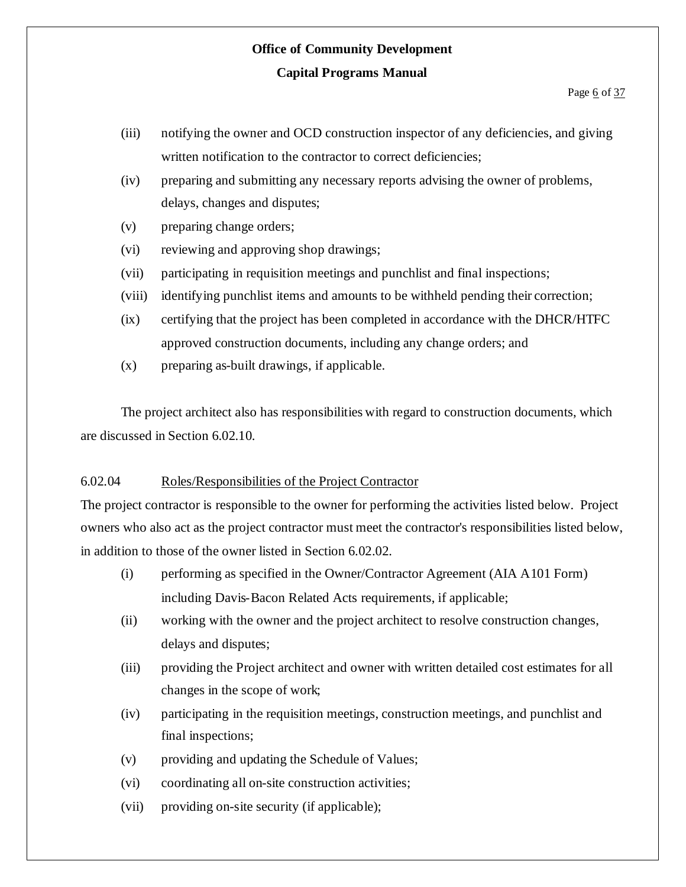- (iii) notifying the owner and OCD construction inspector of any deficiencies, and giving written notification to the contractor to correct deficiencies;
- (iv) preparing and submitting any necessary reports advising the owner of problems, delays, changes and disputes;
- (v) preparing change orders;
- (vi) reviewing and approving shop drawings;
- (vii) participating in requisition meetings and punchlist and final inspections;
- (viii) identifying punchlist items and amounts to be withheld pending their correction;
- (ix) certifying that the project has been completed in accordance with the DHCR/HTFC approved construction documents, including any change orders; and
- (x) preparing as-built drawings, if applicable.

The project architect also has responsibilities with regard to construction documents, which are discussed in Section 6.02.10.

#### 6.02.04 Roles/Responsibilities of the Project Contractor

The project contractor is responsible to the owner for performing the activities listed below. Project owners who also act as the project contractor must meet the contractor's responsibilities listed below, in addition to those of the owner listed in Section 6.02.02.

- (i) performing as specified in the Owner/Contractor Agreement (AIA A101 Form) including Davis-Bacon Related Acts requirements, if applicable;
- (ii) working with the owner and the project architect to resolve construction changes, delays and disputes;
- (iii) providing the Project architect and owner with written detailed cost estimates for all changes in the scope of work;
- (iv) participating in the requisition meetings, construction meetings, and punchlist and final inspections;
- (v) providing and updating the Schedule of Values;
- (vi) coordinating all on-site construction activities;
- (vii) providing on-site security (if applicable);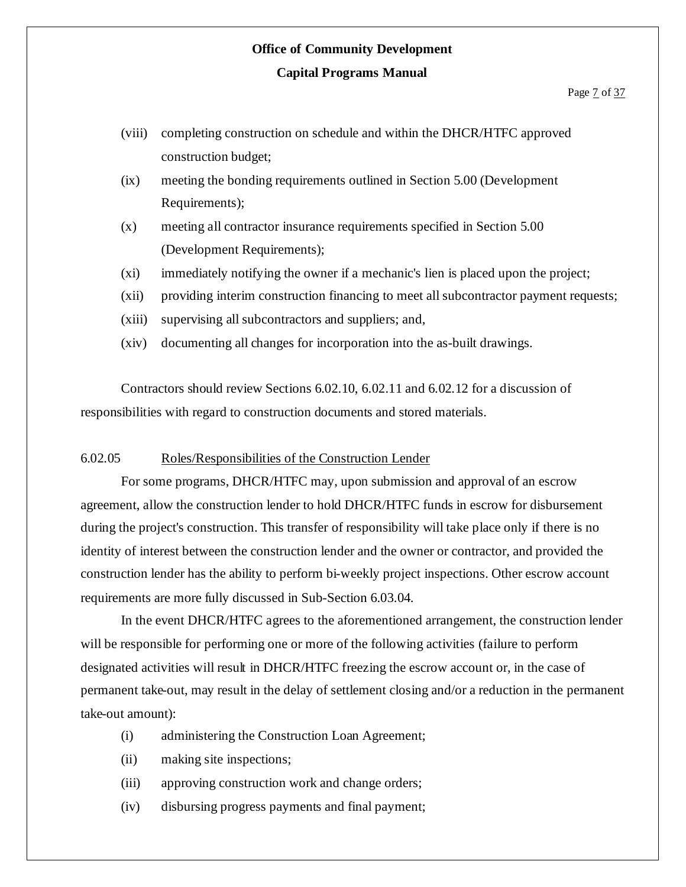- (viii) completing construction on schedule and within the DHCR/HTFC approved construction budget;
- (ix) meeting the bonding requirements outlined in Section 5.00 (Development Requirements);
- (x) meeting all contractor insurance requirements specified in Section 5.00 (Development Requirements);
- (xi) immediately notifying the owner if a mechanic's lien is placed upon the project;
- (xii) providing interim construction financing to meet all subcontractor payment requests;
- (xiii) supervising all subcontractors and suppliers; and,
- (xiv) documenting all changes for incorporation into the as-built drawings.

Contractors should review Sections 6.02.10, 6.02.11 and 6.02.12 for a discussion of responsibilities with regard to construction documents and stored materials.

#### 6.02.05 Roles/Responsibilities of the Construction Lender

For some programs, DHCR/HTFC may, upon submission and approval of an escrow agreement, allow the construction lender to hold DHCR/HTFC funds in escrow for disbursement during the project's construction. This transfer of responsibility will take place only if there is no identity of interest between the construction lender and the owner or contractor, and provided the construction lender has the ability to perform bi-weekly project inspections. Other escrow account requirements are more fully discussed in Sub-Section 6.03.04.

In the event DHCR/HTFC agrees to the aforementioned arrangement, the construction lender will be responsible for performing one or more of the following activities (failure to perform designated activities will result in DHCR/HTFC freezing the escrow account or, in the case of permanent take-out, may result in the delay of settlement closing and/or a reduction in the permanent take-out amount):

- (i) administering the Construction Loan Agreement;
- (ii) making site inspections;
- (iii) approving construction work and change orders;
- (iv) disbursing progress payments and final payment;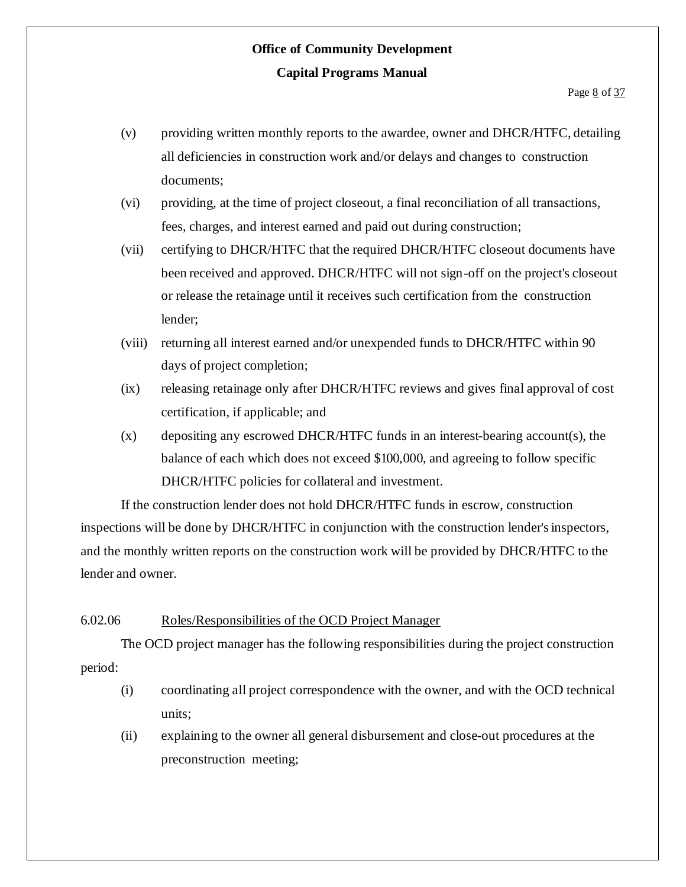- (v) providing written monthly reports to the awardee, owner and DHCR/HTFC, detailing all deficiencies in construction work and/or delays and changes to construction documents;
- (vi) providing, at the time of project closeout, a final reconciliation of all transactions, fees, charges, and interest earned and paid out during construction;
- (vii) certifying to DHCR/HTFC that the required DHCR/HTFC closeout documents have been received and approved. DHCR/HTFC will not sign-off on the project's closeout or release the retainage until it receives such certification from the construction lender;
- (viii) returning all interest earned and/or unexpended funds to DHCR/HTFC within 90 days of project completion;
- (ix) releasing retainage only after DHCR/HTFC reviews and gives final approval of cost certification, if applicable; and
- (x) depositing any escrowed DHCR/HTFC funds in an interest-bearing account(s), the balance of each which does not exceed \$100,000, and agreeing to follow specific DHCR/HTFC policies for collateral and investment.

If the construction lender does not hold DHCR/HTFC funds in escrow, construction inspections will be done by DHCR/HTFC in conjunction with the construction lender's inspectors, and the monthly written reports on the construction work will be provided by DHCR/HTFC to the lender and owner.

#### 6.02.06 Roles/Responsibilities of the OCD Project Manager

The OCD project manager has the following responsibilities during the project construction period:

- (i) coordinating all project correspondence with the owner, and with the OCD technical units;
- (ii) explaining to the owner all general disbursement and close-out procedures at the preconstruction meeting;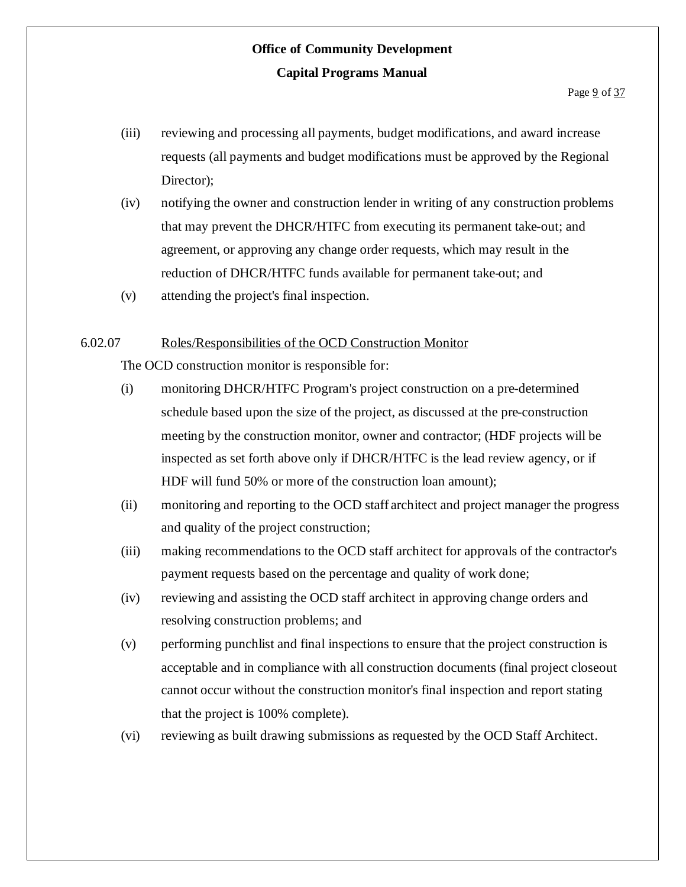- (iii) reviewing and processing all payments, budget modifications, and award increase requests (all payments and budget modifications must be approved by the Regional Director):
- (iv) notifying the owner and construction lender in writing of any construction problems that may prevent the DHCR/HTFC from executing its permanent take-out; and agreement, or approving any change order requests, which may result in the reduction of DHCR/HTFC funds available for permanent take-out; and
- (v) attending the project's final inspection.

#### 6.02.07 Roles/Responsibilities of the OCD Construction Monitor

The OCD construction monitor is responsible for:

- (i) monitoring DHCR/HTFC Program's project construction on a pre-determined schedule based upon the size of the project, as discussed at the pre-construction meeting by the construction monitor, owner and contractor; (HDF projects will be inspected as set forth above only if DHCR/HTFC is the lead review agency, or if HDF will fund 50% or more of the construction loan amount);
- (ii) monitoring and reporting to the OCD staff architect and project manager the progress and quality of the project construction;
- (iii) making recommendations to the OCD staff architect for approvals of the contractor's payment requests based on the percentage and quality of work done;
- (iv) reviewing and assisting the OCD staff architect in approving change orders and resolving construction problems; and
- (v) performing punchlist and final inspections to ensure that the project construction is acceptable and in compliance with all construction documents (final project closeout cannot occur without the construction monitor's final inspection and report stating that the project is 100% complete).
- (vi) reviewing as built drawing submissions as requested by the OCD Staff Architect.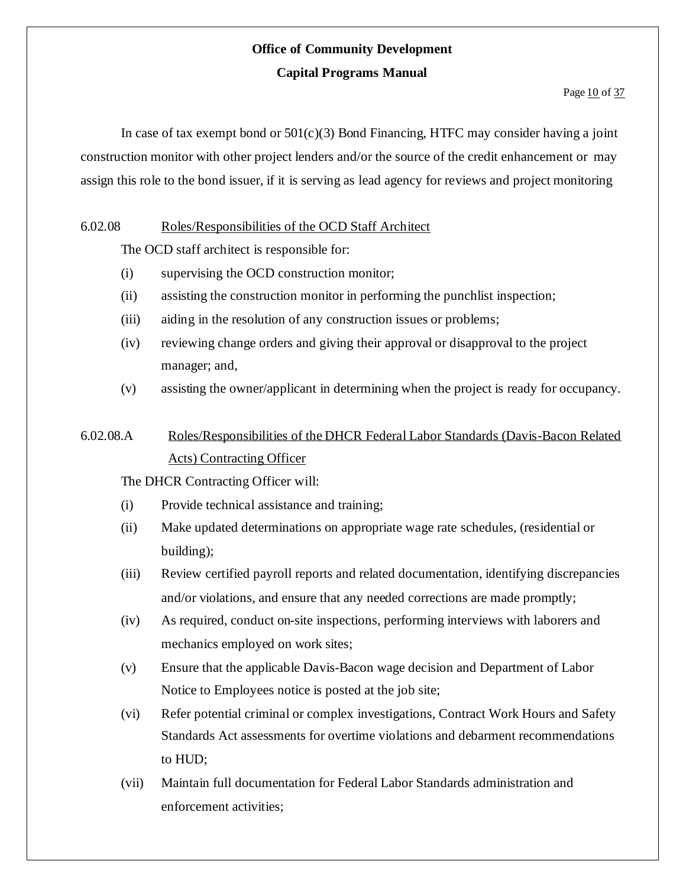#### Page 10 of 37

In case of tax exempt bond or  $501(c)(3)$  Bond Financing, HTFC may consider having a joint construction monitor with other project lenders and/or the source of the credit enhancement or may assign this role to the bond issuer, if it is serving as lead agency for reviews and project monitoring

#### 6.02.08 Roles/Responsibilities of the OCD Staff Architect

The OCD staff architect is responsible for:

- (i) supervising the OCD construction monitor;
- (ii) assisting the construction monitor in performing the punchlist inspection;
- (iii) aiding in the resolution of any construction issues or problems;
- (iv) reviewing change orders and giving their approval or disapproval to the project manager; and,
- (v) assisting the owner/applicant in determining when the project is ready for occupancy.

# 6.02.08.A Roles/Responsibilities of the DHCR Federal Labor Standards (Davis-Bacon Related Acts) Contracting Officer

The DHCR Contracting Officer will:

- (i) Provide technical assistance and training;
- (ii) Make updated determinations on appropriate wage rate schedules, (residential or building);
- (iii) Review certified payroll reports and related documentation, identifying discrepancies and/or violations, and ensure that any needed corrections are made promptly;
- (iv) As required, conduct on-site inspections, performing interviews with laborers and mechanics employed on work sites;
- (v) Ensure that the applicable Davis-Bacon wage decision and Department of Labor Notice to Employees notice is posted at the job site;
- (vi) Refer potential criminal or complex investigations, Contract Work Hours and Safety Standards Act assessments for overtime violations and debarment recommendations to HUD;
- (vii) Maintain full documentation for Federal Labor Standards administration and enforcement activities;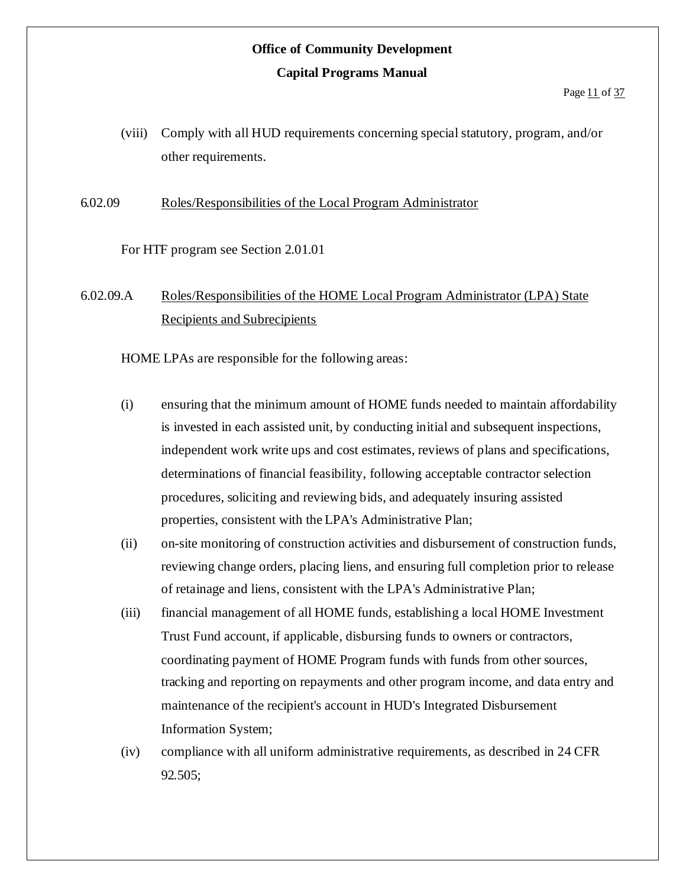(viii) Comply with all HUD requirements concerning special statutory, program, and/or other requirements.

6.02.09 Roles/Responsibilities of the Local Program Administrator

For HTF program see Section 2.01.01

6.02.09.A Roles/Responsibilities of the HOME Local Program Administrator (LPA) State Recipients and Subrecipients

HOME LPAs are responsible for the following areas:

- (i) ensuring that the minimum amount of HOME funds needed to maintain affordability is invested in each assisted unit, by conducting initial and subsequent inspections, independent work write ups and cost estimates, reviews of plans and specifications, determinations of financial feasibility, following acceptable contractor selection procedures, soliciting and reviewing bids, and adequately insuring assisted properties, consistent with the LPA's Administrative Plan;
- (ii) on-site monitoring of construction activities and disbursement of construction funds, reviewing change orders, placing liens, and ensuring full completion prior to release of retainage and liens, consistent with the LPA's Administrative Plan;
- (iii) financial management of all HOME funds, establishing a local HOME Investment Trust Fund account, if applicable, disbursing funds to owners or contractors, coordinating payment of HOME Program funds with funds from other sources, tracking and reporting on repayments and other program income, and data entry and maintenance of the recipient's account in HUD's Integrated Disbursement Information System;
- (iv) compliance with all uniform administrative requirements, as described in 24 CFR 92.505;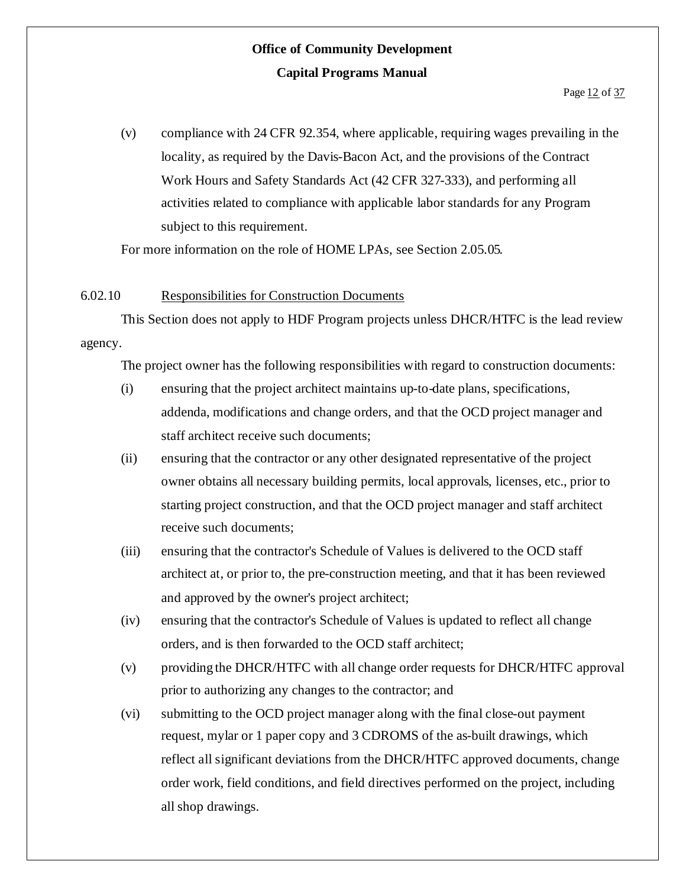(v) compliance with 24 CFR 92.354, where applicable, requiring wages prevailing in the locality, as required by the Davis-Bacon Act, and the provisions of the Contract Work Hours and Safety Standards Act (42 CFR 327-333), and performing all activities related to compliance with applicable labor standards for any Program subject to this requirement.

For more information on the role of HOME LPAs, see Section 2.05.05.

#### 6.02.10 Responsibilities for Construction Documents

This Section does not apply to HDF Program projects unless DHCR/HTFC is the lead review agency.

The project owner has the following responsibilities with regard to construction documents:

- (i) ensuring that the project architect maintains up-to-date plans, specifications, addenda, modifications and change orders, and that the OCD project manager and staff architect receive such documents;
- (ii) ensuring that the contractor or any other designated representative of the project owner obtains all necessary building permits, local approvals, licenses, etc., prior to starting project construction, and that the OCD project manager and staff architect receive such documents;
- (iii) ensuring that the contractor's Schedule of Values is delivered to the OCD staff architect at, or prior to, the pre-construction meeting, and that it has been reviewed and approved by the owner's project architect;
- (iv) ensuring that the contractor's Schedule of Values is updated to reflect all change orders, and is then forwarded to the OCD staff architect;
- (v) providing the DHCR/HTFC with all change order requests for DHCR/HTFC approval prior to authorizing any changes to the contractor; and
- (vi) submitting to the OCD project manager along with the final close-out payment request, mylar or 1 paper copy and 3 CDROMS of the as-built drawings, which reflect all significant deviations from the DHCR/HTFC approved documents, change order work, field conditions, and field directives performed on the project, including all shop drawings.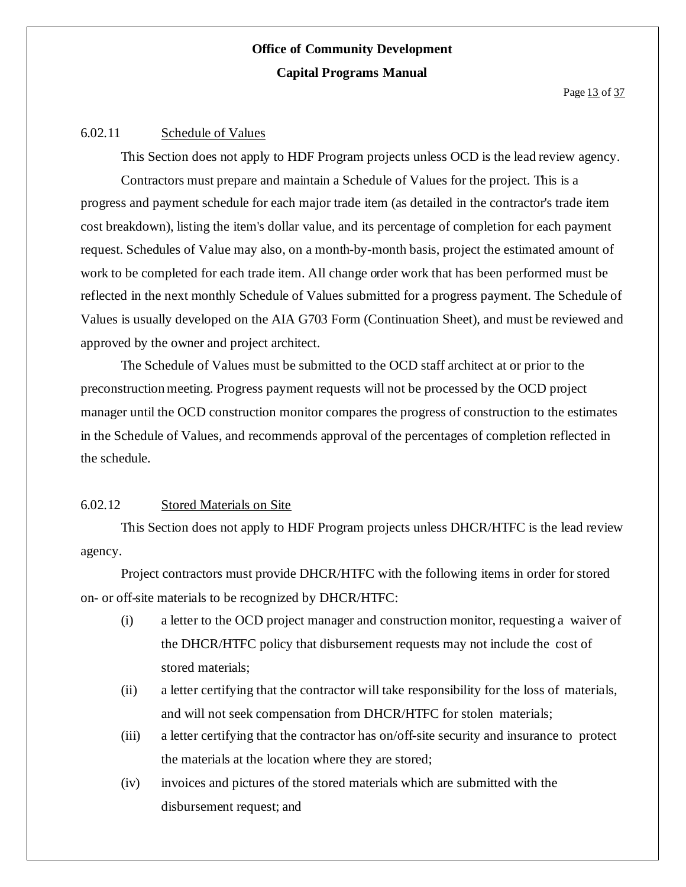#### 6.02.11 Schedule of Values

This Section does not apply to HDF Program projects unless OCD is the lead review agency. Contractors must prepare and maintain a Schedule of Values for the project. This is a progress and payment schedule for each major trade item (as detailed in the contractor's trade item cost breakdown), listing the item's dollar value, and its percentage of completion for each payment request. Schedules of Value may also, on a month-by-month basis, project the estimated amount of work to be completed for each trade item. All change order work that has been performed must be reflected in the next monthly Schedule of Values submitted for a progress payment. The Schedule of Values is usually developed on the AIA G703 Form (Continuation Sheet), and must be reviewed and approved by the owner and project architect.

The Schedule of Values must be submitted to the OCD staff architect at or prior to the preconstruction meeting. Progress payment requests will not be processed by the OCD project manager until the OCD construction monitor compares the progress of construction to the estimates in the Schedule of Values, and recommends approval of the percentages of completion reflected in the schedule.

#### 6.02.12 Stored Materials on Site

This Section does not apply to HDF Program projects unless DHCR/HTFC is the lead review agency.

Project contractors must provide DHCR/HTFC with the following items in order forstored on- or off-site materials to be recognized by DHCR/HTFC:

- (i) a letter to the OCD project manager and construction monitor, requesting a waiver of the DHCR/HTFC policy that disbursement requests may not include the cost of stored materials;
- (ii) a letter certifying that the contractor will take responsibility for the loss of materials, and will not seek compensation from DHCR/HTFC for stolen materials;
- (iii) a letter certifying that the contractor has on/off-site security and insurance to protect the materials at the location where they are stored;
- (iv) invoices and pictures of the stored materials which are submitted with the disbursement request; and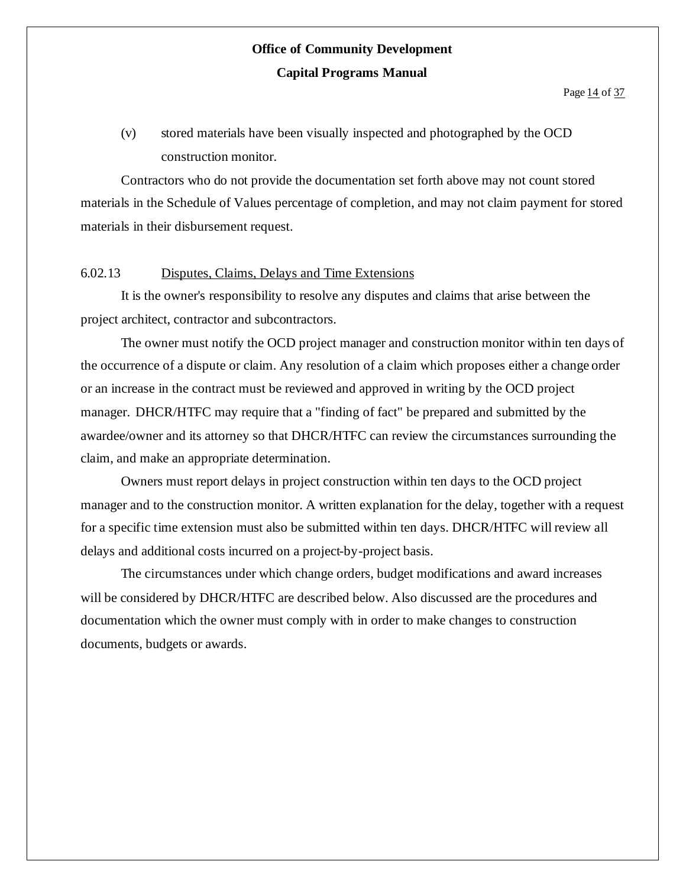(v) stored materials have been visually inspected and photographed by the OCD construction monitor.

Contractors who do not provide the documentation set forth above may not count stored materials in the Schedule of Values percentage of completion, and may not claim payment for stored materials in their disbursement request.

#### 6.02.13 Disputes, Claims, Delays and Time Extensions

It is the owner's responsibility to resolve any disputes and claims that arise between the project architect, contractor and subcontractors.

The owner must notify the OCD project manager and construction monitor within ten days of the occurrence of a dispute or claim. Any resolution of a claim which proposes either a change order or an increase in the contract must be reviewed and approved in writing by the OCD project manager. DHCR/HTFC may require that a "finding of fact" be prepared and submitted by the awardee/owner and its attorney so that DHCR/HTFC can review the circumstances surrounding the claim, and make an appropriate determination.

Owners must report delays in project construction within ten days to the OCD project manager and to the construction monitor. A written explanation for the delay, together with a request for a specific time extension must also be submitted within ten days. DHCR/HTFC will review all delays and additional costs incurred on a project-by-project basis.

The circumstances under which change orders, budget modifications and award increases will be considered by DHCR/HTFC are described below. Also discussed are the procedures and documentation which the owner must comply with in order to make changes to construction documents, budgets or awards.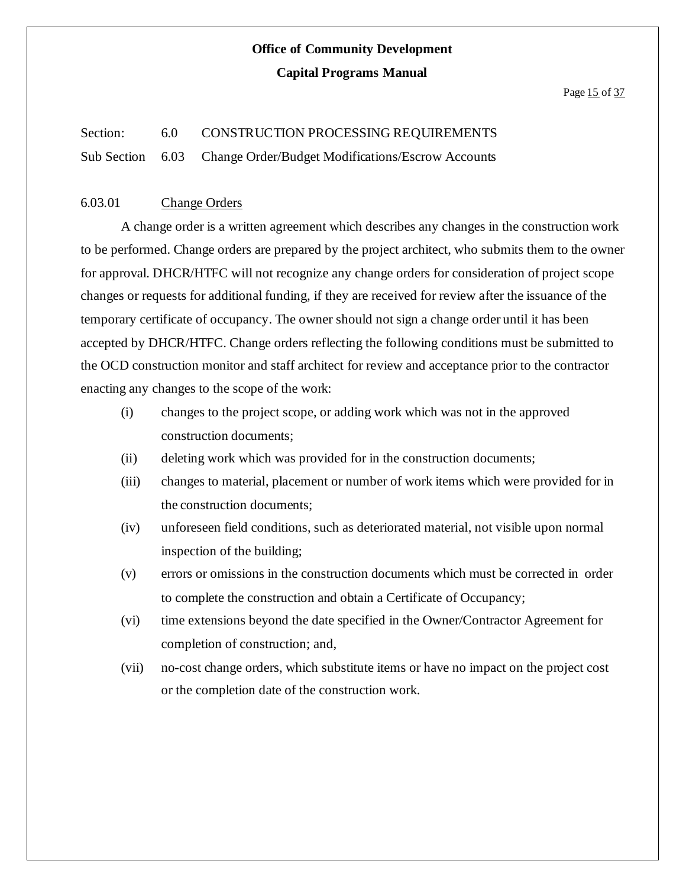#### Section: 6.0 CONSTRUCTION PROCESSING REQUIREMENTS

Sub Section 6.03 Change Order/Budget Modifications/Escrow Accounts

#### 6.03.01 Change Orders

A change order is a written agreement which describes any changes in the construction work to be performed. Change orders are prepared by the project architect, who submits them to the owner for approval. DHCR/HTFC will not recognize any change orders for consideration of project scope changes or requests for additional funding, if they are received for review after the issuance of the temporary certificate of occupancy. The owner should not sign a change order until it has been accepted by DHCR/HTFC. Change orders reflecting the following conditions must be submitted to the OCD construction monitor and staff architect for review and acceptance prior to the contractor enacting any changes to the scope of the work:

- (i) changes to the project scope, or adding work which was not in the approved construction documents;
- (ii) deleting work which was provided for in the construction documents;
- (iii) changes to material, placement or number of work items which were provided for in the construction documents;
- (iv) unforeseen field conditions, such as deteriorated material, not visible upon normal inspection of the building;
- (v) errors or omissions in the construction documents which must be corrected in order to complete the construction and obtain a Certificate of Occupancy;
- (vi) time extensions beyond the date specified in the Owner/Contractor Agreement for completion of construction; and,
- (vii) no-cost change orders, which substitute items or have no impact on the project cost or the completion date of the construction work.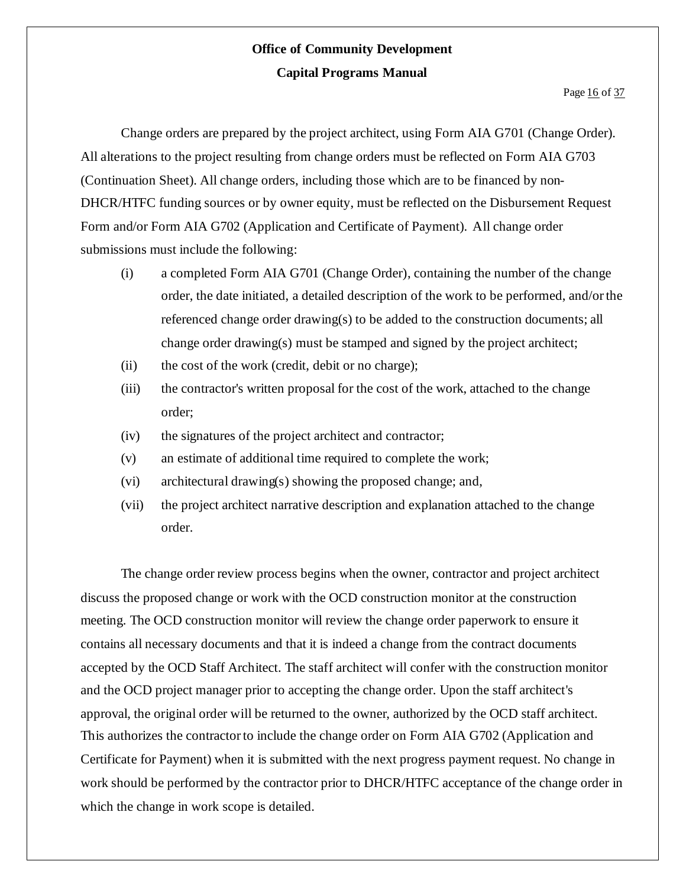Change orders are prepared by the project architect, using Form AIA G701 (Change Order). All alterations to the project resulting from change orders must be reflected on Form AIA G703 (Continuation Sheet). All change orders, including those which are to be financed by non-DHCR/HTFC funding sources or by owner equity, must be reflected on the Disbursement Request Form and/or Form AIA G702 (Application and Certificate of Payment). All change order submissions must include the following:

- (i) a completed Form AIA G701 (Change Order), containing the number of the change order, the date initiated, a detailed description of the work to be performed, and/orthe referenced change order drawing(s) to be added to the construction documents; all change order drawing(s) must be stamped and signed by the project architect;
- (ii) the cost of the work (credit, debit or no charge);
- (iii) the contractor's written proposal for the cost of the work, attached to the change order;
- (iv) the signatures of the project architect and contractor;
- (v) an estimate of additional time required to complete the work;
- (vi) architectural drawing(s) showing the proposed change; and,
- (vii) the project architect narrative description and explanation attached to the change order.

The change order review process begins when the owner, contractor and project architect discuss the proposed change or work with the OCD construction monitor at the construction meeting. The OCD construction monitor will review the change order paperwork to ensure it contains all necessary documents and that it is indeed a change from the contract documents accepted by the OCD Staff Architect. The staff architect will confer with the construction monitor and the OCD project manager prior to accepting the change order. Upon the staff architect's approval, the original order will be returned to the owner, authorized by the OCD staff architect. This authorizes the contractorto include the change order on Form AIA G702 (Application and Certificate for Payment) when it is submitted with the next progress payment request. No change in work should be performed by the contractor prior to DHCR/HTFC acceptance of the change order in which the change in work scope is detailed.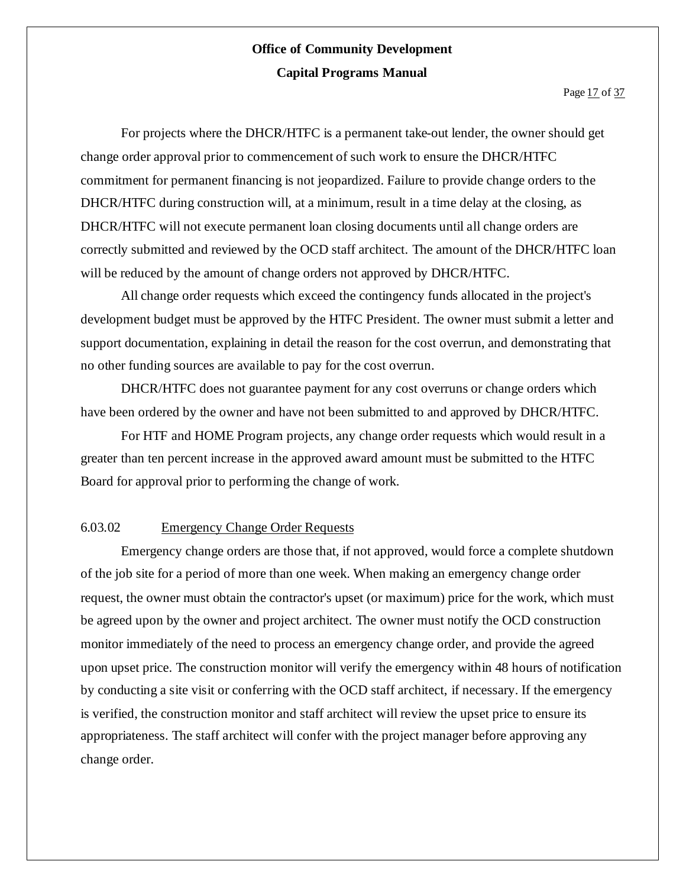For projects where the DHCR/HTFC is a permanent take-out lender, the owner should get change order approval prior to commencement of such work to ensure the DHCR/HTFC commitment for permanent financing is not jeopardized. Failure to provide change orders to the DHCR/HTFC during construction will, at a minimum, result in a time delay at the closing, as DHCR/HTFC will not execute permanent loan closing documents until all change orders are correctly submitted and reviewed by the OCD staff architect. The amount of the DHCR/HTFC loan will be reduced by the amount of change orders not approved by DHCR/HTFC.

All change order requests which exceed the contingency funds allocated in the project's development budget must be approved by the HTFC President. The owner must submit a letter and support documentation, explaining in detail the reason for the cost overrun, and demonstrating that no other funding sources are available to pay for the cost overrun.

DHCR/HTFC does not guarantee payment for any cost overruns or change orders which have been ordered by the owner and have not been submitted to and approved by DHCR/HTFC.

For HTF and HOME Program projects, any change order requests which would result in a greater than ten percent increase in the approved award amount must be submitted to the HTFC Board for approval prior to performing the change of work.

#### 6.03.02 Emergency Change Order Requests

Emergency change orders are those that, if not approved, would force a complete shutdown of the job site for a period of more than one week. When making an emergency change order request, the owner must obtain the contractor's upset (or maximum) price for the work, which must be agreed upon by the owner and project architect. The owner must notify the OCD construction monitor immediately of the need to process an emergency change order, and provide the agreed upon upset price. The construction monitor will verify the emergency within 48 hours of notification by conducting a site visit or conferring with the OCD staff architect, if necessary. If the emergency is verified, the construction monitor and staff architect will review the upset price to ensure its appropriateness. The staff architect will confer with the project manager before approving any change order.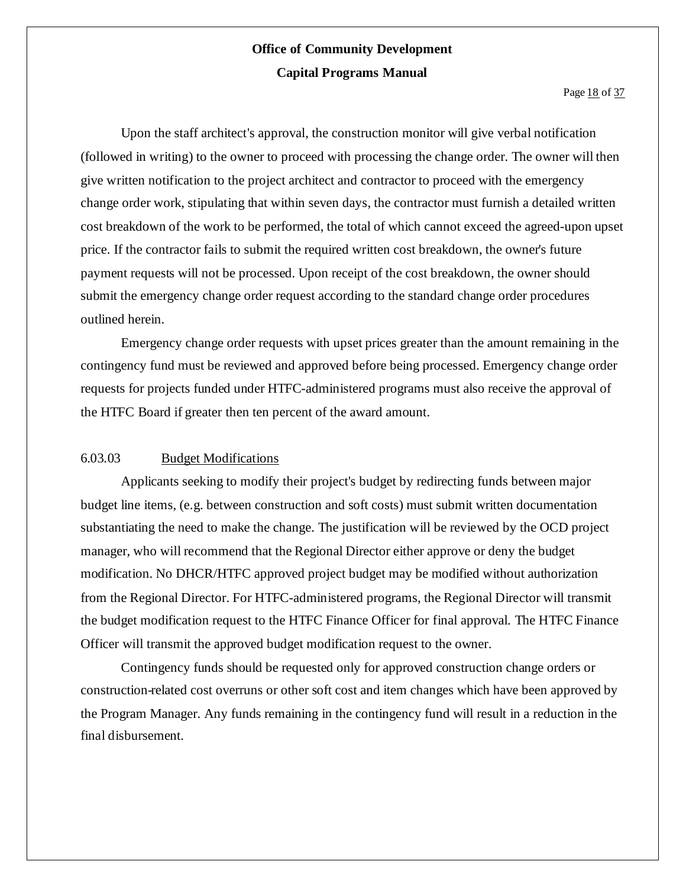Upon the staff architect's approval, the construction monitor will give verbal notification (followed in writing) to the owner to proceed with processing the change order. The owner will then give written notification to the project architect and contractor to proceed with the emergency change order work, stipulating that within seven days, the contractor must furnish a detailed written cost breakdown of the work to be performed, the total of which cannot exceed the agreed-upon upset price. If the contractor fails to submit the required written cost breakdown, the owner's future payment requests will not be processed. Upon receipt of the cost breakdown, the owner should submit the emergency change order request according to the standard change order procedures outlined herein.

Emergency change order requests with upset prices greater than the amount remaining in the contingency fund must be reviewed and approved before being processed. Emergency change order requests for projects funded under HTFC-administered programs must also receive the approval of the HTFC Board if greater then ten percent of the award amount.

#### 6.03.03 Budget Modifications

Applicants seeking to modify their project's budget by redirecting funds between major budget line items, (e.g. between construction and soft costs) must submit written documentation substantiating the need to make the change. The justification will be reviewed by the OCD project manager, who will recommend that the Regional Director either approve or deny the budget modification. No DHCR/HTFC approved project budget may be modified without authorization from the Regional Director. For HTFC-administered programs, the Regional Director will transmit the budget modification request to the HTFC Finance Officer for final approval. The HTFC Finance Officer will transmit the approved budget modification request to the owner.

Contingency funds should be requested only for approved construction change orders or construction-related cost overruns or other soft cost and item changes which have been approved by the Program Manager. Any funds remaining in the contingency fund will result in a reduction in the final disbursement.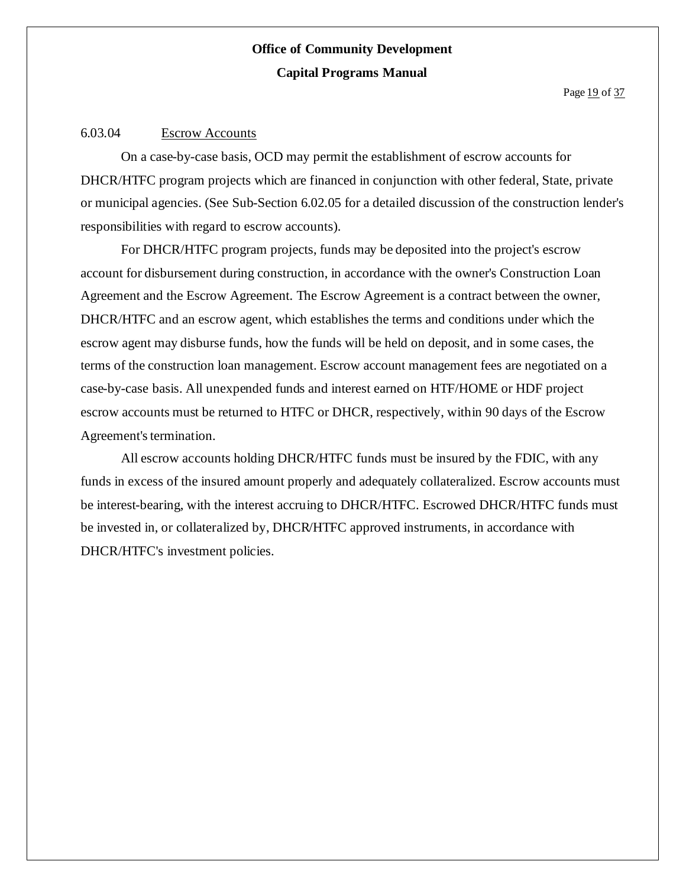#### 6.03.04 Escrow Accounts

On a case-by-case basis, OCD may permit the establishment of escrow accounts for DHCR/HTFC program projects which are financed in conjunction with other federal, State, private or municipal agencies. (See Sub-Section 6.02.05 for a detailed discussion of the construction lender's responsibilities with regard to escrow accounts).

For DHCR/HTFC program projects, funds may be deposited into the project's escrow account for disbursement during construction, in accordance with the owner's Construction Loan Agreement and the Escrow Agreement. The Escrow Agreement is a contract between the owner, DHCR/HTFC and an escrow agent, which establishes the terms and conditions under which the escrow agent may disburse funds, how the funds will be held on deposit, and in some cases, the terms of the construction loan management. Escrow account management fees are negotiated on a case-by-case basis. All unexpended funds and interest earned on HTF/HOME or HDF project escrow accounts must be returned to HTFC or DHCR, respectively, within 90 days of the Escrow Agreement's termination.

All escrow accounts holding DHCR/HTFC funds must be insured by the FDIC, with any funds in excess of the insured amount properly and adequately collateralized. Escrow accounts must be interest-bearing, with the interest accruing to DHCR/HTFC. Escrowed DHCR/HTFC funds must be invested in, or collateralized by, DHCR/HTFC approved instruments, in accordance with DHCR/HTFC's investment policies.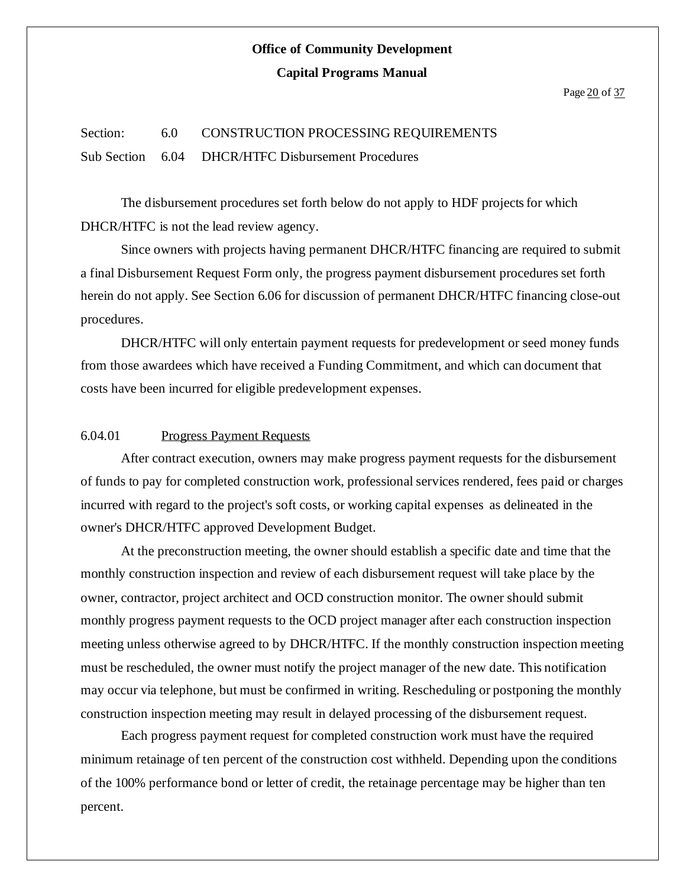### Section: 6.0 CONSTRUCTION PROCESSING REQUIREMENTS Sub Section 6.04 DHCR/HTFC Disbursement Procedures

The disbursement procedures set forth below do not apply to HDF projects for which DHCR/HTFC is not the lead review agency.

Since owners with projects having permanent DHCR/HTFC financing are required to submit a final Disbursement Request Form only, the progress payment disbursement procedures set forth herein do not apply. See Section 6.06 for discussion of permanent DHCR/HTFC financing close-out procedures.

DHCR/HTFC will only entertain payment requests for predevelopment or seed money funds from those awardees which have received a Funding Commitment, and which can document that costs have been incurred for eligible predevelopment expenses.

#### 6.04.01 Progress Payment Requests

After contract execution, owners may make progress payment requests for the disbursement of funds to pay for completed construction work, professional services rendered, fees paid or charges incurred with regard to the project's soft costs, or working capital expenses as delineated in the owner's DHCR/HTFC approved Development Budget.

At the preconstruction meeting, the owner should establish a specific date and time that the monthly construction inspection and review of each disbursement request will take place by the owner, contractor, project architect and OCD construction monitor. The owner should submit monthly progress payment requests to the OCD project manager after each construction inspection meeting unless otherwise agreed to by DHCR/HTFC. If the monthly construction inspection meeting must be rescheduled, the owner must notify the project manager of the new date. This notification may occur via telephone, but must be confirmed in writing. Rescheduling or postponing the monthly construction inspection meeting may result in delayed processing of the disbursement request.

Each progress payment request for completed construction work must have the required minimum retainage of ten percent of the construction cost withheld. Depending upon the conditions of the 100% performance bond or letter of credit, the retainage percentage may be higher than ten percent.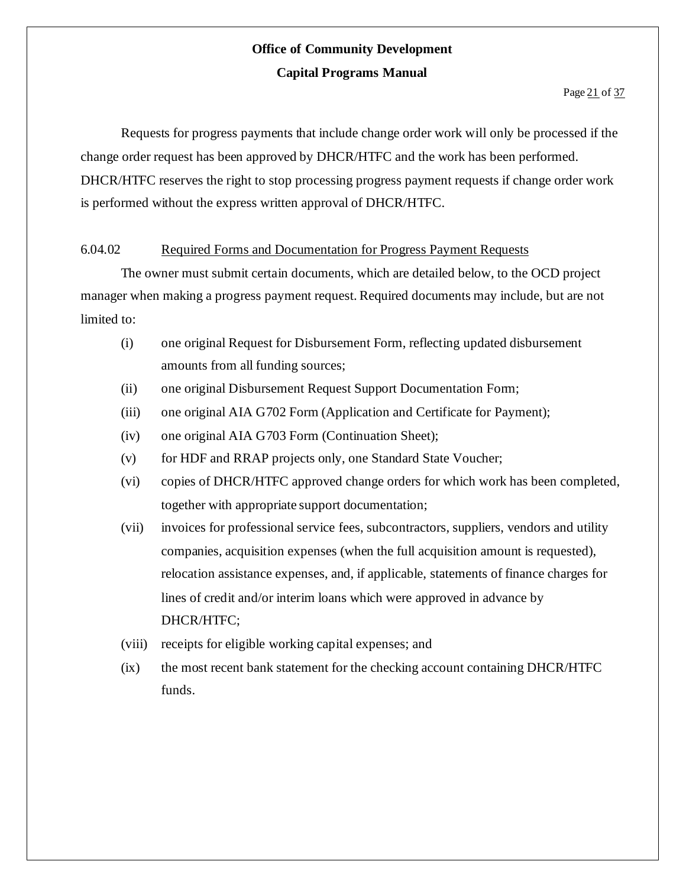Requests for progress payments that include change order work will only be processed if the change order request has been approved by DHCR/HTFC and the work has been performed. DHCR/HTFC reserves the right to stop processing progress payment requests if change order work is performed without the express written approval of DHCR/HTFC.

#### 6.04.02 Required Forms and Documentation for Progress Payment Requests

The owner must submit certain documents, which are detailed below, to the OCD project manager when making a progress payment request. Required documents may include, but are not limited to:

- (i) one original Request for Disbursement Form, reflecting updated disbursement amounts from all funding sources;
- (ii) one original Disbursement Request Support Documentation Form;
- (iii) one original AIA G702 Form (Application and Certificate for Payment);
- (iv) one original AIA G703 Form (Continuation Sheet);
- (v) for HDF and RRAP projects only, one Standard State Voucher;
- (vi) copies of DHCR/HTFC approved change orders for which work has been completed, together with appropriate support documentation;
- (vii) invoices for professional service fees, subcontractors, suppliers, vendors and utility companies, acquisition expenses (when the full acquisition amount is requested), relocation assistance expenses, and, if applicable, statements of finance charges for lines of credit and/or interim loans which were approved in advance by DHCR/HTFC;
- (viii) receipts for eligible working capital expenses; and
- (ix) the most recent bank statement for the checking account containing DHCR/HTFC funds.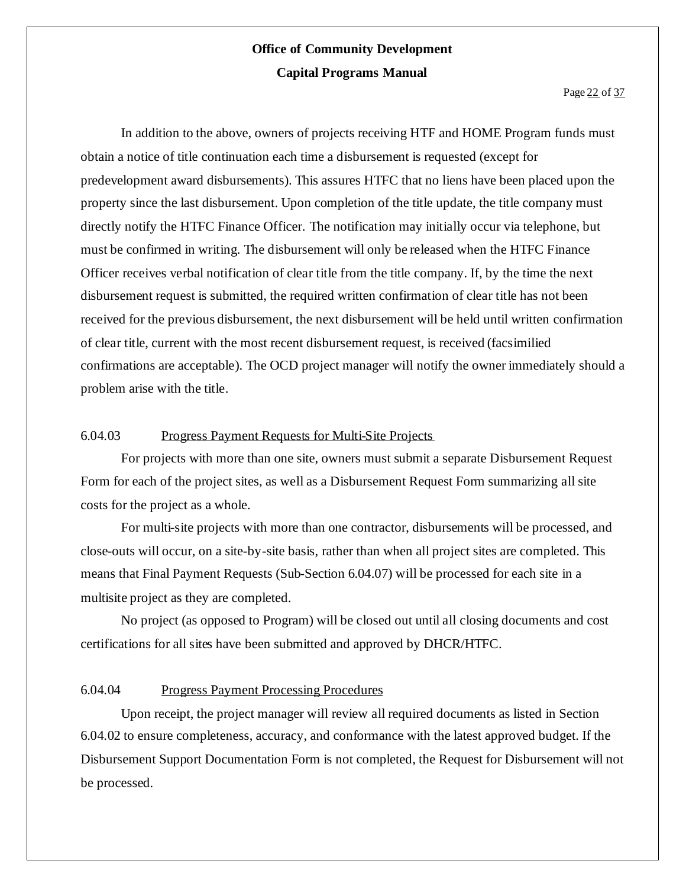In addition to the above, owners of projects receiving HTF and HOME Program funds must obtain a notice of title continuation each time a disbursement is requested (except for predevelopment award disbursements). This assures HTFC that no liens have been placed upon the property since the last disbursement. Upon completion of the title update, the title company must directly notify the HTFC Finance Officer. The notification may initially occur via telephone, but must be confirmed in writing. The disbursement will only be released when the HTFC Finance Officer receives verbal notification of clear title from the title company. If, by the time the next disbursement request is submitted, the required written confirmation of clear title has not been received for the previous disbursement, the next disbursement will be held until written confirmation of clear title, current with the most recent disbursement request, is received (facsimilied confirmations are acceptable). The OCD project manager will notify the owner immediately should a problem arise with the title.

#### 6.04.03 Progress Payment Requests for Multi-Site Projects

For projects with more than one site, owners must submit a separate Disbursement Request Form for each of the project sites, as well as a Disbursement Request Form summarizing all site costs for the project as a whole.

For multi-site projects with more than one contractor, disbursements will be processed, and close-outs will occur, on a site-by-site basis, rather than when all project sites are completed. This means that Final Payment Requests (Sub-Section 6.04.07) will be processed for each site in a multisite project as they are completed.

No project (as opposed to Program) will be closed out until all closing documents and cost certifications for all sites have been submitted and approved by DHCR/HTFC.

#### 6.04.04 Progress Payment Processing Procedures

Upon receipt, the project manager will review all required documents as listed in Section 6.04.02 to ensure completeness, accuracy, and conformance with the latest approved budget. If the Disbursement Support Documentation Form is not completed, the Request for Disbursement will not be processed.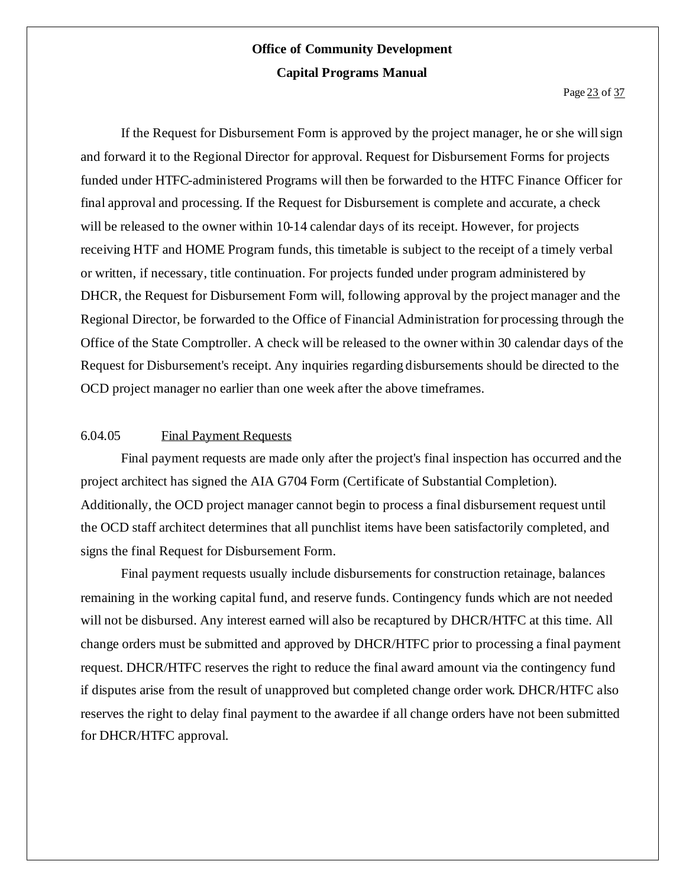If the Request for Disbursement Form is approved by the project manager, he or she willsign and forward it to the Regional Director for approval. Request for Disbursement Forms for projects funded under HTFC-administered Programs will then be forwarded to the HTFC Finance Officer for final approval and processing. If the Request for Disbursement is complete and accurate, a check will be released to the owner within 10-14 calendar days of its receipt. However, for projects receiving HTF and HOME Program funds, this timetable is subject to the receipt of a timely verbal or written, if necessary, title continuation. For projects funded under program administered by DHCR, the Request for Disbursement Form will, following approval by the project manager and the Regional Director, be forwarded to the Office of Financial Administration for processing through the Office of the State Comptroller. A check will be released to the owner within 30 calendar days of the Request for Disbursement's receipt. Any inquiries regarding disbursements should be directed to the OCD project manager no earlier than one week after the above timeframes.

#### 6.04.05 Final Payment Requests

Final payment requests are made only after the project's final inspection has occurred and the project architect has signed the AIA G704 Form (Certificate of Substantial Completion). Additionally, the OCD project manager cannot begin to process a final disbursement request until the OCD staff architect determines that all punchlist items have been satisfactorily completed, and signs the final Request for Disbursement Form.

Final payment requests usually include disbursements for construction retainage, balances remaining in the working capital fund, and reserve funds. Contingency funds which are not needed will not be disbursed. Any interest earned will also be recaptured by DHCR/HTFC at this time. All change orders must be submitted and approved by DHCR/HTFC prior to processing a final payment request. DHCR/HTFC reserves the right to reduce the final award amount via the contingency fund if disputes arise from the result of unapproved but completed change order work. DHCR/HTFC also reserves the right to delay final payment to the awardee if all change orders have not been submitted for DHCR/HTFC approval.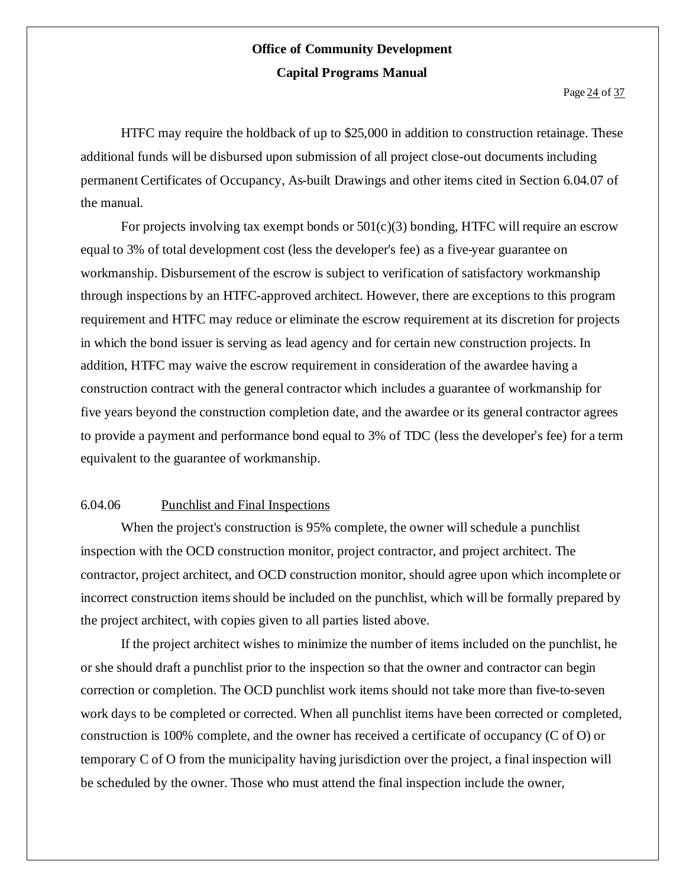HTFC may require the holdback of up to \$25,000 in addition to construction retainage. These additional funds will be disbursed upon submission of all project close-out documents including permanent Certificates of Occupancy, As-built Drawings and other items cited in Section 6.04.07 of the manual.

For projects involving tax exempt bonds or  $501(c)(3)$  bonding, HTFC will require an escrow equal to 3% of total development cost (less the developer's fee) as a five-year guarantee on workmanship. Disbursement of the escrow is subject to verification of satisfactory workmanship through inspections by an HTFC-approved architect. However, there are exceptions to this program requirement and HTFC may reduce or eliminate the escrow requirement at its discretion for projects in which the bond issuer is serving as lead agency and for certain new construction projects. In addition, HTFC may waive the escrow requirement in consideration of the awardee having a construction contract with the general contractor which includes a guarantee of workmanship for five years beyond the construction completion date, and the awardee or its general contractor agrees to provide a payment and performance bond equal to 3% of TDC (less the developer's fee) for a term equivalent to the guarantee of workmanship.

#### 6.04.06 Punchlist and Final Inspections

When the project's construction is 95% complete, the owner will schedule a punchlist inspection with the OCD construction monitor, project contractor, and project architect. The contractor, project architect, and OCD construction monitor, should agree upon which incomplete or incorrect construction items should be included on the punchlist, which will be formally prepared by the project architect, with copies given to all parties listed above.

If the project architect wishes to minimize the number of items included on the punchlist, he or she should draft a punchlist prior to the inspection so that the owner and contractor can begin correction or completion. The OCD punchlist work items should not take more than five-to-seven work days to be completed or corrected. When all punchlist items have been corrected or completed, construction is 100% complete, and the owner has received a certificate of occupancy (C of O) or temporary C of O from the municipality having jurisdiction over the project, a final inspection will be scheduled by the owner. Those who must attend the final inspection include the owner,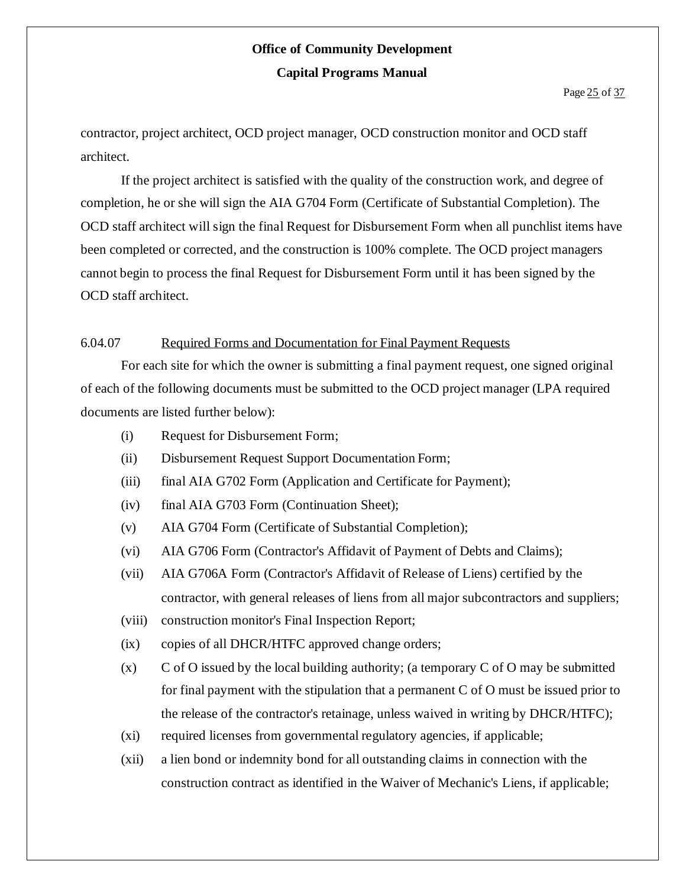contractor, project architect, OCD project manager, OCD construction monitor and OCD staff architect.

If the project architect is satisfied with the quality of the construction work, and degree of completion, he or she will sign the AIA G704 Form (Certificate of Substantial Completion). The OCD staff architect will sign the final Request for Disbursement Form when all punchlist items have been completed or corrected, and the construction is 100% complete. The OCD project managers cannot begin to process the final Request for Disbursement Form until it has been signed by the OCD staff architect.

#### 6.04.07 Required Forms and Documentation for Final Payment Requests

For each site for which the owner is submitting a final payment request, one signed original of each of the following documents must be submitted to the OCD project manager (LPA required documents are listed further below):

- (i) Request for Disbursement Form;
- (ii) Disbursement Request Support Documentation Form;
- (iii) final AIA G702 Form (Application and Certificate for Payment);
- (iv) final AIA G703 Form (Continuation Sheet);
- (v) AIA G704 Form (Certificate of Substantial Completion);
- (vi) AIA G706 Form (Contractor's Affidavit of Payment of Debts and Claims);
- (vii) AIA G706A Form (Contractor's Affidavit of Release of Liens) certified by the contractor, with general releases of liens from all major subcontractors and suppliers;
- (viii) construction monitor's Final Inspection Report;
- (ix) copies of all DHCR/HTFC approved change orders;
- $(x)$  C of O issued by the local building authority; (a temporary C of O may be submitted for final payment with the stipulation that a permanent C of O must be issued prior to the release of the contractor's retainage, unless waived in writing by DHCR/HTFC);
- (xi) required licenses from governmental regulatory agencies, if applicable;
- (xii) a lien bond or indemnity bond for all outstanding claims in connection with the construction contract as identified in the Waiver of Mechanic's Liens, if applicable;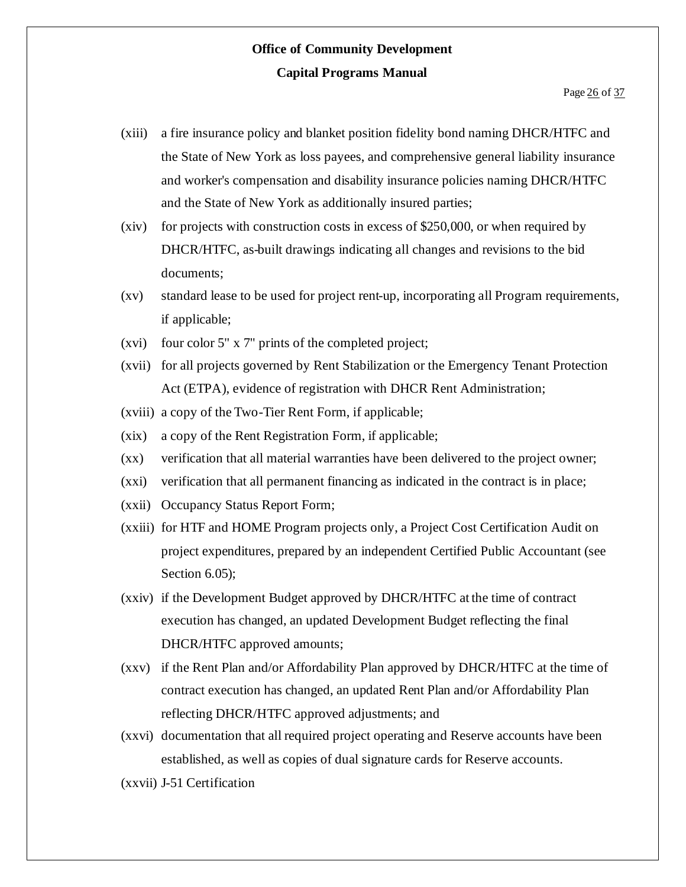- (xiii) a fire insurance policy and blanket position fidelity bond naming DHCR/HTFC and the State of New York as loss payees, and comprehensive general liability insurance and worker's compensation and disability insurance policies naming DHCR/HTFC and the State of New York as additionally insured parties;
- (xiv) for projects with construction costs in excess of \$250,000, or when required by DHCR/HTFC, as-built drawings indicating all changes and revisions to the bid documents;
- (xv) standard lease to be used for project rent-up, incorporating all Program requirements, if applicable;
- (xvi) four color 5" x 7" prints of the completed project;
- (xvii) for all projects governed by Rent Stabilization or the Emergency Tenant Protection Act (ETPA), evidence of registration with DHCR Rent Administration;
- (xviii) a copy of the Two-Tier Rent Form, if applicable;
- (xix) a copy of the Rent Registration Form, if applicable;
- (xx) verification that all material warranties have been delivered to the project owner;
- (xxi) verification that all permanent financing as indicated in the contract is in place;
- (xxii) Occupancy Status Report Form;
- (xxiii) for HTF and HOME Program projects only, a Project Cost Certification Audit on project expenditures, prepared by an independent Certified Public Accountant (see Section 6.05);
- (xxiv) if the Development Budget approved by DHCR/HTFC at the time of contract execution has changed, an updated Development Budget reflecting the final DHCR/HTFC approved amounts;
- (xxv) if the Rent Plan and/or Affordability Plan approved by DHCR/HTFC at the time of contract execution has changed, an updated Rent Plan and/or Affordability Plan reflecting DHCR/HTFC approved adjustments; and
- (xxvi) documentation that all required project operating and Reserve accounts have been established, as well as copies of dual signature cards for Reserve accounts.
- (xxvii) J-51 Certification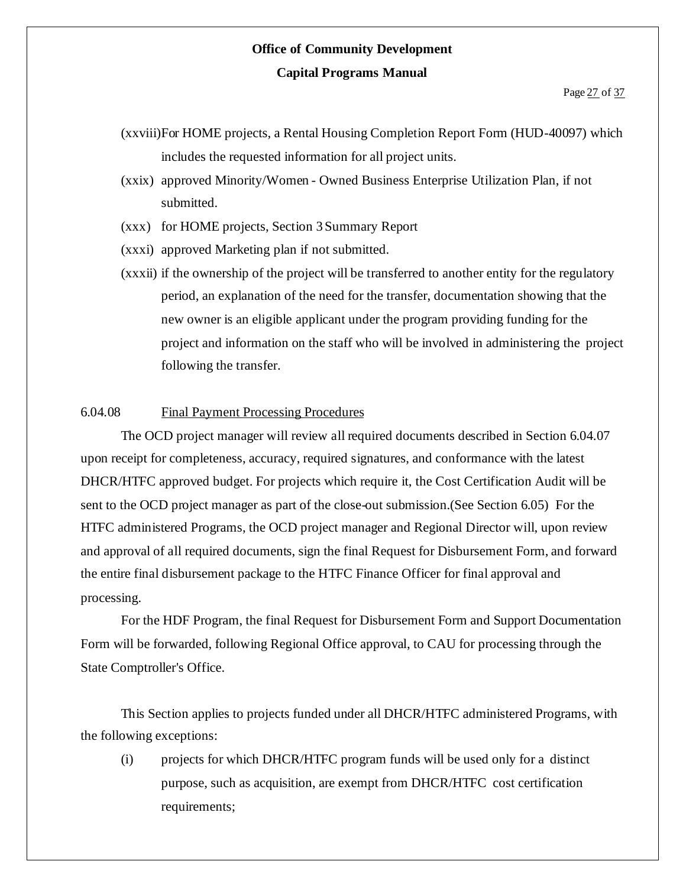- (xxviii)For HOME projects, a Rental Housing Completion Report Form (HUD-40097) which includes the requested information for all project units.
- (xxix) approved Minority/Women Owned Business Enterprise Utilization Plan, if not submitted.
- (xxx) for HOME projects, Section 3 Summary Report
- (xxxi) approved Marketing plan if not submitted.
- (xxxii) if the ownership of the project will be transferred to another entity for the regulatory period, an explanation of the need for the transfer, documentation showing that the new owner is an eligible applicant under the program providing funding for the project and information on the staff who will be involved in administering the project following the transfer.

#### 6.04.08 Final Payment Processing Procedures

The OCD project manager will review all required documents described in Section 6.04.07 upon receipt for completeness, accuracy, required signatures, and conformance with the latest DHCR/HTFC approved budget. For projects which require it, the Cost Certification Audit will be sent to the OCD project manager as part of the close-out submission.(See Section 6.05) For the HTFC administered Programs, the OCD project manager and Regional Director will, upon review and approval of all required documents, sign the final Request for Disbursement Form, and forward the entire final disbursement package to the HTFC Finance Officer for final approval and processing.

For the HDF Program, the final Request for Disbursement Form and Support Documentation Form will be forwarded, following Regional Office approval, to CAU for processing through the State Comptroller's Office.

This Section applies to projects funded under all DHCR/HTFC administered Programs, with the following exceptions:

(i) projects for which DHCR/HTFC program funds will be used only for a distinct purpose, such as acquisition, are exempt from DHCR/HTFC cost certification requirements;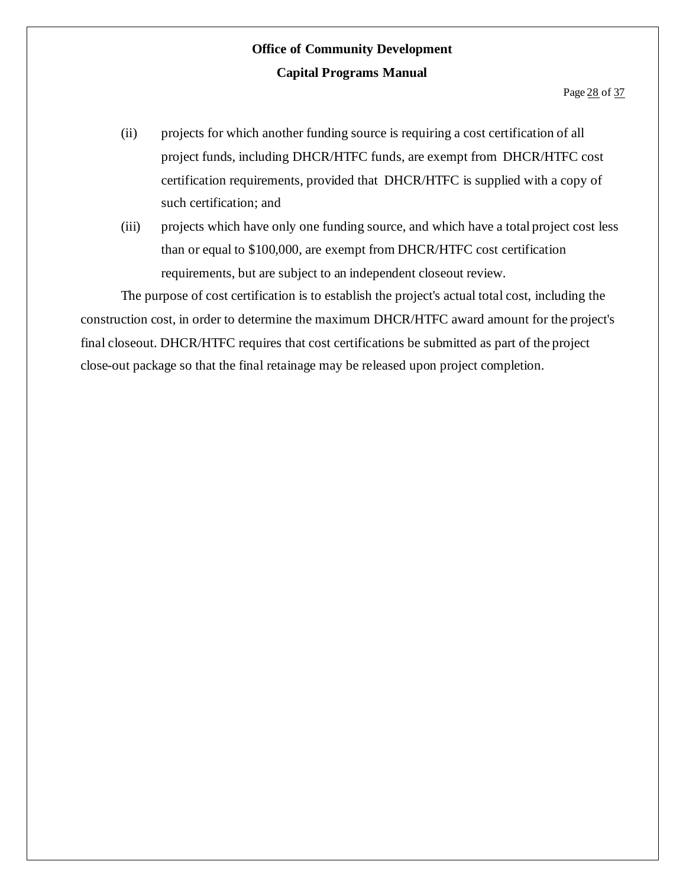- (ii) projects for which another funding source is requiring a cost certification of all project funds, including DHCR/HTFC funds, are exempt from DHCR/HTFC cost certification requirements, provided that DHCR/HTFC is supplied with a copy of such certification; and
- (iii) projects which have only one funding source, and which have a total project cost less than or equal to \$100,000, are exempt from DHCR/HTFC cost certification requirements, but are subject to an independent closeout review.

The purpose of cost certification is to establish the project's actual total cost, including the construction cost, in order to determine the maximum DHCR/HTFC award amount for the project's final closeout. DHCR/HTFC requires that cost certifications be submitted as part of the project close-out package so that the final retainage may be released upon project completion.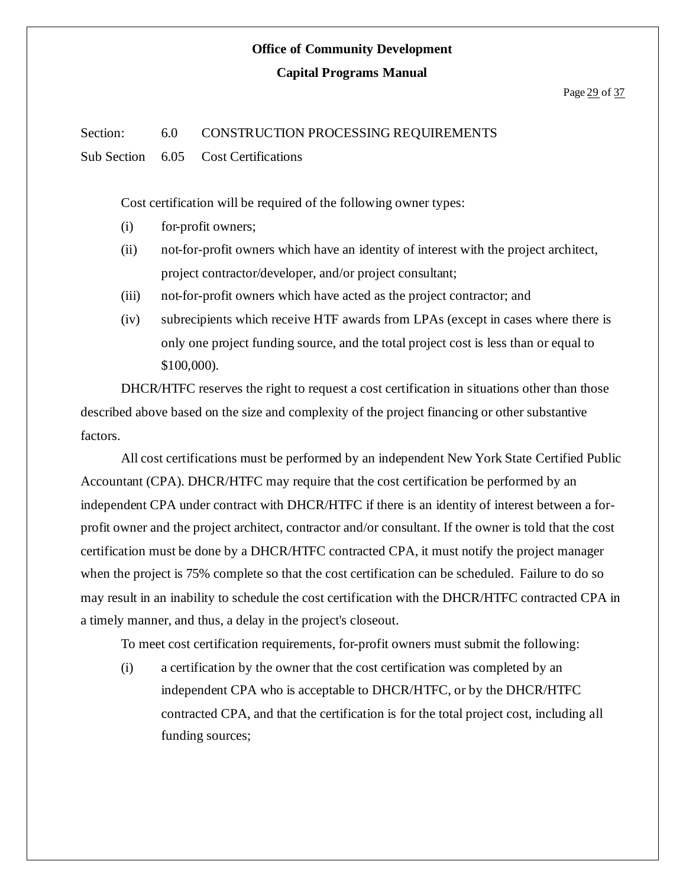# **Office of Community Development**

#### **Capital Programs Manual**

#### Page 29 of 37

#### Section: 6.0 CONSTRUCTION PROCESSING REQUIREMENTS

Sub Section 6.05 Cost Certifications

Cost certification will be required of the following owner types:

- (i) for-profit owners;
- (ii) not-for-profit owners which have an identity of interest with the project architect, project contractor/developer, and/or project consultant;
- (iii) not-for-profit owners which have acted as the project contractor; and
- (iv) subrecipients which receive HTF awards from LPAs (except in cases where there is only one project funding source, and the total project cost is less than or equal to \$100,000).

DHCR/HTFC reserves the right to request a cost certification in situations other than those described above based on the size and complexity of the project financing or other substantive factors.

All cost certifications must be performed by an independent New York State Certified Public Accountant (CPA). DHCR/HTFC may require that the cost certification be performed by an independent CPA under contract with DHCR/HTFC if there is an identity of interest between a forprofit owner and the project architect, contractor and/or consultant. If the owner is told that the cost certification must be done by a DHCR/HTFC contracted CPA, it must notify the project manager when the project is 75% complete so that the cost certification can be scheduled. Failure to do so may result in an inability to schedule the cost certification with the DHCR/HTFC contracted CPA in a timely manner, and thus, a delay in the project's closeout.

To meet cost certification requirements, for-profit owners must submit the following:

(i) a certification by the owner that the cost certification was completed by an independent CPA who is acceptable to DHCR/HTFC, or by the DHCR/HTFC contracted CPA, and that the certification is for the total project cost, including all funding sources;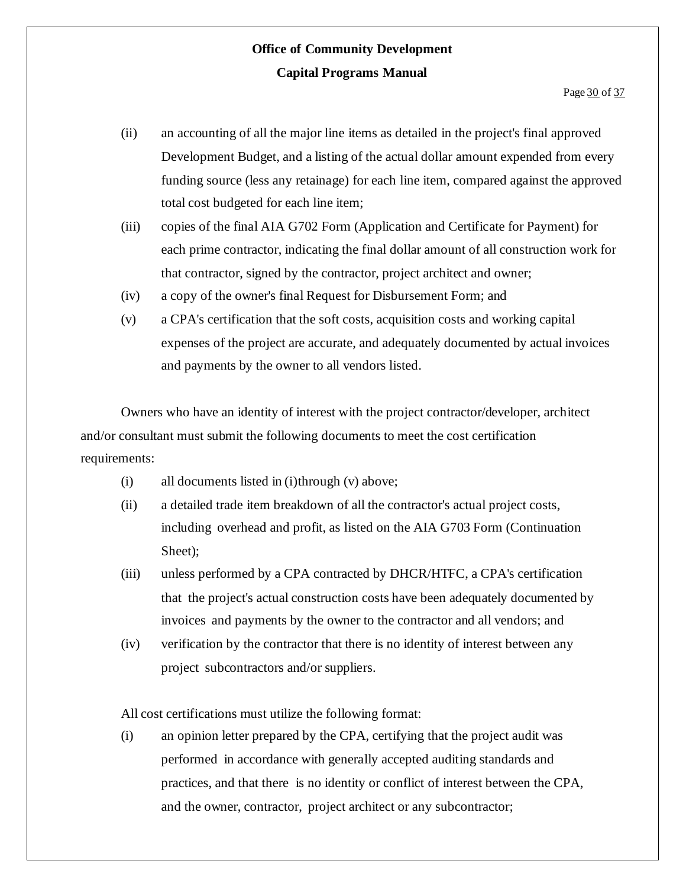- (ii) an accounting of all the major line items as detailed in the project's final approved Development Budget, and a listing of the actual dollar amount expended from every funding source (less any retainage) for each line item, compared against the approved total cost budgeted for each line item;
- (iii) copies of the final AIA G702 Form (Application and Certificate for Payment) for each prime contractor, indicating the final dollar amount of all construction work for that contractor, signed by the contractor, project architect and owner;
- (iv) a copy of the owner's final Request for Disbursement Form; and
- (v) a CPA's certification that the soft costs, acquisition costs and working capital expenses of the project are accurate, and adequately documented by actual invoices and payments by the owner to all vendors listed.

Owners who have an identity of interest with the project contractor/developer, architect and/or consultant must submit the following documents to meet the cost certification requirements:

- $(i)$  all documents listed in  $(i)$ through  $(v)$  above;
- (ii) a detailed trade item breakdown of all the contractor's actual project costs, including overhead and profit, as listed on the AIA G703 Form (Continuation Sheet);
- (iii) unless performed by a CPA contracted by DHCR/HTFC, a CPA's certification that the project's actual construction costs have been adequately documented by invoices and payments by the owner to the contractor and all vendors; and
- (iv) verification by the contractor that there is no identity of interest between any project subcontractors and/or suppliers.

All cost certifications must utilize the following format:

(i) an opinion letter prepared by the CPA, certifying that the project audit was performed in accordance with generally accepted auditing standards and practices, and that there is no identity or conflict of interest between the CPA, and the owner, contractor, project architect or any subcontractor;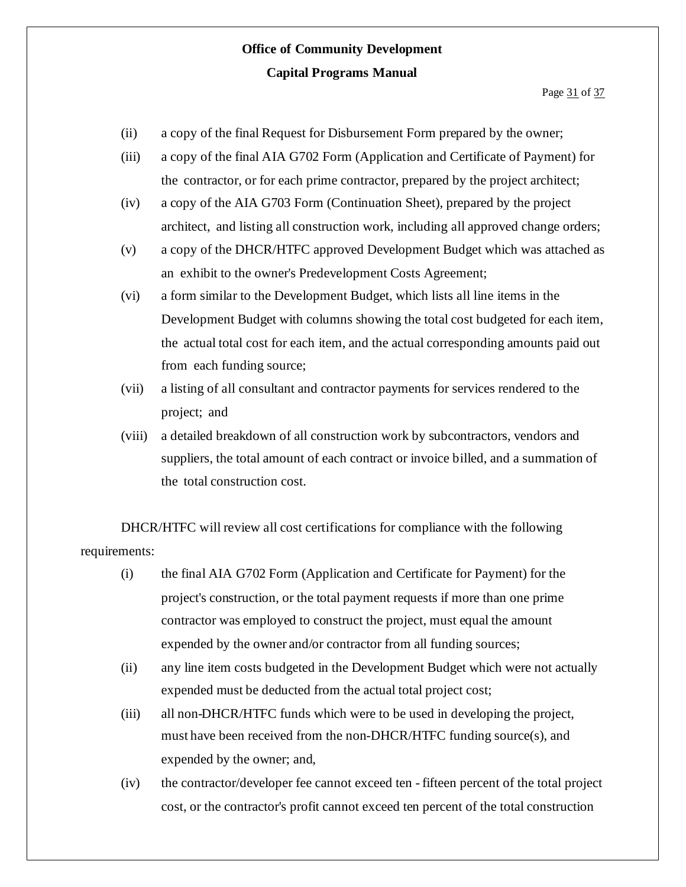- (ii) a copy of the final Request for Disbursement Form prepared by the owner;
- (iii) a copy of the final AIA G702 Form (Application and Certificate of Payment) for the contractor, or for each prime contractor, prepared by the project architect;
- (iv) a copy of the AIA G703 Form (Continuation Sheet), prepared by the project architect, and listing all construction work, including all approved change orders;
- (v) a copy of the DHCR/HTFC approved Development Budget which was attached as an exhibit to the owner's Predevelopment Costs Agreement;
- (vi) a form similar to the Development Budget, which lists all line items in the Development Budget with columns showing the total cost budgeted for each item, the actual total cost for each item, and the actual corresponding amounts paid out from each funding source;
- (vii) a listing of all consultant and contractor payments for services rendered to the project; and
- (viii) a detailed breakdown of all construction work by subcontractors, vendors and suppliers, the total amount of each contract or invoice billed, and a summation of the total construction cost.

DHCR/HTFC will review all cost certifications for compliance with the following requirements:

- (i) the final AIA G702 Form (Application and Certificate for Payment) for the project's construction, or the total payment requests if more than one prime contractor was employed to construct the project, must equal the amount expended by the owner and/or contractor from all funding sources;
- (ii) any line item costs budgeted in the Development Budget which were not actually expended must be deducted from the actual total project cost;
- (iii) all non-DHCR/HTFC funds which were to be used in developing the project, must have been received from the non-DHCR/HTFC funding source(s), and expended by the owner; and,
- (iv) the contractor/developer fee cannot exceed ten fifteen percent of the total project cost, or the contractor's profit cannot exceed ten percent of the total construction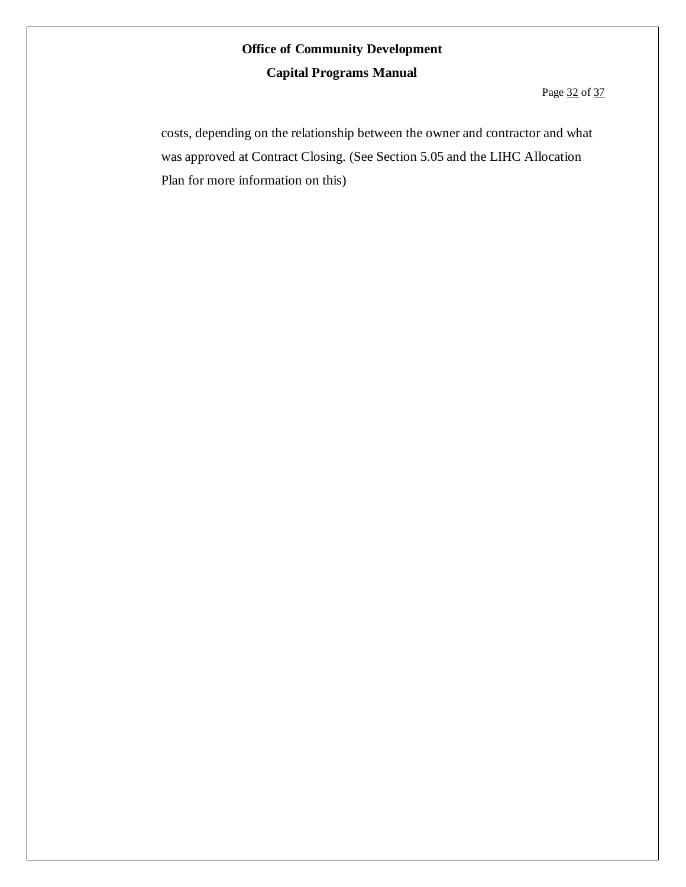Page 32 of 37

costs, depending on the relationship between the owner and contractor and what was approved at Contract Closing. (See Section 5.05 and the LIHC Allocation Plan for more information on this)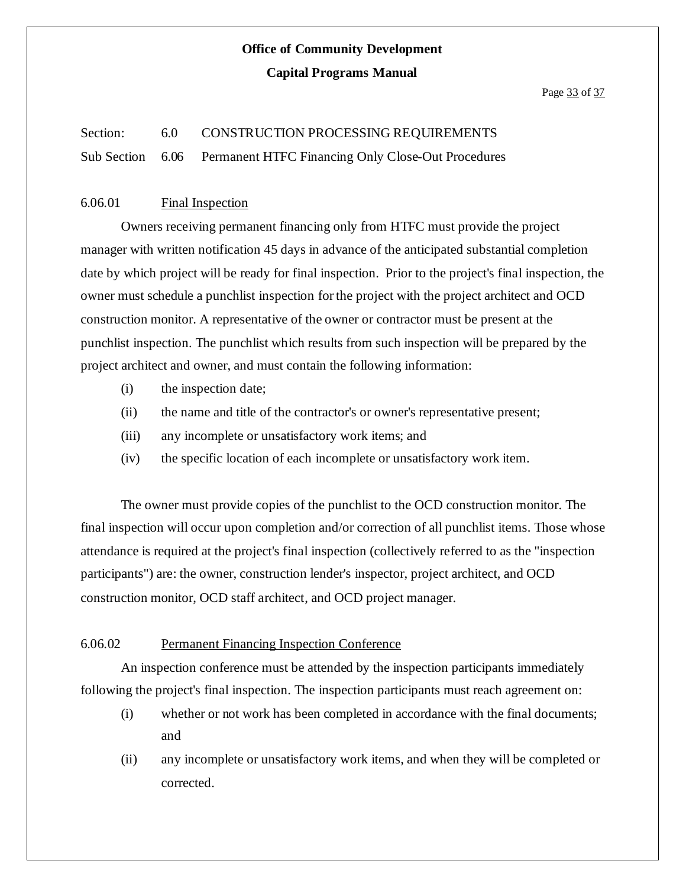#### Page 33 of 37

### Section: 6.0 CONSTRUCTION PROCESSING REQUIREMENTS Sub Section 6.06 Permanent HTFC Financing Only Close-Out Procedures

#### 6.06.01 Final Inspection

Owners receiving permanent financing only from HTFC must provide the project manager with written notification 45 days in advance of the anticipated substantial completion date by which project will be ready for final inspection. Prior to the project's final inspection, the owner must schedule a punchlist inspection for the project with the project architect and OCD construction monitor. A representative of the owner or contractor must be present at the punchlist inspection. The punchlist which results from such inspection will be prepared by the project architect and owner, and must contain the following information:

- (i) the inspection date;
- (ii) the name and title of the contractor's or owner's representative present;
- (iii) any incomplete or unsatisfactory work items; and
- (iv) the specific location of each incomplete or unsatisfactory work item.

The owner must provide copies of the punchlist to the OCD construction monitor. The final inspection will occur upon completion and/or correction of all punchlist items. Those whose attendance is required at the project's final inspection (collectively referred to as the "inspection participants") are: the owner, construction lender's inspector, project architect, and OCD construction monitor, OCD staff architect, and OCD project manager.

#### 6.06.02 Permanent Financing Inspection Conference

An inspection conference must be attended by the inspection participants immediately following the project's final inspection. The inspection participants must reach agreement on:

- (i) whether or not work has been completed in accordance with the final documents; and
- (ii) any incomplete or unsatisfactory work items, and when they will be completed or corrected.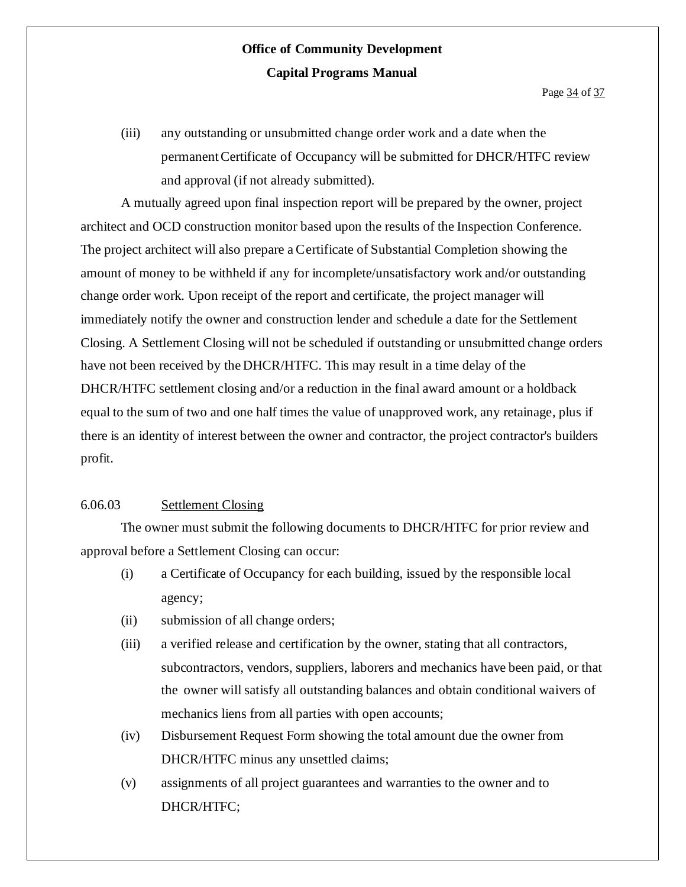(iii) any outstanding or unsubmitted change order work and a date when the permanentCertificate of Occupancy will be submitted for DHCR/HTFC review and approval (if not already submitted).

A mutually agreed upon final inspection report will be prepared by the owner, project architect and OCD construction monitor based upon the results of the Inspection Conference. The project architect will also prepare aCertificate of Substantial Completion showing the amount of money to be withheld if any for incomplete/unsatisfactory work and/or outstanding change order work. Upon receipt of the report and certificate, the project manager will immediately notify the owner and construction lender and schedule a date for the Settlement Closing. A Settlement Closing will not be scheduled if outstanding or unsubmitted change orders have not been received by the DHCR/HTFC. This may result in a time delay of the DHCR/HTFC settlement closing and/or a reduction in the final award amount or a holdback equal to the sum of two and one half times the value of unapproved work, any retainage, plus if there is an identity of interest between the owner and contractor, the project contractor's builders profit.

#### 6.06.03 Settlement Closing

The owner must submit the following documents to DHCR/HTFC for prior review and approval before a Settlement Closing can occur:

- (i) a Certificate of Occupancy for each building, issued by the responsible local agency;
- (ii) submission of all change orders;
- (iii) a verified release and certification by the owner, stating that all contractors, subcontractors, vendors, suppliers, laborers and mechanics have been paid, or that the owner will satisfy all outstanding balances and obtain conditional waivers of mechanics liens from all parties with open accounts;
- (iv) Disbursement Request Form showing the total amount due the owner from DHCR/HTFC minus any unsettled claims;
- (v) assignments of all project guarantees and warranties to the owner and to DHCR/HTFC;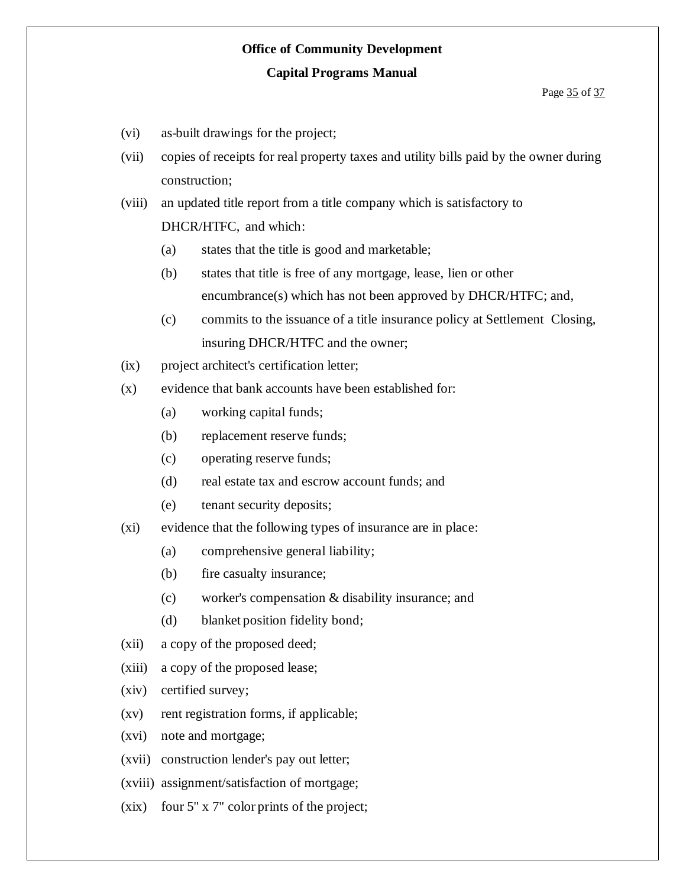# **Office of Community Development**

#### **Capital Programs Manual**

#### Page 35 of 37

- (vi) as-built drawings for the project;
- (vii) copies of receipts for real property taxes and utility bills paid by the owner during construction;
- (viii) an updated title report from a title company which is satisfactory to DHCR/HTFC, and which:
	- (a) states that the title is good and marketable;
	- (b) states that title is free of any mortgage, lease, lien or other encumbrance(s) which has not been approved by DHCR/HTFC; and,
	- (c) commits to the issuance of a title insurance policy at Settlement Closing, insuring DHCR/HTFC and the owner;
- (ix) project architect's certification letter;
- (x) evidence that bank accounts have been established for:
	- (a) working capital funds;
	- (b) replacement reserve funds;
	- (c) operating reserve funds;
	- (d) real estate tax and escrow account funds; and
	- (e) tenant security deposits;
- (xi) evidence that the following types of insurance are in place:
	- (a) comprehensive general liability;
	- (b) fire casualty insurance;
	- (c) worker's compensation & disability insurance; and
	- (d) blanket position fidelity bond;
- (xii) a copy of the proposed deed;
- (xiii) a copy of the proposed lease;
- (xiv) certified survey;
- $(xv)$  rent registration forms, if applicable;
- (xvi) note and mortgage;
- (xvii) construction lender's pay out letter;
- (xviii) assignment/satisfaction of mortgage;
- (xix) four 5" x 7" color prints of the project;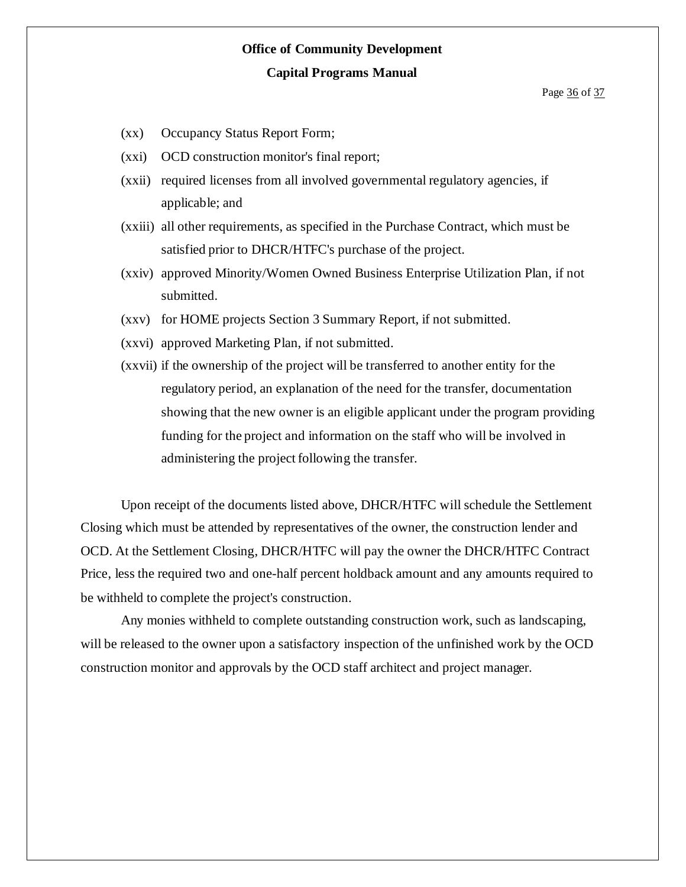# **Office of Community Development**

#### **Capital Programs Manual**

- (xx) Occupancy Status Report Form;
- (xxi) OCD construction monitor's final report;
- (xxii) required licenses from all involved governmental regulatory agencies, if applicable; and
- (xxiii) all other requirements, as specified in the Purchase Contract, which must be satisfied prior to DHCR/HTFC's purchase of the project.
- (xxiv) approved Minority/Women Owned Business Enterprise Utilization Plan, if not submitted.
- (xxv) for HOME projects Section 3 Summary Report, if not submitted.
- (xxvi) approved Marketing Plan, if not submitted.
- (xxvii) if the ownership of the project will be transferred to another entity for the regulatory period, an explanation of the need for the transfer, documentation showing that the new owner is an eligible applicant under the program providing funding for the project and information on the staff who will be involved in administering the project following the transfer.

Upon receipt of the documents listed above, DHCR/HTFC will schedule the Settlement Closing which must be attended by representatives of the owner, the construction lender and OCD. At the Settlement Closing, DHCR/HTFC will pay the owner the DHCR/HTFC Contract Price, less the required two and one-half percent holdback amount and any amounts required to be withheld to complete the project's construction.

Any monies withheld to complete outstanding construction work, such as landscaping, will be released to the owner upon a satisfactory inspection of the unfinished work by the OCD construction monitor and approvals by the OCD staff architect and project manager.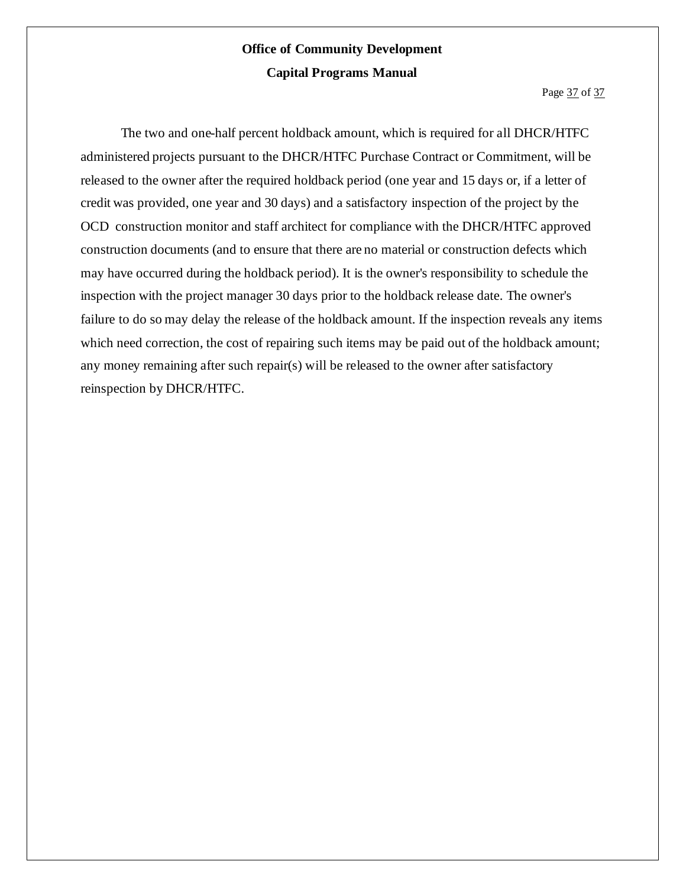Page 37 of 37

The two and one-half percent holdback amount, which is required for all DHCR/HTFC administered projects pursuant to the DHCR/HTFC Purchase Contract or Commitment, will be released to the owner after the required holdback period (one year and 15 days or, if a letter of credit was provided, one year and 30 days) and a satisfactory inspection of the project by the OCD construction monitor and staff architect for compliance with the DHCR/HTFC approved construction documents (and to ensure that there are no material or construction defects which may have occurred during the holdback period). It is the owner's responsibility to schedule the inspection with the project manager 30 days prior to the holdback release date. The owner's failure to do so may delay the release of the holdback amount. If the inspection reveals any items which need correction, the cost of repairing such items may be paid out of the holdback amount; any money remaining after such repair(s) will be released to the owner after satisfactory reinspection by DHCR/HTFC.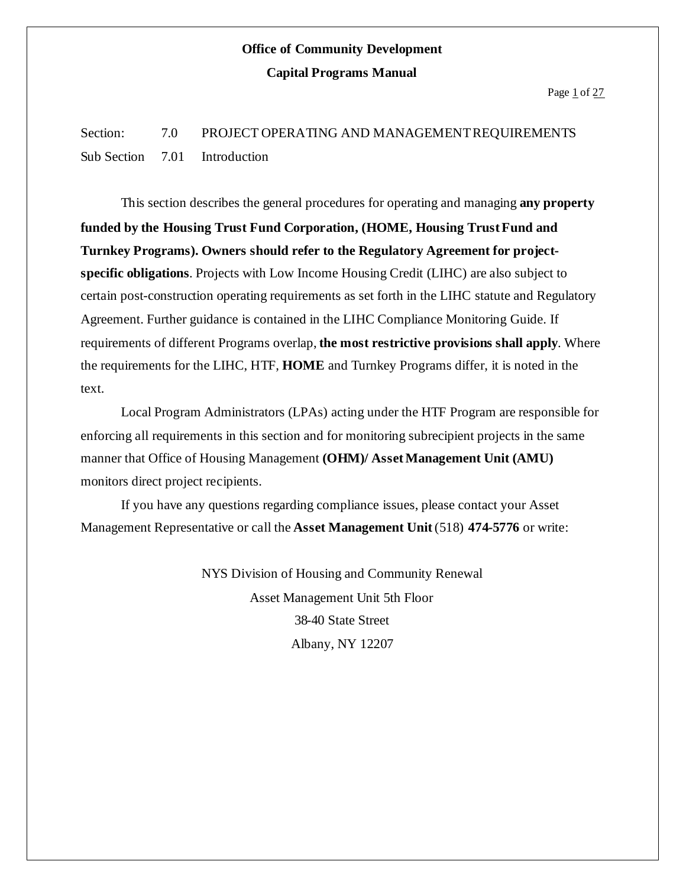Page 1 of 27

Section: 7.0 PROJECT OPERATING AND MANAGEMENT REQUIREMENTS Sub Section 7.01 Introduction

This section describes the general procedures for operating and managing **any property funded by the Housing Trust Fund Corporation, (HOME, Housing TrustFund and Turnkey Programs). Owners should refer to the Regulatory Agreement for projectspecific obligations**. Projects with Low Income Housing Credit (LIHC) are also subject to certain post-construction operating requirements as set forth in the LIHC statute and Regulatory Agreement. Further guidance is contained in the LIHC Compliance Monitoring Guide. If requirements of different Programs overlap, **the most restrictive provisions shall apply**. Where the requirements for the LIHC, HTF, **HOME** and Turnkey Programs differ, it is noted in the text.

Local Program Administrators (LPAs) acting under the HTF Program are responsible for enforcing all requirements in this section and for monitoring subrecipient projects in the same manner that Office of Housing Management **(OHM)/ AssetManagement Unit (AMU)** monitors direct project recipients.

If you have any questions regarding compliance issues, please contact your Asset Management Representative or call the **Asset Management Unit**(518) **474-5776** or write:

> NYS Division of Housing and Community Renewal Asset Management Unit 5th Floor 38-40 State Street Albany, NY 12207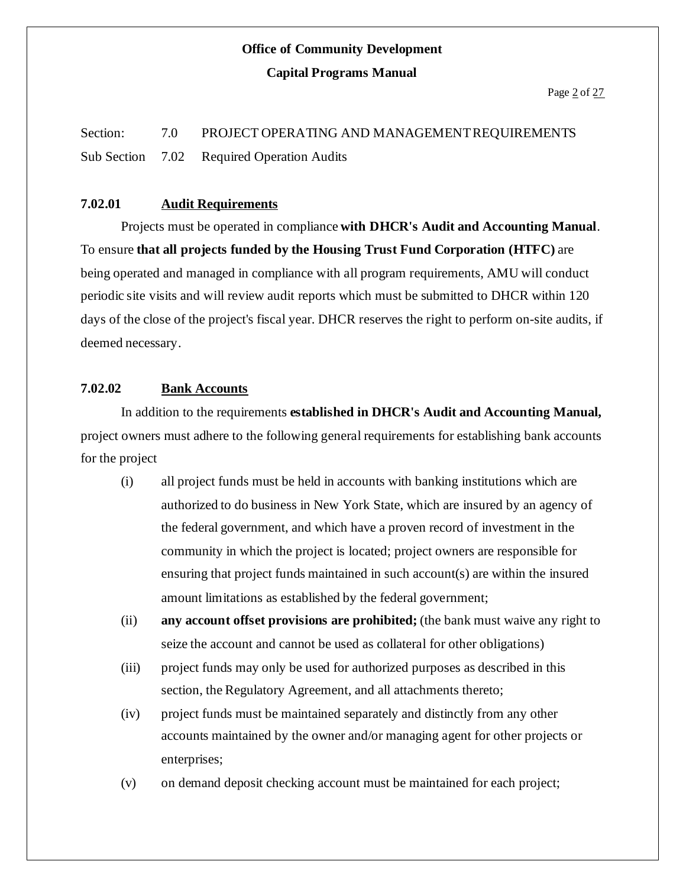Section: 7.0 PROJECT OPERATING AND MANAGEMENT REQUIREMENTS Sub Section 7.02 Required Operation Audits

#### **7.02.01 Audit Requirements**

Projects must be operated in compliance **with DHCR's Audit and Accounting Manual**. To ensure **that all projects funded by the Housing Trust Fund Corporation (HTFC)** are being operated and managed in compliance with all program requirements, AMU will conduct periodic site visits and will review audit reports which must be submitted to DHCR within 120 days of the close of the project's fiscal year. DHCR reserves the right to perform on-site audits, if deemed necessary.

#### **7.02.02 Bank Accounts**

In addition to the requirements **established in DHCR's Audit and Accounting Manual,** project owners must adhere to the following general requirements for establishing bank accounts for the project

- (i) all project funds must be held in accounts with banking institutions which are authorized to do business in New York State, which are insured by an agency of the federal government, and which have a proven record of investment in the community in which the project is located; project owners are responsible for ensuring that project funds maintained in such account(s) are within the insured amount limitations as established by the federal government;
- (ii) **any account offset provisions are prohibited;** (the bank must waive any right to seize the account and cannot be used as collateral for other obligations)
- (iii) project funds may only be used for authorized purposes as described in this section, the Regulatory Agreement, and all attachments thereto;
- (iv) project funds must be maintained separately and distinctly from any other accounts maintained by the owner and/or managing agent for other projects or enterprises;
- (v) on demand deposit checking account must be maintained for each project;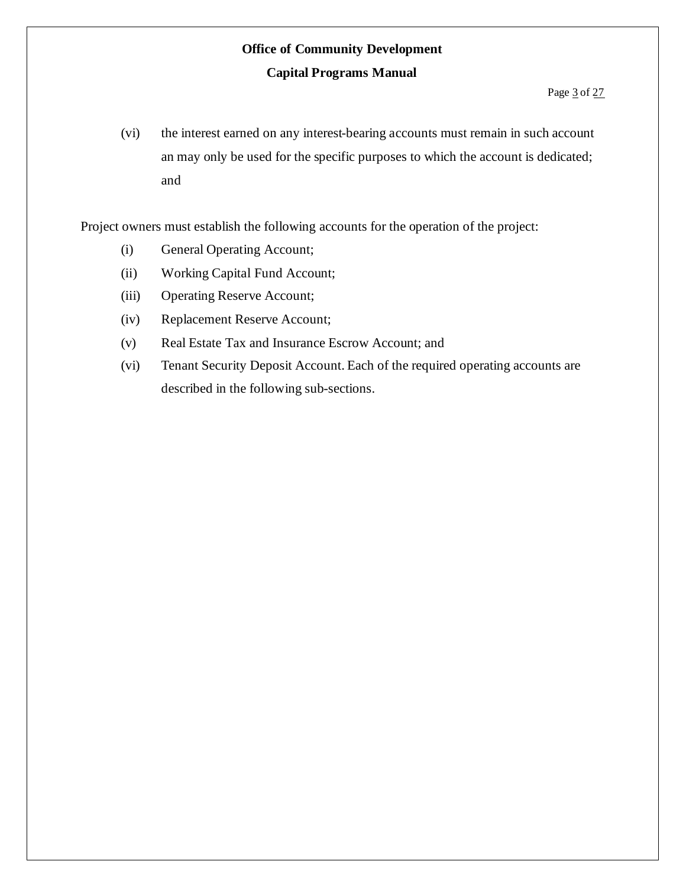(vi) the interest earned on any interest-bearing accounts must remain in such account an may only be used for the specific purposes to which the account is dedicated; and

Project owners must establish the following accounts for the operation of the project:

- (i) General Operating Account;
- (ii) Working Capital Fund Account;
- (iii) Operating Reserve Account;
- (iv) Replacement Reserve Account;
- (v) Real Estate Tax and Insurance Escrow Account; and
- (vi) Tenant Security Deposit Account. Each of the required operating accounts are described in the following sub-sections.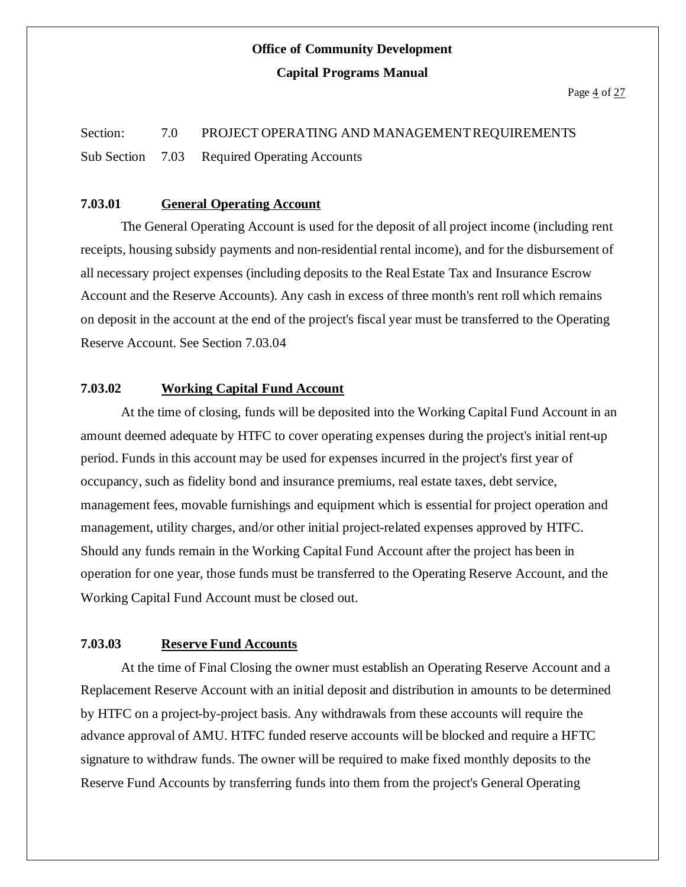# Section: 7.0 PROJECT OPERATING AND MANAGEMENT REQUIREMENTS Sub Section 7.03 Required Operating Accounts

### **7.03.01 General Operating Account**

The General Operating Account is used for the deposit of all project income (including rent receipts, housing subsidy payments and non-residential rental income), and for the disbursement of all necessary project expenses (including deposits to the RealEstate Tax and Insurance Escrow Account and the Reserve Accounts). Any cash in excess of three month's rent roll which remains on deposit in the account at the end of the project's fiscal year must be transferred to the Operating Reserve Account. See Section 7.03.04

### **7.03.02 Working Capital Fund Account**

At the time of closing, funds will be deposited into the Working Capital Fund Account in an amount deemed adequate by HTFC to cover operating expenses during the project's initial rent-up period. Funds in this account may be used for expenses incurred in the project's first year of occupancy, such as fidelity bond and insurance premiums, real estate taxes, debt service, management fees, movable furnishings and equipment which is essential for project operation and management, utility charges, and/or other initial project-related expenses approved by HTFC. Should any funds remain in the Working Capital Fund Account after the project has been in operation for one year, those funds must be transferred to the Operating Reserve Account, and the Working Capital Fund Account must be closed out.

#### **7.03.03 Reserve Fund Accounts**

At the time of Final Closing the owner must establish an Operating Reserve Account and a Replacement Reserve Account with an initial deposit and distribution in amounts to be determined by HTFC on a project-by-project basis. Any withdrawals from these accounts will require the advance approval of AMU. HTFC funded reserve accounts will be blocked and require a HFTC signature to withdraw funds. The owner will be required to make fixed monthly deposits to the Reserve Fund Accounts by transferring funds into them from the project's General Operating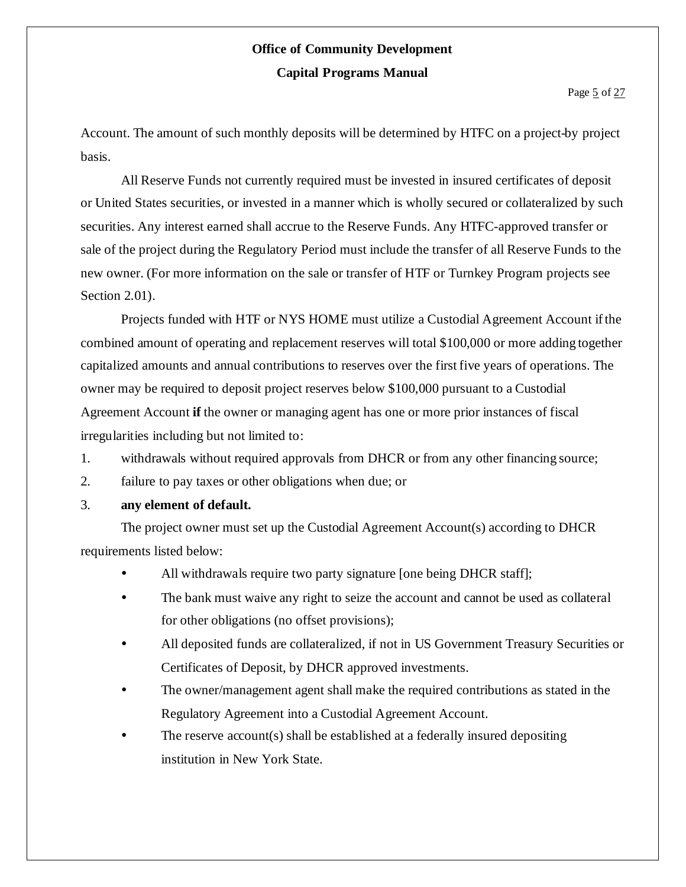Account. The amount of such monthly deposits will be determined by HTFC on a project-by project basis.

All Reserve Funds not currently required must be invested in insured certificates of deposit or United States securities, or invested in a manner which is wholly secured or collateralized by such securities. Any interest earned shall accrue to the Reserve Funds. Any HTFC-approved transfer or sale of the project during the Regulatory Period must include the transfer of all Reserve Funds to the new owner. (For more information on the sale or transfer of HTF or Turnkey Program projects see Section 2.01).

Projects funded with HTF or NYS HOME must utilize a Custodial Agreement Account ifthe combined amount of operating and replacement reserves will total \$100,000 or more adding together capitalized amounts and annual contributions to reserves over the first five years of operations. The owner may be required to deposit project reserves below \$100,000 pursuant to a Custodial Agreement Account **if** the owner or managing agent has one or more prior instances of fiscal irregularities including but not limited to:

- 1. withdrawals without required approvals from DHCR or from any other financing source;
- 2. failure to pay taxes or other obligations when due; or
- 3. **any element of default.**

The project owner must set up the Custodial Agreement Account(s) according to DHCR requirements listed below:

- All withdrawals require two party signature [one being DHCR staff];
- The bank must waive any right to seize the account and cannot be used as collateral for other obligations (no offset provisions);
- All deposited funds are collateralized, if not in US Government Treasury Securities or Certificates of Deposit, by DHCR approved investments.
- The owner/management agent shall make the required contributions as stated in the Regulatory Agreement into a Custodial Agreement Account.
- The reserve account(s) shall be established at a federally insured depositing institution in New York State.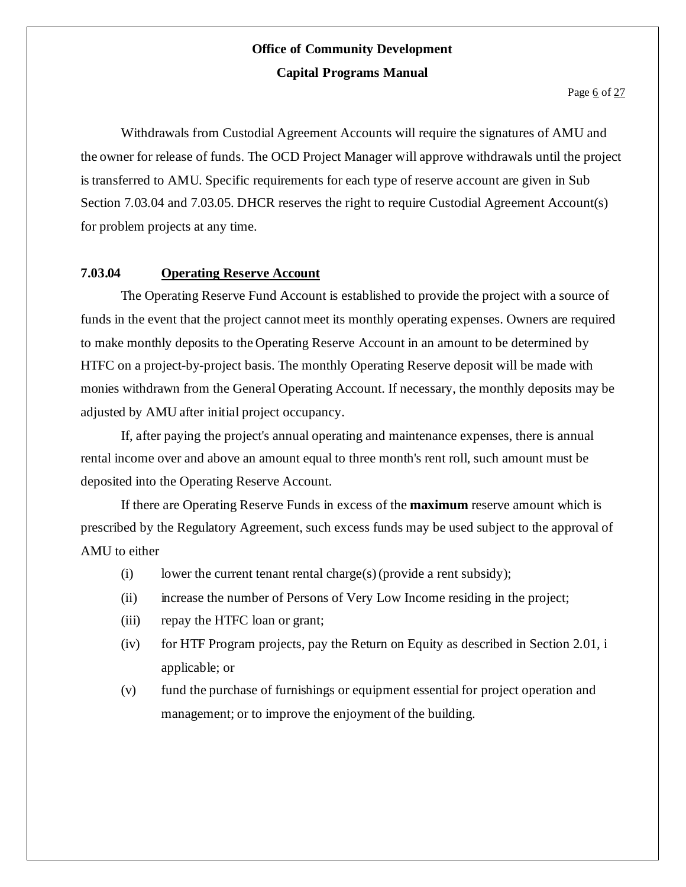Withdrawals from Custodial Agreement Accounts will require the signatures of AMU and the owner for release of funds. The OCD Project Manager will approve withdrawals until the project is transferred to AMU. Specific requirements for each type of reserve account are given in Sub Section 7.03.04 and 7.03.05. DHCR reserves the right to require Custodial Agreement Account(s) for problem projects at any time.

### **7.03.04 Operating Reserve Account**

The Operating Reserve Fund Account is established to provide the project with a source of funds in the event that the project cannot meet its monthly operating expenses. Owners are required to make monthly deposits to the Operating Reserve Account in an amount to be determined by HTFC on a project-by-project basis. The monthly Operating Reserve deposit will be made with monies withdrawn from the General Operating Account. If necessary, the monthly deposits may be adjusted by AMU after initial project occupancy.

If, after paying the project's annual operating and maintenance expenses, there is annual rental income over and above an amount equal to three month's rent roll, such amount must be deposited into the Operating Reserve Account.

If there are Operating Reserve Funds in excess of the **maximum** reserve amount which is prescribed by the Regulatory Agreement, such excess funds may be used subject to the approval of AMU to either

- (i) lower the current tenant rental charge(s)(provide a rent subsidy);
- (ii) increase the number of Persons of Very Low Income residing in the project;
- (iii) repay the HTFC loan or grant;
- (iv) for HTF Program projects, pay the Return on Equity as described in Section 2.01, i applicable; or
- (v) fund the purchase of furnishings or equipment essential for project operation and management; or to improve the enjoyment of the building.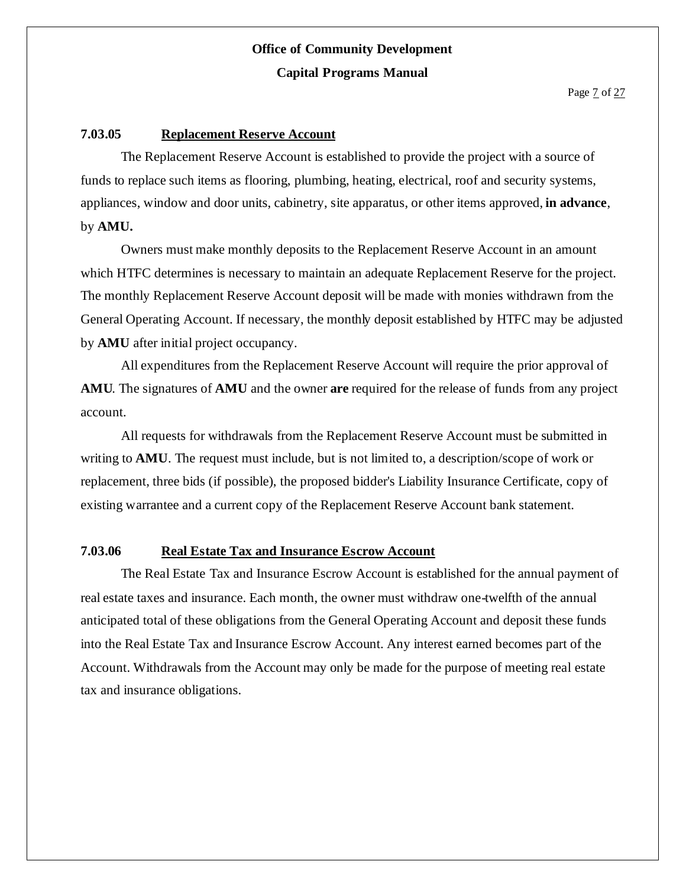#### **7.03.05 Replacement Reserve Account**

The Replacement Reserve Account is established to provide the project with a source of funds to replace such items as flooring, plumbing, heating, electrical, roof and security systems, appliances, window and door units, cabinetry, site apparatus, or other items approved, **in advance**, by **AMU.**

Owners must make monthly deposits to the Replacement Reserve Account in an amount which HTFC determines is necessary to maintain an adequate Replacement Reserve for the project. The monthly Replacement Reserve Account deposit will be made with monies withdrawn from the General Operating Account. If necessary, the monthly deposit established by HTFC may be adjusted by **AMU** after initial project occupancy.

All expenditures from the Replacement Reserve Account will require the prior approval of **AMU**. The signatures of **AMU** and the owner **are** required for the release of funds from any project account.

All requests for withdrawals from the Replacement Reserve Account must be submitted in writing to **AMU**. The request must include, but is not limited to, a description/scope of work or replacement, three bids (if possible), the proposed bidder's Liability Insurance Certificate, copy of existing warrantee and a current copy of the Replacement Reserve Account bank statement.

### **7.03.06 Real Estate Tax and Insurance Escrow Account**

The Real Estate Tax and Insurance Escrow Account is established for the annual payment of real estate taxes and insurance. Each month, the owner must withdraw one-twelfth of the annual anticipated total of these obligations from the General Operating Account and deposit these funds into the Real Estate Tax and Insurance Escrow Account. Any interest earned becomes part of the Account. Withdrawals from the Account may only be made for the purpose of meeting real estate tax and insurance obligations.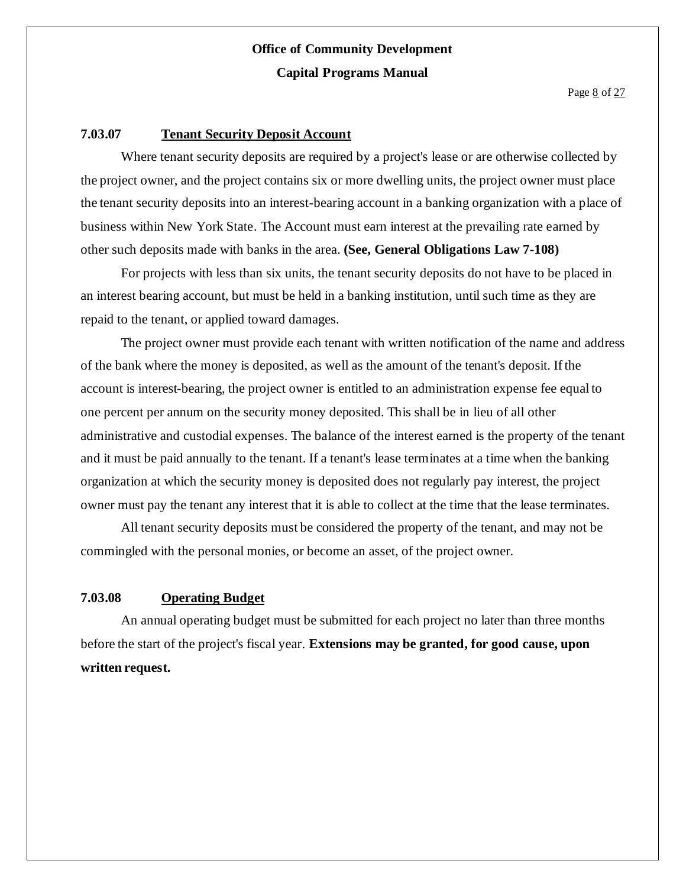#### **7.03.07 Tenant Security Deposit Account**

Where tenant security deposits are required by a project's lease or are otherwise collected by the project owner, and the project contains six or more dwelling units, the project owner must place the tenant security deposits into an interest-bearing account in a banking organization with a place of business within New York State. The Account must earn interest at the prevailing rate earned by other such deposits made with banks in the area. **(See, General Obligations Law 7-108)**

For projects with less than six units, the tenant security deposits do not have to be placed in an interest bearing account, but must be held in a banking institution, until such time as they are repaid to the tenant, or applied toward damages.

The project owner must provide each tenant with written notification of the name and address of the bank where the money is deposited, as well as the amount of the tenant's deposit. Ifthe account is interest-bearing, the project owner is entitled to an administration expense fee equal to one percent per annum on the security money deposited. This shall be in lieu of all other administrative and custodial expenses. The balance of the interest earned is the property of the tenant and it must be paid annually to the tenant. If a tenant's lease terminates at a time when the banking organization at which the security money is deposited does not regularly pay interest, the project owner must pay the tenant any interest that it is able to collect at the time that the lease terminates.

All tenant security deposits must be considered the property of the tenant, and may not be commingled with the personal monies, or become an asset, of the project owner.

### **7.03.08 Operating Budget**

An annual operating budget must be submitted for each project no later than three months before the start of the project's fiscal year. **Extensions may be granted, for good cause, upon written request.**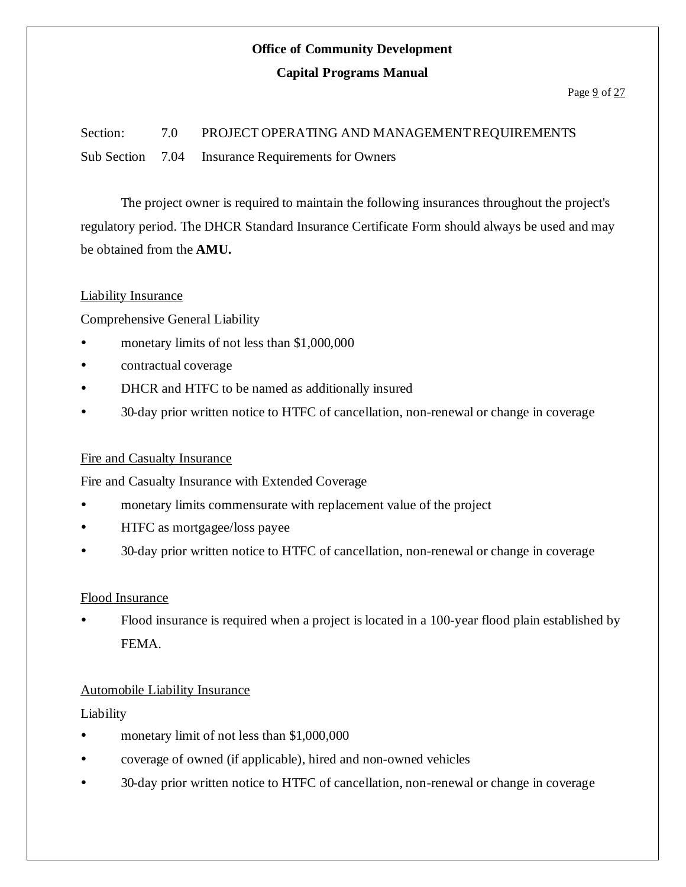# **Office of Community Development**

#### **Capital Programs Manual**

#### Page  $9$  of  $27$

Section: 7.0 PROJECT OPERATING AND MANAGEMENT REQUIREMENTS Sub Section 7.04 Insurance Requirements for Owners

The project owner is required to maintain the following insurances throughout the project's regulatory period. The DHCR Standard Insurance Certificate Form should always be used and may be obtained from the **AMU.**

#### Liability Insurance

Comprehensive General Liability

- monetary limits of not less than \$1,000,000
- contractual coverage
- DHCR and HTFC to be named as additionally insured
- 30-day prior written notice to HTFC of cancellation, non-renewal or change in coverage

### Fire and Casualty Insurance

Fire and Casualty Insurance with Extended Coverage

- monetary limits commensurate with replacement value of the project
- HTFC as mortgagee/loss payee
- 30-day prior written notice to HTFC of cancellation, non-renewal or change in coverage

### Flood Insurance

 Flood insurance is required when a project is located in a 100-year flood plain established by FEMA.

### Automobile Liability Insurance

### Liability

- monetary limit of not less than \$1,000,000
- coverage of owned (if applicable), hired and non-owned vehicles
- 30-day prior written notice to HTFC of cancellation, non-renewal or change in coverage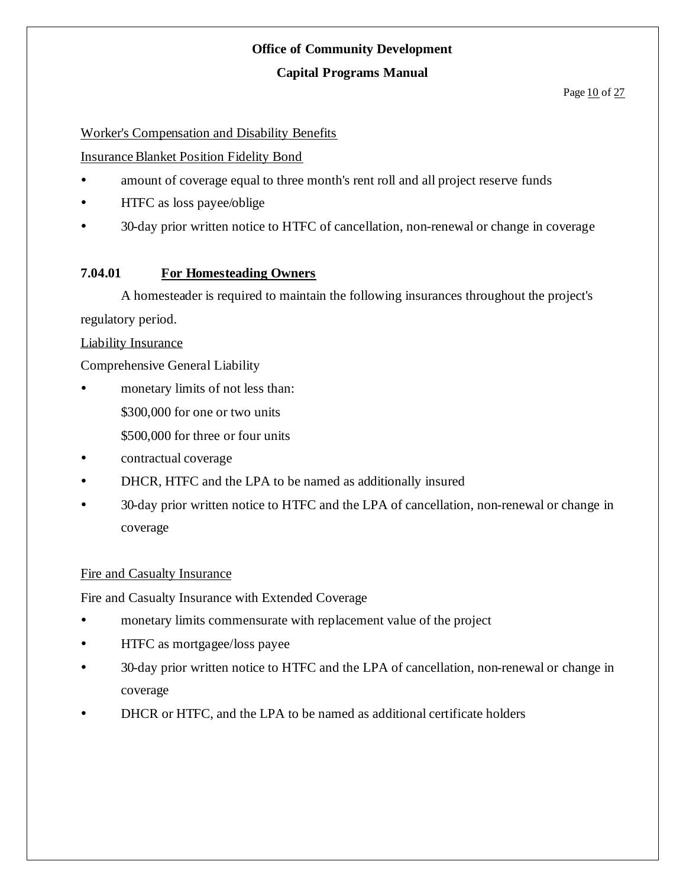### **Office of Community Development**

### **Capital Programs Manual**

#### Page 10 of 27

### Worker's Compensation and Disability Benefits

### InsuranceBlanket Position Fidelity Bond

- amount of coverage equal to three month's rent roll and all project reserve funds
- HTFC as loss payee/oblige
- 30-day prior written notice to HTFC of cancellation, non-renewal or change in coverage

### **7.04.01 For Homesteading Owners**

A homesteader is required to maintain the following insurances throughout the project's regulatory period.

### Liability Insurance

Comprehensive General Liability

- monetary limits of not less than: \$300,000 for one or two units
	- \$500,000 for three or four units
- contractual coverage
- DHCR, HTFC and the LPA to be named as additionally insured
- 30-day prior written notice to HTFC and the LPA of cancellation, non-renewal or change in coverage

#### Fire and Casualty Insurance

Fire and Casualty Insurance with Extended Coverage

- monetary limits commensurate with replacement value of the project
- HTFC as mortgagee/loss payee
- 30-day prior written notice to HTFC and the LPA of cancellation, non-renewal or change in coverage
- DHCR or HTFC, and the LPA to be named as additional certificate holders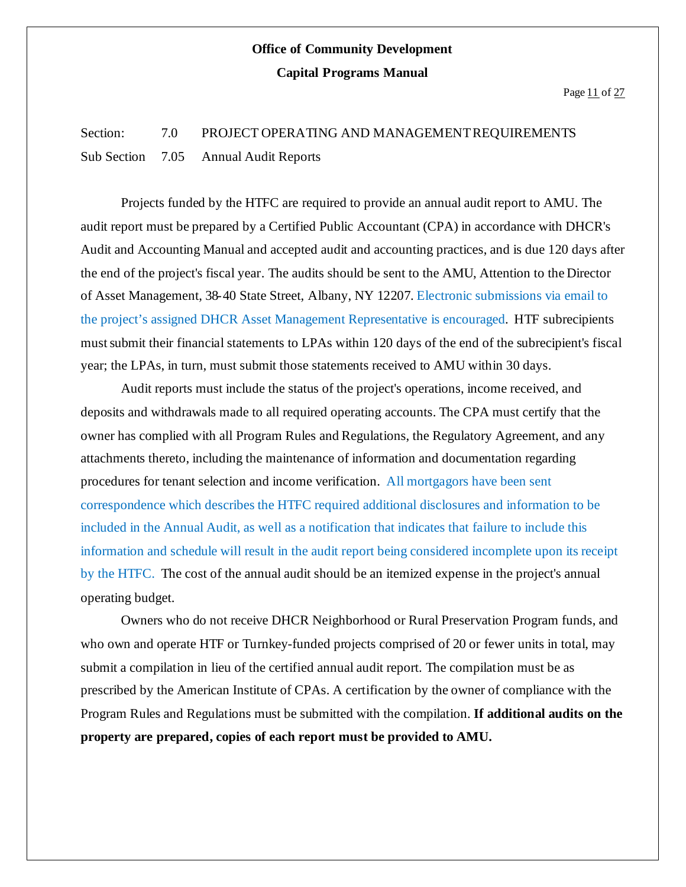### Section: 7.0 PROJECT OPERATING AND MANAGEMENT REQUIREMENTS Sub Section 7.05 Annual Audit Reports

Projects funded by the HTFC are required to provide an annual audit report to AMU. The audit report must be prepared by a Certified Public Accountant (CPA) in accordance with DHCR's Audit and Accounting Manual and accepted audit and accounting practices, and is due 120 days after the end of the project's fiscal year. The audits should be sent to the AMU, Attention to the Director of Asset Management, 38-40 State Street, Albany, NY 12207. Electronic submissions via email to the project's assigned DHCR Asset Management Representative is encouraged. HTF subrecipients mustsubmit their financial statements to LPAs within 120 days of the end of the subrecipient's fiscal year; the LPAs, in turn, must submit those statements received to AMU within 30 days.

Audit reports must include the status of the project's operations, income received, and deposits and withdrawals made to all required operating accounts. The CPA must certify that the owner has complied with all Program Rules and Regulations, the Regulatory Agreement, and any attachments thereto, including the maintenance of information and documentation regarding procedures for tenant selection and income verification. All mortgagors have been sent correspondence which describes the HTFC required additional disclosures and information to be included in the Annual Audit, as well as a notification that indicates that failure to include this information and schedule will result in the audit report being considered incomplete upon its receipt by the HTFC. The cost of the annual audit should be an itemized expense in the project's annual operating budget.

Owners who do not receive DHCR Neighborhood or Rural Preservation Program funds, and who own and operate HTF or Turnkey-funded projects comprised of 20 or fewer units in total, may submit a compilation in lieu of the certified annual audit report. The compilation must be as prescribed by the American Institute of CPAs. A certification by the owner of compliance with the Program Rules and Regulations must be submitted with the compilation. **If additional audits on the property are prepared, copies of each report must be provided to AMU.**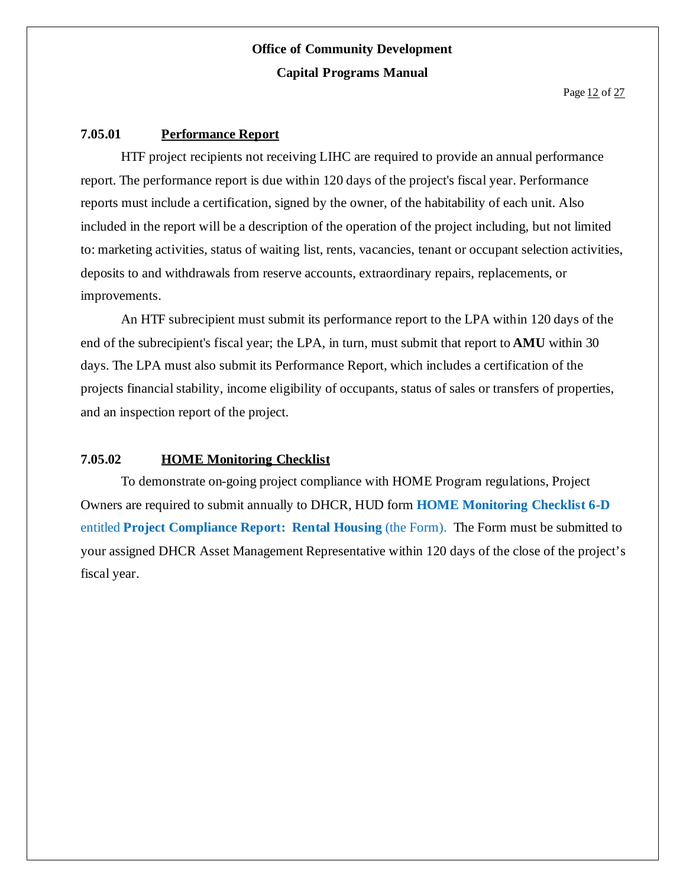#### **7.05.01 Performance Report**

HTF project recipients not receiving LIHC are required to provide an annual performance report. The performance report is due within 120 days of the project's fiscal year. Performance reports must include a certification, signed by the owner, of the habitability of each unit. Also included in the report will be a description of the operation of the project including, but not limited to: marketing activities, status of waiting list, rents, vacancies, tenant or occupant selection activities, deposits to and withdrawals from reserve accounts, extraordinary repairs, replacements, or improvements.

An HTF subrecipient must submit its performance report to the LPA within 120 days of the end of the subrecipient's fiscal year; the LPA, in turn, must submit that report to **AMU** within 30 days. The LPA must also submit its Performance Report, which includes a certification of the projects financial stability, income eligibility of occupants, status of sales or transfers of properties, and an inspection report of the project.

#### **7.05.02 HOME Monitoring Checklist**

To demonstrate on-going project compliance with HOME Program regulations, Project Owners are required to submit annually to DHCR, HUD form **HOME Monitoring Checklist 6-D** entitled **Project Compliance Report: Rental Housing** (the Form). The Form must be submitted to your assigned DHCR Asset Management Representative within 120 days of the close of the project's fiscal year.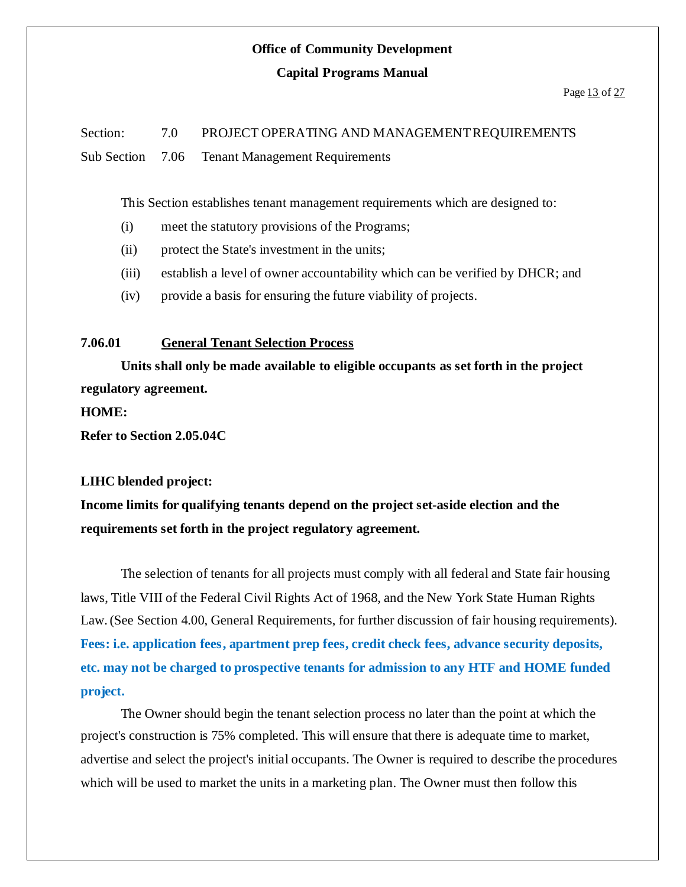### **Office of Community Development**

#### **Capital Programs Manual**

### Section: 7.0 PROJECT OPERATING AND MANAGEMENTREQUIREMENTS Sub Section 7.06 Tenant Management Requirements

This Section establishes tenant management requirements which are designed to:

- (i) meet the statutory provisions of the Programs;
- (ii) protect the State's investment in the units;
- (iii) establish a level of owner accountability which can be verified by DHCR; and
- (iv) provide a basis for ensuring the future viability of projects.

### **7.06.01 General Tenant Selection Process**

**Units shall only be made available to eligible occupants as set forth in the project regulatory agreement.**

**HOME:**

**Refer to Section 2.05.04C**

#### **LIHC blended project:**

**Income limits for qualifying tenants depend on the project set-aside election and the requirements set forth in the project regulatory agreement.**

The selection of tenants for all projects must comply with all federal and State fair housing laws, Title VIII of the Federal Civil Rights Act of 1968, and the New York State Human Rights Law.(See Section 4.00, General Requirements, for further discussion of fair housing requirements). **Fees: i.e. application fees, apartment prep fees, credit check fees, advance security deposits, etc. may not be charged to prospective tenants for admission to any HTF and HOME funded project.**

The Owner should begin the tenant selection process no later than the point at which the project's construction is 75% completed. This will ensure that there is adequate time to market, advertise and select the project's initial occupants. The Owner is required to describe the procedures which will be used to market the units in a marketing plan. The Owner must then follow this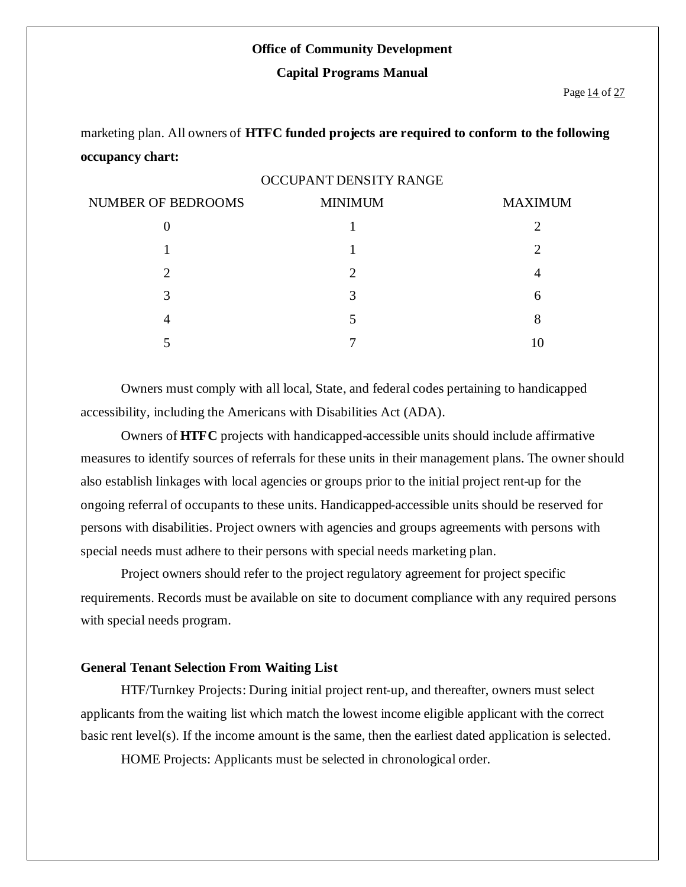#### **Office of Community Development**

#### **Capital Programs Manual**

marketing plan. All owners of **HTFC funded projects are required to conform to the following occupancy chart:**

#### OCCUPANT DENSITY RANGE

| <b>NUMBER OF BEDROOMS</b> | <b>MINIMUM</b>              | <b>MAXIMUM</b>              |
|---------------------------|-----------------------------|-----------------------------|
|                           |                             |                             |
|                           |                             | $\mathcal{D}_{\mathcal{L}}$ |
|                           | $\mathcal{D}_{\mathcal{L}}$ |                             |
| 3                         | 3                           | 6                           |
|                           |                             |                             |
|                           |                             | 10                          |

Owners must comply with all local, State, and federal codes pertaining to handicapped accessibility, including the Americans with Disabilities Act (ADA).

Owners of **HTFC** projects with handicapped-accessible units should include affirmative measures to identify sources of referrals for these units in their management plans. The owner should also establish linkages with local agencies or groups prior to the initial project rent-up for the ongoing referral of occupants to these units. Handicapped-accessible units should be reserved for persons with disabilities. Project owners with agencies and groups agreements with persons with special needs must adhere to their persons with special needs marketing plan.

Project owners should refer to the project regulatory agreement for project specific requirements. Records must be available on site to document compliance with any required persons with special needs program.

#### **General Tenant Selection From Waiting List**

HTF/Turnkey Projects: During initial project rent-up, and thereafter, owners must select applicants from the waiting list which match the lowest income eligible applicant with the correct basic rent level(s). If the income amount is the same, then the earliest dated application is selected.

HOME Projects: Applicants must be selected in chronological order.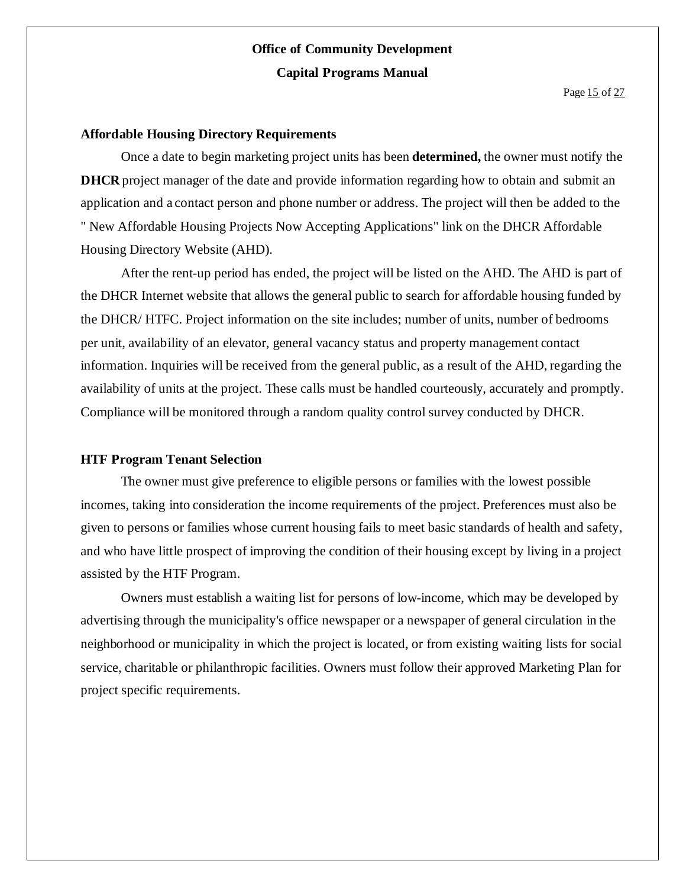Page 15 of 27

#### **Affordable Housing Directory Requirements**

Once a date to begin marketing project units has been **determined,** the owner must notify the **DHCR** project manager of the date and provide information regarding how to obtain and submit an application and a contact person and phone number or address. The project will then be added to the " New Affordable Housing Projects Now Accepting Applications" link on the DHCR Affordable Housing Directory Website (AHD).

After the rent-up period has ended, the project will be listed on the AHD. The AHD is part of the DHCR Internet website that allows the general public to search for affordable housing funded by the DHCR/ HTFC. Project information on the site includes; number of units, number of bedrooms per unit, availability of an elevator, general vacancy status and property management contact information. Inquiries will be received from the general public, as a result of the AHD, regarding the availability of units at the project. These calls must be handled courteously, accurately and promptly. Compliance will be monitored through a random quality control survey conducted by DHCR.

#### **HTF Program Tenant Selection**

The owner must give preference to eligible persons or families with the lowest possible incomes, taking into consideration the income requirements of the project. Preferences must also be given to persons or families whose current housing fails to meet basic standards of health and safety, and who have little prospect of improving the condition of their housing except by living in a project assisted by the HTF Program.

Owners must establish a waiting list for persons of low-income, which may be developed by advertising through the municipality's office newspaper or a newspaper of general circulation in the neighborhood or municipality in which the project is located, or from existing waiting lists for social service, charitable or philanthropic facilities. Owners must follow their approved Marketing Plan for project specific requirements.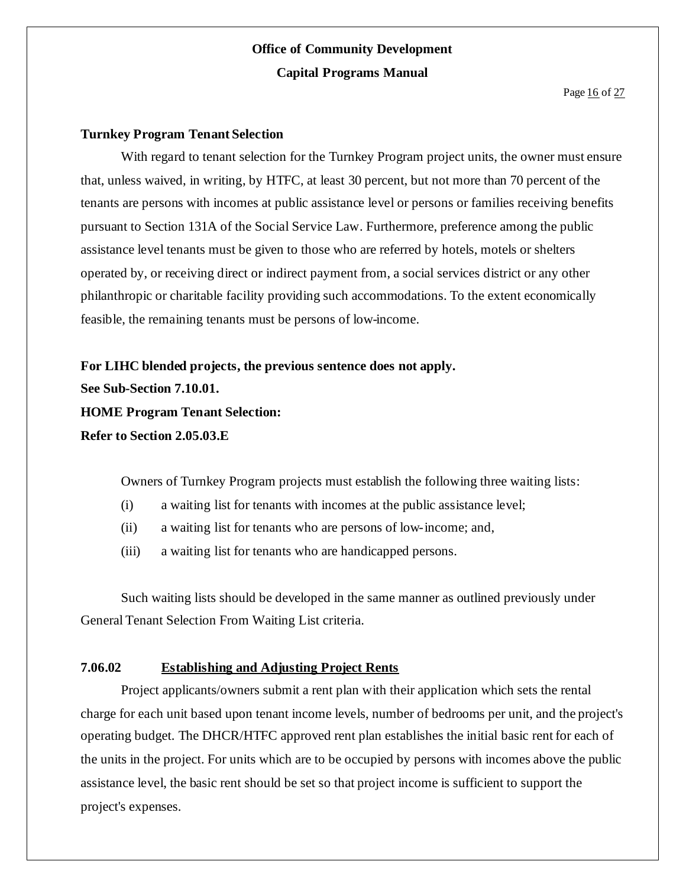Page 16 of 27

#### **Turnkey Program Tenant Selection**

With regard to tenant selection for the Turnkey Program project units, the owner must ensure that, unless waived, in writing, by HTFC, at least 30 percent, but not more than 70 percent of the tenants are persons with incomes at public assistance level or persons or families receiving benefits pursuant to Section 131A of the Social Service Law. Furthermore, preference among the public assistance level tenants must be given to those who are referred by hotels, motels or shelters operated by, or receiving direct or indirect payment from, a social services district or any other philanthropic or charitable facility providing such accommodations. To the extent economically feasible, the remaining tenants must be persons of low-income.

**For LIHC blended projects, the previous sentence does not apply. See Sub-Section 7.10.01. HOME Program Tenant Selection: Refer to Section 2.05.03.E**

Owners of Turnkey Program projects must establish the following three waiting lists:

- (i) a waiting list for tenants with incomes at the public assistance level;
- (ii) a waiting list for tenants who are persons of low-income; and,
- (iii) a waiting list for tenants who are handicapped persons.

Such waiting lists should be developed in the same manner as outlined previously under General Tenant Selection From Waiting List criteria.

### **7.06.02 Establishing and Adjusting Project Rents**

Project applicants/owners submit a rent plan with their application which sets the rental charge for each unit based upon tenant income levels, number of bedrooms per unit, and the project's operating budget. The DHCR/HTFC approved rent plan establishes the initial basic rent for each of the units in the project. For units which are to be occupied by persons with incomes above the public assistance level, the basic rent should be set so that project income is sufficient to support the project's expenses.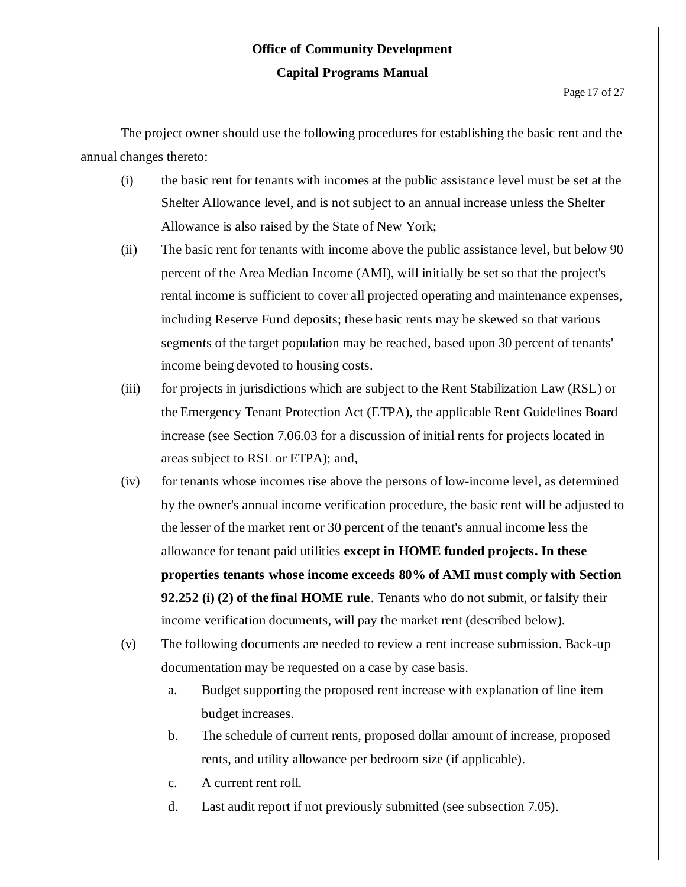The project owner should use the following procedures for establishing the basic rent and the annual changes thereto:

- (i) the basic rent for tenants with incomes at the public assistance level must be set at the Shelter Allowance level, and is not subject to an annual increase unless the Shelter Allowance is also raised by the State of New York;
- (ii) The basic rent for tenants with income above the public assistance level, but below 90 percent of the Area Median Income (AMI), will initially be set so that the project's rental income is sufficient to cover all projected operating and maintenance expenses, including Reserve Fund deposits; these basic rents may be skewed so that various segments of the target population may be reached, based upon 30 percent of tenants' income being devoted to housing costs.
- (iii) for projects in jurisdictions which are subject to the Rent Stabilization Law (RSL) or the Emergency Tenant Protection Act (ETPA), the applicable Rent Guidelines Board increase (see Section 7.06.03 for a discussion of initial rents for projects located in areas subject to RSL or ETPA); and,
- (iv) for tenants whose incomes rise above the persons of low-income level, as determined by the owner's annual income verification procedure, the basic rent will be adjusted to the lesser of the market rent or 30 percent of the tenant's annual income less the allowance for tenant paid utilities **except in HOME funded projects. In these properties tenants whose income exceeds 80% of AMI must comply with Section 92.252 (i) (2) of the final HOME rule**. Tenants who do not submit, or falsify their income verification documents, will pay the market rent (described below).
- (v) The following documents are needed to review a rent increase submission. Back-up documentation may be requested on a case by case basis.
	- a. Budget supporting the proposed rent increase with explanation of line item budget increases.
	- b. The schedule of current rents, proposed dollar amount of increase, proposed rents, and utility allowance per bedroom size (if applicable).
	- c. A current rent roll.
	- d. Last audit report if not previously submitted (see subsection 7.05).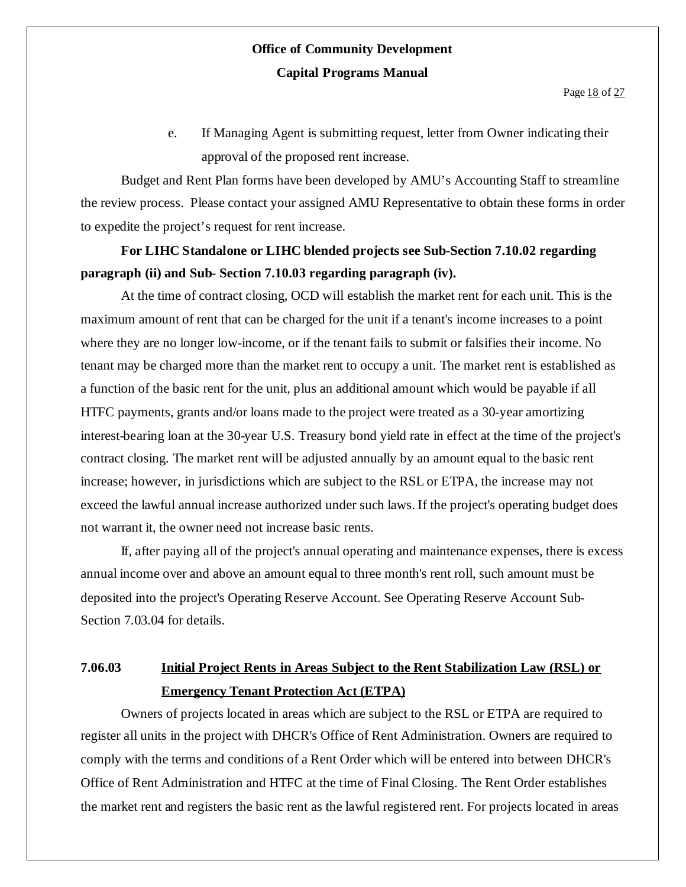e. If Managing Agent is submitting request, letter from Owner indicating their approval of the proposed rent increase.

Budget and Rent Plan forms have been developed by AMU's Accounting Staff to streamline the review process. Please contact your assigned AMU Representative to obtain these forms in order to expedite the project's request for rent increase.

# **For LIHC Standalone or LIHC blended projects see Sub-Section 7.10.02 regarding paragraph (ii) and Sub- Section 7.10.03 regarding paragraph (iv).**

At the time of contract closing, OCD will establish the market rent for each unit. This is the maximum amount of rent that can be charged for the unit if a tenant's income increases to a point where they are no longer low-income, or if the tenant fails to submit or falsifies their income. No tenant may be charged more than the market rent to occupy a unit. The market rent is established as a function of the basic rent for the unit, plus an additional amount which would be payable if all HTFC payments, grants and/or loans made to the project were treated as a 30-year amortizing interest-bearing loan at the 30-year U.S. Treasury bond yield rate in effect at the time of the project's contract closing. The market rent will be adjusted annually by an amount equal to the basic rent increase; however, in jurisdictions which are subject to the RSL or ETPA, the increase may not exceed the lawful annual increase authorized under such laws. If the project's operating budget does not warrant it, the owner need not increase basic rents.

If, after paying all of the project's annual operating and maintenance expenses, there is excess annual income over and above an amount equal to three month's rent roll, such amount must be deposited into the project's Operating Reserve Account. See Operating Reserve Account Sub-Section 7.03.04 for details.

# **7.06.03 Initial Project Rents in Areas Subject to the Rent Stabilization Law (RSL) or Emergency Tenant Protection Act (ETPA)**

Owners of projects located in areas which are subject to the RSL or ETPA are required to register all units in the project with DHCR's Office of Rent Administration. Owners are required to comply with the terms and conditions of a Rent Order which will be entered into between DHCR's Office of Rent Administration and HTFC at the time of Final Closing. The Rent Order establishes the market rent and registers the basic rent as the lawful registered rent. For projects located in areas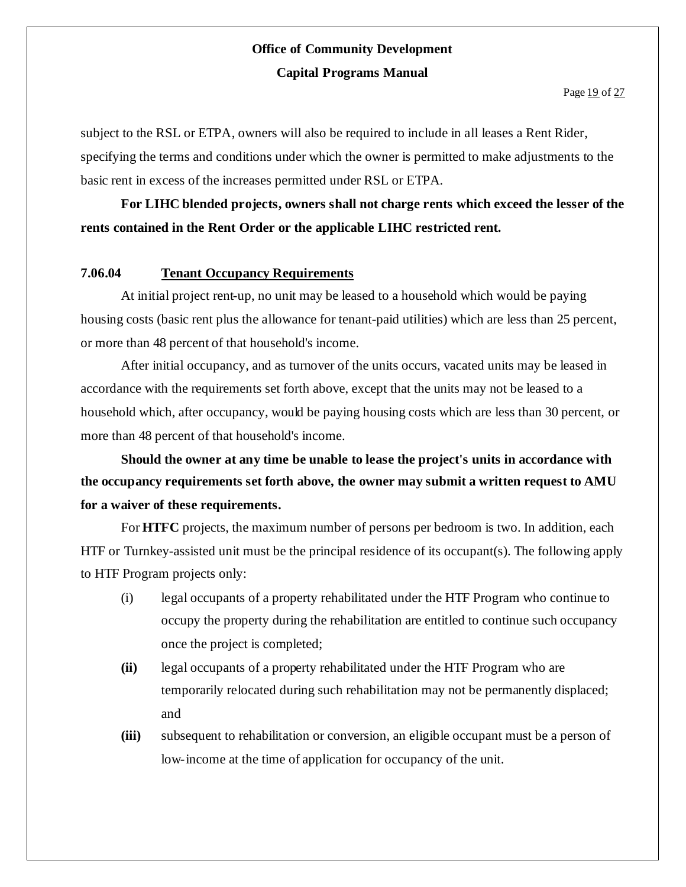subject to the RSL or ETPA, owners will also be required to include in all leases a Rent Rider, specifying the terms and conditions under which the owner is permitted to make adjustments to the basic rent in excess of the increases permitted under RSL or ETPA.

**For LIHC blended projects, owners shall not charge rents which exceed the lesser of the rents contained in the Rent Order or the applicable LIHC restricted rent.**

### **7.06.04 Tenant Occupancy Requirements**

At initial project rent-up, no unit may be leased to a household which would be paying housing costs (basic rent plus the allowance for tenant-paid utilities) which are less than 25 percent, or more than 48 percent of that household's income.

After initial occupancy, and as turnover of the units occurs, vacated units may be leased in accordance with the requirements set forth above, except that the units may not be leased to a household which, after occupancy, would be paying housing costs which are less than 30 percent, or more than 48 percent of that household's income.

**Should the owner at any time be unable to lease the project's units in accordance with the occupancy requirements set forth above, the owner may submit a written request to AMU for a waiver of these requirements.**

For **HTFC** projects, the maximum number of persons per bedroom is two. In addition, each HTF or Turnkey-assisted unit must be the principal residence of its occupant(s). The following apply to HTF Program projects only:

- (i) legal occupants of a property rehabilitated under the HTF Program who continue to occupy the property during the rehabilitation are entitled to continue such occupancy once the project is completed;
- **(ii)** legal occupants of a property rehabilitated under the HTF Program who are temporarily relocated during such rehabilitation may not be permanently displaced; and
- **(iii)** subsequent to rehabilitation or conversion, an eligible occupant must be a person of low-income at the time of application for occupancy of the unit.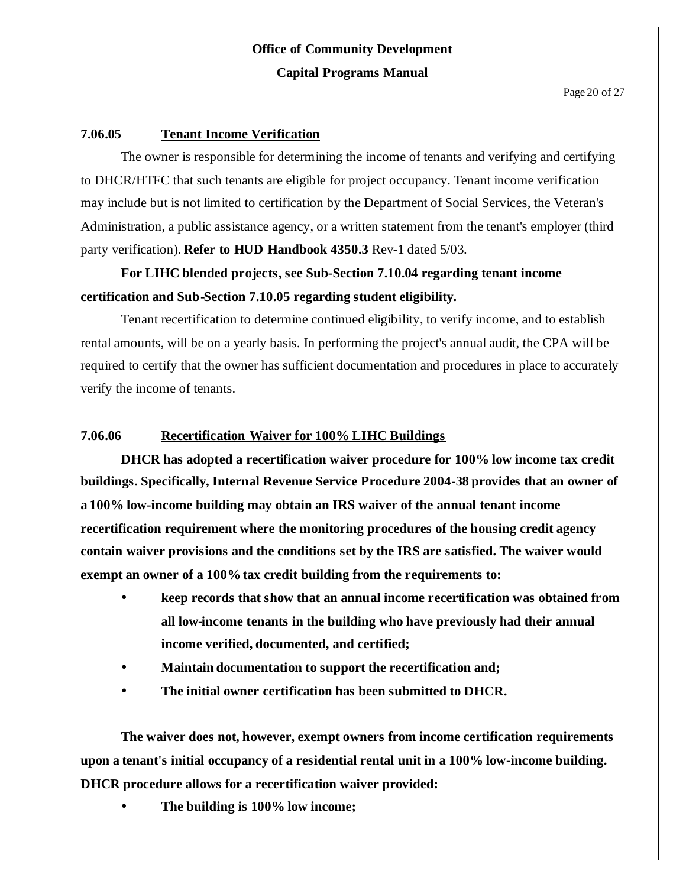#### **7.06.05 Tenant Income Verification**

The owner is responsible for determining the income of tenants and verifying and certifying to DHCR/HTFC that such tenants are eligible for project occupancy. Tenant income verification may include but is not limited to certification by the Department of Social Services, the Veteran's Administration, a public assistance agency, or a written statement from the tenant's employer (third party verification). **Refer to HUD Handbook 4350.3** Rev-1 dated 5/03.

### **For LIHC blended projects, see Sub-Section 7.10.04 regarding tenant income certification and Sub-Section 7.10.05 regarding student eligibility.**

Tenant recertification to determine continued eligibility, to verify income, and to establish rental amounts, will be on a yearly basis. In performing the project's annual audit, the CPA will be required to certify that the owner has sufficient documentation and procedures in place to accurately verify the income of tenants.

### **7.06.06 Recertification Waiver for 100% LIHC Buildings**

**DHCR has adopted a recertification waiver procedure for 100% low income tax credit buildings. Specifically, Internal Revenue Service Procedure 2004-38 provides that an owner of a 100% low-income building may obtain an IRS waiver of the annual tenant income recertification requirement where the monitoring procedures of the housing credit agency contain waiver provisions and the conditions set by the IRS are satisfied. The waiver would** exempt an owner of a 100% tax credit building from the requirements to:

- **keep records that show that an annual income recertification was obtained from all low-income tenants in the building who have previously had their annual income verified, documented, and certified;**
- **Maintain documentation to support the recertification and;**
- **The initial owner certification has been submitted to DHCR.**

**The waiver does not, however, exempt owners from income certification requirements upon a tenant's initial occupancy of a residential rental unit in a 100% low-income building. DHCR procedure allows for a recertification waiver provided:**

**The building is 100% low income;**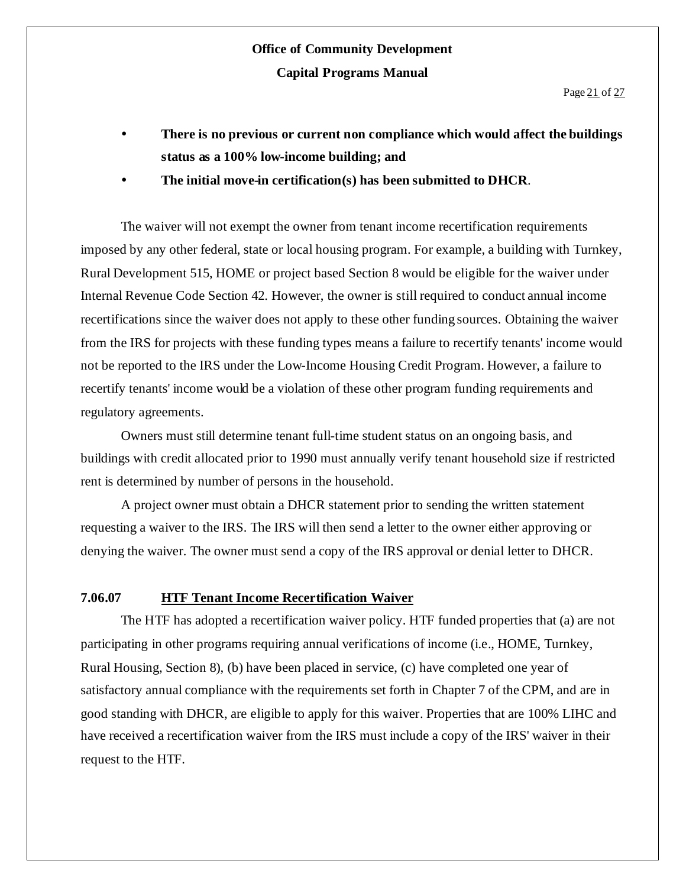- **There is no previous or current non compliance which would affect the buildings status as a 100% low-income building; and**
- **The initial move-in certification(s) has been submitted to DHCR**.

The waiver will not exempt the owner from tenant income recertification requirements imposed by any other federal, state or local housing program. For example, a building with Turnkey, Rural Development 515, HOME or project based Section 8 would be eligible for the waiver under Internal Revenue Code Section 42. However, the owner is still required to conduct annual income recertifications since the waiver does not apply to these other funding sources. Obtaining the waiver from the IRS for projects with these funding types means a failure to recertify tenants' income would not be reported to the IRS under the Low-Income Housing Credit Program. However, a failure to recertify tenants' income would be a violation of these other program funding requirements and regulatory agreements.

Owners must still determine tenant full-time student status on an ongoing basis, and buildings with credit allocated prior to 1990 must annually verify tenant household size if restricted rent is determined by number of persons in the household.

A project owner must obtain a DHCR statement prior to sending the written statement requesting a waiver to the IRS. The IRS will then send a letter to the owner either approving or denying the waiver. The owner must send a copy of the IRS approval or denial letter to DHCR.

#### **7.06.07 HTF Tenant Income Recertification Waiver**

The HTF has adopted a recertification waiver policy. HTF funded properties that (a) are not participating in other programs requiring annual verifications of income (i.e., HOME, Turnkey, Rural Housing, Section 8), (b) have been placed in service, (c) have completed one year of satisfactory annual compliance with the requirements set forth in Chapter 7 of the CPM, and are in good standing with DHCR, are eligible to apply for this waiver. Properties that are 100% LIHC and have received a recertification waiver from the IRS must include a copy of the IRS' waiver in their request to the HTF.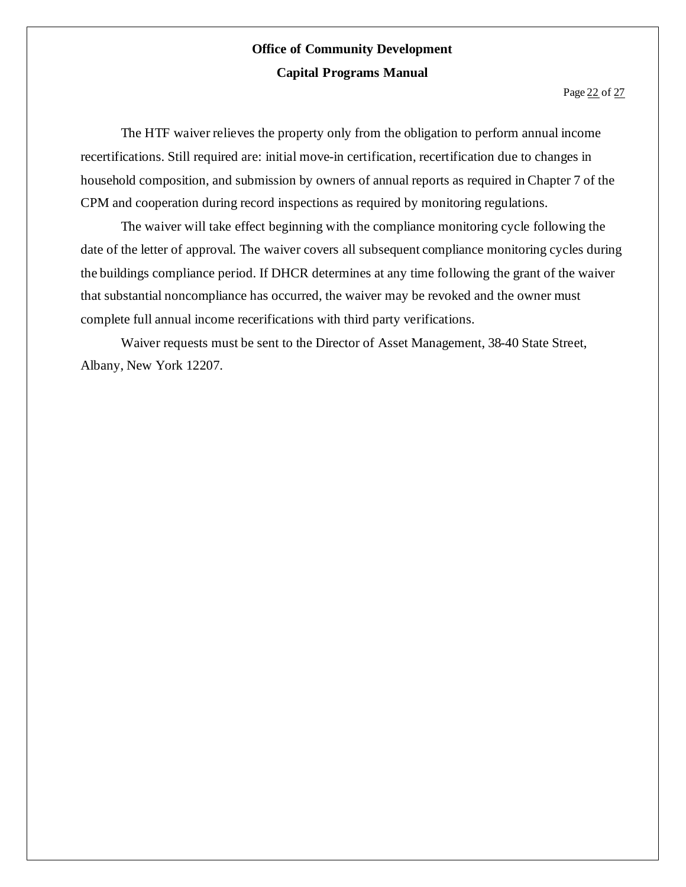The HTF waiver relieves the property only from the obligation to perform annual income recertifications. Still required are: initial move-in certification, recertification due to changes in household composition, and submission by owners of annual reports as required in Chapter 7 of the CPM and cooperation during record inspections as required by monitoring regulations.

The waiver will take effect beginning with the compliance monitoring cycle following the date of the letter of approval. The waiver covers all subsequent compliance monitoring cycles during the buildings compliance period. If DHCR determines at any time following the grant of the waiver that substantial noncompliance has occurred, the waiver may be revoked and the owner must complete full annual income recerifications with third party verifications.

Waiver requests must be sent to the Director of Asset Management, 38-40 State Street, Albany, New York 12207.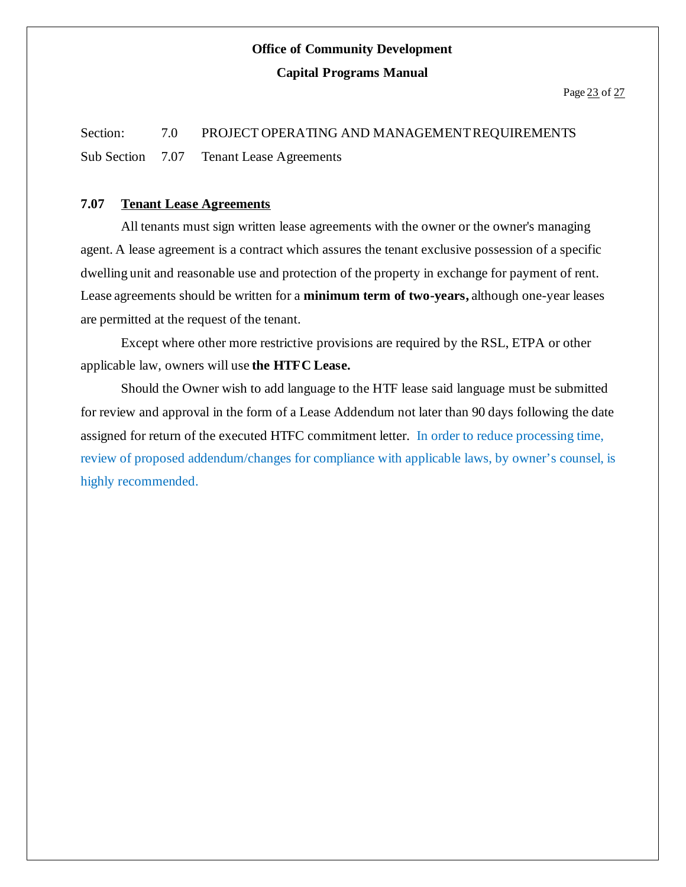# Section: 7.0 PROJECT OPERATING AND MANAGEMENT REQUIREMENTS Sub Section 7.07 Tenant Lease Agreements

### **7.07 Tenant Lease Agreements**

All tenants must sign written lease agreements with the owner or the owner's managing agent. A lease agreement is a contract which assures the tenant exclusive possession of a specific dwelling unit and reasonable use and protection of the property in exchange for payment of rent. Lease agreements should be written for a **minimum term of two-years,** although one-year leases are permitted at the request of the tenant.

Except where other more restrictive provisions are required by the RSL, ETPA or other applicable law, owners will use **the HTFC Lease.**

Should the Owner wish to add language to the HTF lease said language must be submitted for review and approval in the form of a Lease Addendum not later than 90 days following the date assigned for return of the executed HTFC commitment letter. In order to reduce processing time, review of proposed addendum/changes for compliance with applicable laws, by owner's counsel, is highly recommended.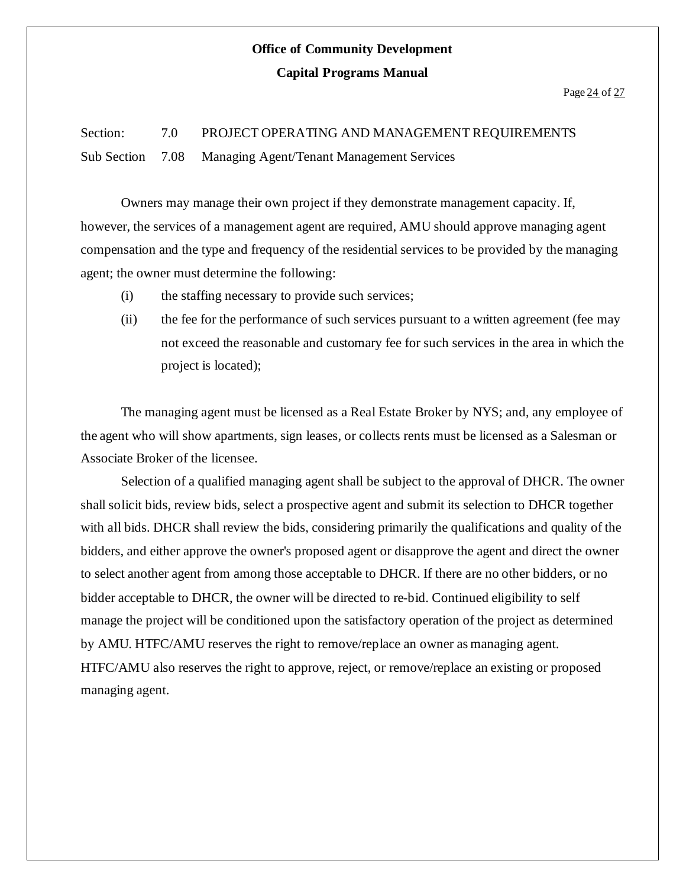# **Office of Community Development**

#### **Capital Programs Manual**

# Section: 7.0 PROJECT OPERATING AND MANAGEMENT REQUIREMENTS Sub Section 7.08 Managing Agent/Tenant Management Services

Owners may manage their own project if they demonstrate management capacity. If, however, the services of a management agent are required, AMU should approve managing agent compensation and the type and frequency of the residential services to be provided by the managing agent; the owner must determine the following:

- (i) the staffing necessary to provide such services;
- (ii) the fee for the performance of such services pursuant to a written agreement (fee may not exceed the reasonable and customary fee for such services in the area in which the project is located);

The managing agent must be licensed as a Real Estate Broker by NYS; and, any employee of the agent who will show apartments, sign leases, or collects rents must be licensed as a Salesman or Associate Broker of the licensee.

Selection of a qualified managing agent shall be subject to the approval of DHCR. The owner shall solicit bids, review bids, select a prospective agent and submit its selection to DHCR together with all bids. DHCR shall review the bids, considering primarily the qualifications and quality of the bidders, and either approve the owner's proposed agent or disapprove the agent and direct the owner to select another agent from among those acceptable to DHCR. If there are no other bidders, or no bidder acceptable to DHCR, the owner will be directed to re-bid. Continued eligibility to self manage the project will be conditioned upon the satisfactory operation of the project as determined by AMU. HTFC/AMU reserves the right to remove/replace an owner as managing agent. HTFC/AMU also reserves the right to approve, reject, or remove/replace an existing or proposed managing agent.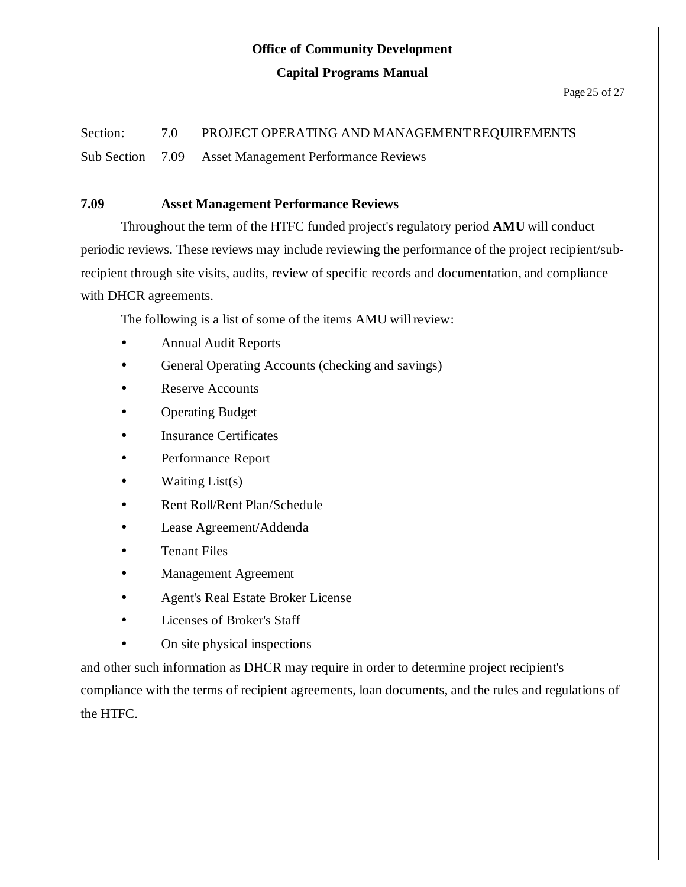### **Office of Community Development**

#### **Capital Programs Manual**

# Section: 7.0 PROJECT OPERATING AND MANAGEMENT REQUIREMENTS

Sub Section 7.09 Asset Management Performance Reviews

### **7.09 Asset Management Performance Reviews**

Throughout the term of the HTFC funded project's regulatory period **AMU** will conduct periodic reviews. These reviews may include reviewing the performance of the project recipient/subrecipient through site visits, audits, review of specific records and documentation, and compliance with DHCR agreements.

The following is a list of some of the items AMU willreview:

- Annual Audit Reports
- General Operating Accounts (checking and savings)
- Reserve Accounts
- Operating Budget
- Insurance Certificates
- Performance Report
- $\bullet$  Waiting List(s)
- Rent Roll/Rent Plan/Schedule
- Lease Agreement/Addenda
- Tenant Files
- Management Agreement
- Agent's Real Estate Broker License
- Licenses of Broker's Staff
- On site physical inspections

and other such information as DHCR may require in order to determine project recipient's compliance with the terms of recipient agreements, loan documents, and the rules and regulations of the HTFC.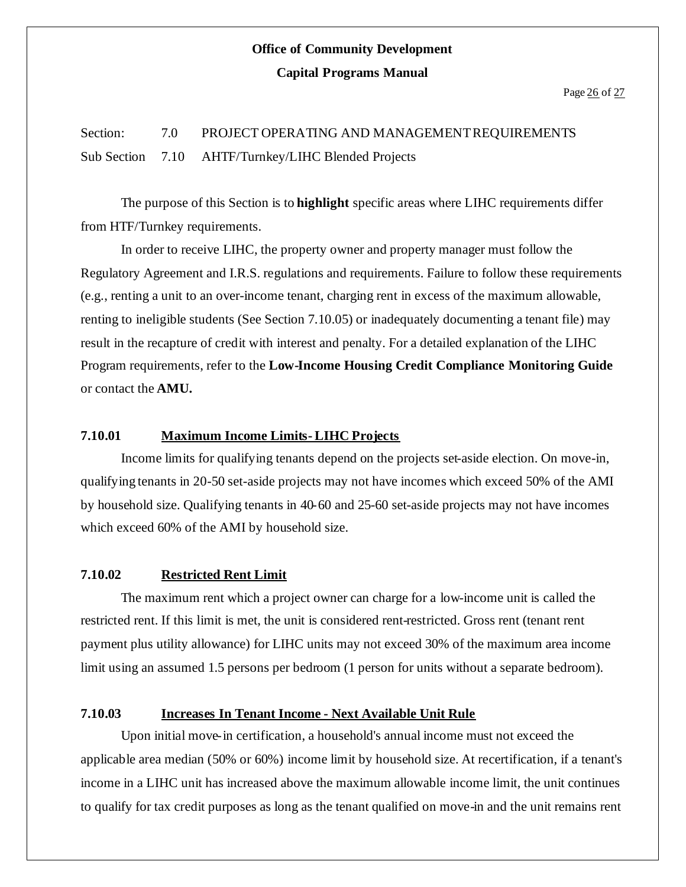Section: 7.0 PROJECT OPERATING AND MANAGEMENTREQUIREMENTS Sub Section 7.10 AHTF/Turnkey/LIHC Blended Projects

The purpose of this Section is to **highlight** specific areas where LIHC requirements differ from HTF/Turnkey requirements.

In order to receive LIHC, the property owner and property manager must follow the Regulatory Agreement and I.R.S. regulations and requirements. Failure to follow these requirements (e.g., renting a unit to an over-income tenant, charging rent in excess of the maximum allowable, renting to ineligible students (See Section 7.10.05) or inadequately documenting a tenant file) may result in the recapture of credit with interest and penalty. For a detailed explanation of the LIHC Program requirements, refer to the **Low-Income Housing Credit Compliance Monitoring Guide** or contact the **AMU.**

#### **7.10.01 Maximum Income Limits- LIHC Projects**

Income limits for qualifying tenants depend on the projects set-aside election. On move-in, qualifying tenants in 20-50 set-aside projects may not have incomes which exceed 50% of the AMI by household size. Qualifying tenants in 40-60 and 25-60 set-aside projects may not have incomes which exceed 60% of the AMI by household size.

#### **7.10.02 Restricted Rent Limit**

The maximum rent which a project owner can charge for a low-income unit is called the restricted rent. If this limit is met, the unit is considered rent-restricted. Gross rent (tenant rent payment plus utility allowance) for LIHC units may not exceed 30% of the maximum area income limit using an assumed 1.5 persons per bedroom (1 person for units without a separate bedroom).

#### **7.10.03 Increases In Tenant Income - Next Available Unit Rule**

Upon initial move-in certification, a household's annual income must not exceed the applicable area median (50% or 60%) income limit by household size. At recertification, if a tenant's income in a LIHC unit has increased above the maximum allowable income limit, the unit continues to qualify for tax credit purposes as long as the tenant qualified on move-in and the unit remains rent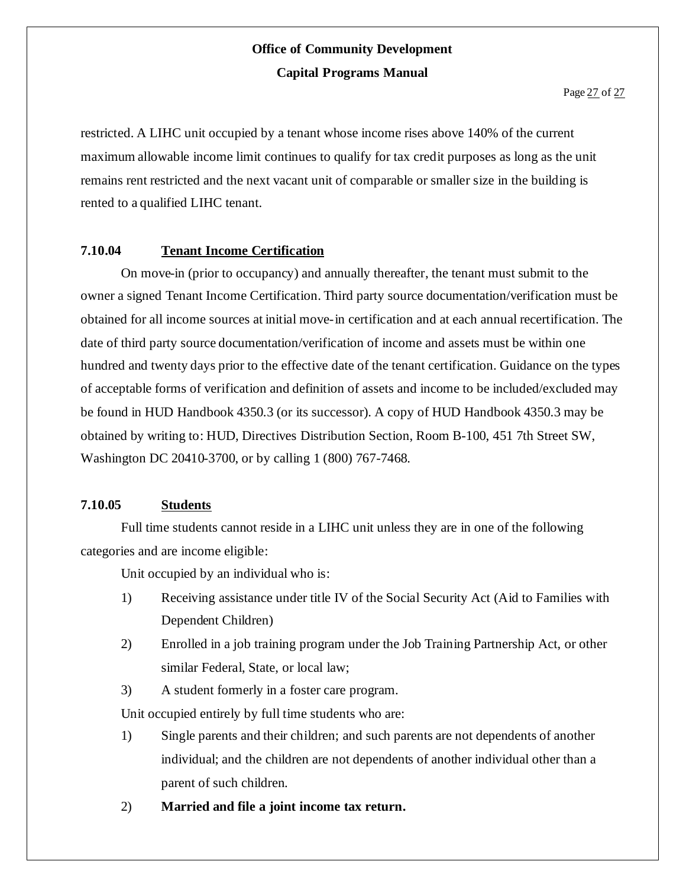restricted. A LIHC unit occupied by a tenant whose income rises above 140% of the current maximum allowable income limit continues to qualify for tax credit purposes as long as the unit remains rent restricted and the next vacant unit of comparable or smaller size in the building is rented to a qualified LIHC tenant.

### **7.10.04 Tenant Income Certification**

On move-in (prior to occupancy) and annually thereafter, the tenant must submit to the owner a signed Tenant Income Certification. Third party source documentation/verification must be obtained for all income sources at initial move-in certification and at each annual recertification. The date of third party source documentation/verification of income and assets must be within one hundred and twenty days prior to the effective date of the tenant certification. Guidance on the types of acceptable forms of verification and definition of assets and income to be included/excluded may be found in HUD Handbook 4350.3 (or its successor). A copy of HUD Handbook 4350.3 may be obtained by writing to: HUD, Directives Distribution Section, Room B-100, 451 7th Street SW, Washington DC 20410-3700, or by calling 1 (800) 767-7468.

### **7.10.05 Students**

Full time students cannot reside in a LIHC unit unless they are in one of the following categories and are income eligible:

Unit occupied by an individual who is:

- 1) Receiving assistance under title IV of the Social Security Act (Aid to Families with Dependent Children)
- 2) Enrolled in a job training program under the Job Training Partnership Act, or other similar Federal, State, or local law;
- 3) A student formerly in a foster care program.

Unit occupied entirely by full time students who are:

- 1) Single parents and their children; and such parents are not dependents of another individual; and the children are not dependents of another individual other than a parent of such children.
- 2) **Married and file a joint income tax return.**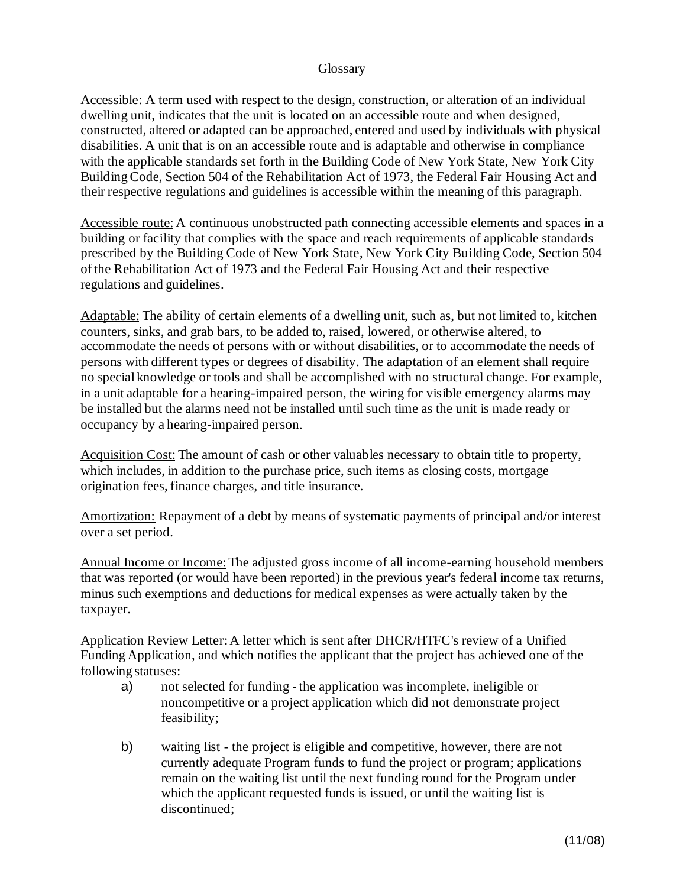#### **Glossary**

Accessible: A term used with respect to the design, construction, or alteration of an individual dwelling unit, indicates that the unit is located on an accessible route and when designed, constructed, altered or adapted can be approached, entered and used by individuals with physical disabilities. A unit that is on an accessible route and is adaptable and otherwise in compliance with the applicable standards set forth in the Building Code of New York State, New York City BuildingCode, Section 504 of the Rehabilitation Act of 1973, the Federal Fair Housing Act and their respective regulations and guidelines is accessible within the meaning of this paragraph.

Accessible route: A continuous unobstructed path connecting accessible elements and spaces in a building or facility that complies with the space and reach requirements of applicable standards prescribed by the Building Code of New York State, New York City Building Code, Section 504 ofthe Rehabilitation Act of 1973 and the Federal Fair Housing Act and their respective regulations and guidelines.

Adaptable: The ability of certain elements of a dwelling unit, such as, but not limited to, kitchen counters, sinks, and grab bars, to be added to, raised, lowered, or otherwise altered, to accommodate the needs of persons with or without disabilities, or to accommodate the needs of persons with different types or degrees of disability. The adaptation of an element shall require no special knowledge or tools and shall be accomplished with no structural change. For example, in a unit adaptable for a hearing-impaired person, the wiring for visible emergency alarms may be installed but the alarms need not be installed until such time as the unit is made ready or occupancy by a hearing-impaired person.

Acquisition Cost: The amount of cash or other valuables necessary to obtain title to property, which includes, in addition to the purchase price, such items as closing costs, mortgage origination fees, finance charges, and title insurance.

Amortization: Repayment of a debt by means of systematic payments of principal and/or interest over a set period.

Annual Income or Income: The adjusted gross income of all income-earning household members that was reported (or would have been reported) in the previous year's federal income tax returns, minus such exemptions and deductions for medical expenses as were actually taken by the taxpayer.

Application Review Letter: A letter which is sent after DHCR/HTFC's review of a Unified Funding Application, and which notifies the applicant that the project has achieved one of the following statuses:

- a) not selected for funding the application was incomplete, ineligible or noncompetitive or a project application which did not demonstrate project feasibility;
- b) waiting list the project is eligible and competitive, however, there are not currently adequate Program funds to fund the project or program; applications remain on the waiting list until the next funding round for the Program under which the applicant requested funds is issued, or until the waiting list is discontinued;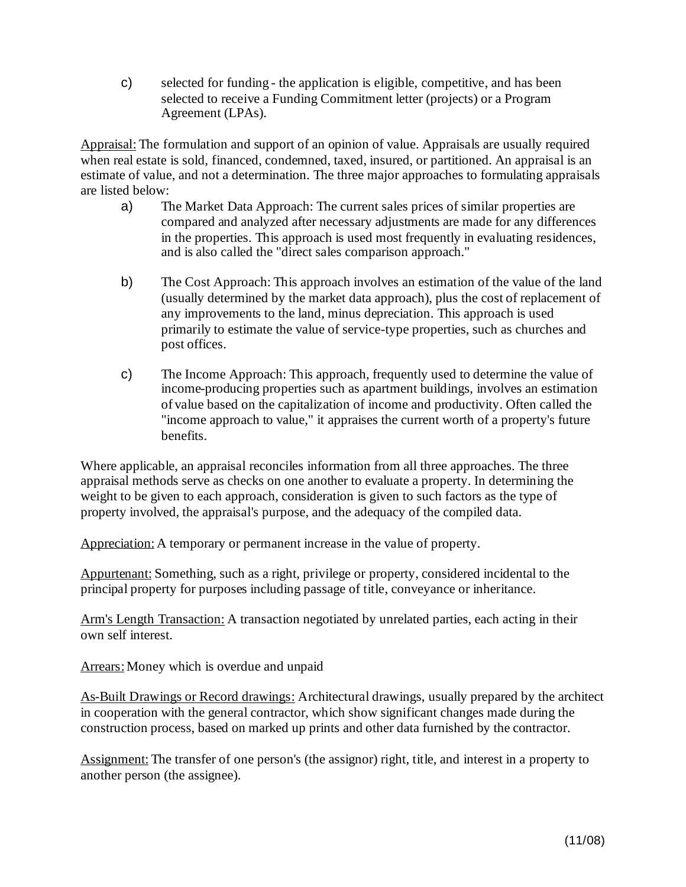c) selected for funding - the application is eligible, competitive, and has been selected to receive a Funding Commitment letter (projects) or a Program Agreement (LPAs).

Appraisal: The formulation and support of an opinion of value. Appraisals are usually required when real estate is sold, financed, condemned, taxed, insured, or partitioned. An appraisal is an estimate of value, and not a determination. The three major approaches to formulating appraisals are listed below:

- a) The Market Data Approach: The current sales prices of similar properties are compared and analyzed after necessary adjustments are made for any differences in the properties. This approach is used most frequently in evaluating residences, and is also called the "direct sales comparison approach."
- b) The Cost Approach: This approach involves an estimation of the value of the land (usually determined by the market data approach), plus the cost of replacement of any improvements to the land, minus depreciation. This approach is used primarily to estimate the value of service-type properties, such as churches and post offices.
- c) The Income Approach: This approach, frequently used to determine the value of income-producing properties such as apartment buildings, involves an estimation of value based on the capitalization of income and productivity. Often called the "income approach to value," it appraises the current worth of a property's future benefits.

Where applicable, an appraisal reconciles information from all three approaches. The three appraisal methods serve as checks on one another to evaluate a property. In determining the weight to be given to each approach, consideration is given to such factors as the type of property involved, the appraisal's purpose, and the adequacy of the compiled data.

Appreciation: A temporary or permanent increase in the value of property.

Appurtenant: Something, such as a right, privilege or property, considered incidental to the principal property for purposes including passage of title, conveyance or inheritance.

Arm's Length Transaction: A transaction negotiated by unrelated parties, each acting in their own self interest.

Arrears:Money which is overdue and unpaid

As-Built Drawings or Record drawings: Architectural drawings, usually prepared by the architect in cooperation with the general contractor, which show significant changes made during the construction process, based on marked up prints and other data furnished by the contractor.

Assignment: The transfer of one person's (the assignor) right, title, and interest in a property to another person (the assignee).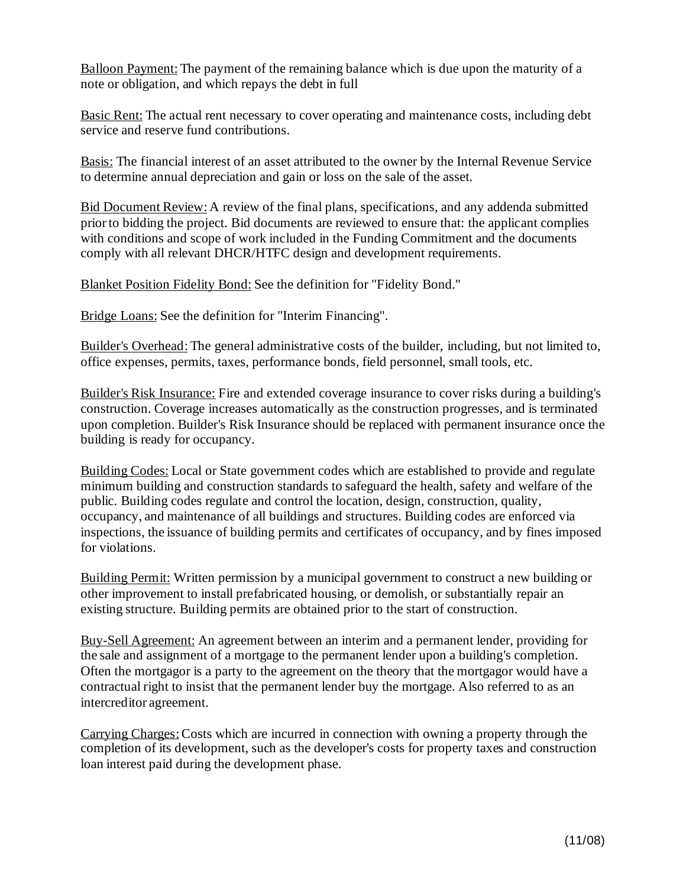Balloon Payment: The payment of the remaining balance which is due upon the maturity of a note or obligation, and which repays the debt in full

Basic Rent: The actual rent necessary to cover operating and maintenance costs, including debt service and reserve fund contributions.

Basis: The financial interest of an asset attributed to the owner by the Internal Revenue Service to determine annual depreciation and gain or loss on the sale of the asset.

Bid Document Review: A review of the final plans, specifications, and any addenda submitted priorto bidding the project. Bid documents are reviewed to ensure that: the applicant complies with conditions and scope of work included in the Funding Commitment and the documents comply with all relevant DHCR/HTFC design and development requirements.

Blanket Position Fidelity Bond: See the definition for "Fidelity Bond."

Bridge Loans: See the definition for "Interim Financing".

Builder's Overhead: The general administrative costs of the builder, including, but not limited to, office expenses, permits, taxes, performance bonds, field personnel, small tools, etc.

Builder's Risk Insurance: Fire and extended coverage insurance to cover risks during a building's construction. Coverage increases automatically as the construction progresses, and is terminated upon completion. Builder's Risk Insurance should be replaced with permanent insurance once the building is ready for occupancy.

Building Codes: Local or State government codes which are established to provide and regulate minimum building and construction standards to safeguard the health, safety and welfare of the public. Building codes regulate and control the location, design, construction, quality, occupancy, and maintenance of all buildings and structures. Building codes are enforced via inspections, the issuance of building permits and certificates of occupancy, and by fines imposed for violations.

Building Permit: Written permission by a municipal government to construct a new building or other improvement to install prefabricated housing, or demolish, or substantially repair an existing structure. Building permits are obtained prior to the start of construction.

Buy-Sell Agreement: An agreement between an interim and a permanent lender, providing for the sale and assignment of a mortgage to the permanent lender upon a building's completion. Often the mortgagor is a party to the agreement on the theory that the mortgagor would have a contractual right to insist that the permanent lender buy the mortgage. Also referred to as an intercreditor agreement.

Carrying Charges:Costs which are incurred in connection with owning a property through the completion of its development, such as the developer's costs for property taxes and construction loan interest paid during the development phase.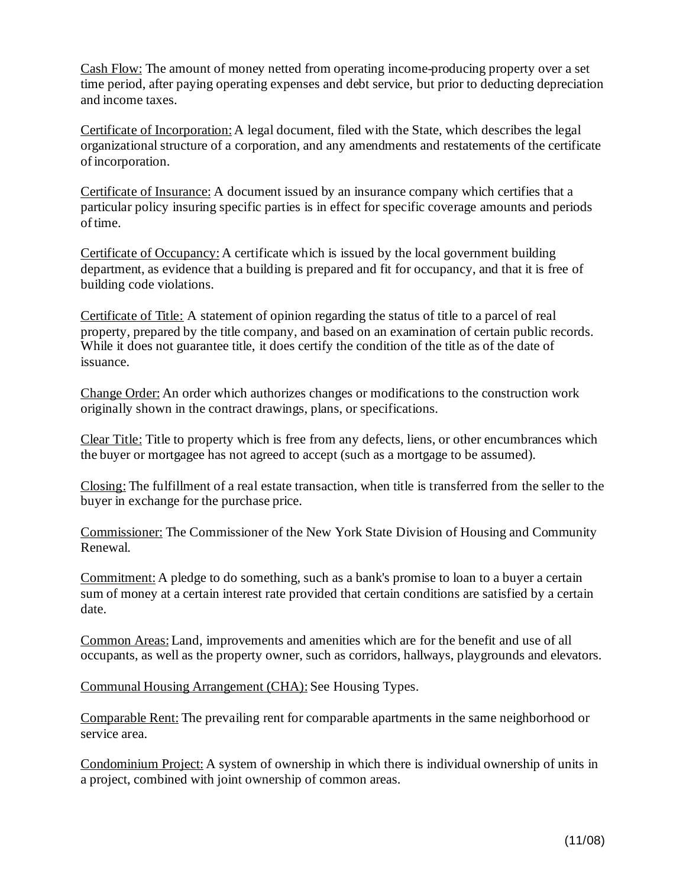Cash Flow: The amount of money netted from operating income-producing property over a set time period, after paying operating expenses and debt service, but prior to deducting depreciation and income taxes.

Certificate of Incorporation:A legal document, filed with the State, which describes the legal organizational structure of a corporation, and any amendments and restatements of the certificate ofincorporation.

Certificate of Insurance: A document issued by an insurance company which certifies that a particular policy insuring specific parties is in effect for specific coverage amounts and periods of time.

Certificate of Occupancy:A certificate which is issued by the local government building department, as evidence that a building is prepared and fit for occupancy, and that it is free of building code violations.

Certificate of Title: A statement of opinion regarding the status of title to a parcel of real property, prepared by the title company, and based on an examination of certain public records. While it does not guarantee title, it does certify the condition of the title as of the date of issuance.

Change Order: An order which authorizes changes or modifications to the construction work originally shown in the contract drawings, plans, or specifications.

Clear Title: Title to property which is free from any defects, liens, or other encumbrances which the buyer or mortgagee has not agreed to accept (such as a mortgage to be assumed).

Closing: The fulfillment of a real estate transaction, when title is transferred from the seller to the buyer in exchange for the purchase price.

Commissioner: The Commissioner of the New York State Division of Housing and Community Renewal.

Commitment: A pledge to do something, such as a bank's promise to loan to a buyer a certain sum of money at a certain interest rate provided that certain conditions are satisfied by a certain date.

Common Areas:Land, improvements and amenities which are for the benefit and use of all occupants, as well as the property owner, such as corridors, hallways, playgrounds and elevators.

Communal Housing Arrangement (CHA): See Housing Types.

Comparable Rent: The prevailing rent for comparable apartments in the same neighborhood or service area.

Condominium Project: A system of ownership in which there is individual ownership of units in a project, combined with joint ownership of common areas.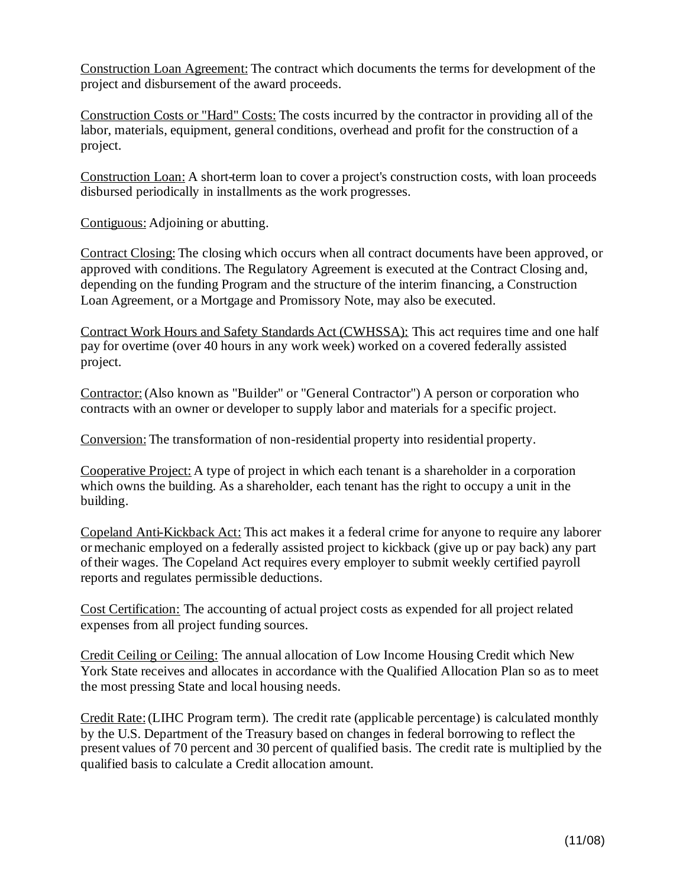Construction Loan Agreement: The contract which documents the terms for development of the project and disbursement of the award proceeds.

Construction Costs or "Hard" Costs: The costs incurred by the contractor in providing all of the labor, materials, equipment, general conditions, overhead and profit for the construction of a project.

Construction Loan: A short-term loan to cover a project's construction costs, with loan proceeds disbursed periodically in installments as the work progresses.

Contiguous: Adjoining or abutting.

Contract Closing: The closing which occurs when all contract documents have been approved, or approved with conditions. The Regulatory Agreement is executed at the Contract Closing and, depending on the funding Program and the structure of the interim financing, a Construction Loan Agreement, or a Mortgage and Promissory Note, may also be executed.

Contract Work Hours and Safety Standards Act (CWHSSA): This act requires time and one half pay for overtime (over 40 hours in any work week) worked on a covered federally assisted project.

Contractor:(Also known as "Builder" or "General Contractor") A person or corporation who contracts with an owner or developer to supply labor and materials for a specific project.

Conversion: The transformation of non-residential property into residential property.

Cooperative Project: A type of project in which each tenant is a shareholder in a corporation which owns the building. As a shareholder, each tenant has the right to occupy a unit in the building.

Copeland Anti-Kickback Act: This act makes it a federal crime for anyone to require any laborer ormechanic employed on a federally assisted project to kickback (give up or pay back) any part oftheir wages. The Copeland Act requires every employer to submit weekly certified payroll reports and regulates permissible deductions.

Cost Certification: The accounting of actual project costs as expended for all project related expenses from all project funding sources.

Credit Ceiling or Ceiling: The annual allocation of Low Income Housing Credit which New York State receives and allocates in accordance with the Qualified Allocation Plan so as to meet the most pressing State and local housing needs.

Credit Rate:(LIHC Program term). The credit rate (applicable percentage) is calculated monthly by the U.S. Department of the Treasury based on changes in federal borrowing to reflect the present values of 70 percent and 30 percent of qualified basis. The credit rate is multiplied by the qualified basis to calculate a Credit allocation amount.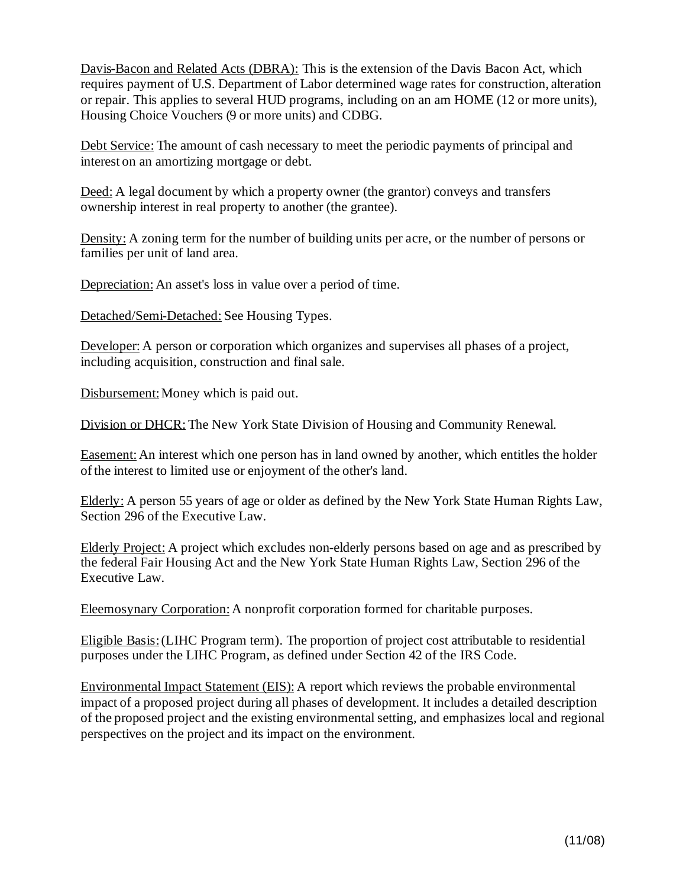Davis-Bacon and Related Acts (DBRA): This is the extension of the Davis Bacon Act, which requires payment of U.S. Department of Labor determined wage rates for construction, alteration or repair. This applies to several HUD programs, including on an am HOME (12 or more units), Housing Choice Vouchers (9 or more units) and CDBG.

Debt Service: The amount of cash necessary to meet the periodic payments of principal and interest on an amortizing mortgage or debt.

Deed: A legal document by which a property owner (the grantor) conveys and transfers ownership interest in real property to another (the grantee).

Density: A zoning term for the number of building units per acre, or the number of persons or families per unit of land area.

Depreciation: An asset's loss in value over a period of time.

Detached/Semi-Detached: See Housing Types.

Developer: A person or corporation which organizes and supervises all phases of a project, including acquisition, construction and final sale.

Disbursement: Money which is paid out.

Division or DHCR: The New York State Division of Housing and Community Renewal.

Easement: An interest which one person has in land owned by another, which entitles the holder ofthe interest to limited use or enjoyment of the other's land.

Elderly: A person 55 years of age or older as defined by the New York State Human Rights Law, Section 296 of the Executive Law.

Elderly Project: A project which excludes non-elderly persons based on age and as prescribed by the federal Fair Housing Act and the New York State Human Rights Law, Section 296 of the Executive Law.

Eleemosynary Corporation: A nonprofit corporation formed for charitable purposes.

Eligible Basis:(LIHC Program term). The proportion of project cost attributable to residential purposes under the LIHC Program, as defined under Section 42 of the IRS Code.

Environmental Impact Statement (EIS): A report which reviews the probable environmental impact of a proposed project during all phases of development. It includes a detailed description of the proposed project and the existing environmental setting, and emphasizes local and regional perspectives on the project and its impact on the environment.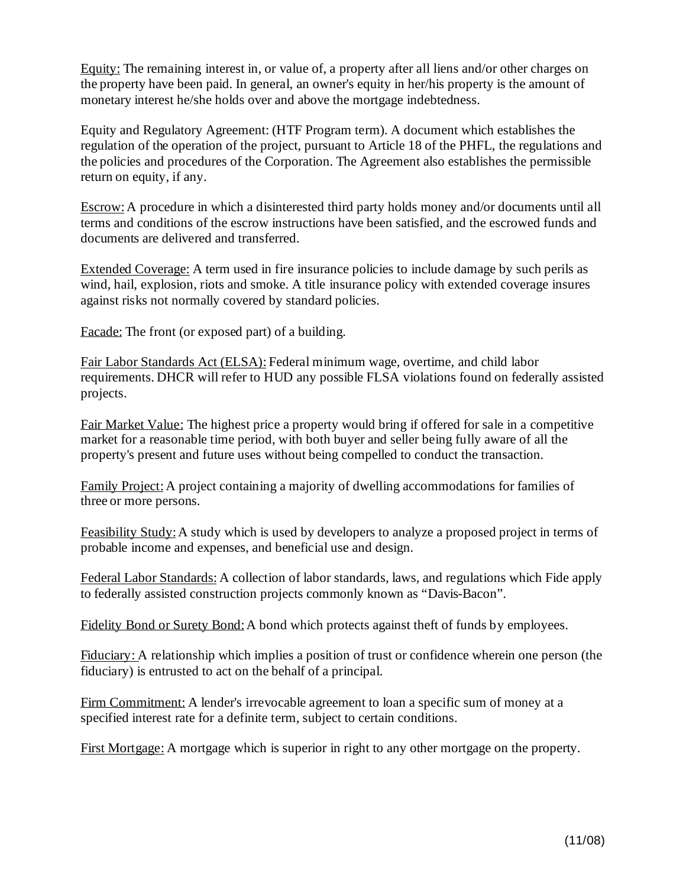Equity: The remaining interest in, or value of, a property after all liens and/or other charges on the property have been paid. In general, an owner's equity in her/his property is the amount of monetary interest he/she holds over and above the mortgage indebtedness.

Equity and Regulatory Agreement: (HTF Program term). A document which establishes the regulation of the operation of the project, pursuant to Article 18 of the PHFL, the regulations and the policies and procedures of the Corporation. The Agreement also establishes the permissible return on equity, if any.

Escrow:A procedure in which a disinterested third party holds money and/or documents until all terms and conditions of the escrow instructions have been satisfied, and the escrowed funds and documents are delivered and transferred.

Extended Coverage: A term used in fire insurance policies to include damage by such perils as wind, hail, explosion, riots and smoke. A title insurance policy with extended coverage insures against risks not normally covered by standard policies.

Facade: The front (or exposed part) of a building.

Fair Labor Standards Act (ELSA): Federal minimum wage, overtime, and child labor requirements. DHCR will refer to HUD any possible FLSA violations found on federally assisted projects.

Fair Market Value: The highest price a property would bring if offered for sale in a competitive market for a reasonable time period, with both buyer and seller being fully aware of all the property's present and future uses without being compelled to conduct the transaction.

Family Project:A project containing a majority of dwelling accommodations for families of three or more persons.

Feasibility Study:A study which is used by developers to analyze a proposed project in terms of probable income and expenses, and beneficial use and design.

Federal Labor Standards: A collection of labor standards, laws, and regulations which Fide apply to federally assisted construction projects commonly known as "Davis-Bacon".

Fidelity Bond or Surety Bond:A bond which protects against theft of funds by employees.

Fiduciary: A relationship which implies a position of trust or confidence wherein one person (the fiduciary) is entrusted to act on the behalf of a principal.

Firm Commitment: A lender's irrevocable agreement to loan a specific sum of money at a specified interest rate for a definite term, subject to certain conditions.

First Mortgage: A mortgage which is superior in right to any other mortgage on the property.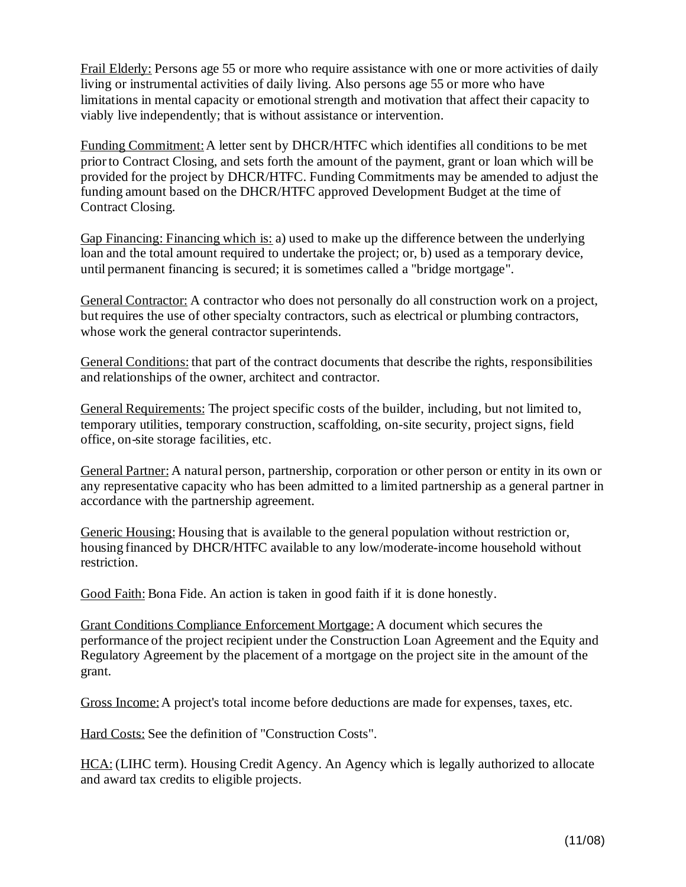Frail Elderly: Persons age 55 or more who require assistance with one or more activities of daily living or instrumental activities of daily living. Also persons age 55 or more who have limitations in mental capacity or emotional strength and motivation that affect their capacity to viably live independently; that is without assistance or intervention.

Funding Commitment: A letter sent by DHCR/HTFC which identifies all conditions to be met priorto Contract Closing, and sets forth the amount of the payment, grant or loan which will be provided for the project by DHCR/HTFC. Funding Commitments may be amended to adjust the funding amount based on the DHCR/HTFC approved Development Budget at the time of Contract Closing.

Gap Financing: Financing which is: a) used to make up the difference between the underlying loan and the total amount required to undertake the project; or, b) used as a temporary device, until permanent financing is secured; it is sometimes called a "bridge mortgage".

General Contractor: A contractor who does not personally do all construction work on a project, but requires the use of other specialty contractors, such as electrical or plumbing contractors, whose work the general contractor superintends.

General Conditions: that part of the contract documents that describe the rights, responsibilities and relationships of the owner, architect and contractor.

General Requirements: The project specific costs of the builder, including, but not limited to, temporary utilities, temporary construction, scaffolding, on-site security, project signs, field office, on-site storage facilities, etc.

General Partner: A natural person, partnership, corporation or other person or entity in its own or any representative capacity who has been admitted to a limited partnership as a general partner in accordance with the partnership agreement.

Generic Housing: Housing that is available to the general population without restriction or, housing financed by DHCR/HTFC available to any low/moderate-income household without restriction.

Good Faith: Bona Fide. An action is taken in good faith if it is done honestly.

Grant Conditions Compliance Enforcement Mortgage: A document which secures the performance of the project recipient under the Construction Loan Agreement and the Equity and Regulatory Agreement by the placement of a mortgage on the project site in the amount of the grant.

Gross Income:A project's total income before deductions are made for expenses, taxes, etc.

Hard Costs: See the definition of "Construction Costs".

HCA: (LIHC term). Housing Credit Agency. An Agency which is legally authorized to allocate and award tax credits to eligible projects.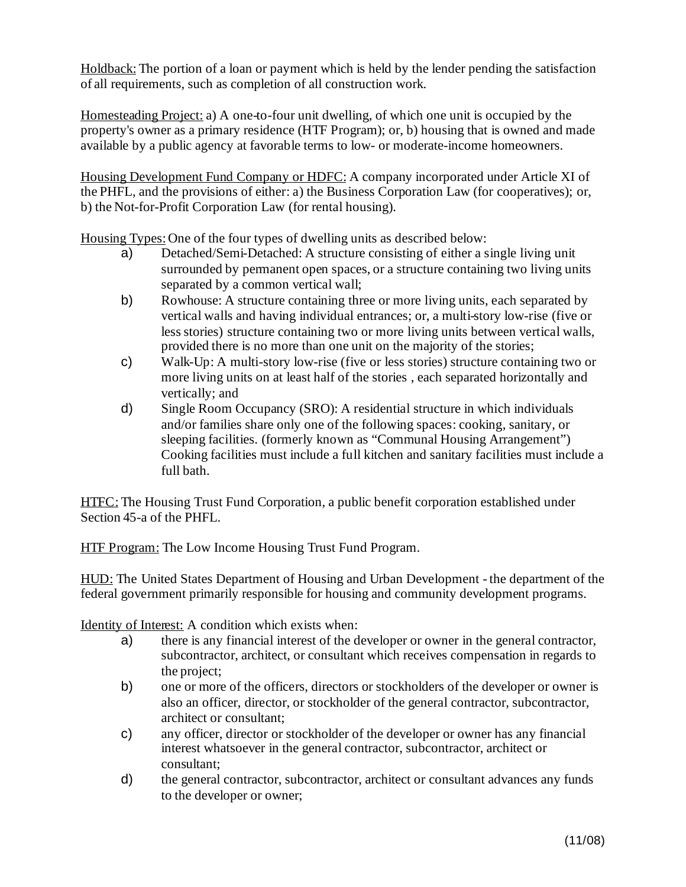Holdback: The portion of a loan or payment which is held by the lender pending the satisfaction of all requirements, such as completion of all construction work.

Homesteading Project: a) A one-to-four unit dwelling, of which one unit is occupied by the property's owner as a primary residence (HTF Program); or, b) housing that is owned and made available by a public agency at favorable terms to low- or moderate-income homeowners.

Housing Development Fund Company or HDFC: A company incorporated under Article XI of the PHFL, and the provisions of either: a) the Business Corporation Law (for cooperatives); or, b) the Not-for-Profit Corporation Law (for rental housing).

Housing Types:One of the four types of dwelling units as described below:

- a) Detached/Semi-Detached: A structure consisting of either a single living unit surrounded by permanent open spaces, or a structure containing two living units separated by a common vertical wall;
- b) Rowhouse: A structure containing three or more living units, each separated by vertical walls and having individual entrances; or, a multi-story low-rise (five or less stories) structure containing two or more living units between vertical walls, provided there is no more than one unit on the majority of the stories;
- c) Walk-Up: A multi-story low-rise (five or less stories) structure containing two or more living units on at least half of the stories , each separated horizontally and vertically; and
- d) Single Room Occupancy (SRO): A residential structure in which individuals and/or families share only one of the following spaces: cooking, sanitary, or sleeping facilities. (formerly known as "Communal Housing Arrangement") Cooking facilities must include a full kitchen and sanitary facilities must include a full bath.

HTFC: The Housing Trust Fund Corporation, a public benefit corporation established under Section 45-a of the PHFL.

HTF Program: The Low Income Housing Trust Fund Program.

HUD: The United States Department of Housing and Urban Development - the department of the federal government primarily responsible for housing and community development programs.

Identity of Interest: A condition which exists when:

- a) there is any financial interest of the developer or owner in the general contractor, subcontractor, architect, or consultant which receives compensation in regards to the project;
- b) one or more of the officers, directors or stockholders of the developer or owner is also an officer, director, or stockholder of the general contractor, subcontractor, architect or consultant;
- c) any officer, director or stockholder of the developer or owner has any financial interest whatsoever in the general contractor, subcontractor, architect or consultant;
- d) the general contractor, subcontractor, architect or consultant advances any funds to the developer or owner;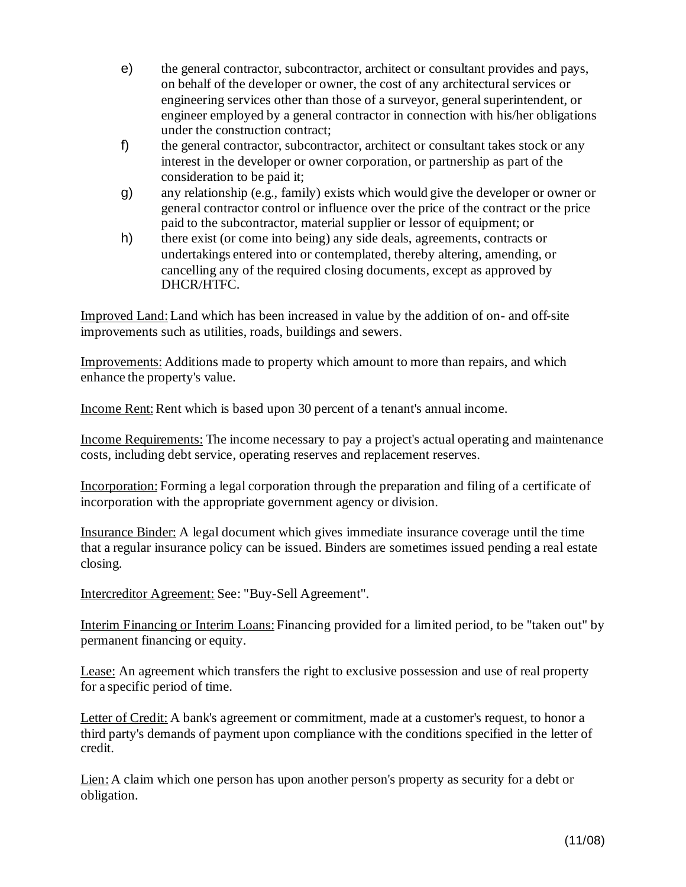- e) the general contractor, subcontractor, architect or consultant provides and pays, on behalf of the developer or owner, the cost of any architectural services or engineering services other than those of a surveyor, general superintendent, or engineer employed by a general contractor in connection with his/her obligations under the construction contract;
- f) the general contractor, subcontractor, architect or consultant takes stock or any interest in the developer or owner corporation, or partnership as part of the consideration to be paid it;
- g) any relationship (e.g., family) exists which would give the developer or owner or general contractor control or influence over the price of the contract or the price paid to the subcontractor, material supplier or lessor of equipment; or
- h) there exist (or come into being) any side deals, agreements, contracts or undertakings entered into or contemplated, thereby altering, amending, or cancelling any of the required closing documents, except as approved by DHCR/HTFC.

Improved Land:Land which has been increased in value by the addition of on- and off-site improvements such as utilities, roads, buildings and sewers.

Improvements: Additions made to property which amount to more than repairs, and which enhance the property's value.

Income Rent: Rent which is based upon 30 percent of a tenant's annual income.

Income Requirements: The income necessary to pay a project's actual operating and maintenance costs, including debt service, operating reserves and replacement reserves.

Incorporation: Forming a legal corporation through the preparation and filing of a certificate of incorporation with the appropriate government agency or division.

Insurance Binder: A legal document which gives immediate insurance coverage until the time that a regular insurance policy can be issued. Binders are sometimes issued pending a real estate closing.

Intercreditor Agreement: See: "Buy-Sell Agreement".

Interim Financing or Interim Loans: Financing provided for a limited period, to be "taken out" by permanent financing or equity.

Lease: An agreement which transfers the right to exclusive possession and use of real property for a specific period of time.

Letter of Credit: A bank's agreement or commitment, made at a customer's request, to honor a third party's demands of payment upon compliance with the conditions specified in the letter of credit.

Lien: A claim which one person has upon another person's property as security for a debt or obligation.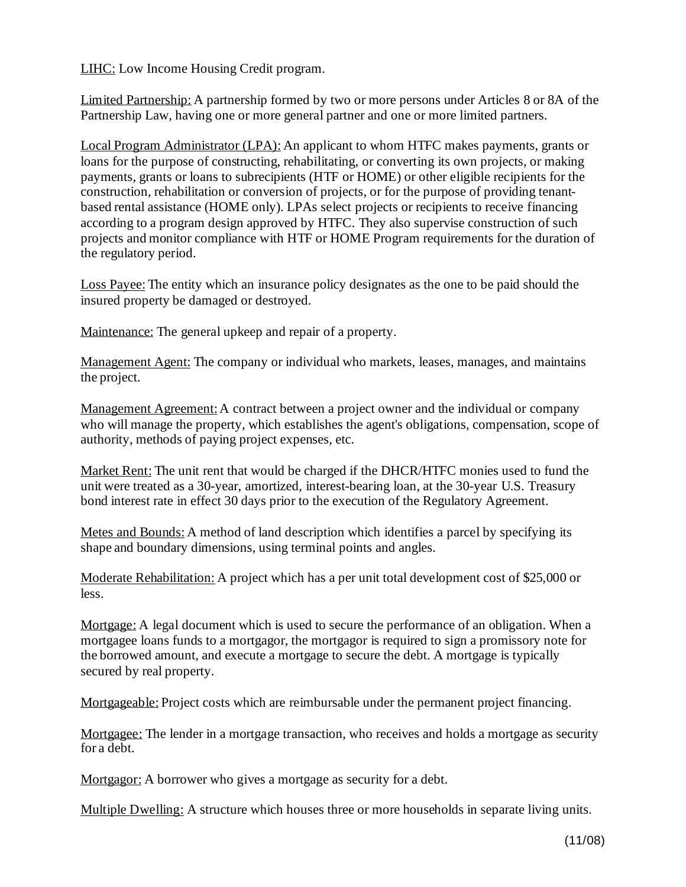LIHC: Low Income Housing Credit program.

Limited Partnership: A partnership formed by two or more persons under Articles 8 or 8A of the Partnership Law, having one or more general partner and one or more limited partners.

Local Program Administrator (LPA): An applicant to whom HTFC makes payments, grants or loans for the purpose of constructing, rehabilitating, or converting its own projects, or making payments, grants or loans to subrecipients (HTF or HOME) or other eligible recipients for the construction, rehabilitation or conversion of projects, or for the purpose of providing tenantbased rental assistance (HOME only). LPAs select projects or recipients to receive financing according to a program design approved by HTFC. They also supervise construction of such projects and monitor compliance with HTF or HOME Program requirements for the duration of the regulatory period.

Loss Payee: The entity which an insurance policy designates as the one to be paid should the insured property be damaged or destroyed.

Maintenance: The general upkeep and repair of a property.

Management Agent: The company or individual who markets, leases, manages, and maintains the project.

Management Agreement: A contract between a project owner and the individual or company who will manage the property, which establishes the agent's obligations, compensation, scope of authority, methods of paying project expenses, etc.

Market Rent: The unit rent that would be charged if the DHCR/HTFC monies used to fund the unit were treated as a 30-year, amortized, interest-bearing loan, at the 30-year U.S. Treasury bond interest rate in effect 30 days prior to the execution of the Regulatory Agreement.

Metes and Bounds: A method of land description which identifies a parcel by specifying its shape and boundary dimensions, using terminal points and angles.

Moderate Rehabilitation: A project which has a per unit total development cost of \$25,000 or less.

Mortgage: A legal document which is used to secure the performance of an obligation. When a mortgagee loans funds to a mortgagor, the mortgagor is required to sign a promissory note for the borrowed amount, and execute a mortgage to secure the debt. A mortgage is typically secured by real property.

Mortgageable: Project costs which are reimbursable under the permanent project financing.

Mortgagee: The lender in a mortgage transaction, who receives and holds a mortgage as security for a debt.

Mortgagor: A borrower who gives a mortgage as security for a debt.

Multiple Dwelling: A structure which houses three or more households in separate living units.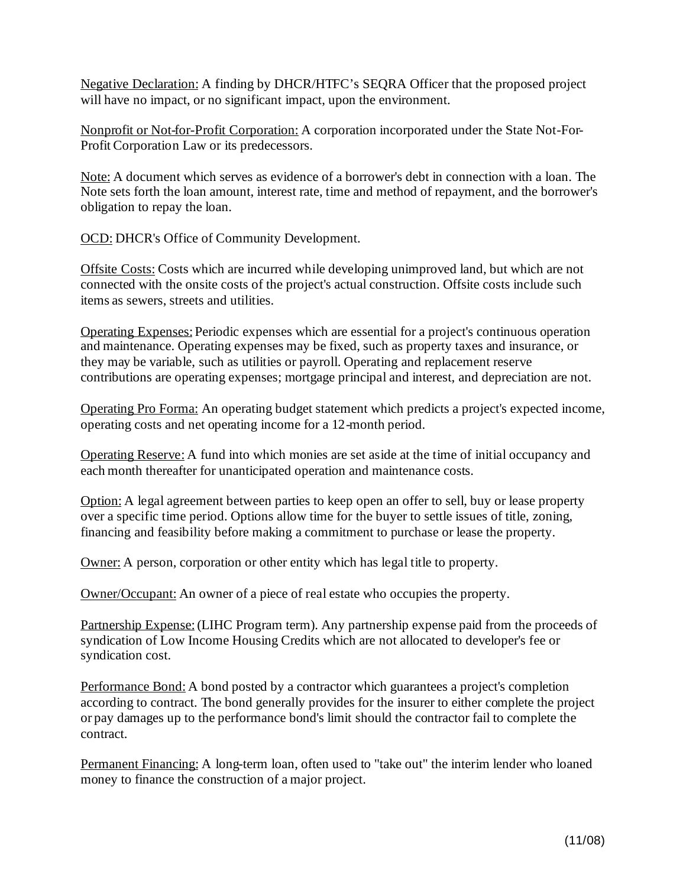Negative Declaration: A finding by DHCR/HTFC's SEQRA Officer that the proposed project will have no impact, or no significant impact, upon the environment.

Nonprofit or Not-for-Profit Corporation: A corporation incorporated under the State Not-For-Profit Corporation Law or its predecessors.

Note: A document which serves as evidence of a borrower's debt in connection with a loan. The Note sets forth the loan amount, interest rate, time and method of repayment, and the borrower's obligation to repay the loan.

OCD: DHCR's Office of Community Development.

Offsite Costs: Costs which are incurred while developing unimproved land, but which are not connected with the onsite costs of the project's actual construction. Offsite costs include such items as sewers, streets and utilities.

Operating Expenses: Periodic expenses which are essential for a project's continuous operation and maintenance. Operating expenses may be fixed, such as property taxes and insurance, or they may be variable, such as utilities or payroll. Operating and replacement reserve contributions are operating expenses; mortgage principal and interest, and depreciation are not.

Operating Pro Forma: An operating budget statement which predicts a project's expected income, operating costs and net operating income for a 12-month period.

Operating Reserve: A fund into which monies are set aside at the time of initial occupancy and each month thereafter for unanticipated operation and maintenance costs.

Option: A legal agreement between parties to keep open an offer to sell, buy or lease property over a specific time period. Options allow time for the buyer to settle issues of title, zoning, financing and feasibility before making a commitment to purchase or lease the property.

Owner: A person, corporation or other entity which has legal title to property.

Owner/Occupant: An owner of a piece of real estate who occupies the property.

Partnership Expense: (LIHC Program term). Any partnership expense paid from the proceeds of syndication of Low Income Housing Credits which are not allocated to developer's fee or syndication cost.

Performance Bond: A bond posted by a contractor which guarantees a project's completion according to contract. The bond generally provides for the insurer to either complete the project or pay damages up to the performance bond's limit should the contractor fail to complete the contract.

Permanent Financing: A long-term loan, often used to "take out" the interim lender who loaned money to finance the construction of a major project.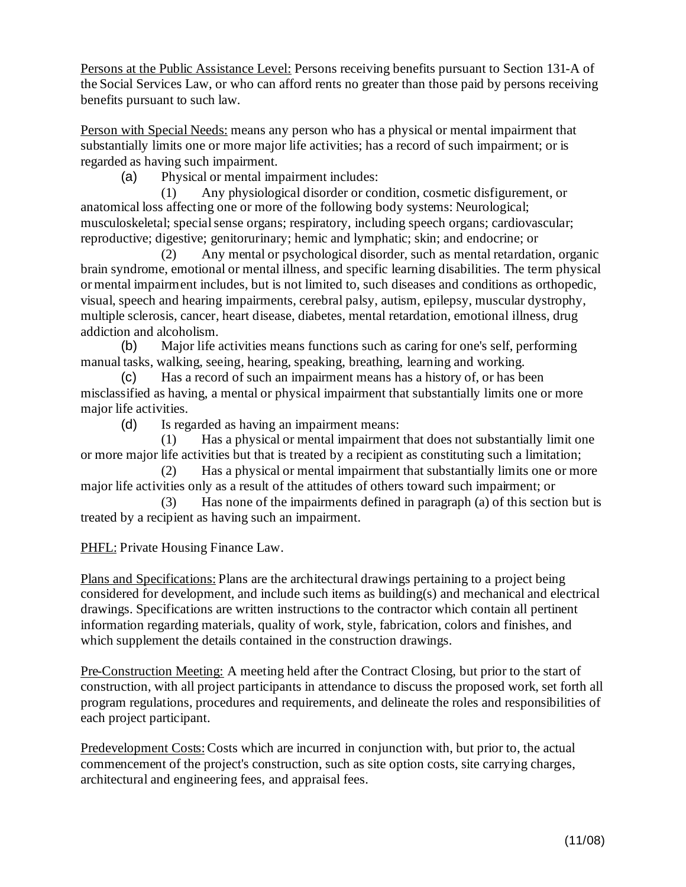Persons at the Public Assistance Level: Persons receiving benefits pursuant to Section 131-A of the Social Services Law, or who can afford rents no greater than those paid by persons receiving benefits pursuant to such law.

Person with Special Needs: means any person who has a physical or mental impairment that substantially limits one or more major life activities; has a record of such impairment; or is regarded as having such impairment.

(a) Physical or mental impairment includes:

(1) Any physiological disorder or condition, cosmetic disfigurement, or anatomical loss affecting one or more of the following body systems: Neurological; musculoskeletal; special sense organs; respiratory, including speech organs; cardiovascular; reproductive; digestive; genitorurinary; hemic and lymphatic; skin; and endocrine; or

(2) Any mental or psychological disorder, such as mental retardation, organic brain syndrome, emotional or mental illness, and specific learning disabilities. The term physical ormental impairment includes, but is not limited to, such diseases and conditions as orthopedic, visual, speech and hearing impairments, cerebral palsy, autism, epilepsy, muscular dystrophy, multiple sclerosis, cancer, heart disease, diabetes, mental retardation, emotional illness, drug addiction and alcoholism.

(b) Major life activities means functions such as caring for one's self, performing manual tasks, walking, seeing, hearing, speaking, breathing, learning and working.

(c) Has a record of such an impairment means has a history of, or has been misclassified as having, a mental or physical impairment that substantially limits one or more major life activities.

(d) Is regarded as having an impairment means:

(1) Has a physical or mental impairment that does not substantially limit one or more major life activities but that is treated by a recipient as constituting such a limitation;

(2) Has a physical or mental impairment that substantially limits one or more major life activities only as a result of the attitudes of others toward such impairment; or

(3) Has none of the impairments defined in paragraph (a) of this section but is treated by a recipient as having such an impairment.

PHFL: Private Housing Finance Law.

Plans and Specifications: Plans are the architectural drawings pertaining to a project being considered for development, and include such items as building(s) and mechanical and electrical drawings. Specifications are written instructions to the contractor which contain all pertinent information regarding materials, quality of work, style, fabrication, colors and finishes, and which supplement the details contained in the construction drawings.

Pre-Construction Meeting: A meeting held after the Contract Closing, but prior to the start of construction, with all project participants in attendance to discuss the proposed work, set forth all program regulations, procedures and requirements, and delineate the roles and responsibilities of each project participant.

Predevelopment Costs:Costs which are incurred in conjunction with, but prior to, the actual commencement of the project's construction, such as site option costs, site carrying charges, architectural and engineering fees, and appraisal fees.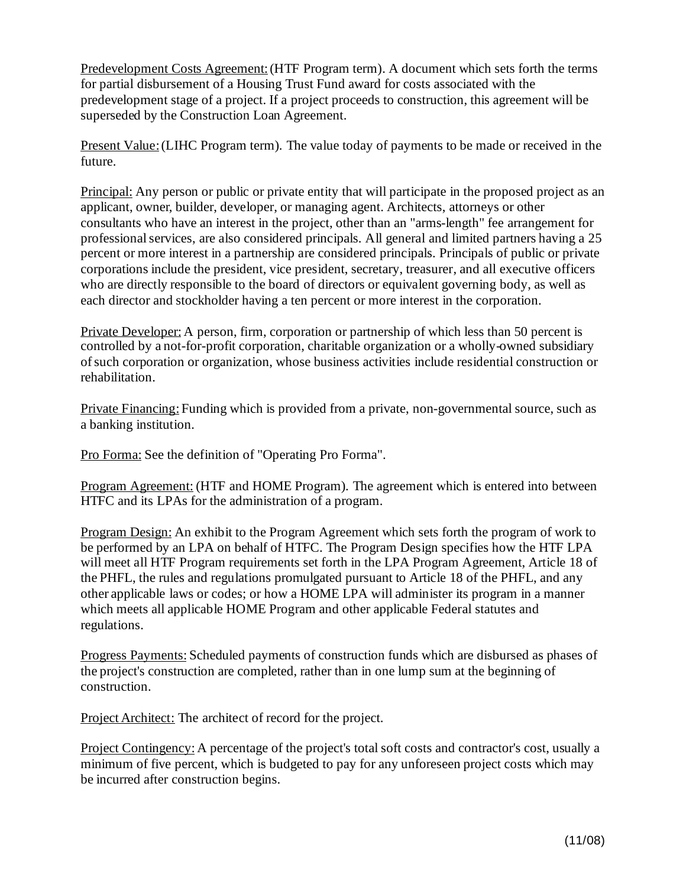Predevelopment Costs Agreement:(HTF Program term). A document which sets forth the terms for partial disbursement of a Housing Trust Fund award for costs associated with the predevelopment stage of a project. If a project proceeds to construction, this agreement will be superseded by the Construction Loan Agreement.

Present Value: (LIHC Program term). The value today of payments to be made or received in the future.

Principal: Any person or public or private entity that will participate in the proposed project as an applicant, owner, builder, developer, or managing agent. Architects, attorneys or other consultants who have an interest in the project, other than an "arms-length" fee arrangement for professional services, are also considered principals. All general and limited partners having a 25 percent or more interest in a partnership are considered principals. Principals of public or private corporations include the president, vice president, secretary, treasurer, and all executive officers who are directly responsible to the board of directors or equivalent governing body, as well as each director and stockholder having a ten percent or more interest in the corporation.

Private Developer: A person, firm, corporation or partnership of which less than 50 percent is controlled by a not-for-profit corporation, charitable organization or a wholly-owned subsidiary ofsuch corporation or organization, whose business activities include residential construction or rehabilitation.

Private Financing: Funding which is provided from a private, non-governmental source, such as a banking institution.

Pro Forma: See the definition of "Operating Pro Forma".

Program Agreement: (HTF and HOME Program). The agreement which is entered into between HTFC and its LPAs for the administration of a program.

Program Design: An exhibit to the Program Agreement which sets forth the program of work to be performed by an LPA on behalf of HTFC. The Program Design specifies how the HTF LPA will meet all HTF Program requirements set forth in the LPA Program Agreement, Article 18 of the PHFL, the rules and regulations promulgated pursuant to Article 18 of the PHFL, and any other applicable laws or codes; or how a HOME LPA will administer its program in a manner which meets all applicable HOME Program and other applicable Federal statutes and regulations.

Progress Payments: Scheduled payments of construction funds which are disbursed as phases of the project's construction are completed, rather than in one lump sum at the beginning of construction.

Project Architect: The architect of record for the project.

Project Contingency: A percentage of the project's total soft costs and contractor's cost, usually a minimum of five percent, which is budgeted to pay for any unforeseen project costs which may be incurred after construction begins.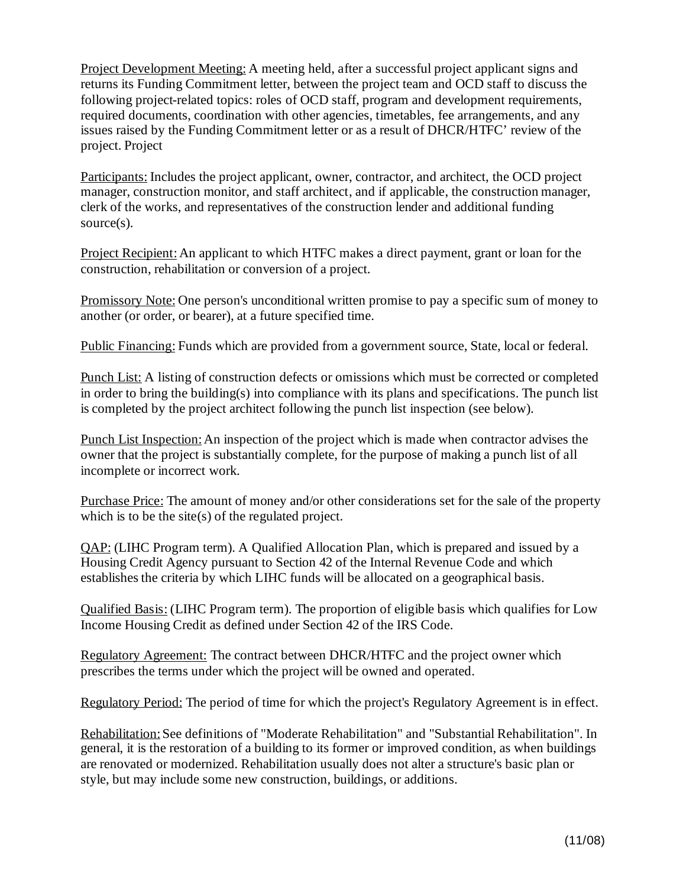Project Development Meeting: A meeting held, after a successful project applicant signs and returns its Funding Commitment letter, between the project team and OCD staff to discuss the following project-related topics: roles of OCD staff, program and development requirements, required documents, coordination with other agencies, timetables, fee arrangements, and any issues raised by the Funding Commitment letter or as a result of DHCR/HTFC' review of the project. Project

Participants: Includes the project applicant, owner, contractor, and architect, the OCD project manager, construction monitor, and staff architect, and if applicable, the construction manager, clerk of the works, and representatives of the construction lender and additional funding source(s).

Project Recipient:An applicant to which HTFC makes a direct payment, grant or loan for the construction, rehabilitation or conversion of a project.

Promissory Note: One person's unconditional written promise to pay a specific sum of money to another (or order, or bearer), at a future specified time.

Public Financing: Funds which are provided from a government source, State, local or federal.

Punch List: A listing of construction defects or omissions which must be corrected or completed in order to bring the building(s) into compliance with its plans and specifications. The punch list is completed by the project architect following the punch list inspection (see below).

Punch List Inspection:An inspection of the project which is made when contractor advises the owner that the project is substantially complete, for the purpose of making a punch list of all incomplete or incorrect work.

Purchase Price: The amount of money and/or other considerations set for the sale of the property which is to be the site(s) of the regulated project.

QAP: (LIHC Program term). A Qualified Allocation Plan, which is prepared and issued by a Housing Credit Agency pursuant to Section 42 of the Internal Revenue Code and which establishes the criteria by which LIHC funds will be allocated on a geographical basis.

Qualified Basis: (LIHC Program term). The proportion of eligible basis which qualifies for Low Income Housing Credit as defined under Section 42 of the IRS Code.

Regulatory Agreement: The contract between DHCR/HTFC and the project owner which prescribes the terms under which the project will be owned and operated.

Regulatory Period: The period of time for which the project's Regulatory Agreement is in effect.

Rehabilitation:See definitions of "Moderate Rehabilitation" and "Substantial Rehabilitation". In general, it is the restoration of a building to its former or improved condition, as when buildings are renovated or modernized. Rehabilitation usually does not alter a structure's basic plan or style, but may include some new construction, buildings, or additions.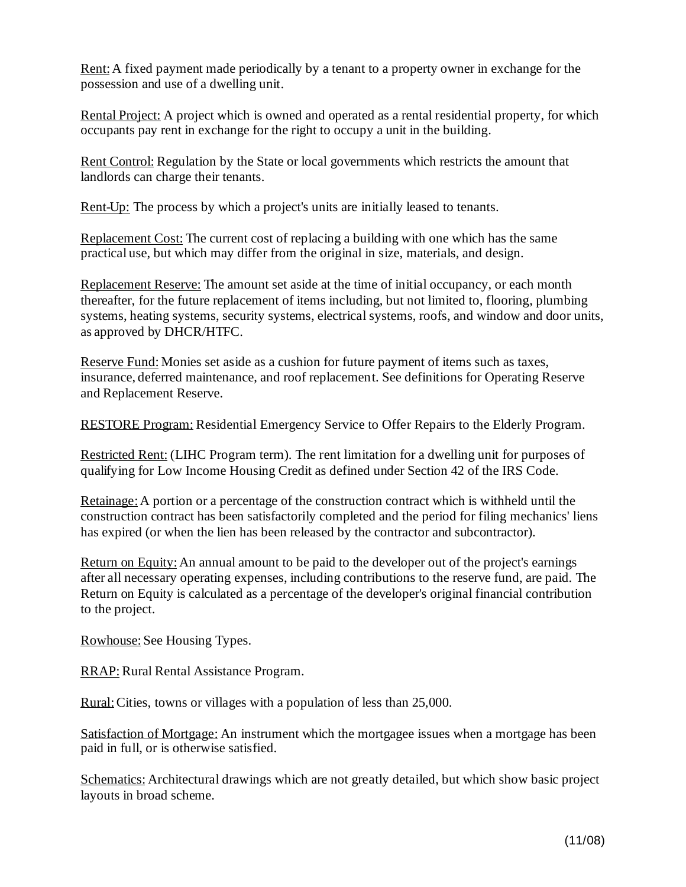Rent:A fixed payment made periodically by a tenant to a property owner in exchange for the possession and use of a dwelling unit.

Rental Project: A project which is owned and operated as a rental residential property, for which occupants pay rent in exchange for the right to occupy a unit in the building.

Rent Control: Regulation by the State or local governments which restricts the amount that landlords can charge their tenants.

Rent-Up: The process by which a project's units are initially leased to tenants.

Replacement Cost: The current cost of replacing a building with one which has the same practical use, but which may differ from the original in size, materials, and design.

Replacement Reserve: The amount set aside at the time of initial occupancy, or each month thereafter, for the future replacement of items including, but not limited to, flooring, plumbing systems, heating systems, security systems, electrical systems, roofs, and window and door units, as approved by DHCR/HTFC.

Reserve Fund: Monies set aside as a cushion for future payment of items such as taxes, insurance, deferred maintenance, and roof replacement. See definitions for Operating Reserve and Replacement Reserve.

RESTORE Program: Residential Emergency Service to Offer Repairs to the Elderly Program.

Restricted Rent: (LIHC Program term). The rent limitation for a dwelling unit for purposes of qualifying for Low Income Housing Credit as defined under Section 42 of the IRS Code.

Retainage:A portion or a percentage of the construction contract which is withheld until the construction contract has been satisfactorily completed and the period for filing mechanics' liens has expired (or when the lien has been released by the contractor and subcontractor).

Return on Equity:An annual amount to be paid to the developer out of the project's earnings after all necessary operating expenses, including contributions to the reserve fund, are paid. The Return on Equity is calculated as a percentage of the developer's original financial contribution to the project.

Rowhouse: See Housing Types.

RRAP: Rural Rental Assistance Program.

Rural:Cities, towns or villages with a population of less than 25,000.

Satisfaction of Mortgage: An instrument which the mortgagee issues when a mortgage has been paid in full, or is otherwise satisfied.

Schematics: Architectural drawings which are not greatly detailed, but which show basic project layouts in broad scheme.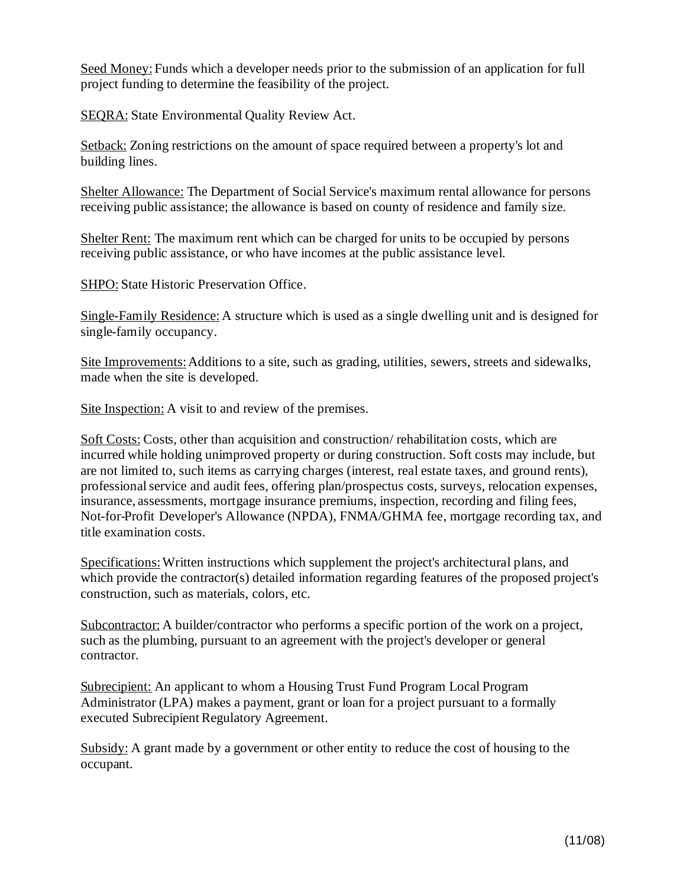Seed Money: Funds which a developer needs prior to the submission of an application for full project funding to determine the feasibility of the project.

**SEQRA:** State Environmental Quality Review Act.

Setback: Zoning restrictions on the amount of space required between a property's lot and building lines.

Shelter Allowance: The Department of Social Service's maximum rental allowance for persons receiving public assistance; the allowance is based on county of residence and family size.

Shelter Rent: The maximum rent which can be charged for units to be occupied by persons receiving public assistance, or who have incomes at the public assistance level.

SHPO: State Historic Preservation Office.

Single-Family Residence: A structure which is used as a single dwelling unit and is designed for single-family occupancy.

Site Improvements: Additions to a site, such as grading, utilities, sewers, streets and sidewalks, made when the site is developed.

Site Inspection: A visit to and review of the premises.

Soft Costs: Costs, other than acquisition and construction/ rehabilitation costs, which are incurred while holding unimproved property or during construction. Soft costs may include, but are not limited to, such items as carrying charges (interest, real estate taxes, and ground rents), professional service and audit fees, offering plan/prospectus costs, surveys, relocation expenses, insurance, assessments, mortgage insurance premiums, inspection, recording and filing fees, Not-for-Profit Developer's Allowance (NPDA), FNMA/GHMA fee, mortgage recording tax, and title examination costs.

Specifications:Written instructions which supplement the project's architectural plans, and which provide the contractor(s) detailed information regarding features of the proposed project's construction, such as materials, colors, etc.

Subcontractor: A builder/contractor who performs a specific portion of the work on a project, such as the plumbing, pursuant to an agreement with the project's developer or general contractor.

Subrecipient: An applicant to whom a Housing Trust Fund Program Local Program Administrator (LPA) makes a payment, grant or loan for a project pursuant to a formally executed Subrecipient Regulatory Agreement.

Subsidy: A grant made by a government or other entity to reduce the cost of housing to the occupant.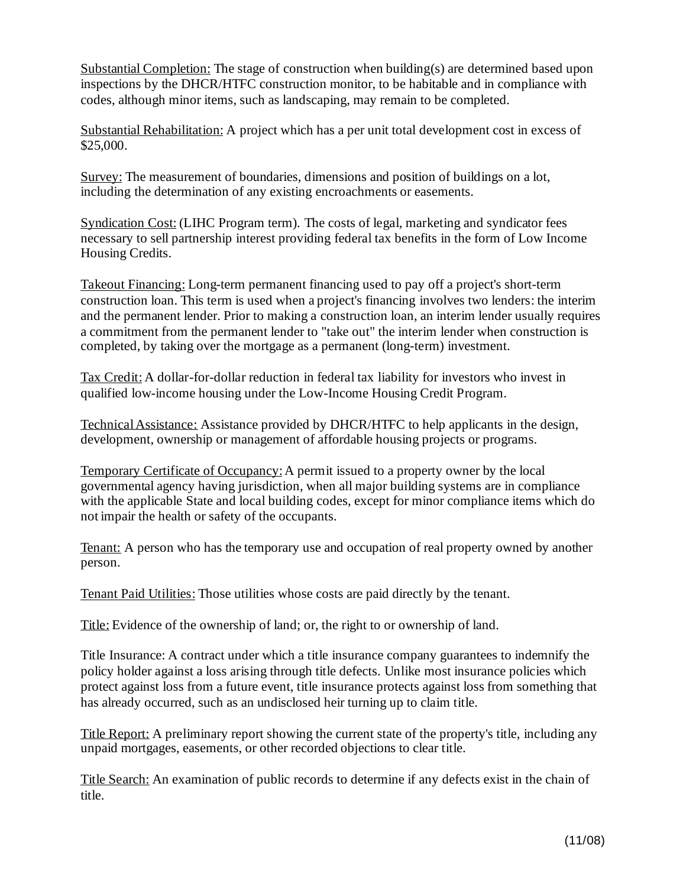Substantial Completion: The stage of construction when building(s) are determined based upon inspections by the DHCR/HTFC construction monitor, to be habitable and in compliance with codes, although minor items, such as landscaping, may remain to be completed.

Substantial Rehabilitation: A project which has a per unit total development cost in excess of \$25,000.

Survey: The measurement of boundaries, dimensions and position of buildings on a lot, including the determination of any existing encroachments or easements.

Syndication Cost: (LIHC Program term). The costs of legal, marketing and syndicator fees necessary to sell partnership interest providing federal tax benefits in the form of Low Income Housing Credits.

Takeout Financing: Long-term permanent financing used to pay off a project's short-term construction loan. This term is used when a project's financing involves two lenders: the interim and the permanent lender. Prior to making a construction loan, an interim lender usually requires a commitment from the permanent lender to "take out" the interim lender when construction is completed, by taking over the mortgage as a permanent (long-term) investment.

Tax Credit: A dollar-for-dollar reduction in federal tax liability for investors who invest in qualified low-income housing under the Low-Income Housing Credit Program.

TechnicalAssistance: Assistance provided by DHCR/HTFC to help applicants in the design, development, ownership or management of affordable housing projects or programs.

Temporary Certificate of Occupancy:A permit issued to a property owner by the local governmental agency having jurisdiction, when all major building systems are in compliance with the applicable State and local building codes, except for minor compliance items which do not impair the health or safety of the occupants.

Tenant: A person who has the temporary use and occupation of real property owned by another person.

Tenant Paid Utilities: Those utilities whose costs are paid directly by the tenant.

Title: Evidence of the ownership of land; or, the right to or ownership of land.

Title Insurance: A contract under which a title insurance company guarantees to indemnify the policy holder against a loss arising through title defects. Unlike most insurance policies which protect against loss from a future event, title insurance protects against loss from something that has already occurred, such as an undisclosed heir turning up to claim title.

Title Report: A preliminary report showing the current state of the property's title, including any unpaid mortgages, easements, or other recorded objections to clear title.

Title Search: An examination of public records to determine if any defects exist in the chain of title.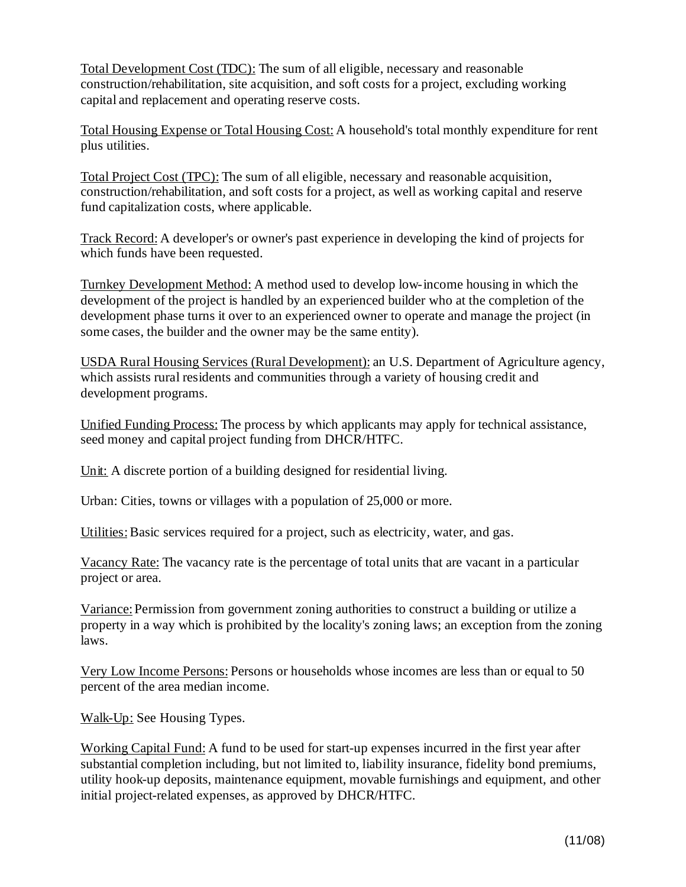Total Development Cost (TDC): The sum of all eligible, necessary and reasonable construction/rehabilitation, site acquisition, and soft costs for a project, excluding working capital and replacement and operating reserve costs.

Total Housing Expense or Total Housing Cost: A household's total monthly expenditure for rent plus utilities.

Total Project Cost (TPC): The sum of all eligible, necessary and reasonable acquisition, construction/rehabilitation, and soft costs for a project, as well as working capital and reserve fund capitalization costs, where applicable.

Track Record: A developer's or owner's past experience in developing the kind of projects for which funds have been requested.

Turnkey Development Method: A method used to develop low-income housing in which the development of the project is handled by an experienced builder who at the completion of the development phase turns it over to an experienced owner to operate and manage the project (in some cases, the builder and the owner may be the same entity).

USDA Rural Housing Services (Rural Development): an U.S. Department of Agriculture agency, which assists rural residents and communities through a variety of housing credit and development programs.

Unified Funding Process: The process by which applicants may apply for technical assistance, seed money and capital project funding from DHCR/HTFC.

Unit: A discrete portion of a building designed for residential living.

Urban: Cities, towns or villages with a population of 25,000 or more.

Utilities: Basic services required for a project, such as electricity, water, and gas.

Vacancy Rate: The vacancy rate is the percentage of total units that are vacant in a particular project or area.

Variance: Permission from government zoning authorities to construct a building or utilize a property in a way which is prohibited by the locality's zoning laws; an exception from the zoning laws.

Very Low Income Persons: Persons or households whose incomes are less than or equal to 50 percent of the area median income.

Walk-Up: See Housing Types.

Working Capital Fund: A fund to be used for start-up expenses incurred in the first year after substantial completion including, but not limited to, liability insurance, fidelity bond premiums, utility hook-up deposits, maintenance equipment, movable furnishings and equipment, and other initial project-related expenses, as approved by DHCR/HTFC.